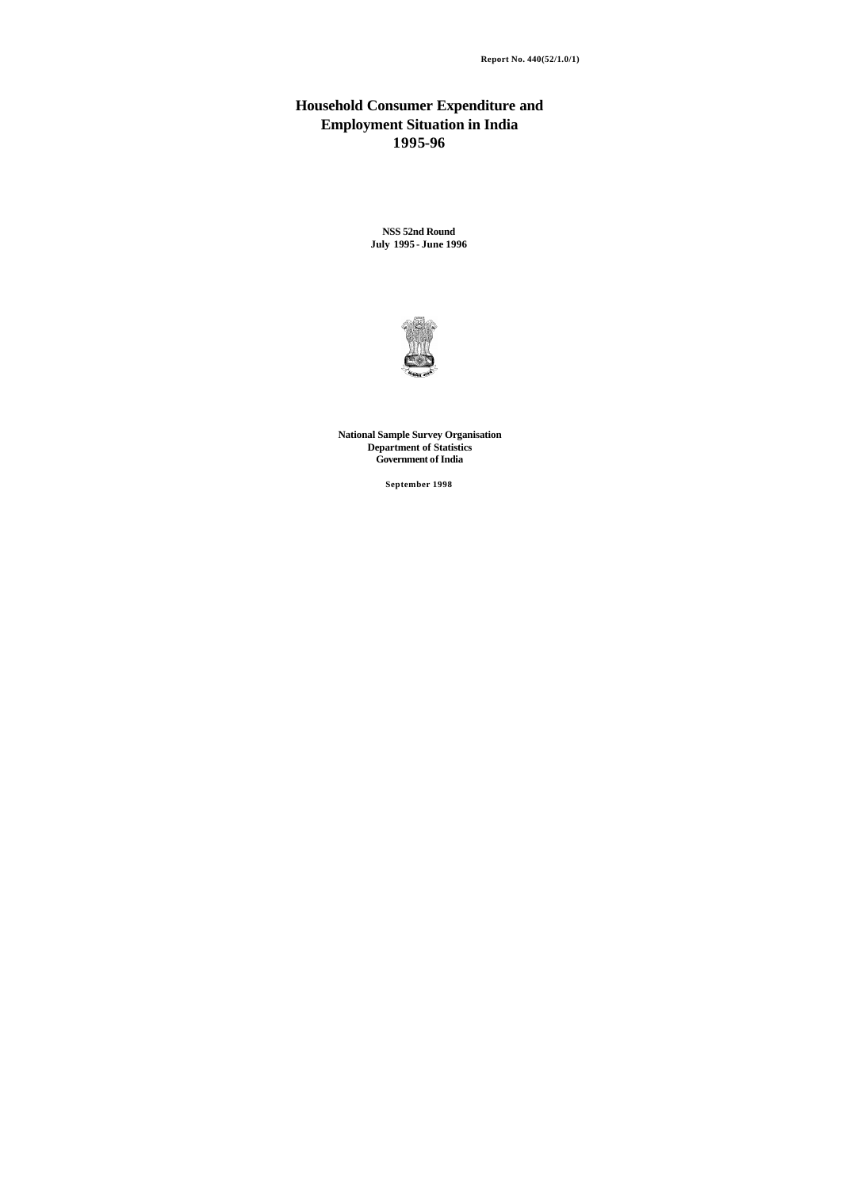### **Household Consumer Expenditure and Employment Situation in India 1995-96**

**NSS 52nd Round July 1995 - June 1996**



 **National Sample Survey Organisation Department of Statistics Government of India**

**September 1998**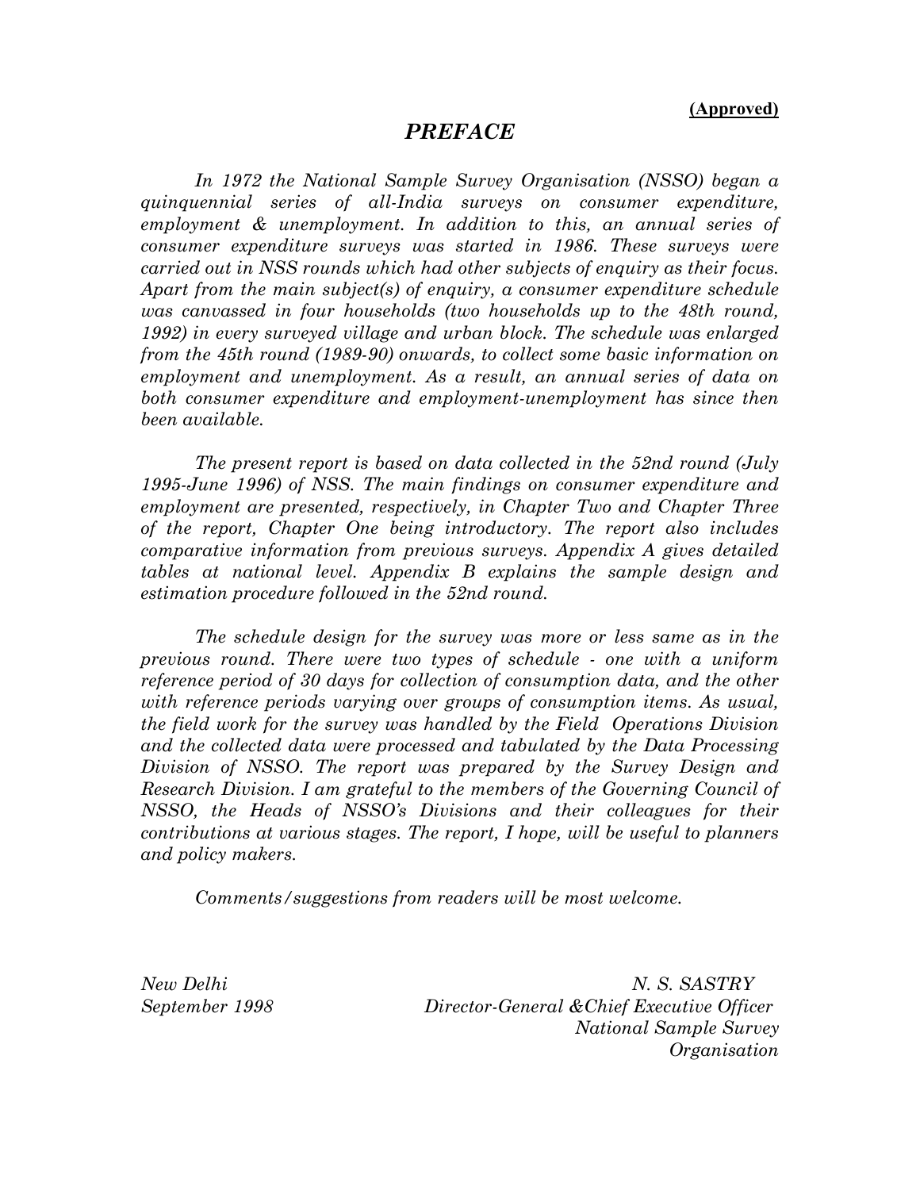### *PREFACE*

 *In 1972 the National Sample Survey Organisation (NSSO) began a quinquennial series of all-India surveys on consumer expenditure, employment & unemployment. In addition to this, an annual series of consumer expenditure surveys was started in 1986. These surveys were carried out in NSS rounds which had other subjects of enquiry as their focus. Apart from the main subject(s) of enquiry, a consumer expenditure schedule was canvassed in four households (two households up to the 48th round, 1992) in every surveyed village and urban block. The schedule was enlarged from the 45th round (1989-90) onwards, to collect some basic information on employment and unemployment. As a result, an annual series of data on both consumer expenditure and employment-unemployment has since then been available.* 

 *The present report is based on data collected in the 52nd round (July 1995-June 1996) of NSS. The main findings on consumer expenditure and employment are presented, respectively, in Chapter Two and Chapter Three of the report, Chapter One being introductory. The report also includes comparative information from previous surveys. Appendix A gives detailed tables at national level. Appendix B explains the sample design and estimation procedure followed in the 52nd round.* 

 *The schedule design for the survey was more or less same as in the previous round. There were two types of schedule - one with a uniform reference period of 30 days for collection of consumption data, and the other with reference periods varying over groups of consumption items. As usual, the field work for the survey was handled by the Field Operations Division and the collected data were processed and tabulated by the Data Processing Division of NSSO. The report was prepared by the Survey Design and Research Division. I am grateful to the members of the Governing Council of NSSO, the Heads of NSSO's Divisions and their colleagues for their contributions at various stages. The report, I hope, will be useful to planners and policy makers.* 

 *Comments/suggestions from readers will be most welcome.* 

*New Delhi N. S. SASTRY September 1998 Director-General &Chief Executive Officer National Sample Survey Organisation*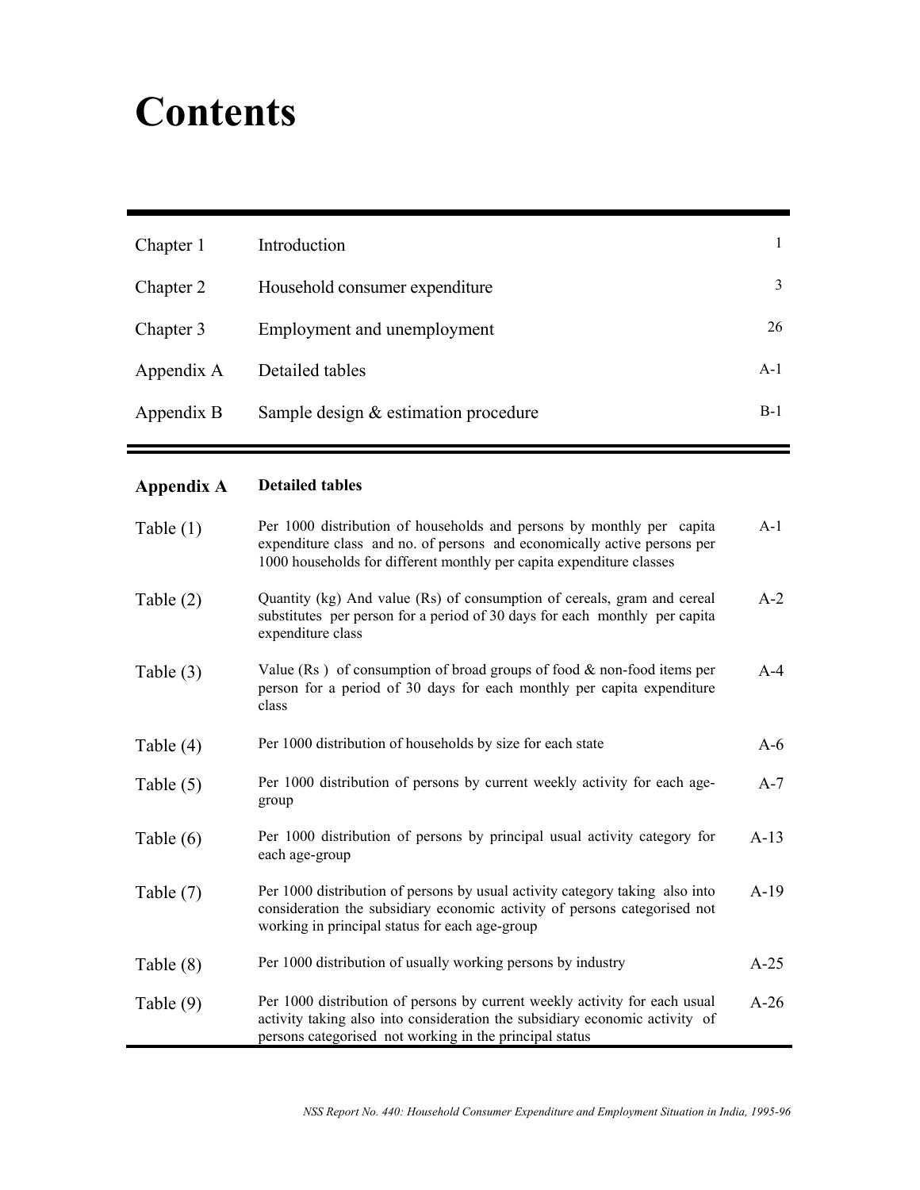# **Contents**

| Chapter 1  | Introduction                           |       |
|------------|----------------------------------------|-------|
| Chapter 2  | Household consumer expenditure         | 3     |
| Chapter 3  | Employment and unemployment            | 26    |
| Appendix A | Detailed tables                        | $A-1$ |
| Appendix B | Sample design $&$ estimation procedure | $B-1$ |

## **Appendix A Detailed tables**

| Table $(1)$ | Per 1000 distribution of households and persons by monthly per capita<br>expenditure class and no. of persons and economically active persons per<br>1000 households for different monthly per capita expenditure classes | $A-1$  |
|-------------|---------------------------------------------------------------------------------------------------------------------------------------------------------------------------------------------------------------------------|--------|
| Table $(2)$ | Quantity (kg) And value (Rs) of consumption of cereals, gram and cereal<br>substitutes per person for a period of 30 days for each monthly per capita<br>expenditure class                                                | $A-2$  |
| Table $(3)$ | Value (Rs) of consumption of broad groups of food & non-food items per<br>person for a period of 30 days for each monthly per capita expenditure<br>class                                                                 | $A-4$  |
| Table $(4)$ | Per 1000 distribution of households by size for each state                                                                                                                                                                | $A-6$  |
| Table $(5)$ | Per 1000 distribution of persons by current weekly activity for each age-<br>group                                                                                                                                        | $A-7$  |
| Table $(6)$ | Per 1000 distribution of persons by principal usual activity category for<br>each age-group                                                                                                                               | $A-13$ |
| Table $(7)$ | Per 1000 distribution of persons by usual activity category taking also into<br>consideration the subsidiary economic activity of persons categorised not<br>working in principal status for each age-group               | $A-19$ |
| Table $(8)$ | Per 1000 distribution of usually working persons by industry                                                                                                                                                              | $A-25$ |
| Table $(9)$ | Per 1000 distribution of persons by current weekly activity for each usual<br>activity taking also into consideration the subsidiary economic activity of<br>persons categorised not working in the principal status      | $A-26$ |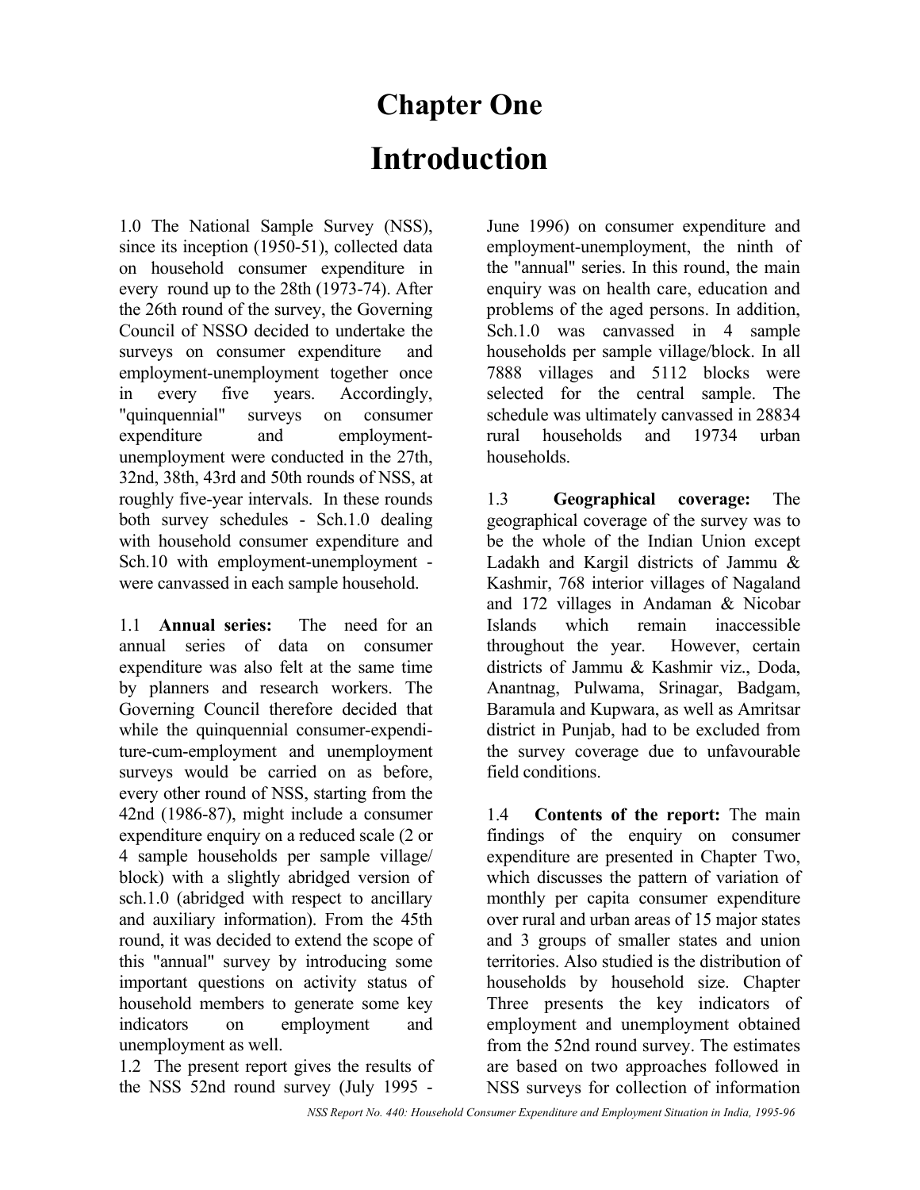# **Chapter One Introduction**

1.0 The National Sample Survey (NSS), since its inception (1950-51), collected data on household consumer expenditure in every round up to the 28th (1973-74). After the 26th round of the survey, the Governing Council of NSSO decided to undertake the surveys on consumer expenditure and employment-unemployment together once in every five years. Accordingly, "quinquennial" surveys on consumer expenditure and employmentunemployment were conducted in the 27th, 32nd, 38th, 43rd and 50th rounds of NSS, at roughly five-year intervals. In these rounds both survey schedules - Sch.1.0 dealing with household consumer expenditure and Sch.10 with employment-unemployment were canvassed in each sample household.

1.1 **Annual series:** The need for an annual series of data on consumer expenditure was also felt at the same time by planners and research workers. The Governing Council therefore decided that while the quinquennial consumer-expenditure-cum-employment and unemployment surveys would be carried on as before, every other round of NSS, starting from the 42nd (1986-87), might include a consumer expenditure enquiry on a reduced scale (2 or 4 sample households per sample village/ block) with a slightly abridged version of sch.1.0 (abridged with respect to ancillary and auxiliary information). From the 45th round, it was decided to extend the scope of this "annual" survey by introducing some important questions on activity status of household members to generate some key indicators on employment and unemployment as well.

1.2 The present report gives the results of the NSS 52nd round survey (July 1995 -

June 1996) on consumer expenditure and employment-unemployment, the ninth of the "annual" series. In this round, the main enquiry was on health care, education and problems of the aged persons. In addition, Sch.1.0 was canvassed in 4 sample households per sample village/block. In all 7888 villages and 5112 blocks were selected for the central sample. The schedule was ultimately canvassed in 28834 rural households and 19734 urban households.

1.3 **Geographical coverage:** The geographical coverage of the survey was to be the whole of the Indian Union except Ladakh and Kargil districts of Jammu & Kashmir, 768 interior villages of Nagaland and 172 villages in Andaman & Nicobar Islands which remain inaccessible throughout the year. However, certain districts of Jammu & Kashmir viz., Doda, Anantnag, Pulwama, Srinagar, Badgam, Baramula and Kupwara, as well as Amritsar district in Punjab, had to be excluded from the survey coverage due to unfavourable field conditions.

1.4 **Contents of the report:** The main findings of the enquiry on consumer expenditure are presented in Chapter Two, which discusses the pattern of variation of monthly per capita consumer expenditure over rural and urban areas of 15 major states and 3 groups of smaller states and union territories. Also studied is the distribution of households by household size. Chapter Three presents the key indicators of employment and unemployment obtained from the 52nd round survey. The estimates are based on two approaches followed in NSS surveys for collection of information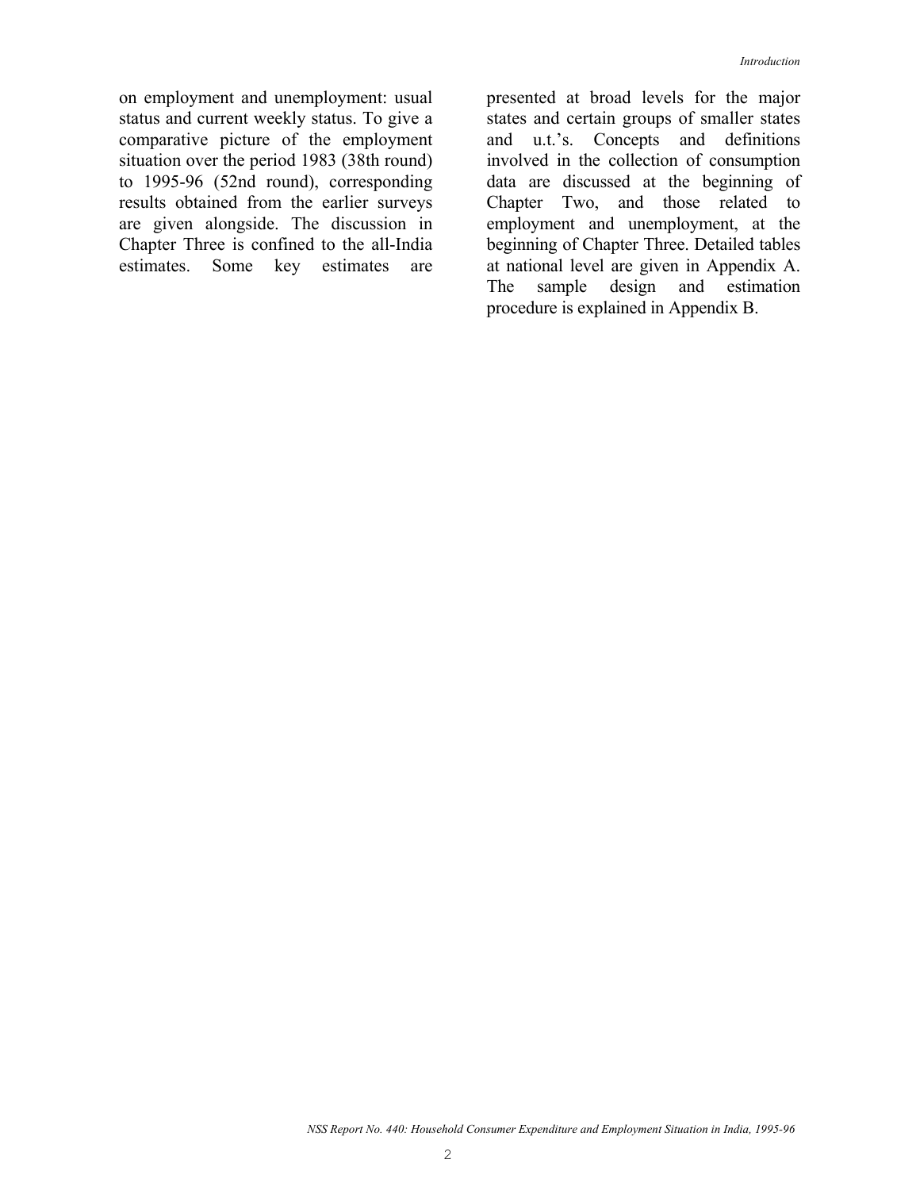on employment and unemployment: usual status and current weekly status. To give a comparative picture of the employment situation over the period 1983 (38th round) to 1995-96 (52nd round), corresponding results obtained from the earlier surveys are given alongside. The discussion in Chapter Three is confined to the all-India estimates. Some key estimates are presented at broad levels for the major states and certain groups of smaller states and u.t.'s. Concepts and definitions involved in the collection of consumption data are discussed at the beginning of Chapter Two, and those related to employment and unemployment, at the beginning of Chapter Three. Detailed tables at national level are given in Appendix A. The sample design and estimation procedure is explained in Appendix B.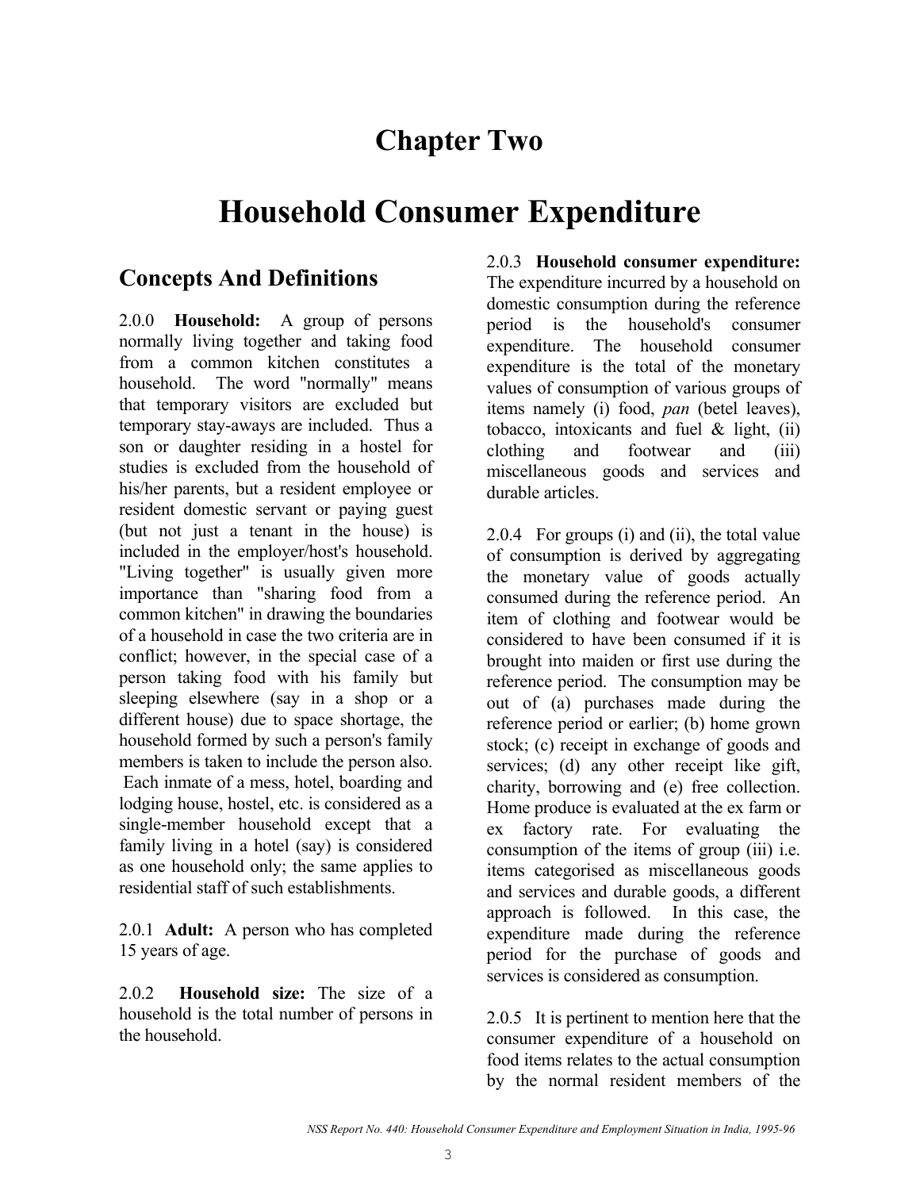## **Chapter Two**

## **Household Consumer Expenditure**

## **Concepts And Definitions**

2.0.0 **Household:** A group of persons normally living together and taking food from a common kitchen constitutes a household. The word "normally" means that temporary visitors are excluded but temporary stay-aways are included. Thus a son or daughter residing in a hostel for studies is excluded from the household of his/her parents, but a resident employee or resident domestic servant or paying guest (but not just a tenant in the house) is included in the employer/host's household. "Living together" is usually given more importance than "sharing food from a common kitchen" in drawing the boundaries of a household in case the two criteria are in conflict; however, in the special case of a person taking food with his family but sleeping elsewhere (say in a shop or a different house) due to space shortage, the household formed by such a person's family members is taken to include the person also. Each inmate of a mess, hotel, boarding and lodging house, hostel, etc. is considered as a single-member household except that a family living in a hotel (say) is considered as one household only; the same applies to residential staff of such establishments.

2.0.1 **Adult:** A person who has completed 15 years of age.

2.0.2 **Household size:** The size of a household is the total number of persons in the household.

2.0.3 **Household consumer expenditure:** The expenditure incurred by a household on domestic consumption during the reference period is the household's consumer expenditure. The household consumer expenditure is the total of the monetary values of consumption of various groups of items namely (i) food, *pan* (betel leaves), tobacco, intoxicants and fuel & light, (ii) clothing and footwear and (iii) miscellaneous goods and services and durable articles.

2.0.4 For groups (i) and (ii), the total value of consumption is derived by aggregating the monetary value of goods actually consumed during the reference period. An item of clothing and footwear would be considered to have been consumed if it is brought into maiden or first use during the reference period. The consumption may be out of (a) purchases made during the reference period or earlier; (b) home grown stock; (c) receipt in exchange of goods and services; (d) any other receipt like gift, charity, borrowing and (e) free collection. Home produce is evaluated at the ex farm or ex factory rate. For evaluating the consumption of the items of group (iii) i.e. items categorised as miscellaneous goods and services and durable goods, a different approach is followed. In this case, the expenditure made during the reference period for the purchase of goods and services is considered as consumption.

2.0.5 It is pertinent to mention here that the consumer expenditure of a household on food items relates to the actual consumption by the normal resident members of the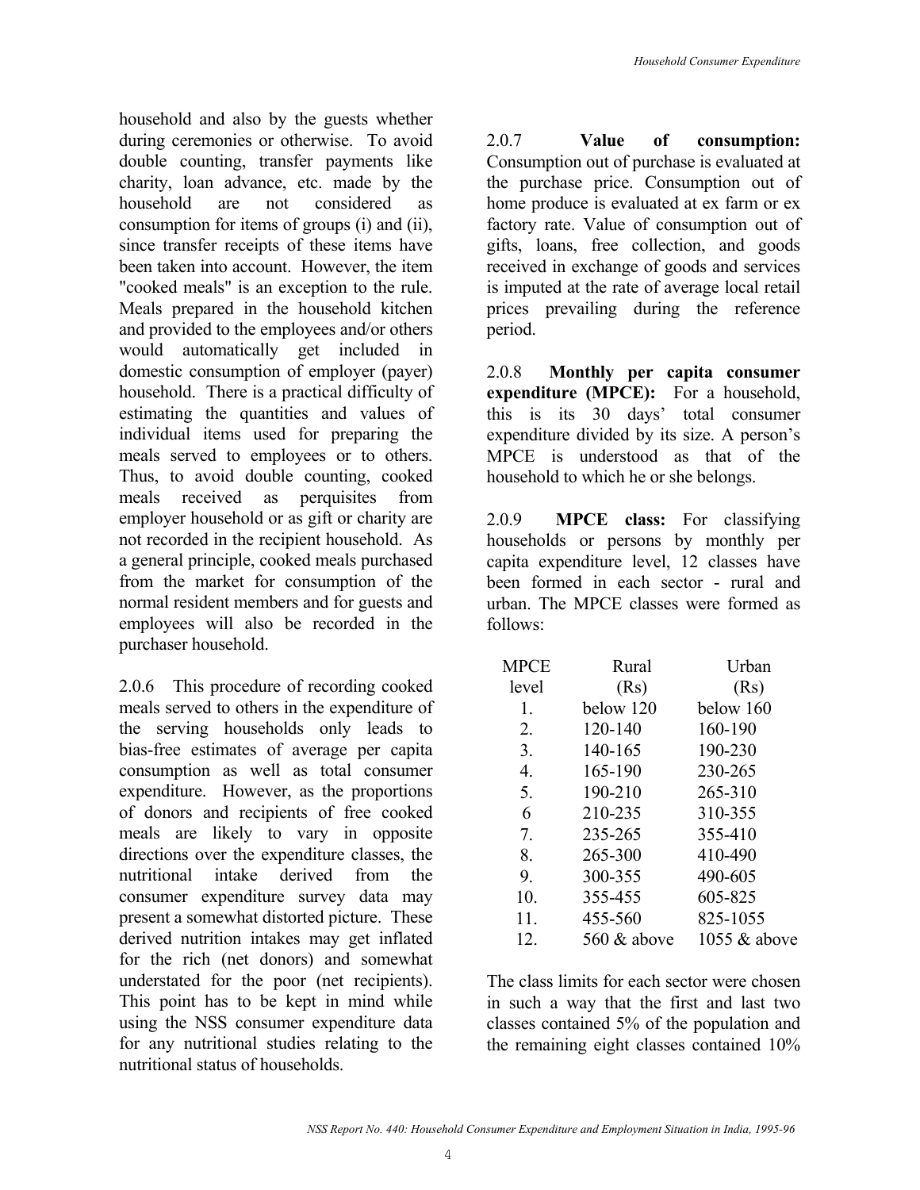household and also by the guests whether during ceremonies or otherwise. To avoid double counting, transfer payments like charity, loan advance, etc. made by the household are not considered as consumption for items of groups (i) and (ii), since transfer receipts of these items have been taken into account. However, the item "cooked meals" is an exception to the rule. Meals prepared in the household kitchen and provided to the employees and/or others would automatically get included in domestic consumption of employer (payer) household. There is a practical difficulty of estimating the quantities and values of individual items used for preparing the meals served to employees or to others. Thus, to avoid double counting, cooked meals received as perquisites from employer household or as gift or charity are not recorded in the recipient household. As a general principle, cooked meals purchased from the market for consumption of the normal resident members and for guests and employees will also be recorded in the purchaser household.

2.0.6 This procedure of recording cooked meals served to others in the expenditure of the serving households only leads to bias-free estimates of average per capita consumption as well as total consumer expenditure. However, as the proportions of donors and recipients of free cooked meals are likely to vary in opposite directions over the expenditure classes, the nutritional intake derived from the consumer expenditure survey data may present a somewhat distorted picture. These derived nutrition intakes may get inflated for the rich (net donors) and somewhat understated for the poor (net recipients). This point has to be kept in mind while using the NSS consumer expenditure data for any nutritional studies relating to the nutritional status of households.

2.0.7 **Value of consumption:**  Consumption out of purchase is evaluated at the purchase price. Consumption out of home produce is evaluated at ex farm or ex factory rate. Value of consumption out of gifts, loans, free collection, and goods received in exchange of goods and services is imputed at the rate of average local retail prices prevailing during the reference period.

2.0.8 **Monthly per capita consumer expenditure (MPCE):** For a household, this is its 30 days' total consumer expenditure divided by its size. A person's MPCE is understood as that of the household to which he or she belongs.

2.0.9 **MPCE class:** For classifying households or persons by monthly per capita expenditure level, 12 classes have been formed in each sector - rural and urban. The MPCE classes were formed as follows:

| <b>MPCE</b> | Rural       | Urban        |
|-------------|-------------|--------------|
| level       | (Rs)        | (Rs)         |
| 1.          | below 120   | below 160    |
| 2.          | 120-140     | 160-190      |
| 3.          | 140-165     | 190-230      |
| 4.          | 165-190     | 230-265      |
| 5.          | 190-210     | 265-310      |
| 6           | 210-235     | 310-355      |
| 7.          | 235-265     | 355-410      |
| 8.          | 265-300     | 410-490      |
| 9.          | 300-355     | 490-605      |
| 10.         | 355-455     | 605-825      |
| 11.         | 455-560     | 825-1055     |
| 12.         | 560 & above | 1055 & above |

The class limits for each sector were chosen in such a way that the first and last two classes contained 5% of the population and the remaining eight classes contained 10%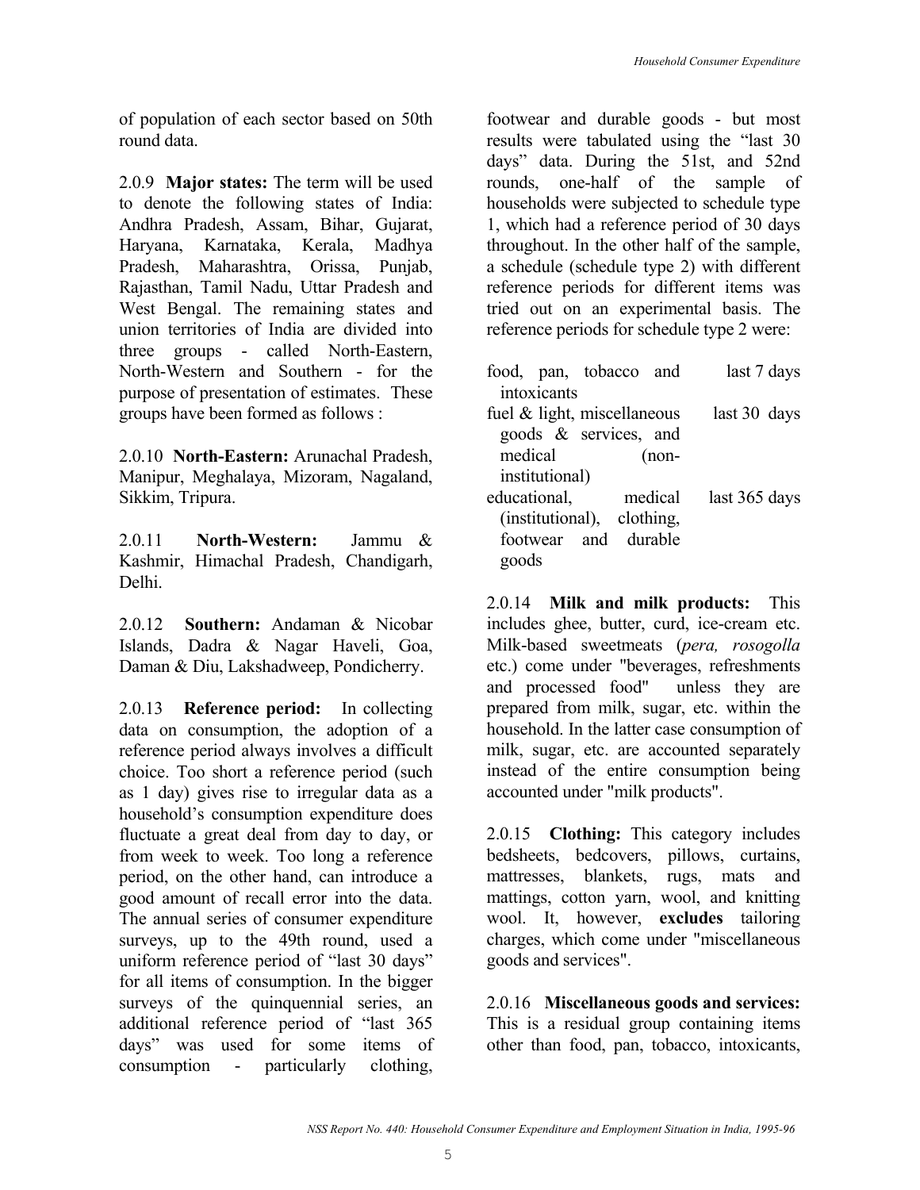of population of each sector based on 50th round data.

2.0.9 **Major states:** The term will be used to denote the following states of India: Andhra Pradesh, Assam, Bihar, Gujarat, Haryana, Karnataka, Kerala, Madhya Pradesh, Maharashtra, Orissa, Punjab, Rajasthan, Tamil Nadu, Uttar Pradesh and West Bengal. The remaining states and union territories of India are divided into three groups - called North-Eastern, North-Western and Southern - for the purpose of presentation of estimates. These groups have been formed as follows :

2.0.10 **North-Eastern:** Arunachal Pradesh, Manipur, Meghalaya, Mizoram, Nagaland, Sikkim, Tripura.

2.0.11 **North-Western:** Jammu & Kashmir, Himachal Pradesh, Chandigarh, Delhi.

2.0.12 **Southern:** Andaman & Nicobar Islands, Dadra & Nagar Haveli, Goa, Daman & Diu, Lakshadweep, Pondicherry.

2.0.13 **Reference period:** In collecting data on consumption, the adoption of a reference period always involves a difficult choice. Too short a reference period (such as 1 day) gives rise to irregular data as a household's consumption expenditure does fluctuate a great deal from day to day, or from week to week. Too long a reference period, on the other hand, can introduce a good amount of recall error into the data. The annual series of consumer expenditure surveys, up to the 49th round, used a uniform reference period of "last 30 days" for all items of consumption. In the bigger surveys of the quinquennial series, an additional reference period of "last 365 days" was used for some items of consumption - particularly clothing,

footwear and durable goods - but most results were tabulated using the "last 30 days" data. During the 51st, and 52nd rounds, one-half of the sample of households were subjected to schedule type 1, which had a reference period of 30 days throughout. In the other half of the sample, a schedule (schedule type 2) with different reference periods for different items was tried out on an experimental basis. The reference periods for schedule type 2 were:

| food, pan, tobacco and         |                            |         | last 7 days   |
|--------------------------------|----------------------------|---------|---------------|
| intoxicants                    |                            |         |               |
| fuel $\&$ light, miscellaneous |                            |         | last 30 days  |
|                                | goods & services, and      |         |               |
| medical                        |                            | $(non-$ |               |
| institutional)                 |                            |         |               |
| educational,                   |                            | medical | last 365 days |
|                                | (institutional), clothing, |         |               |
|                                | footwear and durable       |         |               |
|                                |                            |         |               |

2.0.14 **Milk and milk products:** This includes ghee, butter, curd, ice-cream etc. Milk-based sweetmeats (*pera, rosogolla* etc.) come under "beverages, refreshments and processed food" unless they are prepared from milk, sugar, etc. within the household. In the latter case consumption of milk, sugar, etc. are accounted separately instead of the entire consumption being accounted under "milk products".

2.0.15 **Clothing:** This category includes bedsheets, bedcovers, pillows, curtains, mattresses, blankets, rugs, mats and mattings, cotton yarn, wool, and knitting wool. It, however, **excludes** tailoring charges, which come under "miscellaneous goods and services".

2.0.16 **Miscellaneous goods and services:** This is a residual group containing items other than food, pan, tobacco, intoxicants,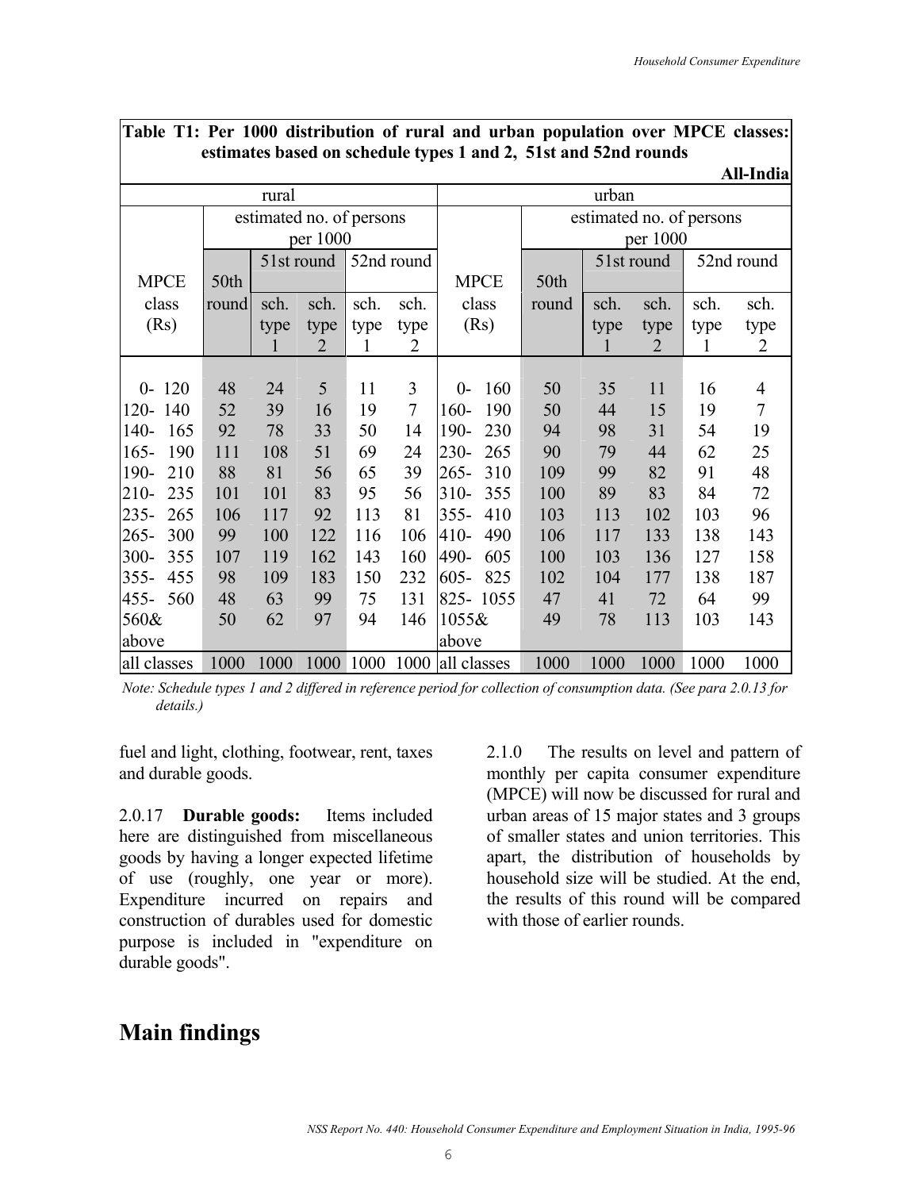|                |       |                          |          |      |            | сэнтасся баяса он эспеаанс сурся 1 апа 2, этэг ана э2на гоаная |          |       |                |                          | All-India      |  |  |  |
|----------------|-------|--------------------------|----------|------|------------|----------------------------------------------------------------|----------|-------|----------------|--------------------------|----------------|--|--|--|
|                |       | rural                    |          |      |            |                                                                |          | urban |                |                          |                |  |  |  |
|                |       | estimated no. of persons |          |      |            |                                                                |          |       |                | estimated no. of persons |                |  |  |  |
|                |       |                          | per 1000 |      |            |                                                                | per 1000 |       |                |                          |                |  |  |  |
|                |       | 51st round               |          |      | 52nd round |                                                                |          |       | 51st round     |                          | 52nd round     |  |  |  |
| <b>MPCE</b>    | 50th  |                          |          |      |            | <b>MPCE</b>                                                    | 50th     |       |                |                          |                |  |  |  |
| class          | round | sch.                     | sch.     | sch. | sch.       | class                                                          | round    | sch.  | sch.           | sch.                     | sch.           |  |  |  |
| (Rs)           |       | type                     | type     | type | type       | (Rs)                                                           |          | type  | type           | type                     | type           |  |  |  |
|                |       | $\mathbf l$              | 2        | 1    | 2          |                                                                |          | 1     | $\overline{2}$ | 1                        | 2              |  |  |  |
|                |       |                          |          |      |            |                                                                |          |       |                |                          |                |  |  |  |
| $0 - 120$      | 48    | 24                       | 5        | 11   | 3          | 160<br>$0 -$                                                   | 50       | 35    | 11             | 16                       | 4              |  |  |  |
| $120 -$<br>140 | 52    | 39                       | 16       | 19   | $\tau$     | 160-<br>190                                                    | 50       | 44    | 15             | 19                       | $\overline{7}$ |  |  |  |
| $140-$<br>165  | 92    | 78                       | 33       | 50   | 14         | 190-<br>230                                                    | 94       | 98    | 31             | 54                       | 19             |  |  |  |
| $165 -$<br>190 | 111   | 108                      | 51       | 69   | 24         | $230 -$<br>265                                                 | 90       | 79    | 44             | 62                       | 25             |  |  |  |
| 190-<br>210    | 88    | 81                       | 56       | 65   | 39         | $265 -$<br>310                                                 | 109      | 99    | 82             | 91                       | 48             |  |  |  |
| $210-$<br>235  | 101   | 101                      | 83       | 95   | 56         | $310-$<br>355                                                  | 100      | 89    | 83             | 84                       | 72             |  |  |  |
| $235 -$<br>265 | 106   | 117                      | 92       | 113  | 81         | $355 -$<br>410                                                 | 103      | 113   | 102            | 103                      | 96             |  |  |  |
| $265 -$<br>300 | 99    | 100                      | 122      | 116  | 106        | $410-$<br>490                                                  | 106      | 117   | 133            | 138                      | 143            |  |  |  |
| $300 -$<br>355 | 107   | 119                      | 162      | 143  | 160        | 490-<br>605                                                    | 100      | 103   | 136            | 127                      | 158            |  |  |  |
| $355 -$<br>455 | 98    | 109                      | 183      | 150  | 232        | 825<br>$605 -$                                                 | 102      | 104   | 177            | 138                      | 187            |  |  |  |
| $455 -$<br>560 | 48    | 63                       | 99       | 75   | 131        | 825-1055                                                       | 47       | 41    | 72             | 64                       | 99             |  |  |  |
| 560&           | 50    | 62                       | 97       | 94   | 146        | 1055&                                                          | 49       | 78    | 113            | 103                      | 143            |  |  |  |
| above          |       |                          |          |      |            | above                                                          |          |       |                |                          |                |  |  |  |
| all classes    | 1000  | 1000                     | 1000     | 1000 | 1000       | all classes                                                    | 1000     | 1000  | 1000           | 1000                     | 1000           |  |  |  |

## **Table T1: Per 1000 distribution of rural and urban population over MPCE classes: estimates based on schedule types 1 and 2, 51st and 52nd rounds**

*Note: Schedule types 1 and 2 differed in reference period for collection of consumption data. (See para 2.0.13 for details.)* 

fuel and light, clothing, footwear, rent, taxes and durable goods.

2.0.17 **Durable goods:** Items included here are distinguished from miscellaneous goods by having a longer expected lifetime of use (roughly, one year or more). Expenditure incurred on repairs and construction of durables used for domestic purpose is included in "expenditure on durable goods".

2.1.0 The results on level and pattern of monthly per capita consumer expenditure (MPCE) will now be discussed for rural and urban areas of 15 major states and 3 groups of smaller states and union territories. This apart, the distribution of households by household size will be studied. At the end, the results of this round will be compared with those of earlier rounds.

## **Main findings**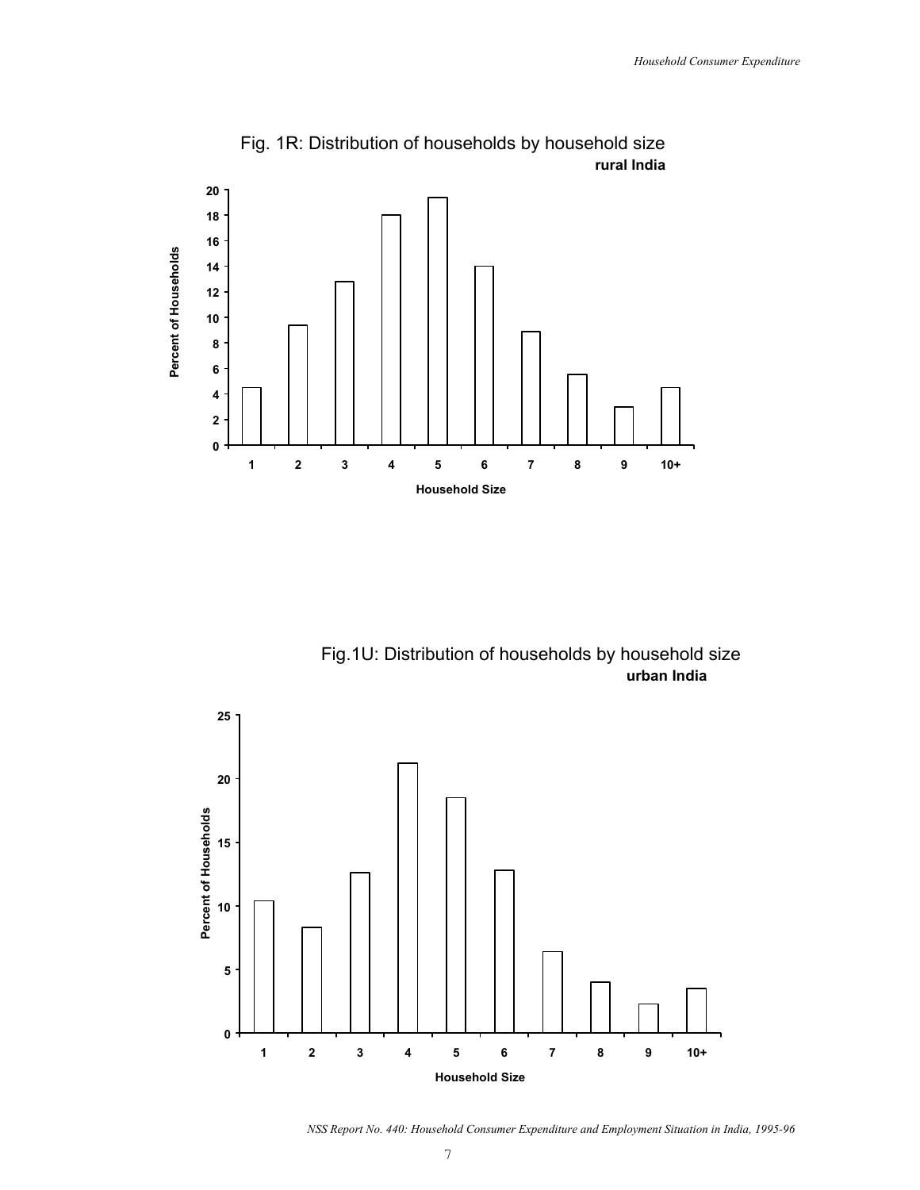

Fig. 1R: Distribution of households by household size  **rural India**

Fig.1U: Distribution of households by household size  **urban India**



*NSS Report No. 440: Household Consumer Expenditure and Employment Situation in India, 1995-96*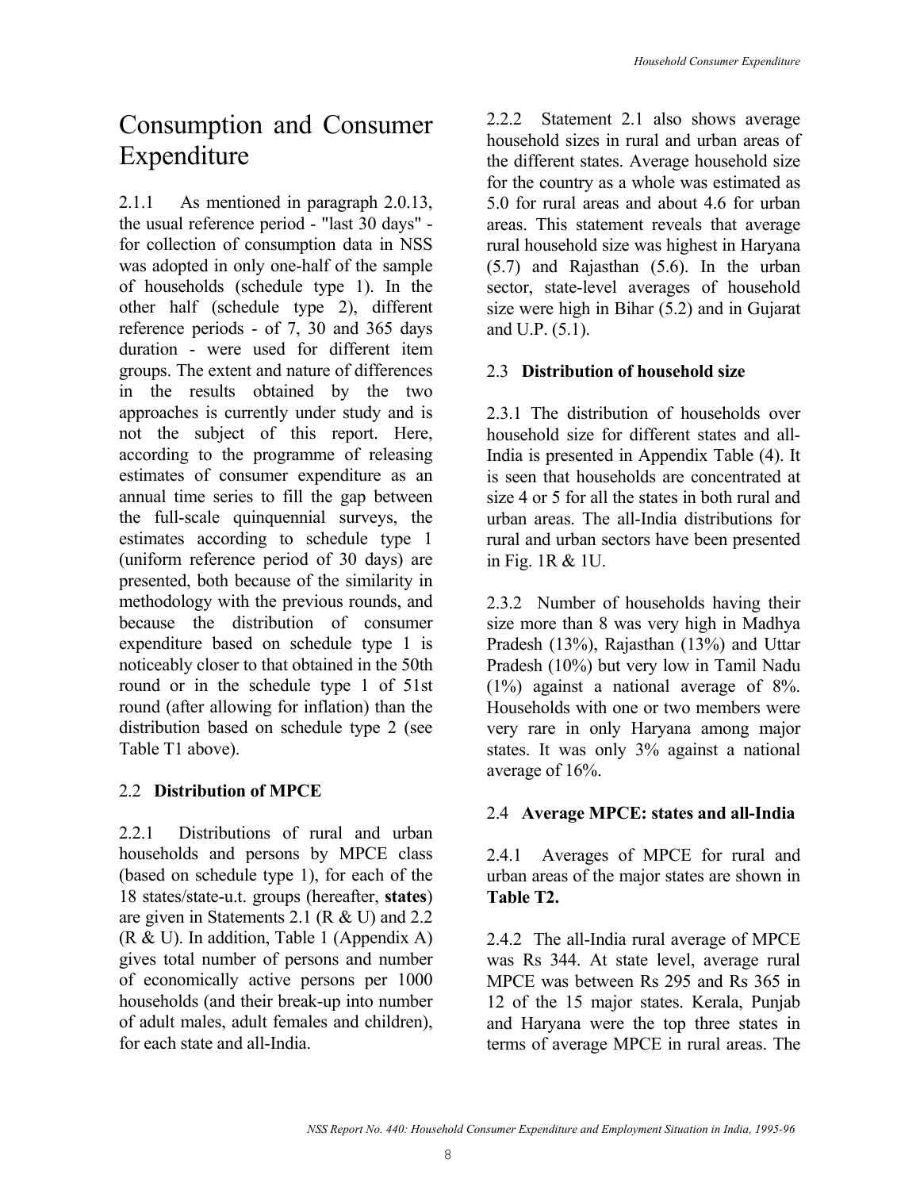## Consumption and Consumer Expenditure

2.1.1 As mentioned in paragraph 2.0.13, the usual reference period - "last 30 days" for collection of consumption data in NSS was adopted in only one-half of the sample of households (schedule type 1). In the other half (schedule type 2), different reference periods - of 7, 30 and 365 days duration - were used for different item groups. The extent and nature of differences in the results obtained by the two approaches is currently under study and is not the subject of this report. Here, according to the programme of releasing estimates of consumer expenditure as an annual time series to fill the gap between the full-scale quinquennial surveys, the estimates according to schedule type 1 (uniform reference period of 30 days) are presented, both because of the similarity in methodology with the previous rounds, and because the distribution of consumer expenditure based on schedule type 1 is noticeably closer to that obtained in the 50th round or in the schedule type 1 of 51st round (after allowing for inflation) than the distribution based on schedule type 2 (see Table T1 above).

## 2.2 **Distribution of MPCE**

2.2.1 Distributions of rural and urban households and persons by MPCE class (based on schedule type 1), for each of the 18 states/state-u.t. groups (hereafter, **states**) are given in Statements 2.1 (R & U) and 2.2 (R & U). In addition, Table 1 (Appendix A) gives total number of persons and number of economically active persons per 1000 households (and their break-up into number of adult males, adult females and children), for each state and all-India.

2.2.2 Statement 2.1 also shows average household sizes in rural and urban areas of the different states. Average household size for the country as a whole was estimated as 5.0 for rural areas and about 4.6 for urban areas. This statement reveals that average rural household size was highest in Haryana (5.7) and Rajasthan (5.6). In the urban sector, state-level averages of household size were high in Bihar (5.2) and in Gujarat and U.P. (5.1).

## 2.3 **Distribution of household size**

2.3.1 The distribution of households over household size for different states and all-India is presented in Appendix Table (4). It is seen that households are concentrated at size 4 or 5 for all the states in both rural and urban areas. The all-India distributions for rural and urban sectors have been presented in Fig. 1R & 1U.

2.3.2 Number of households having their size more than 8 was very high in Madhya Pradesh (13%), Rajasthan (13%) and Uttar Pradesh (10%) but very low in Tamil Nadu (1%) against a national average of 8%. Households with one or two members were very rare in only Haryana among major states. It was only 3% against a national average of 16%.

### 2.4 **Average MPCE: states and all-India**

2.4.1 Averages of MPCE for rural and urban areas of the major states are shown in **Table T2.** 

2.4.2 The all-India rural average of MPCE was Rs 344. At state level, average rural MPCE was between Rs 295 and Rs 365 in 12 of the 15 major states. Kerala, Punjab and Haryana were the top three states in terms of average MPCE in rural areas. The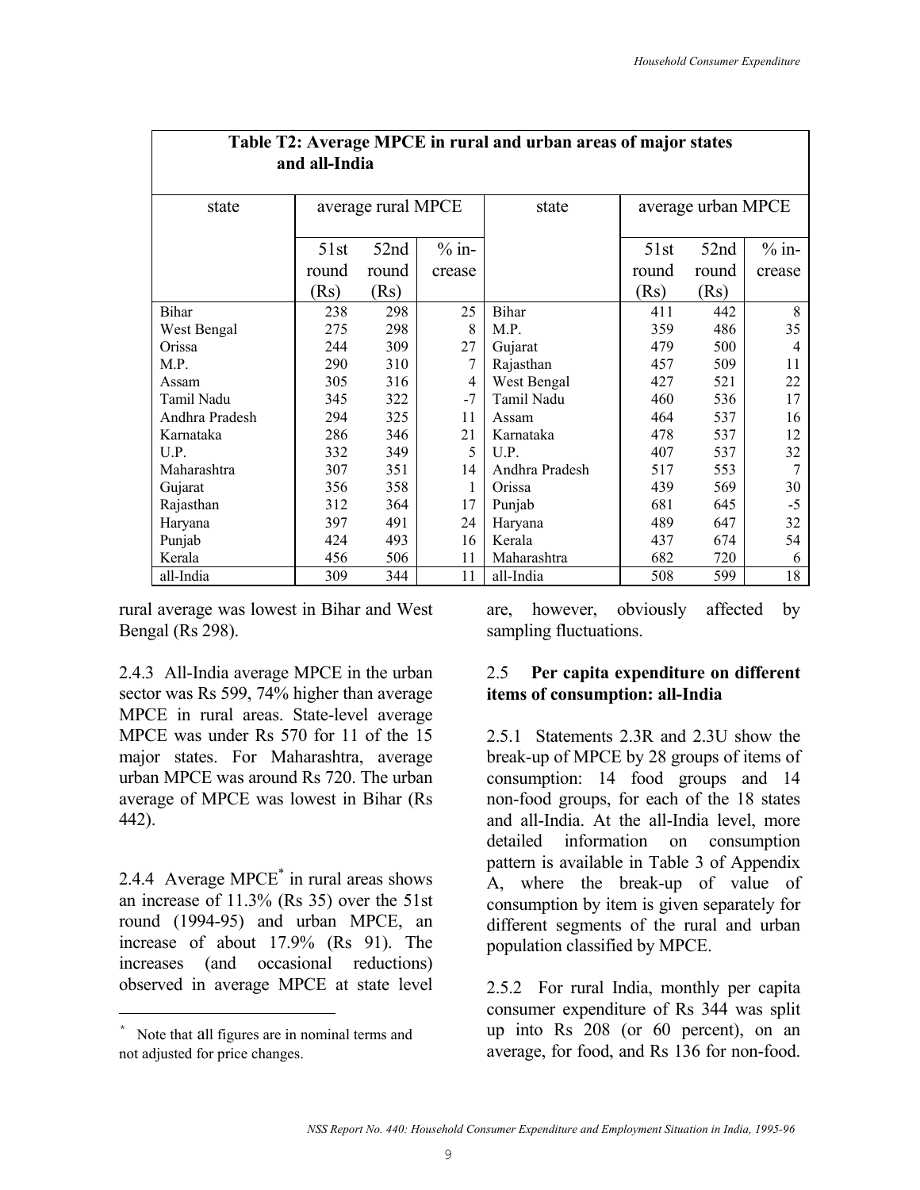|                | and all-India |                    |         |                |       |                    |         |  |  |  |  |  |
|----------------|---------------|--------------------|---------|----------------|-------|--------------------|---------|--|--|--|--|--|
| state          |               | average rural MPCE |         | state          |       | average urban MPCE |         |  |  |  |  |  |
|                | 51st          | 52nd               | $%$ in- |                | 51st  | 52nd               | $%$ in- |  |  |  |  |  |
|                | round         | round              | crease  |                | round | round              | crease  |  |  |  |  |  |
|                | (Rs)          | (Rs)               |         |                | (Rs)  | (Rs)               |         |  |  |  |  |  |
| Bihar          | 238           | 298                | 25      | Bihar          | 411   | 442                | 8       |  |  |  |  |  |
| West Bengal    | 275           | 298                | 8       | M.P.           | 359   | 486                | 35      |  |  |  |  |  |
| Orissa         | 244           | 309                | 27      | Gujarat        | 479   | 500                | 4       |  |  |  |  |  |
| M.P.           | 290           | 310                | 7       | Rajasthan      | 457   | 509                | 11      |  |  |  |  |  |
| Assam          | 305           | 316                | 4       | West Bengal    | 427   | 521                | 22      |  |  |  |  |  |
| Tamil Nadu     | 345           | 322                | $-7$    | Tamil Nadu     | 460   | 536                | 17      |  |  |  |  |  |
| Andhra Pradesh | 294           | 325                | 11      | Assam          | 464   | 537                | 16      |  |  |  |  |  |
| Karnataka      | 286           | 346                | 21      | Karnataka      | 478   | 537                | 12      |  |  |  |  |  |
| U.P.           | 332           | 349                | 5       | U.P.           | 407   | 537                | 32      |  |  |  |  |  |
| Maharashtra    | 307           | 351                | 14      | Andhra Pradesh | 517   | 553                | 7       |  |  |  |  |  |
| Gujarat        | 356           | 358                | 1       | Orissa         | 439   | 569                | 30      |  |  |  |  |  |
| Rajasthan      | 312           | 364                | 17      | Punjab         | 681   | 645                | $-5$    |  |  |  |  |  |
| Haryana        | 397           | 491                | 24      | Haryana        | 489   | 647                | 32      |  |  |  |  |  |
| Punjab         | 424           | 493                | 16      | Kerala         | 437   | 674                | 54      |  |  |  |  |  |
| Kerala         | 456           | 506                | 11      | Maharashtra    | 682   | 720                | 6       |  |  |  |  |  |
| all-India      | 309           | 344                | 11      | all-India      | 508   | 599                | 18      |  |  |  |  |  |

# **Table T2: Average MPCE in rural and urban areas of major states**

rural average was lowest in Bihar and West Bengal (Rs 298).

2.4.3 All-India average MPCE in the urban sector was Rs 599, 74% higher than average MPCE in rural areas. State-level average MPCE was under Rs 570 for 11 of the 15 major states. For Maharashtra, average urban MPCE was around Rs 720. The urban average of MPCE was lowest in Bihar (Rs 442).

2.4.4 Average MPCE\* in rural areas shows an increase of 11.3% (Rs 35) over the 51st round (1994-95) and urban MPCE, an increase of about 17.9% (Rs 91). The increases (and occasional reductions) observed in average MPCE at state level

i<br>Li

are, however, obviously affected by sampling fluctuations.

### 2.5 **Per capita expenditure on different items of consumption: all-India**

2.5.1 Statements 2.3R and 2.3U show the break-up of MPCE by 28 groups of items of consumption: 14 food groups and 14 non-food groups, for each of the 18 states and all-India. At the all-India level, more detailed information on consumption pattern is available in Table 3 of Appendix A, where the break-up of value of consumption by item is given separately for different segments of the rural and urban population classified by MPCE.

2.5.2 For rural India, monthly per capita consumer expenditure of Rs 344 was split up into Rs 208 (or 60 percent), on an average, for food, and Rs 136 for non-food.

Note that all figures are in nominal terms and not adjusted for price changes.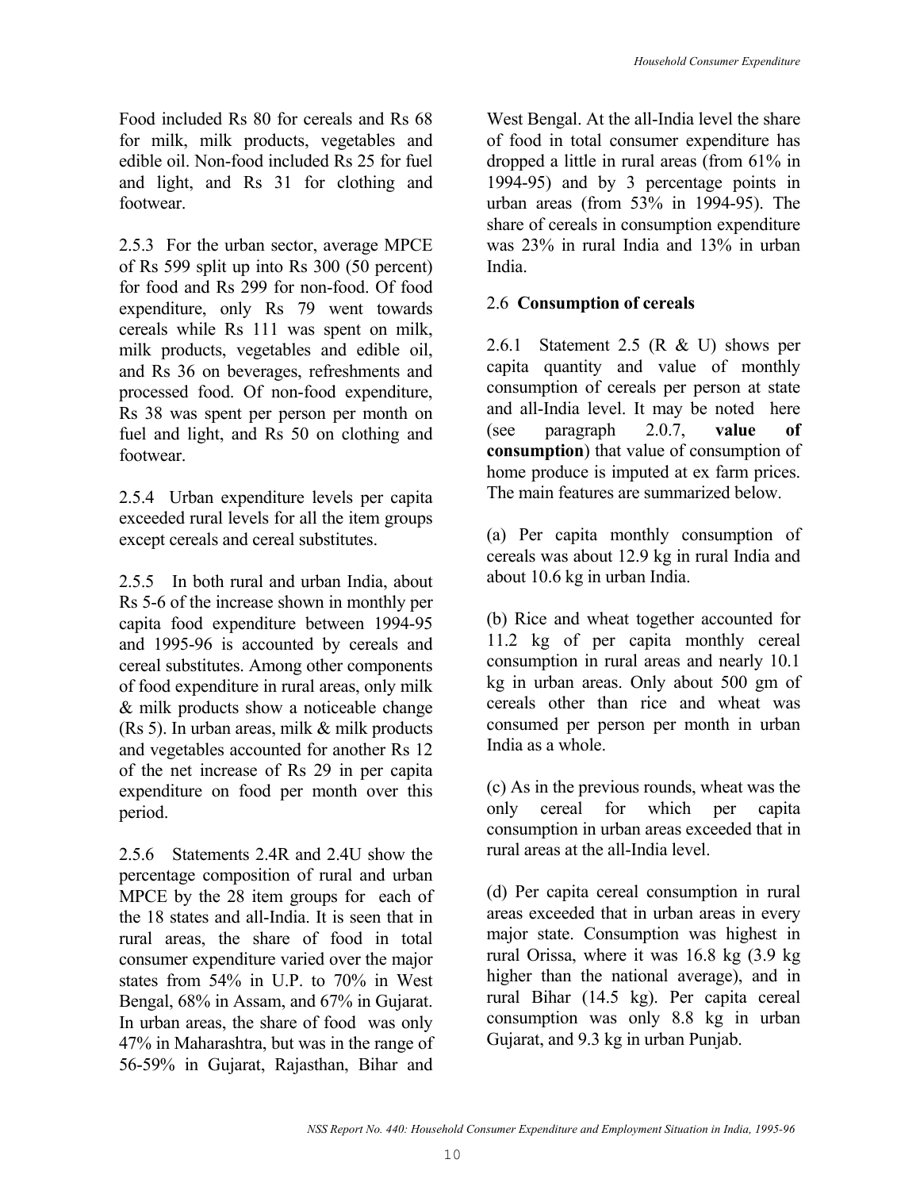Food included Rs 80 for cereals and Rs 68 for milk, milk products, vegetables and edible oil. Non-food included Rs 25 for fuel and light, and Rs 31 for clothing and footwear.

2.5.3 For the urban sector, average MPCE of Rs 599 split up into Rs 300 (50 percent) for food and Rs 299 for non-food. Of food expenditure, only Rs 79 went towards cereals while Rs 111 was spent on milk, milk products, vegetables and edible oil, and Rs 36 on beverages, refreshments and processed food. Of non-food expenditure, Rs 38 was spent per person per month on fuel and light, and Rs 50 on clothing and footwear.

2.5.4 Urban expenditure levels per capita exceeded rural levels for all the item groups except cereals and cereal substitutes.

2.5.5 In both rural and urban India, about Rs 5-6 of the increase shown in monthly per capita food expenditure between 1994-95 and 1995-96 is accounted by cereals and cereal substitutes. Among other components of food expenditure in rural areas, only milk & milk products show a noticeable change (Rs 5). In urban areas, milk & milk products and vegetables accounted for another Rs 12 of the net increase of Rs 29 in per capita expenditure on food per month over this period.

2.5.6 Statements 2.4R and 2.4U show the percentage composition of rural and urban MPCE by the 28 item groups for each of the 18 states and all-India. It is seen that in rural areas, the share of food in total consumer expenditure varied over the major states from 54% in U.P. to 70% in West Bengal, 68% in Assam, and 67% in Gujarat. In urban areas, the share of food was only 47% in Maharashtra, but was in the range of 56-59% in Gujarat, Rajasthan, Bihar and West Bengal. At the all-India level the share of food in total consumer expenditure has dropped a little in rural areas (from 61% in 1994-95) and by 3 percentage points in urban areas (from 53% in 1994-95). The share of cereals in consumption expenditure was 23% in rural India and 13% in urban India.

## 2.6 **Consumption of cereals**

2.6.1 Statement 2.5 (R & U) shows per capita quantity and value of monthly consumption of cereals per person at state and all-India level. It may be noted here (see paragraph 2.0.7, **value of consumption**) that value of consumption of home produce is imputed at ex farm prices. The main features are summarized below.

(a) Per capita monthly consumption of cereals was about 12.9 kg in rural India and about 10.6 kg in urban India.

(b) Rice and wheat together accounted for 11.2 kg of per capita monthly cereal consumption in rural areas and nearly 10.1 kg in urban areas. Only about 500 gm of cereals other than rice and wheat was consumed per person per month in urban India as a whole.

(c) As in the previous rounds, wheat was the only cereal for which per capita consumption in urban areas exceeded that in rural areas at the all-India level.

(d) Per capita cereal consumption in rural areas exceeded that in urban areas in every major state. Consumption was highest in rural Orissa, where it was 16.8 kg (3.9 kg higher than the national average), and in rural Bihar (14.5 kg). Per capita cereal consumption was only 8.8 kg in urban Gujarat, and 9.3 kg in urban Punjab.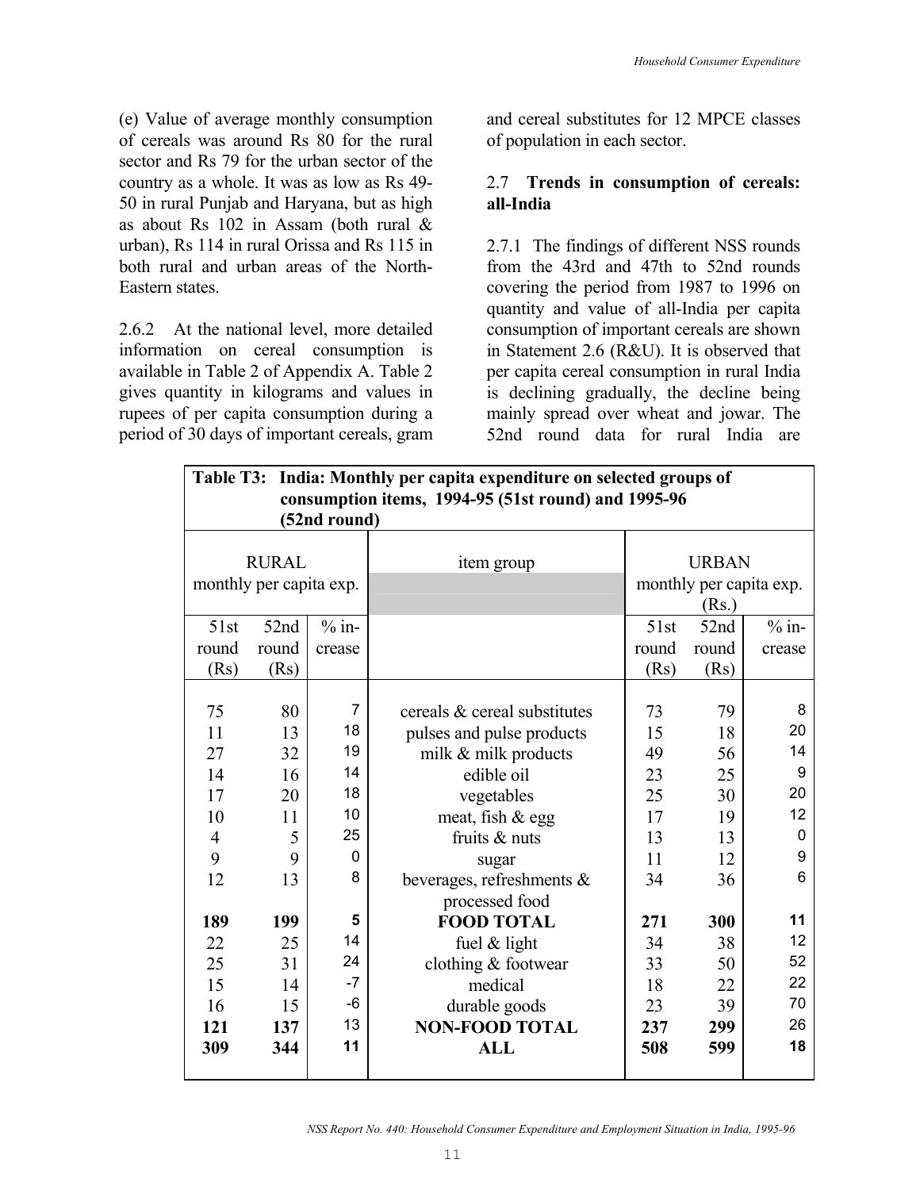(e) Value of average monthly consumption of cereals was around Rs 80 for the rural sector and Rs 79 for the urban sector of the country as a whole. It was as low as Rs 49- 50 in rural Punjab and Haryana, but as high as about Rs 102 in Assam (both rural & urban), Rs 114 in rural Orissa and Rs 115 in both rural and urban areas of the North-Eastern states.

2.6.2 At the national level, more detailed information on cereal consumption is available in Table 2 of Appendix A. Table 2 gives quantity in kilograms and values in rupees of per capita consumption during a period of 30 days of important cereals, gram and cereal substitutes for 12 MPCE classes of population in each sector.

### 2.7 **Trends in consumption of cereals: all-India**

2.7.1 The findings of different NSS rounds from the 43rd and 47th to 52nd rounds covering the period from 1987 to 1996 on quantity and value of all-India per capita consumption of important cereals are shown in Statement 2.6 (R&U). It is observed that per capita cereal consumption in rural India is declining gradually, the decline being mainly spread over wheat and jowar. The 52nd round data for rural India are

| Table T3: India: Monthly per capita expenditure on selected groups of<br>consumption items, 1994-95 (51st round) and 1995-96<br>(52nd round) |                         |                |                              |       |              |                         |  |  |  |  |  |  |  |
|----------------------------------------------------------------------------------------------------------------------------------------------|-------------------------|----------------|------------------------------|-------|--------------|-------------------------|--|--|--|--|--|--|--|
|                                                                                                                                              | <b>RURAL</b>            |                |                              |       | <b>URBAN</b> |                         |  |  |  |  |  |  |  |
|                                                                                                                                              | monthly per capita exp. |                | item group                   |       |              | monthly per capita exp. |  |  |  |  |  |  |  |
|                                                                                                                                              |                         |                |                              |       | (Rs.)        |                         |  |  |  |  |  |  |  |
| 51st                                                                                                                                         | 52nd                    | $%$ in-        |                              | 51st  | 52nd         | $%$ in-                 |  |  |  |  |  |  |  |
|                                                                                                                                              |                         |                |                              |       |              |                         |  |  |  |  |  |  |  |
| round                                                                                                                                        | round                   | crease         |                              | round | round        | crease                  |  |  |  |  |  |  |  |
| (Rs)                                                                                                                                         | (Rs)                    |                |                              | (Rs)  | (Rs)         |                         |  |  |  |  |  |  |  |
|                                                                                                                                              |                         | $\overline{7}$ |                              |       |              | 8                       |  |  |  |  |  |  |  |
| 75                                                                                                                                           | 80                      | 18             | cereals & cereal substitutes | 73    | 79           | 20                      |  |  |  |  |  |  |  |
| 11                                                                                                                                           | 13                      |                | pulses and pulse products    | 15    | 18           |                         |  |  |  |  |  |  |  |
| 27                                                                                                                                           | 32                      | 19             | milk & milk products         | 49    | 56           | 14                      |  |  |  |  |  |  |  |
| 14                                                                                                                                           | 16                      | 14             | edible oil                   | 23    | 25           | 9                       |  |  |  |  |  |  |  |
| 17                                                                                                                                           | 20                      | 18             | vegetables                   | 25    | 30           | 20                      |  |  |  |  |  |  |  |
| 10                                                                                                                                           | 11                      | 10             | meat, fish & egg             | 17    | 19           | 12                      |  |  |  |  |  |  |  |
| $\overline{4}$                                                                                                                               | 5                       | 25             | fruits & nuts                | 13    | 13           | 0                       |  |  |  |  |  |  |  |
| 9                                                                                                                                            | 9                       | 0              | sugar                        | 11    | 12           | 9                       |  |  |  |  |  |  |  |
| 12                                                                                                                                           | 13                      | 8              | beverages, refreshments &    | 34    | 36           | 6                       |  |  |  |  |  |  |  |
|                                                                                                                                              |                         |                | processed food               |       |              |                         |  |  |  |  |  |  |  |
| 189                                                                                                                                          | 199                     | 5              | <b>FOOD TOTAL</b>            | 271   | 300          | 11                      |  |  |  |  |  |  |  |
| 22                                                                                                                                           | 25                      | 14             | fuel $&$ light               | 34    | 38           | 12                      |  |  |  |  |  |  |  |
| 25                                                                                                                                           | 31                      | 24             | clothing & footwear          | 33    | 50           | 52                      |  |  |  |  |  |  |  |
| 15                                                                                                                                           | 14                      | $-7$           | medical                      | 18    | 22           | 22                      |  |  |  |  |  |  |  |
| 16                                                                                                                                           | 15                      | -6             | durable goods                | 23    | 39           | 70                      |  |  |  |  |  |  |  |
| 121                                                                                                                                          | 137                     | 13             | <b>NON-FOOD TOTAL</b>        | 237   | 299          | 26                      |  |  |  |  |  |  |  |
| 309                                                                                                                                          | 344                     | 11             | <b>ALL</b>                   | 508   | 599          | 18                      |  |  |  |  |  |  |  |
|                                                                                                                                              |                         |                |                              |       |              |                         |  |  |  |  |  |  |  |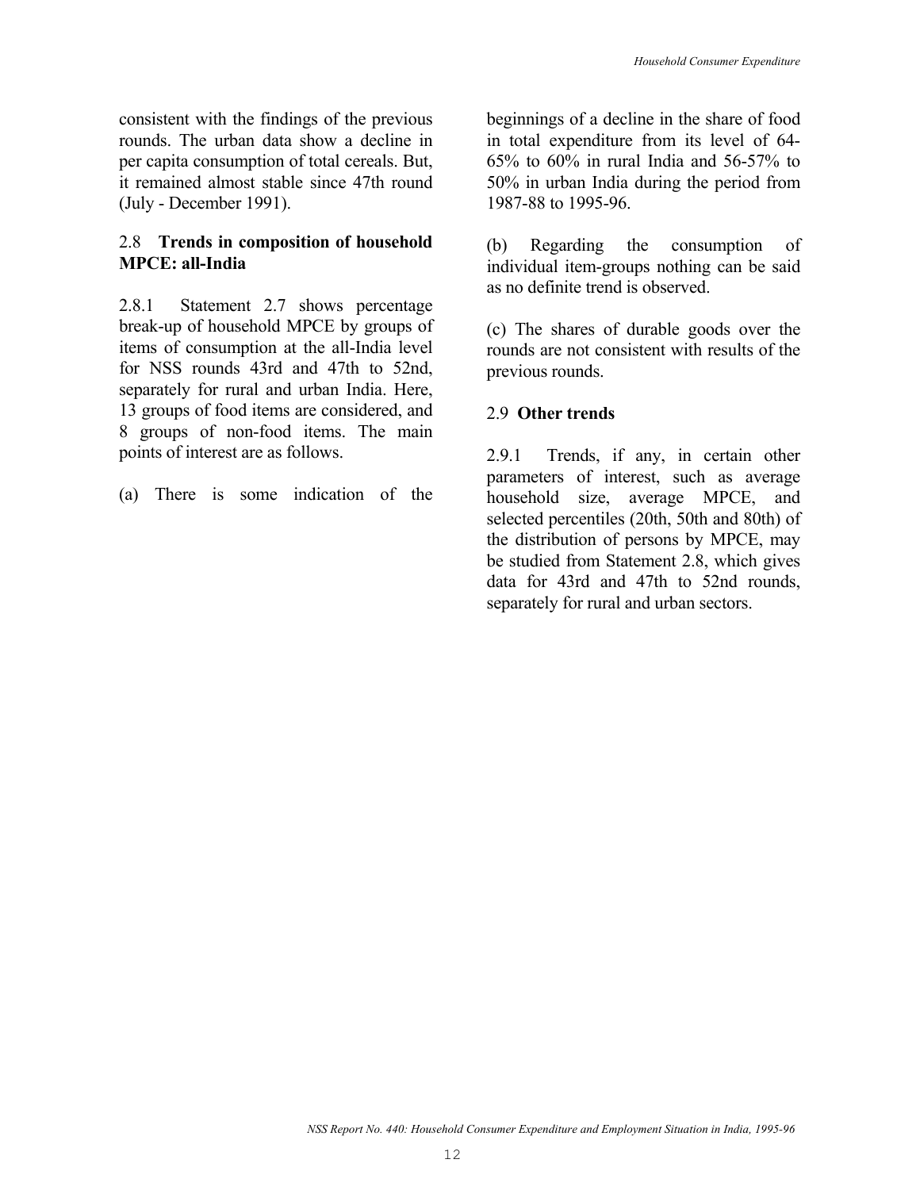consistent with the findings of the previous rounds. The urban data show a decline in per capita consumption of total cereals. But, it remained almost stable since 47th round (July - December 1991).

## 2.8 **Trends in composition of household MPCE: all-India**

2.8.1 Statement 2.7 shows percentage break-up of household MPCE by groups of items of consumption at the all-India level for NSS rounds 43rd and 47th to 52nd, separately for rural and urban India. Here, 13 groups of food items are considered, and 8 groups of non-food items. The main points of interest are as follows.

(a) There is some indication of the

beginnings of a decline in the share of food in total expenditure from its level of 64- 65% to 60% in rural India and 56-57% to 50% in urban India during the period from 1987-88 to 1995-96.

(b) Regarding the consumption of individual item-groups nothing can be said as no definite trend is observed.

(c) The shares of durable goods over the rounds are not consistent with results of the previous rounds.

## 2.9 **Other trends**

2.9.1 Trends, if any, in certain other parameters of interest, such as average household size, average MPCE, and selected percentiles (20th, 50th and 80th) of the distribution of persons by MPCE, may be studied from Statement 2.8, which gives data for 43rd and 47th to 52nd rounds, separately for rural and urban sectors.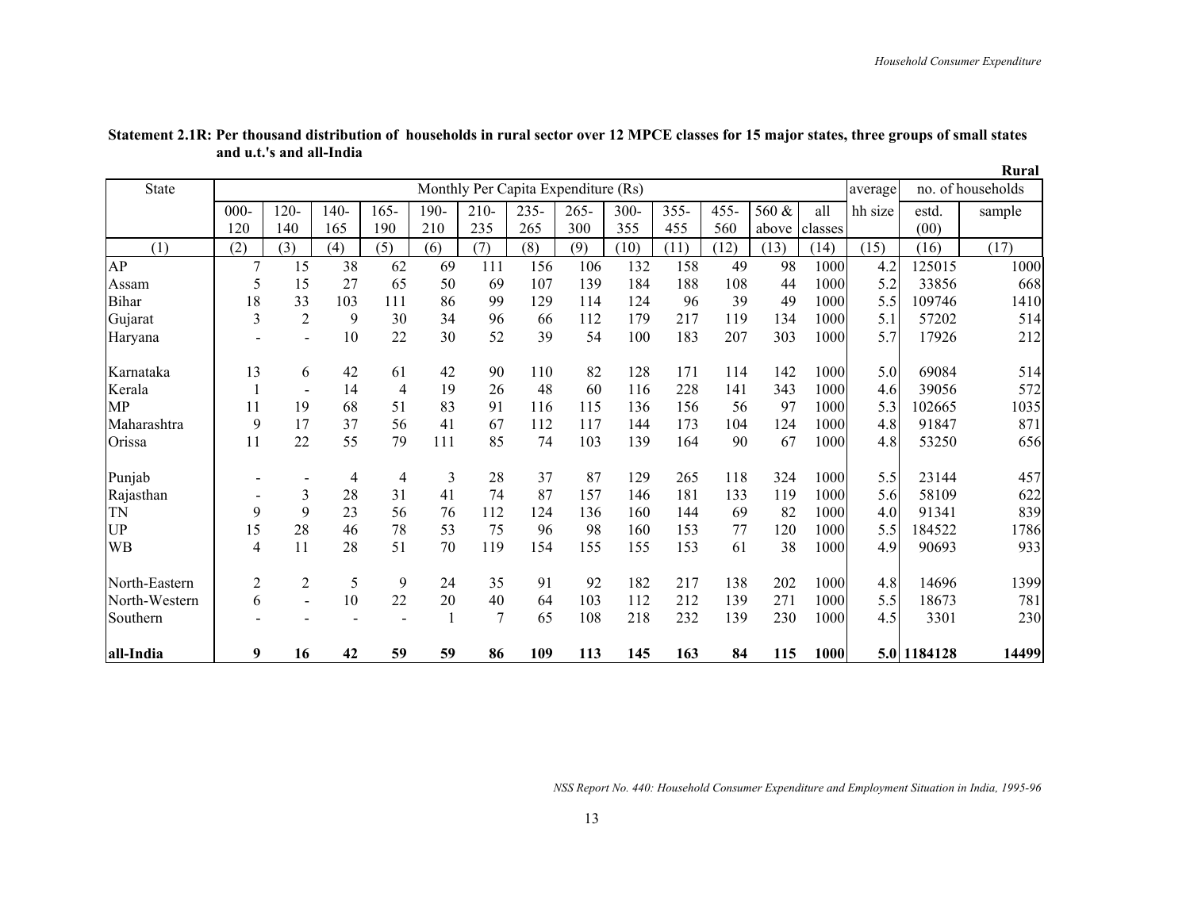|               |                              |                |        |         |              |                                     |         |         |         |         |         |       |         |         |             | Rural             |
|---------------|------------------------------|----------------|--------|---------|--------------|-------------------------------------|---------|---------|---------|---------|---------|-------|---------|---------|-------------|-------------------|
| <b>State</b>  |                              |                |        |         |              | Monthly Per Capita Expenditure (Rs) |         |         |         |         |         |       |         | average |             | no. of households |
|               | $000 -$                      | $120 -$        | $140-$ | $165 -$ | 190-         | $210 -$                             | $235 -$ | $265 -$ | $300 -$ | $355 -$ | $455 -$ | 560 & | all     | hh size | estd.       | sample            |
|               | 120                          | 140            | 165    | 190     | 210          | 235                                 | 265     | 300     | 355     | 455     | 560     | above | classes |         | (00)        |                   |
| (1)           | (2)                          | (3)            | (4)    | (5)     | (6)          | (7)                                 | (8)     | (9)     | (10)    | (11)    | (12)    | (13)  | (14)    | (15)    | (16)        | (17)              |
| AP            |                              | 15             | 38     | 62      | 69           | 111                                 | 156     | 106     | 132     | 158     | 49      | 98    | 1000    | 4.2     | 125015      | 1000              |
| Assam         | 5                            | 15             | 27     | 65      | 50           | 69                                  | 107     | 139     | 184     | 188     | 108     | 44    | 1000    | 5.2     | 33856       | 668               |
| Bihar         | 18                           | 33             | 103    | 111     | 86           | 99                                  | 129     | 114     | 124     | 96      | 39      | 49    | 1000    | 5.5     | 109746      | 1410              |
| Gujarat       | $\overline{3}$               | $\overline{2}$ | 9      | 30      | 34           | 96                                  | 66      | 112     | 179     | 217     | 119     | 134   | 1000    | 5.1     | 57202       | 514               |
| Haryana       |                              | $\overline{a}$ | 10     | 22      | 30           | 52                                  | 39      | 54      | 100     | 183     | 207     | 303   | 1000    | 5.7     | 17926       | 212               |
| Karnataka     | 13                           | 6              | 42     | 61      | 42           | 90                                  | 110     | 82      | 128     | 171     | 114     | 142   | 1000    | 5.0     | 69084       | 514               |
| Kerala        |                              | $\blacksquare$ | 14     | 4       | 19           | 26                                  | 48      | 60      | 116     | 228     | 141     | 343   | 1000    | 4.6     | 39056       | 572               |
| MP            | 11                           | 19             | 68     | 51      | 83           | 91                                  | 116     | 115     | 136     | 156     | 56      | 97    | 1000    | 5.3     | 102665      | 1035              |
| Maharashtra   | 9                            | 17             | 37     | 56      | 41           | 67                                  | 112     | 117     | 144     | 173     | 104     | 124   | 1000    | 4.8     | 91847       | 871               |
| Orissa        | 11                           | 22             | 55     | 79      | 111          | 85                                  | 74      | 103     | 139     | 164     | 90      | 67    | 1000    | 4.8     | 53250       | 656               |
| Punjab        |                              |                | 4      | 4       | 3            | 28                                  | 37      | 87      | 129     | 265     | 118     | 324   | 1000    | 5.5     | 23144       | 457               |
| Rajasthan     | $\qquad \qquad \blacksquare$ | 3              | 28     | 31      | 41           | 74                                  | 87      | 157     | 146     | 181     | 133     | 119   | 1000    | 5.6     | 58109       | 622               |
| <b>TN</b>     | 9                            | 9              | 23     | 56      | 76           | 112                                 | 124     | 136     | 160     | 144     | 69      | 82    | 1000    | 4.0     | 91341       | 839               |
| <b>UP</b>     | 15                           | 28             | 46     | 78      | 53           | 75                                  | 96      | 98      | 160     | 153     | 77      | 120   | 1000    | 5.5     | 184522      | 1786              |
| WB            | $\overline{4}$               | 11             | 28     | 51      | 70           | 119                                 | 154     | 155     | 155     | 153     | 61      | 38    | 1000    | 4.9     | 90693       | 933               |
| North-Eastern | $\mathbf{2}$                 | 2              | 5      | 9       | 24           | 35                                  | 91      | 92      | 182     | 217     | 138     | 202   | 1000    | 4.8     | 14696       | 1399              |
| North-Western | 6                            |                | 10     | 22      | 20           | 40                                  | 64      | 103     | 112     | 212     | 139     | 271   | 1000    | 5.5     | 18673       | 781               |
| Southern      |                              |                |        |         | $\mathbf{1}$ | 7                                   | 65      | 108     | 218     | 232     | 139     | 230   | 1000    | 4.5     | 3301        | 230               |
| all-India     | 9                            | 16             | 42     | 59      | 59           | 86                                  | 109     | 113     | 145     | 163     | 84      | 115   | 1000    |         | 5.0 1184128 | 14499             |

**Statement 2.1R: Per thousand distribution of households in rural sector over 12 MPCE classes for 15 major states, three groups of small states and u.t.'s and all-India**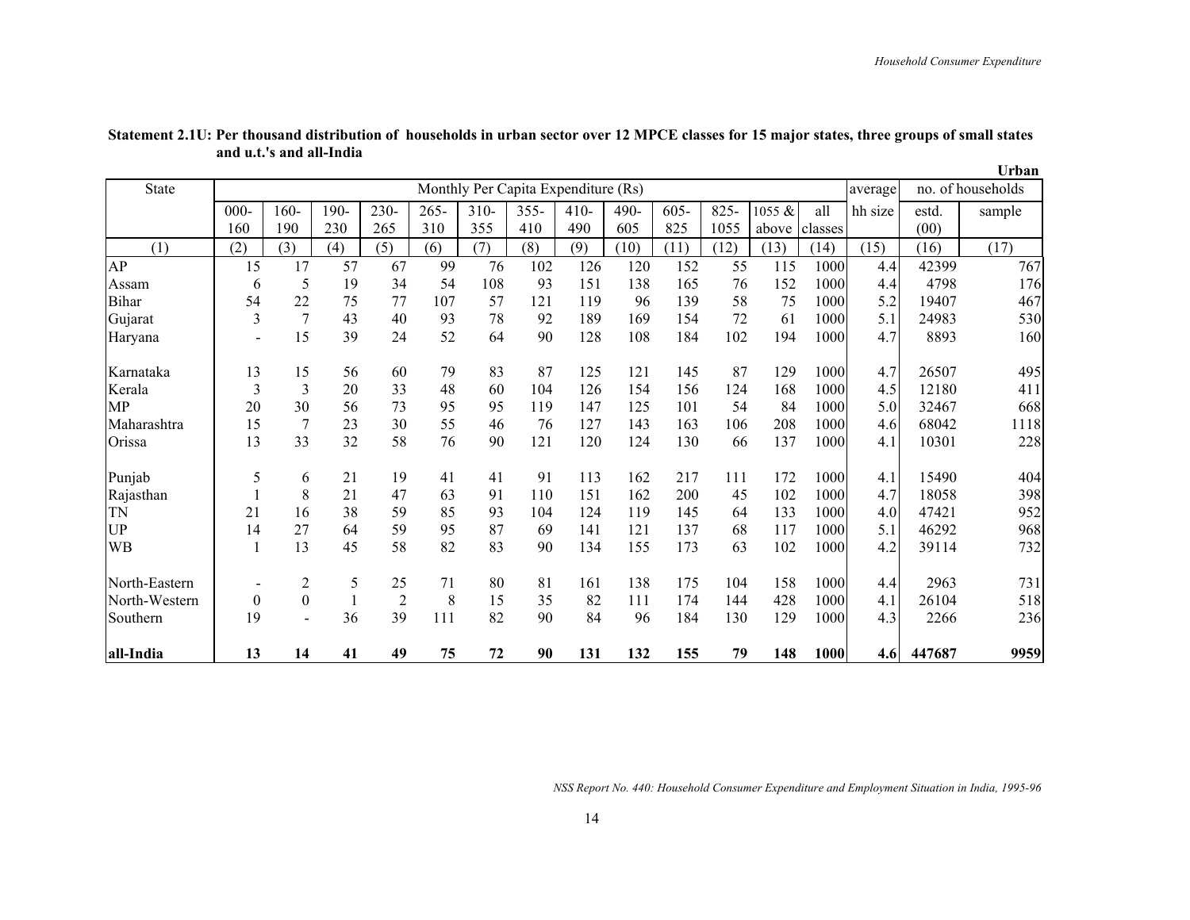|               |          |                |      |                |         |                                     |         |        |      |         |      |        |         |         |        | Urban             |
|---------------|----------|----------------|------|----------------|---------|-------------------------------------|---------|--------|------|---------|------|--------|---------|---------|--------|-------------------|
| <b>State</b>  |          |                |      |                |         | Monthly Per Capita Expenditure (Rs) |         |        |      |         |      |        |         | average |        | no. of households |
|               | $000 -$  | 160-           | 190- | 230-           | $265 -$ | $310 -$                             | $355 -$ | $410-$ | 490- | $605 -$ | 825  | 1055 & | all     | hh size | estd.  | sample            |
|               | 160      | 190            | 230  | 265            | 310     | 355                                 | 410     | 490    | 605  | 825     | 1055 | above  | classes |         | (00)   |                   |
| (1)           | (2)      | (3)            | (4)  | (5)            | (6)     | (7)                                 | (8)     | (9)    | (10) | (11)    | (12) | (13)   | (14)    | (15)    | (16)   | (17)              |
| AP            | 15       | 17             | 57   | 67             | 99      | 76                                  | 102     | 126    | 120  | 152     | 55   | 115    | 1000    | 4.4     | 42399  | 767               |
| Assam         | 6        | 5              | 19   | 34             | 54      | 108                                 | 93      | 151    | 138  | 165     | 76   | 152    | 1000    | 4.4     | 4798   | 176               |
| Bihar         | 54       | 22             | 75   | 77             | 107     | 57                                  | 121     | 119    | 96   | 139     | 58   | 75     | 1000    | 5.2     | 19407  | 467               |
| Gujarat       | 3        | $\overline{7}$ | 43   | 40             | 93      | 78                                  | 92      | 189    | 169  | 154     | 72   | 61     | 1000    | 5.1     | 24983  | 530               |
| Haryana       |          | 15             | 39   | 24             | 52      | 64                                  | 90      | 128    | 108  | 184     | 102  | 194    | 1000    | 4.7     | 8893   | 160               |
| Karnataka     | 13       | 15             | 56   | 60             | 79      | 83                                  | 87      | 125    | 121  | 145     | 87   | 129    | 1000    | 4.7     | 26507  | 495               |
| Kerala        | 3        | 3              | 20   | 33             | 48      | 60                                  | 104     | 126    | 154  | 156     | 124  | 168    | 1000    | 4.5     | 12180  | 411               |
| MP            | 20       | 30             | 56   | 73             | 95      | 95                                  | 119     | 147    | 125  | 101     | 54   | 84     | 1000    | 5.0     | 32467  | 668               |
| Maharashtra   | 15       | 7              | 23   | 30             | 55      | 46                                  | 76      | 127    | 143  | 163     | 106  | 208    | 1000    | 4.6     | 68042  | 1118              |
| Orissa        | 13       | 33             | 32   | 58             | 76      | 90                                  | 121     | 120    | 124  | 130     | 66   | 137    | 1000    | 4.1     | 10301  | 228               |
| Punjab        | 5        | 6              | 21   | 19             | 41      | 41                                  | 91      | 113    | 162  | 217     | 111  | 172    | 1000    | 4.1     | 15490  | 404               |
| Rajasthan     |          | 8              | 21   | 47             | 63      | 91                                  | 110     | 151    | 162  | 200     | 45   | 102    | 1000    | 4.7     | 18058  | 398               |
| TN            | 21       | 16             | 38   | 59             | 85      | 93                                  | 104     | 124    | 119  | 145     | 64   | 133    | 1000    | 4.0     | 47421  | 952               |
| <b>UP</b>     | 14       | 27             | 64   | 59             | 95      | 87                                  | 69      | 141    | 121  | 137     | 68   | 117    | 1000    | 5.1     | 46292  | 968               |
| WB            |          | 13             | 45   | 58             | 82      | 83                                  | 90      | 134    | 155  | 173     | 63   | 102    | 1000    | 4.2     | 39114  | 732               |
| North-Eastern |          | 2              | 5    | 25             | 71      | 80                                  | 81      | 161    | 138  | 175     | 104  | 158    | 1000    | 4.4     | 2963   | 731               |
| North-Western | $\theta$ | $\Omega$       |      | $\overline{2}$ | 8       | 15                                  | 35      | 82     | 111  | 174     | 144  | 428    | 1000    | 4.1     | 26104  | 518               |
| Southern      | 19       |                | 36   | 39             | 111     | 82                                  | 90      | 84     | 96   | 184     | 130  | 129    | 1000    | 4.3     | 2266   | 236               |
| all-India     | 13       | 14             | 41   | 49             | 75      | 72                                  | 90      | 131    | 132  | 155     | 79   | 148    | 1000    | 4.6     | 447687 | 9959              |

**Statement 2.1U: Per thousand distribution of households in urban sector over 12 MPCE classes for 15 major states, three groups of small states and u.t.'s and all-India**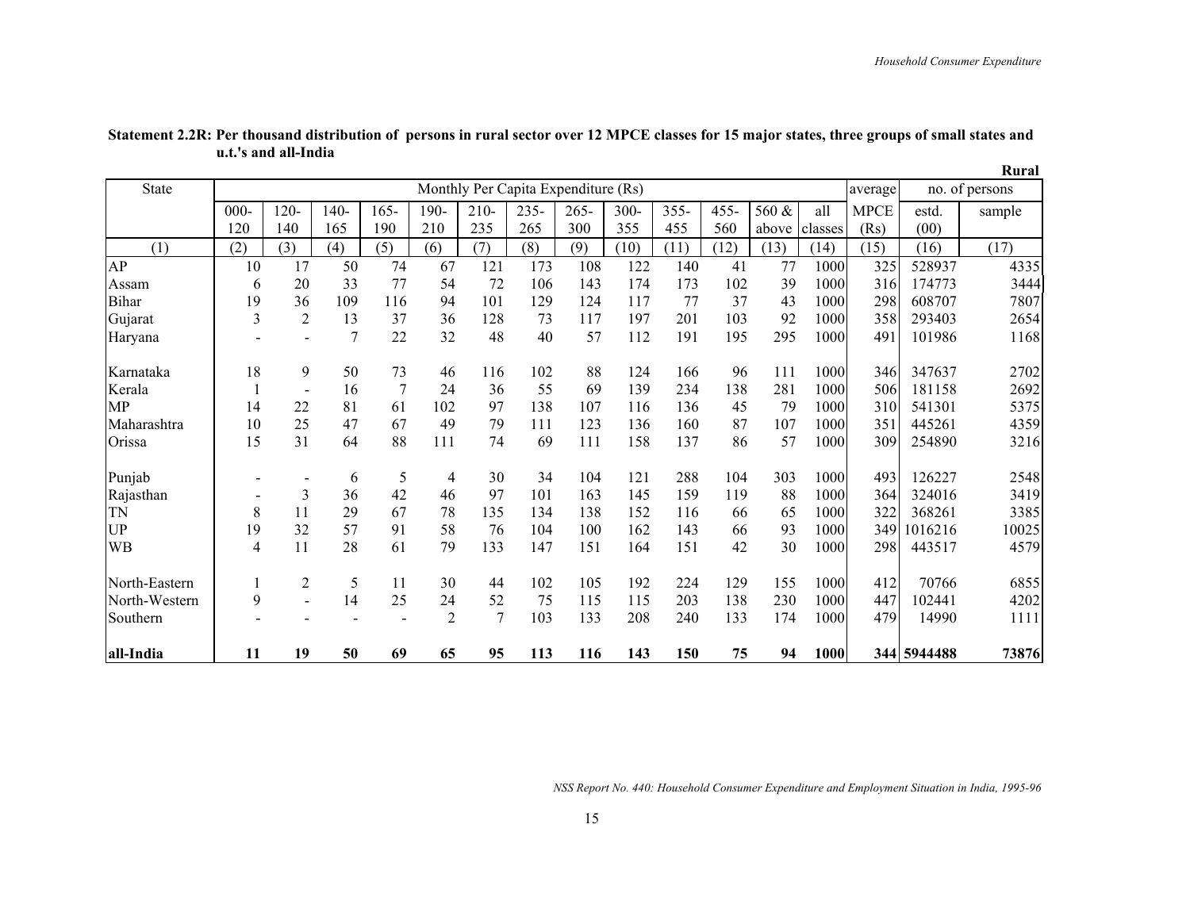|               |                |                |        |         |                |                                     |         |         |      |         |         |       |         |             |             | Rural          |
|---------------|----------------|----------------|--------|---------|----------------|-------------------------------------|---------|---------|------|---------|---------|-------|---------|-------------|-------------|----------------|
| <b>State</b>  |                |                |        |         |                | Monthly Per Capita Expenditure (Rs) |         |         |      |         |         |       |         | average     |             | no. of persons |
|               | $000 -$        | $120 -$        | $140-$ | $165 -$ | 190-           | $210 -$                             | $235 -$ | $265 -$ | 300- | $355 -$ | $455 -$ | 560 & | all     | <b>MPCE</b> | estd.       | sample         |
|               | 120            | 140            | 165    | 190     | 210            | 235                                 | 265     | 300     | 355  | 455     | 560     | above | classes | (Rs)        | (00)        |                |
| (1)           | (2)            | (3)            | (4)    | (5)     | (6)            | (7)                                 | (8)     | (9)     | (10) | (11)    | (12)    | (13)  | (14)    | (15)        | (16)        | (17)           |
| AP            | 10             | 17             | 50     | 74      | 67             | 121                                 | 173     | 108     | 122  | 140     | 41      | 77    | 1000    | 325         | 528937      | 4335           |
| Assam         | 6              | 20             | 33     | 77      | 54             | 72                                  | 106     | 143     | 174  | 173     | 102     | 39    | 1000    | 316         | 174773      | 3444           |
| Bihar         | 19             | 36             | 109    | 116     | 94             | 101                                 | 129     | 124     | 117  | 77      | 37      | 43    | 1000    | 298         | 608707      | 7807           |
| Gujarat       | $\overline{3}$ | $\overline{2}$ | 13     | 37      | 36             | 128                                 | 73      | 117     | 197  | 201     | 103     | 92    | 1000    | 358         | 293403      | 2654           |
| Haryana       |                | $\overline{a}$ | 7      | 22      | 32             | 48                                  | 40      | 57      | 112  | 191     | 195     | 295   | 1000    | 491         | 101986      | 1168           |
| Karnataka     | 18             | 9              | 50     | 73      | 46             | 116                                 | 102     | 88      | 124  | 166     | 96      | 111   | 1000    | 346         | 347637      | 2702           |
| Kerala        |                | $\blacksquare$ | 16     | 7       | 24             | 36                                  | 55      | 69      | 139  | 234     | 138     | 281   | 1000    | 506         | 181158      | 2692           |
| MP            | 14             | 22             | 81     | 61      | 102            | 97                                  | 138     | 107     | 116  | 136     | 45      | 79    | 1000    | 310         | 541301      | 5375           |
| Maharashtra   | 10             | 25             | 47     | 67      | 49             | 79                                  | 111     | 123     | 136  | 160     | 87      | 107   | 1000    | 351         | 445261      | 4359           |
| Orissa        | 15             | 31             | 64     | 88      | 111            | 74                                  | 69      | 111     | 158  | 137     | 86      | 57    | 1000    | 309         | 254890      | 3216           |
| Punjab        |                |                | 6      | 5       | 4              | 30                                  | 34      | 104     | 121  | 288     | 104     | 303   | 1000    | 493         | 126227      | 2548           |
| Rajasthan     |                | 3              | 36     | 42      | 46             | 97                                  | 101     | 163     | 145  | 159     | 119     | 88    | 1000    | 364         | 324016      | 3419           |
| <b>TN</b>     | 8              | 11             | 29     | 67      | 78             | 135                                 | 134     | 138     | 152  | 116     | 66      | 65    | 1000    | 322         | 368261      | 3385           |
| <b>UP</b>     | 19             | 32             | 57     | 91      | 58             | 76                                  | 104     | 100     | 162  | 143     | 66      | 93    | 1000    | 349         | 1016216     | 10025          |
| WВ            | $\overline{4}$ | 11             | 28     | 61      | 79             | 133                                 | 147     | 151     | 164  | 151     | 42      | 30    | 1000    | 298         | 443517      | 4579           |
| North-Eastern |                | 2              | 5      | 11      | 30             | 44                                  | 102     | 105     | 192  | 224     | 129     | 155   | 1000    | 412         | 70766       | 6855           |
| North-Western | 9              |                | 14     | 25      | 24             | 52                                  | 75      | 115     | 115  | 203     | 138     | 230   | 1000    | 447         | 102441      | 4202           |
| Southern      |                |                |        |         | $\overline{2}$ | 7                                   | 103     | 133     | 208  | 240     | 133     | 174   | 1000    | 479         | 14990       | 1111           |
| all-India     | 11             | 19             | 50     | 69      | 65             | 95                                  | 113     | 116     | 143  | 150     | 75      | 94    | 1000    |             | 344 5944488 | 73876          |

**Statement 2.2R: Per thousand distribution of persons in rural sector over 12 MPCE classes for 15 major states, three groups of small states and u.t.'s and all-India**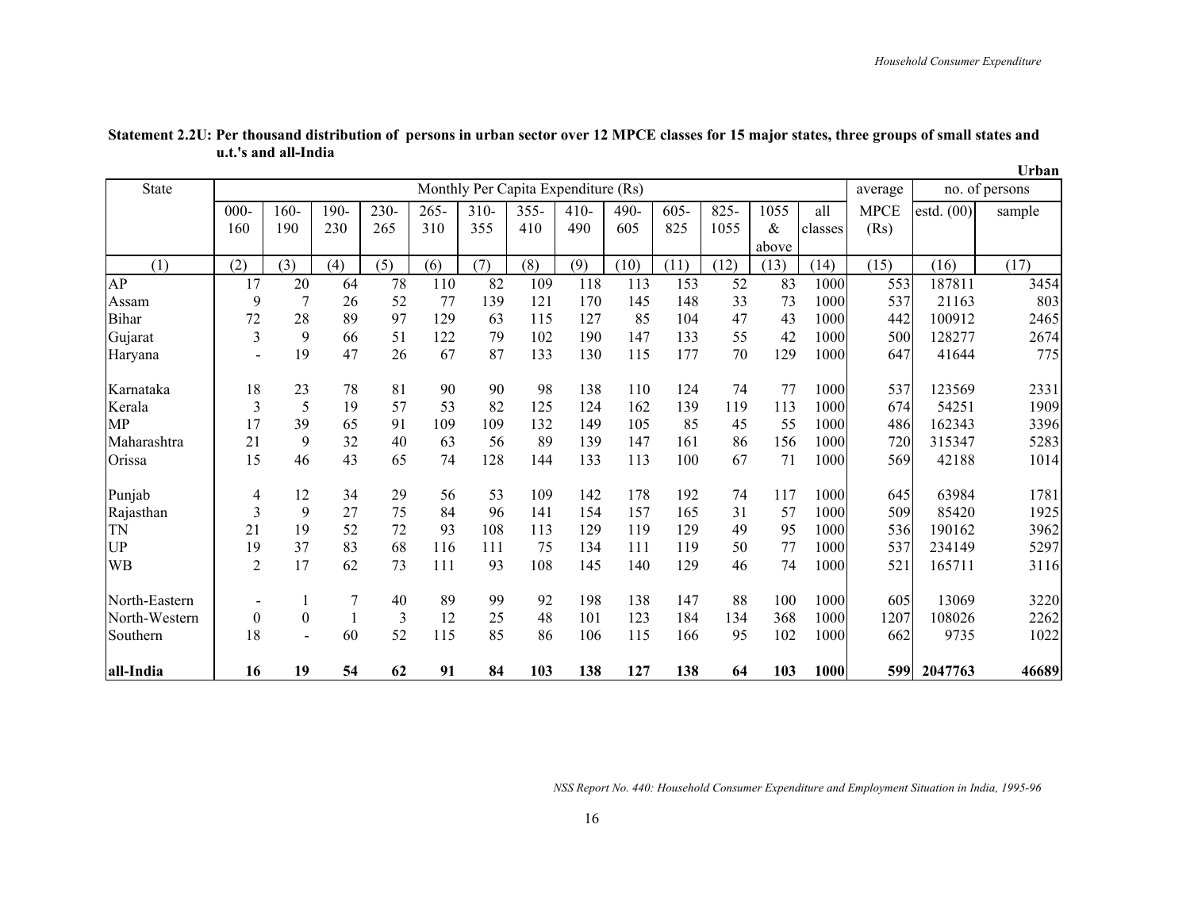|               |                                     |                |      |      |         |         |         |        |         |         |         |       |         |             |              | Urban          |
|---------------|-------------------------------------|----------------|------|------|---------|---------|---------|--------|---------|---------|---------|-------|---------|-------------|--------------|----------------|
| State         | Monthly Per Capita Expenditure (Rs) |                |      |      |         |         |         |        |         |         |         |       |         | average     |              | no. of persons |
|               | $000 -$                             | $160 -$        | 190- | 230- | $265 -$ | $310 -$ | $355 -$ | $410-$ | $490 -$ | $605 -$ | $825 -$ | 1055  | all     | <b>MPCE</b> | estd. $(00)$ | sample         |
|               | 160                                 | 190            | 230  | 265  | 310     | 355     | 410     | 490    | 605     | 825     | 1055    | $\&$  | classes | (Rs)        |              |                |
|               |                                     |                |      |      |         |         |         |        |         |         |         | above |         |             |              |                |
| (1)           | (2)                                 | (3)            | (4)  | (5)  | (6)     | (7)     | (8)     | (9)    | (10)    | (11)    | (12)    | (13)  | (14)    | (15)        | (16)         | (17)           |
| AP            | 17                                  | 20             | 64   | 78   | 110     | 82      | 109     | 118    | 113     | 153     | 52      | 83    | 1000    | 553         | 187811       | 3454           |
| Assam         | 9                                   | 7              | 26   | 52   | 77      | 139     | 121     | 170    | 145     | 148     | 33      | 73    | 1000    | 537         | 21163        | 803            |
| <b>Bihar</b>  | 72                                  | 28             | 89   | 97   | 129     | 63      | 115     | 127    | 85      | 104     | 47      | 43    | 1000    | 442         | 100912       | 2465           |
| Gujarat       | 3                                   | 9              | 66   | 51   | 122     | 79      | 102     | 190    | 147     | 133     | 55      | 42    | 1000    | 500         | 128277       | 2674           |
| Haryana       |                                     | 19             | 47   | 26   | 67      | 87      | 133     | 130    | 115     | 177     | 70      | 129   | 1000    | 647         | 41644        | 775            |
| Karnataka     | 18                                  | 23             | 78   | 81   | 90      | 90      | 98      | 138    | 110     | 124     | 74      | 77    | 1000    | 537         | 123569       | 2331           |
| Kerala        | 3                                   | 5              | 19   | 57   | 53      | 82      | 125     | 124    | 162     | 139     | 119     | 113   | 1000    | 674         | 54251        | 1909           |
| MP            | 17                                  | 39             | 65   | 91   | 109     | 109     | 132     | 149    | 105     | 85      | 45      | 55    | 1000    | 486         | 162343       | 3396           |
| Maharashtra   | 21                                  | 9              | 32   | 40   | 63      | 56      | 89      | 139    | 147     | 161     | 86      | 156   | 1000    | 720         | 315347       | 5283           |
| Orissa        | 15                                  | 46             | 43   | 65   | 74      | 128     | 144     | 133    | 113     | 100     | 67      | 71    | 1000    | 569         | 42188        | 1014           |
| Punjab        | 4                                   | 12             | 34   | 29   | 56      | 53      | 109     | 142    | 178     | 192     | 74      | 117   | 1000    | 645         | 63984        | 1781           |
| Rajasthan     | 3                                   | 9              | 27   | 75   | 84      | 96      | 141     | 154    | 157     | 165     | 31      | 57    | 1000    | 509         | 85420        | 1925           |
| TN            | 21                                  | 19             | 52   | 72   | 93      | 108     | 113     | 129    | 119     | 129     | 49      | 95    | 1000    | 536         | 190162       | 3962           |
| UP            | 19                                  | 37             | 83   | 68   | 116     | 111     | 75      | 134    | 111     | 119     | 50      | 77    | 1000    | 537         | 234149       | 5297           |
| WB            | $\overline{2}$                      | 17             | 62   | 73   | 111     | 93      | 108     | 145    | 140     | 129     | 46      | 74    | 1000    | 521         | 165711       | 3116           |
| North-Eastern |                                     |                | 7    | 40   | 89      | 99      | 92      | 198    | 138     | 147     | 88      | 100   | 1000    | 605         | 13069        | 3220           |
| North-Western | $\boldsymbol{0}$                    | $\mathbf{0}$   | 1    | 3    | 12      | 25      | 48      | 101    | 123     | 184     | 134     | 368   | 1000    | 1207        | 108026       | 2262           |
| Southern      | 18                                  | $\blacksquare$ | 60   | 52   | 115     | 85      | 86      | 106    | 115     | 166     | 95      | 102   | 1000    | 662         | 9735         | 1022           |
| all-India     | 16                                  | 19             | 54   | 62   | 91      | 84      | 103     | 138    | 127     | 138     | 64      | 103   | 1000    | 599         | 2047763      | 46689          |

**Statement 2.2U: Per thousand distribution of persons in urban sector over 12 MPCE classes for 15 major states, three groups of small states and u.t.'s and all-India**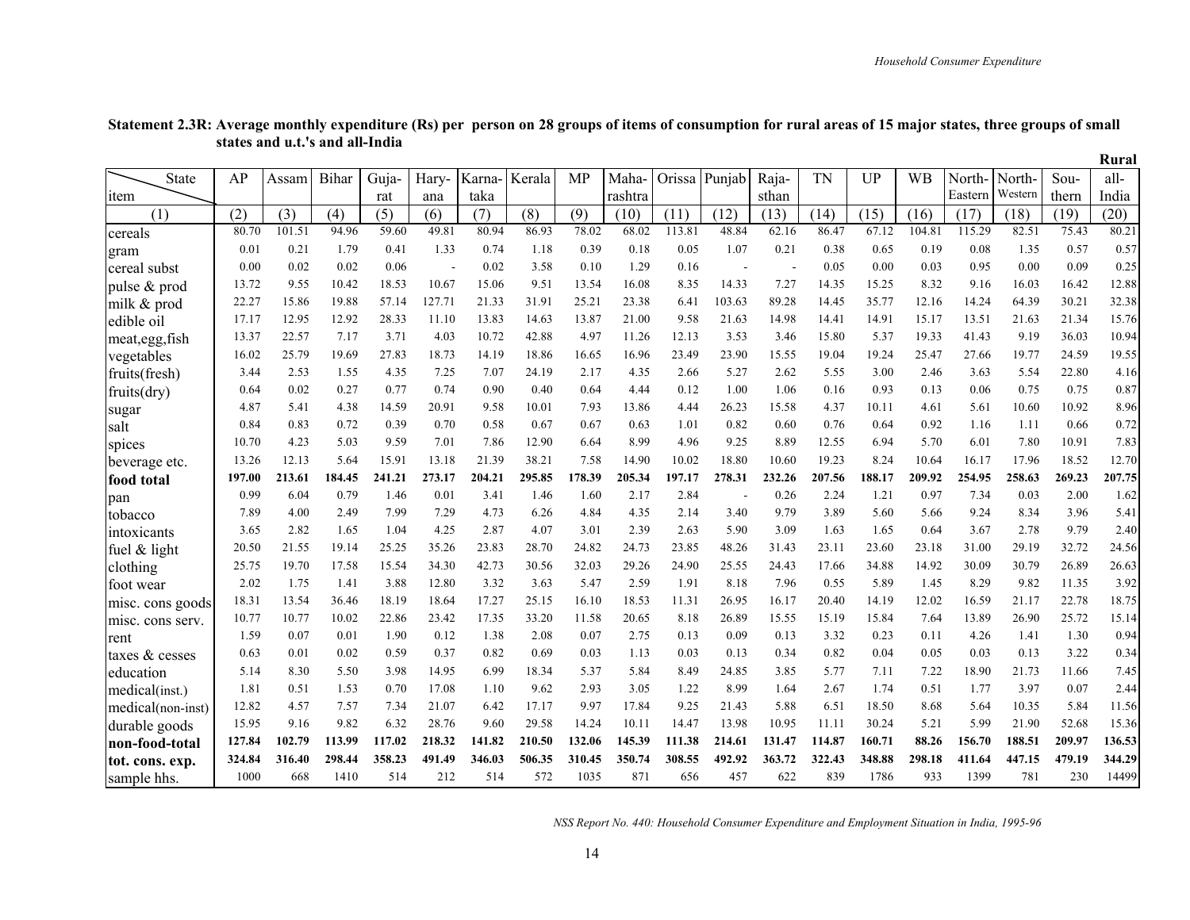Rural

| <b>State</b>      | AP     | Assam  | Bihar  | Guja-  | Hary-  | Karna- | Kerala | MP     | Maha-   | Orissa | Punjab                   | Raja-  | <b>TN</b> | <b>UP</b> | <b>WB</b> | North-  | North-  | Sou-   | all-   |
|-------------------|--------|--------|--------|--------|--------|--------|--------|--------|---------|--------|--------------------------|--------|-----------|-----------|-----------|---------|---------|--------|--------|
| <sub>1</sub> tem  |        |        |        | rat    | ana    | taka   |        |        | rashtra |        |                          | sthan  |           |           |           | Eastern | Western | thern  | India  |
| (1)               | (2)    | (3)    | (4)    | (5)    | (6)    | (7)    | (8)    | (9)    | (10)    | (11)   | (12)                     | (13)   | (14)      | (15)      | (16)      | (17)    | (18)    | (19)   | (20)   |
| cereals           | 80.70  | 101.51 | 94.96  | 59.60  | 49.81  | 80.94  | 86.93  | 78.02  | 68.02   | 113.81 | 48.84                    | 62.16  | 86.47     | 67.12     | 104.81    | 115.29  | 82.51   | 75.43  | 80.21  |
| gram              | 0.01   | 0.21   | 1.79   | 0.41   | 1.33   | 0.74   | 1.18   | 0.39   | 0.18    | 0.05   | 1.07                     | 0.21   | 0.38      | 0.65      | 0.19      | 0.08    | 1.35    | 0.57   | 0.57   |
| cereal subst      | 0.00   | 0.02   | 0.02   | 0.06   |        | 0.02   | 3.58   | 0.10   | 1.29    | 0.16   | $\overline{\phantom{a}}$ |        | 0.05      | 0.00      | 0.03      | 0.95    | 0.00    | 0.09   | 0.25   |
| pulse & prod      | 13.72  | 9.55   | 10.42  | 18.53  | 10.67  | 15.06  | 9.51   | 13.54  | 16.08   | 8.35   | 14.33                    | 7.27   | 14.35     | 15.25     | 8.32      | 9.16    | 16.03   | 16.42  | 12.88  |
| milk & prod       | 22.27  | 15.86  | 19.88  | 57.14  | 127.71 | 21.33  | 31.91  | 25.21  | 23.38   | 6.41   | 103.63                   | 89.28  | 14.45     | 35.77     | 12.16     | 14.24   | 64.39   | 30.21  | 32.38  |
| edible oil        | 17.17  | 12.95  | 12.92  | 28.33  | 11.10  | 13.83  | 14.63  | 13.87  | 21.00   | 9.58   | 21.63                    | 14.98  | 14.41     | 14.91     | 15.17     | 13.51   | 21.63   | 21.34  | 15.76  |
| meat, egg, fish   | 13.37  | 22.57  | 7.17   | 3.71   | 4.03   | 10.72  | 42.88  | 4.97   | 11.26   | 12.13  | 3.53                     | 3.46   | 15.80     | 5.37      | 19.33     | 41.43   | 9.19    | 36.03  | 10.94  |
| vegetables        | 16.02  | 25.79  | 19.69  | 27.83  | 18.73  | 14.19  | 18.86  | 16.65  | 16.96   | 23.49  | 23.90                    | 15.55  | 19.04     | 19.24     | 25.47     | 27.66   | 19.77   | 24.59  | 19.55  |
| fruits(fresh)     | 3.44   | 2.53   | 1.55   | 4.35   | 7.25   | 7.07   | 24.19  | 2.17   | 4.35    | 2.66   | 5.27                     | 2.62   | 5.55      | 3.00      | 2.46      | 3.63    | 5.54    | 22.80  | 4.16   |
| fruits(dry)       | 0.64   | 0.02   | 0.27   | 0.77   | 0.74   | 0.90   | 0.40   | 0.64   | 4.44    | 0.12   | 1.00                     | 1.06   | 0.16      | 0.93      | 0.13      | 0.06    | 0.75    | 0.75   | 0.87   |
| sugar             | 4.87   | 5.41   | 4.38   | 14.59  | 20.91  | 9.58   | 10.01  | 7.93   | 13.86   | 4.44   | 26.23                    | 15.58  | 4.37      | 10.11     | 4.61      | 5.61    | 10.60   | 10.92  | 8.96   |
| salt              | 0.84   | 0.83   | 0.72   | 0.39   | 0.70   | 0.58   | 0.67   | 0.67   | 0.63    | 1.01   | 0.82                     | 0.60   | 0.76      | 0.64      | 0.92      | 1.16    | 1.11    | 0.66   | 0.72   |
| spices            | 10.70  | 4.23   | 5.03   | 9.59   | 7.01   | 7.86   | 12.90  | 6.64   | 8.99    | 4.96   | 9.25                     | 8.89   | 12.55     | 6.94      | 5.70      | 6.01    | 7.80    | 10.91  | 7.83   |
| beverage etc.     | 13.26  | 12.13  | 5.64   | 15.91  | 13.18  | 21.39  | 38.21  | 7.58   | 14.90   | 10.02  | 18.80                    | 10.60  | 19.23     | 8.24      | 10.64     | 16.17   | 17.96   | 18.52  | 12.70  |
| food total        | 197.00 | 213.61 | 184.45 | 241.21 | 273.17 | 204.21 | 295.85 | 178.39 | 205.34  | 197.17 | 278.31                   | 232.26 | 207.56    | 188.17    | 209.92    | 254.95  | 258.63  | 269.23 | 207.75 |
| pan               | 0.99   | 6.04   | 0.79   | 1.46   | 0.01   | 3.41   | 1.46   | 1.60   | 2.17    | 2.84   |                          | 0.26   | 2.24      | 1.21      | 0.97      | 7.34    | 0.03    | 2.00   | 1.62   |
| tobacco           | 7.89   | 4.00   | 2.49   | 7.99   | 7.29   | 4.73   | 6.26   | 4.84   | 4.35    | 2.14   | 3.40                     | 9.79   | 3.89      | 5.60      | 5.66      | 9.24    | 8.34    | 3.96   | 5.41   |
| intoxicants       | 3.65   | 2.82   | 1.65   | 1.04   | 4.25   | 2.87   | 4.07   | 3.01   | 2.39    | 2.63   | 5.90                     | 3.09   | 1.63      | 1.65      | 0.64      | 3.67    | 2.78    | 9.79   | 2.40   |
| fuel $&$ light    | 20.50  | 21.55  | 19.14  | 25.25  | 35.26  | 23.83  | 28.70  | 24.82  | 24.73   | 23.85  | 48.26                    | 31.43  | 23.11     | 23.60     | 23.18     | 31.00   | 29.19   | 32.72  | 24.56  |
| clothing          | 25.75  | 19.70  | 17.58  | 15.54  | 34.30  | 42.73  | 30.56  | 32.03  | 29.26   | 24.90  | 25.55                    | 24.43  | 17.66     | 34.88     | 14.92     | 30.09   | 30.79   | 26.89  | 26.63  |
| foot wear         | 2.02   | 1.75   | 1.41   | 3.88   | 12.80  | 3.32   | 3.63   | 5.47   | 2.59    | 1.91   | 8.18                     | 7.96   | 0.55      | 5.89      | 1.45      | 8.29    | 9.82    | 11.35  | 3.92   |
| misc. cons goods  | 18.31  | 13.54  | 36.46  | 18.19  | 18.64  | 17.27  | 25.15  | 16.10  | 18.53   | 11.31  | 26.95                    | 16.17  | 20.40     | 14.19     | 12.02     | 16.59   | 21.17   | 22.78  | 18.75  |
| misc. cons serv.  | 10.77  | 10.77  | 10.02  | 22.86  | 23.42  | 17.35  | 33.20  | 11.58  | 20.65   | 8.18   | 26.89                    | 15.55  | 15.19     | 15.84     | 7.64      | 13.89   | 26.90   | 25.72  | 15.14  |
| rent              | 1.59   | 0.07   | 0.01   | 1.90   | 0.12   | 1.38   | 2.08   | 0.07   | 2.75    | 0.13   | 0.09                     | 0.13   | 3.32      | 0.23      | 0.11      | 4.26    | 1.41    | 1.30   | 0.94   |
| taxes & cesses    | 0.63   | 0.01   | 0.02   | 0.59   | 0.37   | 0.82   | 0.69   | 0.03   | 1.13    | 0.03   | 0.13                     | 0.34   | 0.82      | 0.04      | 0.05      | 0.03    | 0.13    | 3.22   | 0.34   |
| education         | 5.14   | 8.30   | 5.50   | 3.98   | 14.95  | 6.99   | 18.34  | 5.37   | 5.84    | 8.49   | 24.85                    | 3.85   | 5.77      | 7.11      | 7.22      | 18.90   | 21.73   | 11.66  | 7.45   |
| medical(inst.)    | 1.81   | 0.51   | 1.53   | 0.70   | 17.08  | 1.10   | 9.62   | 2.93   | 3.05    | 1.22   | 8.99                     | 1.64   | 2.67      | 1.74      | 0.51      | 1.77    | 3.97    | 0.07   | 2.44   |
| medical(non-inst) | 12.82  | 4.57   | 7.57   | 7.34   | 21.07  | 6.42   | 17.17  | 9.97   | 17.84   | 9.25   | 21.43                    | 5.88   | 6.51      | 18.50     | 8.68      | 5.64    | 10.35   | 5.84   | 11.56  |
| durable goods     | 15.95  | 9.16   | 9.82   | 6.32   | 28.76  | 9.60   | 29.58  | 14.24  | 10.11   | 14.47  | 13.98                    | 10.95  | 11.11     | 30.24     | 5.21      | 5.99    | 21.90   | 52.68  | 15.36  |
| non-food-total    | 127.84 | 102.79 | 113.99 | 117.02 | 218.32 | 141.82 | 210.50 | 132.06 | 145.39  | 111.38 | 214.61                   | 131.47 | 114.87    | 160.71    | 88.26     | 156.70  | 188.51  | 209.97 | 136.53 |
| tot. cons. exp.   | 324.84 | 316.40 | 298.44 | 358.23 | 491.49 | 346.03 | 506.35 | 310.45 | 350.74  | 308.55 | 492.92                   | 363.72 | 322.43    | 348.88    | 298.18    | 411.64  | 447.15  | 479.19 | 344.29 |
| sample hhs.       | 1000   | 668    | 1410   | 514    | 212    | 514    | 572    | 1035   | 871     | 656    | 457                      | 622    | 839       | 1786      | 933       | 1399    | 781     | 230    | 14499  |
|                   |        |        |        |        |        |        |        |        |         |        |                          |        |           |           |           |         |         |        |        |

#### **Statement 2.3R: Average monthly expenditure (Rs) per person on 28 groups of items of consumption for rural areas of 15 major states, three groups of small states and u.t.'s and all-India**

 **Rural**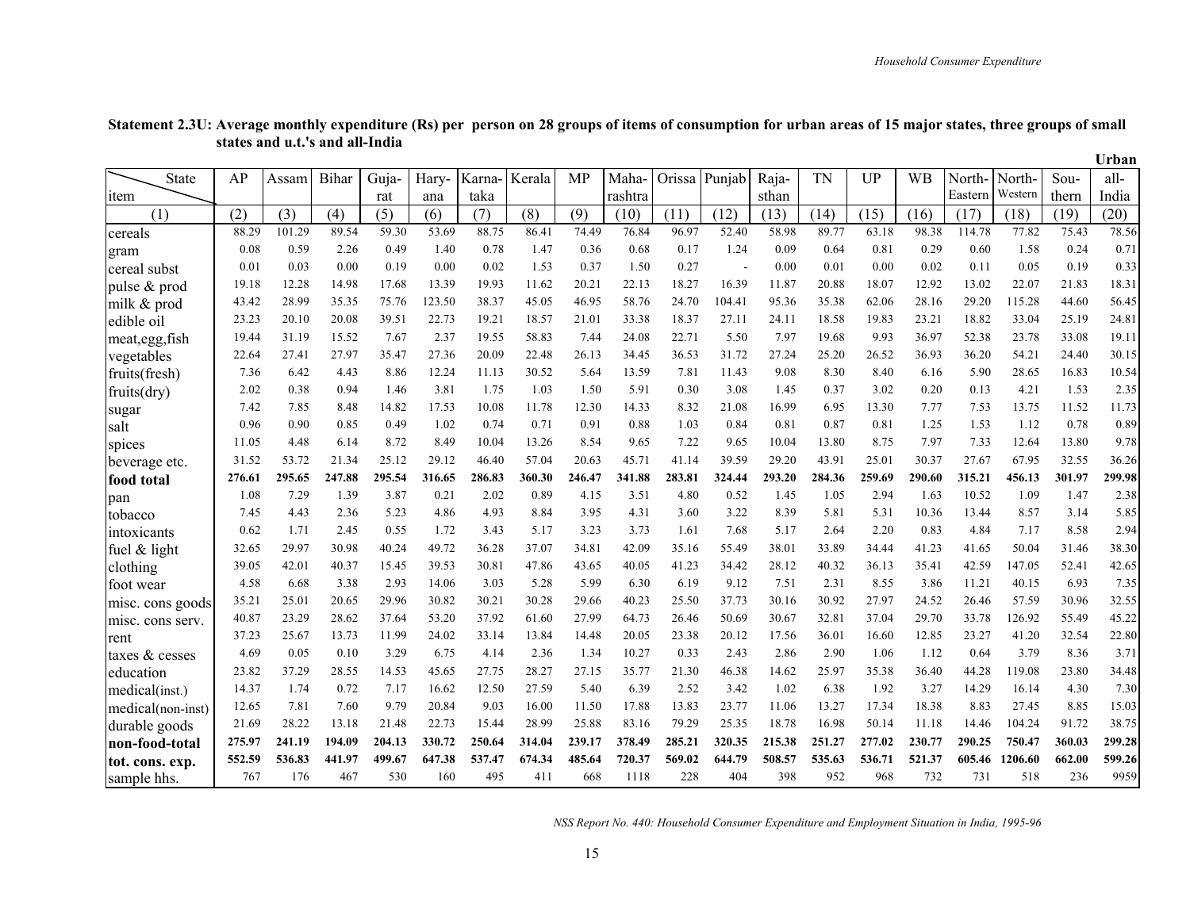Urban

| <b>State</b>      | AP     | Assam  | Bihar  | Guja-  | Hary-  | Karna- | Kerala | MP     | Maha-   | Orissa | Punjab | Raja-  | <b>TN</b> | <b>UP</b> | <b>WB</b> | North-  | North-  | Sou-   | all-   |
|-------------------|--------|--------|--------|--------|--------|--------|--------|--------|---------|--------|--------|--------|-----------|-----------|-----------|---------|---------|--------|--------|
| <sub>1</sub> tem  |        |        |        | rat    | ana    | taka   |        |        | rashtra |        |        | sthan  |           |           |           | Eastern | Western | thern  | India  |
| (1)               | (2)    | (3)    | (4)    | (5)    | (6)    | (7)    | (8)    | (9)    | (10)    | (11)   | (12)   | (13)   | (14)      | (15)      | (16)      | (17)    | (18)    | (19)   | (20)   |
| cereals           | 88.29  | 101.29 | 89.54  | 59.30  | 53.69  | 88.75  | 86.41  | 74.49  | 76.84   | 96.97  | 52.40  | 58.98  | 89.77     | 63.18     | 98.38     | 114.78  | 77.82   | 75.43  | 78.56  |
| gram              | 0.08   | 0.59   | 2.26   | 0.49   | 1.40   | 0.78   | 1.47   | 0.36   | 0.68    | 0.17   | 1.24   | 0.09   | 0.64      | 0.81      | 0.29      | 0.60    | 1.58    | 0.24   | 0.71   |
| cereal subst      | 0.01   | 0.03   | 0.00   | 0.19   | 0.00   | 0.02   | 1.53   | 0.37   | 1.50    | 0.27   | ÷      | 0.00   | 0.01      | 0.00      | 0.02      | 0.11    | 0.05    | 0.19   | 0.33   |
| pulse & prod      | 19.18  | 12.28  | 14.98  | 17.68  | 13.39  | 19.93  | 11.62  | 20.21  | 22.13   | 18.27  | 16.39  | 11.87  | 20.88     | 18.07     | 12.92     | 13.02   | 22.07   | 21.83  | 18.31  |
| milk & prod       | 43.42  | 28.99  | 35.35  | 75.76  | 123.50 | 38.37  | 45.05  | 46.95  | 58.76   | 24.70  | 104.41 | 95.36  | 35.38     | 62.06     | 28.16     | 29.20   | 115.28  | 44.60  | 56.45  |
| edible oil        | 23.23  | 20.10  | 20.08  | 39.51  | 22.73  | 19.21  | 18.57  | 21.01  | 33.38   | 18.37  | 27.11  | 24.11  | 18.58     | 19.83     | 23.21     | 18.82   | 33.04   | 25.19  | 24.81  |
| meat, egg, fish   | 19.44  | 31.19  | 15.52  | 7.67   | 2.37   | 19.55  | 58.83  | 7.44   | 24.08   | 22.71  | 5.50   | 7.97   | 19.68     | 9.93      | 36.97     | 52.38   | 23.78   | 33.08  | 19.11  |
| vegetables        | 22.64  | 27.41  | 27.97  | 35.47  | 27.36  | 20.09  | 22.48  | 26.13  | 34.45   | 36.53  | 31.72  | 27.24  | 25.20     | 26.52     | 36.93     | 36.20   | 54.21   | 24.40  | 30.15  |
| fruits(fresh)     | 7.36   | 6.42   | 4.43   | 8.86   | 12.24  | 11.13  | 30.52  | 5.64   | 13.59   | 7.81   | 11.43  | 9.08   | 8.30      | 8.40      | 6.16      | 5.90    | 28.65   | 16.83  | 10.54  |
| fruits(dry)       | 2.02   | 0.38   | 0.94   | 1.46   | 3.81   | 1.75   | 1.03   | 1.50   | 5.91    | 0.30   | 3.08   | 1.45   | 0.37      | 3.02      | 0.20      | 0.13    | 4.21    | 1.53   | 2.35   |
| sugar             | 7.42   | 7.85   | 8.48   | 14.82  | 17.53  | 10.08  | 11.78  | 12.30  | 14.33   | 8.32   | 21.08  | 16.99  | 6.95      | 13.30     | 7.77      | 7.53    | 13.75   | 11.52  | 11.73  |
| salt              | 0.96   | 0.90   | 0.85   | 0.49   | 1.02   | 0.74   | 0.71   | 0.91   | 0.88    | 1.03   | 0.84   | 0.81   | 0.87      | 0.81      | 1.25      | 1.53    | 1.12    | 0.78   | 0.89   |
| spices            | 11.05  | 4.48   | 6.14   | 8.72   | 8.49   | 10.04  | 13.26  | 8.54   | 9.65    | 7.22   | 9.65   | 10.04  | 13.80     | 8.75      | 7.97      | 7.33    | 12.64   | 13.80  | 9.78   |
| beverage etc.     | 31.52  | 53.72  | 21.34  | 25.12  | 29.12  | 46.40  | 57.04  | 20.63  | 45.71   | 41.14  | 39.59  | 29.20  | 43.91     | 25.01     | 30.37     | 27.67   | 67.95   | 32.55  | 36.26  |
| food total        | 276.61 | 295.65 | 247.88 | 295.54 | 316.65 | 286.83 | 360.30 | 246.47 | 341.88  | 283.81 | 324.44 | 293.20 | 284.36    | 259.69    | 290.60    | 315.21  | 456.13  | 301.97 | 299.98 |
| pan               | 1.08   | 7.29   | 1.39   | 3.87   | 0.21   | 2.02   | 0.89   | 4.15   | 3.51    | 4.80   | 0.52   | 1.45   | 1.05      | 2.94      | 1.63      | 10.52   | 1.09    | 1.47   | 2.38   |
| tobacco           | 7.45   | 4.43   | 2.36   | 5.23   | 4.86   | 4.93   | 8.84   | 3.95   | 4.31    | 3.60   | 3.22   | 8.39   | 5.81      | 5.31      | 10.36     | 13.44   | 8.57    | 3.14   | 5.85   |
| intoxicants       | 0.62   | 1.71   | 2.45   | 0.55   | 1.72   | 3.43   | 5.17   | 3.23   | 3.73    | 1.61   | 7.68   | 5.17   | 2.64      | 2.20      | 0.83      | 4.84    | 7.17    | 8.58   | 2.94   |
| fuel $&$ light    | 32.65  | 29.97  | 30.98  | 40.24  | 49.72  | 36.28  | 37.07  | 34.81  | 42.09   | 35.16  | 55.49  | 38.01  | 33.89     | 34.44     | 41.23     | 41.65   | 50.04   | 31.46  | 38.30  |
| clothing          | 39.05  | 42.01  | 40.37  | 15.45  | 39.53  | 30.81  | 47.86  | 43.65  | 40.05   | 41.23  | 34.42  | 28.12  | 40.32     | 36.13     | 35.41     | 42.59   | 147.05  | 52.41  | 42.65  |
| foot wear         | 4.58   | 6.68   | 3.38   | 2.93   | 14.06  | 3.03   | 5.28   | 5.99   | 6.30    | 6.19   | 9.12   | 7.51   | 2.31      | 8.55      | 3.86      | 11.21   | 40.15   | 6.93   | 7.35   |
| misc. cons goods  | 35.21  | 25.01  | 20.65  | 29.96  | 30.82  | 30.21  | 30.28  | 29.66  | 40.23   | 25.50  | 37.73  | 30.16  | 30.92     | 27.97     | 24.52     | 26.46   | 57.59   | 30.96  | 32.55  |
| misc. cons serv.  | 40.87  | 23.29  | 28.62  | 37.64  | 53.20  | 37.92  | 61.60  | 27.99  | 64.73   | 26.46  | 50.69  | 30.67  | 32.81     | 37.04     | 29.70     | 33.78   | 126.92  | 55.49  | 45.22  |
| rent              | 37.23  | 25.67  | 13.73  | 11.99  | 24.02  | 33.14  | 13.84  | 14.48  | 20.05   | 23.38  | 20.12  | 17.56  | 36.01     | 16.60     | 12.85     | 23.27   | 41.20   | 32.54  | 22.80  |
| taxes & cesses    | 4.69   | 0.05   | 0.10   | 3.29   | 6.75   | 4.14   | 2.36   | 1.34   | 10.27   | 0.33   | 2.43   | 2.86   | 2.90      | 1.06      | 1.12      | 0.64    | 3.79    | 8.36   | 3.71   |
| education         | 23.82  | 37.29  | 28.55  | 14.53  | 45.65  | 27.75  | 28.27  | 27.15  | 35.77   | 21.30  | 46.38  | 14.62  | 25.97     | 35.38     | 36.40     | 44.28   | 119.08  | 23.80  | 34.48  |
| medical(inst.)    | 14.37  | 1.74   | 0.72   | 7.17   | 16.62  | 12.50  | 27.59  | 5.40   | 6.39    | 2.52   | 3.42   | 1.02   | 6.38      | 1.92      | 3.27      | 14.29   | 16.14   | 4.30   | 7.30   |
| medical(non-inst) | 12.65  | 7.81   | 7.60   | 9.79   | 20.84  | 9.03   | 16.00  | 11.50  | 17.88   | 13.83  | 23.77  | 11.06  | 13.27     | 17.34     | 18.38     | 8.83    | 27.45   | 8.85   | 15.03  |
| durable goods     | 21.69  | 28.22  | 13.18  | 21.48  | 22.73  | 15.44  | 28.99  | 25.88  | 83.16   | 79.29  | 25.35  | 18.78  | 16.98     | 50.14     | 11.18     | 14.46   | 104.24  | 91.72  | 38.75  |
| non-food-total    | 275.97 | 241.19 | 194.09 | 204.13 | 330.72 | 250.64 | 314.04 | 239.17 | 378.49  | 285.21 | 320.35 | 215.38 | 251.27    | 277.02    | 230.77    | 290.25  | 750.47  | 360.03 | 299.28 |
| tot. cons. exp.   | 552.59 | 536.83 | 441.97 | 499.67 | 647.38 | 537.47 | 674.34 | 485.64 | 720.37  | 569.02 | 644.79 | 508.57 | 535.63    | 536.71    | 521.37    | 605.46  | 1206.60 | 662.00 | 599.26 |
| sample hhs.       | 767    | 176    | 467    | 530    | 160    | 495    | 411    | 668    | 1118    | 228    | 404    | 398    | 952       | 968       | 732       | 731     | 518     | 236    | 9959   |

#### **Statement 2.3U: Average monthly expenditure (Rs) per person on 28 groups of items of consumption for urban areas of 15 major states, three groups of small states and u.t.'s and all-India Urban**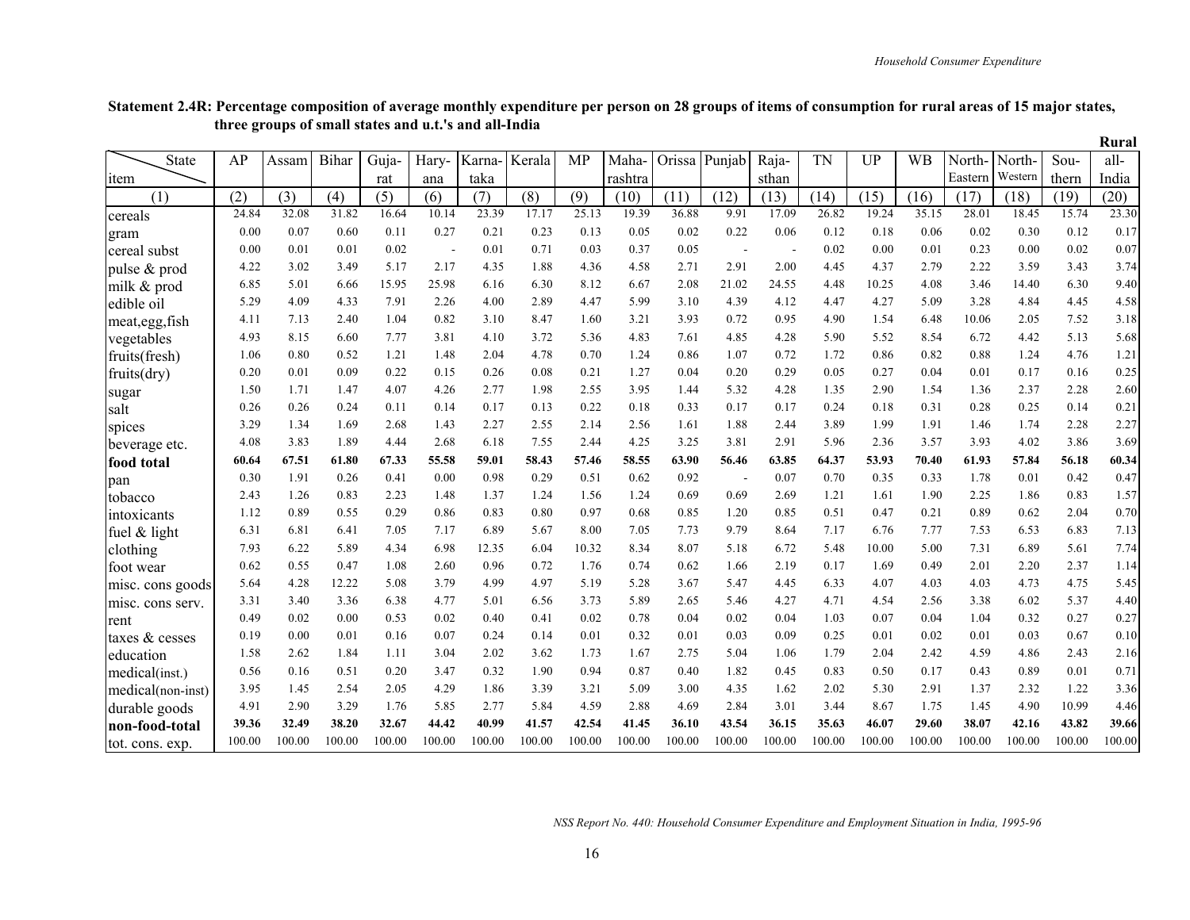|                   |        |        |        |        |        |        |        |           |         |               |        |                    |           |           |           |         |         |        | Rural  |
|-------------------|--------|--------|--------|--------|--------|--------|--------|-----------|---------|---------------|--------|--------------------|-----------|-----------|-----------|---------|---------|--------|--------|
| <b>State</b>      | AP     | Assam  | Bihar  | Guja-  | Hary-  | Karna- | Kerala | <b>MP</b> | Maha-   | Orissa Punjab |        | Raja-              | <b>TN</b> | <b>UP</b> | <b>WB</b> | North-  | North-  | Sou-   | all-   |
| ıtem              |        |        |        | rat    | ana    | taka   |        |           | rashtra |               |        | sthan              |           |           |           | Eastern | Western | thern  | India  |
| (1)               | (2)    | (3)    | (4)    | (5)    | (6)    | (7)    | (8)    | (9)       | (10)    | (11)          | (12)   | (13)               | (14)      | (15)      | (16)      | (17)    | (18)    | (19)   | (20)   |
| cereals           | 24.84  | 32.08  | 31.82  | 16.64  | 10.14  | 23.39  | 17.17  | 25.13     | 19.39   | 36.88         | 9.91   | $\overline{17.09}$ | 26.82     | 19.24     | 35.15     | 28.01   | 18.45   | 15.74  | 23.30  |
| gram              | 0.00   | 0.07   | 0.60   | 0.11   | 0.27   | 0.21   | 0.23   | 0.13      | 0.05    | 0.02          | 0.22   | 0.06               | 0.12      | 0.18      | 0.06      | 0.02    | 0.30    | 0.12   | 0.17   |
| cereal subst      | 0.00   | 0.01   | 0.01   | 0.02   |        | 0.01   | 0.71   | 0.03      | 0.37    | 0.05          | $\sim$ |                    | 0.02      | 0.00      | 0.01      | 0.23    | 0.00    | 0.02   | 0.07   |
| pulse & prod      | 4.22   | 3.02   | 3.49   | 5.17   | 2.17   | 4.35   | 1.88   | 4.36      | 4.58    | 2.71          | 2.91   | 2.00               | 4.45      | 4.37      | 2.79      | 2.22    | 3.59    | 3.43   | 3.74   |
| milk & prod       | 6.85   | 5.01   | 6.66   | 15.95  | 25.98  | 6.16   | 6.30   | 8.12      | 6.67    | 2.08          | 21.02  | 24.55              | 4.48      | 10.25     | 4.08      | 3.46    | 14.40   | 6.30   | 9.40   |
| edible oil        | 5.29   | 4.09   | 4.33   | 7.91   | 2.26   | 4.00   | 2.89   | 4.47      | 5.99    | 3.10          | 4.39   | 4.12               | 4.47      | 4.27      | 5.09      | 3.28    | 4.84    | 4.45   | 4.58   |
| meat, egg, fish   | 4.11   | 7.13   | 2.40   | 1.04   | 0.82   | 3.10   | 8.47   | 1.60      | 3.21    | 3.93          | 0.72   | 0.95               | 4.90      | 1.54      | 6.48      | 10.06   | 2.05    | 7.52   | 3.18   |
| vegetables        | 4.93   | 8.15   | 6.60   | 7.77   | 3.81   | 4.10   | 3.72   | 5.36      | 4.83    | 7.61          | 4.85   | 4.28               | 5.90      | 5.52      | 8.54      | 6.72    | 4.42    | 5.13   | 5.68   |
| fruits(fresh)     | 1.06   | 0.80   | 0.52   | 1.21   | 1.48   | 2.04   | 4.78   | 0.70      | 1.24    | 0.86          | 1.07   | 0.72               | 1.72      | 0.86      | 0.82      | 0.88    | 1.24    | 4.76   | 1.21   |
| fruits(dry)       | 0.20   | 0.01   | 0.09   | 0.22   | 0.15   | 0.26   | 0.08   | 0.21      | 1.27    | 0.04          | 0.20   | 0.29               | 0.05      | 0.27      | 0.04      | 0.01    | 0.17    | 0.16   | 0.25   |
| sugar             | 1.50   | 1.71   | 1.47   | 4.07   | 4.26   | 2.77   | 1.98   | 2.55      | 3.95    | 1.44          | 5.32   | 4.28               | 1.35      | 2.90      | 1.54      | 1.36    | 2.37    | 2.28   | 2.60   |
| salt              | 0.26   | 0.26   | 0.24   | 0.11   | 0.14   | 0.17   | 0.13   | 0.22      | 0.18    | 0.33          | 0.17   | 0.17               | 0.24      | 0.18      | 0.31      | 0.28    | 0.25    | 0.14   | 0.21   |
| spices            | 3.29   | 1.34   | 1.69   | 2.68   | 1.43   | 2.27   | 2.55   | 2.14      | 2.56    | 1.61          | 1.88   | 2.44               | 3.89      | 1.99      | 1.91      | 1.46    | 1.74    | 2.28   | 2.27   |
| beverage etc.     | 4.08   | 3.83   | 1.89   | 4.44   | 2.68   | 6.18   | 7.55   | 2.44      | 4.25    | 3.25          | 3.81   | 2.91               | 5.96      | 2.36      | 3.57      | 3.93    | 4.02    | 3.86   | 3.69   |
| food total        | 60.64  | 67.51  | 61.80  | 67.33  | 55.58  | 59.01  | 58.43  | 57.46     | 58.55   | 63.90         | 56.46  | 63.85              | 64.37     | 53.93     | 70.40     | 61.93   | 57.84   | 56.18  | 60.34  |
| pan               | 0.30   | 1.91   | 0.26   | 0.41   | 0.00   | 0.98   | 0.29   | 0.51      | 0.62    | 0.92          |        | 0.07               | 0.70      | 0.35      | 0.33      | 1.78    | 0.01    | 0.42   | 0.47   |
| tobacco           | 2.43   | 1.26   | 0.83   | 2.23   | 1.48   | 1.37   | 1.24   | 1.56      | 1.24    | 0.69          | 0.69   | 2.69               | 1.21      | 1.61      | 1.90      | 2.25    | 1.86    | 0.83   | 1.57   |
| intoxicants       | 1.12   | 0.89   | 0.55   | 0.29   | 0.86   | 0.83   | 0.80   | 0.97      | 0.68    | 0.85          | 1.20   | 0.85               | 0.51      | 0.47      | 0.21      | 0.89    | 0.62    | 2.04   | 0.70   |
| fuel $&$ light    | 6.31   | 6.81   | 6.41   | 7.05   | 7.17   | 6.89   | 5.67   | 8.00      | 7.05    | 7.73          | 9.79   | 8.64               | 7.17      | 6.76      | 7.77      | 7.53    | 6.53    | 6.83   | 7.13   |
| clothing          | 7.93   | 6.22   | 5.89   | 4.34   | 6.98   | 12.35  | 6.04   | 10.32     | 8.34    | 8.07          | 5.18   | 6.72               | 5.48      | 10.00     | 5.00      | 7.31    | 6.89    | 5.61   | 7.74   |
| foot wear         | 0.62   | 0.55   | 0.47   | 1.08   | 2.60   | 0.96   | 0.72   | 1.76      | 0.74    | 0.62          | 1.66   | 2.19               | 0.17      | 1.69      | 0.49      | 2.01    | 2.20    | 2.37   | 1.14   |
| misc. cons goods  | 5.64   | 4.28   | 12.22  | 5.08   | 3.79   | 4.99   | 4.97   | 5.19      | 5.28    | 3.67          | 5.47   | 4.45               | 6.33      | 4.07      | 4.03      | 4.03    | 4.73    | 4.75   | 5.45   |
| misc. cons serv.  | 3.31   | 3.40   | 3.36   | 6.38   | 4.77   | 5.01   | 6.56   | 3.73      | 5.89    | 2.65          | 5.46   | 4.27               | 4.71      | 4.54      | 2.56      | 3.38    | 6.02    | 5.37   | 4.40   |
| rent              | 0.49   | 0.02   | 0.00   | 0.53   | 0.02   | 0.40   | 0.41   | 0.02      | 0.78    | 0.04          | 0.02   | 0.04               | 1.03      | 0.07      | 0.04      | 1.04    | 0.32    | 0.27   | 0.27   |
| taxes & cesses    | 0.19   | 0.00   | 0.01   | 0.16   | 0.07   | 0.24   | 0.14   | 0.01      | 0.32    | 0.01          | 0.03   | 0.09               | 0.25      | 0.01      | 0.02      | 0.01    | 0.03    | 0.67   | 0.10   |
| education         | 1.58   | 2.62   | 1.84   | 1.11   | 3.04   | 2.02   | 3.62   | 1.73      | 1.67    | 2.75          | 5.04   | 1.06               | 1.79      | 2.04      | 2.42      | 4.59    | 4.86    | 2.43   | 2.16   |
| medical(inst.)    | 0.56   | 0.16   | 0.51   | 0.20   | 3.47   | 0.32   | 1.90   | 0.94      | 0.87    | 0.40          | 1.82   | 0.45               | 0.83      | 0.50      | 0.17      | 0.43    | 0.89    | 0.01   | 0.71   |
| medical(non-inst) | 3.95   | 1.45   | 2.54   | 2.05   | 4.29   | 1.86   | 3.39   | 3.21      | 5.09    | 3.00          | 4.35   | 1.62               | 2.02      | 5.30      | 2.91      | 1.37    | 2.32    | 1.22   | 3.36   |
| durable goods     | 4.91   | 2.90   | 3.29   | 1.76   | 5.85   | 2.77   | 5.84   | 4.59      | 2.88    | 4.69          | 2.84   | 3.01               | 3.44      | 8.67      | 1.75      | 1.45    | 4.90    | 10.99  | 4.46   |
| non-food-total    | 39.36  | 32.49  | 38.20  | 32.67  | 44.42  | 40.99  | 41.57  | 42.54     | 41.45   | 36.10         | 43.54  | 36.15              | 35.63     | 46.07     | 29.60     | 38.07   | 42.16   | 43.82  | 39.66  |
| tot. cons. exp.   | 100.00 | 100.00 | 100.00 | 100.00 | 100.00 | 100.00 | 100.00 | 100.00    | 100.00  | 100.00        | 100.00 | 100.00             | 100.00    | 100.00    | 100.00    | 100.00  | 100.00  | 100.00 | 100.00 |

#### **Statement 2.4R: Percentage composition of average monthly expenditure per person on 28 groups of items of consumption for rural areas of 15 major states, three groups of small states and u.t.'s and all-India**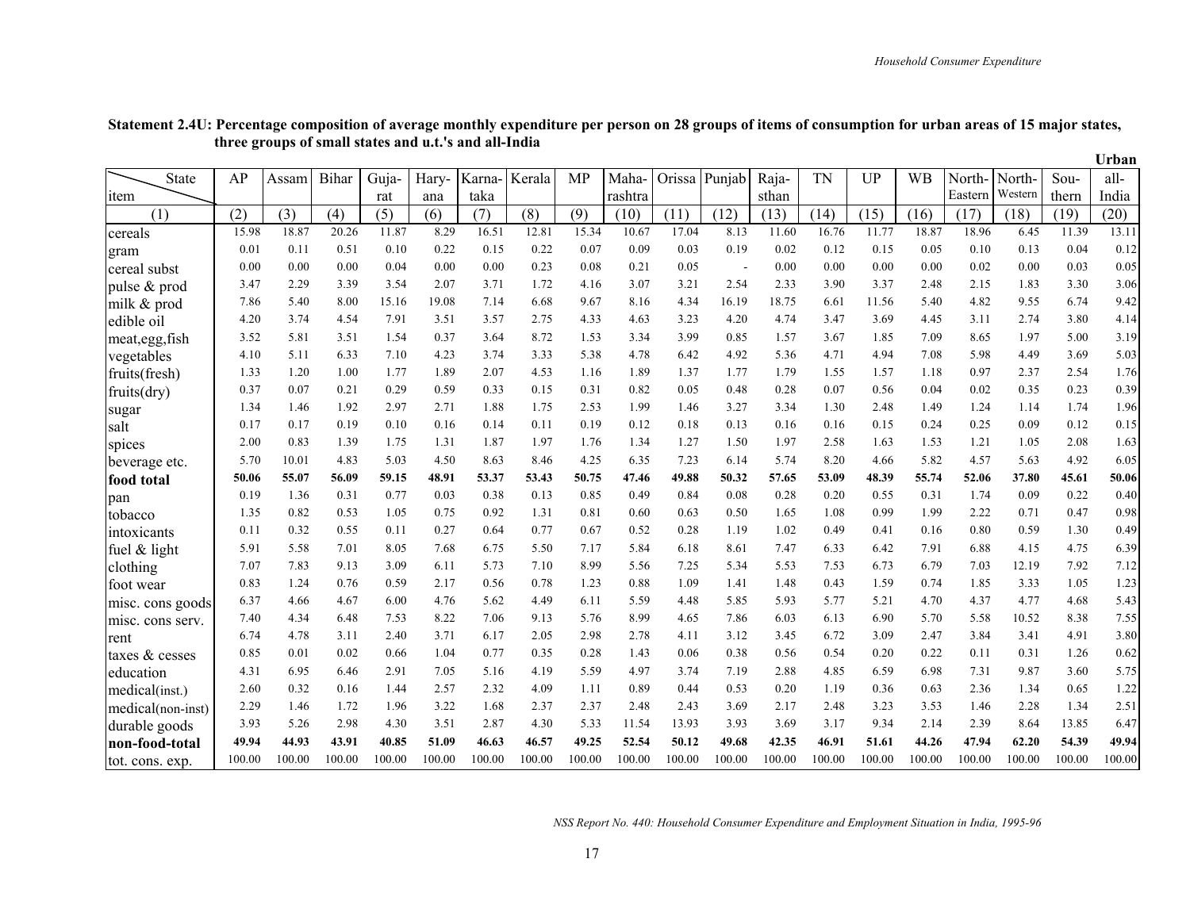|                   |        |        |        |        |        |        |        |        |         |               |                          |        |        |           |        |         |         |        | Urban  |
|-------------------|--------|--------|--------|--------|--------|--------|--------|--------|---------|---------------|--------------------------|--------|--------|-----------|--------|---------|---------|--------|--------|
| State             | AP     | Assam  | Bihar  | Guja-  | Hary-  | Karna- | Kerala | MP     | Maha-   | Orissa Punjab |                          | Raja-  | TN     | <b>UP</b> | WB     | North-  | North-  | Sou-   | all-   |
| item              |        |        |        | rat    | ana    | taka   |        |        | rashtra |               |                          | sthan  |        |           |        | Eastern | Western | thern  | India  |
| (1)               | (2)    | (3)    | (4)    | (5)    | (6)    | (7)    | (8)    | (9)    | (10)    | (11)          | (12)                     | (13)   | (14)   | (15)      | (16)   | (17)    | (18)    | (19)   | (20)   |
| cereals           | 15.98  | 18.87  | 20.26  | 11.87  | 8.29   | 16.51  | 12.81  | 15.34  | 10.67   | 17.04         | 8.13                     | 11.60  | 16.76  | 11.77     | 18.87  | 18.96   | 6.45    | 11.39  | 13.11  |
| gram              | 0.01   | 0.11   | 0.51   | 0.10   | 0.22   | 0.15   | 0.22   | 0.07   | 0.09    | 0.03          | 0.19                     | 0.02   | 0.12   | 0.15      | 0.05   | 0.10    | 0.13    | 0.04   | 0.12   |
| cereal subst      | 0.00   | 0.00   | 0.00   | 0.04   | 0.00   | 0.00   | 0.23   | 0.08   | 0.21    | 0.05          | $\overline{\phantom{a}}$ | 0.00   | 0.00   | 0.00      | 0.00   | 0.02    | 0.00    | 0.03   | 0.05   |
| pulse & prod      | 3.47   | 2.29   | 3.39   | 3.54   | 2.07   | 3.71   | 1.72   | 4.16   | 3.07    | 3.21          | 2.54                     | 2.33   | 3.90   | 3.37      | 2.48   | 2.15    | 1.83    | 3.30   | 3.06   |
| milk & prod       | 7.86   | 5.40   | 8.00   | 15.16  | 19.08  | 7.14   | 6.68   | 9.67   | 8.16    | 4.34          | 16.19                    | 18.75  | 6.61   | 11.56     | 5.40   | 4.82    | 9.55    | 6.74   | 9.42   |
| edible oil        | 4.20   | 3.74   | 4.54   | 7.91   | 3.51   | 3.57   | 2.75   | 4.33   | 4.63    | 3.23          | 4.20                     | 4.74   | 3.47   | 3.69      | 4.45   | 3.11    | 2.74    | 3.80   | 4.14   |
| meat, egg, fish   | 3.52   | 5.81   | 3.51   | 1.54   | 0.37   | 3.64   | 8.72   | 1.53   | 3.34    | 3.99          | 0.85                     | 1.57   | 3.67   | 1.85      | 7.09   | 8.65    | 1.97    | 5.00   | 3.19   |
| vegetables        | 4.10   | 5.11   | 6.33   | 7.10   | 4.23   | 3.74   | 3.33   | 5.38   | 4.78    | 6.42          | 4.92                     | 5.36   | 4.71   | 4.94      | 7.08   | 5.98    | 4.49    | 3.69   | 5.03   |
| fruits(fresh)     | 1.33   | 1.20   | 1.00   | 1.77   | 1.89   | 2.07   | 4.53   | 1.16   | 1.89    | 1.37          | 1.77                     | 1.79   | 1.55   | 1.57      | 1.18   | 0.97    | 2.37    | 2.54   | 1.76   |
| fruits(dry)       | 0.37   | 0.07   | 0.21   | 0.29   | 0.59   | 0.33   | 0.15   | 0.31   | 0.82    | 0.05          | 0.48                     | 0.28   | 0.07   | 0.56      | 0.04   | 0.02    | 0.35    | 0.23   | 0.39   |
| sugar             | 1.34   | 1.46   | 1.92   | 2.97   | 2.71   | 1.88   | 1.75   | 2.53   | 1.99    | 1.46          | 3.27                     | 3.34   | 1.30   | 2.48      | 1.49   | 1.24    | 1.14    | 1.74   | 1.96   |
| salt              | 0.17   | 0.17   | 0.19   | 0.10   | 0.16   | 0.14   | 0.11   | 0.19   | 0.12    | 0.18          | 0.13                     | 0.16   | 0.16   | 0.15      | 0.24   | 0.25    | 0.09    | 0.12   | 0.15   |
| spices            | 2.00   | 0.83   | 1.39   | 1.75   | 1.31   | 1.87   | 1.97   | 1.76   | 1.34    | 1.27          | 1.50                     | 1.97   | 2.58   | 1.63      | 1.53   | 1.21    | 1.05    | 2.08   | 1.63   |
| beverage etc.     | 5.70   | 10.01  | 4.83   | 5.03   | 4.50   | 8.63   | 8.46   | 4.25   | 6.35    | 7.23          | 6.14                     | 5.74   | 8.20   | 4.66      | 5.82   | 4.57    | 5.63    | 4.92   | 6.05   |
| food total        | 50.06  | 55.07  | 56.09  | 59.15  | 48.91  | 53.37  | 53.43  | 50.75  | 47.46   | 49.88         | 50.32                    | 57.65  | 53.09  | 48.39     | 55.74  | 52.06   | 37.80   | 45.61  | 50.06  |
| pan               | 0.19   | 1.36   | 0.31   | 0.77   | 0.03   | 0.38   | 0.13   | 0.85   | 0.49    | 0.84          | 0.08                     | 0.28   | 0.20   | 0.55      | 0.31   | 1.74    | 0.09    | 0.22   | 0.40   |
| tobacco           | 1.35   | 0.82   | 0.53   | 1.05   | 0.75   | 0.92   | 1.31   | 0.81   | 0.60    | 0.63          | 0.50                     | 1.65   | 1.08   | 0.99      | 1.99   | 2.22    | 0.71    | 0.47   | 0.98   |
| intoxicants       | 0.11   | 0.32   | 0.55   | 0.11   | 0.27   | 0.64   | 0.77   | 0.67   | 0.52    | 0.28          | 1.19                     | 1.02   | 0.49   | 0.41      | 0.16   | 0.80    | 0.59    | 1.30   | 0.49   |
| fuel $&$ light    | 5.91   | 5.58   | 7.01   | 8.05   | 7.68   | 6.75   | 5.50   | 7.17   | 5.84    | 6.18          | 8.61                     | 7.47   | 6.33   | 6.42      | 7.91   | 6.88    | 4.15    | 4.75   | 6.39   |
| clothing          | 7.07   | 7.83   | 9.13   | 3.09   | 6.11   | 5.73   | 7.10   | 8.99   | 5.56    | 7.25          | 5.34                     | 5.53   | 7.53   | 6.73      | 6.79   | 7.03    | 12.19   | 7.92   | 7.12   |
| foot wear         | 0.83   | 1.24   | 0.76   | 0.59   | 2.17   | 0.56   | 0.78   | 1.23   | 0.88    | 1.09          | 1.41                     | 1.48   | 0.43   | 1.59      | 0.74   | 1.85    | 3.33    | 1.05   | 1.23   |
| misc. cons goods  | 6.37   | 4.66   | 4.67   | 6.00   | 4.76   | 5.62   | 4.49   | 6.11   | 5.59    | 4.48          | 5.85                     | 5.93   | 5.77   | 5.21      | 4.70   | 4.37    | 4.77    | 4.68   | 5.43   |
| misc. cons serv.  | 7.40   | 4.34   | 6.48   | 7.53   | 8.22   | 7.06   | 9.13   | 5.76   | 8.99    | 4.65          | 7.86                     | 6.03   | 6.13   | 6.90      | 5.70   | 5.58    | 10.52   | 8.38   | 7.55   |
| rent              | 6.74   | 4.78   | 3.11   | 2.40   | 3.71   | 6.17   | 2.05   | 2.98   | 2.78    | 4.11          | 3.12                     | 3.45   | 6.72   | 3.09      | 2.47   | 3.84    | 3.41    | 4.91   | 3.80   |
| taxes & cesses    | 0.85   | 0.01   | 0.02   | 0.66   | 1.04   | 0.77   | 0.35   | 0.28   | 1.43    | 0.06          | 0.38                     | 0.56   | 0.54   | 0.20      | 0.22   | 0.11    | 0.31    | 1.26   | 0.62   |
| education         | 4.31   | 6.95   | 6.46   | 2.91   | 7.05   | 5.16   | 4.19   | 5.59   | 4.97    | 3.74          | 7.19                     | 2.88   | 4.85   | 6.59      | 6.98   | 7.31    | 9.87    | 3.60   | 5.75   |
| medical(inst.)    | 2.60   | 0.32   | 0.16   | 1.44   | 2.57   | 2.32   | 4.09   | 1.11   | 0.89    | 0.44          | 0.53                     | 0.20   | 1.19   | 0.36      | 0.63   | 2.36    | 1.34    | 0.65   | 1.22   |
| medical(non-inst) | 2.29   | 1.46   | 1.72   | 1.96   | 3.22   | 1.68   | 2.37   | 2.37   | 2.48    | 2.43          | 3.69                     | 2.17   | 2.48   | 3.23      | 3.53   | 1.46    | 2.28    | 1.34   | 2.51   |
| durable goods     | 3.93   | 5.26   | 2.98   | 4.30   | 3.51   | 2.87   | 4.30   | 5.33   | 11.54   | 13.93         | 3.93                     | 3.69   | 3.17   | 9.34      | 2.14   | 2.39    | 8.64    | 13.85  | 6.47   |
| non-food-total    | 49.94  | 44.93  | 43.91  | 40.85  | 51.09  | 46.63  | 46.57  | 49.25  | 52.54   | 50.12         | 49.68                    | 42.35  | 46.91  | 51.61     | 44.26  | 47.94   | 62.20   | 54.39  | 49.94  |
| tot. cons. exp.   | 100.00 | 100.00 | 100.00 | 100.00 | 100.00 | 100.00 | 100.00 | 100.00 | 100.00  | 100.00        | 100.00                   | 100.00 | 100.00 | 100.00    | 100.00 | 100.00  | 100.00  | 100.00 | 100.00 |

#### **Statement 2.4U: Percentage composition of average monthly expenditure per person on 28 groups of items of consumption for urban areas of 15 major states, three groups of small states and u.t.'s and all-India**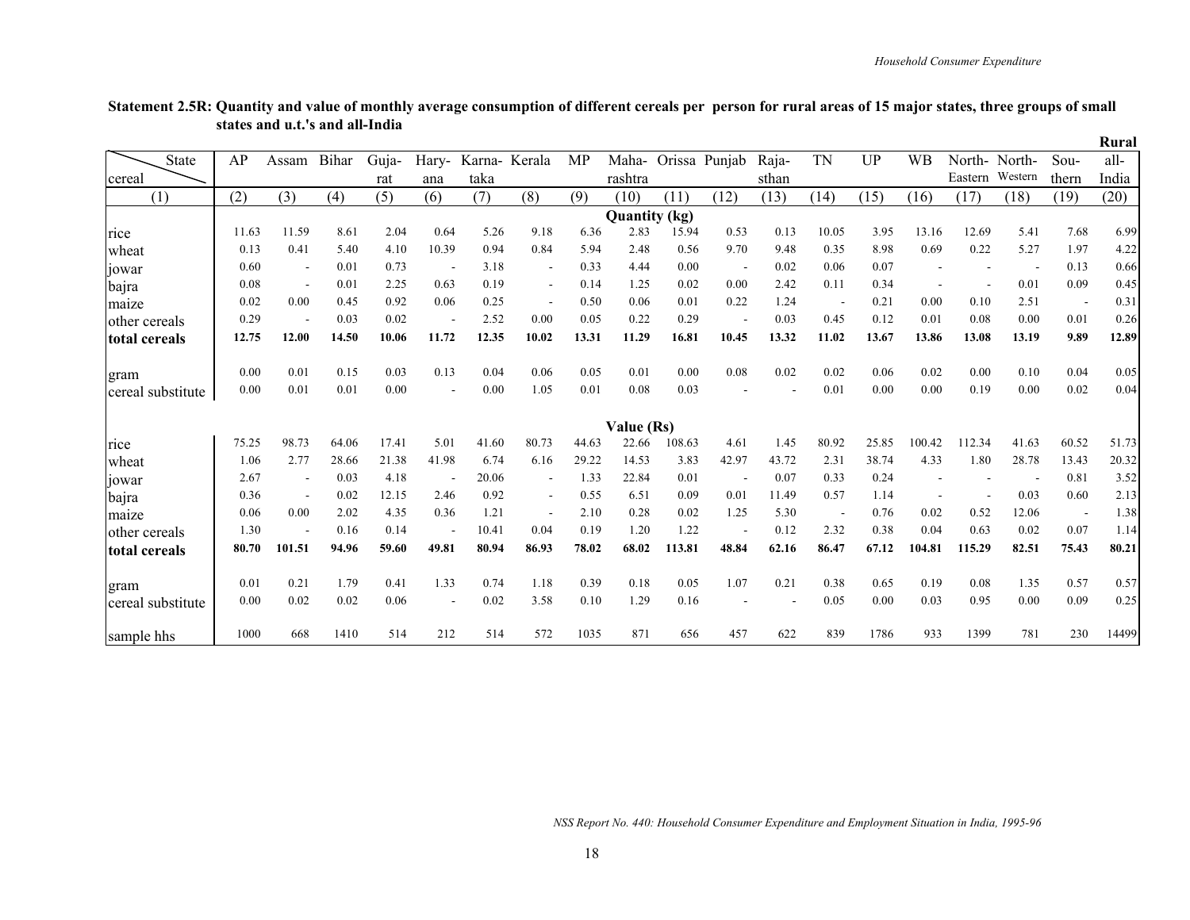|                   |       |                          |       |       |                          |       |                          |       |                      |        |                          |       |           |           |                          |         |         |       | Rural |
|-------------------|-------|--------------------------|-------|-------|--------------------------|-------|--------------------------|-------|----------------------|--------|--------------------------|-------|-----------|-----------|--------------------------|---------|---------|-------|-------|
| <b>State</b>      | AP    | Assam                    | Bihar | Guja- | Hary-                    |       | Karna-Kerala             | MP    | Maha-                |        | Orissa Punjab            | Raja- | <b>TN</b> | <b>UP</b> | <b>WB</b>                | North-  | North-  | Sou-  | all-  |
| cereal            |       |                          |       | rat   | ana                      | taka  |                          |       | rashtra              |        |                          | sthan |           |           |                          | Eastern | Western | thern | India |
| (1)               | (2)   | (3)                      | (4)   | (5)   | (6)                      | (7)   | (8)                      | (9)   | (10)                 | (11)   | (12)                     | (13)  | (14)      | (15)      | (16)                     | (17)    | (18)    | (19)  | (20)  |
|                   |       |                          |       |       |                          |       |                          |       | <b>Quantity</b> (kg) |        |                          |       |           |           |                          |         |         |       |       |
| rice              | 11.63 | 11.59                    | 8.61  | 2.04  | 0.64                     | 5.26  | 9.18                     | 6.36  | 2.83                 | 15.94  | 0.53                     | 0.13  | 10.05     | 3.95      | 13.16                    | 12.69   | 5.41    | 7.68  | 6.99  |
| wheat             | 0.13  | 0.41                     | 5.40  | 4.10  | 10.39                    | 0.94  | 0.84                     | 5.94  | 2.48                 | 0.56   | 9.70                     | 9.48  | 0.35      | 8.98      | 0.69                     | 0.22    | 5.27    | 1.97  | 4.22  |
| jowar             | 0.60  | $\overline{\phantom{a}}$ | 0.01  | 0.73  |                          | 3.18  | $\overline{\phantom{a}}$ | 0.33  | 4.44                 | 0.00   | $\overline{\phantom{a}}$ | 0.02  | 0.06      | 0.07      |                          |         |         | 0.13  | 0.66  |
| bajra             | 0.08  | $\overline{\phantom{a}}$ | 0.01  | 2.25  | 0.63                     | 0.19  | $\blacksquare$           | 0.14  | 1.25                 | 0.02   | 0.00                     | 2.42  | 0.11      | 0.34      |                          |         | 0.01    | 0.09  | 0.45  |
| maize             | 0.02  | 0.00                     | 0.45  | 0.92  | 0.06                     | 0.25  | $\overline{\phantom{a}}$ | 0.50  | 0.06                 | 0.01   | 0.22                     | 1.24  |           | 0.21      | 0.00                     | 0.10    | 2.51    |       | 0.31  |
| other cereals     | 0.29  | $\overline{\phantom{a}}$ | 0.03  | 0.02  | $\overline{\phantom{a}}$ | 2.52  | 0.00                     | 0.05  | 0.22                 | 0.29   | $\overline{\phantom{a}}$ | 0.03  | 0.45      | 0.12      | 0.01                     | 0.08    | 0.00    | 0.01  | 0.26  |
| total cereals     | 12.75 | 12.00                    | 14.50 | 10.06 | 11.72                    | 12.35 | 10.02                    | 13.31 | 11.29                | 16.81  | 10.45                    | 13.32 | 11.02     | 13.67     | 13.86                    | 13.08   | 13.19   | 9.89  | 12.89 |
| gram              | 0.00  | 0.01                     | 0.15  | 0.03  | 0.13                     | 0.04  | 0.06                     | 0.05  | 0.01                 | 0.00   | 0.08                     | 0.02  | 0.02      | 0.06      | 0.02                     | 0.00    | 0.10    | 0.04  | 0.05  |
| cereal substitute | 0.00  | 0.01                     | 0.01  | 0.00  |                          | 0.00  | 1.05                     | 0.01  | 0.08                 | 0.03   |                          |       | 0.01      | 0.00      | 0.00                     | 0.19    | 0.00    | 0.02  | 0.04  |
|                   |       |                          |       |       |                          |       |                          |       | Value (Rs)           |        |                          |       |           |           |                          |         |         |       |       |
| rice              | 75.25 | 98.73                    | 64.06 | 17.41 | 5.01                     | 41.60 | 80.73                    | 44.63 | 22.66                | 108.63 | 4.61                     | 1.45  | 80.92     | 25.85     | 100.42                   | 112.34  | 41.63   | 60.52 | 51.73 |
| wheat             | 1.06  | 2.77                     | 28.66 | 21.38 | 41.98                    | 6.74  | 6.16                     | 29.22 | 14.53                | 3.83   | 42.97                    | 43.72 | 2.31      | 38.74     | 4.33                     | 1.80    | 28.78   | 13.43 | 20.32 |
| jowar             | 2.67  | $\overline{\phantom{a}}$ | 0.03  | 4.18  |                          | 20.06 |                          | 1.33  | 22.84                | 0.01   | $\overline{\phantom{a}}$ | 0.07  | 0.33      | 0.24      |                          |         |         | 0.81  | 3.52  |
| bajra             | 0.36  | $\overline{\phantom{a}}$ | 0.02  | 12.15 | 2.46                     | 0.92  | $\blacksquare$           | 0.55  | 6.51                 | 0.09   | 0.01                     | 11.49 | 0.57      | 1.14      | $\overline{\phantom{a}}$ |         | 0.03    | 0.60  | 2.13  |
| maize             | 0.06  | 0.00                     | 2.02  | 4.35  | 0.36                     | 1.21  |                          | 2.10  | 0.28                 | 0.02   | 1.25                     | 5.30  |           | 0.76      | 0.02                     | 0.52    | 12.06   |       | 1.38  |
| other cereals     | 1.30  | $\overline{\phantom{a}}$ | 0.16  | 0.14  |                          | 10.41 | 0.04                     | 0.19  | 1.20                 | 1.22   |                          | 0.12  | 2.32      | 0.38      | 0.04                     | 0.63    | 0.02    | 0.07  | 1.14  |
| total cereals     | 80.70 | 101.51                   | 94.96 | 59.60 | 49.81                    | 80.94 | 86.93                    | 78.02 | 68.02                | 113.81 | 48.84                    | 62.16 | 86.47     | 67.12     | 104.81                   | 115.29  | 82.51   | 75.43 | 80.21 |
| gram              | 0.01  | 0.21                     | 1.79  | 0.41  | 1.33                     | 0.74  | 1.18                     | 0.39  | 0.18                 | 0.05   | 1.07                     | 0.21  | 0.38      | 0.65      | 0.19                     | 0.08    | 1.35    | 0.57  | 0.57  |
| cereal substitute | 0.00  | 0.02                     | 0.02  | 0.06  | $\blacksquare$           | 0.02  | 3.58                     | 0.10  | 1.29                 | 0.16   |                          |       | 0.05      | 0.00      | 0.03                     | 0.95    | 0.00    | 0.09  | 0.25  |
| sample hhs        | 1000  | 668                      | 1410  | 514   | 212                      | 514   | 572                      | 1035  | 871                  | 656    | 457                      | 622   | 839       | 1786      | 933                      | 1399    | 781     | 230   | 14499 |

#### **Statement 2.5R: Quantity and value of monthly average consumption of different cereals per person for rural areas of 15 major states, three groups of small states and u.t.'s and all-India**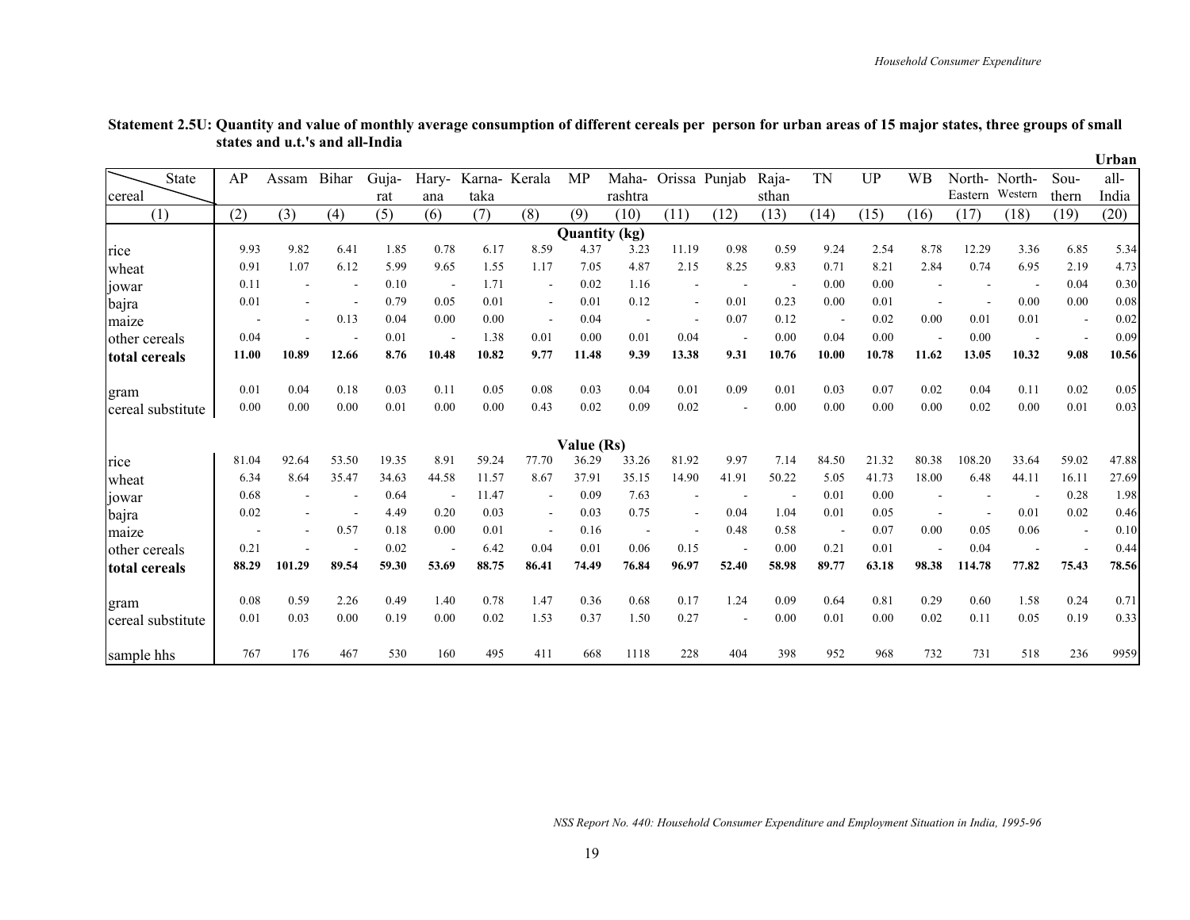|               |                   |       |                          |       |       |       |        |                          |                      |                          |                          |                          |       |                          |       |           |         |         |        | Urban |
|---------------|-------------------|-------|--------------------------|-------|-------|-------|--------|--------------------------|----------------------|--------------------------|--------------------------|--------------------------|-------|--------------------------|-------|-----------|---------|---------|--------|-------|
|               | <b>State</b>      | AP    | Assam                    | Bihar | Guja- | Hary- | Karna- | Kerala                   | MP                   | Maha-                    |                          | Orissa Punjab            | Raja- | <b>TN</b>                | UP    | <b>WB</b> | North-  | North-  | $Sou-$ | all-  |
| cereal        |                   |       |                          |       | rat   | ana   | taka   |                          |                      | rashtra                  |                          |                          | sthan |                          |       |           | Eastern | Western | thern  | India |
|               | (1)               | (2)   | (3)                      | (4)   | (5)   | (6)   | (7)    | (8)                      | (9)                  | (10)                     | (11)                     | (12)                     | (13)  | (14)                     | (15)  | (16)      | (17)    | (18)    | (19)   | (20)  |
|               |                   |       |                          |       |       |       |        |                          | <b>Quantity</b> (kg) |                          |                          |                          |       |                          |       |           |         |         |        |       |
| rice          |                   | 9.93  | 9.82                     | 6.41  | 1.85  | 0.78  | 6.17   | 8.59                     | 4.37                 | 3.23                     | 11.19                    | 0.98                     | 0.59  | 9.24                     | 2.54  | 8.78      | 12.29   | 3.36    | 6.85   | 5.34  |
| wheat         |                   | 0.91  | 1.07                     | 6.12  | 5.99  | 9.65  | 1.55   | 1.17                     | 7.05                 | 4.87                     | 2.15                     | 8.25                     | 9.83  | 0.71                     | 8.21  | 2.84      | 0.74    | 6.95    | 2.19   | 4.73  |
| 10war         |                   | 0.11  |                          |       | 0.10  |       | 1.71   | $\blacksquare$           | 0.02                 | 1.16                     | $\blacksquare$           |                          |       | 0.00                     | 0.00  |           |         |         | 0.04   | 0.30  |
| bajra         |                   | 0.01  |                          |       | 0.79  | 0.05  | 0.01   | $\overline{\phantom{a}}$ | 0.01                 | 0.12                     | $\overline{\phantom{a}}$ | 0.01                     | 0.23  | 0.00                     | 0.01  |           |         | 0.00    | 0.00   | 0.08  |
| maize         |                   |       | $\overline{\phantom{a}}$ | 0.13  | 0.04  | 0.00  | 0.00   | $\overline{\phantom{a}}$ | 0.04                 | $\overline{\phantom{a}}$ | $\overline{\phantom{a}}$ | 0.07                     | 0.12  | $\overline{\phantom{a}}$ | 0.02  | 0.00      | 0.01    | 0.01    |        | 0.02  |
| other cereals |                   | 0.04  |                          |       | 0.01  |       | 1.38   | 0.01                     | 0.00                 | 0.01                     | 0.04                     | $\overline{\phantom{a}}$ | 0.00  | 0.04                     | 0.00  |           | 0.00    |         |        | 0.09  |
| total cereals |                   | 11.00 | 10.89                    | 12.66 | 8.76  | 10.48 | 10.82  | 9.77                     | 11.48                | 9.39                     | 13.38                    | 9.31                     | 10.76 | 10.00                    | 10.78 | 11.62     | 13.05   | 10.32   | 9.08   | 10.56 |
| gram          |                   | 0.01  | 0.04                     | 0.18  | 0.03  | 0.11  | 0.05   | 0.08                     | 0.03                 | 0.04                     | 0.01                     | 0.09                     | 0.01  | 0.03                     | 0.07  | 0.02      | 0.04    | 0.11    | 0.02   | 0.05  |
|               | cereal substitute | 0.00  | 0.00                     | 0.00  | 0.01  | 0.00  | 0.00   | 0.43                     | 0.02                 | 0.09                     | 0.02                     |                          | 0.00  | 0.00                     | 0.00  | 0.00      | 0.02    | 0.00    | 0.01   | 0.03  |
|               |                   |       |                          |       |       |       |        |                          | Value (Rs)           |                          |                          |                          |       |                          |       |           |         |         |        |       |
| rice          |                   | 81.04 | 92.64                    | 53.50 | 19.35 | 8.91  | 59.24  | 77.70                    | 36.29                | 33.26                    | 81.92                    | 9.97                     | 7.14  | 84.50                    | 21.32 | 80.38     | 108.20  | 33.64   | 59.02  | 47.88 |
| wheat         |                   | 6.34  | 8.64                     | 35.47 | 34.63 | 44.58 | 11.57  | 8.67                     | 37.91                | 35.15                    | 14.90                    | 41.91                    | 50.22 | 5.05                     | 41.73 | 18.00     | 6.48    | 44.11   | 16.11  | 27.69 |
| jowar         |                   | 0.68  |                          |       | 0.64  |       | 11.47  | $\overline{\phantom{a}}$ | 0.09                 | 7.63                     | $\overline{\phantom{a}}$ |                          |       | 0.01                     | 0.00  |           |         |         | 0.28   | 1.98  |
| bajra         |                   | 0.02  |                          |       | 4.49  | 0.20  | 0.03   | $\blacksquare$           | 0.03                 | 0.75                     | $\overline{\phantom{a}}$ | 0.04                     | 1.04  | 0.01                     | 0.05  |           |         | 0.01    | 0.02   | 0.46  |
| maize         |                   |       |                          | 0.57  | 0.18  | 0.00  | 0.01   | $\overline{\phantom{a}}$ | 0.16                 | $\overline{\phantom{a}}$ |                          | 0.48                     | 0.58  | $\overline{\phantom{a}}$ | 0.07  | 0.00      | 0.05    | 0.06    |        | 0.10  |
| other cereals |                   | 0.21  |                          |       | 0.02  |       | 6.42   | 0.04                     | 0.01                 | 0.06                     | 0.15                     |                          | 0.00  | 0.21                     | 0.01  |           | 0.04    |         |        | 0.44  |
| total cereals |                   | 88.29 | 101.29                   | 89.54 | 59.30 | 53.69 | 88.75  | 86.41                    | 74.49                | 76.84                    | 96.97                    | 52.40                    | 58.98 | 89.77                    | 63.18 | 98.38     | 114.78  | 77.82   | 75.43  | 78.56 |
| gram          |                   | 0.08  | 0.59                     | 2.26  | 0.49  | 1.40  | 0.78   | 1.47                     | 0.36                 | 0.68                     | 0.17                     | 1.24                     | 0.09  | 0.64                     | 0.81  | 0.29      | 0.60    | 1.58    | 0.24   | 0.71  |
|               | cereal substitute | 0.01  | 0.03                     | 0.00  | 0.19  | 0.00  | 0.02   | 1.53                     | 0.37                 | 1.50                     | 0.27                     | $\blacksquare$           | 0.00  | 0.01                     | 0.00  | 0.02      | 0.11    | 0.05    | 0.19   | 0.33  |
| sample hhs    |                   | 767   | 176                      | 467   | 530   | 160   | 495    | 411                      | 668                  | 1118                     | 228                      | 404                      | 398   | 952                      | 968   | 732       | 731     | 518     | 236    | 9959  |

#### **Statement 2.5U: Quantity and value of monthly average consumption of different cereals per person for urban areas of 15 major states, three groups of small states and u.t.'s and all-India**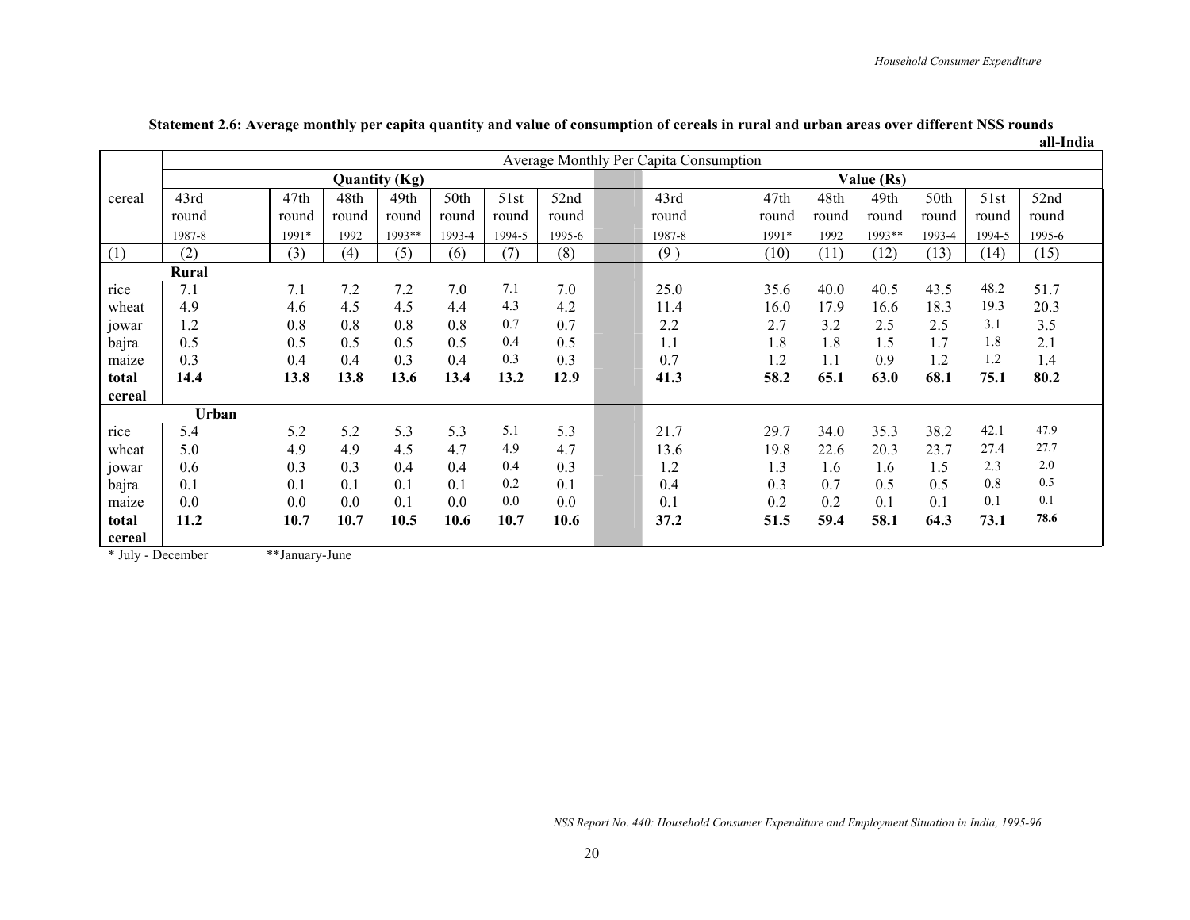|        |        |       |       |                      |        |        |         |                                        |       |       |            |        |        | an-muna |
|--------|--------|-------|-------|----------------------|--------|--------|---------|----------------------------------------|-------|-------|------------|--------|--------|---------|
|        |        |       |       |                      |        |        |         | Average Monthly Per Capita Consumption |       |       |            |        |        |         |
|        |        |       |       | <b>Quantity (Kg)</b> |        |        |         |                                        |       |       | Value (Rs) |        |        |         |
| cereal | 43rd   | 47th  | 48th  | 49th                 | 50th   | 51st   | 52nd    | 43rd                                   | 47th  | 48th  | 49th       | 50th   | 51st   | 52nd    |
|        | round  | round | round | round                | round  | round  | round   | round                                  | round | round | round      | round  | round  | round   |
|        | 1987-8 | 1991* | 1992  | 1993**               | 1993-4 | 1994-5 | 1995-6  | 1987-8                                 | 1991* | 1992  | 1993**     | 1993-4 | 1994-5 | 1995-6  |
| (1)    | (2)    | (3)   | (4)   | (5)                  | (6)    | (7)    | (8)     | (9)                                    | (10)  | (11)  | (12)       | (13)   | (14)   | (15)    |
|        | Rural  |       |       |                      |        |        |         |                                        |       |       |            |        |        |         |
| rice   | 7.1    | 7.1   | 7.2   | 7.2                  | 7.0    | 7.1    | 7.0     | 25.0                                   | 35.6  | 40.0  | 40.5       | 43.5   | 48.2   | 51.7    |
| wheat  | 4.9    | 4.6   | 4.5   | 4.5                  | 4.4    | 4.3    | 4.2     | 11.4                                   | 16.0  | 17.9  | 16.6       | 18.3   | 19.3   | 20.3    |
| jowar  | 1.2    | 0.8   | 0.8   | 0.8                  | 0.8    | 0.7    | 0.7     | 2.2                                    | 2.7   | 3.2   | 2.5        | 2.5    | 3.1    | 3.5     |
| bajra  | 0.5    | 0.5   | 0.5   | 0.5                  | 0.5    | 0.4    | 0.5     | 1.1                                    | 1.8   | 1.8   | 1.5        | 1.7    | 1.8    | 2.1     |
| maize  | 0.3    | 0.4   | 0.4   | 0.3                  | 0.4    | 0.3    | 0.3     | 0.7                                    | 1.2   | 1.1   | 0.9        | 1.2    | 1.2    | 1.4     |
| total  | 14.4   | 13.8  | 13.8  | 13.6                 | 13.4   | 13.2   | 12.9    | 41.3                                   | 58.2  | 65.1  | 63.0       | 68.1   | 75.1   | 80.2    |
| cereal |        |       |       |                      |        |        |         |                                        |       |       |            |        |        |         |
|        | Urban  |       |       |                      |        |        |         |                                        |       |       |            |        |        |         |
| rice   | 5.4    | 5.2   | 5.2   | 5.3                  | 5.3    | 5.1    | 5.3     | 21.7                                   | 29.7  | 34.0  | 35.3       | 38.2   | 42.1   | 47.9    |
| wheat  | 5.0    | 4.9   | 4.9   | 4.5                  | 4.7    | 4.9    | 4.7     | 13.6                                   | 19.8  | 22.6  | 20.3       | 23.7   | 27.4   | 27.7    |
| jowar  | 0.6    | 0.3   | 0.3   | 0.4                  | 0.4    | 0.4    | 0.3     | 1.2                                    | 1.3   | 1.6   | 1.6        | 1.5    | 2.3    | 2.0     |
| bajra  | 0.1    | 0.1   | 0.1   | 0.1                  | 0.1    | 0.2    | 0.1     | 0.4                                    | 0.3   | 0.7   | 0.5        | 0.5    | 0.8    | 0.5     |
| maize  | 0.0    | 0.0   | 0.0   | 0.1                  | 0.0    | 0.0    | $0.0\,$ | 0.1                                    | 0.2   | 0.2   | 0.1        | 0.1    | 0.1    | 0.1     |
| total  | 11.2   | 10.7  | 10.7  | 10.5                 | 10.6   | 10.7   | 10.6    | 37.2                                   | 51.5  | 59.4  | 58.1       | 64.3   | 73.1   | 78.6    |
| cereal |        |       |       |                      |        |        |         |                                        |       |       |            |        |        |         |

#### **Statement 2.6: Average monthly per capita quantity and value of consumption of cereals in rural and urban areas over different NSS rounds all-India**

\* July - December \*\*January-June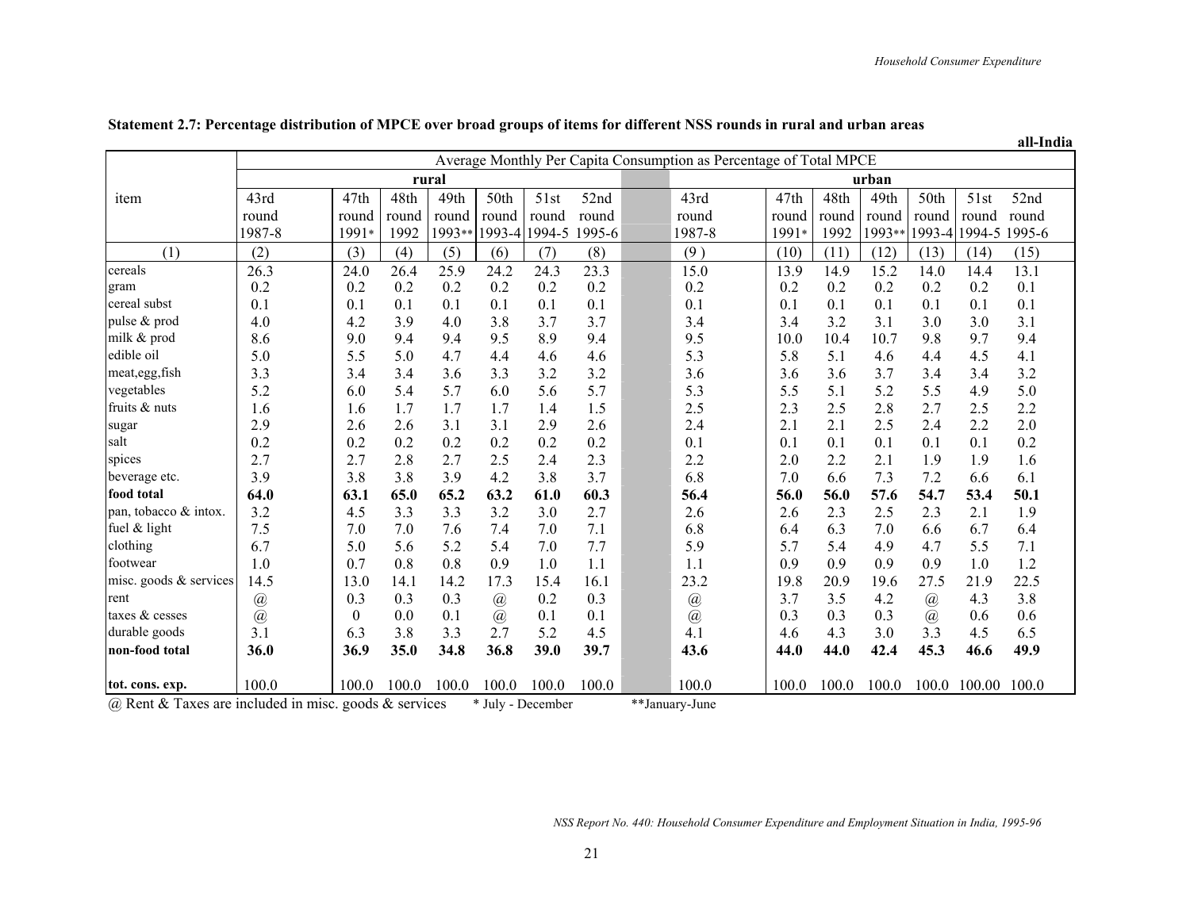**all-India**

|                        |                                      |                  |       |        |          |        |        |                               | Average Monthly Per Capita Consumption as Percentage of Total MPCE |       |       |        |             |                      |       |
|------------------------|--------------------------------------|------------------|-------|--------|----------|--------|--------|-------------------------------|--------------------------------------------------------------------|-------|-------|--------|-------------|----------------------|-------|
|                        |                                      |                  |       | rural  |          |        |        |                               |                                                                    |       |       | urban  |             |                      |       |
| item                   | 43rd                                 | 47th             | 48th  | 49th   | 50th     | 51st   | 52nd   |                               | 43rd                                                               | 47th  | 48th  | 49th   | 50th        | 51st                 | 52nd  |
|                        | round                                | round            | round | round  | round    | round  | round  |                               | round                                                              | round | round | round  | round       | round                | round |
|                        | 1987-8                               | 1991*            | 1992  | 1993** | 1993-4   | 1994-5 | 1995-6 |                               | 1987-8                                                             | 1991* | 1992  | 1993** |             | 1993-4 1994-5 1995-6 |       |
| (1)                    | (2)                                  | (3)              | (4)   | (5)    | (6)      | (7)    | (8)    |                               | (9)                                                                | (10)  | (11)  | (12)   | (13)        | (14)                 | (15)  |
| cereals                | 26.3                                 | 24.0             | 26.4  | 25.9   | 24.2     | 24.3   | 23.3   |                               | 15.0                                                               | 13.9  | 14.9  | 15.2   | 14.0        | 14.4                 | 13.1  |
| gram                   | 0.2                                  | 0.2              | 0.2   | 0.2    | 0.2      | 0.2    | 0.2    |                               | 0.2                                                                | 0.2   | 0.2   | 0.2    | 0.2         | 0.2                  | 0.1   |
| cereal subst           | 0.1                                  | 0.1              | 0.1   | 0.1    | 0.1      | 0.1    | 0.1    |                               | 0.1                                                                | 0.1   | 0.1   | 0.1    | 0.1         | 0.1                  | 0.1   |
| pulse & prod           | 4.0                                  | 4.2              | 3.9   | 4.0    | 3.8      | 3.7    | 3.7    |                               | 3.4                                                                | 3.4   | 3.2   | 3.1    | 3.0         | 3.0                  | 3.1   |
| milk & prod            | 8.6                                  | 9.0              | 9.4   | 9.4    | 9.5      | 8.9    | 9.4    |                               | 9.5                                                                | 10.0  | 10.4  | 10.7   | 9.8         | 9.7                  | 9.4   |
| edible oil             | 5.0                                  | 5.5              | 5.0   | 4.7    | 4.4      | 4.6    | 4.6    |                               | 5.3                                                                | 5.8   | 5.1   | 4.6    | 4.4         | 4.5                  | 4.1   |
| meat, egg, fish        | 3.3                                  | 3.4              | 3.4   | 3.6    | 3.3      | 3.2    | 3.2    |                               | 3.6                                                                | 3.6   | 3.6   | 3.7    | 3.4         | 3.4                  | 3.2   |
| vegetables             | 5.2                                  | 6.0              | 5.4   | 5.7    | 6.0      | 5.6    | 5.7    |                               | 5.3                                                                | 5.5   | 5.1   | 5.2    | 5.5         | 4.9                  | 5.0   |
| fruits & nuts          | 1.6                                  | 1.6              | 1.7   | 1.7    | 1.7      | 1.4    | 1.5    |                               | 2.5                                                                | 2.3   | 2.5   | 2.8    | 2.7         | 2.5                  | 2.2   |
| sugar                  | 2.9                                  | 2.6              | 2.6   | 3.1    | 3.1      | 2.9    | 2.6    |                               | 2.4                                                                | 2.1   | 2.1   | 2.5    | 2.4         | 2.2                  | 2.0   |
| salt                   | 0.2                                  | 0.2              | 0.2   | 0.2    | 0.2      | 0.2    | 0.2    |                               | 0.1                                                                | 0.1   | 0.1   | 0.1    | 0.1         | 0.1                  | 0.2   |
| spices                 | 2.7                                  | 2.7              | 2.8   | 2.7    | 2.5      | 2.4    | 2.3    |                               | 2.2                                                                | 2.0   | 2.2   | 2.1    | 1.9         | 1.9                  | 1.6   |
| beverage etc.          | 3.9                                  | 3.8              | 3.8   | 3.9    | 4.2      | 3.8    | 3.7    |                               | 6.8                                                                | 7.0   | 6.6   | 7.3    | 7.2         | 6.6                  | 6.1   |
| food total             | 64.0                                 | 63.1             | 65.0  | 65.2   | 63.2     | 61.0   | 60.3   |                               | 56.4                                                               | 56.0  | 56.0  | 57.6   | 54.7        | 53.4                 | 50.1  |
| pan, tobacco & intox.  | 3.2                                  | 4.5              | 3.3   | 3.3    | 3.2      | 3.0    | 2.7    |                               | 2.6                                                                | 2.6   | 2.3   | 2.5    | 2.3         | 2.1                  | 1.9   |
| fuel & light           | 7.5                                  | 7.0              | 7.0   | 7.6    | 7.4      | 7.0    | 7.1    |                               | 6.8                                                                | 6.4   | 6.3   | 7.0    | 6.6         | 6.7                  | 6.4   |
| clothing               | 6.7                                  | 5.0              | 5.6   | 5.2    | 5.4      | 7.0    | 7.7    |                               | 5.9                                                                | 5.7   | 5.4   | 4.9    | 4.7         | 5.5                  | 7.1   |
| footwear               | 1.0                                  | 0.7              | 0.8   | 0.8    | 0.9      | 1.0    | 1.1    |                               | 1.1                                                                | 0.9   | 0.9   | 0.9    | 0.9         | 1.0                  | 1.2   |
| misc. goods & services | 14.5                                 | 13.0             | 14.1  | 14.2   | 17.3     | 15.4   | 16.1   |                               | 23.2                                                               | 19.8  | 20.9  | 19.6   | 27.5        | 21.9                 | 22.5  |
| rent                   | @                                    | 0.3              | 0.3   | 0.3    | @        | 0.2    | 0.3    |                               | $^\text{\textregistered}$                                          | 3.7   | 3.5   | 4.2    | @           | 4.3                  | 3.8   |
| taxes & cesses         | @                                    | $\theta$         | 0.0   | 0.1    | @        | 0.1    | 0.1    |                               | $\circleda$                                                        | 0.3   | 0.3   | 0.3    | $\circleda$ | 0.6                  | 0.6   |
| durable goods          | 3.1                                  | 6.3              | 3.8   | 3.3    | 2.7      | 5.2    | 4.5    |                               | 4.1                                                                | 4.6   | 4.3   | 3.0    | 3.3         | 4.5                  | 6.5   |
| non-food total         | 36.0                                 | 36.9             | 35.0  | 34.8   | 36.8     | 39.0   | 39.7   |                               | 43.6                                                               | 44.0  | 44.0  | 42.4   | 45.3        | 46.6                 | 49.9  |
| tot. cons. exp.        | 100.0                                | 100.0            | 100.0 | 100.0  | 100.0    | 100.0  | 100.0  |                               | 100.0                                                              | 100.0 | 100.0 | 100.0  | 100.0       | 100.00               | 100.0 |
| $CD = 0$               | a colored to a first and the costale | $   1 - 0$ $  -$ |       |        | $+1$ n 1 |        |        | $\mathbf{L} \cdot \mathbf{L}$ | $\mathbf{r}$                                                       |       |       |        |             |                      |       |

#### **Statement 2.7: Percentage distribution of MPCE over broad groups of items for different NSS rounds in rural and urban areas**

@ Rent & Taxes are included in misc. goods & services \* July - December \*\*January-June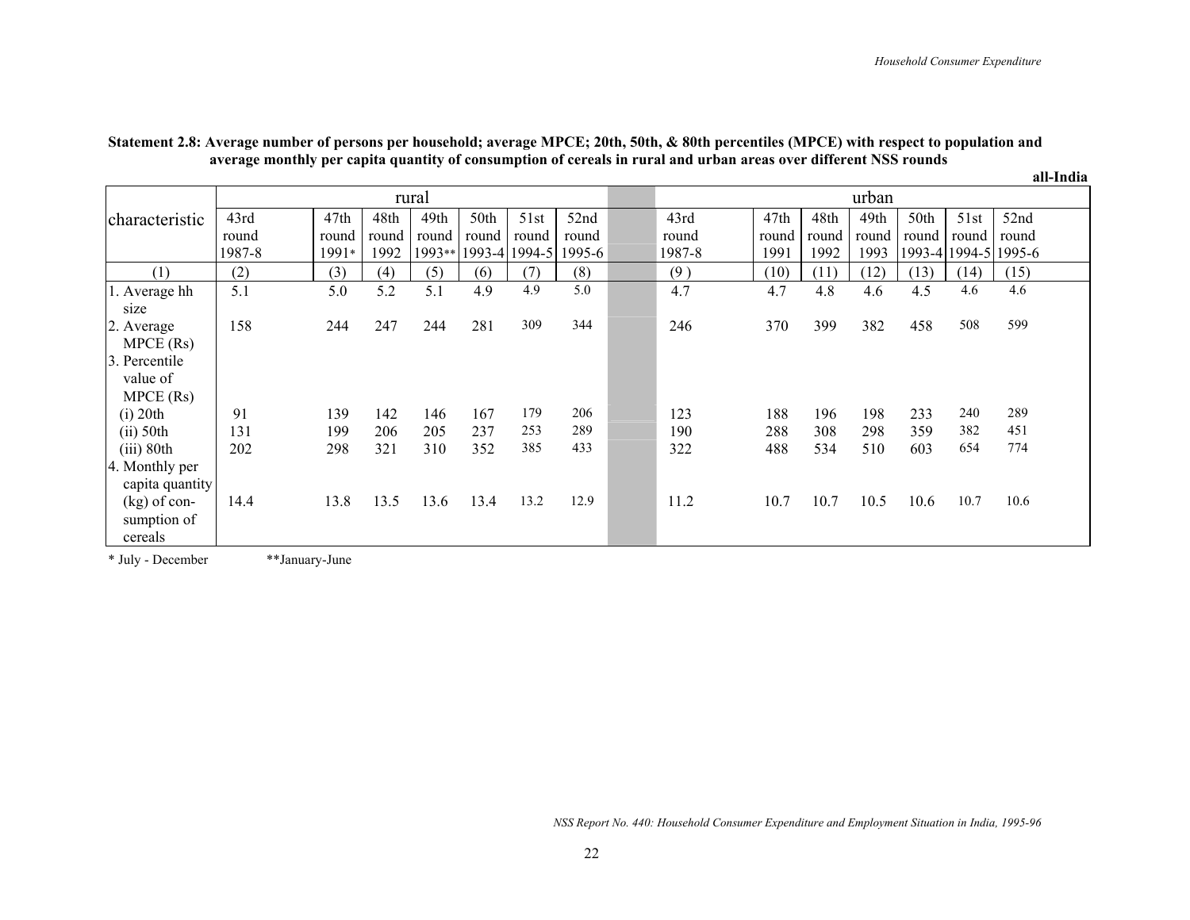|                        |        |         |       |        |       |               |        |        |       |       |       |         |               | all-India |
|------------------------|--------|---------|-------|--------|-------|---------------|--------|--------|-------|-------|-------|---------|---------------|-----------|
|                        |        |         |       | rural  |       |               |        |        |       |       | urban |         |               |           |
| characteristic         | 43rd   | 47th    | 48th  | 49th   | 50th  | 51st          | 52nd   | 43rd   | 47th  | 48th  | 49th  | 50th    | 51st          | 52nd      |
|                        | round  | round   | round | round  | round | round         | round  | round  | round | round | round | round   | round         | round     |
|                        | 1987-8 | $1991*$ | 1992  | 1993** |       | 1993-4 1994-5 | 1995-6 | 1987-8 | 1991  | 1992  | 1993  | 1993-41 | 1994-5 1995-6 |           |
| (1)                    | (2)    | (3)     | (4)   | (5)    | (6)   | (7)           | (8)    | (9)    | (10)  | (11)  | (12)  | (13)    | (14)          | (15)      |
| 1. Average hh          | 5.1    | 5.0     | 5.2   | 5.1    | 4.9   | 4.9           | 5.0    | 4.7    | 4.7   | 4.8   | 4.6   | 4.5     | 4.6           | 4.6       |
| size                   |        |         |       |        |       |               |        |        |       |       |       |         |               |           |
| 2. Average             | 158    | 244     | 247   | 244    | 281   | 309           | 344    | 246    | 370   | 399   | 382   | 458     | 508           | 599       |
| $MPECE$ (Rs)           |        |         |       |        |       |               |        |        |       |       |       |         |               |           |
| 3. Percentile          |        |         |       |        |       |               |        |        |       |       |       |         |               |           |
| value of               |        |         |       |        |       |               |        |        |       |       |       |         |               |           |
| $MPECE$ (Rs)           |        |         |       |        |       |               |        |        |       |       |       |         |               |           |
| $(i)$ 20th             | 91     | 139     | 142   | 146    | 167   | 179           | 206    | 123    | 188   | 196   | 198   | 233     | 240           | 289       |
| $(ii)$ 50th            | 131    | 199     | 206   | 205    | 237   | 253           | 289    | 190    | 288   | 308   | 298   | 359     | 382           | 451       |
| $(iii)$ 80th           | 202    | 298     | 321   | 310    | 352   | 385           | 433    | 322    | 488   | 534   | 510   | 603     | 654           | 774       |
| 4. Monthly per         |        |         |       |        |       |               |        |        |       |       |       |         |               |           |
| capita quantity        |        |         |       |        |       | 13.2          | 12.9   |        |       |       |       |         | 10.7          | 10.6      |
| $(kg)$ of con-         | 14.4   | 13.8    | 13.5  | 13.6   | 13.4  |               |        | 11.2   | 10.7  | 10.7  | 10.5  | 10.6    |               |           |
| sumption of<br>cereals |        |         |       |        |       |               |        |        |       |       |       |         |               |           |
|                        |        |         |       |        |       |               |        |        |       |       |       |         |               |           |

#### **Statement 2.8: Average number of persons per household; average MPCE; 20th, 50th, & 80th percentiles (MPCE) with respect to population and average monthly per capita quantity of consumption of cereals in rural and urban areas over different NSS rounds**

\* July - December \*\*January-June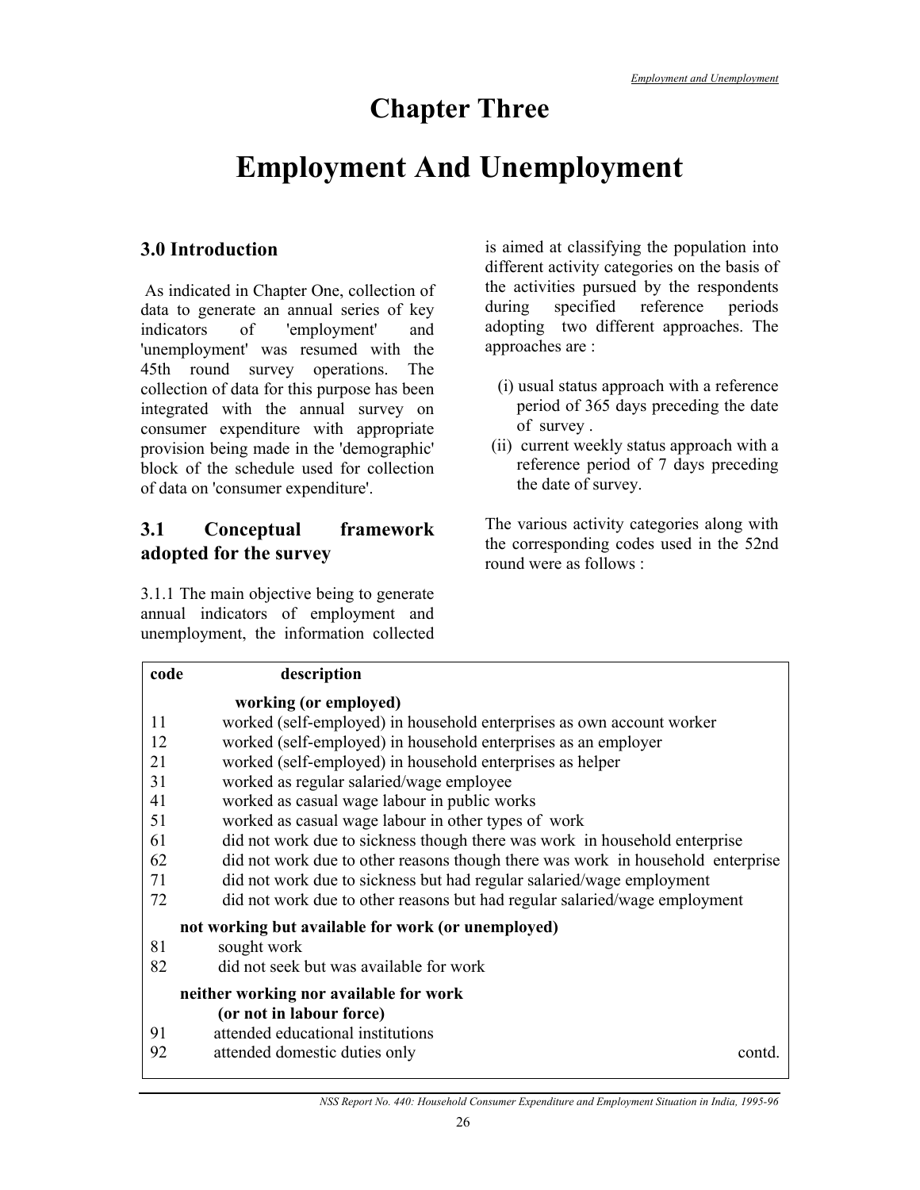## **Chapter Three**

## **Employment And Unemployment**

## **3.0 Introduction**

 As indicated in Chapter One, collection of data to generate an annual series of key indicators of 'employment' and 'unemployment' was resumed with the 45th round survey operations. The collection of data for this purpose has been integrated with the annual survey on consumer expenditure with appropriate provision being made in the 'demographic' block of the schedule used for collection of data on 'consumer expenditure'.

## **3.1 Conceptual framework adopted for the survey**

3.1.1 The main objective being to generate annual indicators of employment and unemployment, the information collected is aimed at classifying the population into different activity categories on the basis of the activities pursued by the respondents during specified reference periods adopting two different approaches. The approaches are :

- (i) usual status approach with a reference period of 365 days preceding the date of survey .
- (ii) current weekly status approach with a reference period of 7 days preceding the date of survey.

The various activity categories along with the corresponding codes used in the 52nd round were as follows :

| code | description                                                                     |
|------|---------------------------------------------------------------------------------|
|      | working (or employed)                                                           |
| 11   | worked (self-employed) in household enterprises as own account worker           |
| 12   | worked (self-employed) in household enterprises as an employer                  |
| 21   | worked (self-employed) in household enterprises as helper                       |
| 31   | worked as regular salaried/wage employee                                        |
| 41   | worked as casual wage labour in public works                                    |
| 51   | worked as casual wage labour in other types of work                             |
| 61   | did not work due to sickness though there was work in household enterprise      |
| 62   | did not work due to other reasons though there was work in household enterprise |
| 71   | did not work due to sickness but had regular salaried/wage employment           |
| 72   | did not work due to other reasons but had regular salaried/wage employment      |
|      | not working but available for work (or unemployed)                              |
| 81   | sought work                                                                     |
| 82   | did not seek but was available for work                                         |
|      | neither working nor available for work                                          |
|      | (or not in labour force)                                                        |
| 91   | attended educational institutions                                               |
| 92   | attended domestic duties only<br>contd                                          |
|      |                                                                                 |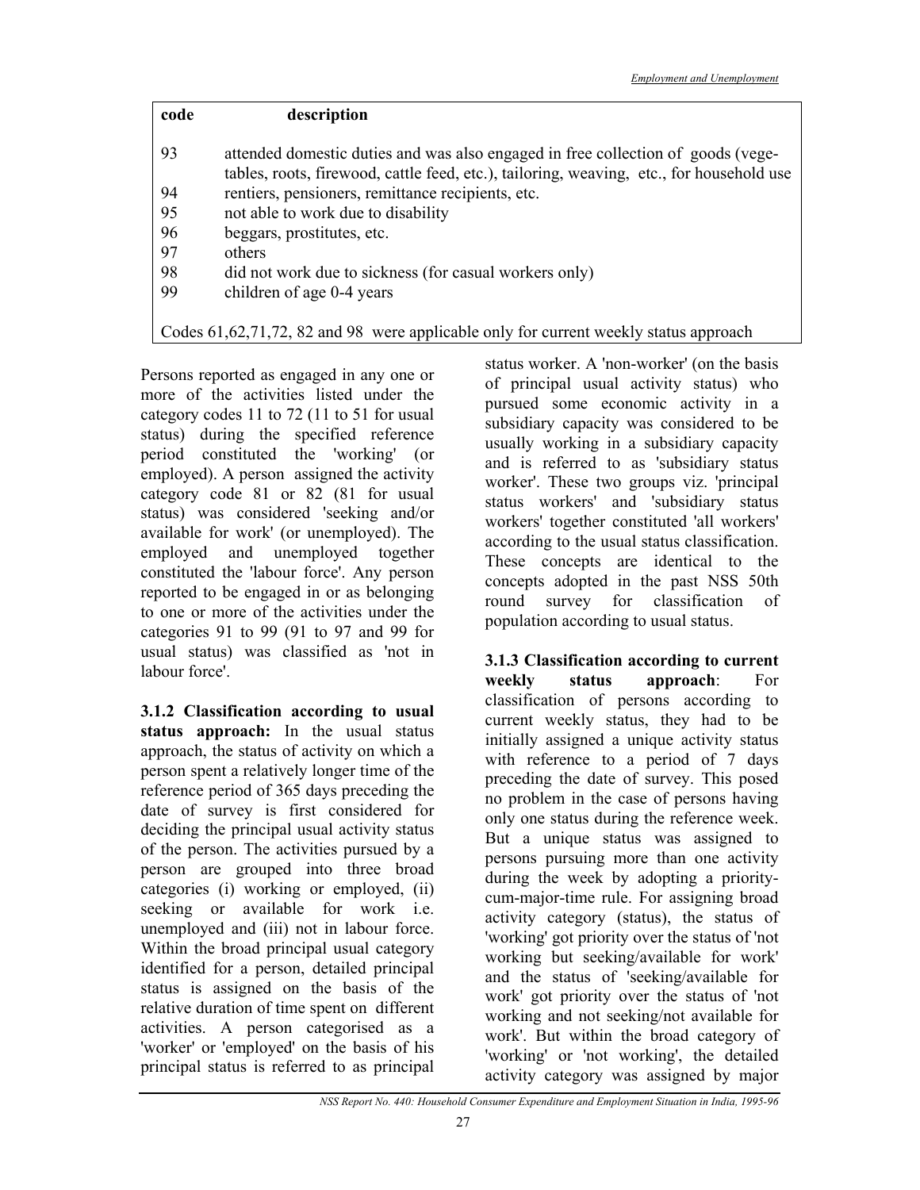| code | description                                                                                                                                                                  |
|------|------------------------------------------------------------------------------------------------------------------------------------------------------------------------------|
| 93   | attended domestic duties and was also engaged in free collection of goods (vege-<br>tables, roots, firewood, cattle feed, etc.), tailoring, weaving, etc., for household use |
| 94   | rentiers, pensioners, remittance recipients, etc.                                                                                                                            |
| 95   | not able to work due to disability                                                                                                                                           |
| 96   | beggars, prostitutes, etc.                                                                                                                                                   |
| 97   | others                                                                                                                                                                       |
| 98   | did not work due to sickness (for casual workers only)                                                                                                                       |
| 99   | children of age 0-4 years                                                                                                                                                    |
|      |                                                                                                                                                                              |
|      | Codes 61,62,71,72, 82 and 98 were applicable only for current weekly status approach                                                                                         |

Persons reported as engaged in any one or more of the activities listed under the category codes 11 to 72 (11 to 51 for usual status) during the specified reference period constituted the 'working' (or employed). A person assigned the activity category code 81 or 82 (81 for usual status) was considered 'seeking and/or available for work' (or unemployed). The employed and unemployed together constituted the 'labour force'. Any person reported to be engaged in or as belonging to one or more of the activities under the categories 91 to 99 (91 to 97 and 99 for usual status) was classified as 'not in labour force'.

**3.1.2 Classification according to usual status approach:** In the usual status approach, the status of activity on which a person spent a relatively longer time of the reference period of 365 days preceding the date of survey is first considered for deciding the principal usual activity status of the person. The activities pursued by a person are grouped into three broad categories (i) working or employed, (ii) seeking or available for work i.e. unemployed and (iii) not in labour force. Within the broad principal usual category identified for a person, detailed principal status is assigned on the basis of the relative duration of time spent on different activities. A person categorised as a 'worker' or 'employed' on the basis of his principal status is referred to as principal

status worker. A 'non-worker' (on the basis of principal usual activity status) who pursued some economic activity in a subsidiary capacity was considered to be usually working in a subsidiary capacity and is referred to as 'subsidiary status worker'. These two groups viz. 'principal status workers' and 'subsidiary status workers' together constituted 'all workers' according to the usual status classification. These concepts are identical to the concepts adopted in the past NSS 50th round survey for classification of population according to usual status.

**3.1.3 Classification according to current weekly status approach**: For classification of persons according to current weekly status, they had to be initially assigned a unique activity status with reference to a period of 7 days preceding the date of survey. This posed no problem in the case of persons having only one status during the reference week. But a unique status was assigned to persons pursuing more than one activity during the week by adopting a prioritycum-major-time rule. For assigning broad activity category (status), the status of 'working' got priority over the status of 'not working but seeking/available for work' and the status of 'seeking/available for work' got priority over the status of 'not working and not seeking/not available for work'. But within the broad category of 'working' or 'not working', the detailed activity category was assigned by major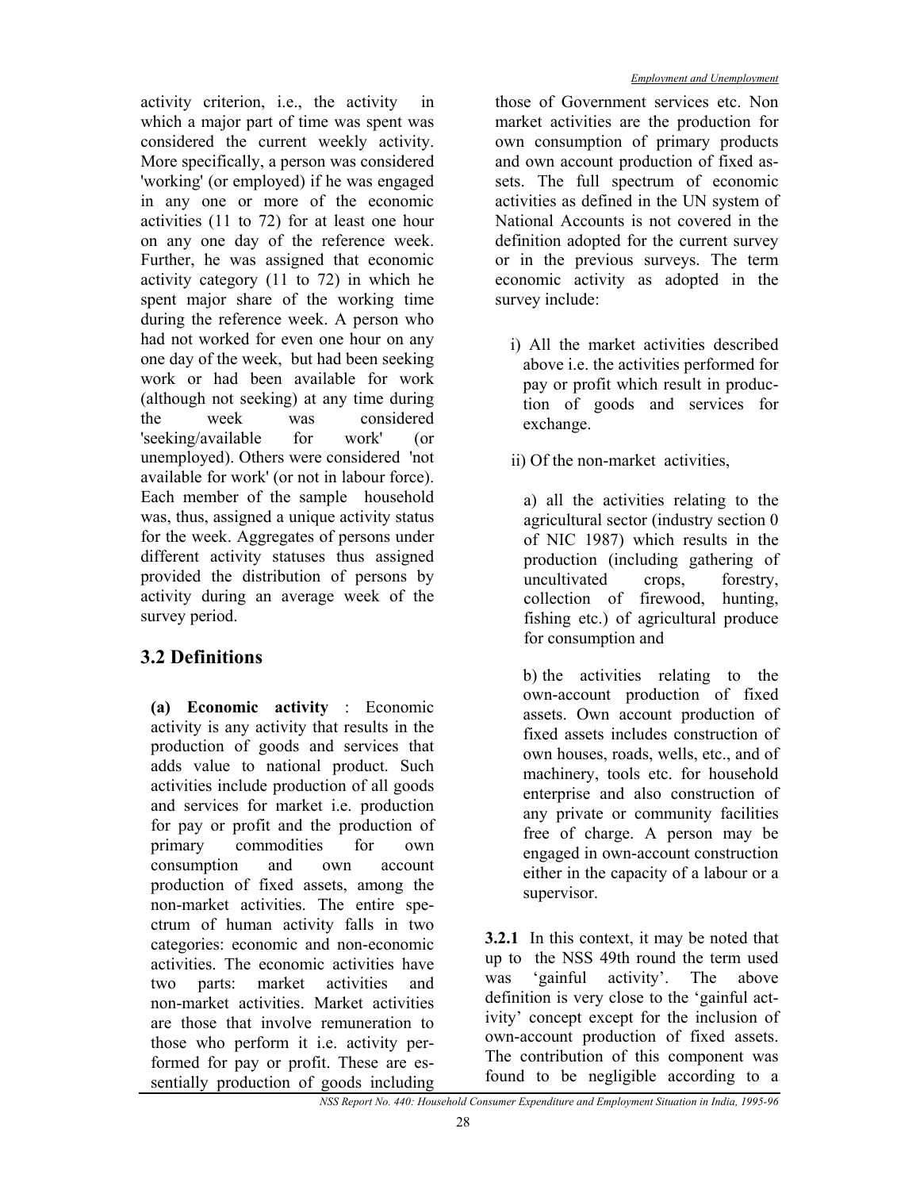activity criterion, i.e., the activity in which a major part of time was spent was considered the current weekly activity. More specifically, a person was considered 'working' (or employed) if he was engaged in any one or more of the economic activities (11 to 72) for at least one hour on any one day of the reference week. Further, he was assigned that economic activity category (11 to 72) in which he spent major share of the working time during the reference week. A person who had not worked for even one hour on any one day of the week, but had been seeking work or had been available for work (although not seeking) at any time during the week was considered 'seeking/available for work' (or unemployed). Others were considered 'not available for work' (or not in labour force). Each member of the sample household was, thus, assigned a unique activity status for the week. Aggregates of persons under different activity statuses thus assigned provided the distribution of persons by activity during an average week of the survey period.

## **3.2 Definitions**

**(a) Economic activity** : Economic activity is any activity that results in the production of goods and services that adds value to national product. Such activities include production of all goods and services for market i.e. production for pay or profit and the production of primary commodities for own consumption and own account production of fixed assets, among the non-market activities. The entire spectrum of human activity falls in two categories: economic and non-economic activities. The economic activities have two parts: market activities and non-market activities. Market activities are those that involve remuneration to those who perform it i.e. activity performed for pay or profit. These are essentially production of goods including

those of Government services etc. Non market activities are the production for own consumption of primary products and own account production of fixed assets. The full spectrum of economic activities as defined in the UN system of National Accounts is not covered in the definition adopted for the current survey or in the previous surveys. The term economic activity as adopted in the survey include:

- i) All the market activities described above i.e. the activities performed for pay or profit which result in production of goods and services for exchange.
- ii) Of the non-market activities,

a) all the activities relating to the agricultural sector (industry section 0 of NIC 1987) which results in the production (including gathering of uncultivated crops, forestry, collection of firewood, hunting, fishing etc.) of agricultural produce for consumption and

b) the activities relating to the own-account production of fixed assets. Own account production of fixed assets includes construction of own houses, roads, wells, etc., and of machinery, tools etc. for household enterprise and also construction of any private or community facilities free of charge. A person may be engaged in own-account construction either in the capacity of a labour or a supervisor.

**3.2.1** In this context, it may be noted that up to the NSS 49th round the term used was 'gainful activity'. The above definition is very close to the 'gainful activity' concept except for the inclusion of own-account production of fixed assets. The contribution of this component was found to be negligible according to a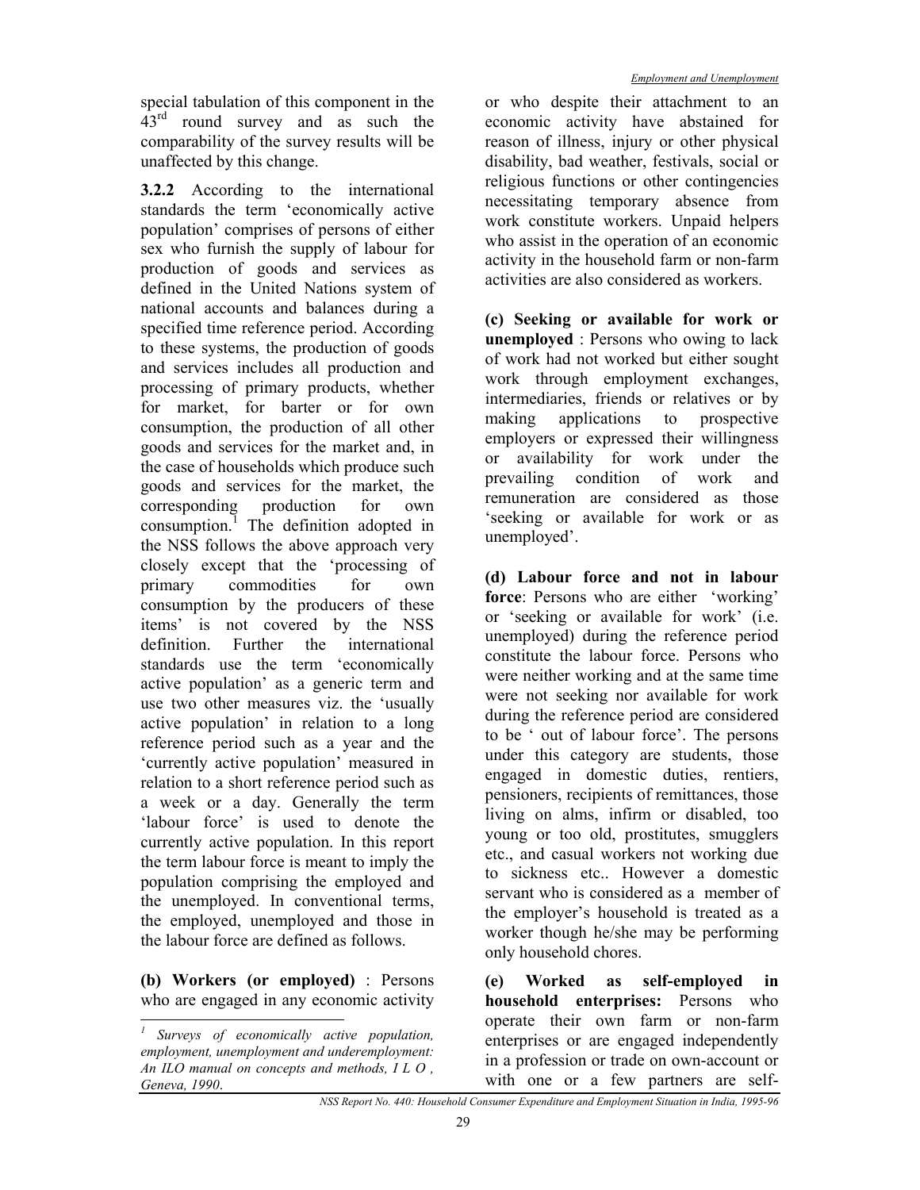**3.2.2** According to the international standards the term 'economically active population' comprises of persons of either sex who furnish the supply of labour for production of goods and services as defined in the United Nations system of national accounts and balances during a specified time reference period. According to these systems, the production of goods and services includes all production and processing of primary products, whether for market, for barter or for own consumption, the production of all other goods and services for the market and, in the case of households which produce such goods and services for the market, the corresponding production for own consumption.<sup>1</sup> The definition adopted in the NSS follows the above approach very closely except that the 'processing of primary commodities for own consumption by the producers of these items' is not covered by the NSS definition. Further the international standards use the term 'economically active population' as a generic term and use two other measures viz. the 'usually active population' in relation to a long reference period such as a year and the 'currently active population' measured in relation to a short reference period such as a week or a day. Generally the term 'labour force' is used to denote the currently active population. In this report the term labour force is meant to imply the population comprising the employed and the unemployed. In conventional terms, the employed, unemployed and those in the labour force are defined as follows.

**(b) Workers (or employed)** : Persons who are engaged in any economic activity

 $\overline{a}$ 

or who despite their attachment to an economic activity have abstained for reason of illness, injury or other physical disability, bad weather, festivals, social or religious functions or other contingencies necessitating temporary absence from work constitute workers. Unpaid helpers who assist in the operation of an economic activity in the household farm or non-farm activities are also considered as workers.

**(c) Seeking or available for work or unemployed** : Persons who owing to lack of work had not worked but either sought work through employment exchanges, intermediaries, friends or relatives or by making applications to prospective employers or expressed their willingness or availability for work under the prevailing condition of work and remuneration are considered as those 'seeking or available for work or as unemployed'.

**(d) Labour force and not in labour force**: Persons who are either 'working' or 'seeking or available for work' (i.e. unemployed) during the reference period constitute the labour force. Persons who were neither working and at the same time were not seeking nor available for work during the reference period are considered to be ' out of labour force'. The persons under this category are students, those engaged in domestic duties, rentiers, pensioners, recipients of remittances, those living on alms, infirm or disabled, too young or too old, prostitutes, smugglers etc., and casual workers not working due to sickness etc.. However a domestic servant who is considered as a member of the employer's household is treated as a worker though he/she may be performing only household chores.

**(e) Worked as self-employed in household enterprises:** Persons who operate their own farm or non-farm enterprises or are engaged independently in a profession or trade on own-account or with one or a few partners are self-

*<sup>1</sup> Surveys of economically active population, employment, unemployment and underemployment: An ILO manual on concepts and methods, I L O , Geneva, 1990*.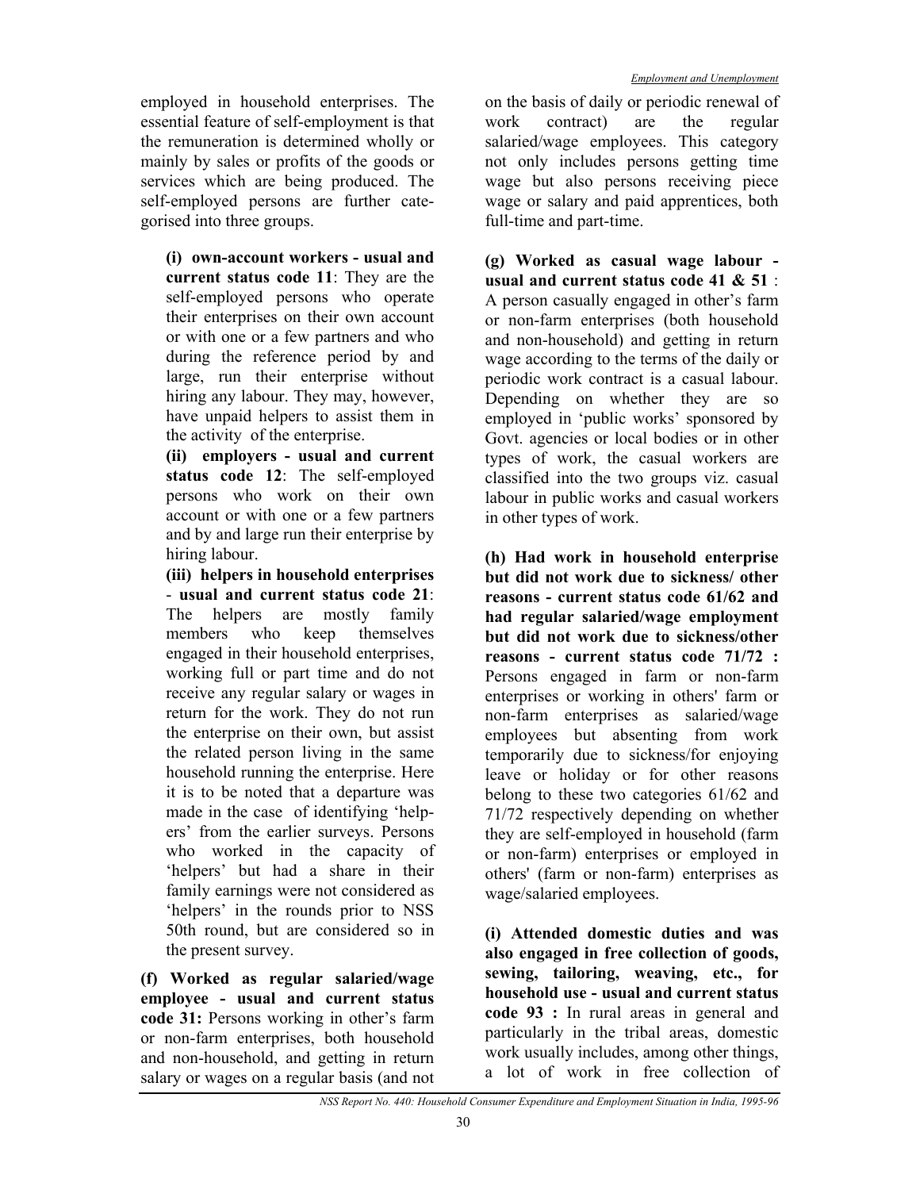employed in household enterprises. The essential feature of self-employment is that the remuneration is determined wholly or mainly by sales or profits of the goods or services which are being produced. The self-employed persons are further categorised into three groups.

**(i) own-account workers - usual and current status code 11**: They are the self-employed persons who operate their enterprises on their own account or with one or a few partners and who during the reference period by and large, run their enterprise without hiring any labour. They may, however, have unpaid helpers to assist them in the activity of the enterprise.

**(ii) employers - usual and current status code 12**: The self-employed persons who work on their own account or with one or a few partners and by and large run their enterprise by hiring labour.

**(iii) helpers in household enterprises** - **usual and current status code 21**: The helpers are mostly family members who keep themselves engaged in their household enterprises, working full or part time and do not receive any regular salary or wages in return for the work. They do not run the enterprise on their own, but assist the related person living in the same household running the enterprise. Here it is to be noted that a departure was made in the case of identifying 'helpers' from the earlier surveys. Persons who worked in the capacity of 'helpers' but had a share in their family earnings were not considered as 'helpers' in the rounds prior to NSS 50th round, but are considered so in the present survey.

**(f) Worked as regular salaried/wage employee - usual and current status code 31:** Persons working in other's farm or non-farm enterprises, both household and non-household, and getting in return salary or wages on a regular basis (and not on the basis of daily or periodic renewal of work contract) are the regular salaried/wage employees. This category not only includes persons getting time wage but also persons receiving piece wage or salary and paid apprentices, both full-time and part-time.

**(g) Worked as casual wage labour usual and current status code 41 & 51** : A person casually engaged in other's farm or non-farm enterprises (both household and non-household) and getting in return wage according to the terms of the daily or periodic work contract is a casual labour. Depending on whether they are so employed in 'public works' sponsored by Govt. agencies or local bodies or in other types of work, the casual workers are classified into the two groups viz. casual labour in public works and casual workers in other types of work.

**(h) Had work in household enterprise but did not work due to sickness/ other reasons - current status code 61/62 and had regular salaried/wage employment but did not work due to sickness/other reasons - current status code 71/72 :** Persons engaged in farm or non-farm enterprises or working in others' farm or non-farm enterprises as salaried/wage employees but absenting from work temporarily due to sickness/for enjoying leave or holiday or for other reasons belong to these two categories 61/62 and 71/72 respectively depending on whether they are self-employed in household (farm or non-farm) enterprises or employed in others' (farm or non-farm) enterprises as wage/salaried employees.

**(i) Attended domestic duties and was also engaged in free collection of goods, sewing, tailoring, weaving, etc., for household use - usual and current status code 93 :** In rural areas in general and particularly in the tribal areas, domestic work usually includes, among other things, a lot of work in free collection of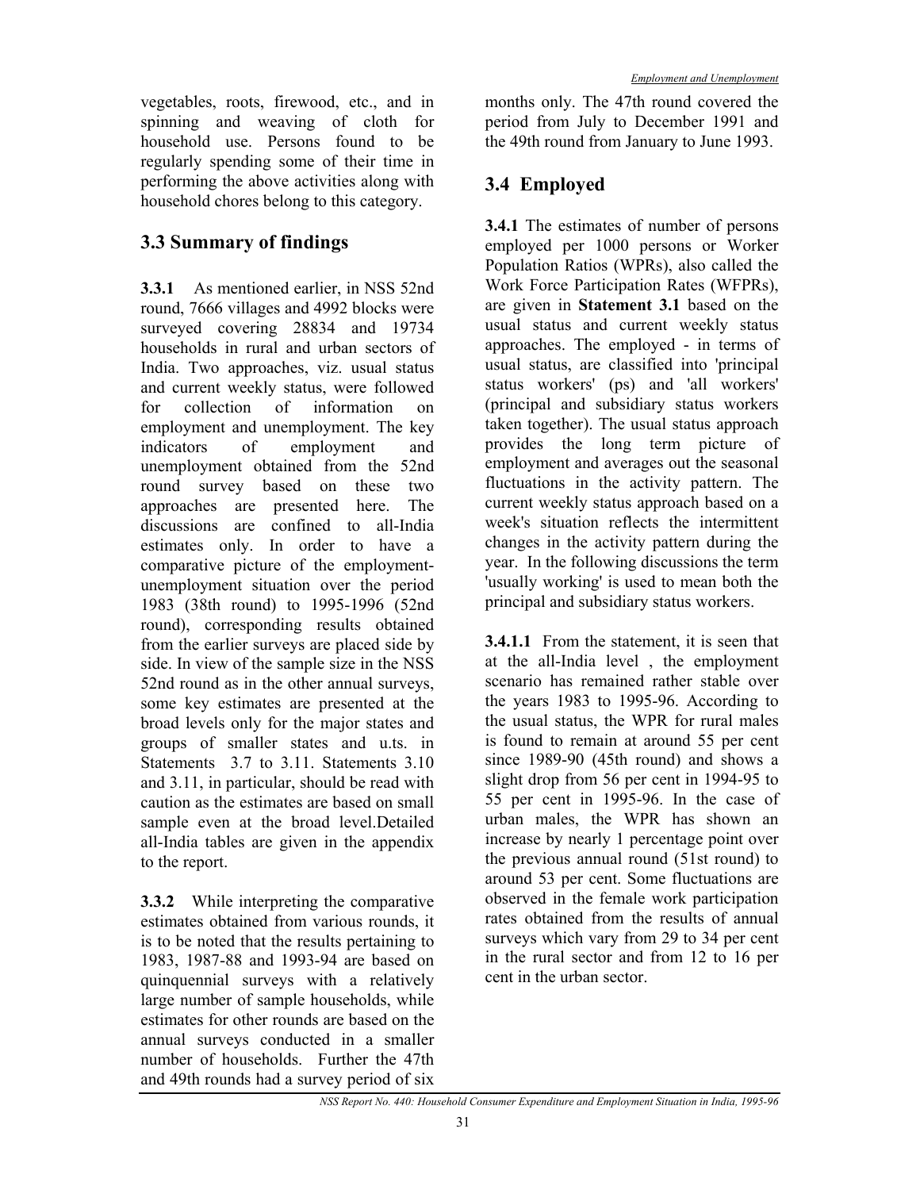vegetables, roots, firewood, etc., and in spinning and weaving of cloth for household use. Persons found to be regularly spending some of their time in performing the above activities along with household chores belong to this category.

## **3.3 Summary of findings**

**3.3.1** As mentioned earlier, in NSS 52nd round, 7666 villages and 4992 blocks were surveyed covering 28834 and 19734 households in rural and urban sectors of India. Two approaches, viz. usual status and current weekly status, were followed for collection of information on employment and unemployment. The key indicators of employment and unemployment obtained from the 52nd round survey based on these two approaches are presented here. The discussions are confined to all-India estimates only. In order to have a comparative picture of the employmentunemployment situation over the period 1983 (38th round) to 1995-1996 (52nd round), corresponding results obtained from the earlier surveys are placed side by side. In view of the sample size in the NSS 52nd round as in the other annual surveys, some key estimates are presented at the broad levels only for the major states and groups of smaller states and u.ts. in Statements 3.7 to 3.11. Statements 3.10 and 3.11, in particular, should be read with caution as the estimates are based on small sample even at the broad level.Detailed all-India tables are given in the appendix to the report.

**3.3.2** While interpreting the comparative estimates obtained from various rounds, it is to be noted that the results pertaining to 1983, 1987-88 and 1993-94 are based on quinquennial surveys with a relatively large number of sample households, while estimates for other rounds are based on the annual surveys conducted in a smaller number of households. Further the 47th and 49th rounds had a survey period of six

months only. The 47th round covered the period from July to December 1991 and the 49th round from January to June 1993.

## **3.4 Employed**

**3.4.1** The estimates of number of persons employed per 1000 persons or Worker Population Ratios (WPRs), also called the Work Force Participation Rates (WFPRs), are given in **Statement 3.1** based on the usual status and current weekly status approaches. The employed - in terms of usual status, are classified into 'principal status workers' (ps) and 'all workers' (principal and subsidiary status workers taken together). The usual status approach provides the long term picture of employment and averages out the seasonal fluctuations in the activity pattern. The current weekly status approach based on a week's situation reflects the intermittent changes in the activity pattern during the year. In the following discussions the term 'usually working' is used to mean both the principal and subsidiary status workers.

**3.4.1.1** From the statement, it is seen that at the all-India level , the employment scenario has remained rather stable over the years 1983 to 1995-96. According to the usual status, the WPR for rural males is found to remain at around 55 per cent since 1989-90 (45th round) and shows a slight drop from 56 per cent in 1994-95 to 55 per cent in 1995-96. In the case of urban males, the WPR has shown an increase by nearly 1 percentage point over the previous annual round (51st round) to around 53 per cent. Some fluctuations are observed in the female work participation rates obtained from the results of annual surveys which vary from 29 to 34 per cent in the rural sector and from 12 to 16 per cent in the urban sector.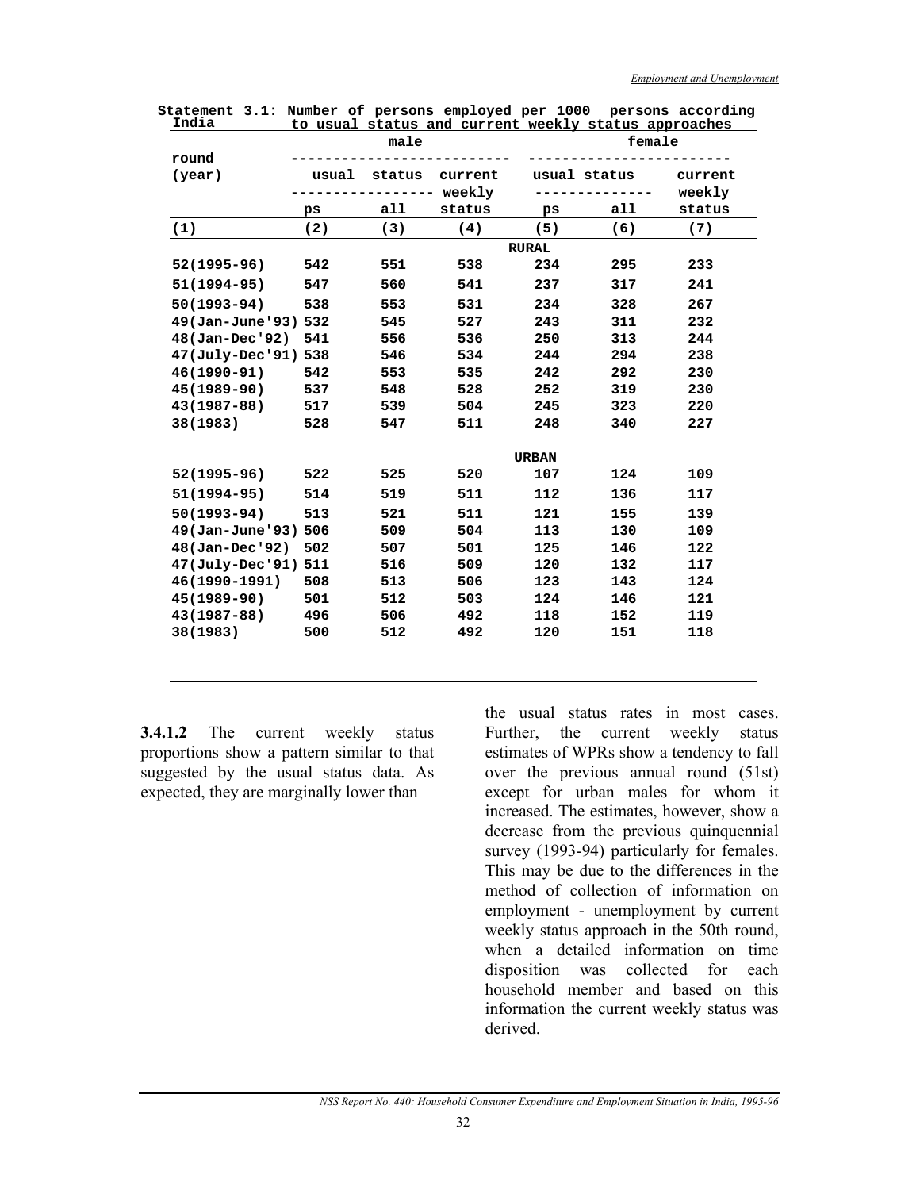| ⊥⊥u⊥a               |       |        | <u>to usuai status and current weekiy status approaches</u> |              |              |         |
|---------------------|-------|--------|-------------------------------------------------------------|--------------|--------------|---------|
|                     |       | male   |                                                             |              | female       |         |
| round               |       |        |                                                             |              |              |         |
| (year)              | usual | status | current                                                     |              | usual status | current |
|                     |       | .      | weekly                                                      |              |              | weekly  |
|                     | ps    | all    | status                                                      | ps           | all          | status  |
| (1)                 | (2)   | (3)    | (4)                                                         | (5)          | (6)          | (7)     |
|                     |       |        |                                                             | <b>RURAL</b> |              |         |
| $52(1995 - 96)$     | 542   | 551    | 538                                                         | 234          | 295          | 233     |
| $51(1994-95)$       | 547   | 560    | 541                                                         | 237          | 317          | 241     |
| $50(1993 - 94)$     | 538   | 553    | 531                                                         | 234          | 328          | 267     |
| 49(Jan-June'93) 532 |       | 545    | 527                                                         | 243          | 311          | 232     |
| 48(Jan-Dec'92)      | 541   | 556    | 536                                                         | 250          | 313          | 244     |
| 47(July-Dec'91) 538 |       | 546    | 534                                                         | 244          | 294          | 238     |
| $46(1990 - 91)$     | 542   | 553    | 535                                                         | 242          | 292          | 230     |
| $45(1989 - 90)$     | 537   | 548    | 528                                                         | 252          | 319          | 230     |
| $43(1987 - 88)$     | 517   | 539    | 504                                                         | 245          | 323          | 220     |
| 38(1983)            | 528   | 547    | 511                                                         | 248          | 340          | 227     |
|                     |       |        |                                                             |              |              |         |
|                     |       |        |                                                             | <b>URBAN</b> |              |         |
| $52(1995 - 96)$     | 522   | 525    | 520                                                         | 107          | 124          | 109     |
| $51(1994-95)$       | 514   | 519    | 511                                                         | 112          | 136          | 117     |
| $50(1993 - 94)$     | 513   | 521    | 511                                                         | 121          | 155          | 139     |
| 49(Jan-June'93) 506 |       | 509    | 504                                                         | 113          | 130          | 109     |
| 48(Jan-Dec'92)      | 502   | 507    | 501                                                         | 125          | 146          | 122     |
| 47(July-Dec'91) 511 |       | 516    | 509                                                         | 120          | 132          | 117     |
| 46(1990-1991)       | 508   | 513    | 506                                                         | 123          | 143          | 124     |
| $45(1989 - 90)$     | 501   | 512    | 503                                                         | 124          | 146          | 121     |
| $43(1987 - 88)$     | 496   | 506    | 492                                                         | 118          | 152          | 119     |
| 38(1983)            | 500   | 512    | 492                                                         | 120          | 151          | 118     |
|                     |       |        |                                                             |              |              |         |

**Statement 3.1: Number of persons employed per 1000 persons according India to usual status and current weekly status approaches** 

**3.4.1.2** The current weekly status proportions show a pattern similar to that suggested by the usual status data. As expected, they are marginally lower than

the usual status rates in most cases. Further, the current weekly status estimates of WPRs show a tendency to fall over the previous annual round (51st) except for urban males for whom it increased. The estimates, however, show a decrease from the previous quinquennial survey (1993-94) particularly for females. This may be due to the differences in the method of collection of information on employment - unemployment by current weekly status approach in the 50th round, when a detailed information on time disposition was collected for each household member and based on this information the current weekly status was derived.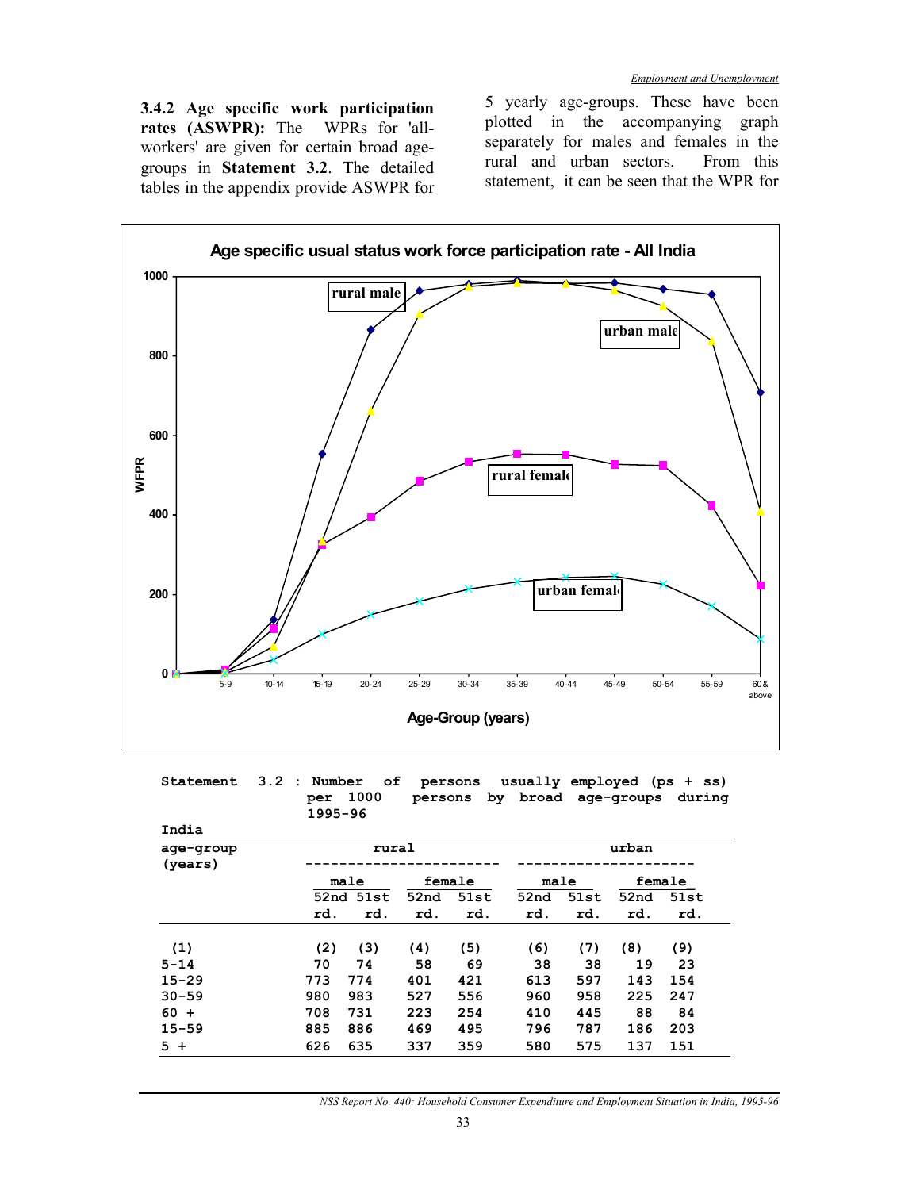**3.4.2 Age specific work participation rates (ASWPR):** The WPRs for 'allworkers' are given for certain broad agegroups in **Statement 3.2**. The detailed tables in the appendix provide ASWPR for

5 yearly age-groups. These have been plotted in the accompanying graph separately for males and females in the rural and urban sectors. From this statement, it can be seen that the WPR for



**Statement 3.2 : Number of persons usually employed (ps + ss) per 1000 persons by broad age-groups during 1995-96** 

| India                |     |           |      |        |      |      |       |        |
|----------------------|-----|-----------|------|--------|------|------|-------|--------|
| age-group<br>(years) |     | rural     |      |        |      |      | urban |        |
|                      |     | male      |      | female |      | male |       | female |
|                      |     | 52nd 51st | 52nd | 51st   | 52nd | 51st | 52nd  | 51st   |
|                      | rd. | rd.       | rd.  | rd.    | rd.  | rd.  | rd.   | rd.    |
| (1)                  | (2) | (3)       | (4)  | (5)    | (6)  | (7)  | (8)   | (9)    |
| $5 - 14$             | 70  | 74        | 58   | 69     | 38   | 38   | 19    | 23     |
| $15 - 29$            | 773 | 774       | 401  | 421    | 613  | 597  | 143   | 154    |
| $30 - 59$            | 980 | 983       | 527  | 556    | 960  | 958  | 225   | 247    |
| $60 +$               | 708 | 731       | 223  | 254    | 410  | 445  | 88    | 84     |
| $15 - 59$            | 885 | 886       | 469  | 495    | 796  | 787  | 186   | 203    |
| $5+$                 | 626 | 635       | 337  | 359    | 580  | 575  | 137   | 151    |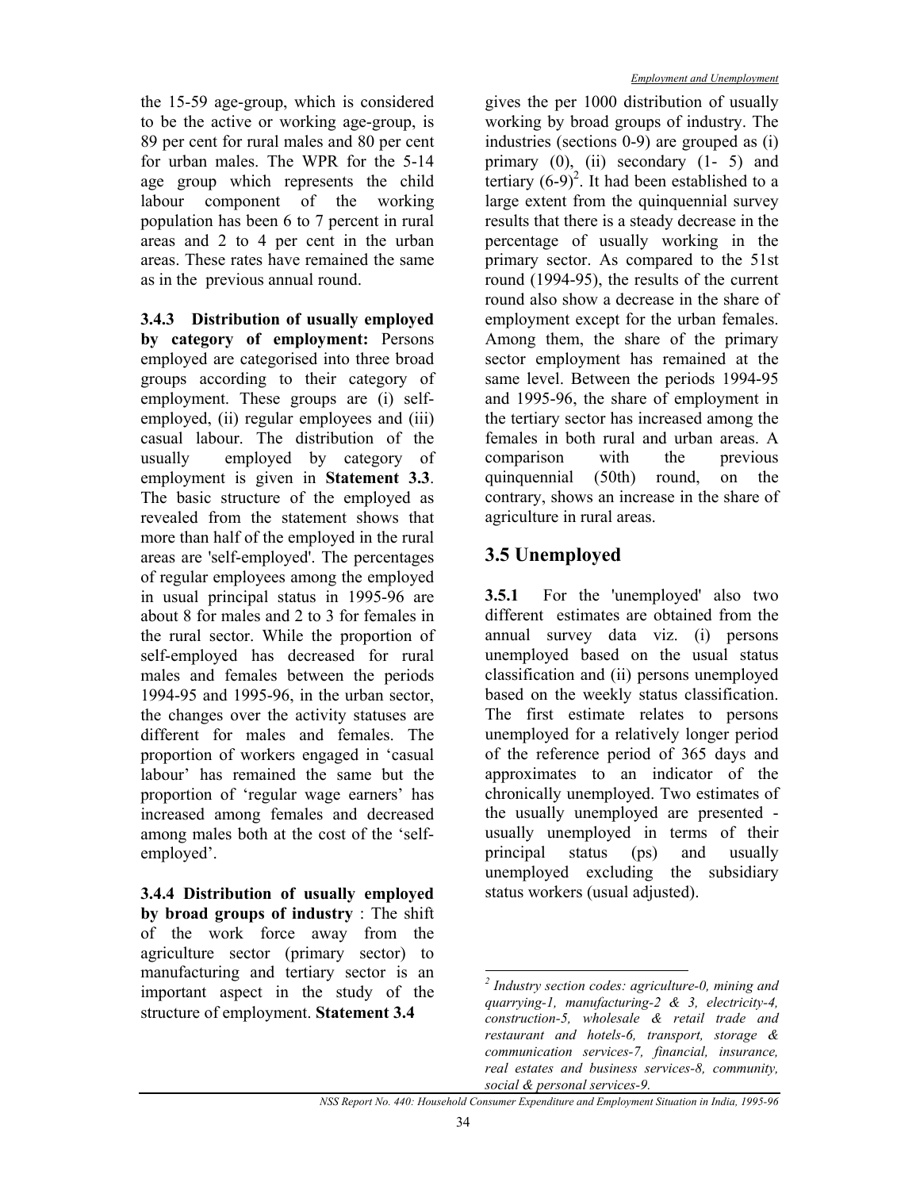the 15-59 age-group, which is considered to be the active or working age-group, is 89 per cent for rural males and 80 per cent for urban males. The WPR for the 5-14 age group which represents the child labour component of the working population has been 6 to 7 percent in rural areas and 2 to 4 per cent in the urban areas. These rates have remained the same as in the previous annual round.

**3.4.3 Distribution of usually employed by category of employment:** Persons employed are categorised into three broad groups according to their category of employment. These groups are (i) selfemployed, (ii) regular employees and (iii) casual labour. The distribution of the usually employed by category of employment is given in **Statement 3.3**. The basic structure of the employed as revealed from the statement shows that more than half of the employed in the rural areas are 'self-employed'. The percentages of regular employees among the employed in usual principal status in 1995-96 are about 8 for males and 2 to 3 for females in the rural sector. While the proportion of self-employed has decreased for rural males and females between the periods 1994-95 and 1995-96, in the urban sector, the changes over the activity statuses are different for males and females. The proportion of workers engaged in 'casual labour' has remained the same but the proportion of 'regular wage earners' has increased among females and decreased among males both at the cost of the 'selfemployed'.

**3.4.4 Distribution of usually employed by broad groups of industry** : The shift of the work force away from the agriculture sector (primary sector) to manufacturing and tertiary sector is an important aspect in the study of the structure of employment. **Statement 3.4** 

gives the per 1000 distribution of usually working by broad groups of industry. The industries (sections 0-9) are grouped as (i) primary  $(0)$ ,  $(ii)$  secondary  $(1-5)$  and tertiary  $(6-9)^2$ . It had been established to a large extent from the quinquennial survey results that there is a steady decrease in the percentage of usually working in the primary sector. As compared to the 51st round (1994-95), the results of the current round also show a decrease in the share of employment except for the urban females. Among them, the share of the primary sector employment has remained at the same level. Between the periods 1994-95 and 1995-96, the share of employment in the tertiary sector has increased among the females in both rural and urban areas. A comparison with the previous quinquennial (50th) round, on the contrary, shows an increase in the share of agriculture in rural areas.

# **3.5 Unemployed**

**3.5.1** For the 'unemployed' also two different estimates are obtained from the annual survey data viz. (i) persons unemployed based on the usual status classification and (ii) persons unemployed based on the weekly status classification. The first estimate relates to persons unemployed for a relatively longer period of the reference period of 365 days and approximates to an indicator of the chronically unemployed. Two estimates of the usually unemployed are presented usually unemployed in terms of their principal status (ps) and usually unemployed excluding the subsidiary status workers (usual adjusted).

 $\overline{a}$ 

*<sup>2</sup> Industry section codes: agriculture-0, mining and quarrying-1, manufacturing-2 & 3, electricity-4, construction-5, wholesale & retail trade and restaurant and hotels-6, transport, storage & communication services-7, financial, insurance, real estates and business services-8, community, social & personal services-9.*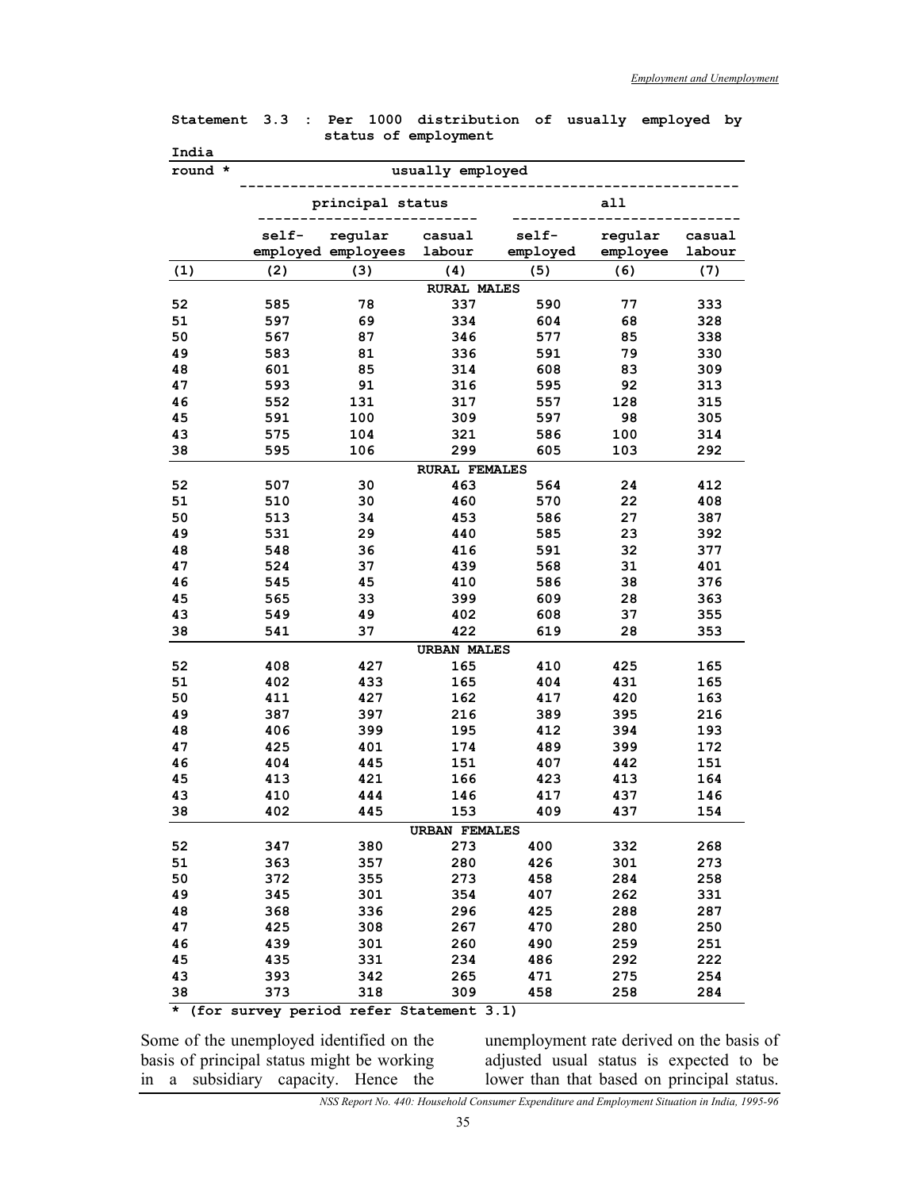|          |            | status of employment |                             |            |            |            |
|----------|------------|----------------------|-----------------------------|------------|------------|------------|
| India    |            |                      |                             |            |            |            |
| round *  |            |                      | usually employed            |            |            |            |
|          |            | principal status     |                             |            | a11        |            |
|          | self-      | regular              | casual                      | self-      | regular    | casual     |
|          |            | employed employees   | labour                      | employed   | employee   | labour     |
| (1)      | (2)        | (3)                  | (4)                         | (5)        | (6)        | (7)        |
|          |            |                      | <b>RURAL MALES</b>          |            |            |            |
| 52       | 585        | 78                   | 337                         | 590        | 77         | 333        |
| 51       | 597        | 69                   | 334                         | 604        | 68         | 328        |
| 50       | 567        | 87                   | 346                         | 577        | 85         | 338        |
| 49       | 583        | 81                   | 336                         | 591        | 79         | 330        |
| 48       | 601        | 85                   | 314                         | 608        | 83         | 309        |
| 47       | 593        | 91                   | 316                         | 595        | 92         | 313        |
| 46       | 552        | 131                  | 317                         | 557        | 128        | 315        |
| 45       | 591        | 100                  | 309                         | 597        | 98         | 305        |
| 43       | 575        | 104                  | 321                         | 586        | 100        | 314        |
| 38       | 595        | 106                  | 299                         | 605        | 103        | 292        |
|          |            |                      | <b>RURAL FEMALES</b>        |            |            |            |
| 52       | 507        | 30                   | 463                         | 564        | 24         | 412        |
| 51       | 510        | 30                   | 460                         | 570        | 22         | 408        |
| 50       | 513        | 34                   | 453                         | 586        | 27         | 387        |
| 49       | 531        | 29                   | 440                         | 585        | 23         | 392        |
| 48       | 548        | 36                   | 416                         | 591        | 32         | 377        |
| 47       | 524        | 37                   | 439                         | 568        | 31         | 401        |
| 46       | 545        | 45                   | 410                         | 586        | 38         | 376        |
| 45       | 565        | 33                   | 399                         | 609        | 28         | 363        |
| 43       | 549        | 49                   | 402                         | 608        | 37         | 355        |
| 38       | 541        | 37                   | 422                         | 619        | 28         | 353        |
|          |            |                      | <b>URBAN MALES</b>          |            |            |            |
| 52       | 408        | 427                  | 165                         | 410        | 425        | 165        |
| 51       | 402        | 433                  | 165                         | 404        | 431        | 165        |
| 50       | 411        | 427                  | 162                         | 417        | 420        | 163        |
| 49       | 387        | 397                  | 216                         | 389        | 395        | 216        |
| 48       | 406        | 399                  | 195                         | 412        | 394        | 193        |
| 47       | 425        | 401                  | 174                         | 489        | 399        | 172        |
| 46       | 404        | 445<br>421           | 151                         | 407        | 442        | 151        |
| 45<br>43 | 413<br>410 | 444                  | 166<br>146                  | 423<br>417 | 413<br>437 | 164<br>146 |
| 38       | 402        | 445                  | 153                         | 409        | 437        | 154        |
|          |            |                      |                             |            |            |            |
| 52       | 347        | 380                  | <b>URBAN FEMALES</b><br>273 | 400        | 332        | 268        |
| 51       | 363        | 357                  | 280                         | 426        | 301        | 273        |
| 50       | 372        | 355                  | 273                         | 458        | 284        | 258        |
| 49       | 345        | 301                  | 354                         | 407        | 262        | 331        |
| 48       | 368        | 336                  | 296                         | 425        | 288        | 287        |
| 47       | 425        | 308                  | 267                         | 470        | 280        | 250        |
| 46       | 439        | 301                  | 260                         | 490        | 259        | 251        |
| 45       | 435        | 331                  | 234                         | 486        | 292        | 222        |
| 43       | 393        | 342                  | 265                         | 471        | 275        | 254        |
| 38       | 373        | 318                  | 309                         | 458        | 258        | 284        |

**Statement 3.3 : Per 1000 distribution of usually employed by** 

**\* (for survey period refer Statement 3.1)** 

Some of the unemployed identified on the basis of principal status might be working in a subsidiary capacity. Hence the

unemployment rate derived on the basis of adjusted usual status is expected to be lower than that based on principal status.

*NSS Report No. 440: Household Consumer Expenditure and Employment Situation in India, 1995-96*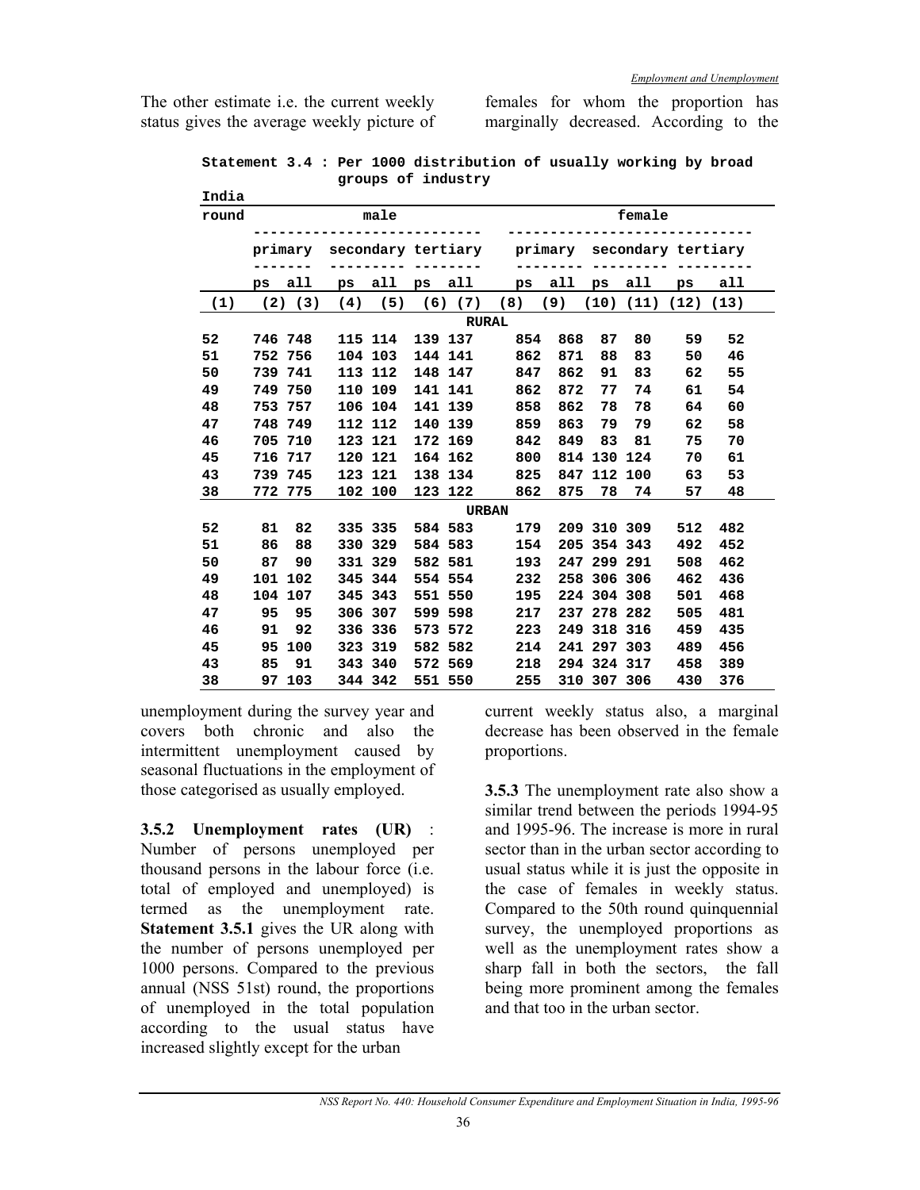The other estimate i.e. the current weekly status gives the average weekly picture of females for whom the proportion has marginally decreased. According to the

|  |  |                    | Statement 3.4 : Per 1000 distribution of usually working by broad |  |  |  |
|--|--|--------------------|-------------------------------------------------------------------|--|--|--|
|  |  | groups of industry |                                                                   |  |  |  |

| India |              |             |         |         |  |             |                                               |                        |     |             |         |                             |     |  |
|-------|--------------|-------------|---------|---------|--|-------------|-----------------------------------------------|------------------------|-----|-------------|---------|-----------------------------|-----|--|
| round |              |             |         | male    |  |             |                                               |                        |     |             | female  |                             |     |  |
|       |              | primary     |         |         |  |             | secondary tertiary primary secondary tertiary |                        |     |             |         |                             |     |  |
|       | ps           | all         | ps      | all     |  | ps all      |                                               | $\mathbf{p}\mathbf{s}$ | all | ps          | all     | ps                          | all |  |
| (1)   |              | $(2)$ $(3)$ | (4)     | (5)     |  | $(6)$ $(7)$ | (8)                                           |                        | (9) |             |         | $(10)$ $(11)$ $(12)$ $(13)$ |     |  |
|       | <b>RURAL</b> |             |         |         |  |             |                                               |                        |     |             |         |                             |     |  |
| 52    |              | 746 748     |         | 115 114 |  | 139 137     | 854                                           |                        | 868 | 87          | 80      | 59                          | 52  |  |
| 51    |              | 752 756     |         | 104 103 |  | 144 141     | 862                                           |                        | 871 | 88          | 83      | 50                          | 46  |  |
| 50    |              | 739 741     |         | 113 112 |  | 148 147     | 847                                           |                        | 862 | 91          | 83      | 62                          | 55  |  |
| 49    |              | 749 750     |         | 110 109 |  | 141 141     | 862                                           |                        | 872 | 77          | 74      | 61                          | 54  |  |
| 48    |              | 753 757     |         | 106 104 |  | 141 139     | 858                                           |                        | 862 | 78          | 78      | 64                          | 60  |  |
| 47    |              | 748 749     |         | 112 112 |  | 140 139     | 859                                           |                        | 863 | 79          | 79      | 62                          | 58  |  |
| 46    |              | 705 710     | 123 121 |         |  | 172 169     | 842                                           |                        | 849 | 83          | 81      | 75                          | 70  |  |
| 45    |              | 716 717     |         | 120 121 |  | 164 162     | 800                                           |                        | 814 | 130 124     |         | 70                          | 61  |  |
| 43    |              | 739 745     |         | 123 121 |  | 138 134     | 825                                           |                        | 847 |             | 112 100 | 63                          | 53  |  |
| 38    |              | 772 775     |         | 102 100 |  | 123 122     | 862                                           |                        | 875 | 78          | 74      | 57                          | 48  |  |
|       |              |             |         |         |  |             | <b>URBAN</b>                                  |                        |     |             |         |                             |     |  |
| 52    | 81           | 82          |         | 335 335 |  | 584 583     | 179                                           |                        |     | 209 310 309 |         | 512                         | 482 |  |
| 51    | 86           | 88          |         | 330 329 |  | 584 583     | 154                                           |                        |     | 205 354 343 |         | 492                         | 452 |  |
| 50    | 87           | 90          |         | 331 329 |  | 582 581     | 193                                           |                        |     | 247 299 291 |         | 508                         | 462 |  |
| 49    |              | 101 102     |         | 345 344 |  | 554 554     | 232                                           |                        |     | 258 306 306 |         | 462                         | 436 |  |
| 48    |              | 104 107     |         | 345 343 |  | 551 550     | 195                                           |                        |     | 224 304 308 |         | 501                         | 468 |  |
| 47    | 95           | 95          |         | 306 307 |  | 599 598     | 217                                           |                        |     | 237 278 282 |         | 505                         | 481 |  |
| 46    | 91           | 92          |         | 336 336 |  | 573 572     | 223                                           |                        |     | 249 318 316 |         | 459                         | 435 |  |
| 45    | 95           | 100         |         | 323 319 |  | 582 582     | 214                                           |                        |     | 241 297 303 |         | 489                         | 456 |  |
| 43    | 85           | 91          |         | 343 340 |  | 572 569     | 218                                           |                        |     | 294 324 317 |         | 458                         | 389 |  |
| 38    |              | 97 103      |         | 344 342 |  | 551 550     | 255                                           |                        |     | 310 307 306 |         | 430                         | 376 |  |

unemployment during the survey year and covers both chronic and also the intermittent unemployment caused by seasonal fluctuations in the employment of those categorised as usually employed.

**3.5.2 Unemployment rates (UR)** : Number of persons unemployed per thousand persons in the labour force (i.e. total of employed and unemployed) is termed as the unemployment rate. **Statement 3.5.1** gives the UR along with the number of persons unemployed per 1000 persons. Compared to the previous annual (NSS 51st) round, the proportions of unemployed in the total population according to the usual status have increased slightly except for the urban

current weekly status also, a marginal decrease has been observed in the female proportions.

**3.5.3** The unemployment rate also show a similar trend between the periods 1994-95 and 1995-96. The increase is more in rural sector than in the urban sector according to usual status while it is just the opposite in the case of females in weekly status. Compared to the 50th round quinquennial survey, the unemployed proportions as well as the unemployment rates show a sharp fall in both the sectors, the fall being more prominent among the females and that too in the urban sector.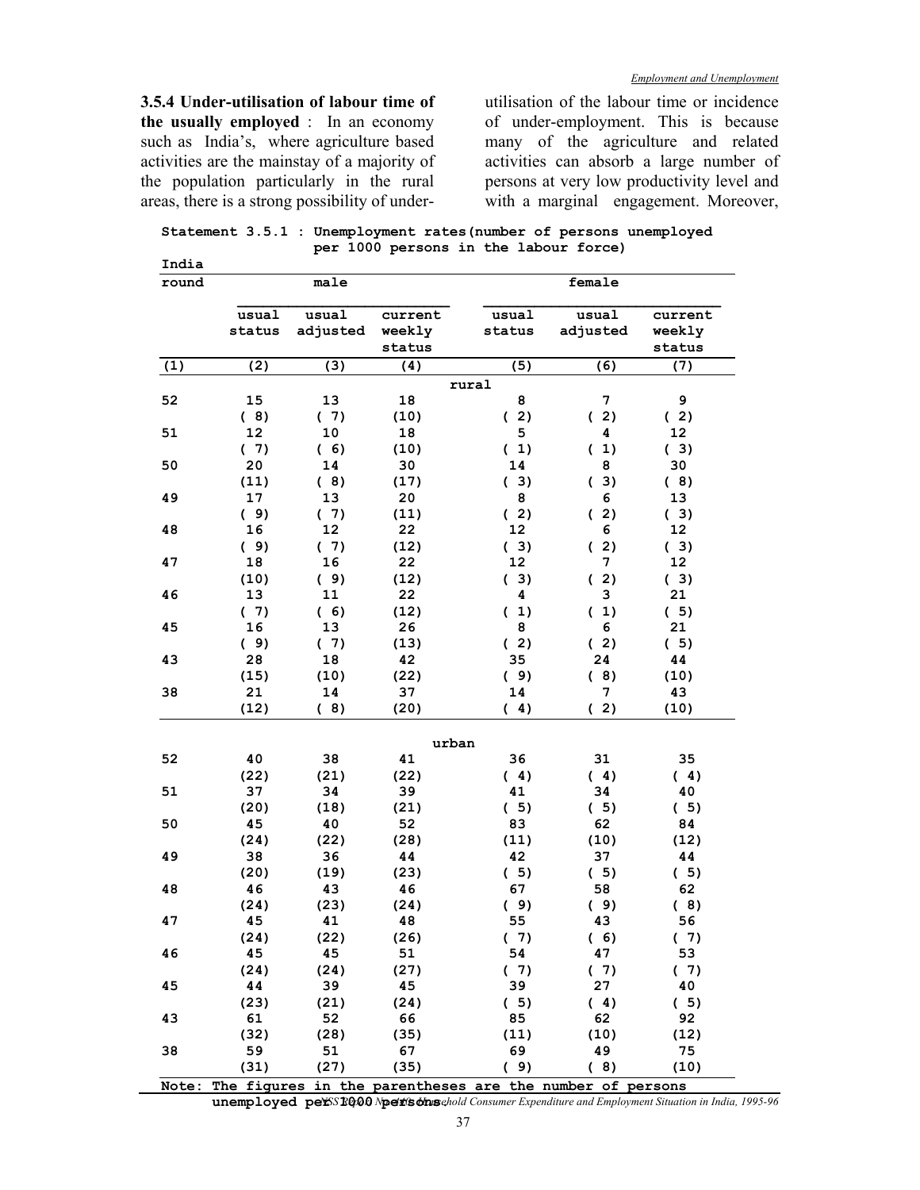**3.5.4 Under-utilisation of labour time of the usually employed** : In an economy such as India's, where agriculture based activities are the mainstay of a majority of the population particularly in the rural areas, there is a strong possibility of underutilisation of the labour time or incidence of under-employment. This is because many of the agriculture and related activities can absorb a large number of persons at very low productivity level and with a marginal engagement. Moreover,

**Statement 3.5.1 : Unemployment rates(number of persons unemployed per 1000 persons in the labour force) India** 

|     | usual<br>status | usual<br>adjusted | current<br>weekly<br>status | usual<br>status | usual<br>adjusted | current<br>weekly<br>status |
|-----|-----------------|-------------------|-----------------------------|-----------------|-------------------|-----------------------------|
| (1) | (2)             | (3)               | (4)                         | (5)             | (6)               | (7)                         |
|     |                 |                   |                             | rural           |                   |                             |
| 52  | 15              | 13                | 18                          | 8               | 7                 | 9                           |
|     | (8)             | (7)               | (10)                        | (2)             | (2)               | (2)                         |
| 51  | 12              | 10                | 18                          | 5               | 4                 | 12 <sub>2</sub>             |
|     | (7)             | (6)               | (10)                        | (1)             | (1)               | (3)                         |
| 50  | 20              | 14                | 30                          | 14              | 8                 | 30                          |
|     | (11)            | (8)               | (17)                        | (3)             | (3)               | (8)                         |
| 49  | 17              | 13                | 20                          | 8               | 6                 | 13                          |
|     | (9)             | (7)               | (11)                        | (2)             | (2)               | (3)                         |
| 48  | 16              | 12                | 22                          | 12              | 6                 | 12                          |
|     | (9)             | (7)               | (12)                        | (3)             | (2)               | (3)                         |
| 47  | 18              | 16                | 22                          | 12              | 7                 | 12 <sub>2</sub>             |
|     | (10)            | (9)               | (12)                        | (3)             | (2)               | (3)                         |
| 46  | 13              | 11                | 22                          | 4               | 3                 | 21                          |
|     | (7)             | (6)               | (12)                        | (1)             | (1)               | (5)                         |
| 45  | 16              | 13                | 26                          | 8               | 6                 | 21                          |
|     | (9)             | (7)               | (13)                        | (2)             | (2)               | (5)                         |
| 43  | 28              | 18                | 42                          | 35              | 24                | 44                          |
|     | (15)            | (10)              | (22)                        | (9)             | (8)               | (10)                        |
| 38  | 21              | 14                | 37                          | 14              | 7                 | 43                          |
|     | (12)            | (8)               | (20)                        | (4)             | (2)               | (10)                        |
|     |                 |                   |                             |                 |                   |                             |
|     |                 |                   | urban                       |                 |                   |                             |
| 52  | 40              | 38                | 41                          | 36              | 31                | 35                          |
|     | (22)            | (21)              | (22)                        | (4)             | (4)               | (4)                         |
| 51  | 37              | 34                | 39                          | 41              | 34                | 40                          |
|     | (20)            | (18)              | (21)                        | (5)             | (5)               | (5)                         |
| 50  | 45              | 40                | 52                          | 83              | 62                | 84                          |
|     | (24)            | (22)              | (28)                        | (11)            | (10)              | (12)                        |
| 49  | 38              | 36                | 44                          | 42              | 37                | 44                          |
|     | (20)            | (19)              | (23)                        | (5)             | (5)               | (5)                         |
| 48  | 46              | 43                | 46                          | 67              | 58                | 62                          |
|     | (24)            | (23)              | (24)                        | (9)             | (9)               | (8)                         |
| 47  | 45              | 41                | 48                          | 55              | 43                | 56                          |
|     | (24)            | (22)              | (26)                        | (7)             | (6)               | (7)                         |
| 46  | 45              | 45                | 51                          | 54              | 47                | 53                          |
|     | (24)            | (24)              | (27)                        | (7)             | (7)               | (7)                         |
| 45  | 44              | 39                | 45                          | 39              | 27                | 40                          |
|     | (23)            | (21)              | (24)                        | (5)             | (4)               | (5)                         |
| 43  | 61              | 52                | 66                          | 85              | 62                | 92                          |
|     | (32)            | (28)              | (35)                        | (11)            | (10)              | (12)                        |
|     |                 | 51                | 67                          | 69              | 49                | 75                          |
| 38  | 59<br>(31)      | (27)              | (35)                        | (9)             | (8)               | (10)                        |

*NSS Report No. 440: Household Consumer Expenditure and Employment Situation in India, 1995-96*  $\bf unemploved\ pe\&S}$  1000  $N$ pet is onseho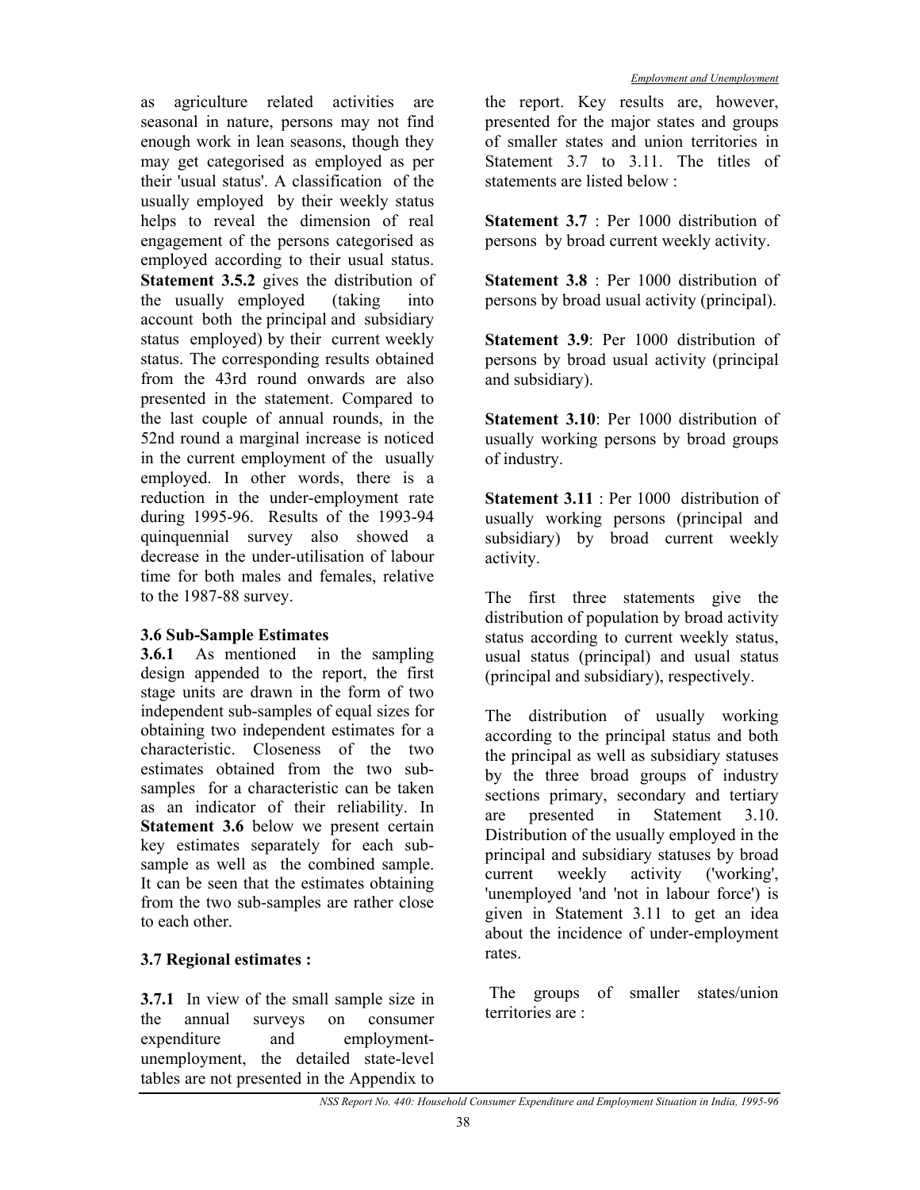as agriculture related activities are seasonal in nature, persons may not find enough work in lean seasons, though they may get categorised as employed as per their 'usual status'. A classification of the usually employed by their weekly status helps to reveal the dimension of real engagement of the persons categorised as employed according to their usual status. **Statement 3.5.2** gives the distribution of the usually employed (taking into account both the principal and subsidiary status employed) by their current weekly status. The corresponding results obtained from the 43rd round onwards are also presented in the statement. Compared to the last couple of annual rounds, in the 52nd round a marginal increase is noticed in the current employment of the usually employed. In other words, there is a reduction in the under-employment rate during 1995-96. Results of the 1993-94 quinquennial survey also showed a decrease in the under-utilisation of labour time for both males and females, relative to the 1987-88 survey.

## **3.6 Sub-Sample Estimates**

**3.6.1** As mentioned in the sampling design appended to the report, the first stage units are drawn in the form of two independent sub-samples of equal sizes for obtaining two independent estimates for a characteristic. Closeness of the two estimates obtained from the two subsamples for a characteristic can be taken as an indicator of their reliability. In **Statement 3.6** below we present certain key estimates separately for each subsample as well as the combined sample. It can be seen that the estimates obtaining from the two sub-samples are rather close to each other.

## **3.7 Regional estimates :**

**3.7.1** In view of the small sample size in the annual surveys on consumer expenditure and employmentunemployment, the detailed state-level tables are not presented in the Appendix to

the report. Key results are, however, presented for the major states and groups of smaller states and union territories in Statement 3.7 to 3.11. The titles of statements are listed below :

**Statement 3.7** : Per 1000 distribution of persons by broad current weekly activity.

**Statement 3.8** : Per 1000 distribution of persons by broad usual activity (principal).

**Statement 3.9**: Per 1000 distribution of persons by broad usual activity (principal and subsidiary).

**Statement 3.10**: Per 1000 distribution of usually working persons by broad groups of industry.

**Statement 3.11** : Per 1000 distribution of usually working persons (principal and subsidiary) by broad current weekly activity.

The first three statements give the distribution of population by broad activity status according to current weekly status, usual status (principal) and usual status (principal and subsidiary), respectively.

The distribution of usually working according to the principal status and both the principal as well as subsidiary statuses by the three broad groups of industry sections primary, secondary and tertiary are presented in Statement 3.10. Distribution of the usually employed in the principal and subsidiary statuses by broad current weekly activity ('working', 'unemployed 'and 'not in labour force') is given in Statement 3.11 to get an idea about the incidence of under-employment rates.

 The groups of smaller states/union territories are :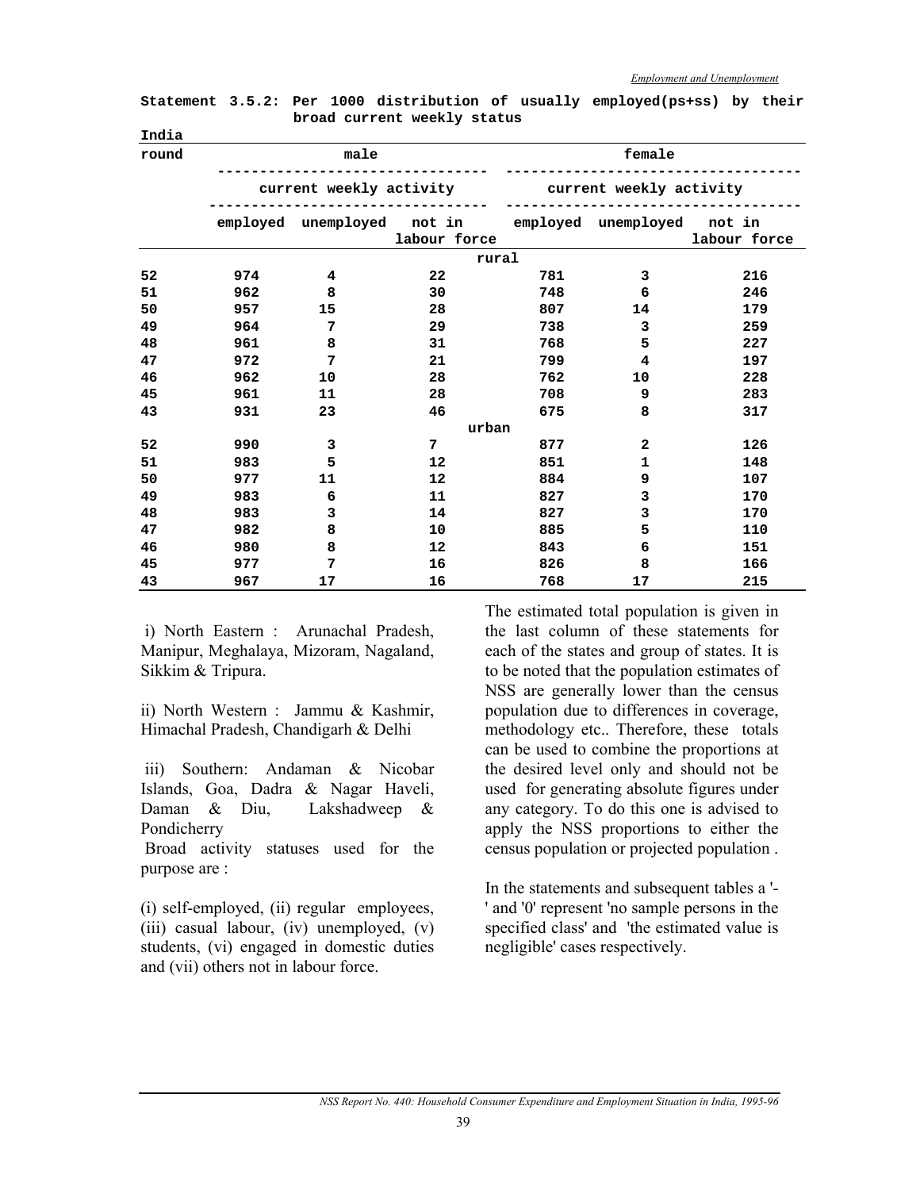| round |                                                       | male           |              | female                                          |                         |              |  |  |  |  |
|-------|-------------------------------------------------------|----------------|--------------|-------------------------------------------------|-------------------------|--------------|--|--|--|--|
|       |                                                       |                |              | current weekly activity current weekly activity |                         |              |  |  |  |  |
|       | employed unemployed not in employed unemployed not in |                | labour force |                                                 |                         | labour force |  |  |  |  |
|       |                                                       |                | rural        |                                                 |                         |              |  |  |  |  |
| 52    | 974                                                   | 4              | 22           | 781                                             | 3                       | 216          |  |  |  |  |
| 51    | 962                                                   | 8              | 30           | 748                                             | 6                       | 246          |  |  |  |  |
| 50    | 957                                                   | 15             | 28           | 807                                             | 14                      | 179          |  |  |  |  |
| 49    | 964                                                   | 7              | 29           | 738                                             | 3                       | 259          |  |  |  |  |
| 48    | 961                                                   | 8              | 31           | 768                                             | 5                       | 227          |  |  |  |  |
| 47    | 972                                                   | $\overline{7}$ | 21           | 799                                             | 4                       | 197          |  |  |  |  |
| 46    | 962                                                   | 10             | 28           | 762                                             | 10                      | 228          |  |  |  |  |
| 45    | 961                                                   | 11             | 28           | 708                                             | 9                       | 283          |  |  |  |  |
| 43    | 931                                                   | 23             | 46           | 675                                             | 8                       | 317          |  |  |  |  |
|       |                                                       |                | urban        |                                                 |                         |              |  |  |  |  |
| 52    | 990                                                   | 3              | 7            | 877                                             | $\overline{\mathbf{2}}$ | 126          |  |  |  |  |
| 51    | 983                                                   | 5              | 12           | 851                                             | 1                       | 148          |  |  |  |  |
| 50    | 977                                                   | 11             | 12           | 884                                             | 9                       | 107          |  |  |  |  |
| 49    | 983                                                   | 6              | 11           | 827                                             | 3                       | 170          |  |  |  |  |
| 48    | 983                                                   | 3              | 14           | 827                                             | 3                       | 170          |  |  |  |  |
| 47    | 982                                                   | 8              | 10           | 885                                             | 5                       | 110          |  |  |  |  |
| 46    | 980                                                   | 8              | 12           | 843                                             | 6                       | 151          |  |  |  |  |
| 45    | 977                                                   | 7              | 16           | 826                                             | 8                       | 166          |  |  |  |  |
| 43    | 967                                                   | 17             | 16           | 768                                             | 17                      | 215          |  |  |  |  |

**Statement 3.5.2: Per 1000 distribution of usually employed(ps+ss) by their broad current weekly status India** 

 i) North Eastern : Arunachal Pradesh, Manipur, Meghalaya, Mizoram, Nagaland, Sikkim & Tripura.

ii) North Western : Jammu & Kashmir, Himachal Pradesh, Chandigarh & Delhi

 iii) Southern: Andaman & Nicobar Islands, Goa, Dadra & Nagar Haveli, Daman & Diu, Lakshadweep & Pondicherry

 Broad activity statuses used for the purpose are :

(i) self-employed, (ii) regular employees, (iii) casual labour, (iv) unemployed, (v) students, (vi) engaged in domestic duties and (vii) others not in labour force.

The estimated total population is given in the last column of these statements for each of the states and group of states. It is to be noted that the population estimates of NSS are generally lower than the census population due to differences in coverage, methodology etc.. Therefore, these totals can be used to combine the proportions at the desired level only and should not be used for generating absolute figures under any category. To do this one is advised to apply the NSS proportions to either the census population or projected population .

In the statements and subsequent tables a '- ' and '0' represent 'no sample persons in the specified class' and 'the estimated value is negligible' cases respectively.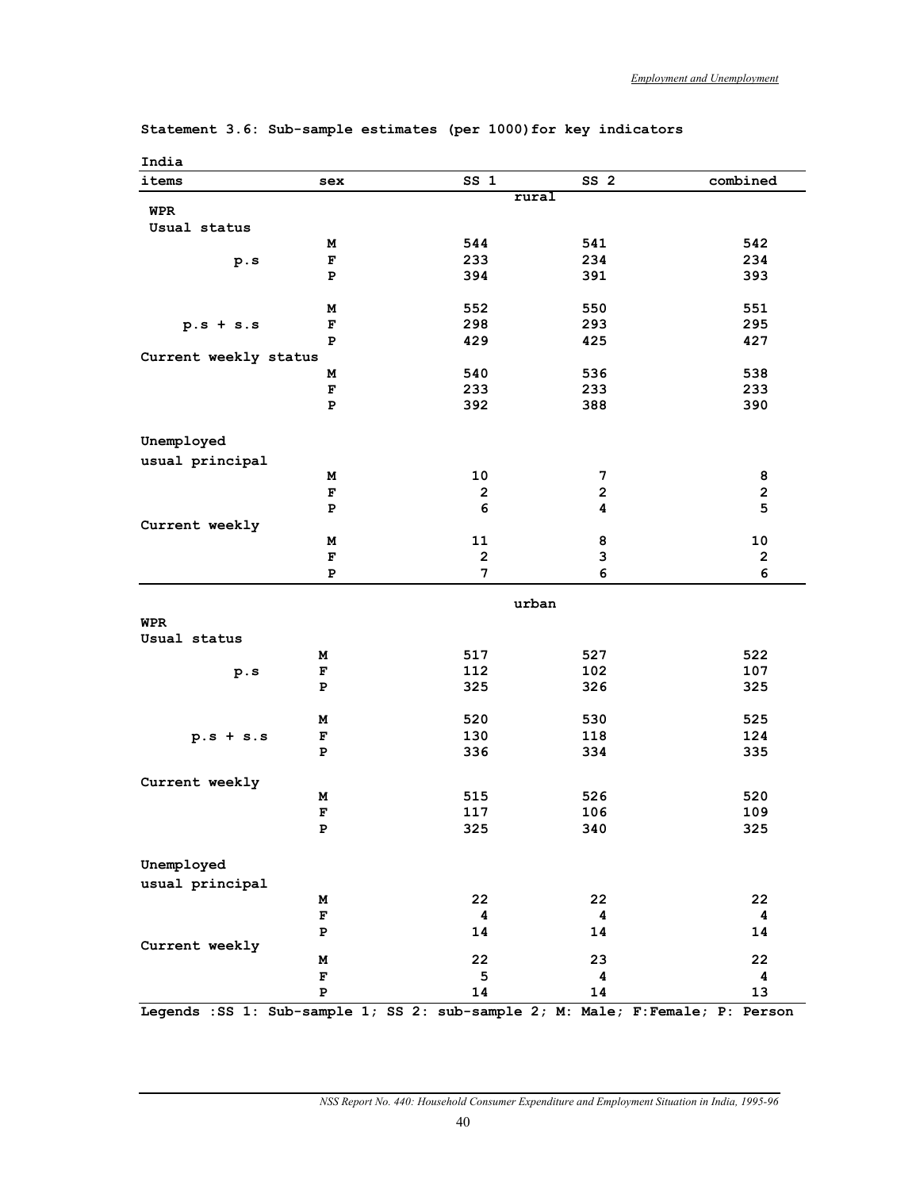| India                 |                                                                                 |                 |                 |                         |
|-----------------------|---------------------------------------------------------------------------------|-----------------|-----------------|-------------------------|
| items                 | sex                                                                             | SS <sub>1</sub> | SS <sub>2</sub> | combined                |
|                       |                                                                                 | rural           |                 |                         |
| <b>WPR</b>            |                                                                                 |                 |                 |                         |
| Usual status          |                                                                                 |                 |                 |                         |
|                       | м                                                                               | 544             | 541             | 542                     |
| p.s                   | $\mathbf{F}$                                                                    | 233             | 234             | 234                     |
|                       | P                                                                               | 394             | 391             | 393                     |
|                       |                                                                                 |                 |                 |                         |
|                       | М                                                                               | 552             | 550             | 551                     |
| $p.s + s.s$           | $\mathbf{F}$                                                                    | 298             | 293             | 295                     |
|                       | P                                                                               | 429             | 425             | 427                     |
| Current weekly status |                                                                                 | 540             | 536             | 538                     |
|                       | М                                                                               | 233             |                 |                         |
|                       | $\mathbf F$<br>${\bf P}$                                                        | 392             | 233             | 233<br>390              |
|                       |                                                                                 |                 | 388             |                         |
|                       |                                                                                 |                 |                 |                         |
| Unemployed            |                                                                                 |                 |                 |                         |
| usual principal       |                                                                                 |                 |                 |                         |
|                       | М                                                                               | 10              | 7               | 8                       |
|                       | $\mathbf F$                                                                     | $\mathbf{2}$    | $\mathbf{2}$    | $\overline{\mathbf{c}}$ |
|                       | ${\bf P}$                                                                       | 6               | 4               | 5                       |
| Current weekly        |                                                                                 |                 |                 |                         |
|                       | М                                                                               | 11              | 8               | ${\bf 10}$              |
|                       | $\mathbf{F}$                                                                    | $\mathbf 2$     | 3               | $\mathbf 2$             |
|                       | Р                                                                               | 7               | 6               | 6                       |
|                       |                                                                                 | urban           |                 |                         |
| <b>WPR</b>            |                                                                                 |                 |                 |                         |
| Usual status          |                                                                                 |                 |                 |                         |
|                       | М                                                                               | 517             | 527             | 522                     |
| p.s                   | F                                                                               | 112             | 102             | 107                     |
|                       | P                                                                               | 325             | 326             | 325                     |
|                       |                                                                                 |                 |                 |                         |
|                       | м                                                                               | 520             | 530             | 525                     |
| $p.s + s.s$           | F                                                                               | 130             | 118             | 124                     |
|                       | P                                                                               | 336             | 334             | 335                     |
|                       |                                                                                 |                 |                 |                         |
| Current weekly        |                                                                                 |                 |                 |                         |
|                       | м                                                                               | 515             | 526             | 520                     |
|                       | $\mathbf F$                                                                     | 117             | 106             | 109                     |
|                       | P                                                                               | 325             | 340             | 325                     |
|                       |                                                                                 |                 |                 |                         |
| Unemployed            |                                                                                 |                 |                 |                         |
| usual principal       |                                                                                 |                 |                 |                         |
|                       | М                                                                               | 22              | 22              | 22                      |
|                       | $\mathbf F$                                                                     | 4               | 4               | 4                       |
|                       | $\mathbf P$                                                                     | 14              | 14              | 14                      |
| Current weekly        |                                                                                 |                 |                 |                         |
|                       | М                                                                               | 22              | 23              | 22                      |
|                       | $\mathbf F$                                                                     | 5               | 4               | 4                       |
|                       | $\mathbf P$                                                                     | 14              | 14              | 13                      |
|                       | Legends : SS 1: Sub-sample 1; SS 2: sub-sample 2; M: Male; F: Female; P: Person |                 |                 |                         |

**Statement 3.6: Sub-sample estimates (per 1000)for key indicators**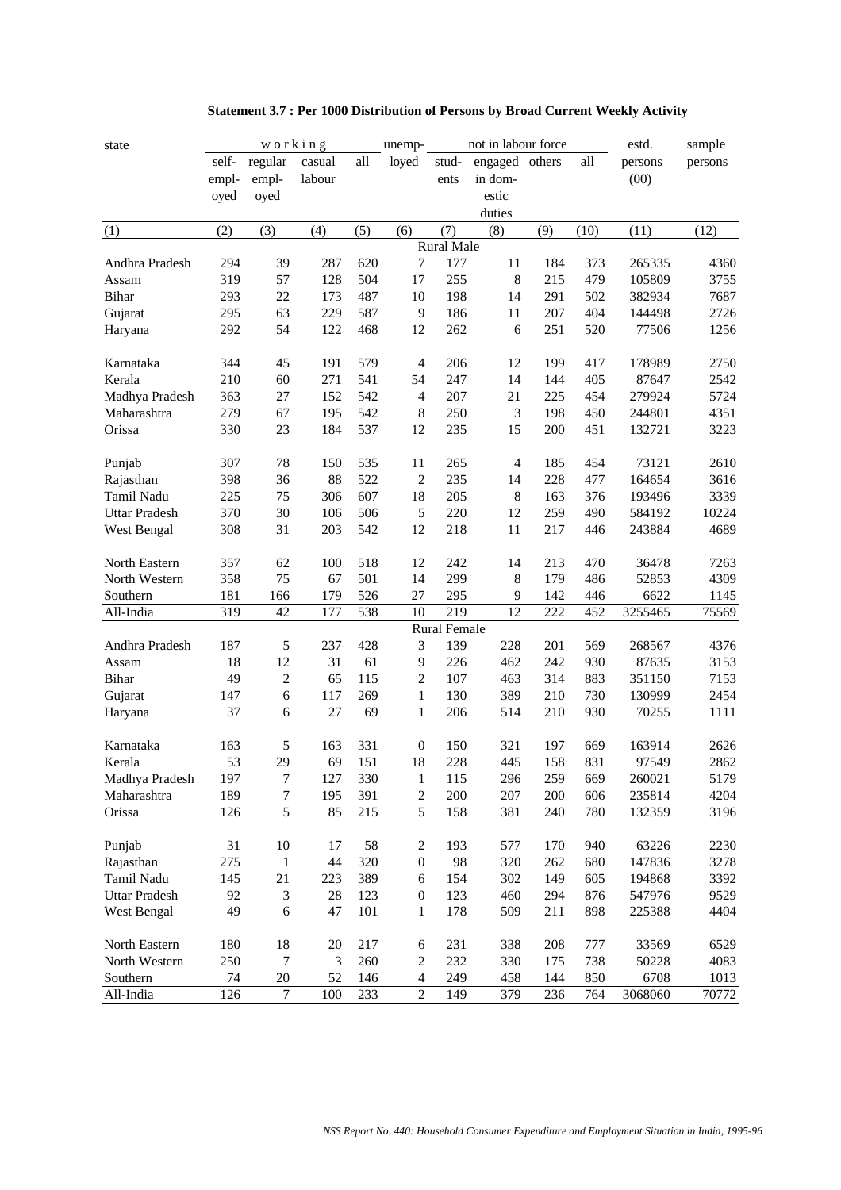| state                |       | working        |        |     | unemp-           |                     | not in labour force |     |      | estd.   | sample  |
|----------------------|-------|----------------|--------|-----|------------------|---------------------|---------------------|-----|------|---------|---------|
|                      | self- | regular        | casual | all | loyed            | stud-               | engaged others      |     | all  | persons | persons |
|                      | empl- | empl-          | labour |     |                  | ents                | in dom-             |     |      | (00)    |         |
|                      | oyed  | oyed           |        |     |                  |                     | estic               |     |      |         |         |
|                      |       |                |        |     |                  |                     | duties              |     |      |         |         |
| (1)                  | (2)   | (3)            | (4)    | (5) | (6)              | (7)                 | (8)                 | (9) | (10) | (11)    | (12)    |
|                      |       |                |        |     |                  | Rural Male          |                     |     |      |         |         |
| Andhra Pradesh       | 294   | 39             | 287    | 620 | $\tau$           | 177                 | 11                  | 184 | 373  | 265335  | 4360    |
| Assam                | 319   | 57             | 128    | 504 | 17               | 255                 | 8                   | 215 | 479  | 105809  | 3755    |
| <b>Bihar</b>         | 293   | 22             | 173    | 487 | 10               | 198                 | 14                  | 291 | 502  | 382934  | 7687    |
| Gujarat              | 295   | 63             | 229    | 587 | 9                | 186                 | 11                  | 207 | 404  | 144498  | 2726    |
| Haryana              | 292   | 54             | 122    | 468 | 12               | 262                 | 6                   | 251 | 520  | 77506   | 1256    |
|                      |       |                |        |     |                  |                     |                     |     |      |         |         |
| Karnataka            | 344   | 45             | 191    | 579 | $\overline{4}$   | 206                 | 12                  | 199 | 417  | 178989  | 2750    |
| Kerala               | 210   | 60             | 271    | 541 | 54               | 247                 | 14                  | 144 | 405  | 87647   | 2542    |
| Madhya Pradesh       | 363   | 27             | 152    | 542 | $\overline{4}$   | 207                 | 21                  | 225 | 454  | 279924  | 5724    |
| Maharashtra          | 279   | 67             | 195    | 542 | 8                | 250                 | $\mathfrak{Z}$      | 198 | 450  | 244801  | 4351    |
| Orissa               | 330   | 23             | 184    | 537 | 12               | 235                 | 15                  | 200 | 451  | 132721  | 3223    |
|                      |       |                |        |     |                  |                     |                     |     |      |         |         |
| Punjab               | 307   | 78             | 150    | 535 | 11               | 265                 | 4                   | 185 | 454  | 73121   | 2610    |
| Rajasthan            | 398   | 36             | 88     | 522 | $\overline{2}$   | 235                 | 14                  | 228 | 477  | 164654  | 3616    |
| Tamil Nadu           | 225   | 75             | 306    | 607 | 18               | 205                 | $8\,$               | 163 | 376  | 193496  | 3339    |
| <b>Uttar Pradesh</b> | 370   | 30             | 106    | 506 | 5                | 220                 | 12                  | 259 | 490  | 584192  | 10224   |
| West Bengal          | 308   | 31             | 203    | 542 | 12               | 218                 | 11                  | 217 | 446  | 243884  | 4689    |
|                      |       |                |        |     |                  |                     |                     |     |      |         |         |
| North Eastern        | 357   | 62             | 100    | 518 | 12               | 242                 | 14                  | 213 | 470  | 36478   | 7263    |
| North Western        | 358   | 75             | 67     | 501 | 14               | 299                 | 8                   | 179 | 486  | 52853   | 4309    |
| Southern             | 181   | 166            | 179    | 526 | 27               | 295                 | 9                   | 142 | 446  | 6622    | 1145    |
| All-India            | 319   | 42             | 177    | 538 | 10               | 219                 | 12                  | 222 | 452  | 3255465 | 75569   |
|                      |       |                |        |     |                  | <b>Rural Female</b> |                     |     |      |         |         |
| Andhra Pradesh       | 187   | $\sqrt{5}$     | 237    | 428 | 3                | 139                 | 228                 | 201 | 569  | 268567  | 4376    |
| Assam                | 18    | 12             | 31     | 61  | 9                | 226                 | 462                 | 242 | 930  | 87635   | 3153    |
| <b>Bihar</b>         | 49    | $\overline{2}$ | 65     | 115 | $\overline{2}$   | 107                 | 463                 | 314 | 883  | 351150  | 7153    |
| Gujarat              | 147   | $\sqrt{6}$     | 117    | 269 | $\mathbf{1}$     | 130                 | 389                 | 210 | 730  | 130999  | 2454    |
| Haryana              | 37    | 6              | 27     | 69  | $\mathbf{1}$     | 206                 | 514                 | 210 | 930  | 70255   | 1111    |
|                      |       |                |        |     |                  |                     |                     |     |      |         |         |
| Karnataka            | 163   | 5              | 163    | 331 | $\boldsymbol{0}$ | 150                 | 321                 | 197 | 669  | 163914  | 2626    |
| Kerala               | 53    | 29             | 69     | 151 | 18               | 228                 | 445                 | 158 | 831  | 97549   | 2862    |
| Madhya Pradesh       | 197   | 7              | 127    | 330 | 1                | 115                 | 296                 | 259 | 669  | 260021  | 5179    |
| Maharashtra          | 189   | 7              | 195    | 391 | $\sqrt{2}$       | 200                 | 207                 | 200 | 606  | 235814  | 4204    |
| Orissa               | 126   | 5              | 85     | 215 | 5                | 158                 | 381                 | 240 | 780  | 132359  | 3196    |
|                      |       |                |        |     |                  |                     |                     |     |      |         |         |
| Punjab               | 31    | 10             | 17     | 58  | $\boldsymbol{2}$ | 193                 | 577                 | 170 | 940  | 63226   | 2230    |
| Rajasthan            | 275   | $\mathbf{1}$   | 44     | 320 | $\boldsymbol{0}$ | 98                  | 320                 | 262 | 680  | 147836  | 3278    |
| Tamil Nadu           | 145   | 21             | 223    | 389 | $\sqrt{6}$       | 154                 | 302                 | 149 | 605  | 194868  | 3392    |
| <b>Uttar Pradesh</b> | 92    | 3              | 28     | 123 | $\boldsymbol{0}$ | 123                 | 460                 | 294 | 876  | 547976  | 9529    |
| West Bengal          | 49    | 6              | 47     | 101 | 1                | 178                 | 509                 | 211 | 898  | 225388  | 4404    |
|                      |       |                |        |     |                  |                     |                     |     |      |         |         |
| North Eastern        | 180   | 18             | 20     | 217 | 6                | 231                 | 338                 | 208 | 777  | 33569   | 6529    |
| North Western        | 250   | $\tau$         | 3      | 260 | $\sqrt{2}$       | 232                 | 330                 | 175 | 738  | 50228   | 4083    |
| Southern             | 74    | $20\,$         | 52     | 146 | $\overline{4}$   | 249                 | 458                 | 144 | 850  | 6708    | 1013    |
| All-India            | 126   | $\overline{7}$ | 100    | 233 | $\overline{2}$   | 149                 | 379                 | 236 | 764  | 3068060 | 70772   |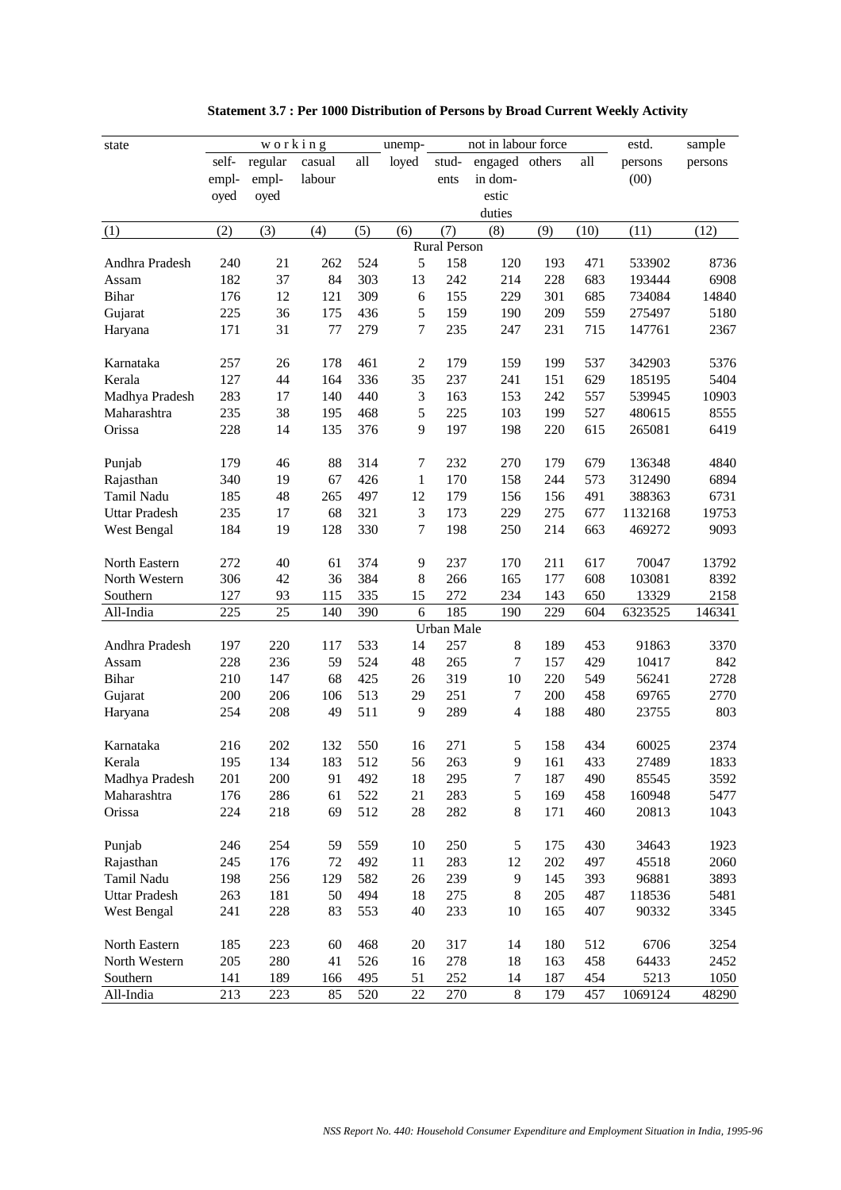| state                 |            | working    |           |            | unemp-           |                     | not in labour force |            |            | estd.           | sample        |
|-----------------------|------------|------------|-----------|------------|------------------|---------------------|---------------------|------------|------------|-----------------|---------------|
|                       | self-      | regular    | casual    | all        | loyed            | stud-               | engaged others      |            | all        | persons         | persons       |
|                       | empl-      | empl-      | labour    |            |                  | ents                | in dom-             |            |            | (00)            |               |
|                       | oyed       | oyed       |           |            |                  |                     | estic               |            |            |                 |               |
|                       |            |            |           |            |                  |                     | duties              |            |            |                 |               |
| (1)                   | (2)        | (3)        | (4)       | (5)        | (6)              | (7)                 | (8)                 | (9)        | (10)       | (11)            | (12)          |
|                       |            |            |           |            |                  | <b>Rural Person</b> |                     |            |            |                 |               |
| Andhra Pradesh        | 240        | 21         | 262       | 524        | 5                | 158                 | 120                 | 193        | 471        | 533902          | 8736          |
| Assam                 | 182        | 37         | 84        | 303        | 13               | 242                 | 214                 | 228        | 683        | 193444          | 6908          |
| <b>Bihar</b>          | 176        | 12         | 121       | 309        | 6                | 155                 | 229                 | 301        | 685        | 734084          | 14840         |
| Gujarat               | 225        | 36         | 175       | 436        | 5                | 159                 | 190                 | 209        | 559        | 275497          | 5180          |
| Haryana               | 171        | 31         | 77        | 279        | $\tau$           | 235                 | 247                 | 231        | 715        | 147761          | 2367          |
|                       |            |            |           |            |                  |                     |                     |            |            |                 |               |
| Karnataka             | 257        | 26         | 178       | 461        | $\overline{2}$   | 179                 | 159                 | 199        | 537        | 342903          | 5376          |
| Kerala                | 127        | 44         | 164       | 336        | 35               | 237                 | 241                 | 151        | 629        | 185195          | 5404          |
| Madhya Pradesh        | 283        | 17         | 140       | 440        | 3                | 163                 | 153                 | 242        | 557        | 539945          | 10903         |
| Maharashtra           | 235        | 38         | 195       | 468        | 5                | 225                 | 103                 | 199        | 527        | 480615          | 8555          |
| Orissa                | 228        | 14         | 135       | 376        | 9                | 197                 | 198                 | 220        | 615        | 265081          | 6419          |
|                       |            |            |           |            |                  |                     |                     |            |            |                 |               |
| Punjab                | 179        | 46         | 88        | 314        | $\boldsymbol{7}$ | 232                 | 270                 | 179        | 679        | 136348          | 4840          |
| Rajasthan             | 340        | 19         | 67        | 426        | $\mathbf{1}$     | 170                 | 158                 | 244        | 573        | 312490          | 6894          |
| Tamil Nadu            | 185        | 48         | 265       | 497        | 12               | 179                 | 156                 | 156        | 491        | 388363          | 6731          |
| <b>Uttar Pradesh</b>  | 235        | 17         | 68        | 321        | 3                | 173                 | 229                 | 275        | 677        | 1132168         | 19753         |
| West Bengal           | 184        | 19         | 128       | 330        | $\tau$           | 198                 | 250                 | 214        | 663        | 469272          | 9093          |
|                       |            |            |           |            |                  |                     |                     |            |            |                 |               |
| North Eastern         | 272        | 40         | 61        | 374        | 9                | 237                 | 170                 | 211        | 617        | 70047           | 13792         |
| North Western         | 306        | 42         | 36        | 384        | 8                | 266                 | 165                 | 177        | 608        | 103081          | 8392          |
| Southern              | 127        | 93         | 115       | 335        | 15               | 272                 | 234                 | 143        | 650        | 13329           | 2158          |
| All-India             | 225        | 25         | 140       | 390        | 6                | 185                 | 190                 | 229        | 604        | 6323525         | 146341        |
|                       |            |            |           |            |                  | Urban Male          |                     |            |            |                 |               |
| Andhra Pradesh        | 197        | 220        | 117       | 533        | 14               | 257                 | $\,8\,$             | 189        | 453        | 91863           | 3370          |
| Assam                 | 228        | 236        | 59        | 524        | 48               | 265                 | 7                   | 157        | 429        | 10417           | 842           |
| <b>Bihar</b>          | 210        | 147        | 68        | 425        | 26               | 319                 | 10                  | 220        | 549        | 56241           | 2728          |
| Gujarat               | 200        | 206        | 106       | 513        | 29               | 251                 | 7                   | 200        | 458        | 69765           | 2770          |
| Haryana               | 254        | 208        | 49        | 511        | 9                | 289                 | $\overline{4}$      | 188        | 480        | 23755           | 803           |
|                       |            |            |           |            |                  |                     |                     |            |            |                 |               |
| Karnataka             | 216        | 202        | 132       | 550        | 16               | 271                 | 5                   | 158        | 434        | 60025           | 2374          |
| Kerala                | 195        | 134        | 183       | 512        | 56               | 263                 | 9                   | 161        | 433        | 27489           | 1833          |
| Madhya Pradesh        | 201        | 200        | 91        | 492        | 18               | 295                 | $\tau$              | 187        | 490        | 85545           | 3592          |
| Maharashtra           | 176        | 286        | 61        | 522        | 21               | 283                 | $\sqrt{5}$          | 169        | 458        | 160948          | 5477          |
| Orissa                | 224        | 218        | 69        | 512        | 28               | 282                 | $8\,$               | 171        | 460        | 20813           | 1043          |
|                       |            |            |           |            |                  |                     |                     |            |            |                 |               |
| Punjab                | 246        | 254        | 59        | 559        | 10               | 250                 | $\mathfrak s$       | 175        | 430        | 34643           | 1923          |
| Rajasthan             | 245        | 176        | 72        | 492        | 11               | 283                 | 12                  | 202        | 497        | 45518           | 2060          |
| Tamil Nadu            | 198        | 256        | 129       | 582        | 26               | 239                 | 9                   | 145        | 393        | 96881           | 3893          |
| <b>Uttar Pradesh</b>  | 263        | 181        | 50        | 494        | 18               | 275                 | $\,8\,$             | 205        | 487        | 118536          | 5481          |
| West Bengal           | 241        | 228        | 83        | 553        | 40               | 233                 | 10                  | 165        | 407        | 90332           | 3345          |
|                       |            |            |           |            |                  |                     |                     |            |            |                 |               |
| North Eastern         | 185        | 223        | 60        | 468        | 20               | 317                 | 14                  | 180        | 512        | 6706            | 3254          |
| North Western         | 205        | 280        | 41        | 526        | 16               | 278                 | 18                  | 163        | 458        | 64433           | 2452          |
| Southern<br>All-India | 141<br>213 | 189<br>223 | 166<br>85 | 495<br>520 | 51<br>22         | 252<br>270          | 14<br>$8\,$         | 187<br>179 | 454<br>457 | 5213<br>1069124 | 1050<br>48290 |
|                       |            |            |           |            |                  |                     |                     |            |            |                 |               |

| Statement 3.7 : Per 1000 Distribution of Persons by Broad Current Weekly Activity |  |  |
|-----------------------------------------------------------------------------------|--|--|
|-----------------------------------------------------------------------------------|--|--|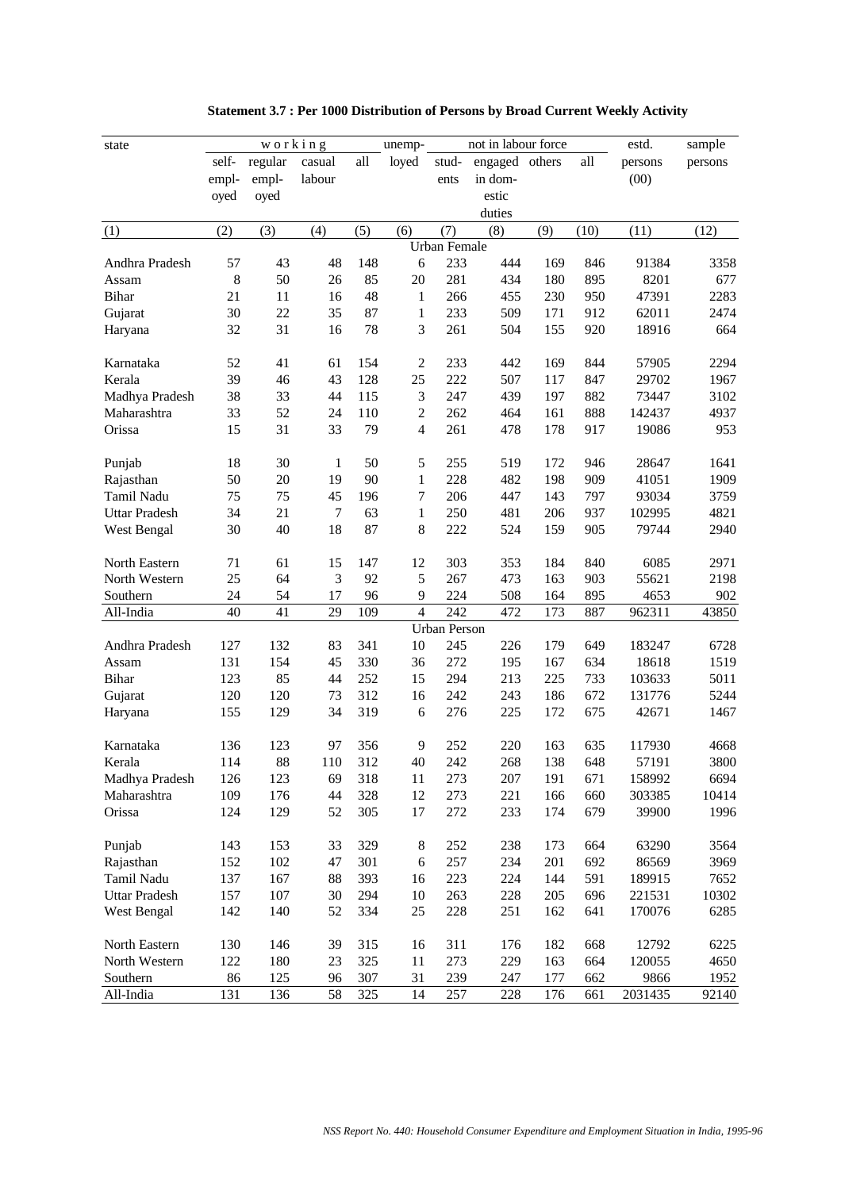| state                 |           | working    |                |            | unemp-         |                     | not in labour force |            |            | estd.           | sample        |
|-----------------------|-----------|------------|----------------|------------|----------------|---------------------|---------------------|------------|------------|-----------------|---------------|
|                       | self-     | regular    | casual         | all        | loyed          | stud-               | engaged others      |            | all        | persons         | persons       |
|                       | empl-     | empl-      | labour         |            |                | ents                | in dom-             |            |            | (00)            |               |
|                       | oyed      | oyed       |                |            |                |                     | estic               |            |            |                 |               |
|                       |           |            |                |            |                |                     | duties              |            |            |                 |               |
| (1)                   | (2)       | (3)        | (4)            | (5)        | (6)            | (7)                 | (8)                 | (9)        | (10)       | (11)            | (12)          |
|                       |           |            |                |            |                | <b>Urban Female</b> |                     |            |            |                 |               |
| Andhra Pradesh        | 57        | 43         | 48             | 148        | 6              | 233                 | 444                 | 169        | 846        | 91384           | 3358          |
| Assam                 | 8         | 50         | 26             | 85         | 20             | 281                 | 434                 | 180        | 895        | 8201            | 677           |
| <b>Bihar</b>          | 21        | 11         | 16             | 48         | $\mathbf{1}$   | 266                 | 455                 | 230        | 950        | 47391           | 2283          |
| Gujarat               | 30        | 22         | 35             | 87         | $\mathbf{1}$   | 233                 | 509                 | 171        | 912        | 62011           | 2474          |
| Haryana               | 32        | 31         | 16             | 78         | 3              | 261                 | 504                 | 155        | 920        | 18916           | 664           |
|                       |           |            |                |            |                |                     |                     |            |            |                 |               |
| Karnataka             | 52        | 41         | 61             | 154        | $\overline{2}$ | 233                 | 442                 | 169        | 844        | 57905           | 2294          |
| Kerala                | 39        | 46         | 43             | 128        | 25             | 222                 | 507                 | 117        | 847        | 29702           | 1967          |
| Madhya Pradesh        | 38        | 33         | 44             | 115        | 3              | 247                 | 439                 | 197        | 882        | 73447           | 3102          |
| Maharashtra           | 33        | 52         | 24             | 110        | $\mathbf{2}$   | 262                 | 464                 | 161        | 888        | 142437          | 4937          |
| Orissa                | 15        | 31         | 33             | 79         | $\overline{4}$ | 261                 | 478                 | 178        | 917        | 19086           | 953           |
|                       |           |            |                |            |                |                     |                     |            |            |                 |               |
| Punjab                | 18        | 30         | 1              | 50         | 5              | 255                 | 519                 | 172        | 946        | 28647           | 1641          |
| Rajasthan             | 50        | 20         | 19             | 90         | $\mathbf{1}$   | 228                 | 482                 | 198        | 909        | 41051           | 1909          |
| Tamil Nadu            | 75        | 75         | 45             | 196        | $\tau$         | 206                 | 447                 | 143        | 797        | 93034           | 3759          |
| <b>Uttar Pradesh</b>  | 34        | 21         | $\overline{7}$ | 63         | $\mathbf{1}$   | 250                 | 481                 | 206        | 937        | 102995          | 4821          |
| West Bengal           | 30        | 40         | 18             | 87         | $\,8\,$        | 222                 | 524                 | 159        | 905        | 79744           | 2940          |
|                       |           |            |                |            |                |                     |                     |            |            |                 |               |
| North Eastern         | 71        | 61         | 15             | 147        | 12             | 303                 | 353                 | 184        | 840        | 6085            | 2971          |
| North Western         | 25        | 64         | $\mathfrak{Z}$ | 92         | 5              | 267                 | 473                 | 163        | 903        | 55621           | 2198          |
| Southern              | 24        | 54         | 17             | 96         | 9              | 224                 | 508                 | 164        | 895        | 4653            | 902           |
| All-India             | 40        | 41         | 29             | 109        | $\overline{4}$ | 242                 | 472                 | 173        | 887        | 962311          | 43850         |
|                       |           |            |                |            |                | <b>Urban Person</b> |                     |            |            |                 |               |
| Andhra Pradesh        | 127       | 132        | 83             | 341        | 10             | 245                 | 226                 | 179        | 649        | 183247          | 6728          |
| Assam                 | 131       | 154        | 45             | 330        | 36             | 272                 | 195                 | 167        | 634        | 18618           | 1519          |
| <b>Bihar</b>          | 123       | 85         | 44             | 252        | 15             | 294                 | 213                 | 225        | 733        | 103633          | 5011          |
| Gujarat               | 120       | 120        | 73             | 312        | 16             | 242                 | 243                 | 186        | 672        | 131776          | 5244          |
| Haryana               | 155       | 129        | 34             | 319        | 6              | 276                 | 225                 | 172        | 675        | 42671           | 1467          |
|                       |           |            |                |            |                |                     |                     |            |            |                 |               |
| Karnataka             | 136       | 123        | 97             | 356        | 9              | 252                 | 220                 | 163        | 635        | 117930          | 4668          |
| Kerala                | 114       | 88         | 110            | 312        | $40\,$         | 242                 | 268                 | 138        | 648        | 57191           | 3800          |
| Madhya Pradesh        | 126       | 123        | 69             | 318        | 11             | 273                 | 207                 | 191        | 671        | 158992          | 6694          |
| Maharashtra           | 109       | 176        | 44             | 328        | 12             | 273                 | 221                 | 166        | 660        | 303385          | 10414         |
| Orissa                | 124       | 129        | 52             | 305        | 17             | 272                 | 233                 | 174        | 679        | 39900           | 1996          |
|                       |           |            |                |            |                |                     |                     |            |            |                 |               |
| Punjab                | 143       | 153        | 33             | 329        | $\,8\,$        | 252                 | 238                 | 173        | 664        | 63290           | 3564          |
| Rajasthan             | 152       | 102        | 47             | 301        | $\sqrt{6}$     | 257                 | 234                 | 201        | 692        | 86569           | 3969          |
| Tamil Nadu            | 137       | 167        | 88             | 393        | 16             | 223                 | 224                 | 144        | 591        | 189915          | 7652          |
| <b>Uttar Pradesh</b>  | 157       | 107        | 30             | 294        | 10             | 263                 | 228                 | 205        | 696        | 221531          | 10302         |
| West Bengal           | 142       | 140        | 52             | 334        | 25             | 228                 | 251                 | 162        | 641        | 170076          | 6285          |
|                       |           |            |                |            |                |                     |                     |            |            |                 |               |
| North Eastern         | 130       | 146        | 39             | 315        | 16             | 311                 | 176                 | 182        | 668        | 12792           | 6225          |
| North Western         | 122<br>86 | 180        | 23             | 325        | 11             | 273                 | 229                 | 163        | 664        | 120055          | 4650          |
| Southern<br>All-India | 131       | 125<br>136 | 96<br>58       | 307<br>325 | 31<br>14       | 239<br>257          | 247<br>228          | 177<br>176 | 662<br>661 | 9866<br>2031435 | 1952<br>92140 |
|                       |           |            |                |            |                |                     |                     |            |            |                 |               |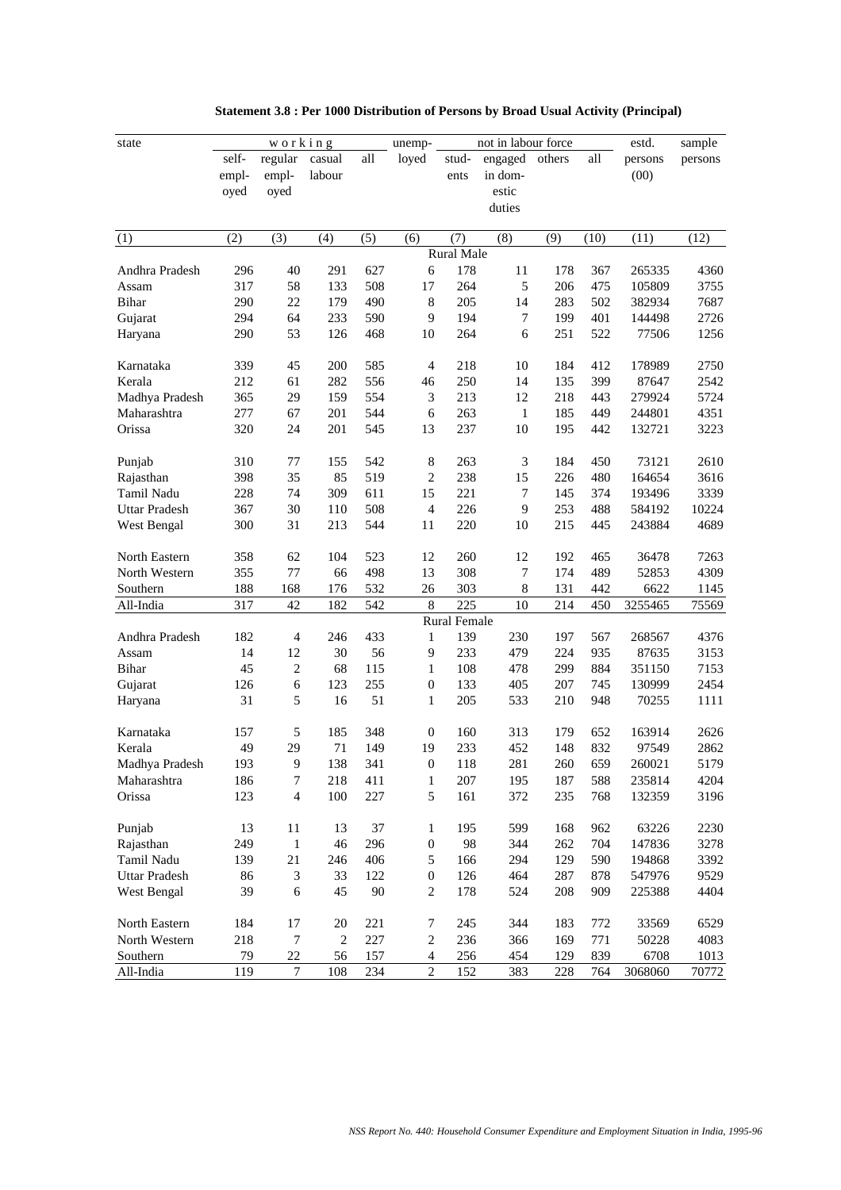| state                |       | working                  |        |     | unemp-           |              | not in labour force |        |      | estd.   | sample  |
|----------------------|-------|--------------------------|--------|-----|------------------|--------------|---------------------|--------|------|---------|---------|
|                      | self- | regular                  | casual | all | loyed            | stud-        | engaged             | others | all  | persons | persons |
|                      | empl- | empl-                    | labour |     |                  | ents         | in dom-             |        |      | (00)    |         |
|                      | oyed  | oyed                     |        |     |                  |              | estic               |        |      |         |         |
|                      |       |                          |        |     |                  |              | duties              |        |      |         |         |
|                      |       |                          |        |     |                  |              |                     |        |      |         |         |
| (1)                  | (2)   | (3)                      | (4)    | (5) | (6)              | (7)          | (8)                 | (9)    | (10) | (11)    | (12)    |
|                      |       |                          |        |     |                  | Rural Male   |                     |        |      |         |         |
| Andhra Pradesh       | 296   | 40                       | 291    | 627 | 6                | 178          | 11                  | 178    | 367  | 265335  | 4360    |
| Assam                | 317   | 58                       | 133    | 508 | 17               | 264          | 5                   | 206    | 475  | 105809  | 3755    |
| Bihar                | 290   | 22                       | 179    | 490 | $\,8$            | 205          | 14                  | 283    | 502  | 382934  | 7687    |
| Gujarat              | 294   | 64                       | 233    | 590 | 9                | 194          | $\tau$              | 199    | 401  | 144498  | 2726    |
| Haryana              | 290   | 53                       | 126    | 468 | 10               | 264          | 6                   | 251    | 522  | 77506   | 1256    |
| Karnataka            | 339   | 45                       | 200    | 585 | 4                | 218          | 10                  | 184    | 412  | 178989  | 2750    |
| Kerala               | 212   | 61                       | 282    | 556 | 46               | 250          | 14                  | 135    | 399  | 87647   | 2542    |
| Madhya Pradesh       | 365   | 29                       | 159    | 554 | 3                | 213          | 12                  | 218    | 443  | 279924  | 5724    |
| Maharashtra          | 277   | 67                       | 201    | 544 | 6                | 263          | $\mathbf{1}$        | 185    | 449  | 244801  | 4351    |
| Orissa               | 320   | 24                       | 201    | 545 | 13               | 237          | 10                  | 195    | 442  | 132721  | 3223    |
| Punjab               | 310   | 77                       | 155    | 542 | 8                | 263          | 3                   | 184    | 450  | 73121   | 2610    |
| Rajasthan            | 398   | 35                       | 85     | 519 | $\mathbf{2}$     | 238          | 15                  | 226    | 480  | 164654  | 3616    |
| Tamil Nadu           | 228   | 74                       | 309    | 611 | 15               | 221          | $\tau$              | 145    | 374  | 193496  | 3339    |
| <b>Uttar Pradesh</b> | 367   | 30                       | 110    | 508 | $\overline{4}$   | 226          | 9                   | 253    | 488  | 584192  | 10224   |
| West Bengal          | 300   | 31                       | 213    | 544 | 11               | 220          | 10                  | 215    | 445  | 243884  | 4689    |
|                      |       |                          |        |     |                  |              |                     |        |      |         |         |
| North Eastern        | 358   | 62                       | 104    | 523 | 12               | 260          | 12                  | 192    | 465  | 36478   | 7263    |
| North Western        | 355   | 77                       | 66     | 498 | 13               | 308          | 7                   | 174    | 489  | 52853   | 4309    |
| Southern             | 188   | 168                      | 176    | 532 | 26               | 303          | 8                   | 131    | 442  | 6622    | 1145    |
| All-India            | 317   | 42                       | 182    | 542 | 8                | 225          | 10                  | 214    | 450  | 3255465 | 75569   |
|                      |       |                          |        |     |                  | Rural Female |                     |        |      |         |         |
| Andhra Pradesh       | 182   | $\overline{4}$           | 246    | 433 | $\mathbf{1}$     | 139          | 230                 | 197    | 567  | 268567  | 4376    |
| Assam                | 14    | 12                       | 30     | 56  | 9                | 233          | 479                 | 224    | 935  | 87635   | 3153    |
| Bihar                | 45    | $\mathfrak{2}$           | 68     | 115 | $\mathbf{1}$     | 108          | 478                 | 299    | 884  | 351150  | 7153    |
| Gujarat              | 126   | 6                        | 123    | 255 | $\boldsymbol{0}$ | 133          | 405                 | 207    | 745  | 130999  | 2454    |
| Haryana              | 31    | 5                        | 16     | 51  | 1                | 205          | 533                 | 210    | 948  | 70255   | 1111    |
| Karnataka            | 157   | 5                        | 185    | 348 | $\boldsymbol{0}$ | 160          | 313                 | 179    | 652  | 163914  | 2626    |
| Kerala               | 49    | 29                       | 71     | 149 | 19               | 233          | 452                 | 148    | 832  | 97549   | 2862    |
| Madhya Pradesh       | 193   | 9                        | 138    | 341 | $\boldsymbol{0}$ | 118          | 281                 | 260    | 659  | 260021  | 5179    |
| Maharashtra          | 186   | $\tau$                   | 218    | 411 | $\mathbf{1}$     | 207          | 195                 | 187    | 588  | 235814  | 4204    |
| Orissa               | 123   | $\overline{\mathcal{L}}$ | 100    | 227 | $\sqrt{5}$       | 161          | 372                 | 235    | 768  | 132359  | 3196    |
| Punjab               | 13    | 11                       | 13     | 37  | 1                | 195          | 599                 | 168    | 962  | 63226   | 2230    |
| Rajasthan            | 249   | $\mathbf{1}$             | 46     | 296 | $\boldsymbol{0}$ | 98           | 344                 | 262    | 704  | 147836  | 3278    |
| Tamil Nadu           | 139   | 21                       | 246    | 406 | 5                | 166          | 294                 | 129    | 590  | 194868  | 3392    |
| <b>Uttar Pradesh</b> | 86    | 3                        | 33     | 122 | $\boldsymbol{0}$ | 126          | 464                 | 287    | 878  | 547976  | 9529    |
| West Bengal          | 39    | 6                        | 45     | 90  | $\overline{c}$   | 178          | 524                 | 208    | 909  | 225388  | 4404    |
|                      |       |                          |        |     |                  |              |                     |        |      |         |         |
| North Eastern        | 184   | 17                       | 20     | 221 | 7                | 245          | 344                 | 183    | 772  | 33569   | 6529    |
| North Western        | 218   | $\overline{7}$           | 2      | 227 | $\boldsymbol{2}$ | 236          | 366                 | 169    | 771  | 50228   | 4083    |
| Southern             | 79    | 22                       | 56     | 157 | 4                | 256          | 454                 | 129    | 839  | 6708    | 1013    |
| All-India            | 119   | $\boldsymbol{7}$         | 108    | 234 | $\sqrt{2}$       | 152          | 383                 | 228    | 764  | 3068060 | 70772   |

|  |  | Statement 3.8 : Per 1000 Distribution of Persons by Broad Usual Activity (Principal) |  |  |
|--|--|--------------------------------------------------------------------------------------|--|--|
|--|--|--------------------------------------------------------------------------------------|--|--|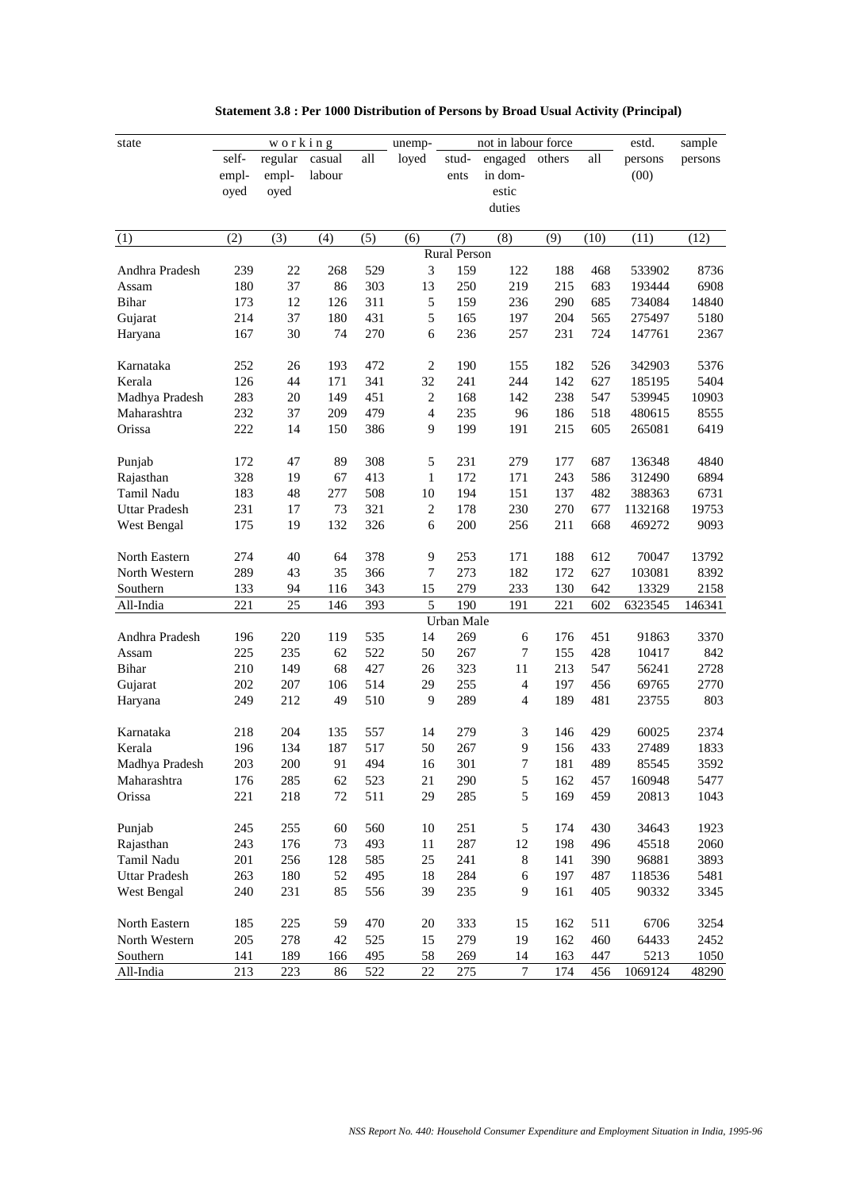| state                |       | working |        |     | unemp-         |              | not in labour force |        |      | estd.   | sample  |
|----------------------|-------|---------|--------|-----|----------------|--------------|---------------------|--------|------|---------|---------|
|                      | self- | regular | casual | all | loyed          | stud-        | engaged             | others | all  | persons | persons |
|                      | empl- | empl-   | labour |     |                | ents         | in dom-             |        |      | (00)    |         |
|                      | oyed  | oyed    |        |     |                |              | estic               |        |      |         |         |
|                      |       |         |        |     |                |              | duties              |        |      |         |         |
|                      |       |         |        |     |                |              |                     |        |      |         |         |
| (1)                  | (2)   | (3)     | (4)    | (5) | (6)            | (7)          | (8)                 | (9)    | (10) | (11)    | (12)    |
|                      |       |         |        |     |                | Rural Person |                     |        |      |         |         |
| Andhra Pradesh       | 239   | 22      | 268    | 529 | 3              | 159          | 122                 | 188    | 468  | 533902  | 8736    |
| Assam                | 180   | 37      | 86     | 303 | 13             | 250          | 219                 | 215    | 683  | 193444  | 6908    |
| Bihar                | 173   | 12      | 126    | 311 | 5              | 159          | 236                 | 290    | 685  | 734084  | 14840   |
| Gujarat              | 214   | 37      | 180    | 431 | 5              | 165          | 197                 | 204    | 565  | 275497  | 5180    |
| Haryana              | 167   | 30      | 74     | 270 | 6              | 236          | 257                 | 231    | 724  | 147761  | 2367    |
| Karnataka            | 252   | 26      | 193    | 472 | $\mathbf{2}$   | 190          | 155                 | 182    | 526  | 342903  | 5376    |
| Kerala               | 126   | 44      | 171    | 341 | 32             | 241          | 244                 | 142    | 627  | 185195  | 5404    |
| Madhya Pradesh       | 283   | 20      | 149    | 451 | $\mathbf{2}$   | 168          | 142                 | 238    | 547  | 539945  | 10903   |
| Maharashtra          | 232   | 37      | 209    | 479 | $\overline{4}$ | 235          | 96                  | 186    | 518  | 480615  | 8555    |
| Orissa               | 222   | 14      | 150    | 386 | 9              | 199          | 191                 | 215    | 605  | 265081  | 6419    |
|                      |       |         |        |     |                |              |                     |        |      |         |         |
| Punjab               | 172   | 47      | 89     | 308 | 5              | 231          | 279                 | 177    | 687  | 136348  | 4840    |
| Rajasthan            | 328   | 19      | 67     | 413 | $\mathbf{1}$   | 172          | 171                 | 243    | 586  | 312490  | 6894    |
| <b>Tamil Nadu</b>    | 183   | 48      | 277    | 508 | 10             | 194          | 151                 | 137    | 482  | 388363  | 6731    |
| <b>Uttar Pradesh</b> | 231   | 17      | 73     | 321 | $\sqrt{2}$     | 178          | 230                 | 270    | 677  | 1132168 | 19753   |
| West Bengal          | 175   | 19      | 132    | 326 | 6              | 200          | 256                 | 211    | 668  | 469272  | 9093    |
|                      |       |         |        |     |                |              |                     |        |      |         |         |
| North Eastern        | 274   | 40      | 64     | 378 | 9              | 253          | 171                 | 188    | 612  | 70047   | 13792   |
| North Western        | 289   | 43      | 35     | 366 | 7              | 273          | 182                 | 172    | 627  | 103081  | 8392    |
| Southern             | 133   | 94      | 116    | 343 | 15             | 279          | 233                 | 130    | 642  | 13329   | 2158    |
| All-India            | 221   | 25      | 146    | 393 | 5              | 190          | 191                 | 221    | 602  | 6323545 | 146341  |
|                      |       |         |        |     |                | Urban Male   |                     |        |      |         |         |
| Andhra Pradesh       | 196   | 220     | 119    | 535 | 14             | 269          | 6                   | 176    | 451  | 91863   | 3370    |
| Assam                | 225   | 235     | 62     | 522 | 50             | 267          | $\tau$              | 155    | 428  | 10417   | 842     |
| Bihar                | 210   | 149     | 68     | 427 | 26             | 323          | 11                  | 213    | 547  | 56241   | 2728    |
| Gujarat              | 202   | 207     | 106    | 514 | 29             | 255          | 4                   | 197    | 456  | 69765   | 2770    |
| Haryana              | 249   | 212     | 49     | 510 | 9              | 289          | $\overline{4}$      | 189    | 481  | 23755   | 803     |
| Karnataka            | 218   | 204     | 135    | 557 | 14             | 279          | 3                   | 146    | 429  | 60025   | 2374    |
| Kerala               | 196   | 134     | 187    | 517 | 50             | 267          | 9                   | 156    | 433  | 27489   | 1833    |
| Madhya Pradesh       | 203   | 200     | 91     | 494 | 16             | 301          | $\boldsymbol{7}$    | 181    | 489  | 85545   | 3592    |
| Maharashtra          | 176   | 285     | 62     | 523 | 21             | 290          | $\sqrt{5}$          | 162    | 457  | 160948  | 5477    |
| Orissa               | 221   | 218     | 72     | 511 | 29             | 285          | 5                   | 169    | 459  | 20813   | 1043    |
|                      |       |         |        |     |                |              |                     |        |      |         |         |
| Punjab               | 245   | 255     | 60     | 560 | 10             | 251          | $\sqrt{5}$          | 174    | 430  | 34643   | 1923    |
| Rajasthan            | 243   | 176     | 73     | 493 | 11             | 287          | 12                  | 198    | 496  | 45518   | 2060    |
| Tamil Nadu           | 201   | 256     | 128    | 585 | 25             | 241          | $\,$ 8 $\,$         | 141    | 390  | 96881   | 3893    |
| <b>Uttar Pradesh</b> | 263   | 180     | 52     | 495 | 18             | 284          | $\sqrt{6}$          | 197    | 487  | 118536  | 5481    |
| West Bengal          | 240   | 231     | 85     | 556 | 39             | 235          | 9                   | 161    | 405  | 90332   | 3345    |
|                      |       |         |        |     |                |              |                     |        |      |         |         |
| North Eastern        | 185   | 225     | 59     | 470 | $20\,$         | 333          | 15                  | 162    | 511  | 6706    | 3254    |
| North Western        | 205   | 278     | 42     | 525 | 15             | 279          | 19                  | 162    | 460  | 64433   | 2452    |
| Southern             | 141   | 189     | 166    | 495 | 58             | 269          | 14                  | 163    | 447  | 5213    | 1050    |
| All-India            | 213   | 223     | 86     | 522 | 22             | 275          | $\tau$              | 174    | 456  | 1069124 | 48290   |

|  |  | Statement 3.8 : Per 1000 Distribution of Persons by Broad Usual Activity (Principal) |  |  |
|--|--|--------------------------------------------------------------------------------------|--|--|
|--|--|--------------------------------------------------------------------------------------|--|--|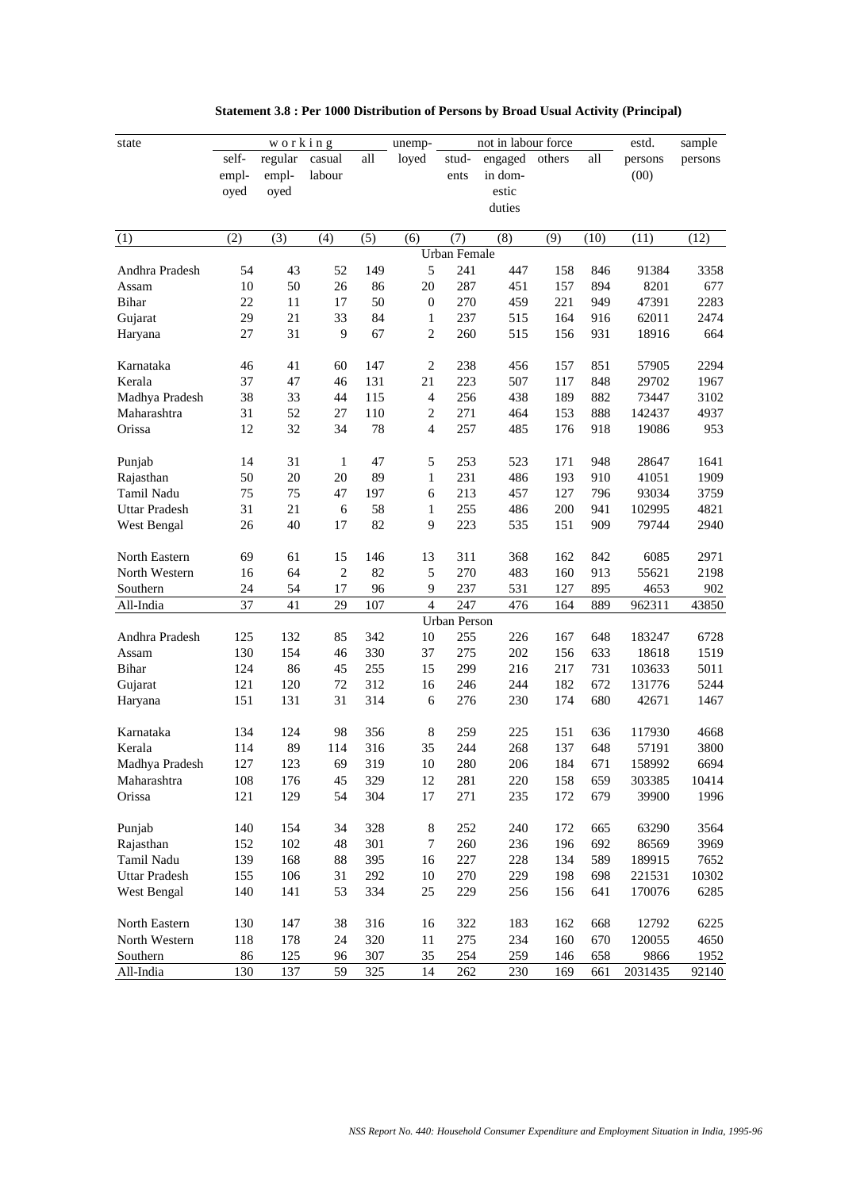| loyed<br>engaged<br>self-<br>regular<br>casual<br>all<br>stud-<br>others<br>all<br>persons<br>persons<br>(00)<br>labour<br>in dom-<br>empl-<br>empl-<br>ents<br>estic<br>oyed<br>oyed<br>duties<br>(2)<br>(3)<br>(4)<br>(5)<br>(8)<br>(11)<br>(12)<br>(6)<br>(7)<br>(9)<br>(10)<br>(1)<br><b>Urban Female</b><br>5<br>241<br>447<br>Andhra Pradesh<br>54<br>43<br>52<br>149<br>158<br>846<br>91384<br>3358<br>287<br>50<br>26<br>$20\,$<br>451<br>157<br>894<br>8201<br>677<br>10<br>86<br>Assam<br>Bihar<br>22<br>270<br>459<br>221<br>47391<br>2283<br>11<br>17<br>50<br>$\boldsymbol{0}$<br>949<br>21<br>29<br>33<br>84<br>237<br>515<br>164<br>2474<br>Gujarat<br>916<br>62011<br>1<br>27<br>31<br>9<br>67<br>$\mathbf{2}$<br>260<br>515<br>664<br>156<br>931<br>18916<br>Haryana<br>46<br>41<br>60<br>147<br>$\overline{c}$<br>238<br>456<br>157<br>851<br>57905<br>2294<br>Karnataka<br>37<br>47<br>21<br>223<br>507<br>46<br>131<br>117<br>848<br>29702<br>1967<br>Kerala<br>33<br>Madhya Pradesh<br>38<br>44<br>115<br>$\overline{4}$<br>256<br>438<br>189<br>882<br>73447<br>3102<br>52<br>271<br>4937<br>Maharashtra<br>31<br>27<br>110<br>$\overline{c}$<br>464<br>153<br>888<br>142437<br>257<br>Orissa<br>12<br>32<br>34<br>78<br>$\overline{4}$<br>485<br>176<br>918<br>19086<br>953<br>5<br>14<br>31<br>47<br>253<br>523<br>948<br>28647<br>1641<br>Punjab<br>1<br>171<br>20<br>20<br>89<br>$\mathbf{1}$<br>231<br>486<br>910<br>1909<br>Rajasthan<br>50<br>193<br>41051<br>75<br>213<br>457<br>Tamil Nadu<br>75<br>47<br>197<br>6<br>127<br>796<br>93034<br>3759<br>31<br>21<br>6<br>58<br>255<br>200<br>4821<br>$\mathbf{1}$<br>486<br>941<br>102995<br>Uttar Pradesh<br>26<br>40<br>17<br>82<br>9<br>223<br>535<br>909<br>79744<br>2940<br>West Bengal<br>151<br>2971<br>North Eastern<br>69<br>61<br>15<br>146<br>13<br>311<br>368<br>162<br>842<br>6085<br>64<br>2<br>82<br>5<br>270<br>483<br>55621<br>2198<br>North Western<br>16<br>160<br>913<br>54<br>237<br>531<br>895<br>Southern<br>24<br>17<br>96<br>9<br>127<br>4653<br>902<br>37<br>41<br>29<br>107<br>$\overline{4}$<br>247<br>476<br>All-India<br>164<br>889<br>962311<br>43850<br><b>Urban Person</b><br>255<br>226<br>Andhra Pradesh<br>125<br>132<br>85<br>342<br>10<br>167<br>648<br>183247<br>6728<br>330<br>275<br>202<br>130<br>154<br>46<br>37<br>156<br>633<br>18618<br>1519<br>Assam<br>299<br>5011<br>Bihar<br>124<br>86<br>45<br>255<br>15<br>216<br>217<br>731<br>103633<br>244<br>5244<br>Gujarat<br>121<br>120<br>72<br>312<br>246<br>182<br>672<br>131776<br>16<br>151<br>131<br>31<br>314<br>276<br>230<br>174<br>680<br>42671<br>1467<br>Haryana<br>6<br>134<br>124<br>98<br>356<br>8<br>259<br>225<br>151<br>636<br>117930<br>4668<br>Karnataka<br>89<br>114<br>316<br>35<br>244<br>268<br>137<br>648<br>3800<br>Kerala<br>114<br>57191<br>127<br>123<br>319<br>280<br>206<br>184<br>671<br>6694<br>Madhya Pradesh<br>69<br>10<br>158992<br>108<br>176<br>45<br>329<br>12<br>281<br>220<br>158<br>303385<br>10414<br>Maharashtra<br>659<br>Orissa<br>54<br>304<br>121<br>129<br>17<br>271<br>235<br>172<br>679<br>39900<br>1996<br>Punjab<br>140<br>154<br>34<br>328<br>$\,8\,$<br>252<br>240<br>63290<br>3564<br>172<br>665<br>102<br>260<br>236<br>Rajasthan<br>152<br>48<br>301<br>7<br>196<br>692<br>86569<br>3969<br>168<br>228<br>Tamil Nadu<br>139<br>88<br>395<br>16<br>227<br>134<br>589<br>189915<br>7652<br><b>Uttar Pradesh</b><br>31<br>292<br>270<br>229<br>155<br>106<br>10<br>198<br>698<br>221531<br>10302<br>140<br>141<br>25<br>229<br>170076<br>6285<br>West Bengal<br>53<br>334<br>256<br>156<br>641<br>North Eastern<br>130<br>147<br>38<br>316<br>16<br>322<br>183<br>162<br>668<br>12792<br>6225<br>178<br>234<br>4650<br>North Western<br>118<br>24<br>320<br>11<br>275<br>160<br>670<br>120055<br>Southern<br>86<br>125<br>307<br>35<br>254<br>259<br>9866<br>1952<br>96<br>146<br>658<br>All-India<br>137<br>59<br>262<br>130<br>325<br>14<br>230<br>169<br>661<br>2031435<br>92140 | state | working |  | unemp- | not in labour force |  | estd. | sample |
|--------------------------------------------------------------------------------------------------------------------------------------------------------------------------------------------------------------------------------------------------------------------------------------------------------------------------------------------------------------------------------------------------------------------------------------------------------------------------------------------------------------------------------------------------------------------------------------------------------------------------------------------------------------------------------------------------------------------------------------------------------------------------------------------------------------------------------------------------------------------------------------------------------------------------------------------------------------------------------------------------------------------------------------------------------------------------------------------------------------------------------------------------------------------------------------------------------------------------------------------------------------------------------------------------------------------------------------------------------------------------------------------------------------------------------------------------------------------------------------------------------------------------------------------------------------------------------------------------------------------------------------------------------------------------------------------------------------------------------------------------------------------------------------------------------------------------------------------------------------------------------------------------------------------------------------------------------------------------------------------------------------------------------------------------------------------------------------------------------------------------------------------------------------------------------------------------------------------------------------------------------------------------------------------------------------------------------------------------------------------------------------------------------------------------------------------------------------------------------------------------------------------------------------------------------------------------------------------------------------------------------------------------------------------------------------------------------------------------------------------------------------------------------------------------------------------------------------------------------------------------------------------------------------------------------------------------------------------------------------------------------------------------------------------------------------------------------------------------------------------------------------------------------------------------------------------------------------------------------------------------------------------------------------------------------------------------------------------------------------------------------------------------------------------------------------------------------------------------------------------------------------------------------------------------------------------------------------------------------------------------------------------------------------------------------------------------------------------------------------------------------------------------------------------------------------------------------------------------------------------------------------------------------------------------------------------------------------------------------------------------------------------|-------|---------|--|--------|---------------------|--|-------|--------|
|                                                                                                                                                                                                                                                                                                                                                                                                                                                                                                                                                                                                                                                                                                                                                                                                                                                                                                                                                                                                                                                                                                                                                                                                                                                                                                                                                                                                                                                                                                                                                                                                                                                                                                                                                                                                                                                                                                                                                                                                                                                                                                                                                                                                                                                                                                                                                                                                                                                                                                                                                                                                                                                                                                                                                                                                                                                                                                                                                                                                                                                                                                                                                                                                                                                                                                                                                                                                                                                                                                                                                                                                                                                                                                                                                                                                                                                                                                                                                                                                                    |       |         |  |        |                     |  |       |        |
|                                                                                                                                                                                                                                                                                                                                                                                                                                                                                                                                                                                                                                                                                                                                                                                                                                                                                                                                                                                                                                                                                                                                                                                                                                                                                                                                                                                                                                                                                                                                                                                                                                                                                                                                                                                                                                                                                                                                                                                                                                                                                                                                                                                                                                                                                                                                                                                                                                                                                                                                                                                                                                                                                                                                                                                                                                                                                                                                                                                                                                                                                                                                                                                                                                                                                                                                                                                                                                                                                                                                                                                                                                                                                                                                                                                                                                                                                                                                                                                                                    |       |         |  |        |                     |  |       |        |
|                                                                                                                                                                                                                                                                                                                                                                                                                                                                                                                                                                                                                                                                                                                                                                                                                                                                                                                                                                                                                                                                                                                                                                                                                                                                                                                                                                                                                                                                                                                                                                                                                                                                                                                                                                                                                                                                                                                                                                                                                                                                                                                                                                                                                                                                                                                                                                                                                                                                                                                                                                                                                                                                                                                                                                                                                                                                                                                                                                                                                                                                                                                                                                                                                                                                                                                                                                                                                                                                                                                                                                                                                                                                                                                                                                                                                                                                                                                                                                                                                    |       |         |  |        |                     |  |       |        |
|                                                                                                                                                                                                                                                                                                                                                                                                                                                                                                                                                                                                                                                                                                                                                                                                                                                                                                                                                                                                                                                                                                                                                                                                                                                                                                                                                                                                                                                                                                                                                                                                                                                                                                                                                                                                                                                                                                                                                                                                                                                                                                                                                                                                                                                                                                                                                                                                                                                                                                                                                                                                                                                                                                                                                                                                                                                                                                                                                                                                                                                                                                                                                                                                                                                                                                                                                                                                                                                                                                                                                                                                                                                                                                                                                                                                                                                                                                                                                                                                                    |       |         |  |        |                     |  |       |        |
|                                                                                                                                                                                                                                                                                                                                                                                                                                                                                                                                                                                                                                                                                                                                                                                                                                                                                                                                                                                                                                                                                                                                                                                                                                                                                                                                                                                                                                                                                                                                                                                                                                                                                                                                                                                                                                                                                                                                                                                                                                                                                                                                                                                                                                                                                                                                                                                                                                                                                                                                                                                                                                                                                                                                                                                                                                                                                                                                                                                                                                                                                                                                                                                                                                                                                                                                                                                                                                                                                                                                                                                                                                                                                                                                                                                                                                                                                                                                                                                                                    |       |         |  |        |                     |  |       |        |
|                                                                                                                                                                                                                                                                                                                                                                                                                                                                                                                                                                                                                                                                                                                                                                                                                                                                                                                                                                                                                                                                                                                                                                                                                                                                                                                                                                                                                                                                                                                                                                                                                                                                                                                                                                                                                                                                                                                                                                                                                                                                                                                                                                                                                                                                                                                                                                                                                                                                                                                                                                                                                                                                                                                                                                                                                                                                                                                                                                                                                                                                                                                                                                                                                                                                                                                                                                                                                                                                                                                                                                                                                                                                                                                                                                                                                                                                                                                                                                                                                    |       |         |  |        |                     |  |       |        |
|                                                                                                                                                                                                                                                                                                                                                                                                                                                                                                                                                                                                                                                                                                                                                                                                                                                                                                                                                                                                                                                                                                                                                                                                                                                                                                                                                                                                                                                                                                                                                                                                                                                                                                                                                                                                                                                                                                                                                                                                                                                                                                                                                                                                                                                                                                                                                                                                                                                                                                                                                                                                                                                                                                                                                                                                                                                                                                                                                                                                                                                                                                                                                                                                                                                                                                                                                                                                                                                                                                                                                                                                                                                                                                                                                                                                                                                                                                                                                                                                                    |       |         |  |        |                     |  |       |        |
|                                                                                                                                                                                                                                                                                                                                                                                                                                                                                                                                                                                                                                                                                                                                                                                                                                                                                                                                                                                                                                                                                                                                                                                                                                                                                                                                                                                                                                                                                                                                                                                                                                                                                                                                                                                                                                                                                                                                                                                                                                                                                                                                                                                                                                                                                                                                                                                                                                                                                                                                                                                                                                                                                                                                                                                                                                                                                                                                                                                                                                                                                                                                                                                                                                                                                                                                                                                                                                                                                                                                                                                                                                                                                                                                                                                                                                                                                                                                                                                                                    |       |         |  |        |                     |  |       |        |
|                                                                                                                                                                                                                                                                                                                                                                                                                                                                                                                                                                                                                                                                                                                                                                                                                                                                                                                                                                                                                                                                                                                                                                                                                                                                                                                                                                                                                                                                                                                                                                                                                                                                                                                                                                                                                                                                                                                                                                                                                                                                                                                                                                                                                                                                                                                                                                                                                                                                                                                                                                                                                                                                                                                                                                                                                                                                                                                                                                                                                                                                                                                                                                                                                                                                                                                                                                                                                                                                                                                                                                                                                                                                                                                                                                                                                                                                                                                                                                                                                    |       |         |  |        |                     |  |       |        |
|                                                                                                                                                                                                                                                                                                                                                                                                                                                                                                                                                                                                                                                                                                                                                                                                                                                                                                                                                                                                                                                                                                                                                                                                                                                                                                                                                                                                                                                                                                                                                                                                                                                                                                                                                                                                                                                                                                                                                                                                                                                                                                                                                                                                                                                                                                                                                                                                                                                                                                                                                                                                                                                                                                                                                                                                                                                                                                                                                                                                                                                                                                                                                                                                                                                                                                                                                                                                                                                                                                                                                                                                                                                                                                                                                                                                                                                                                                                                                                                                                    |       |         |  |        |                     |  |       |        |
|                                                                                                                                                                                                                                                                                                                                                                                                                                                                                                                                                                                                                                                                                                                                                                                                                                                                                                                                                                                                                                                                                                                                                                                                                                                                                                                                                                                                                                                                                                                                                                                                                                                                                                                                                                                                                                                                                                                                                                                                                                                                                                                                                                                                                                                                                                                                                                                                                                                                                                                                                                                                                                                                                                                                                                                                                                                                                                                                                                                                                                                                                                                                                                                                                                                                                                                                                                                                                                                                                                                                                                                                                                                                                                                                                                                                                                                                                                                                                                                                                    |       |         |  |        |                     |  |       |        |
|                                                                                                                                                                                                                                                                                                                                                                                                                                                                                                                                                                                                                                                                                                                                                                                                                                                                                                                                                                                                                                                                                                                                                                                                                                                                                                                                                                                                                                                                                                                                                                                                                                                                                                                                                                                                                                                                                                                                                                                                                                                                                                                                                                                                                                                                                                                                                                                                                                                                                                                                                                                                                                                                                                                                                                                                                                                                                                                                                                                                                                                                                                                                                                                                                                                                                                                                                                                                                                                                                                                                                                                                                                                                                                                                                                                                                                                                                                                                                                                                                    |       |         |  |        |                     |  |       |        |
|                                                                                                                                                                                                                                                                                                                                                                                                                                                                                                                                                                                                                                                                                                                                                                                                                                                                                                                                                                                                                                                                                                                                                                                                                                                                                                                                                                                                                                                                                                                                                                                                                                                                                                                                                                                                                                                                                                                                                                                                                                                                                                                                                                                                                                                                                                                                                                                                                                                                                                                                                                                                                                                                                                                                                                                                                                                                                                                                                                                                                                                                                                                                                                                                                                                                                                                                                                                                                                                                                                                                                                                                                                                                                                                                                                                                                                                                                                                                                                                                                    |       |         |  |        |                     |  |       |        |
|                                                                                                                                                                                                                                                                                                                                                                                                                                                                                                                                                                                                                                                                                                                                                                                                                                                                                                                                                                                                                                                                                                                                                                                                                                                                                                                                                                                                                                                                                                                                                                                                                                                                                                                                                                                                                                                                                                                                                                                                                                                                                                                                                                                                                                                                                                                                                                                                                                                                                                                                                                                                                                                                                                                                                                                                                                                                                                                                                                                                                                                                                                                                                                                                                                                                                                                                                                                                                                                                                                                                                                                                                                                                                                                                                                                                                                                                                                                                                                                                                    |       |         |  |        |                     |  |       |        |
|                                                                                                                                                                                                                                                                                                                                                                                                                                                                                                                                                                                                                                                                                                                                                                                                                                                                                                                                                                                                                                                                                                                                                                                                                                                                                                                                                                                                                                                                                                                                                                                                                                                                                                                                                                                                                                                                                                                                                                                                                                                                                                                                                                                                                                                                                                                                                                                                                                                                                                                                                                                                                                                                                                                                                                                                                                                                                                                                                                                                                                                                                                                                                                                                                                                                                                                                                                                                                                                                                                                                                                                                                                                                                                                                                                                                                                                                                                                                                                                                                    |       |         |  |        |                     |  |       |        |
|                                                                                                                                                                                                                                                                                                                                                                                                                                                                                                                                                                                                                                                                                                                                                                                                                                                                                                                                                                                                                                                                                                                                                                                                                                                                                                                                                                                                                                                                                                                                                                                                                                                                                                                                                                                                                                                                                                                                                                                                                                                                                                                                                                                                                                                                                                                                                                                                                                                                                                                                                                                                                                                                                                                                                                                                                                                                                                                                                                                                                                                                                                                                                                                                                                                                                                                                                                                                                                                                                                                                                                                                                                                                                                                                                                                                                                                                                                                                                                                                                    |       |         |  |        |                     |  |       |        |
|                                                                                                                                                                                                                                                                                                                                                                                                                                                                                                                                                                                                                                                                                                                                                                                                                                                                                                                                                                                                                                                                                                                                                                                                                                                                                                                                                                                                                                                                                                                                                                                                                                                                                                                                                                                                                                                                                                                                                                                                                                                                                                                                                                                                                                                                                                                                                                                                                                                                                                                                                                                                                                                                                                                                                                                                                                                                                                                                                                                                                                                                                                                                                                                                                                                                                                                                                                                                                                                                                                                                                                                                                                                                                                                                                                                                                                                                                                                                                                                                                    |       |         |  |        |                     |  |       |        |
|                                                                                                                                                                                                                                                                                                                                                                                                                                                                                                                                                                                                                                                                                                                                                                                                                                                                                                                                                                                                                                                                                                                                                                                                                                                                                                                                                                                                                                                                                                                                                                                                                                                                                                                                                                                                                                                                                                                                                                                                                                                                                                                                                                                                                                                                                                                                                                                                                                                                                                                                                                                                                                                                                                                                                                                                                                                                                                                                                                                                                                                                                                                                                                                                                                                                                                                                                                                                                                                                                                                                                                                                                                                                                                                                                                                                                                                                                                                                                                                                                    |       |         |  |        |                     |  |       |        |
|                                                                                                                                                                                                                                                                                                                                                                                                                                                                                                                                                                                                                                                                                                                                                                                                                                                                                                                                                                                                                                                                                                                                                                                                                                                                                                                                                                                                                                                                                                                                                                                                                                                                                                                                                                                                                                                                                                                                                                                                                                                                                                                                                                                                                                                                                                                                                                                                                                                                                                                                                                                                                                                                                                                                                                                                                                                                                                                                                                                                                                                                                                                                                                                                                                                                                                                                                                                                                                                                                                                                                                                                                                                                                                                                                                                                                                                                                                                                                                                                                    |       |         |  |        |                     |  |       |        |
|                                                                                                                                                                                                                                                                                                                                                                                                                                                                                                                                                                                                                                                                                                                                                                                                                                                                                                                                                                                                                                                                                                                                                                                                                                                                                                                                                                                                                                                                                                                                                                                                                                                                                                                                                                                                                                                                                                                                                                                                                                                                                                                                                                                                                                                                                                                                                                                                                                                                                                                                                                                                                                                                                                                                                                                                                                                                                                                                                                                                                                                                                                                                                                                                                                                                                                                                                                                                                                                                                                                                                                                                                                                                                                                                                                                                                                                                                                                                                                                                                    |       |         |  |        |                     |  |       |        |
|                                                                                                                                                                                                                                                                                                                                                                                                                                                                                                                                                                                                                                                                                                                                                                                                                                                                                                                                                                                                                                                                                                                                                                                                                                                                                                                                                                                                                                                                                                                                                                                                                                                                                                                                                                                                                                                                                                                                                                                                                                                                                                                                                                                                                                                                                                                                                                                                                                                                                                                                                                                                                                                                                                                                                                                                                                                                                                                                                                                                                                                                                                                                                                                                                                                                                                                                                                                                                                                                                                                                                                                                                                                                                                                                                                                                                                                                                                                                                                                                                    |       |         |  |        |                     |  |       |        |
|                                                                                                                                                                                                                                                                                                                                                                                                                                                                                                                                                                                                                                                                                                                                                                                                                                                                                                                                                                                                                                                                                                                                                                                                                                                                                                                                                                                                                                                                                                                                                                                                                                                                                                                                                                                                                                                                                                                                                                                                                                                                                                                                                                                                                                                                                                                                                                                                                                                                                                                                                                                                                                                                                                                                                                                                                                                                                                                                                                                                                                                                                                                                                                                                                                                                                                                                                                                                                                                                                                                                                                                                                                                                                                                                                                                                                                                                                                                                                                                                                    |       |         |  |        |                     |  |       |        |
|                                                                                                                                                                                                                                                                                                                                                                                                                                                                                                                                                                                                                                                                                                                                                                                                                                                                                                                                                                                                                                                                                                                                                                                                                                                                                                                                                                                                                                                                                                                                                                                                                                                                                                                                                                                                                                                                                                                                                                                                                                                                                                                                                                                                                                                                                                                                                                                                                                                                                                                                                                                                                                                                                                                                                                                                                                                                                                                                                                                                                                                                                                                                                                                                                                                                                                                                                                                                                                                                                                                                                                                                                                                                                                                                                                                                                                                                                                                                                                                                                    |       |         |  |        |                     |  |       |        |
|                                                                                                                                                                                                                                                                                                                                                                                                                                                                                                                                                                                                                                                                                                                                                                                                                                                                                                                                                                                                                                                                                                                                                                                                                                                                                                                                                                                                                                                                                                                                                                                                                                                                                                                                                                                                                                                                                                                                                                                                                                                                                                                                                                                                                                                                                                                                                                                                                                                                                                                                                                                                                                                                                                                                                                                                                                                                                                                                                                                                                                                                                                                                                                                                                                                                                                                                                                                                                                                                                                                                                                                                                                                                                                                                                                                                                                                                                                                                                                                                                    |       |         |  |        |                     |  |       |        |
|                                                                                                                                                                                                                                                                                                                                                                                                                                                                                                                                                                                                                                                                                                                                                                                                                                                                                                                                                                                                                                                                                                                                                                                                                                                                                                                                                                                                                                                                                                                                                                                                                                                                                                                                                                                                                                                                                                                                                                                                                                                                                                                                                                                                                                                                                                                                                                                                                                                                                                                                                                                                                                                                                                                                                                                                                                                                                                                                                                                                                                                                                                                                                                                                                                                                                                                                                                                                                                                                                                                                                                                                                                                                                                                                                                                                                                                                                                                                                                                                                    |       |         |  |        |                     |  |       |        |
|                                                                                                                                                                                                                                                                                                                                                                                                                                                                                                                                                                                                                                                                                                                                                                                                                                                                                                                                                                                                                                                                                                                                                                                                                                                                                                                                                                                                                                                                                                                                                                                                                                                                                                                                                                                                                                                                                                                                                                                                                                                                                                                                                                                                                                                                                                                                                                                                                                                                                                                                                                                                                                                                                                                                                                                                                                                                                                                                                                                                                                                                                                                                                                                                                                                                                                                                                                                                                                                                                                                                                                                                                                                                                                                                                                                                                                                                                                                                                                                                                    |       |         |  |        |                     |  |       |        |
|                                                                                                                                                                                                                                                                                                                                                                                                                                                                                                                                                                                                                                                                                                                                                                                                                                                                                                                                                                                                                                                                                                                                                                                                                                                                                                                                                                                                                                                                                                                                                                                                                                                                                                                                                                                                                                                                                                                                                                                                                                                                                                                                                                                                                                                                                                                                                                                                                                                                                                                                                                                                                                                                                                                                                                                                                                                                                                                                                                                                                                                                                                                                                                                                                                                                                                                                                                                                                                                                                                                                                                                                                                                                                                                                                                                                                                                                                                                                                                                                                    |       |         |  |        |                     |  |       |        |
|                                                                                                                                                                                                                                                                                                                                                                                                                                                                                                                                                                                                                                                                                                                                                                                                                                                                                                                                                                                                                                                                                                                                                                                                                                                                                                                                                                                                                                                                                                                                                                                                                                                                                                                                                                                                                                                                                                                                                                                                                                                                                                                                                                                                                                                                                                                                                                                                                                                                                                                                                                                                                                                                                                                                                                                                                                                                                                                                                                                                                                                                                                                                                                                                                                                                                                                                                                                                                                                                                                                                                                                                                                                                                                                                                                                                                                                                                                                                                                                                                    |       |         |  |        |                     |  |       |        |
|                                                                                                                                                                                                                                                                                                                                                                                                                                                                                                                                                                                                                                                                                                                                                                                                                                                                                                                                                                                                                                                                                                                                                                                                                                                                                                                                                                                                                                                                                                                                                                                                                                                                                                                                                                                                                                                                                                                                                                                                                                                                                                                                                                                                                                                                                                                                                                                                                                                                                                                                                                                                                                                                                                                                                                                                                                                                                                                                                                                                                                                                                                                                                                                                                                                                                                                                                                                                                                                                                                                                                                                                                                                                                                                                                                                                                                                                                                                                                                                                                    |       |         |  |        |                     |  |       |        |
|                                                                                                                                                                                                                                                                                                                                                                                                                                                                                                                                                                                                                                                                                                                                                                                                                                                                                                                                                                                                                                                                                                                                                                                                                                                                                                                                                                                                                                                                                                                                                                                                                                                                                                                                                                                                                                                                                                                                                                                                                                                                                                                                                                                                                                                                                                                                                                                                                                                                                                                                                                                                                                                                                                                                                                                                                                                                                                                                                                                                                                                                                                                                                                                                                                                                                                                                                                                                                                                                                                                                                                                                                                                                                                                                                                                                                                                                                                                                                                                                                    |       |         |  |        |                     |  |       |        |
|                                                                                                                                                                                                                                                                                                                                                                                                                                                                                                                                                                                                                                                                                                                                                                                                                                                                                                                                                                                                                                                                                                                                                                                                                                                                                                                                                                                                                                                                                                                                                                                                                                                                                                                                                                                                                                                                                                                                                                                                                                                                                                                                                                                                                                                                                                                                                                                                                                                                                                                                                                                                                                                                                                                                                                                                                                                                                                                                                                                                                                                                                                                                                                                                                                                                                                                                                                                                                                                                                                                                                                                                                                                                                                                                                                                                                                                                                                                                                                                                                    |       |         |  |        |                     |  |       |        |
|                                                                                                                                                                                                                                                                                                                                                                                                                                                                                                                                                                                                                                                                                                                                                                                                                                                                                                                                                                                                                                                                                                                                                                                                                                                                                                                                                                                                                                                                                                                                                                                                                                                                                                                                                                                                                                                                                                                                                                                                                                                                                                                                                                                                                                                                                                                                                                                                                                                                                                                                                                                                                                                                                                                                                                                                                                                                                                                                                                                                                                                                                                                                                                                                                                                                                                                                                                                                                                                                                                                                                                                                                                                                                                                                                                                                                                                                                                                                                                                                                    |       |         |  |        |                     |  |       |        |
|                                                                                                                                                                                                                                                                                                                                                                                                                                                                                                                                                                                                                                                                                                                                                                                                                                                                                                                                                                                                                                                                                                                                                                                                                                                                                                                                                                                                                                                                                                                                                                                                                                                                                                                                                                                                                                                                                                                                                                                                                                                                                                                                                                                                                                                                                                                                                                                                                                                                                                                                                                                                                                                                                                                                                                                                                                                                                                                                                                                                                                                                                                                                                                                                                                                                                                                                                                                                                                                                                                                                                                                                                                                                                                                                                                                                                                                                                                                                                                                                                    |       |         |  |        |                     |  |       |        |
|                                                                                                                                                                                                                                                                                                                                                                                                                                                                                                                                                                                                                                                                                                                                                                                                                                                                                                                                                                                                                                                                                                                                                                                                                                                                                                                                                                                                                                                                                                                                                                                                                                                                                                                                                                                                                                                                                                                                                                                                                                                                                                                                                                                                                                                                                                                                                                                                                                                                                                                                                                                                                                                                                                                                                                                                                                                                                                                                                                                                                                                                                                                                                                                                                                                                                                                                                                                                                                                                                                                                                                                                                                                                                                                                                                                                                                                                                                                                                                                                                    |       |         |  |        |                     |  |       |        |
|                                                                                                                                                                                                                                                                                                                                                                                                                                                                                                                                                                                                                                                                                                                                                                                                                                                                                                                                                                                                                                                                                                                                                                                                                                                                                                                                                                                                                                                                                                                                                                                                                                                                                                                                                                                                                                                                                                                                                                                                                                                                                                                                                                                                                                                                                                                                                                                                                                                                                                                                                                                                                                                                                                                                                                                                                                                                                                                                                                                                                                                                                                                                                                                                                                                                                                                                                                                                                                                                                                                                                                                                                                                                                                                                                                                                                                                                                                                                                                                                                    |       |         |  |        |                     |  |       |        |
|                                                                                                                                                                                                                                                                                                                                                                                                                                                                                                                                                                                                                                                                                                                                                                                                                                                                                                                                                                                                                                                                                                                                                                                                                                                                                                                                                                                                                                                                                                                                                                                                                                                                                                                                                                                                                                                                                                                                                                                                                                                                                                                                                                                                                                                                                                                                                                                                                                                                                                                                                                                                                                                                                                                                                                                                                                                                                                                                                                                                                                                                                                                                                                                                                                                                                                                                                                                                                                                                                                                                                                                                                                                                                                                                                                                                                                                                                                                                                                                                                    |       |         |  |        |                     |  |       |        |
|                                                                                                                                                                                                                                                                                                                                                                                                                                                                                                                                                                                                                                                                                                                                                                                                                                                                                                                                                                                                                                                                                                                                                                                                                                                                                                                                                                                                                                                                                                                                                                                                                                                                                                                                                                                                                                                                                                                                                                                                                                                                                                                                                                                                                                                                                                                                                                                                                                                                                                                                                                                                                                                                                                                                                                                                                                                                                                                                                                                                                                                                                                                                                                                                                                                                                                                                                                                                                                                                                                                                                                                                                                                                                                                                                                                                                                                                                                                                                                                                                    |       |         |  |        |                     |  |       |        |
|                                                                                                                                                                                                                                                                                                                                                                                                                                                                                                                                                                                                                                                                                                                                                                                                                                                                                                                                                                                                                                                                                                                                                                                                                                                                                                                                                                                                                                                                                                                                                                                                                                                                                                                                                                                                                                                                                                                                                                                                                                                                                                                                                                                                                                                                                                                                                                                                                                                                                                                                                                                                                                                                                                                                                                                                                                                                                                                                                                                                                                                                                                                                                                                                                                                                                                                                                                                                                                                                                                                                                                                                                                                                                                                                                                                                                                                                                                                                                                                                                    |       |         |  |        |                     |  |       |        |
|                                                                                                                                                                                                                                                                                                                                                                                                                                                                                                                                                                                                                                                                                                                                                                                                                                                                                                                                                                                                                                                                                                                                                                                                                                                                                                                                                                                                                                                                                                                                                                                                                                                                                                                                                                                                                                                                                                                                                                                                                                                                                                                                                                                                                                                                                                                                                                                                                                                                                                                                                                                                                                                                                                                                                                                                                                                                                                                                                                                                                                                                                                                                                                                                                                                                                                                                                                                                                                                                                                                                                                                                                                                                                                                                                                                                                                                                                                                                                                                                                    |       |         |  |        |                     |  |       |        |
|                                                                                                                                                                                                                                                                                                                                                                                                                                                                                                                                                                                                                                                                                                                                                                                                                                                                                                                                                                                                                                                                                                                                                                                                                                                                                                                                                                                                                                                                                                                                                                                                                                                                                                                                                                                                                                                                                                                                                                                                                                                                                                                                                                                                                                                                                                                                                                                                                                                                                                                                                                                                                                                                                                                                                                                                                                                                                                                                                                                                                                                                                                                                                                                                                                                                                                                                                                                                                                                                                                                                                                                                                                                                                                                                                                                                                                                                                                                                                                                                                    |       |         |  |        |                     |  |       |        |
|                                                                                                                                                                                                                                                                                                                                                                                                                                                                                                                                                                                                                                                                                                                                                                                                                                                                                                                                                                                                                                                                                                                                                                                                                                                                                                                                                                                                                                                                                                                                                                                                                                                                                                                                                                                                                                                                                                                                                                                                                                                                                                                                                                                                                                                                                                                                                                                                                                                                                                                                                                                                                                                                                                                                                                                                                                                                                                                                                                                                                                                                                                                                                                                                                                                                                                                                                                                                                                                                                                                                                                                                                                                                                                                                                                                                                                                                                                                                                                                                                    |       |         |  |        |                     |  |       |        |
|                                                                                                                                                                                                                                                                                                                                                                                                                                                                                                                                                                                                                                                                                                                                                                                                                                                                                                                                                                                                                                                                                                                                                                                                                                                                                                                                                                                                                                                                                                                                                                                                                                                                                                                                                                                                                                                                                                                                                                                                                                                                                                                                                                                                                                                                                                                                                                                                                                                                                                                                                                                                                                                                                                                                                                                                                                                                                                                                                                                                                                                                                                                                                                                                                                                                                                                                                                                                                                                                                                                                                                                                                                                                                                                                                                                                                                                                                                                                                                                                                    |       |         |  |        |                     |  |       |        |
|                                                                                                                                                                                                                                                                                                                                                                                                                                                                                                                                                                                                                                                                                                                                                                                                                                                                                                                                                                                                                                                                                                                                                                                                                                                                                                                                                                                                                                                                                                                                                                                                                                                                                                                                                                                                                                                                                                                                                                                                                                                                                                                                                                                                                                                                                                                                                                                                                                                                                                                                                                                                                                                                                                                                                                                                                                                                                                                                                                                                                                                                                                                                                                                                                                                                                                                                                                                                                                                                                                                                                                                                                                                                                                                                                                                                                                                                                                                                                                                                                    |       |         |  |        |                     |  |       |        |
|                                                                                                                                                                                                                                                                                                                                                                                                                                                                                                                                                                                                                                                                                                                                                                                                                                                                                                                                                                                                                                                                                                                                                                                                                                                                                                                                                                                                                                                                                                                                                                                                                                                                                                                                                                                                                                                                                                                                                                                                                                                                                                                                                                                                                                                                                                                                                                                                                                                                                                                                                                                                                                                                                                                                                                                                                                                                                                                                                                                                                                                                                                                                                                                                                                                                                                                                                                                                                                                                                                                                                                                                                                                                                                                                                                                                                                                                                                                                                                                                                    |       |         |  |        |                     |  |       |        |
|                                                                                                                                                                                                                                                                                                                                                                                                                                                                                                                                                                                                                                                                                                                                                                                                                                                                                                                                                                                                                                                                                                                                                                                                                                                                                                                                                                                                                                                                                                                                                                                                                                                                                                                                                                                                                                                                                                                                                                                                                                                                                                                                                                                                                                                                                                                                                                                                                                                                                                                                                                                                                                                                                                                                                                                                                                                                                                                                                                                                                                                                                                                                                                                                                                                                                                                                                                                                                                                                                                                                                                                                                                                                                                                                                                                                                                                                                                                                                                                                                    |       |         |  |        |                     |  |       |        |
|                                                                                                                                                                                                                                                                                                                                                                                                                                                                                                                                                                                                                                                                                                                                                                                                                                                                                                                                                                                                                                                                                                                                                                                                                                                                                                                                                                                                                                                                                                                                                                                                                                                                                                                                                                                                                                                                                                                                                                                                                                                                                                                                                                                                                                                                                                                                                                                                                                                                                                                                                                                                                                                                                                                                                                                                                                                                                                                                                                                                                                                                                                                                                                                                                                                                                                                                                                                                                                                                                                                                                                                                                                                                                                                                                                                                                                                                                                                                                                                                                    |       |         |  |        |                     |  |       |        |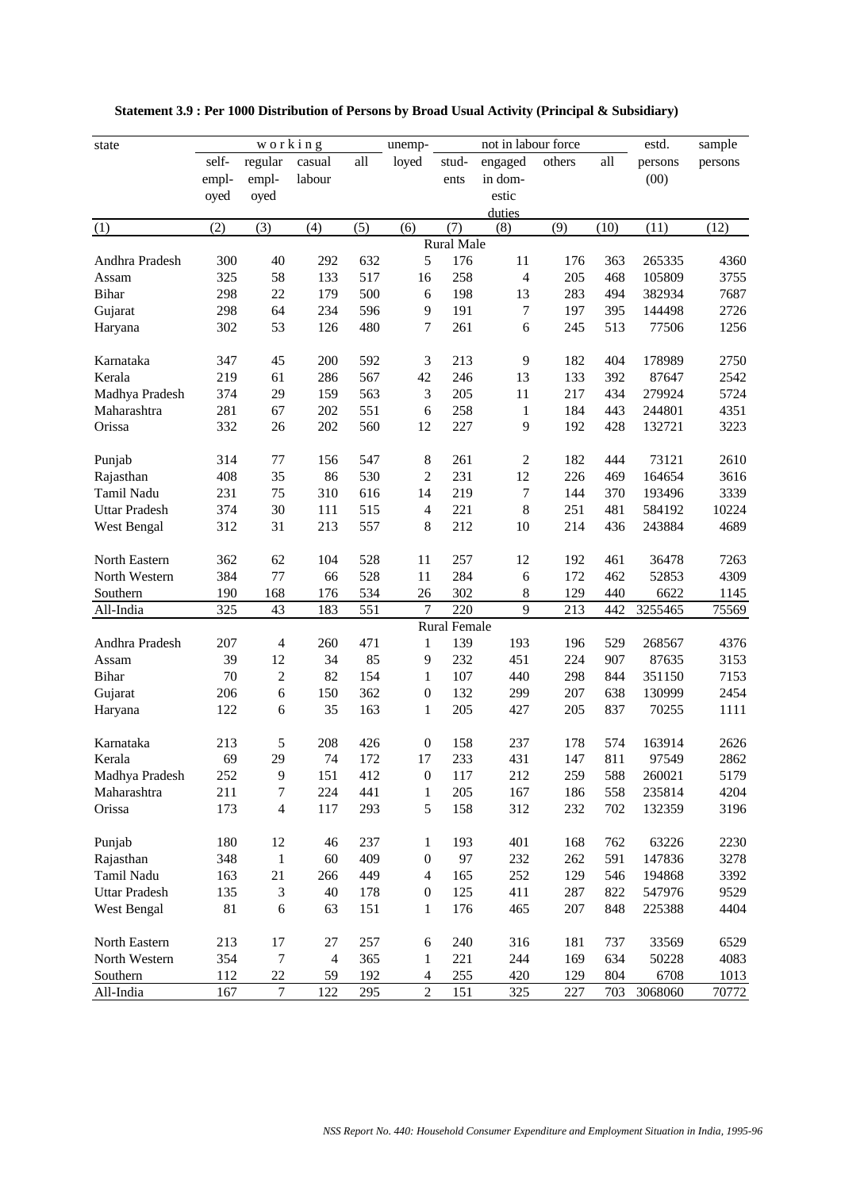| not in labour force<br>working<br>estd.<br>unemp-<br>state<br>self-<br>regular<br>casual<br>all<br>loyed<br>engaged<br>others<br>all<br>stud-<br>persons<br>(00)<br>labour<br>in dom-<br>empl-<br>empl-<br>ents | sample<br>persons |
|-----------------------------------------------------------------------------------------------------------------------------------------------------------------------------------------------------------------|-------------------|
|                                                                                                                                                                                                                 |                   |
|                                                                                                                                                                                                                 |                   |
| estic<br>oyed<br>oyed                                                                                                                                                                                           |                   |
| duties                                                                                                                                                                                                          |                   |
| (5)<br>(3)<br>(4)<br>(6)<br>(7)<br>(9)<br>(10)<br>(11)<br>(1)<br>(2)<br>(8)                                                                                                                                     | (12)              |
| <b>Rural Male</b>                                                                                                                                                                                               |                   |
| 5<br>300<br>632<br>176<br>11<br>Andhra Pradesh<br>40<br>292<br>176<br>363<br>265335                                                                                                                             | 4360              |
| 325<br>58<br>133<br>517<br>258<br>$\overline{4}$<br>205<br>16<br>468<br>105809<br>Assam                                                                                                                         | 3755              |
| 298<br>22<br>179<br>500<br>198<br>13<br>283<br><b>Bihar</b><br>6<br>494<br>382934                                                                                                                               | 7687              |
| 298<br>64<br>234<br>191<br>Gujarat<br>596<br>9<br>7<br>197<br>395<br>144498                                                                                                                                     | 2726              |
| 302<br>53<br>480<br>7<br>261<br>245<br>126<br>6<br>513<br>77506<br>Haryana                                                                                                                                      | 1256              |
|                                                                                                                                                                                                                 |                   |
| 9<br>45<br>200<br>3<br>213<br>182<br>404<br>347<br>592<br>178989<br>Karnataka                                                                                                                                   | 2750              |
| Kerala<br>219<br>61<br>286<br>567<br>42<br>246<br>13<br>133<br>392<br>87647                                                                                                                                     | 2542              |
| 374<br>29<br>159<br>563<br>3<br>205<br>11<br>217<br>434<br>Madhya Pradesh<br>279924                                                                                                                             | 5724              |
| 281<br>551<br>258<br>184<br>Maharashtra<br>67<br>202<br>6<br>$\mathbf{1}$<br>443<br>244801                                                                                                                      | 4351              |
| 332<br>202<br>227<br>9<br>Orissa<br>26<br>560<br>12<br>192<br>428<br>132721                                                                                                                                     | 3223              |
|                                                                                                                                                                                                                 |                   |
| 314<br>547<br>8<br>261<br>$\sqrt{2}$<br>182<br>73121<br>77<br>156<br>444<br>Punjab                                                                                                                              | 2610              |
| 530<br>12<br>408<br>35<br>86<br>$\overline{c}$<br>231<br>226<br>164654<br>469<br>Rajasthan                                                                                                                      | 3616              |
| 231<br>75<br>310<br>14<br>219<br>7<br>144<br>Tamil Nadu<br>616<br>370<br>193496                                                                                                                                 | 3339              |
| 221<br>8<br>251<br><b>Uttar Pradesh</b><br>374<br>30<br>111<br>515<br>$\overline{\mathcal{L}}$<br>481<br>584192                                                                                                 | 10224             |
| 31<br>8<br>212<br>214<br>West Bengal<br>312<br>213<br>557<br>10<br>436<br>243884                                                                                                                                | 4689              |
|                                                                                                                                                                                                                 |                   |
| 257<br>North Eastern<br>362<br>62<br>104<br>528<br>11<br>12<br>192<br>461<br>36478                                                                                                                              | 7263              |
| 77<br>384<br>528<br>284<br>172<br>462<br>North Western<br>66<br>11<br>6<br>52853                                                                                                                                | 4309              |
| 534<br>302<br>129<br>Southern<br>190<br>168<br>176<br>26<br>$\,8$<br>440<br>6622                                                                                                                                | 1145              |
| 7<br>9<br>325<br>220<br>213<br>All-India<br>43<br>183<br>551<br>442<br>3255465                                                                                                                                  | 75569             |
| Rural Female                                                                                                                                                                                                    |                   |
| 471<br>Andhra Pradesh<br>207<br>260<br>139<br>193<br>196<br>529<br>268567<br>4<br>1                                                                                                                             | 4376              |
| 39<br>12<br>34<br>85<br>232<br>451<br>224<br>Assam<br>9<br>907<br>87635                                                                                                                                         | 3153              |
| 70<br>$\sqrt{2}$<br>82<br>154<br>107<br>440<br>298<br>844<br><b>Bihar</b><br>1<br>351150                                                                                                                        | 7153              |
| 206<br>6<br>150<br>362<br>132<br>299<br>207<br>638<br>$\boldsymbol{0}$<br>130999<br>Gujarat                                                                                                                     | 2454              |
| 6<br>35<br>163<br>205<br>205<br>122<br>1<br>427<br>837<br>70255<br>Haryana                                                                                                                                      | 1111              |
|                                                                                                                                                                                                                 |                   |
| Karnataka<br>213<br>5<br>208<br>426<br>$\boldsymbol{0}$<br>158<br>237<br>178<br>574<br>163914                                                                                                                   | 2626              |
| 69<br>29<br>233<br>431<br>147<br>811<br>74<br>172<br>17<br>97549<br>Kerala                                                                                                                                      | 2862              |
| 252<br>9<br>151<br>412<br>$\boldsymbol{0}$<br>117<br>212<br>588<br>Madhya Pradesh<br>259<br>260021                                                                                                              | 5179              |
| 211<br>Maharashtra<br>$\boldsymbol{7}$<br>224<br>441<br>$\mathbf{1}$<br>205<br>167<br>186<br>558<br>235814                                                                                                      | 4204              |
| 5<br>Orissa<br>173<br>$\overline{\mathbf{4}}$<br>117<br>293<br>158<br>312<br>232<br>702<br>132359                                                                                                               | 3196              |
|                                                                                                                                                                                                                 |                   |
| Punjab<br>180<br>12<br>46<br>237<br>1<br>193<br>401<br>168<br>762<br>63226                                                                                                                                      | 2230              |
| $\mathbf{1}$<br>60<br>97<br>Rajasthan<br>348<br>409<br>$\boldsymbol{0}$<br>232<br>262<br>591<br>147836                                                                                                          | 3278              |
| 21<br>165<br>Tamil Nadu<br>163<br>266<br>449<br>$\overline{\mathcal{L}}$<br>252<br>129<br>546<br>194868                                                                                                         | 3392              |
| $\mathfrak{Z}$<br>40<br>125<br>287<br><b>Uttar Pradesh</b><br>135<br>178<br>$\boldsymbol{0}$<br>411<br>822<br>547976                                                                                            | 9529              |
| 81<br>176<br>207<br>West Bengal<br>6<br>63<br>151<br>$\mathbf{1}$<br>465<br>848<br>225388                                                                                                                       | 4404              |
|                                                                                                                                                                                                                 |                   |
| North Eastern<br>213<br>17<br>27<br>257<br>6<br>240<br>316<br>181<br>737<br>33569                                                                                                                               | 6529              |
| 354<br>$\boldsymbol{7}$<br>North Western<br>$\overline{4}$<br>365<br>1<br>221<br>244<br>169<br>634<br>50228                                                                                                     | 4083              |
| Southern<br>112<br>22<br>192<br>$\overline{4}$<br>255<br>420<br>804<br>6708<br>59<br>129                                                                                                                        | 1013              |
| $\tau$<br>122<br>$\overline{c}$<br>151<br>227<br>167<br>295<br>325<br>703<br>3068060<br>All-India                                                                                                               | 70772             |

 **Statement 3.9 : Per 1000 Distribution of Persons by Broad Usual Activity (Principal & Subsidiary)**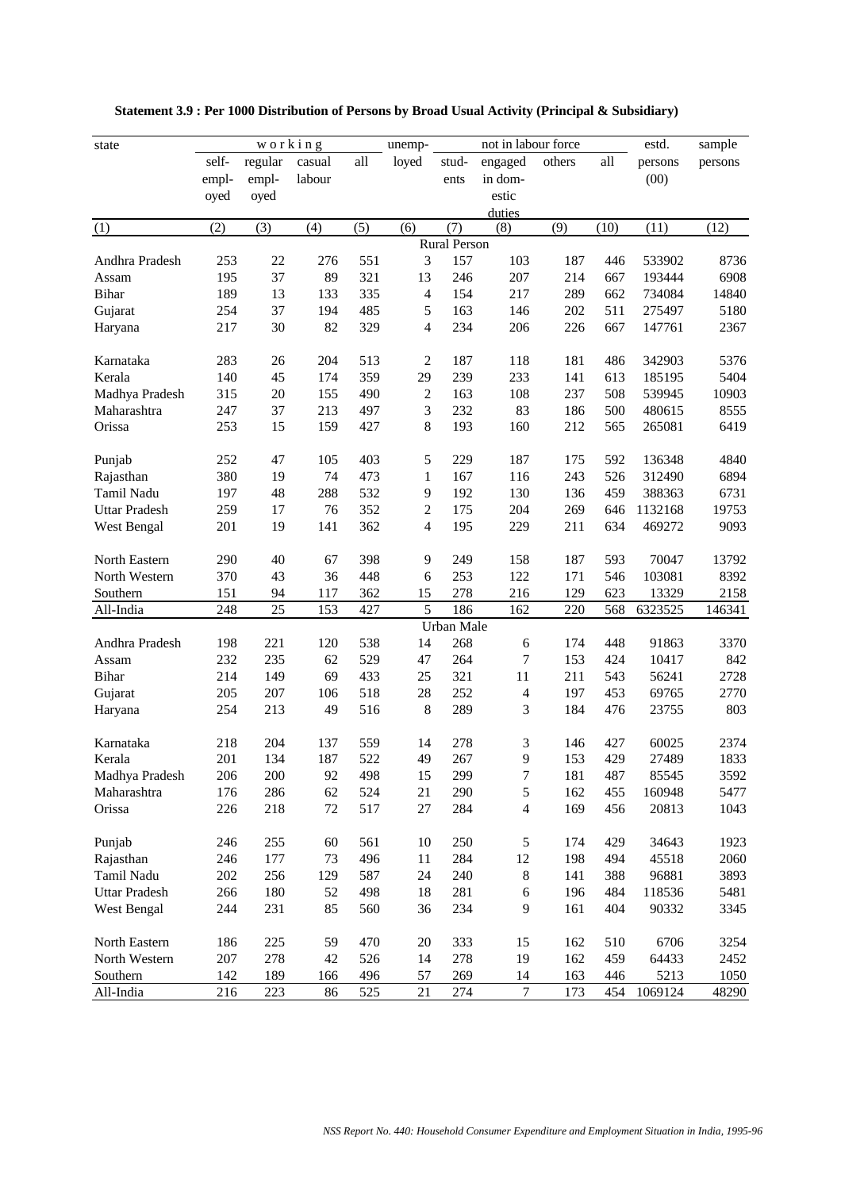| state                |         | working |        |     | unemp-         |                     | not in labour force     |        |      | estd.   | sample  |
|----------------------|---------|---------|--------|-----|----------------|---------------------|-------------------------|--------|------|---------|---------|
|                      | self-   | regular | casual | all | loyed          | stud-               | engaged                 | others | all  | persons | persons |
|                      | empl-   | empl-   | labour |     |                | ents                | in dom-                 |        |      | (00)    |         |
|                      | oyed    | oyed    |        |     |                |                     | estic                   |        |      |         |         |
|                      |         |         |        |     |                |                     | duties                  |        |      |         |         |
| (1)                  | (2)     | (3)     | (4)    | (5) | (6)            | (7)                 | (8)                     | (9)    | (10) | (11)    | (12)    |
|                      |         |         |        |     |                | <b>Rural Person</b> |                         |        |      |         |         |
| Andhra Pradesh       | 253     | $22\,$  | 276    | 551 | 3              | 157                 | 103                     | 187    | 446  | 533902  | 8736    |
| Assam                | 195     | 37      | 89     | 321 | 13             | 246                 | 207                     | 214    | 667  | 193444  | 6908    |
| <b>Bihar</b>         | 189     | 13      | 133    | 335 | $\overline{4}$ | 154                 | 217                     | 289    | 662  | 734084  | 14840   |
| Gujarat              | 254     | 37      | 194    | 485 | 5              | 163                 | 146                     | 202    | 511  | 275497  | 5180    |
| Haryana              | 217     | 30      | 82     | 329 | $\overline{4}$ | 234                 | 206                     | 226    | 667  | 147761  | 2367    |
|                      |         |         |        |     |                |                     |                         |        |      |         |         |
| Karnataka            | 283     | 26      | 204    | 513 | $\overline{2}$ | 187                 | 118                     | 181    | 486  | 342903  | 5376    |
| Kerala               | 140     | 45      | 174    | 359 | 29             | 239                 | 233                     | 141    | 613  | 185195  | 5404    |
| Madhya Pradesh       | 315     | 20      | 155    | 490 | $\sqrt{2}$     | 163                 | 108                     | 237    | 508  | 539945  | 10903   |
| Maharashtra          | 247     | 37      | 213    | 497 | 3              | 232                 | 83                      | 186    | 500  | 480615  | 8555    |
| Orissa               | 253     | 15      | 159    | 427 | 8              | 193                 | 160                     | 212    | 565  | 265081  | 6419    |
|                      |         |         |        |     |                |                     |                         |        |      |         |         |
| Punjab               | 252     | 47      | 105    | 403 | 5              | 229                 | 187                     | 175    | 592  | 136348  | 4840    |
| Rajasthan            | 380     | 19      | 74     | 473 | $\mathbf{1}$   | 167                 | 116                     | 243    | 526  | 312490  | 6894    |
| Tamil Nadu           | 197     | 48      | 288    | 532 | 9              | 192                 | 130                     | 136    | 459  | 388363  | 6731    |
| <b>Uttar Pradesh</b> | 259     | 17      | 76     | 352 | $\overline{2}$ | 175                 | 204                     | 269    | 646  | 1132168 | 19753   |
| West Bengal          | 201     | 19      | 141    | 362 | $\overline{4}$ | 195                 | 229                     | 211    | 634  | 469272  | 9093    |
|                      |         |         |        |     |                |                     |                         |        |      |         |         |
| North Eastern        | 290     | 40      | 67     | 398 | 9              | 249                 | 158                     | 187    | 593  | 70047   | 13792   |
| North Western        | 370     | 43      | 36     | 448 | 6              | 253                 | 122                     | 171    | 546  | 103081  | 8392    |
| Southern             | 151     | 94      | 117    | 362 | 15             | 278                 | 216                     | 129    | 623  | 13329   | 2158    |
| All-India            | 248     | 25      | 153    | 427 | 5              | 186                 | 162                     | 220    | 568  | 6323525 | 146341  |
|                      |         |         |        |     |                | Urban Male          |                         |        |      |         |         |
| Andhra Pradesh       | 198     | 221     | 120    | 538 | 14             | 268                 | 6                       | 174    | 448  | 91863   | 3370    |
| Assam                | 232     | 235     | 62     | 529 | 47             | 264                 | 7                       | 153    | 424  | 10417   | 842     |
| <b>Bihar</b>         | 214     | 149     | 69     | 433 | 25             | 321                 | 11                      | 211    | 543  | 56241   | 2728    |
| Gujarat              | 205     | 207     | 106    | 518 | 28             | 252                 | 4                       | 197    | 453  | 69765   | 2770    |
| Haryana              | 254     | 213     | 49     | 516 | 8              | 289                 | 3                       | 184    | 476  | 23755   | 803     |
|                      |         |         |        |     |                |                     |                         |        |      |         |         |
| Karnataka            | 218     | 204     | 137    | 559 | 14             | 278                 | 3                       | 146    | 427  | 60025   | 2374    |
| Kerala               | 201     | 134     | 187    | 522 | 49             | 267                 | 9                       | 153    | 429  | 27489   | 1833    |
| Madhya Pradesh       | 206     | 200     | 92     | 498 | 15             | 299                 | $\boldsymbol{7}$        | 181    | 487  | 85545   | 3592    |
| Maharashtra          | 176     | 286     | 62     | 524 | 21             | 290                 | 5                       | 162    | 455  | 160948  | 5477    |
| Orissa               | 226     | 218     | $72\,$ | 517 | $27\,$         | 284                 | $\overline{\mathbf{4}}$ | 169    | 456  | 20813   | 1043    |
|                      |         |         |        |     |                |                     |                         |        |      |         |         |
| Punjab               | 246     | 255     | 60     | 561 | 10             | 250                 | 5                       | 174    | 429  | 34643   | 1923    |
| Rajasthan            | 246     | 177     | 73     | 496 | 11             | 284                 | 12                      | 198    | 494  | 45518   | 2060    |
| Tamil Nadu           | 202     | 256     | 129    | 587 | 24             | 240                 | $8\,$                   | 141    | 388  | 96881   | 3893    |
| <b>Uttar Pradesh</b> | 266     | 180     | 52     | 498 | 18             | 281                 | 6                       | 196    | 484  | 118536  | 5481    |
| West Bengal          | 244     | 231     | 85     | 560 | 36             | 234                 | 9                       | 161    | 404  | 90332   | 3345    |
|                      |         |         |        |     |                |                     |                         |        |      |         |         |
| North Eastern        | 186     | 225     | 59     | 470 | $20\,$         | 333                 | 15                      | 162    | 510  | 6706    | 3254    |
| North Western        | $207\,$ | 278     | 42     | 526 | 14             | 278                 | 19                      | 162    | 459  | 64433   | 2452    |
| Southern             | 142     | 189     | 166    | 496 | 57             | 269                 | 14                      | 163    | 446  | 5213    | 1050    |
| All-India            | 216     | 223     | 86     | 525 | 21             | 274                 | $\tau$                  | 173    | 454  | 1069124 | 48290   |

 **Statement 3.9 : Per 1000 Distribution of Persons by Broad Usual Activity (Principal & Subsidiary)**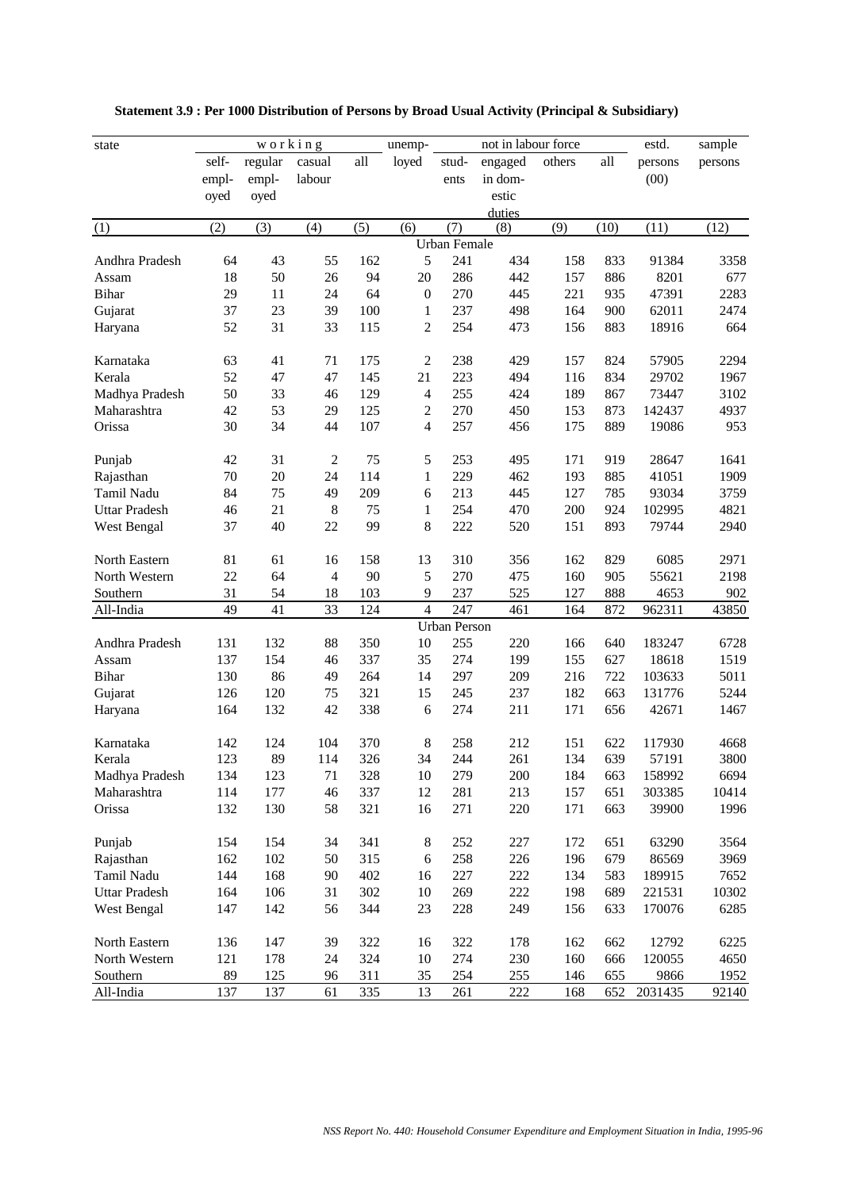| self-<br>regular<br>casual<br>all<br>loyed<br>engaged<br>others<br>all<br>stud-<br>persons<br>persons<br>(00)<br>labour<br>in dom-<br>empl-<br>empl-<br>ents<br>estic<br>oyed<br>oyed<br>duties<br>(5)<br>(10)<br>(2)<br>(3)<br>(4)<br>(6)<br>(7)<br>(9)<br>(11)<br>(12)<br>(1)<br>(8)<br><b>Urban Female</b><br>5<br>43<br>55<br>241<br>434<br>Andhra Pradesh<br>64<br>162<br>158<br>833<br>91384<br>3358<br>50<br>26<br>94<br>20<br>286<br>442<br>157<br>886<br>8201<br>677<br>18<br>Assam<br>29<br>24<br>64<br>270<br>445<br>221<br>47391<br>2283<br><b>Bihar</b><br>11<br>$\boldsymbol{0}$<br>935<br>37<br>23<br>39<br>100<br>237<br>498<br>164<br>2474<br>Gujarat<br>900<br>62011<br>1<br>52<br>31<br>33<br>115<br>$\overline{2}$<br>254<br>473<br>156<br>883<br>18916<br>664<br>Haryana<br>63<br>41<br>$\overline{2}$<br>238<br>2294<br>71<br>175<br>429<br>157<br>824<br>57905<br>Karnataka<br>Kerala<br>52<br>47<br>47<br>21<br>223<br>494<br>834<br>1967<br>145<br>116<br>29702<br>50<br>33<br>129<br>$\overline{4}$<br>255<br>424<br>189<br>Madhya Pradesh<br>46<br>867<br>73447<br>3102<br>53<br>270<br>153<br>Maharashtra<br>42<br>29<br>125<br>$\boldsymbol{2}$<br>450<br>873<br>142437<br>4937<br>34<br>257<br>953<br>Orissa<br>30<br>44<br>107<br>$\overline{\mathcal{L}}$<br>456<br>175<br>889<br>19086<br>42<br>31<br>$\overline{c}$<br>75<br>5<br>253<br>495<br>171<br>919<br>28647<br>1641<br>Punjab<br>70<br>20<br>24<br>114<br>229<br>462<br>193<br>885<br>41051<br>1909<br>1<br>Rajasthan<br>84<br>75<br>49<br>209<br>213<br>127<br>785<br>93034<br>3759<br>Tamil Nadu<br>6<br>445<br>21<br>8<br>254<br>200<br>4821<br><b>Uttar Pradesh</b><br>46<br>75<br>1<br>470<br>924<br>102995<br>40<br>22<br>99<br>8<br>222<br>151<br>893<br>79744<br>West Bengal<br>37<br>520<br>2940<br>81<br>310<br>2971<br>North Eastern<br>61<br>16<br>158<br>13<br>356<br>162<br>829<br>6085<br>22<br>64<br>$\overline{4}$<br>90<br>5<br>270<br>475<br>160<br>905<br>55621<br>2198<br>North Western<br>31<br>54<br>103<br>9<br>237<br>Southern<br>18<br>525<br>127<br>888<br>4653<br>902<br>49<br>41<br>33<br>$\overline{4}$<br>247<br>43850<br>All-India<br>124<br>461<br>164<br>872<br>962311<br><b>Urban Person</b><br>Andhra Pradesh<br>131<br>132<br>88<br>350<br>10<br>255<br>220<br>640<br>183247<br>6728<br>166<br>137<br>154<br>337<br>35<br>274<br>155<br>1519<br>Assam<br>46<br>199<br>627<br>18618<br>130<br>86<br>49<br>297<br>216<br>722<br>5011<br><b>Bihar</b><br>264<br>14<br>209<br>103633<br>75<br>321<br>245<br>237<br>182<br>663<br>5244<br>126<br>120<br>15<br>131776<br>Gujarat<br>42<br>338<br>274<br>164<br>132<br>6<br>211<br>171<br>656<br>42671<br>1467<br>Haryana<br>8<br>Karnataka<br>142<br>124<br>104<br>370<br>258<br>212<br>151<br>622<br>117930<br>4668<br>89<br>326<br>34<br>134<br>639<br>3800<br>123<br>244<br>261<br>57191<br>Kerala<br>114<br>134<br>123<br>71<br>328<br>10<br>279<br>$200\,$<br>184<br>6694<br>Madhya Pradesh<br>663<br>158992<br>281<br>Maharashtra<br>114<br>177<br>46<br>337<br>12<br>213<br>157<br>651<br>303385<br>10414<br>Orissa<br>132<br>130<br>58<br>321<br>271<br>220<br>171<br>39900<br>1996<br>16<br>663<br>8<br>Punjab<br>154<br>154<br>34<br>341<br>252<br>227<br>172<br>651<br>63290<br>3564<br>50<br>315<br>Rajasthan<br>162<br>102<br>6<br>258<br>226<br>196<br>679<br>86569<br>3969<br>168<br>402<br>227<br>222<br>134<br>Tamil Nadu<br>144<br>90<br>16<br>583<br>189915<br>7652<br>106<br>31<br>302<br>269<br>$222\,$<br>198<br>10302<br><b>Uttar Pradesh</b><br>164<br>10<br>689<br>221531<br>23<br>228<br>6285<br>West Bengal<br>147<br>142<br>56<br>344<br>249<br>156<br>633<br>170076<br>North Eastern<br>136<br>147<br>39<br>322<br>16<br>322<br>178<br>162<br>662<br>12792<br>6225<br>274<br>North Western<br>121<br>178<br>24<br>324<br>10<br>230<br>160<br>666<br>120055<br>4650<br>Southern<br>89<br>125<br>311<br>35<br>254<br>255<br>9866<br>1952<br>96<br>146<br>655 | state     |     |     | working |     | unemp- |     | not in labour force |     |     | estd.   | sample |
|------------------------------------------------------------------------------------------------------------------------------------------------------------------------------------------------------------------------------------------------------------------------------------------------------------------------------------------------------------------------------------------------------------------------------------------------------------------------------------------------------------------------------------------------------------------------------------------------------------------------------------------------------------------------------------------------------------------------------------------------------------------------------------------------------------------------------------------------------------------------------------------------------------------------------------------------------------------------------------------------------------------------------------------------------------------------------------------------------------------------------------------------------------------------------------------------------------------------------------------------------------------------------------------------------------------------------------------------------------------------------------------------------------------------------------------------------------------------------------------------------------------------------------------------------------------------------------------------------------------------------------------------------------------------------------------------------------------------------------------------------------------------------------------------------------------------------------------------------------------------------------------------------------------------------------------------------------------------------------------------------------------------------------------------------------------------------------------------------------------------------------------------------------------------------------------------------------------------------------------------------------------------------------------------------------------------------------------------------------------------------------------------------------------------------------------------------------------------------------------------------------------------------------------------------------------------------------------------------------------------------------------------------------------------------------------------------------------------------------------------------------------------------------------------------------------------------------------------------------------------------------------------------------------------------------------------------------------------------------------------------------------------------------------------------------------------------------------------------------------------------------------------------------------------------------------------------------------------------------------------------------------------------------------------------------------------------------------------------------------------------------------------------------------------------------------------------------------------------------------------------------------------------------------------------------------------------------------------------------------------------------------------------------------------------------------------------------------------------------------------------------------------------------------------------------------------------------------------------------------------------------------------------------------------------------------------------------------|-----------|-----|-----|---------|-----|--------|-----|---------------------|-----|-----|---------|--------|
|                                                                                                                                                                                                                                                                                                                                                                                                                                                                                                                                                                                                                                                                                                                                                                                                                                                                                                                                                                                                                                                                                                                                                                                                                                                                                                                                                                                                                                                                                                                                                                                                                                                                                                                                                                                                                                                                                                                                                                                                                                                                                                                                                                                                                                                                                                                                                                                                                                                                                                                                                                                                                                                                                                                                                                                                                                                                                                                                                                                                                                                                                                                                                                                                                                                                                                                                                                                                                                                                                                                                                                                                                                                                                                                                                                                                                                                                                                                                                                  |           |     |     |         |     |        |     |                     |     |     |         |        |
|                                                                                                                                                                                                                                                                                                                                                                                                                                                                                                                                                                                                                                                                                                                                                                                                                                                                                                                                                                                                                                                                                                                                                                                                                                                                                                                                                                                                                                                                                                                                                                                                                                                                                                                                                                                                                                                                                                                                                                                                                                                                                                                                                                                                                                                                                                                                                                                                                                                                                                                                                                                                                                                                                                                                                                                                                                                                                                                                                                                                                                                                                                                                                                                                                                                                                                                                                                                                                                                                                                                                                                                                                                                                                                                                                                                                                                                                                                                                                                  |           |     |     |         |     |        |     |                     |     |     |         |        |
|                                                                                                                                                                                                                                                                                                                                                                                                                                                                                                                                                                                                                                                                                                                                                                                                                                                                                                                                                                                                                                                                                                                                                                                                                                                                                                                                                                                                                                                                                                                                                                                                                                                                                                                                                                                                                                                                                                                                                                                                                                                                                                                                                                                                                                                                                                                                                                                                                                                                                                                                                                                                                                                                                                                                                                                                                                                                                                                                                                                                                                                                                                                                                                                                                                                                                                                                                                                                                                                                                                                                                                                                                                                                                                                                                                                                                                                                                                                                                                  |           |     |     |         |     |        |     |                     |     |     |         |        |
|                                                                                                                                                                                                                                                                                                                                                                                                                                                                                                                                                                                                                                                                                                                                                                                                                                                                                                                                                                                                                                                                                                                                                                                                                                                                                                                                                                                                                                                                                                                                                                                                                                                                                                                                                                                                                                                                                                                                                                                                                                                                                                                                                                                                                                                                                                                                                                                                                                                                                                                                                                                                                                                                                                                                                                                                                                                                                                                                                                                                                                                                                                                                                                                                                                                                                                                                                                                                                                                                                                                                                                                                                                                                                                                                                                                                                                                                                                                                                                  |           |     |     |         |     |        |     |                     |     |     |         |        |
|                                                                                                                                                                                                                                                                                                                                                                                                                                                                                                                                                                                                                                                                                                                                                                                                                                                                                                                                                                                                                                                                                                                                                                                                                                                                                                                                                                                                                                                                                                                                                                                                                                                                                                                                                                                                                                                                                                                                                                                                                                                                                                                                                                                                                                                                                                                                                                                                                                                                                                                                                                                                                                                                                                                                                                                                                                                                                                                                                                                                                                                                                                                                                                                                                                                                                                                                                                                                                                                                                                                                                                                                                                                                                                                                                                                                                                                                                                                                                                  |           |     |     |         |     |        |     |                     |     |     |         |        |
|                                                                                                                                                                                                                                                                                                                                                                                                                                                                                                                                                                                                                                                                                                                                                                                                                                                                                                                                                                                                                                                                                                                                                                                                                                                                                                                                                                                                                                                                                                                                                                                                                                                                                                                                                                                                                                                                                                                                                                                                                                                                                                                                                                                                                                                                                                                                                                                                                                                                                                                                                                                                                                                                                                                                                                                                                                                                                                                                                                                                                                                                                                                                                                                                                                                                                                                                                                                                                                                                                                                                                                                                                                                                                                                                                                                                                                                                                                                                                                  |           |     |     |         |     |        |     |                     |     |     |         |        |
|                                                                                                                                                                                                                                                                                                                                                                                                                                                                                                                                                                                                                                                                                                                                                                                                                                                                                                                                                                                                                                                                                                                                                                                                                                                                                                                                                                                                                                                                                                                                                                                                                                                                                                                                                                                                                                                                                                                                                                                                                                                                                                                                                                                                                                                                                                                                                                                                                                                                                                                                                                                                                                                                                                                                                                                                                                                                                                                                                                                                                                                                                                                                                                                                                                                                                                                                                                                                                                                                                                                                                                                                                                                                                                                                                                                                                                                                                                                                                                  |           |     |     |         |     |        |     |                     |     |     |         |        |
|                                                                                                                                                                                                                                                                                                                                                                                                                                                                                                                                                                                                                                                                                                                                                                                                                                                                                                                                                                                                                                                                                                                                                                                                                                                                                                                                                                                                                                                                                                                                                                                                                                                                                                                                                                                                                                                                                                                                                                                                                                                                                                                                                                                                                                                                                                                                                                                                                                                                                                                                                                                                                                                                                                                                                                                                                                                                                                                                                                                                                                                                                                                                                                                                                                                                                                                                                                                                                                                                                                                                                                                                                                                                                                                                                                                                                                                                                                                                                                  |           |     |     |         |     |        |     |                     |     |     |         |        |
|                                                                                                                                                                                                                                                                                                                                                                                                                                                                                                                                                                                                                                                                                                                                                                                                                                                                                                                                                                                                                                                                                                                                                                                                                                                                                                                                                                                                                                                                                                                                                                                                                                                                                                                                                                                                                                                                                                                                                                                                                                                                                                                                                                                                                                                                                                                                                                                                                                                                                                                                                                                                                                                                                                                                                                                                                                                                                                                                                                                                                                                                                                                                                                                                                                                                                                                                                                                                                                                                                                                                                                                                                                                                                                                                                                                                                                                                                                                                                                  |           |     |     |         |     |        |     |                     |     |     |         |        |
|                                                                                                                                                                                                                                                                                                                                                                                                                                                                                                                                                                                                                                                                                                                                                                                                                                                                                                                                                                                                                                                                                                                                                                                                                                                                                                                                                                                                                                                                                                                                                                                                                                                                                                                                                                                                                                                                                                                                                                                                                                                                                                                                                                                                                                                                                                                                                                                                                                                                                                                                                                                                                                                                                                                                                                                                                                                                                                                                                                                                                                                                                                                                                                                                                                                                                                                                                                                                                                                                                                                                                                                                                                                                                                                                                                                                                                                                                                                                                                  |           |     |     |         |     |        |     |                     |     |     |         |        |
|                                                                                                                                                                                                                                                                                                                                                                                                                                                                                                                                                                                                                                                                                                                                                                                                                                                                                                                                                                                                                                                                                                                                                                                                                                                                                                                                                                                                                                                                                                                                                                                                                                                                                                                                                                                                                                                                                                                                                                                                                                                                                                                                                                                                                                                                                                                                                                                                                                                                                                                                                                                                                                                                                                                                                                                                                                                                                                                                                                                                                                                                                                                                                                                                                                                                                                                                                                                                                                                                                                                                                                                                                                                                                                                                                                                                                                                                                                                                                                  |           |     |     |         |     |        |     |                     |     |     |         |        |
|                                                                                                                                                                                                                                                                                                                                                                                                                                                                                                                                                                                                                                                                                                                                                                                                                                                                                                                                                                                                                                                                                                                                                                                                                                                                                                                                                                                                                                                                                                                                                                                                                                                                                                                                                                                                                                                                                                                                                                                                                                                                                                                                                                                                                                                                                                                                                                                                                                                                                                                                                                                                                                                                                                                                                                                                                                                                                                                                                                                                                                                                                                                                                                                                                                                                                                                                                                                                                                                                                                                                                                                                                                                                                                                                                                                                                                                                                                                                                                  |           |     |     |         |     |        |     |                     |     |     |         |        |
|                                                                                                                                                                                                                                                                                                                                                                                                                                                                                                                                                                                                                                                                                                                                                                                                                                                                                                                                                                                                                                                                                                                                                                                                                                                                                                                                                                                                                                                                                                                                                                                                                                                                                                                                                                                                                                                                                                                                                                                                                                                                                                                                                                                                                                                                                                                                                                                                                                                                                                                                                                                                                                                                                                                                                                                                                                                                                                                                                                                                                                                                                                                                                                                                                                                                                                                                                                                                                                                                                                                                                                                                                                                                                                                                                                                                                                                                                                                                                                  |           |     |     |         |     |        |     |                     |     |     |         |        |
|                                                                                                                                                                                                                                                                                                                                                                                                                                                                                                                                                                                                                                                                                                                                                                                                                                                                                                                                                                                                                                                                                                                                                                                                                                                                                                                                                                                                                                                                                                                                                                                                                                                                                                                                                                                                                                                                                                                                                                                                                                                                                                                                                                                                                                                                                                                                                                                                                                                                                                                                                                                                                                                                                                                                                                                                                                                                                                                                                                                                                                                                                                                                                                                                                                                                                                                                                                                                                                                                                                                                                                                                                                                                                                                                                                                                                                                                                                                                                                  |           |     |     |         |     |        |     |                     |     |     |         |        |
|                                                                                                                                                                                                                                                                                                                                                                                                                                                                                                                                                                                                                                                                                                                                                                                                                                                                                                                                                                                                                                                                                                                                                                                                                                                                                                                                                                                                                                                                                                                                                                                                                                                                                                                                                                                                                                                                                                                                                                                                                                                                                                                                                                                                                                                                                                                                                                                                                                                                                                                                                                                                                                                                                                                                                                                                                                                                                                                                                                                                                                                                                                                                                                                                                                                                                                                                                                                                                                                                                                                                                                                                                                                                                                                                                                                                                                                                                                                                                                  |           |     |     |         |     |        |     |                     |     |     |         |        |
|                                                                                                                                                                                                                                                                                                                                                                                                                                                                                                                                                                                                                                                                                                                                                                                                                                                                                                                                                                                                                                                                                                                                                                                                                                                                                                                                                                                                                                                                                                                                                                                                                                                                                                                                                                                                                                                                                                                                                                                                                                                                                                                                                                                                                                                                                                                                                                                                                                                                                                                                                                                                                                                                                                                                                                                                                                                                                                                                                                                                                                                                                                                                                                                                                                                                                                                                                                                                                                                                                                                                                                                                                                                                                                                                                                                                                                                                                                                                                                  |           |     |     |         |     |        |     |                     |     |     |         |        |
|                                                                                                                                                                                                                                                                                                                                                                                                                                                                                                                                                                                                                                                                                                                                                                                                                                                                                                                                                                                                                                                                                                                                                                                                                                                                                                                                                                                                                                                                                                                                                                                                                                                                                                                                                                                                                                                                                                                                                                                                                                                                                                                                                                                                                                                                                                                                                                                                                                                                                                                                                                                                                                                                                                                                                                                                                                                                                                                                                                                                                                                                                                                                                                                                                                                                                                                                                                                                                                                                                                                                                                                                                                                                                                                                                                                                                                                                                                                                                                  |           |     |     |         |     |        |     |                     |     |     |         |        |
|                                                                                                                                                                                                                                                                                                                                                                                                                                                                                                                                                                                                                                                                                                                                                                                                                                                                                                                                                                                                                                                                                                                                                                                                                                                                                                                                                                                                                                                                                                                                                                                                                                                                                                                                                                                                                                                                                                                                                                                                                                                                                                                                                                                                                                                                                                                                                                                                                                                                                                                                                                                                                                                                                                                                                                                                                                                                                                                                                                                                                                                                                                                                                                                                                                                                                                                                                                                                                                                                                                                                                                                                                                                                                                                                                                                                                                                                                                                                                                  |           |     |     |         |     |        |     |                     |     |     |         |        |
|                                                                                                                                                                                                                                                                                                                                                                                                                                                                                                                                                                                                                                                                                                                                                                                                                                                                                                                                                                                                                                                                                                                                                                                                                                                                                                                                                                                                                                                                                                                                                                                                                                                                                                                                                                                                                                                                                                                                                                                                                                                                                                                                                                                                                                                                                                                                                                                                                                                                                                                                                                                                                                                                                                                                                                                                                                                                                                                                                                                                                                                                                                                                                                                                                                                                                                                                                                                                                                                                                                                                                                                                                                                                                                                                                                                                                                                                                                                                                                  |           |     |     |         |     |        |     |                     |     |     |         |        |
|                                                                                                                                                                                                                                                                                                                                                                                                                                                                                                                                                                                                                                                                                                                                                                                                                                                                                                                                                                                                                                                                                                                                                                                                                                                                                                                                                                                                                                                                                                                                                                                                                                                                                                                                                                                                                                                                                                                                                                                                                                                                                                                                                                                                                                                                                                                                                                                                                                                                                                                                                                                                                                                                                                                                                                                                                                                                                                                                                                                                                                                                                                                                                                                                                                                                                                                                                                                                                                                                                                                                                                                                                                                                                                                                                                                                                                                                                                                                                                  |           |     |     |         |     |        |     |                     |     |     |         |        |
|                                                                                                                                                                                                                                                                                                                                                                                                                                                                                                                                                                                                                                                                                                                                                                                                                                                                                                                                                                                                                                                                                                                                                                                                                                                                                                                                                                                                                                                                                                                                                                                                                                                                                                                                                                                                                                                                                                                                                                                                                                                                                                                                                                                                                                                                                                                                                                                                                                                                                                                                                                                                                                                                                                                                                                                                                                                                                                                                                                                                                                                                                                                                                                                                                                                                                                                                                                                                                                                                                                                                                                                                                                                                                                                                                                                                                                                                                                                                                                  |           |     |     |         |     |        |     |                     |     |     |         |        |
|                                                                                                                                                                                                                                                                                                                                                                                                                                                                                                                                                                                                                                                                                                                                                                                                                                                                                                                                                                                                                                                                                                                                                                                                                                                                                                                                                                                                                                                                                                                                                                                                                                                                                                                                                                                                                                                                                                                                                                                                                                                                                                                                                                                                                                                                                                                                                                                                                                                                                                                                                                                                                                                                                                                                                                                                                                                                                                                                                                                                                                                                                                                                                                                                                                                                                                                                                                                                                                                                                                                                                                                                                                                                                                                                                                                                                                                                                                                                                                  |           |     |     |         |     |        |     |                     |     |     |         |        |
|                                                                                                                                                                                                                                                                                                                                                                                                                                                                                                                                                                                                                                                                                                                                                                                                                                                                                                                                                                                                                                                                                                                                                                                                                                                                                                                                                                                                                                                                                                                                                                                                                                                                                                                                                                                                                                                                                                                                                                                                                                                                                                                                                                                                                                                                                                                                                                                                                                                                                                                                                                                                                                                                                                                                                                                                                                                                                                                                                                                                                                                                                                                                                                                                                                                                                                                                                                                                                                                                                                                                                                                                                                                                                                                                                                                                                                                                                                                                                                  |           |     |     |         |     |        |     |                     |     |     |         |        |
|                                                                                                                                                                                                                                                                                                                                                                                                                                                                                                                                                                                                                                                                                                                                                                                                                                                                                                                                                                                                                                                                                                                                                                                                                                                                                                                                                                                                                                                                                                                                                                                                                                                                                                                                                                                                                                                                                                                                                                                                                                                                                                                                                                                                                                                                                                                                                                                                                                                                                                                                                                                                                                                                                                                                                                                                                                                                                                                                                                                                                                                                                                                                                                                                                                                                                                                                                                                                                                                                                                                                                                                                                                                                                                                                                                                                                                                                                                                                                                  |           |     |     |         |     |        |     |                     |     |     |         |        |
|                                                                                                                                                                                                                                                                                                                                                                                                                                                                                                                                                                                                                                                                                                                                                                                                                                                                                                                                                                                                                                                                                                                                                                                                                                                                                                                                                                                                                                                                                                                                                                                                                                                                                                                                                                                                                                                                                                                                                                                                                                                                                                                                                                                                                                                                                                                                                                                                                                                                                                                                                                                                                                                                                                                                                                                                                                                                                                                                                                                                                                                                                                                                                                                                                                                                                                                                                                                                                                                                                                                                                                                                                                                                                                                                                                                                                                                                                                                                                                  |           |     |     |         |     |        |     |                     |     |     |         |        |
|                                                                                                                                                                                                                                                                                                                                                                                                                                                                                                                                                                                                                                                                                                                                                                                                                                                                                                                                                                                                                                                                                                                                                                                                                                                                                                                                                                                                                                                                                                                                                                                                                                                                                                                                                                                                                                                                                                                                                                                                                                                                                                                                                                                                                                                                                                                                                                                                                                                                                                                                                                                                                                                                                                                                                                                                                                                                                                                                                                                                                                                                                                                                                                                                                                                                                                                                                                                                                                                                                                                                                                                                                                                                                                                                                                                                                                                                                                                                                                  |           |     |     |         |     |        |     |                     |     |     |         |        |
|                                                                                                                                                                                                                                                                                                                                                                                                                                                                                                                                                                                                                                                                                                                                                                                                                                                                                                                                                                                                                                                                                                                                                                                                                                                                                                                                                                                                                                                                                                                                                                                                                                                                                                                                                                                                                                                                                                                                                                                                                                                                                                                                                                                                                                                                                                                                                                                                                                                                                                                                                                                                                                                                                                                                                                                                                                                                                                                                                                                                                                                                                                                                                                                                                                                                                                                                                                                                                                                                                                                                                                                                                                                                                                                                                                                                                                                                                                                                                                  |           |     |     |         |     |        |     |                     |     |     |         |        |
|                                                                                                                                                                                                                                                                                                                                                                                                                                                                                                                                                                                                                                                                                                                                                                                                                                                                                                                                                                                                                                                                                                                                                                                                                                                                                                                                                                                                                                                                                                                                                                                                                                                                                                                                                                                                                                                                                                                                                                                                                                                                                                                                                                                                                                                                                                                                                                                                                                                                                                                                                                                                                                                                                                                                                                                                                                                                                                                                                                                                                                                                                                                                                                                                                                                                                                                                                                                                                                                                                                                                                                                                                                                                                                                                                                                                                                                                                                                                                                  |           |     |     |         |     |        |     |                     |     |     |         |        |
|                                                                                                                                                                                                                                                                                                                                                                                                                                                                                                                                                                                                                                                                                                                                                                                                                                                                                                                                                                                                                                                                                                                                                                                                                                                                                                                                                                                                                                                                                                                                                                                                                                                                                                                                                                                                                                                                                                                                                                                                                                                                                                                                                                                                                                                                                                                                                                                                                                                                                                                                                                                                                                                                                                                                                                                                                                                                                                                                                                                                                                                                                                                                                                                                                                                                                                                                                                                                                                                                                                                                                                                                                                                                                                                                                                                                                                                                                                                                                                  |           |     |     |         |     |        |     |                     |     |     |         |        |
|                                                                                                                                                                                                                                                                                                                                                                                                                                                                                                                                                                                                                                                                                                                                                                                                                                                                                                                                                                                                                                                                                                                                                                                                                                                                                                                                                                                                                                                                                                                                                                                                                                                                                                                                                                                                                                                                                                                                                                                                                                                                                                                                                                                                                                                                                                                                                                                                                                                                                                                                                                                                                                                                                                                                                                                                                                                                                                                                                                                                                                                                                                                                                                                                                                                                                                                                                                                                                                                                                                                                                                                                                                                                                                                                                                                                                                                                                                                                                                  |           |     |     |         |     |        |     |                     |     |     |         |        |
|                                                                                                                                                                                                                                                                                                                                                                                                                                                                                                                                                                                                                                                                                                                                                                                                                                                                                                                                                                                                                                                                                                                                                                                                                                                                                                                                                                                                                                                                                                                                                                                                                                                                                                                                                                                                                                                                                                                                                                                                                                                                                                                                                                                                                                                                                                                                                                                                                                                                                                                                                                                                                                                                                                                                                                                                                                                                                                                                                                                                                                                                                                                                                                                                                                                                                                                                                                                                                                                                                                                                                                                                                                                                                                                                                                                                                                                                                                                                                                  |           |     |     |         |     |        |     |                     |     |     |         |        |
|                                                                                                                                                                                                                                                                                                                                                                                                                                                                                                                                                                                                                                                                                                                                                                                                                                                                                                                                                                                                                                                                                                                                                                                                                                                                                                                                                                                                                                                                                                                                                                                                                                                                                                                                                                                                                                                                                                                                                                                                                                                                                                                                                                                                                                                                                                                                                                                                                                                                                                                                                                                                                                                                                                                                                                                                                                                                                                                                                                                                                                                                                                                                                                                                                                                                                                                                                                                                                                                                                                                                                                                                                                                                                                                                                                                                                                                                                                                                                                  |           |     |     |         |     |        |     |                     |     |     |         |        |
|                                                                                                                                                                                                                                                                                                                                                                                                                                                                                                                                                                                                                                                                                                                                                                                                                                                                                                                                                                                                                                                                                                                                                                                                                                                                                                                                                                                                                                                                                                                                                                                                                                                                                                                                                                                                                                                                                                                                                                                                                                                                                                                                                                                                                                                                                                                                                                                                                                                                                                                                                                                                                                                                                                                                                                                                                                                                                                                                                                                                                                                                                                                                                                                                                                                                                                                                                                                                                                                                                                                                                                                                                                                                                                                                                                                                                                                                                                                                                                  |           |     |     |         |     |        |     |                     |     |     |         |        |
|                                                                                                                                                                                                                                                                                                                                                                                                                                                                                                                                                                                                                                                                                                                                                                                                                                                                                                                                                                                                                                                                                                                                                                                                                                                                                                                                                                                                                                                                                                                                                                                                                                                                                                                                                                                                                                                                                                                                                                                                                                                                                                                                                                                                                                                                                                                                                                                                                                                                                                                                                                                                                                                                                                                                                                                                                                                                                                                                                                                                                                                                                                                                                                                                                                                                                                                                                                                                                                                                                                                                                                                                                                                                                                                                                                                                                                                                                                                                                                  |           |     |     |         |     |        |     |                     |     |     |         |        |
|                                                                                                                                                                                                                                                                                                                                                                                                                                                                                                                                                                                                                                                                                                                                                                                                                                                                                                                                                                                                                                                                                                                                                                                                                                                                                                                                                                                                                                                                                                                                                                                                                                                                                                                                                                                                                                                                                                                                                                                                                                                                                                                                                                                                                                                                                                                                                                                                                                                                                                                                                                                                                                                                                                                                                                                                                                                                                                                                                                                                                                                                                                                                                                                                                                                                                                                                                                                                                                                                                                                                                                                                                                                                                                                                                                                                                                                                                                                                                                  |           |     |     |         |     |        |     |                     |     |     |         |        |
|                                                                                                                                                                                                                                                                                                                                                                                                                                                                                                                                                                                                                                                                                                                                                                                                                                                                                                                                                                                                                                                                                                                                                                                                                                                                                                                                                                                                                                                                                                                                                                                                                                                                                                                                                                                                                                                                                                                                                                                                                                                                                                                                                                                                                                                                                                                                                                                                                                                                                                                                                                                                                                                                                                                                                                                                                                                                                                                                                                                                                                                                                                                                                                                                                                                                                                                                                                                                                                                                                                                                                                                                                                                                                                                                                                                                                                                                                                                                                                  |           |     |     |         |     |        |     |                     |     |     |         |        |
|                                                                                                                                                                                                                                                                                                                                                                                                                                                                                                                                                                                                                                                                                                                                                                                                                                                                                                                                                                                                                                                                                                                                                                                                                                                                                                                                                                                                                                                                                                                                                                                                                                                                                                                                                                                                                                                                                                                                                                                                                                                                                                                                                                                                                                                                                                                                                                                                                                                                                                                                                                                                                                                                                                                                                                                                                                                                                                                                                                                                                                                                                                                                                                                                                                                                                                                                                                                                                                                                                                                                                                                                                                                                                                                                                                                                                                                                                                                                                                  |           |     |     |         |     |        |     |                     |     |     |         |        |
|                                                                                                                                                                                                                                                                                                                                                                                                                                                                                                                                                                                                                                                                                                                                                                                                                                                                                                                                                                                                                                                                                                                                                                                                                                                                                                                                                                                                                                                                                                                                                                                                                                                                                                                                                                                                                                                                                                                                                                                                                                                                                                                                                                                                                                                                                                                                                                                                                                                                                                                                                                                                                                                                                                                                                                                                                                                                                                                                                                                                                                                                                                                                                                                                                                                                                                                                                                                                                                                                                                                                                                                                                                                                                                                                                                                                                                                                                                                                                                  |           |     |     |         |     |        |     |                     |     |     |         |        |
|                                                                                                                                                                                                                                                                                                                                                                                                                                                                                                                                                                                                                                                                                                                                                                                                                                                                                                                                                                                                                                                                                                                                                                                                                                                                                                                                                                                                                                                                                                                                                                                                                                                                                                                                                                                                                                                                                                                                                                                                                                                                                                                                                                                                                                                                                                                                                                                                                                                                                                                                                                                                                                                                                                                                                                                                                                                                                                                                                                                                                                                                                                                                                                                                                                                                                                                                                                                                                                                                                                                                                                                                                                                                                                                                                                                                                                                                                                                                                                  |           |     |     |         |     |        |     |                     |     |     |         |        |
|                                                                                                                                                                                                                                                                                                                                                                                                                                                                                                                                                                                                                                                                                                                                                                                                                                                                                                                                                                                                                                                                                                                                                                                                                                                                                                                                                                                                                                                                                                                                                                                                                                                                                                                                                                                                                                                                                                                                                                                                                                                                                                                                                                                                                                                                                                                                                                                                                                                                                                                                                                                                                                                                                                                                                                                                                                                                                                                                                                                                                                                                                                                                                                                                                                                                                                                                                                                                                                                                                                                                                                                                                                                                                                                                                                                                                                                                                                                                                                  |           |     |     |         |     |        |     |                     |     |     |         |        |
|                                                                                                                                                                                                                                                                                                                                                                                                                                                                                                                                                                                                                                                                                                                                                                                                                                                                                                                                                                                                                                                                                                                                                                                                                                                                                                                                                                                                                                                                                                                                                                                                                                                                                                                                                                                                                                                                                                                                                                                                                                                                                                                                                                                                                                                                                                                                                                                                                                                                                                                                                                                                                                                                                                                                                                                                                                                                                                                                                                                                                                                                                                                                                                                                                                                                                                                                                                                                                                                                                                                                                                                                                                                                                                                                                                                                                                                                                                                                                                  |           |     |     |         |     |        |     |                     |     |     |         |        |
|                                                                                                                                                                                                                                                                                                                                                                                                                                                                                                                                                                                                                                                                                                                                                                                                                                                                                                                                                                                                                                                                                                                                                                                                                                                                                                                                                                                                                                                                                                                                                                                                                                                                                                                                                                                                                                                                                                                                                                                                                                                                                                                                                                                                                                                                                                                                                                                                                                                                                                                                                                                                                                                                                                                                                                                                                                                                                                                                                                                                                                                                                                                                                                                                                                                                                                                                                                                                                                                                                                                                                                                                                                                                                                                                                                                                                                                                                                                                                                  |           |     |     |         |     |        |     |                     |     |     |         |        |
|                                                                                                                                                                                                                                                                                                                                                                                                                                                                                                                                                                                                                                                                                                                                                                                                                                                                                                                                                                                                                                                                                                                                                                                                                                                                                                                                                                                                                                                                                                                                                                                                                                                                                                                                                                                                                                                                                                                                                                                                                                                                                                                                                                                                                                                                                                                                                                                                                                                                                                                                                                                                                                                                                                                                                                                                                                                                                                                                                                                                                                                                                                                                                                                                                                                                                                                                                                                                                                                                                                                                                                                                                                                                                                                                                                                                                                                                                                                                                                  |           |     |     |         |     |        |     |                     |     |     |         |        |
|                                                                                                                                                                                                                                                                                                                                                                                                                                                                                                                                                                                                                                                                                                                                                                                                                                                                                                                                                                                                                                                                                                                                                                                                                                                                                                                                                                                                                                                                                                                                                                                                                                                                                                                                                                                                                                                                                                                                                                                                                                                                                                                                                                                                                                                                                                                                                                                                                                                                                                                                                                                                                                                                                                                                                                                                                                                                                                                                                                                                                                                                                                                                                                                                                                                                                                                                                                                                                                                                                                                                                                                                                                                                                                                                                                                                                                                                                                                                                                  |           |     |     |         |     |        |     |                     |     |     |         |        |
|                                                                                                                                                                                                                                                                                                                                                                                                                                                                                                                                                                                                                                                                                                                                                                                                                                                                                                                                                                                                                                                                                                                                                                                                                                                                                                                                                                                                                                                                                                                                                                                                                                                                                                                                                                                                                                                                                                                                                                                                                                                                                                                                                                                                                                                                                                                                                                                                                                                                                                                                                                                                                                                                                                                                                                                                                                                                                                                                                                                                                                                                                                                                                                                                                                                                                                                                                                                                                                                                                                                                                                                                                                                                                                                                                                                                                                                                                                                                                                  |           |     |     |         |     |        |     |                     |     |     |         |        |
|                                                                                                                                                                                                                                                                                                                                                                                                                                                                                                                                                                                                                                                                                                                                                                                                                                                                                                                                                                                                                                                                                                                                                                                                                                                                                                                                                                                                                                                                                                                                                                                                                                                                                                                                                                                                                                                                                                                                                                                                                                                                                                                                                                                                                                                                                                                                                                                                                                                                                                                                                                                                                                                                                                                                                                                                                                                                                                                                                                                                                                                                                                                                                                                                                                                                                                                                                                                                                                                                                                                                                                                                                                                                                                                                                                                                                                                                                                                                                                  |           |     |     |         |     |        |     |                     |     |     |         |        |
|                                                                                                                                                                                                                                                                                                                                                                                                                                                                                                                                                                                                                                                                                                                                                                                                                                                                                                                                                                                                                                                                                                                                                                                                                                                                                                                                                                                                                                                                                                                                                                                                                                                                                                                                                                                                                                                                                                                                                                                                                                                                                                                                                                                                                                                                                                                                                                                                                                                                                                                                                                                                                                                                                                                                                                                                                                                                                                                                                                                                                                                                                                                                                                                                                                                                                                                                                                                                                                                                                                                                                                                                                                                                                                                                                                                                                                                                                                                                                                  |           |     |     |         |     |        |     |                     |     |     |         |        |
|                                                                                                                                                                                                                                                                                                                                                                                                                                                                                                                                                                                                                                                                                                                                                                                                                                                                                                                                                                                                                                                                                                                                                                                                                                                                                                                                                                                                                                                                                                                                                                                                                                                                                                                                                                                                                                                                                                                                                                                                                                                                                                                                                                                                                                                                                                                                                                                                                                                                                                                                                                                                                                                                                                                                                                                                                                                                                                                                                                                                                                                                                                                                                                                                                                                                                                                                                                                                                                                                                                                                                                                                                                                                                                                                                                                                                                                                                                                                                                  |           |     |     |         |     |        |     |                     |     |     |         |        |
|                                                                                                                                                                                                                                                                                                                                                                                                                                                                                                                                                                                                                                                                                                                                                                                                                                                                                                                                                                                                                                                                                                                                                                                                                                                                                                                                                                                                                                                                                                                                                                                                                                                                                                                                                                                                                                                                                                                                                                                                                                                                                                                                                                                                                                                                                                                                                                                                                                                                                                                                                                                                                                                                                                                                                                                                                                                                                                                                                                                                                                                                                                                                                                                                                                                                                                                                                                                                                                                                                                                                                                                                                                                                                                                                                                                                                                                                                                                                                                  |           |     |     |         |     |        |     |                     |     |     |         |        |
|                                                                                                                                                                                                                                                                                                                                                                                                                                                                                                                                                                                                                                                                                                                                                                                                                                                                                                                                                                                                                                                                                                                                                                                                                                                                                                                                                                                                                                                                                                                                                                                                                                                                                                                                                                                                                                                                                                                                                                                                                                                                                                                                                                                                                                                                                                                                                                                                                                                                                                                                                                                                                                                                                                                                                                                                                                                                                                                                                                                                                                                                                                                                                                                                                                                                                                                                                                                                                                                                                                                                                                                                                                                                                                                                                                                                                                                                                                                                                                  |           |     |     |         |     |        |     |                     |     |     |         |        |
|                                                                                                                                                                                                                                                                                                                                                                                                                                                                                                                                                                                                                                                                                                                                                                                                                                                                                                                                                                                                                                                                                                                                                                                                                                                                                                                                                                                                                                                                                                                                                                                                                                                                                                                                                                                                                                                                                                                                                                                                                                                                                                                                                                                                                                                                                                                                                                                                                                                                                                                                                                                                                                                                                                                                                                                                                                                                                                                                                                                                                                                                                                                                                                                                                                                                                                                                                                                                                                                                                                                                                                                                                                                                                                                                                                                                                                                                                                                                                                  | All-India | 137 | 137 | 61      | 335 | 13     | 261 | 222                 | 168 | 652 | 2031435 | 92140  |

 **Statement 3.9 : Per 1000 Distribution of Persons by Broad Usual Activity (Principal & Subsidiary)**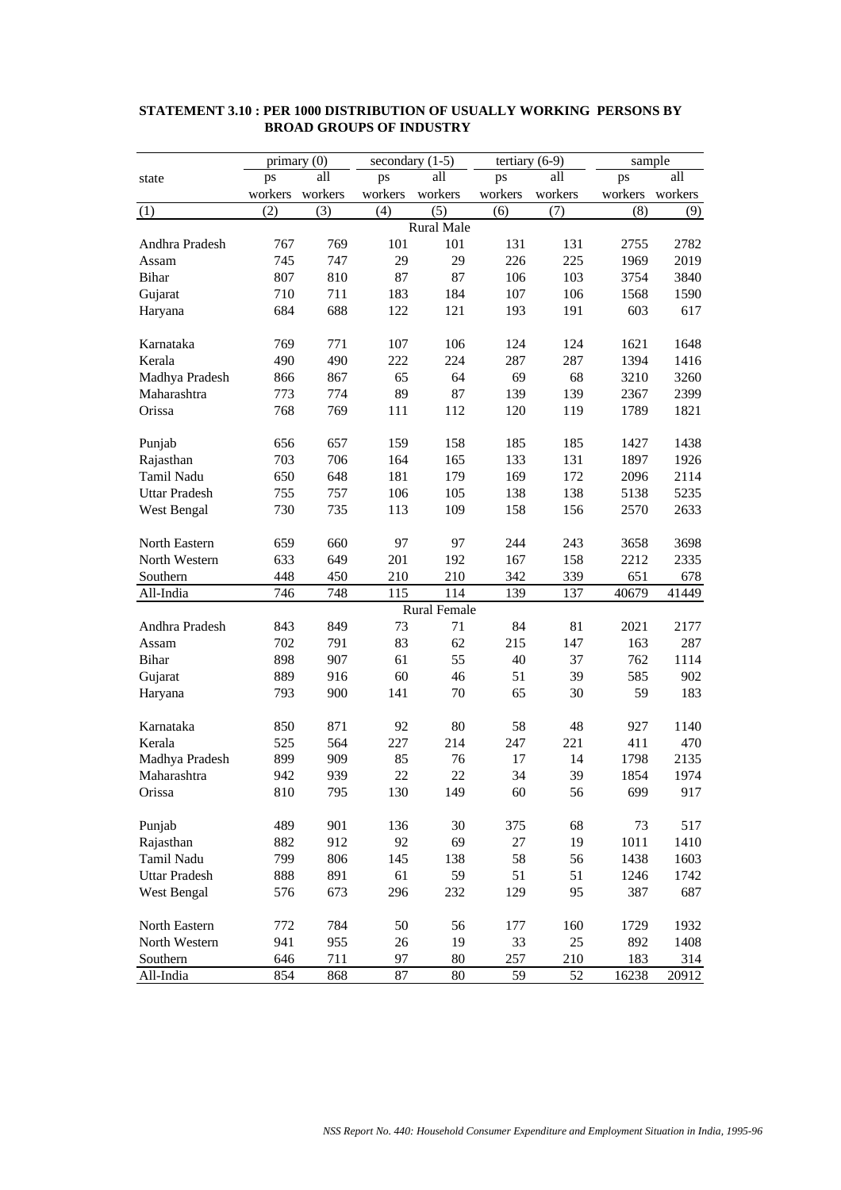|                      |         | primary (0) |         | secondary $(1-5)$   | tertiary $(6-9)$ |         | sample  |         |
|----------------------|---------|-------------|---------|---------------------|------------------|---------|---------|---------|
| state                | ps      | all         | ps      | all                 | ps               | all     | ps      | all     |
|                      | workers | workers     | workers | workers             | workers          | workers | workers | workers |
| (1)                  | (2)     | (3)         | (4)     | (5)                 | (6)              | (7)     | (8)     | (9)     |
|                      |         |             |         | <b>Rural Male</b>   |                  |         |         |         |
| Andhra Pradesh       | 767     | 769         | 101     | 101                 | 131              | 131     | 2755    | 2782    |
| Assam                | 745     | 747         | 29      | 29                  | 226              | 225     | 1969    | 2019    |
| Bihar                | 807     | 810         | 87      | 87                  | 106              | 103     | 3754    | 3840    |
| Gujarat              | 710     | 711         | 183     | 184                 | 107              | 106     | 1568    | 1590    |
| Haryana              | 684     | 688         | 122     | 121                 | 193              | 191     | 603     | 617     |
|                      |         |             |         |                     |                  |         |         |         |
| Karnataka            | 769     | 771         | 107     | 106                 | 124              | 124     | 1621    | 1648    |
| Kerala               | 490     | 490         | 222     | 224                 | 287              | 287     | 1394    | 1416    |
| Madhya Pradesh       | 866     | 867         | 65      | 64                  | 69               | 68      | 3210    | 3260    |
| Maharashtra          | 773     | 774         | 89      | 87                  | 139              | 139     | 2367    | 2399    |
| Orissa               | 768     | 769         | 111     | 112                 | 120              | 119     | 1789    | 1821    |
|                      |         |             |         |                     |                  |         |         |         |
| Punjab               | 656     | 657         | 159     | 158                 | 185              | 185     | 1427    | 1438    |
| Rajasthan            | 703     | 706         | 164     | 165                 | 133              | 131     | 1897    | 1926    |
| Tamil Nadu           | 650     | 648         | 181     | 179                 | 169              | 172     | 2096    | 2114    |
| <b>Uttar Pradesh</b> | 755     | 757         | 106     | 105                 | 138              | 138     | 5138    | 5235    |
| West Bengal          | 730     | 735         | 113     | 109                 | 158              | 156     | 2570    | 2633    |
|                      |         |             |         |                     |                  |         |         |         |
| North Eastern        | 659     | 660         | 97      | 97                  | 244              | 243     | 3658    | 3698    |
| North Western        | 633     | 649         | 201     | 192                 | 167              | 158     | 2212    | 2335    |
| Southern             | 448     | 450         | 210     | 210                 | 342              | 339     | 651     | 678     |
| All-India            | 746     | 748         | 115     | 114                 | 139              | 137     | 40679   | 41449   |
|                      |         |             |         | <b>Rural Female</b> |                  |         |         |         |
| Andhra Pradesh       | 843     | 849         | 73      | 71                  | 84               | 81      | 2021    | 2177    |
| Assam                | 702     | 791         | 83      | 62                  | 215              | 147     | 163     | 287     |
| <b>Bihar</b>         | 898     | 907         | 61      | 55                  | 40               | 37      | 762     | 1114    |
| Gujarat              | 889     | 916         | 60      | 46                  | 51               | 39      | 585     | 902     |
| Haryana              | 793     | 900         | 141     | 70                  | 65               | 30      | 59      | 183     |
|                      |         |             |         |                     |                  |         |         |         |
| Karnataka            | 850     | 871         | 92      | 80                  | 58               | 48      | 927     | 1140    |
|                      | 525     |             | 227     | 214                 |                  | 221     |         |         |
| Kerala               |         | 564         |         |                     | 247              | 14      | 411     | 470     |
| Madhya Pradesh       | 899     | 909         | 85      | 76                  | 17               |         | 1798    | 2135    |
| Maharashtra          | 942     | 939         | 22      | 22                  | 34               | 39      | 1854    | 1974    |
| Orissa               | 810     | 795         | 130     | 149                 | 60               | 56      | 699     | 917     |
|                      |         |             |         |                     |                  |         |         |         |
| Punjab               | 489     | 901         | 136     | 30                  | 375              | 68      | 73      | 517     |
| Rajasthan            | 882     | 912         | 92      | 69                  | 27               | 19      | 1011    | 1410    |
| Tamil Nadu           | 799     | 806         | 145     | 138                 | 58               | 56      | 1438    | 1603    |
| <b>Uttar Pradesh</b> | 888     | 891         | 61      | 59                  | 51               | 51      | 1246    | 1742    |
| West Bengal          | 576     | 673         | 296     | 232                 | 129              | 95      | 387     | 687     |
|                      |         |             |         |                     |                  |         |         |         |
| North Eastern        | 772     | 784         | 50      | 56                  | 177              | 160     | 1729    | 1932    |
| North Western        | 941     | 955         | 26      | 19                  | 33               | 25      | 892     | 1408    |
| Southern             | 646     | 711         | 97      | $80\,$              | 257              | 210     | 183     | 314     |
| All-India            | 854     | 868         | 87      | 80                  | 59               | 52      | 16238   | 20912   |

#### **STATEMENT 3.10 : PER 1000 DISTRIBUTION OF USUALLY WORKING PERSONS BY BROAD GROUPS OF INDUSTRY**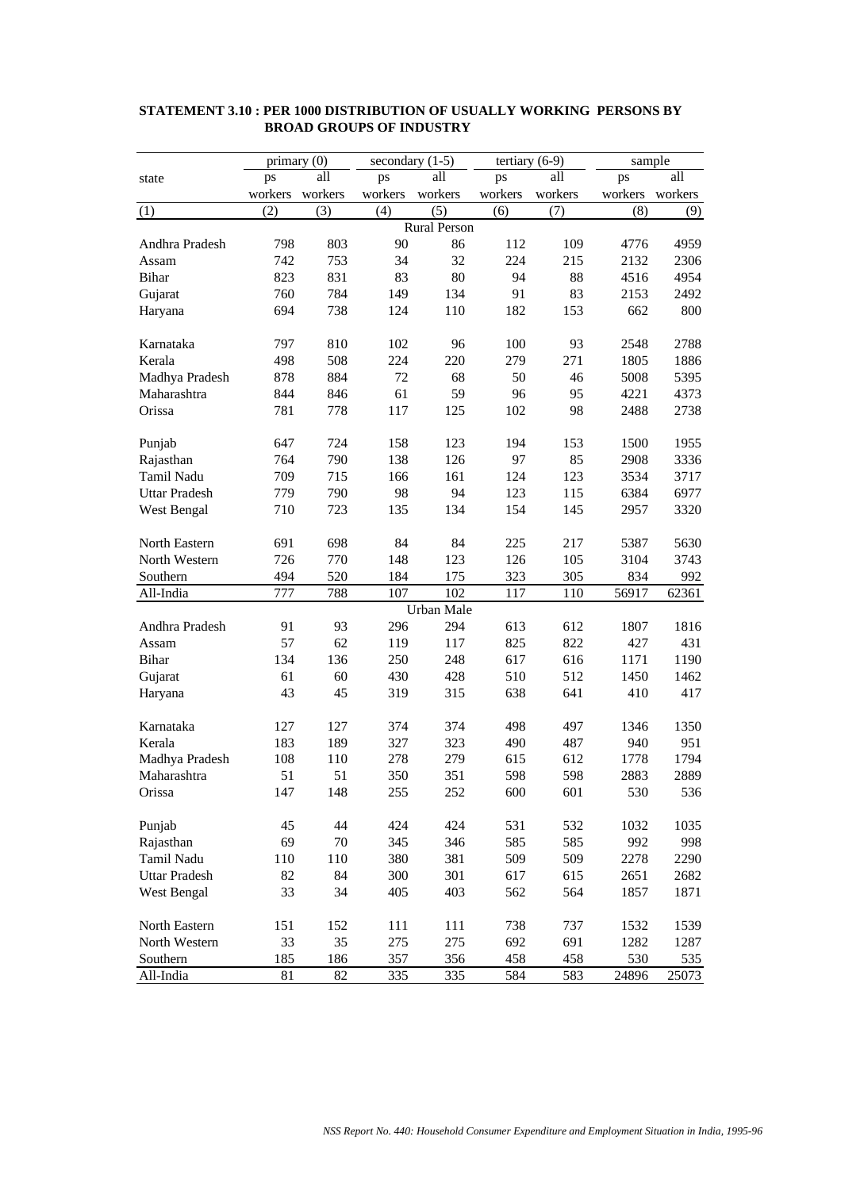|                      |         | primary (0) |         | secondary $(1-5)$   | tertiary $(6-9)$ |         | sample  |         |
|----------------------|---------|-------------|---------|---------------------|------------------|---------|---------|---------|
| state                | ps      | all         | ps      | all                 | ps               | all     | ps      | all     |
|                      | workers | workers     | workers | workers             | workers          | workers | workers | workers |
| (1)                  | (2)     | (3)         | (4)     | (5)                 | (6)              | (7)     | (8)     | (9)     |
|                      |         |             |         | <b>Rural Person</b> |                  |         |         |         |
| Andhra Pradesh       | 798     | 803         | 90      | 86                  | 112              | 109     | 4776    | 4959    |
| Assam                | 742     | 753         | 34      | 32                  | 224              | 215     | 2132    | 2306    |
| Bihar                | 823     | 831         | 83      | 80                  | 94               | 88      | 4516    | 4954    |
| Gujarat              | 760     | 784         | 149     | 134                 | 91               | 83      | 2153    | 2492    |
| Haryana              | 694     | 738         | 124     | 110                 | 182              | 153     | 662     | 800     |
|                      |         |             |         |                     |                  |         |         |         |
| Karnataka            | 797     | 810         | 102     | 96                  | 100              | 93      | 2548    | 2788    |
| Kerala               | 498     | 508         | 224     | 220                 | 279              | 271     | 1805    | 1886    |
| Madhya Pradesh       | 878     | 884         | 72      | 68                  | 50               | 46      | 5008    | 5395    |
| Maharashtra          | 844     | 846         | 61      | 59                  | 96               | 95      | 4221    | 4373    |
| Orissa               | 781     | 778         | 117     | 125                 | 102              | 98      | 2488    | 2738    |
|                      |         |             |         |                     |                  |         |         |         |
| Punjab               | 647     | 724         | 158     | 123                 | 194              | 153     | 1500    | 1955    |
| Rajasthan            | 764     | 790         | 138     | 126                 | 97               | 85      | 2908    | 3336    |
| Tamil Nadu           | 709     | 715         | 166     | 161                 | 124              | 123     | 3534    | 3717    |
| <b>Uttar Pradesh</b> | 779     | 790         | 98      | 94                  | 123              | 115     | 6384    | 6977    |
|                      |         | 723         |         | 134                 | 154              | 145     |         | 3320    |
| West Bengal          | 710     |             | 135     |                     |                  |         | 2957    |         |
| North Eastern        | 691     | 698         | 84      | 84                  | 225              | 217     | 5387    | 5630    |
| North Western        | 726     | 770         | 148     | 123                 | 126              | 105     | 3104    | 3743    |
| Southern             | 494     | 520         | 184     | 175                 | 323              | 305     | 834     | 992     |
| All-India            | 777     | 788         | 107     | 102                 | 117              | 110     | 56917   | 62361   |
|                      |         |             |         | Urban Male          |                  |         |         |         |
| Andhra Pradesh       | 91      | 93          | 296     | 294                 | 613              | 612     | 1807    | 1816    |
| Assam                | 57      | 62          | 119     | 117                 | 825              | 822     | 427     | 431     |
| <b>Bihar</b>         | 134     | 136         | 250     | 248                 | 617              | 616     | 1171    | 1190    |
|                      | 61      |             |         |                     |                  | 512     |         | 1462    |
| Gujarat              | 43      | 60<br>45    | 430     | 428                 | 510<br>638       | 641     | 1450    |         |
| Haryana              |         |             | 319     | 315                 |                  |         | 410     | 417     |
| Karnataka            | 127     | 127         | 374     | 374                 | 498              | 497     | 1346    | 1350    |
| Kerala               | 183     | 189         | 327     | 323                 | 490              | 487     | 940     | 951     |
| Madhya Pradesh       | 108     | 110         | 278     | 279                 | 615              | 612     | 1778    | 1794    |
| Maharashtra          | 51      | 51          | 350     | 351                 | 598              | 598     | 2883    | 2889    |
| Orissa               | 147     | 148         | 255     | 252                 | 600              | 601     | 530     | 536     |
|                      |         |             |         |                     |                  |         |         |         |
| Punjab               | 45      | 44          | 424     | 424                 | 531              | 532     | 1032    | 1035    |
| Rajasthan            | 69      | 70          | 345     | 346                 | 585              | 585     | 992     | 998     |
| Tamil Nadu           | 110     | 110         | 380     | 381                 | 509              | 509     | 2278    | 2290    |
| <b>Uttar Pradesh</b> | 82      | 84          | 300     | 301                 | 617              | 615     | 2651    | 2682    |
| West Bengal          | 33      | 34          | 405     | 403                 | 562              | 564     | 1857    | 1871    |
|                      |         |             |         |                     |                  |         |         |         |
| North Eastern        | 151     | 152         | 111     | 111                 | 738              | 737     | 1532    | 1539    |
| North Western        | 33      | 35          | 275     | 275                 | 692              | 691     | 1282    | 1287    |
| Southern             | 185     | 186         | 357     | 356                 | 458              | 458     | 530     | 535     |
| All-India            | 81      | 82          | 335     | 335                 | 584              | 583     | 24896   | 25073   |

#### **STATEMENT 3.10 : PER 1000 DISTRIBUTION OF USUALLY WORKING PERSONS BY BROAD GROUPS OF INDUSTRY**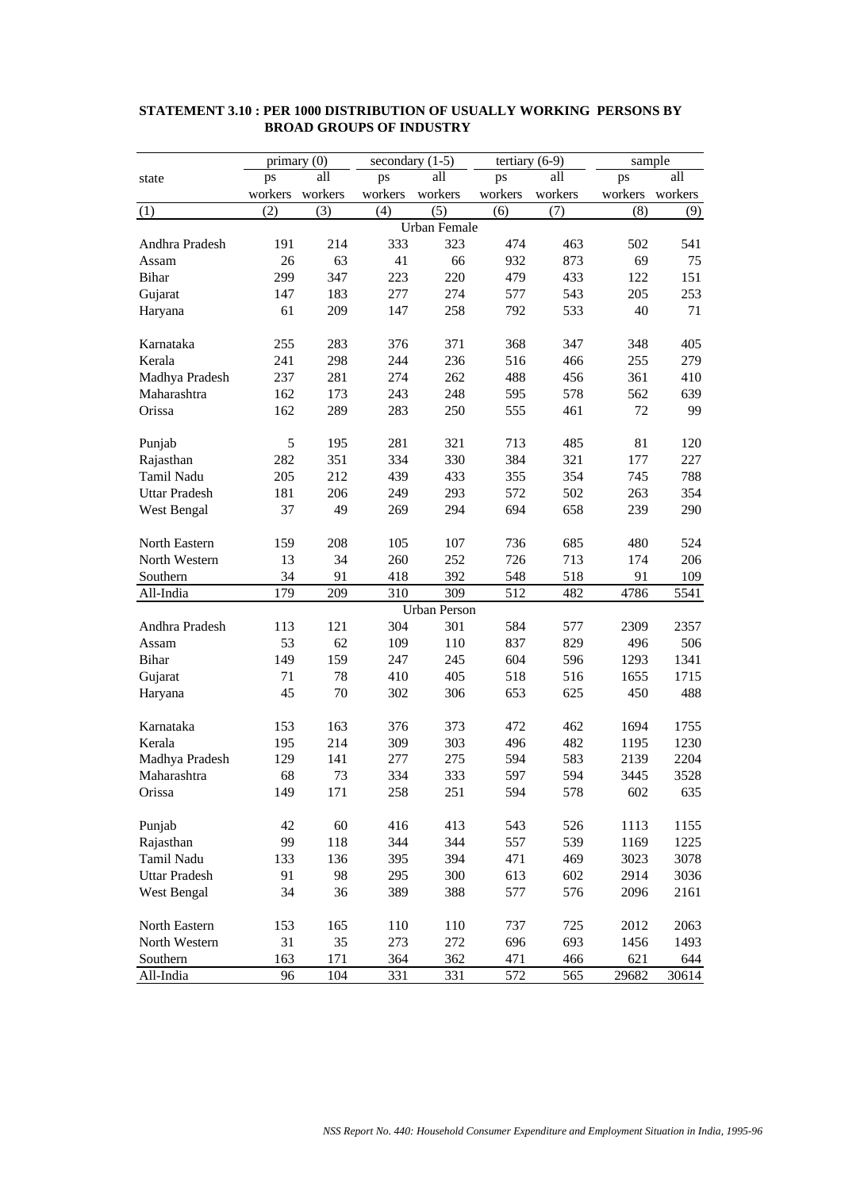|                      |         | primary (0) |         | secondary $(1-5)$   |         | tertiary $(6-9)$ | sample  |         |
|----------------------|---------|-------------|---------|---------------------|---------|------------------|---------|---------|
| state                | ps      | all         | ps      | all                 | ps      | all              | ps      | all     |
|                      | workers | workers     | workers | workers             | workers | workers          | workers | workers |
| (1)                  | (2)     | (3)         | (4)     | (5)                 | (6)     | (7)              | (8)     | (9)     |
|                      |         |             |         | <b>Urban Female</b> |         |                  |         |         |
| Andhra Pradesh       | 191     | 214         | 333     | 323                 | 474     | 463              | 502     | 541     |
| Assam                | 26      | 63          | 41      | 66                  | 932     | 873              | 69      | 75      |
| <b>Bihar</b>         | 299     | 347         | 223     | 220                 | 479     | 433              | 122     | 151     |
| Gujarat              | 147     | 183         | 277     | 274                 | 577     | 543              | 205     | 253     |
| Haryana              | 61      | 209         | 147     | 258                 | 792     | 533              | 40      | 71      |
|                      |         |             |         |                     |         |                  |         |         |
| Karnataka            | 255     | 283         | 376     | 371                 | 368     | 347              | 348     | 405     |
| Kerala               | 241     | 298         | 244     | 236                 | 516     | 466              | 255     | 279     |
| Madhya Pradesh       | 237     | 281         | 274     | 262                 | 488     | 456              | 361     | 410     |
| Maharashtra          | 162     | 173         | 243     | 248                 | 595     | 578              | 562     | 639     |
| Orissa               | 162     | 289         | 283     | 250                 | 555     | 461              | 72      | 99      |
|                      |         |             |         |                     |         |                  |         |         |
| Punjab               | 5       | 195         | 281     | 321                 | 713     | 485              | 81      | 120     |
| Rajasthan            | 282     | 351         | 334     | 330                 | 384     | 321              | 177     | 227     |
| Tamil Nadu           | 205     | 212         | 439     | 433                 | 355     | 354              | 745     | 788     |
| <b>Uttar Pradesh</b> | 181     | 206         | 249     | 293                 | 572     | 502              | 263     | 354     |
| West Bengal          | 37      | 49          | 269     | 294                 | 694     | 658              | 239     | 290     |
|                      |         |             |         |                     |         |                  |         |         |
| North Eastern        | 159     | 208         | 105     | 107                 | 736     | 685              | 480     | 524     |
| North Western        | 13      | 34          | 260     | 252                 | 726     | 713              | 174     | 206     |
| Southern             | 34      | 91          | 418     | 392                 | 548     | 518              | 91      | 109     |
| All-India            | 179     | 209         | 310     | 309                 | 512     | 482              | 4786    | 5541    |
|                      |         |             |         | <b>Urban Person</b> |         |                  |         |         |
| Andhra Pradesh       | 113     | 121         | 304     | 301                 | 584     | 577              | 2309    | 2357    |
| Assam                | 53      | 62          | 109     | 110                 | 837     | 829              | 496     | 506     |
| Bihar                | 149     | 159         | 247     | 245                 | 604     | 596              | 1293    | 1341    |
| Gujarat              | 71      | 78          | 410     | 405                 | 518     | 516              | 1655    | 1715    |
| Haryana              | 45      | 70          | 302     | 306                 | 653     | 625              | 450     | 488     |
|                      |         |             |         |                     |         |                  |         |         |
| Karnataka            | 153     | 163         | 376     | 373                 | 472     | 462              | 1694    | 1755    |
| Kerala               | 195     | 214         | 309     | 303                 | 496     | 482              | 1195    | 1230    |
| Madhya Pradesh       | 129     | 141         | 277     | 275                 | 594     | 583              | 2139    | 2204    |
| Maharashtra          | 68      | 73          | 334     | 333                 | 597     | 594              | 3445    | 3528    |
| Orissa               | 149     | 171         | 258     | 251                 | 594     | 578              | 602     | 635     |
|                      |         |             |         |                     |         |                  |         |         |
| Punjab               | 42      | 60          | 416     | 413                 | 543     | 526              | 1113    | 1155    |
| Rajasthan            | 99      | 118         | 344     | 344                 | 557     | 539              | 1169    | 1225    |
| Tamil Nadu           | 133     | 136         | 395     | 394                 | 471     | 469              | 3023    | 3078    |
| <b>Uttar Pradesh</b> | 91      | 98          | 295     | 300                 | 613     | 602              | 2914    | 3036    |
| West Bengal          | 34      | 36          | 389     | 388                 | 577     | 576              | 2096    | 2161    |
|                      |         |             |         |                     |         |                  |         |         |
| North Eastern        | 153     | 165         | 110     | 110                 | 737     | 725              | 2012    | 2063    |
| North Western        | 31      | 35          | 273     | 272                 | 696     | 693              | 1456    | 1493    |
| Southern             | 163     | 171         | 364     | 362                 | 471     | 466              | 621     | 644     |
| All-India            | 96      | 104         | 331     | 331                 | 572     | 565              | 29682   | 30614   |

#### **STATEMENT 3.10 : PER 1000 DISTRIBUTION OF USUALLY WORKING PERSONS BY BROAD GROUPS OF INDUSTRY**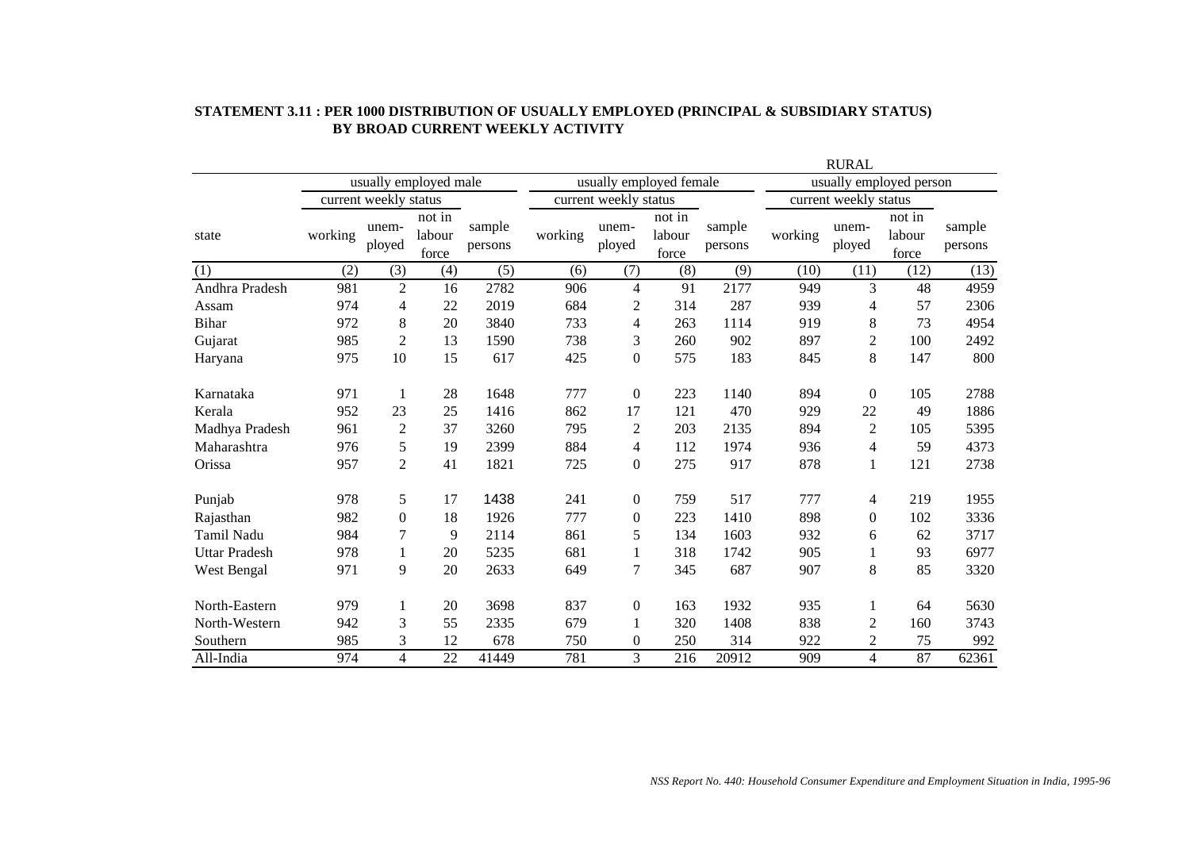|                      |         |                       |                           |                   |         |                          |                           |                   |         | <b>RURAL</b>          |                           |                   |
|----------------------|---------|-----------------------|---------------------------|-------------------|---------|--------------------------|---------------------------|-------------------|---------|-----------------------|---------------------------|-------------------|
|                      |         |                       | usually employed male     |                   |         |                          | usually employed female   |                   |         |                       | usually employed person   |                   |
|                      |         | current weekly status |                           |                   |         | current weekly status    |                           |                   |         | current weekly status |                           |                   |
| state                | working | unem-<br>ployed       | not in<br>labour<br>force | sample<br>persons | working | unem-<br>ployed          | not in<br>labour<br>force | sample<br>persons | working | unem-<br>ployed       | not in<br>labour<br>force | sample<br>persons |
| (1)                  | (2)     | (3)                   | (4)                       | (5)               | (6)     | (7)                      | (8)                       | (9)               | (10)    | (11)                  | (12)                      | (13)              |
| Andhra Pradesh       | 981     | $\overline{2}$        | 16                        | 2782              | 906     | $\overline{\mathcal{L}}$ | 91                        | 2177              | 949     | 3                     | 48                        | 4959              |
| Assam                | 974     | 4                     | 22                        | 2019              | 684     | $\overline{2}$           | 314                       | 287               | 939     | 4                     | 57                        | 2306              |
| <b>Bihar</b>         | 972     | 8                     | 20                        | 3840              | 733     | 4                        | 263                       | 1114              | 919     | 8                     | 73                        | 4954              |
| Gujarat              | 985     | $\overline{c}$        | 13                        | 1590              | 738     | 3                        | 260                       | 902               | 897     | $\overline{2}$        | 100                       | 2492              |
| Haryana              | 975     | 10                    | 15                        | 617               | 425     | $\mathbf{0}$             | 575                       | 183               | 845     | 8                     | 147                       | 800               |
| Karnataka            | 971     | 1                     | 28                        | 1648              | 777     | $\mathbf{0}$             | 223                       | 1140              | 894     | $\theta$              | 105                       | 2788              |
| Kerala               | 952     | 23                    | 25                        | 1416              | 862     | 17                       | 121                       | 470               | 929     | 22                    | 49                        | 1886              |
| Madhya Pradesh       | 961     | $\overline{2}$        | 37                        | 3260              | 795     | $\mathfrak{2}$           | 203                       | 2135              | 894     | $\overline{2}$        | 105                       | 5395              |
| Maharashtra          | 976     | 5                     | 19                        | 2399              | 884     | 4                        | 112                       | 1974              | 936     | 4                     | 59                        | 4373              |
| Orissa               | 957     | $\overline{c}$        | 41                        | 1821              | 725     | $\overline{0}$           | 275                       | 917               | 878     | 1                     | 121                       | 2738              |
| Punjab               | 978     | 5                     | 17                        | 1438              | 241     | $\boldsymbol{0}$         | 759                       | 517               | 777     | 4                     | 219                       | 1955              |
| Rajasthan            | 982     | $\boldsymbol{0}$      | 18                        | 1926              | 777     | $\mathbf{0}$             | 223                       | 1410              | 898     | $\theta$              | 102                       | 3336              |
| Tamil Nadu           | 984     | 7                     | 9                         | 2114              | 861     | 5                        | 134                       | 1603              | 932     | 6                     | 62                        | 3717              |
| <b>Uttar Pradesh</b> | 978     | 1                     | 20                        | 5235              | 681     | 1                        | 318                       | 1742              | 905     | 1                     | 93                        | 6977              |
| West Bengal          | 971     | 9                     | 20                        | 2633              | 649     | 7                        | 345                       | 687               | 907     | 8                     | 85                        | 3320              |
| North-Eastern        | 979     | 1                     | 20                        | 3698              | 837     | $\boldsymbol{0}$         | 163                       | 1932              | 935     | $\mathbf{1}$          | 64                        | 5630              |
| North-Western        | 942     | 3                     | 55                        | 2335              | 679     | 1                        | 320                       | 1408              | 838     | $\overline{2}$        | 160                       | 3743              |
| Southern             | 985     | 3                     | 12                        | 678               | 750     | $\mathbf{0}$             | 250                       | 314               | 922     | $\overline{2}$        | 75                        | 992               |
| All-India            | 974     | $\overline{4}$        | 22                        | 41449             | 781     | 3                        | 216                       | 20912             | 909     | $\overline{4}$        | 87                        | 62361             |

#### **STATEMENT 3.11 : PER 1000 DISTRIBUTION OF USUALLY EMPLOYED (PRINCIPAL & SUBSIDIARY STATUS) BY BROAD CURRENT WEEKLY ACTIVITY**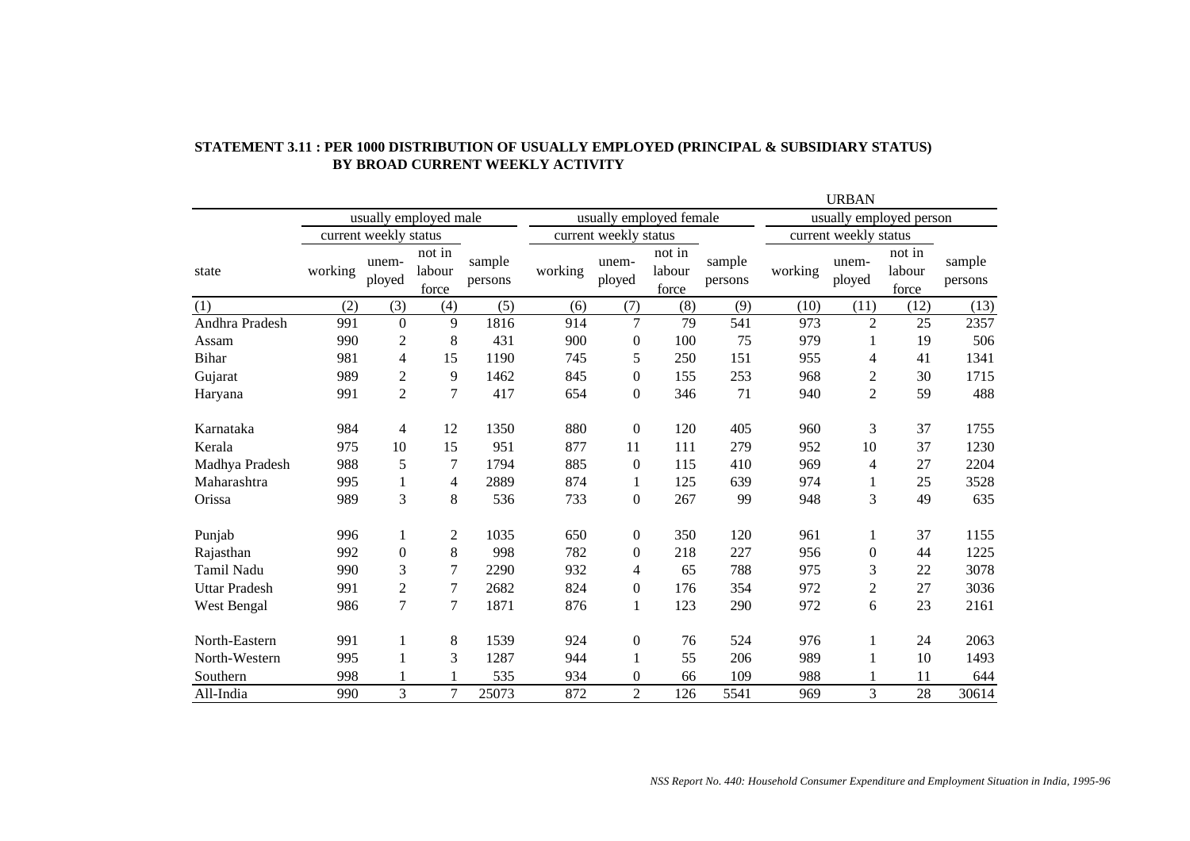|                      |         |                       |                           |                   |         |                         |                           |                   |         | <b>URBAN</b>             |                                        |                   |
|----------------------|---------|-----------------------|---------------------------|-------------------|---------|-------------------------|---------------------------|-------------------|---------|--------------------------|----------------------------------------|-------------------|
|                      |         |                       | usually employed male     |                   |         | usually employed female |                           |                   |         | usually employed person  |                                        |                   |
|                      |         | current weekly status |                           |                   |         | current weekly status   |                           |                   |         | current weekly status    |                                        |                   |
| state                | working | unem-<br>ployed       | not in<br>labour<br>force | sample<br>persons | working | unem-<br>ployed         | not in<br>labour<br>force | sample<br>persons | working | unem-<br>ployed          | $not \overline{in}$<br>labour<br>force | sample<br>persons |
| (1)                  | (2)     | (3)                   | (4)                       | (5)               | (6)     | (7)                     | (8)                       | (9)               | (10)    | (11)                     | (12)                                   | (13)              |
| Andhra Pradesh       | 991     | $\theta$              | 9                         | 1816              | 914     | 7                       | 79                        | 541               | 973     | 2                        | 25                                     | 2357              |
| Assam                | 990     | $\overline{2}$        | $\,8\,$                   | 431               | 900     | $\boldsymbol{0}$        | 100                       | 75                | 979     | 1                        | 19                                     | 506               |
| Bihar                | 981     | 4                     | 15                        | 1190              | 745     | 5                       | 250                       | 151               | 955     | $\overline{4}$           | 41                                     | 1341              |
| Gujarat              | 989     | $\sqrt{2}$            | 9                         | 1462              | 845     | $\theta$                | 155                       | 253               | 968     | $\overline{c}$           | 30                                     | 1715              |
| Haryana              | 991     | $\overline{2}$        | $\overline{7}$            | 417               | 654     | $\boldsymbol{0}$        | 346                       | 71                | 940     | $\overline{2}$           | 59                                     | 488               |
| Karnataka            | 984     | $\overline{4}$        | 12                        | 1350              | 880     | $\boldsymbol{0}$        | 120                       | 405               | 960     | 3                        | 37                                     | 1755              |
| Kerala               | 975     | 10                    | 15                        | 951               | 877     | 11                      | 111                       | 279               | 952     | 10                       | 37                                     | 1230              |
| Madhya Pradesh       | 988     | 5                     | $\boldsymbol{7}$          | 1794              | 885     | $\boldsymbol{0}$        | 115                       | 410               | 969     | $\overline{\mathcal{A}}$ | 27                                     | 2204              |
| Maharashtra          | 995     | 1                     | 4                         | 2889              | 874     | 1                       | 125                       | 639               | 974     | 1                        | 25                                     | 3528              |
| Orissa               | 989     | 3                     | $\,8\,$                   | 536               | 733     | $\theta$                | 267                       | 99                | 948     | 3                        | 49                                     | 635               |
| Punjab               | 996     | 1                     | $\boldsymbol{2}$          | 1035              | 650     | $\overline{0}$          | 350                       | 120               | 961     | 1                        | 37                                     | 1155              |
| Rajasthan            | 992     | $\boldsymbol{0}$      | $\,8\,$                   | 998               | 782     | $\boldsymbol{0}$        | 218                       | 227               | 956     | $\mathbf{0}$             | 44                                     | 1225              |
| <b>Tamil Nadu</b>    | 990     | 3                     | 7                         | 2290              | 932     | 4                       | 65                        | 788               | 975     | 3                        | 22                                     | 3078              |
| <b>Uttar Pradesh</b> | 991     | $\overline{2}$        | 7                         | 2682              | 824     | $\boldsymbol{0}$        | 176                       | 354               | 972     | $\overline{2}$           | 27                                     | 3036              |
| West Bengal          | 986     | $\overline{7}$        | $\overline{7}$            | 1871              | 876     | 1                       | 123                       | 290               | 972     | 6                        | 23                                     | 2161              |
| North-Eastern        | 991     | 1                     | 8                         | 1539              | 924     | $\theta$                | 76                        | 524               | 976     | 1                        | 24                                     | 2063              |
| North-Western        | 995     | 1                     | 3                         | 1287              | 944     | 1                       | 55                        | 206               | 989     | 1                        | 10                                     | 1493              |
| Southern             | 998     | 1                     | 1                         | 535               | 934     | $\theta$                | 66                        | 109               | 988     |                          | 11                                     | 644               |
| All-India            | 990     | 3                     | $\overline{7}$            | 25073             | 872     | $\overline{2}$          | 126                       | 5541              | 969     | 3                        | 28                                     | 30614             |

#### **STATEMENT 3.11 : PER 1000 DISTRIBUTION OF USUALLY EMPLOYED (PRINCIPAL & SUBSIDIARY STATUS) BY BROAD CURRENT WEEKLY ACTIVITY**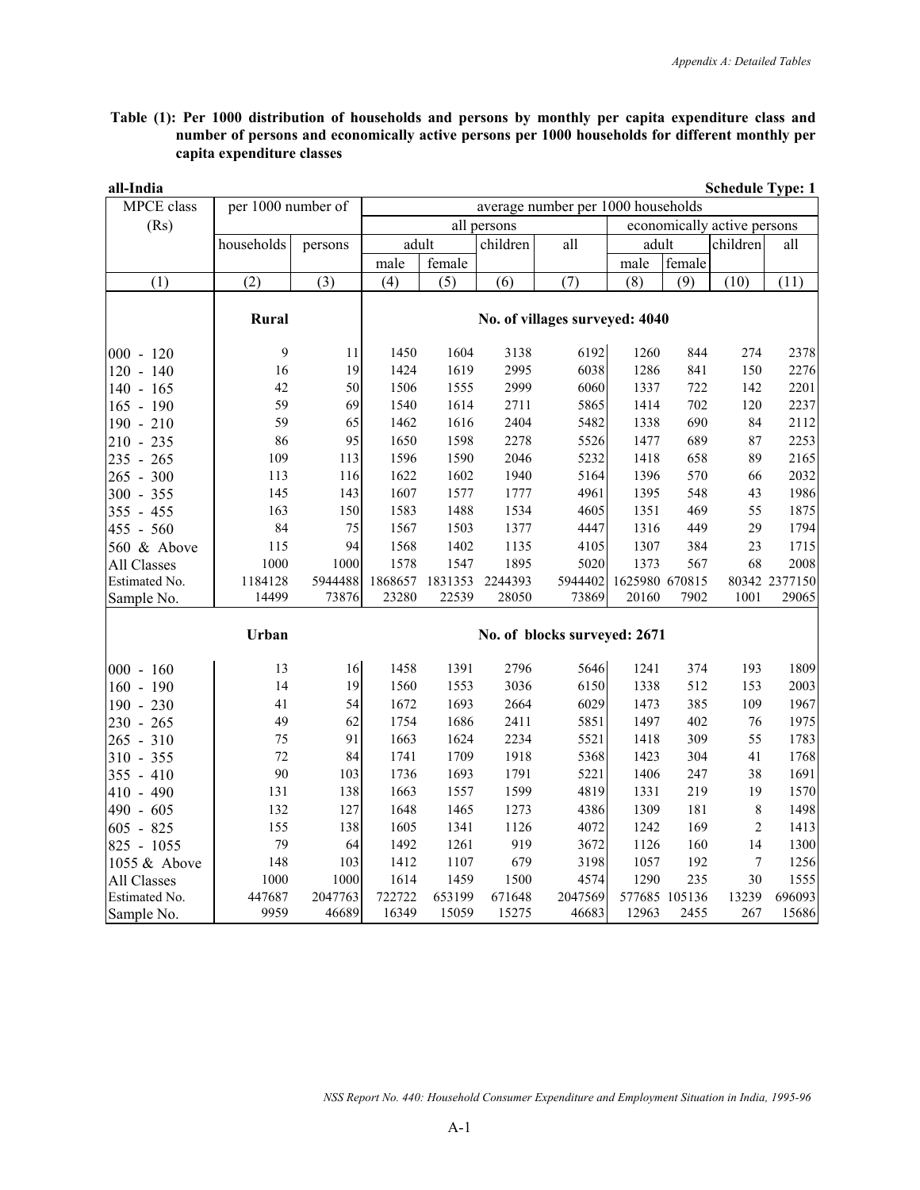**Table (1): Per 1000 distribution of households and persons by monthly per capita expenditure class and number of persons and economically active persons per 1000 households for different monthly per capita expenditure classes** 

| all-India     |                    |         |         |         |             |                                    |                |               | <b>Schedule Type: 1</b>     |               |
|---------------|--------------------|---------|---------|---------|-------------|------------------------------------|----------------|---------------|-----------------------------|---------------|
| MPCE class    | per 1000 number of |         |         |         |             | average number per 1000 households |                |               |                             |               |
| (Rs)          |                    |         |         |         | all persons |                                    |                |               | economically active persons |               |
|               | households         | persons | adult   |         | children    | all                                | adult          |               | children                    | all           |
|               |                    |         | male    | female  |             |                                    | male           | female        |                             |               |
| (1)           | (2)                | (3)     | (4)     | (5)     | (6)         | (7)                                | (8)            | (9)           | (10)                        | (11)          |
|               | Rural              |         |         |         |             | No. of villages surveyed: 4040     |                |               |                             |               |
| $000 - 120$   | 9                  | 11      | 1450    | 1604    | 3138        | 6192                               | 1260           | 844           | 274                         | 2378          |
| $120 - 140$   | 16                 | 19      | 1424    | 1619    | 2995        | 6038                               | 1286           | 841           | 150                         | 2276          |
| $140 - 165$   | 42                 | 50      | 1506    | 1555    | 2999        | 6060                               | 1337           | 722           | 142                         | 2201          |
| $165 - 190$   | 59                 | 69      | 1540    | 1614    | 2711        | 5865                               | 1414           | 702           | 120                         | 2237          |
| $190 - 210$   | 59                 | 65      | 1462    | 1616    | 2404        | 5482                               | 1338           | 690           | 84                          | 2112          |
| $210 - 235$   | 86                 | 95      | 1650    | 1598    | 2278        | 5526                               | 1477           | 689           | 87                          | 2253          |
| $235 - 265$   | 109                | 113     | 1596    | 1590    | 2046        | 5232                               | 1418           | 658           | 89                          | 2165          |
| $265 - 300$   | 113                | 116     | 1622    | 1602    | 1940        | 5164                               | 1396           | 570           | 66                          | 2032          |
| $300 - 355$   | 145                | 143     | 1607    | 1577    | 1777        | 4961                               | 1395           | 548           | 43                          | 1986          |
| $355 - 455$   | 163                | 150     | 1583    | 1488    | 1534        | 4605                               | 1351           | 469           | 55                          | 1875          |
| 455 - 560     | 84                 | 75      | 1567    | 1503    | 1377        | 4447                               | 1316           | 449           | 29                          | 1794          |
| 560 & Above   | 115                | 94      | 1568    | 1402    | 1135        | 4105                               | 1307           | 384           | 23                          | 1715          |
| All Classes   | 1000               | 1000    | 1578    | 1547    | 1895        | 5020                               | 1373           | 567           | 68                          | 2008          |
| Estimated No. | 1184128            | 5944488 | 1868657 | 1831353 | 2244393     | 5944402                            | 1625980 670815 |               |                             | 80342 2377150 |
| Sample No.    | 14499              | 73876   | 23280   | 22539   | 28050       | 73869                              | 20160          | 7902          | 1001                        | 29065         |
|               | Urban              |         |         |         |             | No. of blocks surveyed: 2671       |                |               |                             |               |
| $000 - 160$   | 13                 | 16      | 1458    | 1391    | 2796        | 5646                               | 1241           | 374           | 193                         | 1809          |
| $160 - 190$   | 14                 | 19      | 1560    | 1553    | 3036        | 6150                               | 1338           | 512           | 153                         | 2003          |
| $190 - 230$   | 41                 | 54      | 1672    | 1693    | 2664        | 6029                               | 1473           | 385           | 109                         | 1967          |
| $230 - 265$   | 49                 | 62      | 1754    | 1686    | 2411        | 5851                               | 1497           | 402           | 76                          | 1975          |
| $265 - 310$   | 75                 | 91      | 1663    | 1624    | 2234        | 5521                               | 1418           | 309           | 55                          | 1783          |
| $310 - 355$   | 72                 | 84      | 1741    | 1709    | 1918        | 5368                               | 1423           | 304           | 41                          | 1768          |
| $355 - 410$   | 90                 | 103     | 1736    | 1693    | 1791        | 5221                               | 1406           | 247           | 38                          | 1691          |
| $410 - 490$   | 131                | 138     | 1663    | 1557    | 1599        | 4819                               | 1331           | 219           | 19                          | 1570          |
| 490 - 605     | 132                | 127     | 1648    | 1465    | 1273        | 4386                               | 1309           | 181           | $\,$ $\,$                   | 1498          |
| $605 - 825$   | 155                | 138     | 1605    | 1341    | 1126        | 4072                               | 1242           | 169           | $\mathbf{2}$                | 1413          |
| 825 - 1055    | 79                 | 64      | 1492    | 1261    | 919         | 3672                               | 1126           | 160           | 14                          | 1300          |
| 1055 & Above  | 148                | 103     | 1412    | 1107    | 679         | 3198                               | 1057           | 192           | $\tau$                      | 1256          |
| All Classes   | 1000               | 1000    | 1614    | 1459    | 1500        | 4574                               | 1290           | 235           | 30                          | 1555          |
| Estimated No. | 447687             | 2047763 | 722722  | 653199  | 671648      | 2047569                            |                | 577685 105136 | 13239                       | 696093        |
| Sample No.    | 9959               | 46689   | 16349   | 15059   | 15275       | 46683                              | 12963          | 2455          | 267                         | 15686         |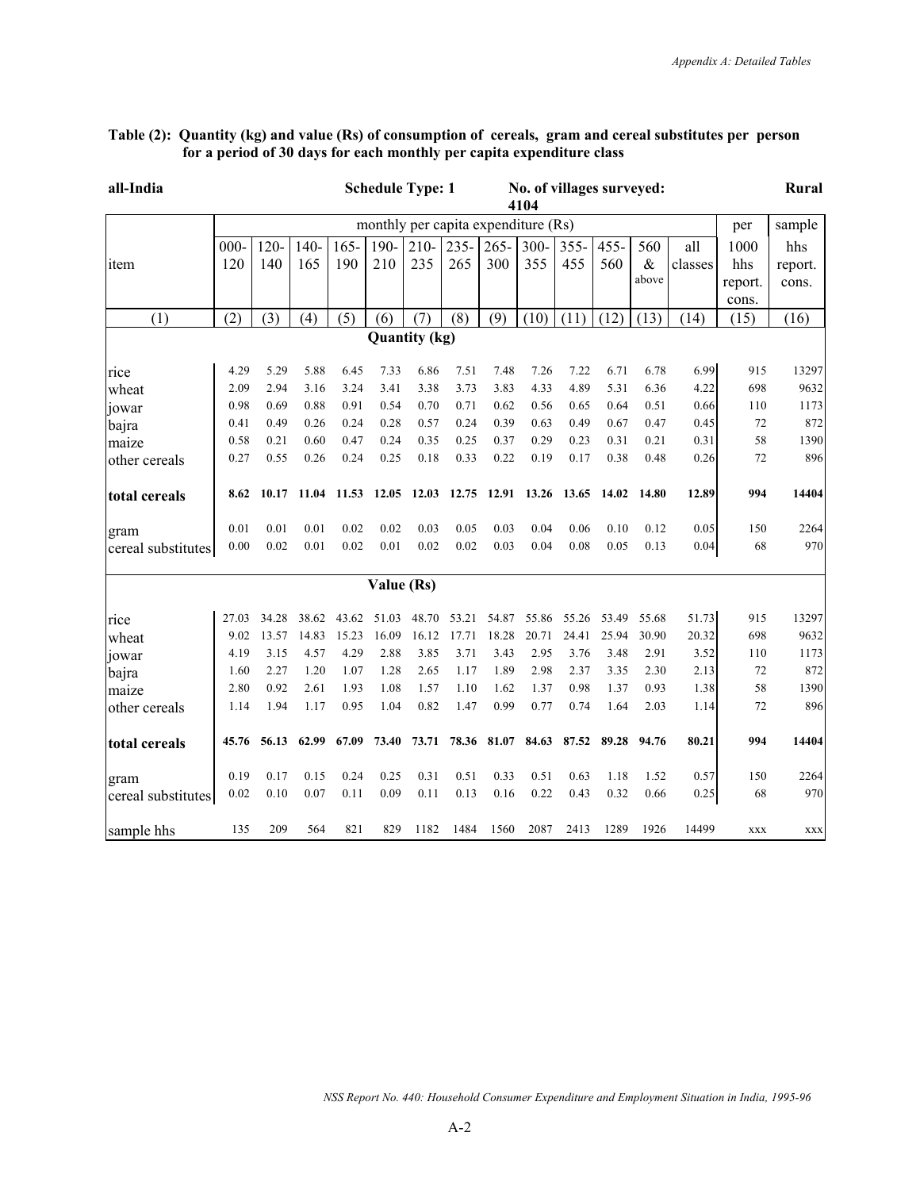| all-India          |         |         |         |         |            | <b>Schedule Type: 1</b>             |         |         | 4104        | No. of villages surveyed: |         |       |         |            | Rural      |
|--------------------|---------|---------|---------|---------|------------|-------------------------------------|---------|---------|-------------|---------------------------|---------|-------|---------|------------|------------|
|                    |         |         |         |         |            | monthly per capita expenditure (Rs) |         |         |             |                           |         |       |         | per        | sample     |
|                    | $000 -$ | $120 -$ | $140 -$ | $165 -$ | 190-       | $210-$                              | $235 -$ | $265 -$ | $300 -$     | $355 -$                   | $455 -$ | 560   | all     | 1000       | hhs        |
| item               | 120     | 140     | 165     | 190     | 210        | 235                                 | 265     | 300     | 355         | 455                       | 560     | $\&$  | classes | hhs        | report.    |
|                    |         |         |         |         |            |                                     |         |         |             |                           |         | above |         | report.    | cons.      |
|                    |         |         |         |         |            |                                     |         |         |             |                           |         |       |         | cons.      |            |
| (1)                | (2)     | (3)     | (4)     | (5)     | (6)        | (7)                                 | (8)     | (9)     | (10)        | (11)                      | (12)    | (13)  | (14)    | (15)       | (16)       |
|                    |         |         |         |         |            | <b>Quantity (kg)</b>                |         |         |             |                           |         |       |         |            |            |
| rice               | 4.29    | 5.29    | 5.88    | 6.45    | 7.33       | 6.86                                | 7.51    | 7.48    | 7.26        | 7.22                      | 6.71    | 6.78  | 6.99    | 915        | 13297      |
| wheat              | 2.09    | 2.94    | 3.16    | 3.24    | 3.41       | 3.38                                | 3.73    | 3.83    | 4.33        | 4.89                      | 5.31    | 6.36  | 4.22    | 698        | 9632       |
| jowar              | 0.98    | 0.69    | 0.88    | 0.91    | 0.54       | 0.70                                | 0.71    | 0.62    | 0.56        | 0.65                      | 0.64    | 0.51  | 0.66    | 110        | 1173       |
| bajra              | 0.41    | 0.49    | 0.26    | 0.24    | 0.28       | 0.57                                | 0.24    | 0.39    | 0.63        | 0.49                      | 0.67    | 0.47  | 0.45    | 72         | 872        |
| maize              | 0.58    | 0.21    | 0.60    | 0.47    | 0.24       | 0.35                                | 0.25    | 0.37    | 0.29        | 0.23                      | 0.31    | 0.21  | 0.31    | 58         | 1390       |
| other cereals      | 0.27    | 0.55    | 0.26    | 0.24    | 0.25       | 0.18                                | 0.33    | 0.22    | 0.19        | 0.17                      | 0.38    | 0.48  | 0.26    | 72         | 896        |
| total cereals      | 8.62    | 10.17   | 11.04   | 11.53   | 12.05      | 12.03                               | 12.75   | 12.91   | 13.26       | 13.65                     | 14.02   | 14.80 | 12.89   | 994        | 14404      |
| gram               | 0.01    | 0.01    | 0.01    | 0.02    | 0.02       | 0.03                                | 0.05    | 0.03    | 0.04        | 0.06                      | 0.10    | 0.12  | 0.05    | 150        | 2264       |
| cereal substitutes | 0.00    | 0.02    | 0.01    | 0.02    | 0.01       | 0.02                                | 0.02    | 0.03    | 0.04        | 0.08                      | 0.05    | 0.13  | 0.04    | 68         | 970        |
|                    |         |         |         |         | Value (Rs) |                                     |         |         |             |                           |         |       |         |            |            |
| rice               | 27.03   | 34.28   | 38.62   | 43.62   | 51.03      | 48.70                               | 53.21   | 54.87   | 55.86       | 55.26                     | 53.49   | 55.68 | 51.73   | 915        | 13297      |
| wheat              | 9.02    | 13.57   | 14.83   | 15.23   | 16.09      | 16.12                               | 17.71   | 18.28   | 20.71       | 24.41                     | 25.94   | 30.90 | 20.32   | 698        | 9632       |
| jowar              | 4.19    | 3.15    | 4.57    | 4.29    | 2.88       | 3.85                                | 3.71    | 3.43    | 2.95        | 3.76                      | 3.48    | 2.91  | 3.52    | 110        | 1173       |
| bajra              | 1.60    | 2.27    | 1.20    | 1.07    | 1.28       | 2.65                                | 1.17    | 1.89    | 2.98        | 2.37                      | 3.35    | 2.30  | 2.13    | 72         | 872        |
| maize              | 2.80    | 0.92    | 2.61    | 1.93    | 1.08       | 1.57                                | 1.10    | 1.62    | 1.37        | 0.98                      | 1.37    | 0.93  | 1.38    | 58         | 1390       |
| other cereals      | 1.14    | 1.94    | 1.17    | 0.95    | 1.04       | 0.82                                | 1.47    | 0.99    | 0.77        | 0.74                      | 1.64    | 2.03  | 1.14    | 72         | 896        |
| total cereals      | 45.76   | 56.13   | 62.99   | 67.09   | 73.40      | 73.71                               | 78.36   |         | 81.07 84.63 | 87.52                     | 89.28   | 94.76 | 80.21   | 994        | 14404      |
| gram               | 0.19    | 0.17    | 0.15    | 0.24    | 0.25       | 0.31                                | 0.51    | 0.33    | 0.51        | 0.63                      | 1.18    | 1.52  | 0.57    | 150        | 2264       |
| cereal substitutes | 0.02    | 0.10    | 0.07    | 0.11    | 0.09       | 0.11                                | 0.13    | 0.16    | 0.22        | 0.43                      | 0.32    | 0.66  | 0.25    | 68         | 970        |
| sample hhs         | 135     | 209     | 564     | 821     | 829        | 1182                                | 1484    | 1560    | 2087        | 2413                      | 1289    | 1926  | 14499   | <b>XXX</b> | <b>XXX</b> |

#### **Table (2): Quantity (kg) and value (Rs) of consumption of cereals, gram and cereal substitutes per person for a period of 30 days for each monthly per capita expenditure class**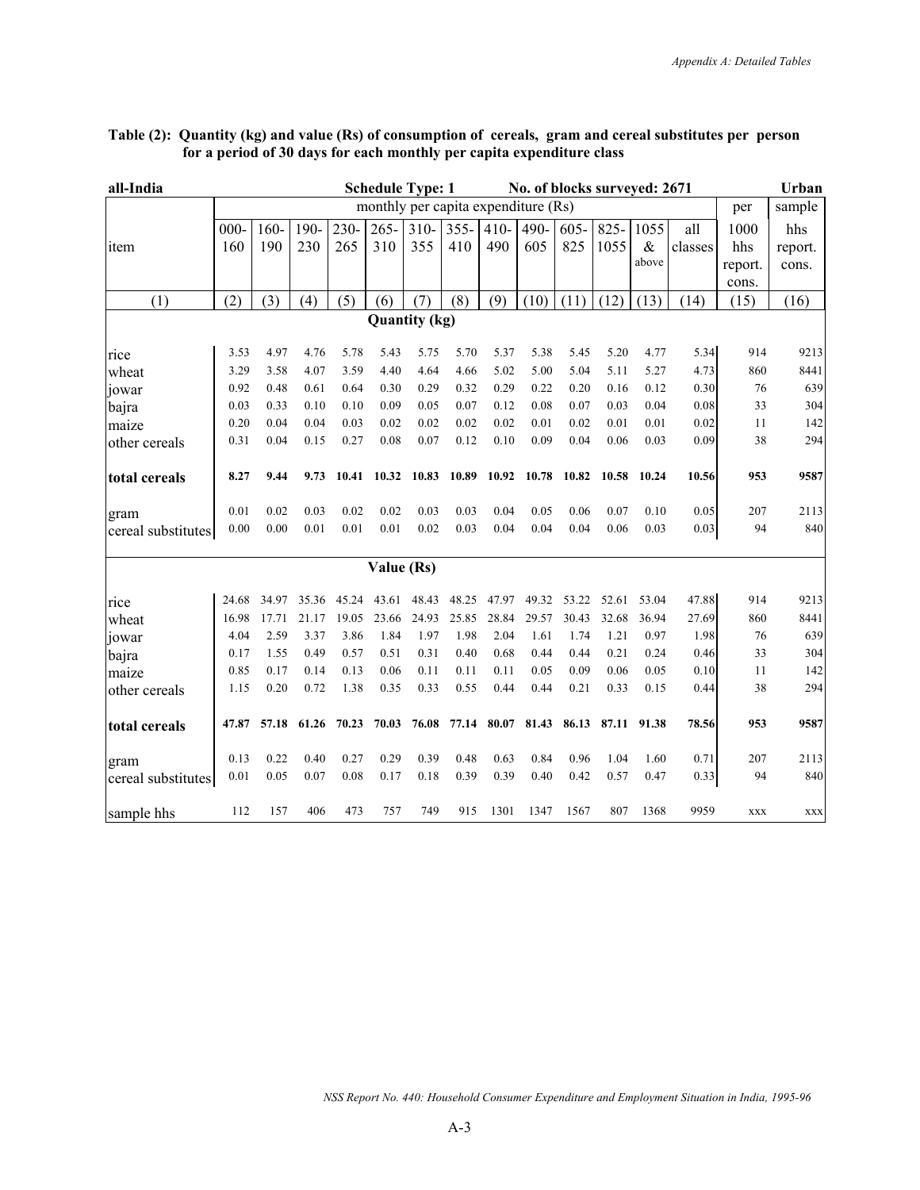| all-India          |         |       |       |       |            | <b>Schedule Type: 1</b>             |         |        | No. of blocks surveyed: 2671 |         |       |             |         |            | Urban   |
|--------------------|---------|-------|-------|-------|------------|-------------------------------------|---------|--------|------------------------------|---------|-------|-------------|---------|------------|---------|
|                    |         |       |       |       |            | monthly per capita expenditure (Rs) |         |        |                              |         |       |             |         | per        | sample  |
|                    | $000 -$ | 160-  | 190-  | 230-  | $265 -$    | $310-$                              | $355 -$ | $410-$ | 490-                         | $605 -$ | 825-  | 1055        | all     | 1000       | hhs     |
| item               | 160     | 190   | 230   | 265   | 310        | 355                                 | 410     | 490    | 605                          | 825     | 1055  | $\&$        | classes | hhs        | report. |
|                    |         |       |       |       |            |                                     |         |        |                              |         |       | above       |         | report.    | cons.   |
|                    |         |       |       |       |            |                                     |         |        |                              |         |       |             |         | cons.      |         |
| (1)                | (2)     | (3)   | (4)   | (5)   | (6)        | (7)                                 | (8)     | (9)    | (10)                         | (11)    | (12)  | (13)        | (14)    | (15)       | (16)    |
|                    |         |       |       |       |            | <b>Quantity (kg)</b>                |         |        |                              |         |       |             |         |            |         |
| rice               | 3.53    | 4.97  | 4.76  | 5.78  | 5.43       | 5.75                                | 5.70    | 5.37   | 5.38                         | 5.45    | 5.20  | 4.77        | 5.34    | 914        | 9213    |
| wheat              | 3.29    | 3.58  | 4.07  | 3.59  | 4.40       | 4.64                                | 4.66    | 5.02   | 5.00                         | 5.04    | 5.11  | 5.27        | 4.73    | 860        | 8441    |
| jowar              | 0.92    | 0.48  | 0.61  | 0.64  | 0.30       | 0.29                                | 0.32    | 0.29   | 0.22                         | 0.20    | 0.16  | 0.12        | 0.30    | 76         | 639     |
| bajra              | 0.03    | 0.33  | 0.10  | 0.10  | 0.09       | 0.05                                | 0.07    | 0.12   | 0.08                         | 0.07    | 0.03  | 0.04        | 0.08    | 33         | 304     |
| maize              | 0.20    | 0.04  | 0.04  | 0.03  | 0.02       | 0.02                                | 0.02    | 0.02   | 0.01                         | 0.02    | 0.01  | 0.01        | 0.02    | 11         | 142     |
| other cereals      | 0.31    | 0.04  | 0.15  | 0.27  | 0.08       | 0.07                                | 0.12    | 0.10   | 0.09                         | 0.04    | 0.06  | 0.03        | 0.09    | 38         | 294     |
| total cereals      | 8.27    | 9.44  | 9.73  |       |            | 10.41 10.32 10.83                   | 10.89   | 10.92  | 10.78                        | 10.82   |       | 10.58 10.24 | 10.56   | 953        | 9587    |
| gram               | 0.01    | 0.02  | 0.03  | 0.02  | 0.02       | 0.03                                | 0.03    | 0.04   | 0.05                         | 0.06    | 0.07  | 0.10        | 0.05    | 207        | 2113    |
| cereal substitutes | 0.00    | 0.00  | 0.01  | 0.01  | 0.01       | 0.02                                | 0.03    | 0.04   | 0.04                         | 0.04    | 0.06  | 0.03        | 0.03    | 94         | 840     |
|                    |         |       |       |       | Value (Rs) |                                     |         |        |                              |         |       |             |         |            |         |
| rice               | 24.68   | 34.97 | 35.36 | 45.24 | 43.61      | 48.43                               | 48.25   | 47.97  | 49.32                        | 53.22   | 52.61 | 53.04       | 47.88   | 914        | 9213    |
| wheat              | 16.98   | 17.71 | 21.17 | 19.05 | 23.66      | 24.93                               | 25.85   | 28.84  | 29.57                        | 30.43   | 32.68 | 36.94       | 27.69   | 860        | 8441    |
| jowar              | 4.04    | 2.59  | 3.37  | 3.86  | 1.84       | 1.97                                | 1.98    | 2.04   | 1.61                         | 1.74    | 1.21  | 0.97        | 1.98    | 76         | 639     |
| bajra              | 0.17    | 1.55  | 0.49  | 0.57  | 0.51       | 0.31                                | 0.40    | 0.68   | 0.44                         | 0.44    | 0.21  | 0.24        | 0.46    | 33         | 304     |
| maize              | 0.85    | 0.17  | 0.14  | 0.13  | 0.06       | 0.11                                | 0.11    | 0.11   | 0.05                         | 0.09    | 0.06  | 0.05        | 0.10    | 11         | 142     |
| other cereals      | 1.15    | 0.20  | 0.72  | 1.38  | 0.35       | 0.33                                | 0.55    | 0.44   | 0.44                         | 0.21    | 0.33  | 0.15        | 0.44    | 38         | 294     |
| total cereals      | 47.87   | 57.18 | 61.26 | 70.23 | 70.03      | 76.08                               | 77.14   | 80.07  | 81.43                        | 86.13   | 87.11 | 91.38       | 78.56   | 953        | 9587    |
| gram               | 0.13    | 0.22  | 0.40  | 0.27  | 0.29       | 0.39                                | 0.48    | 0.63   | 0.84                         | 0.96    | 1.04  | 1.60        | 0.71    | 207        | 2113    |
| cereal substitutes | 0.01    | 0.05  | 0.07  | 0.08  | 0.17       | 0.18                                | 0.39    | 0.39   | 0.40                         | 0.42    | 0.57  | 0.47        | 0.33    | 94         | 840     |
| sample hhs         | 112     | 157   | 406   | 473   | 757        | 749                                 | 915     | 1301   | 1347                         | 1567    | 807   | 1368        | 9959    | <b>XXX</b> | XXX     |

### **Table (2): Quantity (kg) and value (Rs) of consumption of cereals, gram and cereal substitutes per person for a period of 30 days for each monthly per capita expenditure class**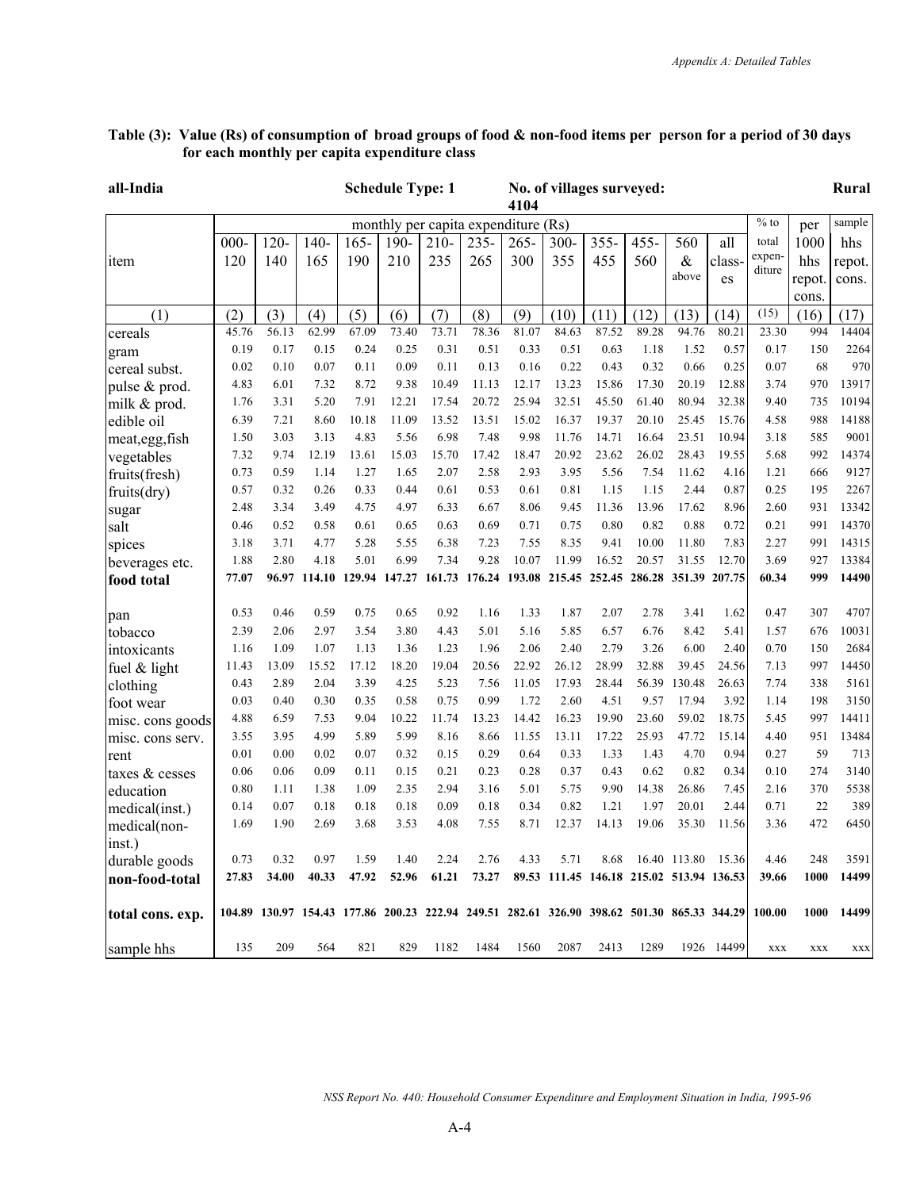#### **all-India Schedule Type: 1 No. of villages surveyed: 4104 Rural** monthly per capita expenditure  $(Rs)$   $\frac{1}{s}$  of per sample item 000- 120 120- 140 140- 165 165- 190 190- 210 210- 235 235- 265 265- 300 300- 355 355- 455 455- 560 560 & above all classes total expenditure 1000 hhs repot. cons. hhs repot. cons.  $(1)$   $(2)$   $(3)$   $(4)$   $(5)$   $(6)$   $(7)$   $(8)$   $(9)$   $(10)$   $(11)$   $(12)$   $(13)$   $(14)$   $(15)$   $(16)$   $(17)$ cereals 45.76 56.13 62.99 67.09 73.40 73.71 78.36 81.07 84.63 87.52 89.28 94.76 80.21 23.30 994 14404 gram 0.19 0.17 0.15 0.24 0.25 0.31 0.51 0.33 0.51 0.63 1.18 1.52 0.57 0.17 150 2264 cereal subst. 0.02 0.10 0.07 0.11 0.09 0.11 0.13 0.16 0.22 0.43 0.32 0.66 0.25 0.07 68 970 pulse & prod. 4.83 6.01 7.32 8.72 9.38 10.49 11.13 12.17 13.23 15.86 17.30 20.19 12.88 3.74 970 13917 milk & prod. 1.76 3.31 5.20 7.91 12.21 17.54 20.72 25.94 32.51 45.50 61.40 80.94 32.38 9.40 735 10194 edible oil 6.39 7.21 8.60 10.18 11.09 13.52 13.51 15.02 16.37 19.37 20.10 25.45 15.76 4.58 988 14188 meat,egg,fish | 1.50 3.03 3.13 4.83 5.56 6.98 7.48 9.98 11.76 14.71 16.64 23.51 10.94 3.18 585 9001<br>vegetables | 7.32 9.74 12.19 13.61 15.03 15.70 17.42 18.47 20.92 23.62 26.02 28.43 19.55 5.68 992 14374 vegetables 7.32 9.74 12.19 13.61 15.03 15.70 17.42 18.47 20.92 23.62 26.02 28.43 19.55 5.68 992 14374 fruits(fresh) 0.73 0.59 1.14 1.27 1.65 2.07 2.58 2.93 3.95 5.56 7.54 11.62 4.16 1.21 666 9127 fruits(dry) 0.57 0.32 0.26 0.33 0.44 0.61 0.53 0.61 0.81 1.15 1.15 2.44 0.87 0.25 195 2267 sugar 2.48 3.34 3.49 4.75 4.97 6.33 6.67 8.06 9.45 11.36 13.96 17.62 8.96 2.60 931 13342 salt 0.46 0.52 0.58 0.61 0.65 0.63 0.69 0.71 0.75 0.80 0.82 0.88 0.72 0.21 991 14370 spices 3.18 3.71 4.77 5.28 5.55 6.38 7.23 7.55 8.35 9.41 10.00 11.80 7.83 2.27 991 14315 beverages etc. 1.88 2.80 4.18 5.01 6.99 7.34 9.28 10.07 11.99 16.52 20.57 31.55 12.70 3.69 927 13384 **food total 77.07 96.97 114.10 129.94 147.27 161.73 176.24 193.08 215.45 252.45 286.28 351.39 207.75 60.34 999 14490** pan 0.53 0.46 0.59 0.75 0.65 0.92 1.16 1.33 1.87 2.07 2.78 3.41 1.62 0.47 307 4707 tobacco 2.39 2.06 2.97 3.54 3.80 4.43 5.01 5.16 5.85 6.57 6.76 8.42 5.41 1.57 676 10031 intoxicants 1.16 1.09 1.07 1.13 1.36 1.23 1.96 2.06 2.40 2.79 3.26 6.00 2.40 0.70 150 2684 fuel & light 11.43 13.09 15.52 17.12 18.20 19.04 20.56 22.92 26.12 28.99 32.88 39.45 24.56 7.13 997 14450 clothing 0.43 2.89 2.04 3.39 4.25 5.23 7.56 11.05 17.93 28.44 56.39 130.48 26.63 7.74 338 5161 foot wear 0.03 0.40 0.30 0.35 0.58 0.75 0.99 1.72 2.60 4.51 9.57 17.94 3.92 1.14 198 3150 misc. cons goods 4.88 6.59 7.53 9.04 10.22 11.74 13.23 14.42 16.23 19.90 23.60 59.02 18.75 5.45 997 14411 misc. cons serv. 3.55 3.95 4.99 5.89 5.99 8.16 8.66 11.55 13.11 17.22 25.93 47.72 15.14 4.40 951 13484<br>rent 0.01 0.00 0.02 0.07 0.32 0.15 0.29 0.64 0.33 1.33 1.43 4.70 0.94 0.27 59 713 rent 0.01 0.00 0.02 0.07 0.32 0.15 0.29 0.64 0.33 1.33 1.43 4.70 0.94 0.27 59 713 taxes & cesses  $\begin{bmatrix} 0.06 & 0.06 & 0.09 & 0.11 & 0.15 & 0.21 & 0.23 & 0.28 & 0.37 & 0.43 & 0.62 & 0.82 & 0.34 \end{bmatrix}$  0.10 274 3140 education 0.80 1.11 1.38 1.09 2.35 2.94 3.16 5.01 5.75 9.90 14.38 26.86 7.45 2.16 370 5538 medical(inst.) 0.14 0.07 0.18 0.18 0.18 0.09 0.18 0.34 0.82 1.21 1.97 20.01 2.44 0.71 22 389 medical(noninst.) 1.69 1.90 2.69 3.68 3.53 4.08 7.55 8.71 12.37 14.13 19.06 35.30 11.56 3.36 472 6450 durable goods 0.73 0.32 0.97 1.59 1.40 2.24 2.76 4.33 5.71 8.68 16.40 113.80 15.36 4.46 248 3591 **non-food-total 27.83 34.00 40.33 47.92 52.96 61.21 73.27 89.53 111.45 146.18 215.02 513.94 136.53 39.66 1000 14499 total cons. exp. 104.89 130.97 154.43 177.86 200.23 222.94 249.51 282.61 326.90 398.62 501.30 865.33 344.29 100.00 1000 14499** sample hhs 135 209 564 821 829 1182 1484 1560 2087 2413 1289 1926 14499 xxx xxx xxx

#### **Table (3): Value (Rs) of consumption of broad groups of food & non-food items per person for a period of 30 days for each monthly per capita expenditure class**

*NSS Report No. 440: Household Consumer Expenditure and Employment Situation in India, 1995-96*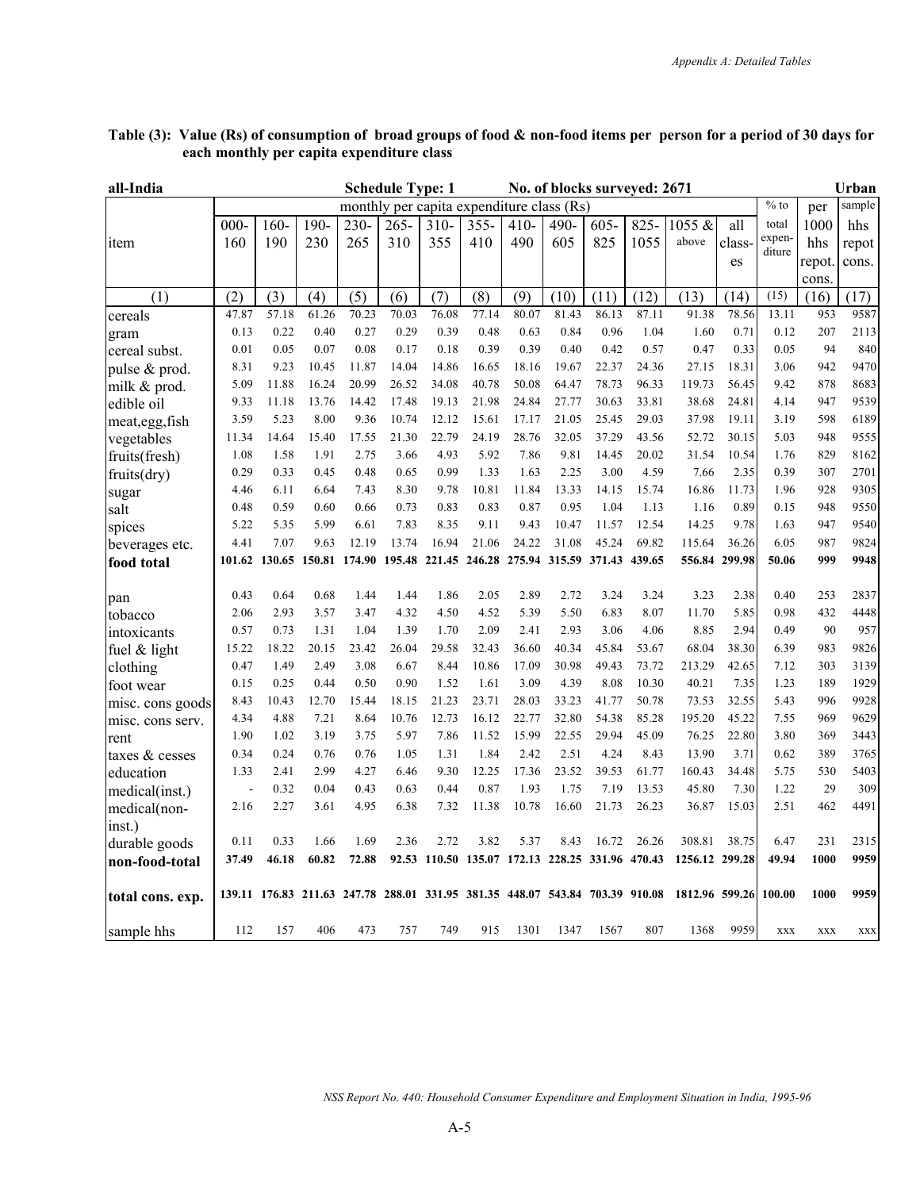| all-India         |         |               |                                                                |         | <b>Schedule Type: 1</b> |        |                                                 |        |       | No. of blocks surveyed: 2671 |        |                |               |                  |            | Urban      |
|-------------------|---------|---------------|----------------------------------------------------------------|---------|-------------------------|--------|-------------------------------------------------|--------|-------|------------------------------|--------|----------------|---------------|------------------|------------|------------|
|                   |         |               |                                                                |         |                         |        | monthly per capita expenditure class (Rs)       |        |       |                              |        |                |               | $%$ to           | per        | sample     |
|                   | $000 -$ | $160 -$       | 190-                                                           | $230 -$ | $265 -$                 | $310-$ | $355 -$                                         | $410-$ | 490-  | $605 -$                      | 825-   | 1055 &         | all           | total            | 1000       | hhs        |
| item              | 160     | 190           | 230                                                            | 265     | 310                     | 355    | 410                                             | 490    | 605   | 825                          | 1055   | above          | class-        | expen-<br>diture | hhs        | repot      |
|                   |         |               |                                                                |         |                         |        |                                                 |        |       |                              |        |                | es            |                  | repot.     | cons.      |
|                   |         |               |                                                                |         |                         |        |                                                 |        |       |                              |        |                |               |                  | cons.      |            |
| (1)               | (2)     | (3)           | (4)                                                            | (5)     | (6)                     | (7)    | (8)                                             | (9)    | (10)  | (11)                         | (12)   | (13)           | (14)          | (15)             | (16)       | (17)       |
| cereals           | 47.87   | 57.18         | 61.26                                                          | 70.23   | 70.03                   | 76.08  | 77.14                                           | 80.07  | 81.43 | 86.13                        | 87.11  | 91.38          | 78.56         | 13.11            | 953        | 9587       |
| gram              | 0.13    | 0.22          | 0.40                                                           | 0.27    | 0.29                    | 0.39   | 0.48                                            | 0.63   | 0.84  | 0.96                         | 1.04   | 1.60           | 0.71          | 0.12             | 207        | 2113       |
| cereal subst.     | 0.01    | 0.05          | 0.07                                                           | 0.08    | 0.17                    | 0.18   | 0.39                                            | 0.39   | 0.40  | 0.42                         | 0.57   | 0.47           | 0.33          | 0.05             | 94         | 840        |
| pulse & prod.     | 8.31    | 9.23          | 10.45                                                          | 11.87   | 14.04                   | 14.86  | 16.65                                           | 18.16  | 19.67 | 22.37                        | 24.36  | 27.15          | 18.31         | 3.06             | 942        | 9470       |
| milk & prod.      | 5.09    | 11.88         | 16.24                                                          | 20.99   | 26.52                   | 34.08  | 40.78                                           | 50.08  | 64.47 | 78.73                        | 96.33  | 119.73         | 56.45         | 9.42             | 878        | 8683       |
| edible oil        | 9.33    | 11.18         | 13.76                                                          | 14.42   | 17.48                   | 19.13  | 21.98                                           | 24.84  | 27.77 | 30.63                        | 33.81  | 38.68          | 24.81         | 4.14             | 947        | 9539       |
| meat, egg, fish   | 3.59    | 5.23          | 8.00                                                           | 9.36    | 10.74                   | 12.12  | 15.61                                           | 17.17  | 21.05 | 25.45                        | 29.03  | 37.98          | 19.11         | 3.19             | 598        | 6189       |
| vegetables        | 11.34   | 14.64         | 15.40                                                          | 17.55   | 21.30                   | 22.79  | 24.19                                           | 28.76  | 32.05 | 37.29                        | 43.56  | 52.72          | 30.15         | 5.03             | 948        | 9555       |
| fruits(fresh)     | 1.08    | 1.58          | 1.91                                                           | 2.75    | 3.66                    | 4.93   | 5.92                                            | 7.86   | 9.81  | 14.45                        | 20.02  | 31.54          | 10.54         | 1.76             | 829        | 8162       |
| fruits(dry)       | 0.29    | 0.33          | 0.45                                                           | 0.48    | 0.65                    | 0.99   | 1.33                                            | 1.63   | 2.25  | 3.00                         | 4.59   | 7.66           | 2.35          | 0.39             | 307        | 2701       |
| sugar             | 4.46    | 6.11          | 6.64                                                           | 7.43    | 8.30                    | 9.78   | 10.81                                           | 11.84  | 13.33 | 14.15                        | 15.74  | 16.86          | 11.73         | 1.96             | 928        | 9305       |
| salt              | 0.48    | 0.59          | 0.60                                                           | 0.66    | 0.73                    | 0.83   | 0.83                                            | 0.87   | 0.95  | 1.04                         | 1.13   | 1.16           | 0.89          | 0.15             | 948        | 9550       |
| spices            | 5.22    | 5.35          | 5.99                                                           | 6.61    | 7.83                    | 8.35   | 9.11                                            | 9.43   | 10.47 | 11.57                        | 12.54  | 14.25          | 9.78          | 1.63             | 947        | 9540       |
| beverages etc.    | 4.41    | 7.07          | 9.63                                                           | 12.19   | 13.74                   | 16.94  | 21.06                                           | 24.22  | 31.08 | 45.24                        | 69.82  | 115.64         | 36.26         | 6.05             | 987        | 9824       |
| food total        |         | 101.62 130.65 | 150.81 174.90                                                  |         |                         |        | 195.48 221.45 246.28 275.94 315.59 371.43       |        |       |                              | 439.65 |                | 556.84 299.98 | 50.06            | 999        | 9948       |
| pan               | 0.43    | 0.64          | 0.68                                                           | 1.44    | 1.44                    | 1.86   | 2.05                                            | 2.89   | 2.72  | 3.24                         | 3.24   | 3.23           | 2.38          | 0.40             | 253        | 2837       |
| tobacco           | 2.06    | 2.93          | 3.57                                                           | 3.47    | 4.32                    | 4.50   | 4.52                                            | 5.39   | 5.50  | 6.83                         | 8.07   | 11.70          | 5.85          | 0.98             | 432        | 4448       |
| intoxicants       | 0.57    | 0.73          | 1.31                                                           | 1.04    | 1.39                    | 1.70   | 2.09                                            | 2.41   | 2.93  | 3.06                         | 4.06   | 8.85           | 2.94          | 0.49             | 90         | 957        |
| fuel $&$ light    | 15.22   | 18.22         | 20.15                                                          | 23.42   | 26.04                   | 29.58  | 32.43                                           | 36.60  | 40.34 | 45.84                        | 53.67  | 68.04          | 38.30         | 6.39             | 983        | 9826       |
| clothing          | 0.47    | 1.49          | 2.49                                                           | 3.08    | 6.67                    | 8.44   | 10.86                                           | 17.09  | 30.98 | 49.43                        | 73.72  | 213.29         | 42.65         | 7.12             | 303        | 3139       |
| foot wear         | 0.15    | 0.25          | 0.44                                                           | 0.50    | 0.90                    | 1.52   | 1.61                                            | 3.09   | 4.39  | 8.08                         | 10.30  | 40.21          | 7.35          | 1.23             | 189        | 1929       |
| misc. cons goods  | 8.43    | 10.43         | 12.70                                                          | 15.44   | 18.15                   | 21.23  | 23.71                                           | 28.03  | 33.23 | 41.77                        | 50.78  | 73.53          | 32.55         | 5.43             | 996        | 9928       |
| misc. cons serv.  | 4.34    | 4.88          | 7.21                                                           | 8.64    | 10.76                   | 12.73  | 16.12                                           | 22.77  | 32.80 | 54.38                        | 85.28  | 195.20         | 45.22         | 7.55             | 969        | 9629       |
| rent              | 1.90    | 1.02          | 3.19                                                           | 3.75    | 5.97                    | 7.86   | 11.52                                           | 15.99  | 22.55 | 29.94                        | 45.09  | 76.25          | 22.80         | 3.80             | 369        | 3443       |
| taxes $\&$ cesses | 0.34    | 0.24          | 0.76                                                           | 0.76    | 1.05                    | 1.31   | 1.84                                            | 2.42   | 2.51  | 4.24                         | 8.43   | 13.90          | 3.71          | 0.62             | 389        | 3765       |
| education         | 1.33    | 2.41          | 2.99                                                           | 4.27    | 6.46                    | 9.30   | 12.25                                           | 17.36  | 23.52 | 39.53                        | 61.77  | 160.43         | 34.48         | 5.75             | 530        | 5403       |
| medical(inst.)    |         | 0.32          | 0.04                                                           | 0.43    | 0.63                    | 0.44   | 0.87                                            | 1.93   | 1.75  | 7.19                         | 13.53  | 45.80          | 7.30          | 1.22             | 29         | 309        |
| medical(non-      | 2.16    | 2.27          | 3.61                                                           | 4.95    | 6.38                    | 7.32   | 11.38                                           | 10.78  | 16.60 | 21.73                        | 26.23  | 36.87          | 15.03         | 2.51             | 462        | 4491       |
| inst.)            |         |               |                                                                |         |                         |        |                                                 |        |       |                              |        |                |               |                  |            |            |
| durable goods     | 0.11    | 0.33          | 1.66                                                           | 1.69    | 2.36                    | 2.72   | 3.82                                            | 5.37   | 8.43  | 16.72                        | 26.26  | 308.81         | 38.75         | 6.47             | 231        | 2315       |
| non-food-total    | 37.49   | 46.18         | 60.82                                                          | 72.88   |                         |        | 92.53 110.50 135.07 172.13 228.25 331.96 470.43 |        |       |                              |        | 1256.12 299.28 |               | 49.94            | 1000       | 9959       |
|                   |         |               |                                                                |         |                         |        |                                                 |        |       |                              |        |                |               |                  |            |            |
| total cons. exp.  |         |               | 139.11 176.83 211.63 247.78 288.01 331.95 381.35 448.07 543.84 |         |                         |        |                                                 |        |       | 703.39 910.08                |        | 1812.96 599.26 |               | 100.00           | 1000       | 9959       |
| sample hhs        | 112     | 157           | 406                                                            | 473     | 757                     | 749    | 915                                             | 1301   | 1347  | 1567                         | 807    | 1368           | 9959          | <b>XXX</b>       | <b>XXX</b> | <b>XXX</b> |
|                   |         |               |                                                                |         |                         |        |                                                 |        |       |                              |        |                |               |                  |            |            |

## **Table (3): Value (Rs) of consumption of broad groups of food & non-food items per person for a period of 30 days for each monthly per capita expenditure class**

*NSS Report No. 440: Household Consumer Expenditure and Employment Situation in India, 1995-96*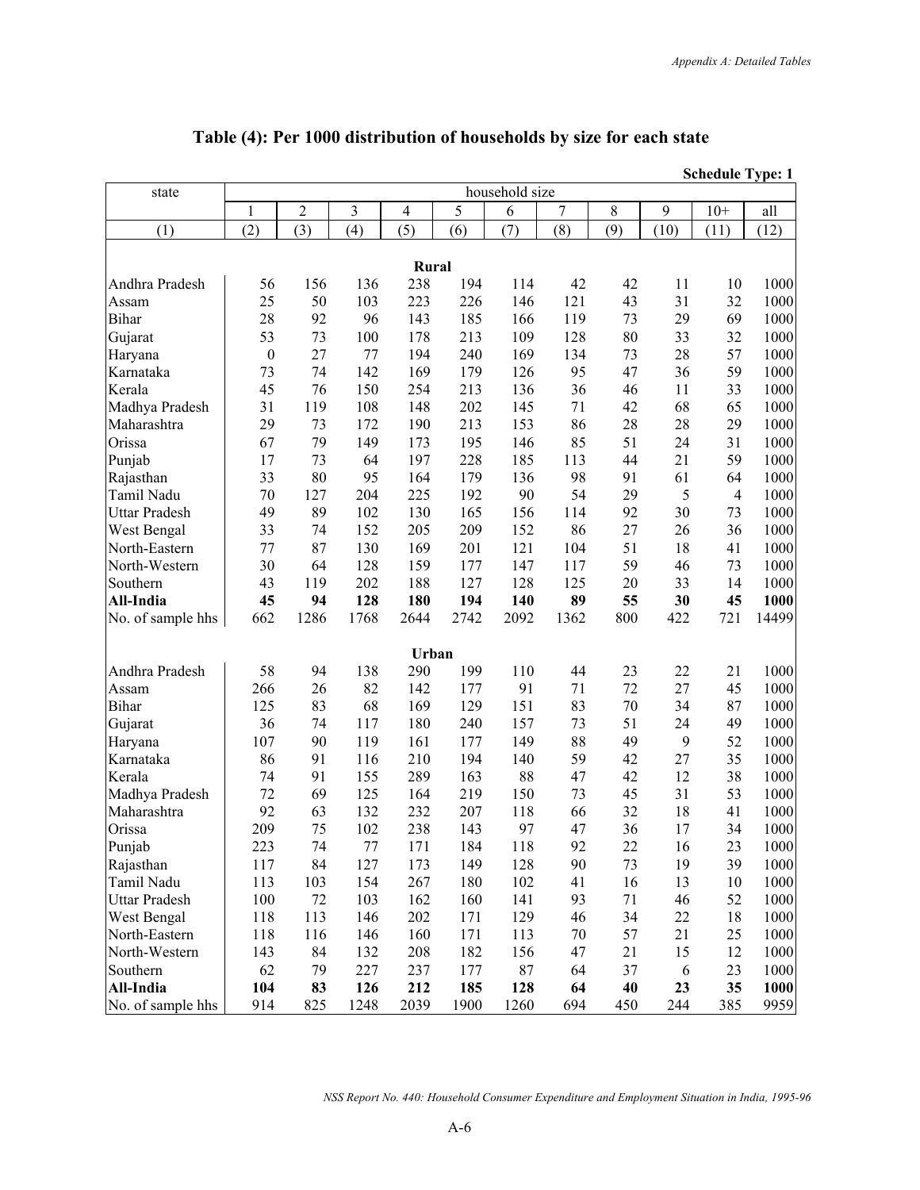#### **Schedule Type: 1** state household size 1 2 3 4 5 6 7 8 9 10<sup>+</sup> all  $(1)$   $(2)$   $(3)$   $(4)$   $(5)$   $(6)$   $(7)$   $(8)$   $(9)$   $(10)$   $(11)$   $(12)$ *Rural* **Rural** Andhra Pradesh 56 156 136 238 194 114 42 42 11 10 1000 Assam 25 50 103 223 226 146 121 43 31 32 1000 Bihar 28 92 96 143 185 166 119 73 29 69 1000 Gujarat 53 73 100 178 213 109 128 80 33 32 1000 Haryana 0 27 77 194 240 169 134 73 28 57 1000 Karnataka 73 74 142 169 179 126 95 47 36 59 1000 Kerala 45 76 150 254 213 136 36 46 11 33 1000 Madhya Pradesh 31 119 108 148 202 145 71 42 68 65 1000 Maharashtra 29 73 172 190 213 153 86 28 28 29 1000 Orissa 67 79 149 173 195 146 85 51 24 31 1000 Punjab 17 73 64 197 228 185 113 44 21 59 1000 Rajasthan 33 80 95 164 179 136 98 91 61 64 1000 Tamil Nadu 70 127 204 225 192 90 54 29 5 4 1000 Uttar Pradesh 49 89 102 130 165 156 114 92 30 73 1000 West Bengal 33 74 152 205 209 152 86 27 26 36 1000 North-Eastern 77 87 130 169 201 121 104 51 18 41 1000 North-Western 30 64 128 159 177 147 117 59 46 73 1000 Southern 1 43 119 202 188 127 128 125 20 33 14 1000 **All-India 45 94 128 180 194 140 89 55 30 45 1000** No. of sample hhs 662 1286 1768 2644 2742 2092 1362 800 422 721 14499 **Urban**  Andhra Pradesh 58 94 138 290 199 110 44 23 22 21 1000 Assam 266 26 82 142 177 91 71 72 27 45 1000 Bihar 125 83 68 169 129 151 83 70 34 87 1000 Gujarat 36 74 117 180 240 157 73 51 24 49 1000 Haryana 107 90 119 161 177 149 88 49 9 52 1000 Karnataka 86 91 116 210 194 140 59 42 27 35 1000 Kerala 74 91 155 289 163 88 47 42 12 38 1000 Madhya Pradesh 72 69 125 164 219 150 73 45 31 53 1000 Maharashtra 92 63 132 232 207 118 66 32 18 41 1000 Orissa 209 75 102 238 143 97 47 36 17 34 1000 Punjab 223 74 77 171 184 118 92 22 16 23 1000 Rajasthan 117 84 127 173 149 128 90 73 19 39 1000 Tamil Nadu 113 103 154 267 180 102 41 16 13 10 1000 Uttar Pradesh 100 72 103 162 160 141 93 71 46 52 1000 West Bengal 118 113 146 202 171 129 46 34 22 18 1000 North-Eastern 118 116 146 160 171 113 70 57 21 25 1000 North-Western 143 84 132 208 182 156 47 21 15 12 1000<br>Southern 62 79 227 237 177 87 64 37 6 23 1000 Southern 1 62 79 227 237 177 87 64 37 6 23 1000 **All-India 104 83 126 212 185 128 64 40 23 35 1000** No. of sample hhs | 914 825 1248 2039 1900 1260 694 450 244 385 9959

### **Table (4): Per 1000 distribution of households by size for each state**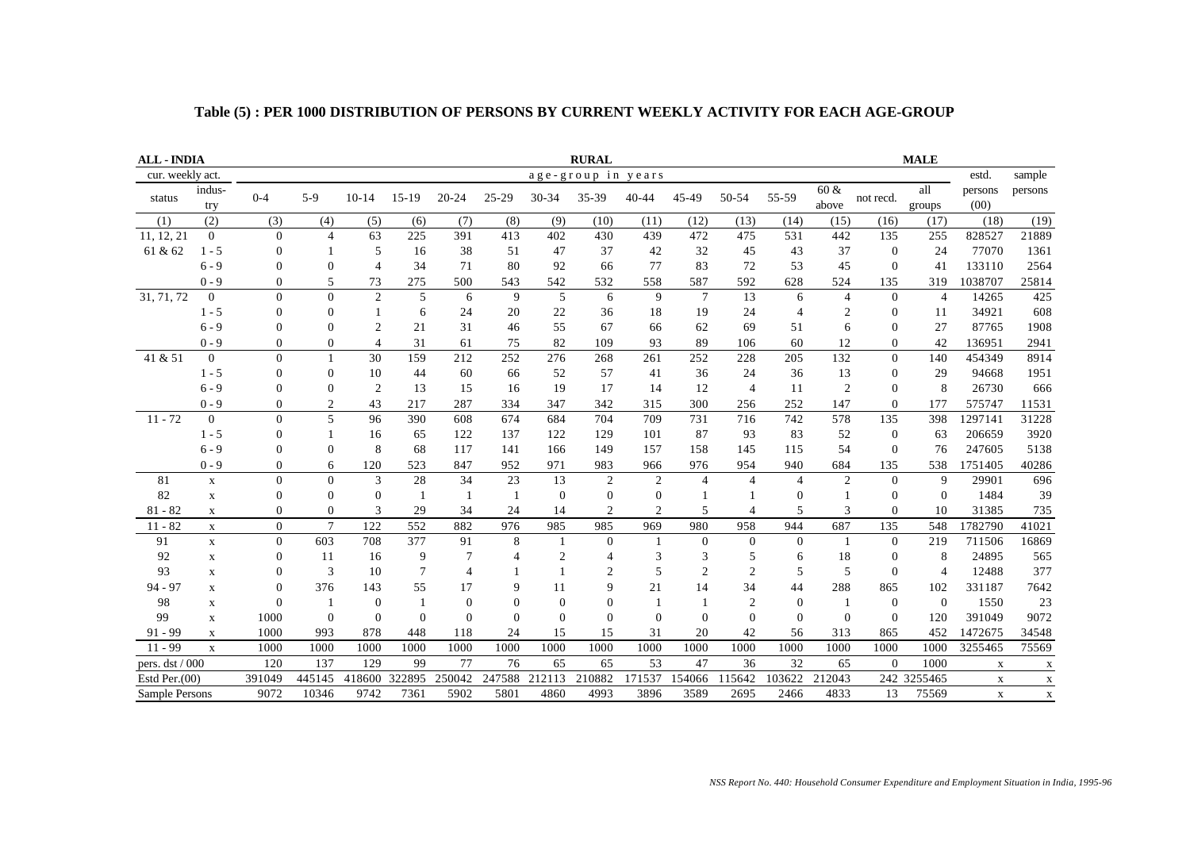| <b>ALL - INDIA</b> |                  | <b>MALE</b><br><b>RURAL</b> |                |                |              |                |              |                  |                    |                |                |                |                |                |              |                |                 |                           |
|--------------------|------------------|-----------------------------|----------------|----------------|--------------|----------------|--------------|------------------|--------------------|----------------|----------------|----------------|----------------|----------------|--------------|----------------|-----------------|---------------------------|
| cur. weekly act.   |                  |                             |                |                |              |                |              |                  | age-group in years |                |                |                |                |                |              |                | estd.           | sample                    |
| status             | indus-<br>try    | $0 - 4$                     | $5-9$          | $10 - 14$      | $15-19$      | $20 - 24$      | 25-29        | $30 - 34$        | 35-39              | $40 - 44$      | 45-49          | 50-54          | 55-59          | 60 &<br>above  | not recd.    | all<br>groups  | persons<br>(00) | persons                   |
| (1)                | (2)              | (3)                         | (4)            | (5)            | (6)          | (7)            | (8)          | (9)              | (10)               | (11)           | (12)           | (13)           | (14)           | (15)           | (16)         | (17)           | (18)            | (19)                      |
| 11, 12, 21         | $\overline{0}$   | $\Omega$                    | $\overline{4}$ | 63             | 225          | 391            | 413          | 402              | 430                | 439            | 472            | 475            | 531            | 442            | 135          | 255            | 828527          | 21889                     |
| 61 & 62            | $1 - 5$          | $\overline{0}$              |                | 5              | 16           | 38             | 51           | 47               | 37                 | 42             | 32             | 45             | 43             | 37             | $\theta$     | 24             | 77070           | 1361                      |
|                    | $6 - 9$          | $\Omega$                    | $\mathbf{0}$   | $\overline{4}$ | 34           | 71             | 80           | 92               | 66                 | 77             | 83             | 72             | 53             | 45             | $\Omega$     | 41             | 133110          | 2564                      |
|                    | $0 - 9$          | $\Omega$                    | 5              | 73             | 275          | 500            | 543          | 542              | 532                | 558            | 587            | 592            | 628            | 524            | 135          | 319            | 1038707         | 25814                     |
| 31, 71, 72         | $\boldsymbol{0}$ | $\Omega$                    | $\overline{0}$ | $\overline{2}$ | 5            | 6              | 9            | 5                | 6                  | 9              | $\overline{7}$ | 13             | 6              | $\overline{4}$ | $\theta$     | $\overline{4}$ | 14265           | 425                       |
|                    | $1 - 5$          | $\overline{0}$              | 0              |                | 6            | 24             | 20           | 22               | 36                 | 18             | 19             | 24             | $\overline{4}$ | $\overline{2}$ | $\theta$     | 11             | 34921           | 608                       |
|                    | $6 - 9$          | $\theta$                    | $\overline{0}$ | $\overline{2}$ | 21           | 31             | 46           | 55               | 67                 | 66             | 62             | 69             | 51             | 6              | $\Omega$     | 27             | 87765           | 1908                      |
|                    | $0 - 9$          | $\mathbf{0}$                | 0              | $\Delta$       | 31           | 61             | 75           | 82               | 109                | 93             | 89             | 106            | 60             | 12             | $\mathbf{0}$ | 42             | 136951          | 2941                      |
| 41 & 51            | $\overline{0}$   | $\Omega$                    |                | 30             | 159          | 212            | 252          | 276              | 268                | 261            | 252            | 228            | 205            | 132            | $\theta$     | 140            | 454349          | 8914                      |
|                    | $1 - 5$          | $\overline{0}$              | 0              | 10             | 44           | 60             | 66           | 52               | 57                 | 41             | 36             | 24             | 36             | 13             | $\mathbf{0}$ | 29             | 94668           | 1951                      |
|                    | $6 - 9$          | $\Omega$                    | $\overline{0}$ | $\overline{2}$ | 13           | 15             | 16           | 19               | 17                 | 14             | 12             | $\overline{4}$ | 11             | $\overline{2}$ | $\theta$     | 8              | 26730           | 666                       |
|                    | $0 - 9$          | $\Omega$                    | $\overline{c}$ | 43             | 217          | 287            | 334          | 347              | 342                | 315            | 300            | 256            | 252            | 147            | $\Omega$     | 177            | 575747          | 11531                     |
| $11 - 72$          | $\mathbf{0}$     | $\Omega$                    | 5              | 96             | 390          | 608            | 674          | 684              | 704                | 709            | 731            | 716            | 742            | 578            | 135          | 398            | 1297141         | 31228                     |
|                    | $1 - 5$          | $\overline{0}$              |                | 16             | 65           | 122            | 137          | 122              | 129                | 101            | 87             | 93             | 83             | 52             | $\theta$     | 63             | 206659          | 3920                      |
|                    | $6 - 9$          | $\Omega$                    | $\Omega$       | 8              | 68           | 117            | 141          | 166              | 149                | 157            | 158            | 145            | 115            | 54             | $\Omega$     | 76             | 247605          | 5138                      |
|                    | $0 - 9$          | $\overline{0}$              | 6              | 120            | 523          | 847            | 952          | 971              | 983                | 966            | 976            | 954            | 940            | 684            | 135          | 538            | 1751405         | 40286                     |
| 81                 | $\mathbf X$      | $\Omega$                    | $\overline{0}$ | 3              | 28           | 34             | 23           | 13               | $\overline{2}$     | $\overline{2}$ | $\overline{4}$ | $\overline{4}$ | $\overline{4}$ | 2              | $\Omega$     | 9              | 29901           | 696                       |
| 82                 | $\mathbf X$      | $\Omega$                    | $\mathbf{0}$   | $\Omega$       | $\mathbf{1}$ |                | $\mathbf{1}$ | $\mathbf{0}$     | $\boldsymbol{0}$   | $\mathbf{0}$   |                |                | $\overline{0}$ |                | $\Omega$     | $\Omega$       | 1484            | 39                        |
| $81 - 82$          | $\mathbf X$      | $\theta$                    | $\Omega$       | 3              | 29           | 34             | 24           | 14               | $\overline{2}$     | $\overline{2}$ | 5              | $\overline{4}$ | 5              | 3              | $\Omega$     | 10             | 31385           | 735                       |
| $11 - 82$          | $\mathbf x$      | $\overline{0}$              | $\overline{7}$ | 122            | 552          | 882            | 976          | 985              | 985                | 969            | 980            | 958            | 944            | 687            | 135          | 548            | 1782790         | 41021                     |
| 91                 | $\mathbf X$      | $\Omega$                    | 603            | 708            | 377          | 91             | 8            | -1               | $\mathbf{0}$       | $\mathbf{1}$   | $\mathbf{0}$   | $\theta$       | $\mathbf{0}$   | $\overline{1}$ | $\Omega$     | 219            | 711506          | 16869                     |
| 92                 | $\mathbf X$      | $\overline{0}$              | 11             | 16             | 9            | 7              | 4            | $\overline{2}$   | 4                  | 3              | 3              | 5              | 6              | 18             | $\mathbf{0}$ | 8              | 24895           | 565                       |
| 93                 | $\mathbf X$      | $\mathbf{0}$                | 3              | 10             | 7            | $\overline{4}$ |              |                  | 2                  | 5              | $\overline{2}$ | $\overline{2}$ | 5              | 5              | $\theta$     | $\overline{4}$ | 12488           | 377                       |
| $94 - 97$          | $\mathbf X$      | $\Omega$                    | 376            | 143            | 55           | 17             | 9            | 11               | 9                  | 21             | 14             | 34             | 44             | 288            | 865          | 102            | 331187          | 7642                      |
| 98                 | X                | $\Omega$                    |                | $\overline{0}$ |              | $\theta$       | $\theta$     | $\boldsymbol{0}$ | $\overline{0}$     | $\mathbf{1}$   | -1             | $\overline{2}$ | $\overline{0}$ | $\mathbf{1}$   | $\theta$     | $\Omega$       | 1550            | 23                        |
| 99                 | $\mathbf X$      | 1000                        | $\mathbf{0}$   | $\Omega$       | $\theta$     | $\mathbf{0}$   | $\Omega$     | $\mathbf{0}$     | $\overline{0}$     | $\mathbf{0}$   | $\mathbf{0}$   | $\overline{0}$ | $\Omega$       | $\overline{0}$ | $\Omega$     | 120            | 391049          | 9072                      |
| $91 - 99$          | $\mathbf X$      | 1000                        | 993            | 878            | 448          | 118            | 24           | 15               | 15                 | 31             | 20             | 42             | 56             | 313            | 865          | 452            | 1472675         | 34548                     |
| $11 - 99$          | $\mathbf X$      | 1000                        | 1000           | 1000           | 1000         | 1000           | 1000         | 1000             | 1000               | 1000           | 1000           | 1000           | 1000           | 1000           | 1000         | 1000           | 3255465         | 75569                     |
| pers. dst / 000    |                  | 120                         | 137            | 129            | 99           | 77             | 76           | 65               | 65                 | 53             | 47             | 36             | 32             | 65             | $\Omega$     | 1000           | $\mathbf X$     | $\mathbf X$               |
| Estd Per. $(00)$   |                  | 391049                      | 445145         | 418600         | 322895       | 250042         | 247588       | 212113           | 210882             | 171537         | 154066         | 115642         | 103622         | 212043         |              | 242 3255465    | $\mathbf X$     | $\mathbf X$               |
| Sample Persons     |                  | 9072                        | 10346          | 9742           | 7361         | 5902           | 5801         | 4860             | 4993               | 3896           | 3589           | 2695           | 2466           | 4833           | 13           | 75569          | $\mathbf X$     | $\boldsymbol{\mathrm{X}}$ |

## **Table (5) : PER 1000 DISTRIBUTION OF PERSONS BY CURRENT WEEKLY ACTIVITY FOR EACH AGE-GROUP**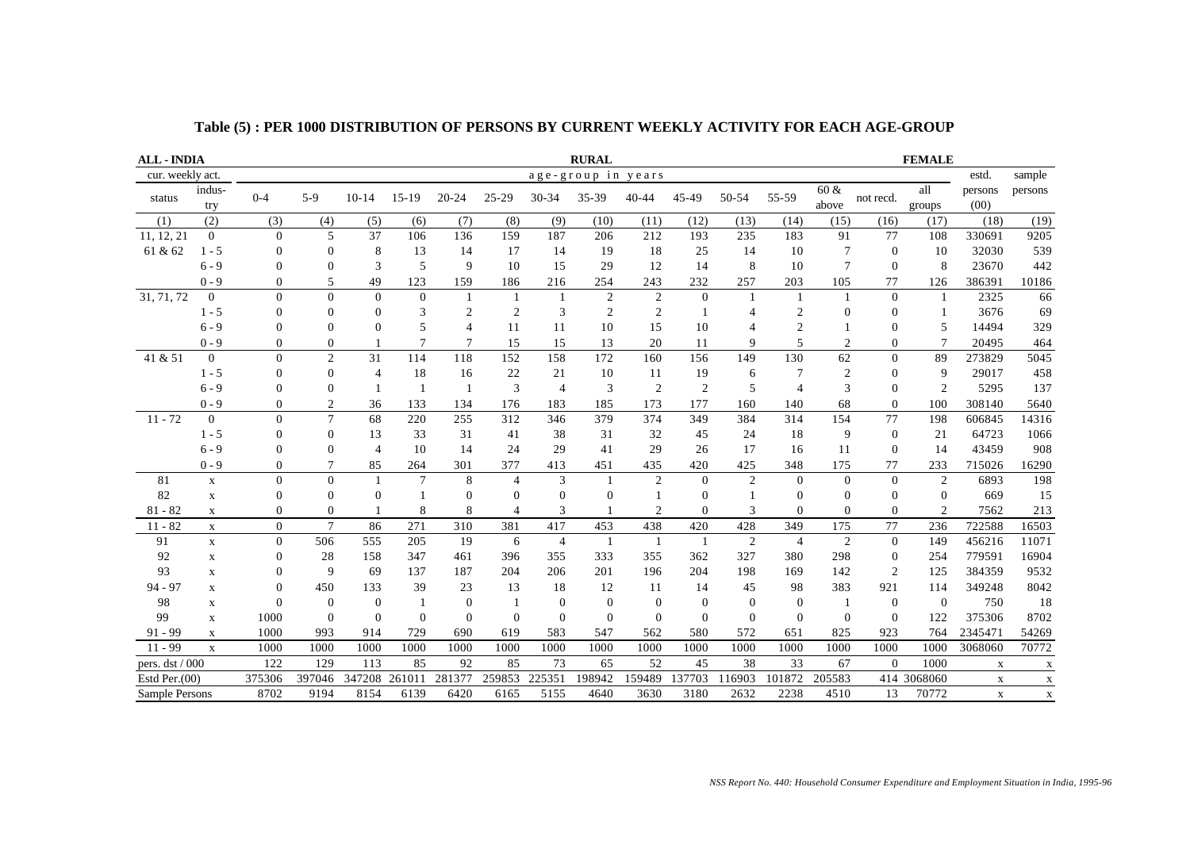| <b>ALL - INDIA</b> |                | <b>RURAL</b><br><b>FEMALE</b> |                |                |                |                |                |                |                |                |                  |                |                |                |                  |                |                 |             |
|--------------------|----------------|-------------------------------|----------------|----------------|----------------|----------------|----------------|----------------|----------------|----------------|------------------|----------------|----------------|----------------|------------------|----------------|-----------------|-------------|
| cur. weekly act.   |                |                               |                |                |                |                |                |                | age-group in   | years          |                  |                |                |                |                  |                | estd.           | sample      |
| status             | indus-<br>try  | $0 - 4$                       | $5-9$          | $10-14$        | $15-19$        | $20 - 24$      | 25-29          | $30 - 34$      | 35-39          | $40 - 44$      | 45-49            | 50-54          | 55-59          | 60 &<br>above  | not recd.        | all<br>groups  | persons<br>(00) | persons     |
| (1)                | (2)            | (3)                           | (4)            | (5)            | (6)            | (7)            | (8)            | (9)            | (10)           | (11)           | (12)             | (13)           | (14)           | (15)           | (16)             | (17)           | (18)            | (19)        |
| 11, 12, 21         | $\overline{0}$ | $\Omega$                      | 5              | 37             | 106            | 136            | 159            | 187            | 206            | 212            | 193              | 235            | 183            | 91             | 77               | 108            | 330691          | 9205        |
| 61 & 62            | $1 - 5$        | $\Omega$                      | 0              | 8              | 13             | 14             | 17             | 14             | 19             | 18             | 25               | 14             | 10             | 7              | $\overline{0}$   | 10             | 32030           | 539         |
|                    | $6 - 9$        | $\Omega$                      | 0              | 3              | 5              | 9              | 10             | 15             | 29             | 12             | 14               | 8              | 10             | 7              | $\Omega$         | 8              | 23670           | 442         |
|                    | $0 - 9$        | $\Omega$                      | 5              | 49             | 123            | 159            | 186            | 216            | 254            | 243            | 232              | 257            | 203            | 105            | 77               | 126            | 386391          | 10186       |
| 31, 71, 72         | $\overline{0}$ | $\Omega$                      | $\Omega$       | $\Omega$       | $\Omega$       |                |                | -1             | $\overline{2}$ | $\overline{2}$ | $\mathbf{0}$     |                |                |                | $\Omega$         | $\mathbf{1}$   | 2325            | 66          |
|                    | $1 - 5$        | $\Omega$                      | 0              | $\Omega$       | 3              | $\overline{2}$ | $\overline{c}$ | 3              | $\overline{2}$ | $\overline{2}$ | $\mathbf{1}$     | 4              | $\overline{2}$ | $\theta$       | $\overline{0}$   |                | 3676            | 69          |
|                    | $6 - 9$        | $\Omega$                      | 0              | $\Omega$       | 5              | $\overline{4}$ | 11             | 11             | 10             | 15             | 10               | 4              | $\overline{2}$ |                | $\overline{0}$   | 5              | 14494           | 329         |
|                    | $0 - 9$        | $\Omega$                      | $\Omega$       |                |                | 7              | 15             | 15             | 13             | 20             | 11               | $\mathbf{Q}$   | 5              | $\overline{c}$ | $\overline{0}$   | 7              | 20495           | 464         |
| 41 & 51            | $\overline{0}$ | $\mathbf{0}$                  | $\overline{2}$ | 31             | 114            | 118            | 152            | 158            | 172            | 160            | 156              | 149            | 130            | 62             | $\boldsymbol{0}$ | 89             | 273829          | 5045        |
|                    | $1 - 5$        | $\Omega$                      | $\overline{0}$ | 4              | 18             | 16             | 22             | 21             | $10\,$         | 11             | 19               | 6              |                | $\overline{2}$ | $\mathbf{0}$     | 9              | 29017           | 458         |
|                    | $6 - 9$        | $\Omega$                      | 0              |                | $\overline{1}$ | 1              | 3              | $\overline{4}$ | 3              | $\sqrt{2}$     | $\overline{2}$   | 5              | $\overline{4}$ | 3              | $\overline{0}$   | $\overline{c}$ | 5295            | 137         |
|                    | $0 - 9$        | $\Omega$                      | 2              | 36             | 133            | 134            | 176            | 183            | 185            | 173            | 177              | 160            | 140            | 68             | $\overline{0}$   | 100            | 308140          | 5640        |
| $11 - 72$          | $\overline{0}$ | $\Omega$                      | $\tau$         | 68             | 220            | 255            | 312            | 346            | 379            | 374            | 349              | 384            | 314            | 154            | 77               | 198            | 606845          | 14316       |
|                    | $1 - 5$        | $\Omega$                      | $\mathbf{0}$   | 13             | 33             | 31             | 41             | 38             | 31             | 32             | 45               | 24             | 18             | 9              | $\overline{0}$   | 21             | 64723           | 1066        |
|                    | $6 - 9$        | $\Omega$                      | $\Omega$       | $\overline{4}$ | 10             | 14             | 24             | 29             | 41             | 29             | 26               | 17             | 16             | 11             | $\Omega$         | 14             | 43459           | 908         |
|                    | $0 - 9$        | $\Omega$                      | 7              | 85             | 264            | 301            | 377            | 413            | 451            | 435            | 420              | 425            | 348            | 175            | 77               | 233            | 715026          | 16290       |
| 81                 | $\mathbf X$    | $\Omega$                      | $\overline{0}$ |                | $\overline{7}$ | 8              | $\overline{4}$ | 3              | $\mathbf{1}$   | $\overline{2}$ | $\mathbf{0}$     | $\overline{2}$ | $\mathbf{0}$   | $\mathbf{0}$   | $\Omega$         | 2              | 6893            | 198         |
| 82                 | $\mathbf X$    | $\Omega$                      | $\Omega$       | $\Omega$       |                | $\Omega$       | $\Omega$       | $\overline{0}$ | $\mathbf{0}$   | $\mathbf{1}$   | $\overline{0}$   | 1              | $\theta$       | $\Omega$       | $\overline{0}$   | $\Omega$       | 669             | 15          |
| $81 - 82$          | $\mathbf X$    | $\Omega$                      | $\theta$       |                | 8              | 8              | $\overline{4}$ | 3              |                | $\overline{2}$ | $\boldsymbol{0}$ | 3              | $\mathbf{0}$   | $\theta$       | $\mathbf{0}$     | $\overline{2}$ | 7562            | 213         |
| $11 - 82$          | $\mathbf X$    | $\Omega$                      | $\overline{7}$ | 86             | 271            | 310            | 381            | 417            | 453            | 438            | 420              | 428            | 349            | 175            | 77               | 236            | 722588          | 16503       |
| 91                 | $\mathbf X$    | $\Omega$                      | 506            | 555            | 205            | 19             | 6              | $\overline{4}$ | $\mathbf{1}$   | $\mathbf{1}$   | $\mathbf{1}$     | $\overline{2}$ | $\overline{4}$ | 2              | $\overline{0}$   | 149            | 456216          | 11071       |
| 92                 | $\mathbf X$    |                               | 28             | 158            | 347            | 461            | 396            | 355            | 333            | 355            | 362              | 327            | 380            | 298            | $\mathbf{0}$     | 254            | 779591          | 16904       |
| 93                 | $\mathbf X$    |                               | 9              | 69             | 137            | 187            | 204            | 206            | 201            | 196            | 204              | 198            | 169            | 142            | $\overline{2}$   | 125            | 384359          | 9532        |
| $94 - 97$          | X              |                               | 450            | 133            | 39             | 23             | 13             | 18             | 12             | 11             | 14               | 45             | 98             | 383            | 921              | 114            | 349248          | 8042        |
| 98                 | $\mathbf X$    |                               | $\Omega$       | $\Omega$       |                | $\theta$       | -1             | $\overline{0}$ | $\mathbf{0}$   | $\mathbf{0}$   | $\overline{0}$   | $\mathbf{0}$   | $\theta$       | -1             | $\theta$         | $\Omega$       | 750             | 18          |
| 99                 | $\mathbf X$    | 1000                          | $\Omega$       | $\Omega$       | $\Omega$       | $\mathbf{0}$   | $\Omega$       | $\overline{0}$ | $\mathbf{0}$   | $\mathbf{0}$   | $\mathbf{0}$     | $\mathbf{0}$   | $\Omega$       | $\Omega$       | $\theta$         | 122            | 375306          | 8702        |
| $91 - 99$          | $\mathbf x$    | 1000                          | 993            | 914            | 729            | 690            | 619            | 583            | 547            | 562            | 580              | 572            | 651            | 825            | 923              | 764            | 2345471         | 54269       |
| $11 - 99$          | $\mathbf X$    | 1000                          | 1000           | 1000           | 1000           | 1000           | 1000           | 1000           | 1000           | 1000           | 1000             | 1000           | 1000           | 1000           | 1000             | 1000           | 3068060         | 70772       |
| pers. dst / 000    |                | 122                           | 129            | 113            | 85             | 92             | 85             | 73             | 65             | 52             | 45               | 38             | 33             | 67             | $\theta$         | 1000           | $\mathbf X$     | $\mathbf X$ |
| Estd Per. $(00)$   |                | 375306                        | 397046         | 347208         | 261011         | 281377         | 259853         | 225351         | 198942         | 159489         | 137703           | 116903         | 101872         | 205583         |                  | 414 3068060    | $\mathbf X$     | $\mathbf X$ |
| Sample Persons     |                | 8702                          | 9194           | 8154           | 6139           | 6420           | 6165           | 5155           | 4640           | 3630           | 3180             | 2632           | 2238           | 4510           | 13               | 70772          | $\mathbf X$     | $\mathbf X$ |

### **Table (5) : PER 1000 DISTRIBUTION OF PERSONS BY CURRENT WEEKLY ACTIVITY FOR EACH AGE-GROUP**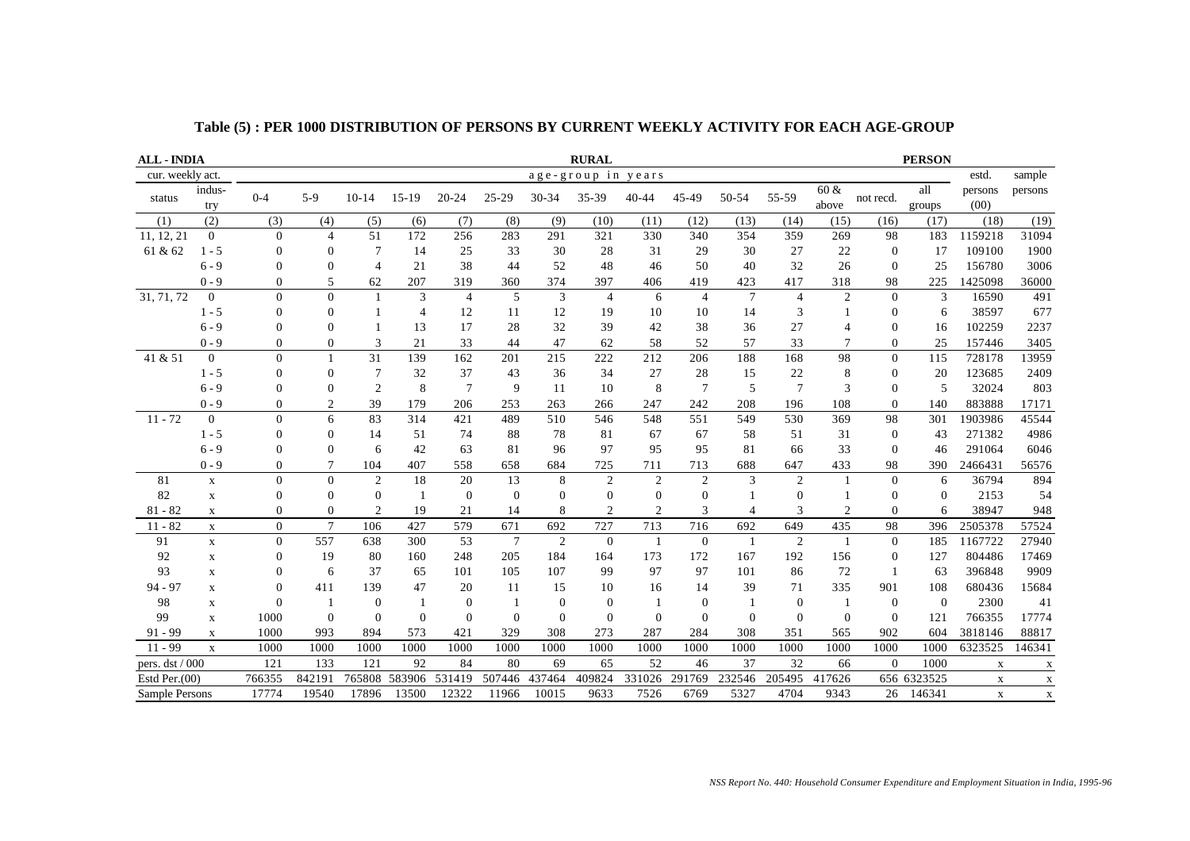| <b>ALL - INDIA</b> |                |                |                |                |                |                |                |          | <b>RURAL</b>       |                |                  |                 |                |                |                | <b>PERSON</b>  |                 |             |
|--------------------|----------------|----------------|----------------|----------------|----------------|----------------|----------------|----------|--------------------|----------------|------------------|-----------------|----------------|----------------|----------------|----------------|-----------------|-------------|
| cur. weekly act.   |                |                |                |                |                |                |                |          | age-group in years |                |                  |                 |                |                |                |                | estd.           | sample      |
| status             | indus-<br>try  | $0 - 4$        | $5-9$          | $10 - 14$      | $15-19$        | $20 - 24$      | 25-29          | 30-34    | 35-39              | $40 - 44$      | 45-49            | 50-54           | 55-59          | 60 &<br>above  | not recd.      | all<br>groups  | persons<br>(00) | persons     |
| (1)                | (2)            | (3)            | (4)            | (5)            | (6)            | (7)            | (8)            | (9)      | (10)               | (11)           | (12)             | (13)            | (14)           | (15)           | (16)           | (17)           | (18)            | (19)        |
| 11, 12, 21         | $\overline{0}$ | $\Omega$       | $\overline{4}$ | 51             | 172            | 256            | 283            | 291      | 321                | 330            | 340              | 354             | 359            | 269            | 98             | 183            | 1159218         | 31094       |
| 61 & 62            | $1 - 5$        | $\mathbf{0}$   | $\mathbf{0}$   |                | 14             | 25             | 33             | 30       | 28                 | 31             | 29               | 30              | 27             | 22             | $\theta$       | 17             | 109100          | 1900        |
|                    | $6 - 9$        | $\Omega$       | $\Omega$       | $\overline{4}$ | 21             | 38             | 44             | 52       | 48                 | 46             | 50               | 40              | 32             | 26             | $\Omega$       | 25             | 156780          | 3006        |
|                    | $0 - 9$        | $\overline{0}$ | 5              | 62             | 207            | 319            | 360            | 374      | 397                | 406            | 419              | 423             | 417            | 318            | 98             | 225            | 1425098         | 36000       |
| 31, 71, 72         | $\overline{0}$ | $\Omega$       | $\overline{0}$ |                | 3              | $\overline{4}$ | 5              | 3        | $\overline{4}$     | 6              | $\overline{4}$   | $7\phantom{.0}$ | $\overline{4}$ | $\overline{2}$ | $\Omega$       | 3              | 16590           | 491         |
|                    | $1 - 5$        | $\overline{0}$ | $\mathbf{0}$   |                | $\overline{4}$ | 12             | 11             | 12       | 19                 | 10             | 10               | 14              | 3              |                | $\Omega$       | 6              | 38597           | 677         |
|                    | $6 - 9$        | $\Omega$       | $\Omega$       |                | 13             | 17             | 28             | 32       | 39                 | 42             | 38               | 36              | 27             | 4              | $\Omega$       | 16             | 102259          | 2237        |
|                    | $0 - 9$        | $\Omega$       | $\theta$       | 3              | 21             | 33             | 44             | 47       | 62                 | 58             | 52               | 57              | 33             | $\overline{7}$ | $\Omega$       | 25             | 157446          | 3405        |
| 41 & 51            | $\overline{0}$ | $\mathbf{0}$   |                | 31             | 139            | 162            | 201            | 215      | 222                | 212            | 206              | 188             | 168            | 98             | $\mathbf{0}$   | 115            | 728178          | 13959       |
|                    | $1 - 5$        | $\mathbf{0}$   | $\overline{0}$ |                | 32             | 37             | 43             | 36       | 34                 | 27             | 28               | 15              | 22             | 8              | $\mathbf{0}$   | 20             | 123685          | 2409        |
|                    | $6 - 9$        | $\Omega$       | $\mathbf{0}$   | $\mathfrak{2}$ | 8              | $\overline{7}$ | 9              | 11       | 10                 | 8              | $\overline{7}$   | 5               | $\overline{7}$ | 3              | $\mathbf{0}$   | 5              | 32024           | 803         |
|                    | $0 - 9$        | $\Omega$       | $\overline{2}$ | 39             | 179            | 206            | 253            | 263      | 266                | 247            | 242              | 208             | 196            | 108            | $\Omega$       | 140            | 883888          | 17171       |
| $11 - 72$          | $\mathbf{0}$   | $\Omega$       | 6              | 83             | 314            | 421            | 489            | 510      | 546                | 548            | 551              | 549             | 530            | 369            | 98             | 301            | 1903986         | 45544       |
|                    | $1 - 5$        | $\Omega$       | $\Omega$       | 14             | 51             | 74             | 88             | 78       | 81                 | 67             | 67               | 58              | 51             | 31             | $\Omega$       | 43             | 271382          | 4986        |
|                    | $6 - 9$        | $\Omega$       | $\mathbf{0}$   | 6              | 42             | 63             | 81             | 96       | 97                 | 95             | 95               | 81              | 66             | 33             | $\Omega$       | 46             | 291064          | 6046        |
|                    | $0 - 9$        | $\mathbf{0}$   | 7              | 104            | 407            | 558            | 658            | 684      | 725                | 711            | 713              | 688             | 647            | 433            | 98             | 390            | 2466431         | 56576       |
| 81                 | $\mathbf X$    | $\Omega$       | $\theta$       | $\overline{2}$ | 18             | 20             | 13             | 8        | $\overline{2}$     | $\overline{2}$ | $\overline{2}$   | 3               | $\overline{2}$ | $\overline{1}$ | $\Omega$       | 6              | 36794           | 894         |
| 82                 | $\mathbf X$    | $\mathbf{0}$   | $\overline{0}$ | $\mathbf{0}$   | $\mathbf{1}$   | $\overline{0}$ | $\overline{0}$ | $\theta$ | $\overline{0}$     | $\overline{0}$ | $\mathbf{0}$     |                 | $\overline{0}$ |                | $\overline{0}$ | $\mathbf{0}$   | 2153            | 54          |
| $81 - 82$          | $\mathbf X$    | $\Omega$       | $\Omega$       | 2              | 19             | 21             | 14             | 8        | $\overline{c}$     | $\overline{c}$ | 3                | $\overline{4}$  | 3              | $\overline{2}$ | $\Omega$       | 6              | 38947           | 948         |
| $11 - 82$          | $\mathbf X$    | $\Omega$       | $\overline{7}$ | 106            | 427            | 579            | 671            | 692      | 727                | 713            | 716              | 692             | 649            | 435            | 98             | 396            | 2505378         | 57524       |
| 91                 | $\mathbf X$    | $\Omega$       | 557            | 638            | 300            | 53             | $\overline{7}$ | 2        | $\theta$           | -1             | $\mathbf{0}$     |                 | 2              | -1             | $\Omega$       | 185            | 1167722         | 27940       |
| 92                 | $\mathbf X$    | $\mathbf{0}$   | 19             | 80             | 160            | 248            | 205            | 184      | 164                | 173            | 172              | 167             | 192            | 156            | $\overline{0}$ | 127            | 804486          | 17469       |
| 93                 | $\mathbf X$    | $\Omega$       | 6              | 37             | 65             | 101            | 105            | 107      | 99                 | 97             | 97               | 101             | 86             | 72             |                | 63             | 396848          | 9909        |
| $94 - 97$          | $\mathbf X$    | $\Omega$       | 411            | 139            | 47             | 20             | 11             | 15       | 10                 | 16             | 14               | 39              | 71             | 335            | 901            | 108            | 680436          | 15684       |
| 98                 | X              | $\Omega$       |                | $\overline{0}$ |                | $\theta$       | 1              | $\bf{0}$ | $\mathbf{0}$       | $\mathbf{1}$   | $\boldsymbol{0}$ |                 | $\mathbf{0}$   | -1             | $\theta$       | $\overline{0}$ | 2300            | 41          |
| 99                 | $\mathbf X$    | 1000           | $\theta$       | $\Omega$       | $\Omega$       | $\Omega$       | $\Omega$       | $\Omega$ | $\mathbf{0}$       | $\theta$       | $\mathbf{0}$     | $\Omega$        | $\Omega$       | $\Omega$       | $\Omega$       | 121            | 766355          | 17774       |
| $91 - 99$          | X              | 1000           | 993            | 894            | 573            | 421            | 329            | 308      | 273                | 287            | 284              | 308             | 351            | 565            | 902            | 604            | 3818146         | 88817       |
| $11 - 99$          | $\mathbf x$    | 1000           | 1000           | 1000           | 1000           | 1000           | 1000           | 1000     | 1000               | 1000           | 1000             | 1000            | 1000           | 1000           | 1000           | 1000           | 6323525         | 146341      |
| pers. dst / 000    |                | 121            | 133            | 121            | 92             | 84             | 80             | 69       | 65                 | 52             | 46               | 37              | 32             | 66             | $\Omega$       | 1000           | $\mathbf X$     | $\mathbf X$ |
| Estd Per. $(00)$   |                | 766355         | 842191         | 765808         | 583906         | 531419         | 507446         | 437464   | 409824             | 331026         | 291769           | 232546          | 205495         | 417626         |                | 656 6323525    | $\mathbf X$     | $\mathbf X$ |
| Sample Persons     |                | 17774          | 19540          | 17896          | 13500          | 12322          | 11966          | 10015    | 9633               | 7526           | 6769             | 5327            | 4704           | 9343           | 26             | 146341         | $\mathbf X$     | $\mathbf X$ |

**Table (5) : PER 1000 DISTRIBUTION OF PERSONS BY CURRENT WEEKLY ACTIVITY FOR EACH AGE-GROUP**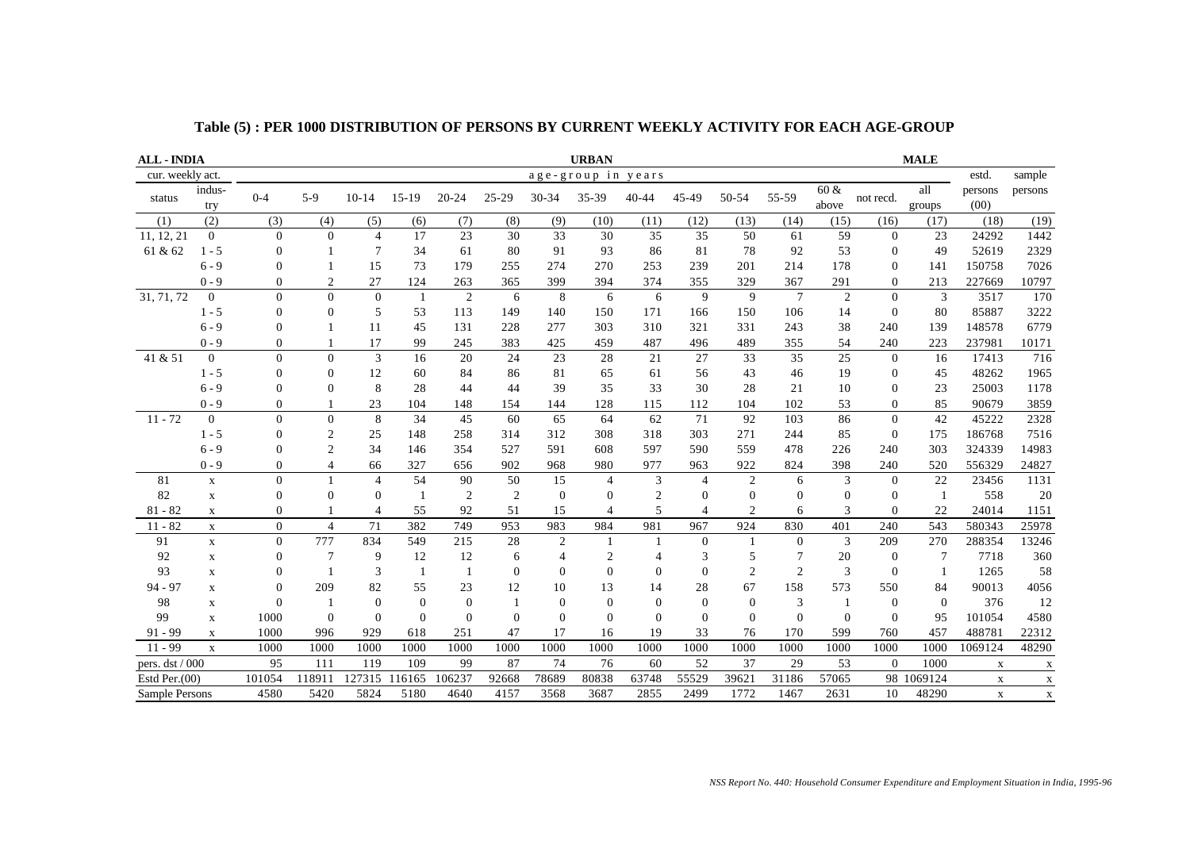| <b>ALL - INDIA</b> |                |                |                |                |                |           |                |                | <b>URBAN</b>       |                |                  |                |                |                |                | <b>MALE</b>    |                 |             |
|--------------------|----------------|----------------|----------------|----------------|----------------|-----------|----------------|----------------|--------------------|----------------|------------------|----------------|----------------|----------------|----------------|----------------|-----------------|-------------|
| cur. weekly act.   |                |                |                |                |                |           |                |                | age-group in years |                |                  |                |                |                |                |                | estd.           | sample      |
| status             | indus-<br>try  | $0 - 4$        | $5-9$          | $10 - 14$      | $15-19$        | $20 - 24$ | 25-29          | 30-34          | 35-39              | $40 - 44$      | 45-49            | 50-54          | 55-59          | 60 &<br>above  | not recd.      | all<br>groups  | persons<br>(00) | persons     |
| (1)                | (2)            | (3)            | (4)            | (5)            | (6)            | (7)       | (8)            | (9)            | (10)               | (11)           | (12)             | (13)           | (14)           | (15)           | (16)           | (17)           | (18)            | (19)        |
| 11, 12, 21         | $\overline{0}$ | $\Omega$       | $\Omega$       | $\overline{4}$ | 17             | 23        | 30             | 33             | 30                 | 35             | 35               | 50             | 61             | 59             | $\overline{0}$ | 23             | 24292           | 1442        |
| 61 & 62            | $1 - 5$        | $\overline{0}$ |                | 7              | 34             | 61        | 80             | 91             | 93                 | 86             | 81               | 78             | 92             | 53             | $\mathbf{0}$   | 49             | 52619           | 2329        |
|                    | $6 - 9$        | $\Omega$       |                | 15             | 73             | 179       | 255            | 274            | 270                | 253            | 239              | 201            | 214            | 178            | $\Omega$       | 141            | 150758          | 7026        |
|                    | $0 - 9$        | $\overline{0}$ | $\overline{2}$ | 27             | 124            | 263       | 365            | 399            | 394                | 374            | 355              | 329            | 367            | 291            | $\mathbf{0}$   | 213            | 227669          | 10797       |
| 31, 71, 72         | $\overline{0}$ | $\theta$       | $\theta$       | $\Omega$       | $\overline{1}$ | 2         | 6              | 8              | 6                  | 6              | 9                | 9              | $\overline{7}$ | 2              | $\Omega$       | 3              | 3517            | 170         |
|                    | $1 - 5$        | $\overline{0}$ | $\mathbf{0}$   | 5              | 53             | 113       | 149            | 140            | 150                | 171            | 166              | 150            | 106            | 14             | $\theta$       | 80             | 85887           | 3222        |
|                    | $6 - 9$        | $\Omega$       |                | 11             | 45             | 131       | 228            | 277            | 303                | 310            | 321              | 331            | 243            | 38             | 240            | 139            | 148578          | 6779        |
|                    | $0 - 9$        | $\Omega$       |                | 17             | 99             | 245       | 383            | 425            | 459                | 487            | 496              | 489            | 355            | 54             | 240            | 223            | 237981          | 10171       |
| 41 & 51            | $\mathbf{0}$   | $\mathbf{0}$   | $\mathbf{0}$   | 3              | 16             | 20        | 24             | 23             | 28                 | 21             | 27               | 33             | 35             | 25             | $\mathbf{0}$   | 16             | 17413           | 716         |
|                    | $1 - 5$        | $\overline{0}$ | $\Omega$       | 12             | 60             | 84        | 86             | 81             | 65                 | 61             | 56               | 43             | 46             | 19             | $\overline{0}$ | 45             | 48262           | 1965        |
|                    | $6 - 9$        | $\Omega$       | $\mathbf{0}$   | 8              | 28             | 44        | 44             | 39             | 35                 | 33             | 30               | 28             | 21             | 10             | $\Omega$       | 23             | 25003           | 1178        |
|                    | $0 - 9$        | $\Omega$       |                | 23             | 104            | 148       | 154            | 144            | 128                | 115            | 112              | 104            | 102            | 53             | $\Omega$       | 85             | 90679           | 3859        |
| $11 - 72$          | $\mathbf{0}$   | $\Omega$       | $\mathbf{0}$   | 8              | 34             | 45        | 60             | 65             | 64                 | 62             | 71               | 92             | 103            | 86             | $\mathbf{0}$   | 42             | 45222           | 2328        |
|                    | $1 - 5$        | $\Omega$       | $\overline{c}$ | 25             | 148            | 258       | 314            | 312            | 308                | 318            | 303              | 271            | 244            | 85             | $\Omega$       | 175            | 186768          | 7516        |
|                    | $6 - 9$        | $\Omega$       | $\overline{2}$ | 34             | 146            | 354       | 527            | 591            | 608                | 597            | 590              | 559            | 478            | 226            | 240            | 303            | 324339          | 14983       |
|                    | $0 - 9$        | $\Omega$       | $\overline{4}$ | 66             | 327            | 656       | 902            | 968            | 980                | 977            | 963              | 922            | 824            | 398            | 240            | 520            | 556329          | 24827       |
| 81                 | $\mathbf X$    | $\Omega$       |                | $\overline{4}$ | 54             | 90        | 50             | 15             | $\overline{4}$     | 3              | $\overline{4}$   | $\overline{2}$ | 6              | 3              | $\Omega$       | 22             | 23456           | 1131        |
| 82                 | $\mathbf X$    | $\overline{0}$ | $\mathbf{0}$   | $\Omega$       | -1             | 2         | $\overline{2}$ | $\overline{0}$ | $\theta$           | $\overline{2}$ | $\mathbf{0}$     | $\mathbf{0}$   | $\mathbf{0}$   | $\overline{0}$ | $\mathbf{0}$   | -1             | 558             | 20          |
| $81 - 82$          | $\mathbf X$    | $\Omega$       |                | 4              | 55             | 92        | 51             | 15             | $\overline{4}$     | 5              | $\overline{4}$   | $\overline{c}$ | 6              | 3              | $\Omega$       | 22             | 24014           | 1151        |
| $11 - 82$          | $\mathbf X$    | $\Omega$       | $\overline{4}$ | 71             | 382            | 749       | 953            | 983            | 984                | 981            | 967              | 924            | 830            | 401            | 240            | 543            | 580343          | 25978       |
| 91                 | $\mathbf X$    | $\overline{0}$ | 777            | 834            | 549            | 215       | 28             | 2              | $\mathbf{1}$       | -1             | $\overline{0}$   |                | $\overline{0}$ | 3              | 209            | 270            | 288354          | 13246       |
| 92                 | $\mathbf X$    | $\mathbf{0}$   | 7              | 9              | 12             | 12        | 6              | 4              | $\overline{c}$     | 4              | 3                | 5              | 7              | 20             | $\mathbf{0}$   | 7              | 7718            | 360         |
| 93                 | $\mathbf X$    | $\Omega$       |                | 3              | -1             | 1         | $\mathbf{0}$   | $\Omega$       | $\mathbf{0}$       | $\mathbf{0}$   | $\mathbf{0}$     | $\overline{2}$ | $\overline{2}$ | 3              | $\Omega$       | $\mathbf{1}$   | 1265            | 58          |
| $94 - 97$          | $\mathbf X$    | $\Omega$       | 209            | 82             | 55             | 23        | 12             | 10             | 13                 | 14             | 28               | 67             | 158            | 573            | 550            | 84             | 90013           | 4056        |
| 98                 | X              | $\Omega$       |                | $\overline{0}$ | $\overline{0}$ | $\Omega$  | 1              | $\theta$       | $\mathbf{0}$       | $\mathbf{0}$   | $\boldsymbol{0}$ | $\theta$       | 3              | -1             | $\theta$       | $\overline{0}$ | 376             | 12          |
| 99                 | $\mathbf X$    | 1000           | $\theta$       | $\Omega$       | $\Omega$       | $\Omega$  | $\Omega$       | $\Omega$       | $\Omega$           | $\Omega$       | $\Omega$         | $\Omega$       | $\Omega$       | $\Omega$       | $\Omega$       | 95             | 101054          | 4580        |
| $91 - 99$          | X              | 1000           | 996            | 929            | 618            | 251       | 47             | 17             | 16                 | 19             | 33               | 76             | 170            | 599            | 760            | 457            | 488781          | 22312       |
| $11 - 99$          | $\mathbf X$    | 1000           | 1000           | 1000           | 1000           | 1000      | 1000           | 1000           | 1000               | 1000           | 1000             | 1000           | 1000           | 1000           | 1000           | 1000           | 1069124         | 48290       |
| pers. dst / 000    |                | 95             | 111            | 119            | 109            | 99        | 87             | 74             | 76                 | 60             | 52               | 37             | 29             | 53             | $\Omega$       | 1000           | $\mathbf X$     | $\mathbf X$ |
| Estd Per. $(00)$   |                | 101054         | 118911         | 127315         | 116165         | 106237    | 92668          | 78689          | 80838              | 63748          | 55529            | 39621          | 31186          | 57065          | 98             | 1069124        | $\mathbf X$     | $\mathbf X$ |
| Sample Persons     |                | 4580           | 5420           | 5824           | 5180           | 4640      | 4157           | 3568           | 3687               | 2855           | 2499             | 1772           | 1467           | 2631           | 10             | 48290          | $\mathbf X$     | $\mathbf X$ |

**Table (5) : PER 1000 DISTRIBUTION OF PERSONS BY CURRENT WEEKLY ACTIVITY FOR EACH AGE-GROUP**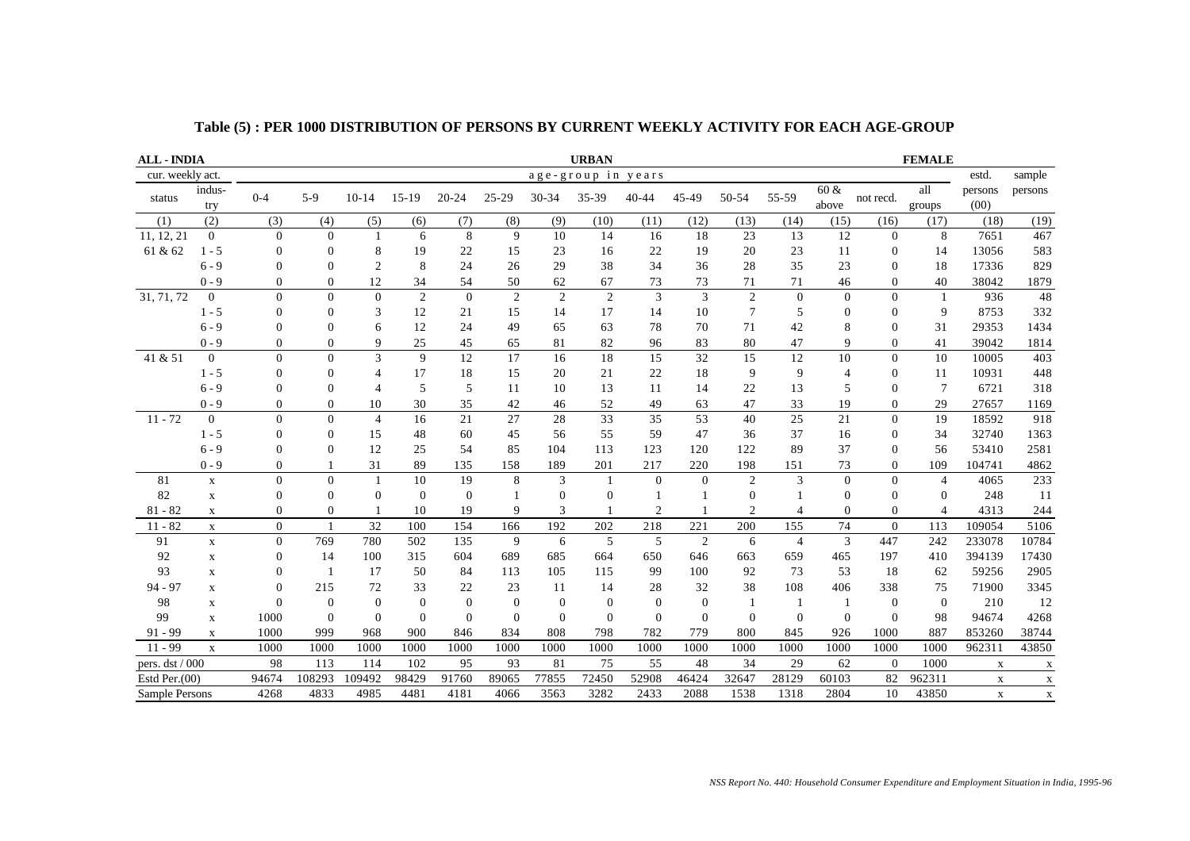| <b>ALL - INDIA</b> | <b>URBAN</b><br><b>FEMALE</b> |                |                |                |                |                |                |                |                  |                 |              |                  |                  |                |                |                |                 |               |
|--------------------|-------------------------------|----------------|----------------|----------------|----------------|----------------|----------------|----------------|------------------|-----------------|--------------|------------------|------------------|----------------|----------------|----------------|-----------------|---------------|
| cur. weekly act.   |                               |                |                |                |                |                |                |                | age-group in     | years           |              |                  |                  |                |                |                | estd.           | sample        |
| status             | indus-<br>try                 | $0 - 4$        | $5-9$          | $10-14$        | $15-19$        | $20 - 24$      | 25-29          | $30 - 34$      | 35-39            | $40 - 44$       | 45-49        | 50-54            | 55-59            | 60 &<br>above  | not recd.      | all<br>groups  | persons<br>(00) | persons       |
| (1)                | (2)                           | (3)            | (4)            | (5)            | (6)            | (7)            | (8)            | (9)            | (10)             | (11)            | (12)         | (13)             | (14)             | (15)           | (16)           | (17)           | (18)            | (19)          |
| 11, 12, 21         | $\mathbf{0}$                  | $\Omega$       | $\Omega$       |                | 6              | 8              | 9              | 10             | 14               | 16              | 18           | 23               | 13               | 12             | $\Omega$       | 8              | 7651            | 467           |
| 61 & 62            | $1 - 5$                       | $\Omega$       | $\mathbf{0}$   | 8              | 19             | 22             | 15             | 23             | 16               | 22              | 19           | 20               | 23               | 11             | $\mathbf{0}$   | 14             | 13056           | 583           |
|                    | $6 - 9$                       | $\Omega$       | $\Omega$       | $\overline{2}$ | 8              | 24             | 26             | 29             | 38               | 34              | 36           | 28               | 35               | 23             | $\Omega$       | 18             | 17336           | 829           |
|                    | $0 - 9$                       | $\Omega$       | $\Omega$       | 12             | 34             | 54             | 50             | 62             | 67               | 73              | 73           | 71               | 71               | 46             | $\Omega$       | 40             | 38042           | 1879          |
| 31, 71, 72         | $\mathbf{0}$                  | $\Omega$       | $\mathbf{0}$   | $\overline{0}$ | $\overline{2}$ | $\Omega$       | $\overline{c}$ | $\overline{2}$ | $\overline{2}$   | 3               | 3            | $\overline{c}$   | $\boldsymbol{0}$ | $\mathbf{0}$   | $\theta$       | $\mathbf{1}$   | 936             | 48            |
|                    | $1 - 5$                       | $\Omega$       | $\Omega$       | 3              | 12             | 21             | 15             | 14             | 17               | 14              | 10           | 7                | 5                | $\Omega$       | $\Omega$       | 9              | 8753            | 332           |
|                    | $6 - 9$                       | $\Omega$       | $\Omega$       | 6              | 12             | 24             | 49             | 65             | 63               | 78              | 70           | 71               | 42               | 8              | $\Omega$       | 31             | 29353           | 1434          |
|                    | $0 - 9$                       | $\Omega$       | $\mathbf{0}$   | 9              | 25             | 45             | 65             | 81             | 82               | 96              | 83           | 80               | 47               | 9              | $\overline{0}$ | 41             | 39042           | 1814          |
| 41 & 51            | $\overline{0}$                | $\Omega$       | $\Omega$       | 3              | 9              | 12             | 17             | 16             | 18               | 15              | 32           | 15               | 12               | 10             | $\mathbf{0}$   | 10             | 10005           | 403           |
|                    | $1 - 5$                       | $\overline{0}$ | $\mathbf{0}$   | $\overline{4}$ | 17             | 18             | 15             | $20\,$         | 21               | $22\,$          | 18           | 9                | 9                | $\overline{4}$ | $\mathbf{0}$   | 11             | 10931           | 448           |
|                    | $6 - 9$                       |                | $\overline{0}$ | $\overline{4}$ | 5              | 5              | 11             | 10             | 13               | 11              | 14           | 22               | 13               | 5              | $\mathbf{0}$   | 7              | 6721            | 318           |
|                    | $0 - 9$                       | $\Omega$       | $\Omega$       | 10             | 30             | 35             | 42             | 46             | 52               | 49              | 63           | 47               | 33               | 19             | $\overline{0}$ | 29             | 27657           | 1169          |
| $11 - 72$          | $\mathbf{0}$                  | $\Omega$       | $\mathbf{0}$   | $\overline{4}$ | 16             | 21             | 27             | 28             | $\overline{33}$  | $\overline{35}$ | 53           | 40               | $\overline{25}$  | 21             | $\mathbf{0}$   | 19             | 18592           | 918           |
|                    | $1 - 5$                       | $\Omega$       | $\Omega$       | 15             | 48             | 60             | 45             | 56             | 55               | 59              | 47           | 36               | 37               | 16             | $\Omega$       | 34             | 32740           | 1363          |
|                    | $6 - 9$                       | $\Omega$       | $\theta$       | 12             | 25             | 54             | 85             | 104            | 113              | 123             | 120          | 122              | 89               | 37             | $\Omega$       | 56             | 53410           | 2581          |
|                    | $0 - 9$                       | $\Omega$       |                | 31             | 89             | 135            | 158            | 189            | 201              | 217             | 220          | 198              | 151              | 73             | $\Omega$       | 109            | 104741          | 4862          |
| 81                 | $\mathbf X$                   | $\Omega$       | $\Omega$       |                | 10             | 19             | 8              | $\overline{3}$ | $\mathbf{1}$     | $\overline{0}$  | $\mathbf{0}$ | $\overline{2}$   | $\overline{3}$   | $\Omega$       | $\theta$       | $\overline{4}$ | 4065            | 233           |
| 82                 | $\mathbf X$                   | $\Omega$       | $\mathbf{0}$   | $\Omega$       | $\overline{0}$ | $\overline{0}$ |                | $\theta$       | $\boldsymbol{0}$ | $\overline{1}$  |              | $\boldsymbol{0}$ |                  | $\theta$       | $\Omega$       | $\Omega$       | 248             | <sup>11</sup> |
| $81 - 82$          | $\mathbf X$                   | $\mathbf{0}$   | $\mathbf{0}$   |                | 10             | 19             | 9              | 3              |                  | $\overline{2}$  | $\mathbf{1}$ | $\overline{2}$   | $\overline{4}$   | $\mathbf{0}$   | $\mathbf{0}$   | $\overline{4}$ | 4313            | 244           |
| $11 - 82$          | $\mathbf X$                   | $\Omega$       |                | 32             | 100            | 154            | 166            | 192            | 202              | 218             | 221          | 200              | 155              | 74             | $\Omega$       | 113            | 109054          | 5106          |
| 91                 | $\mathbf X$                   | $\Omega$       | 769            | 780            | 502            | 135            | 9              | 6              | 5                | 5               | 2            | 6                | $\overline{4}$   | 3              | 447            | 242            | 233078          | 10784         |
| 92                 | $\mathbf X$                   | $\Omega$       | 14             | 100            | 315            | 604            | 689            | 685            | 664              | 650             | 646          | 663              | 659              | 465            | 197            | 410            | 394139          | 17430         |
| 93                 | $\mathbf X$                   |                | -1             | 17             | 50             | 84             | 113            | 105            | 115              | 99              | 100          | 92               | 73               | 53             | 18             | 62             | 59256           | 2905          |
| $94 - 97$          | $\mathbf X$                   |                | 215            | 72             | 33             | 22             | 23             | 11             | 14               | 28              | 32           | 38               | 108              | 406            | 338            | 75             | 71900           | 3345          |
| 98                 | $\mathbf X$                   |                | $\overline{0}$ | $\Omega$       | $\overline{0}$ | $\overline{0}$ | $\mathbf{0}$   | $\overline{0}$ | $\mathbf{0}$     | $\mathbf{0}$    | $\theta$     | -1               |                  | -1             | $\Omega$       | $\overline{0}$ | 210             | 12            |
| 99                 | $\mathbf X$                   | 1000           | $\Omega$       | $\Omega$       | $\Omega$       | $\mathbf{0}$   | $\Omega$       | $\theta$       | $\overline{0}$   | $\theta$        | $\theta$     | $\overline{0}$   | $\mathbf{0}$     | $\theta$       | $\Omega$       | 98             | 94674           | 4268          |
| $91 - 99$          | $\mathbf X$                   | 1000           | 999            | 968            | 900            | 846            | 834            | 808            | 798              | 782             | 779          | 800              | 845              | 926            | 1000           | 887            | 853260          | 38744         |
| $11 - 99$          | $\mathbf X$                   | 1000           | 1000           | 1000           | 1000           | 1000           | 1000           | 1000           | 1000             | 1000            | 1000         | 1000             | 1000             | 1000           | 1000           | 1000           | 962311          | 43850         |
| pers. dst / 000    |                               | 98             | 113            | 114            | 102            | 95             | 93             | 81             | 75               | 55              | 48           | 34               | 29               | 62             | $\Omega$       | 1000           | $\mathbf X$     | $\mathbf X$   |
| Estd Per. $(00)$   |                               | 94674          | 108293         | 109492         | 98429          | 91760          | 89065          | 77855          | 72450            | 52908           | 46424        | 32647            | 28129            | 60103          | 82             | 962311         | $\mathbf X$     | $\mathbf X$   |
| Sample Persons     |                               | 4268           | 4833           | 4985           | 4481           | 4181           | 4066           | 3563           | 3282             | 2433            | 2088         | 1538             | 1318             | 2804           | 10             | 43850          | $\mathbf X$     | $\mathbf X$   |

### **Table (5) : PER 1000 DISTRIBUTION OF PERSONS BY CURRENT WEEKLY ACTIVITY FOR EACH AGE-GROUP**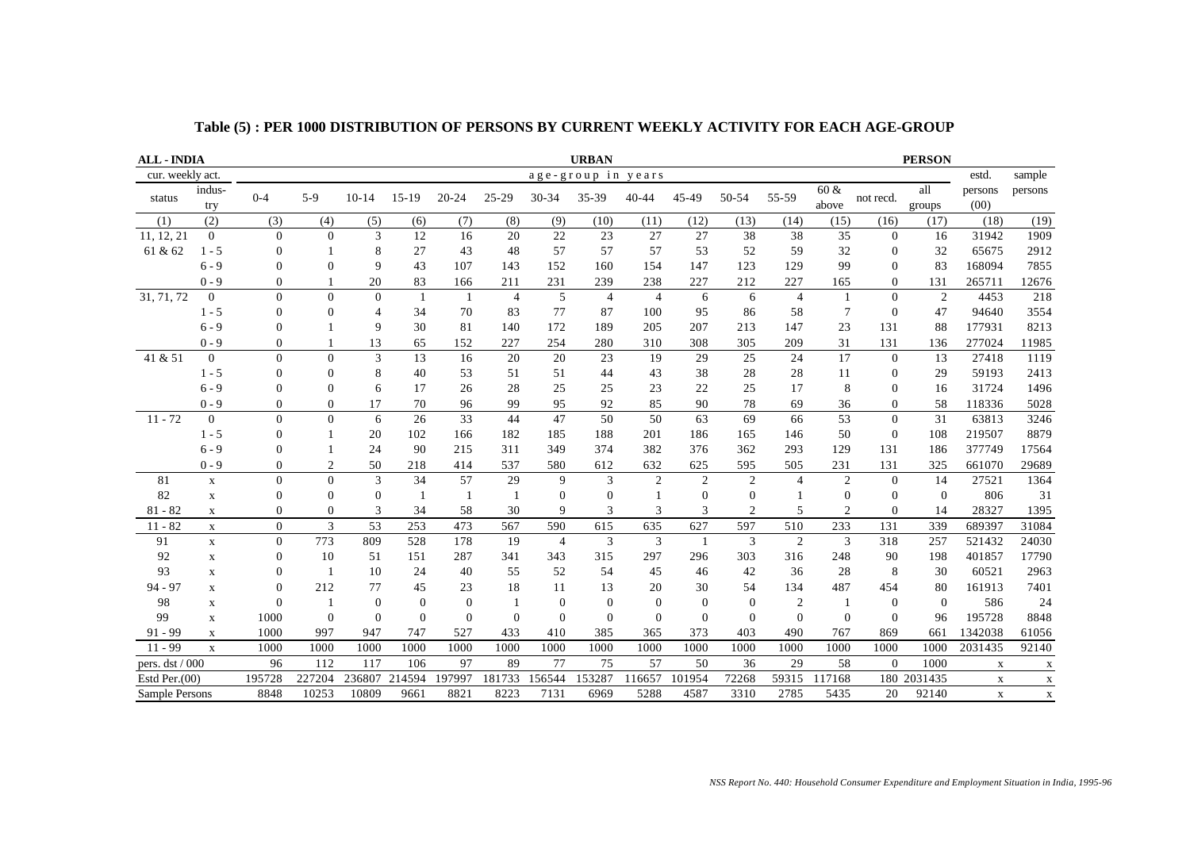| <b>ALL - INDIA</b> |                |                |                |                |                |                |              |                | <b>URBAN</b>       |                  |                |                  |                |                 |              | <b>PERSON</b>  |                 |             |
|--------------------|----------------|----------------|----------------|----------------|----------------|----------------|--------------|----------------|--------------------|------------------|----------------|------------------|----------------|-----------------|--------------|----------------|-----------------|-------------|
| cur. weekly act.   |                |                |                |                |                |                |              |                | age-group in years |                  |                |                  |                |                 |              |                | estd.           | sample      |
| status             | indus-<br>try  | $0 - 4$        | $5-9$          | $10 - 14$      | $15-19$        | $20 - 24$      | 25-29        | $30 - 34$      | 35-39              | $40 - 44$        | 45-49          | 50-54            | 55-59          | 60 &<br>above   | not recd.    | all<br>groups  | persons<br>(00) | persons     |
| (1)                | (2)            | (3)            | (4)            | (5)            | (6)            | (7)            | (8)          | (9)            | (10)               | (11)             | (12)           | (13)             | (14)           | (15)            | (16)         | (17)           | (18)            | (19)        |
| 11, 12, 21         | $\mathbf{0}$   | $\Omega$       | $\Omega$       | 3              | 12             | 16             | 20           | 22             | 23                 | 27               | 27             | 38               | 38             | 35              | $\theta$     | 16             | 31942           | 1909        |
| 61 & 62            | $1 - 5$        | $\Omega$       |                | 8              | 27             | 43             | 48           | 57             | 57                 | 57               | 53             | 52               | 59             | 32              | $\mathbf{0}$ | 32             | 65675           | 2912        |
|                    | $6 - 9$        | $\Omega$       | $\Omega$       | 9              | 43             | 107            | 143          | 152            | 160                | 154              | 147            | 123              | 129            | 99              | $\Omega$     | 83             | 168094          | 7855        |
|                    | $0 - 9$        | $\mathbf{0}$   |                | 20             | 83             | 166            | 211          | 231            | 239                | 238              | 227            | 212              | 227            | 165             | $\Omega$     | 131            | 265711          | 12676       |
| 31, 71, 72         | $\overline{0}$ | $\Omega$       | $\Omega$       | $\Omega$       | $\mathbf{1}$   | $\mathbf{1}$   | 4            | 5              | $\overline{4}$     | $\overline{4}$   | 6              | 6                | $\overline{4}$ | $\overline{1}$  | $\Omega$     | $\overline{2}$ | 4453            | 218         |
|                    | $1 - 5$        | $\Omega$       | $\mathbf{0}$   | 4              | 34             | 70             | 83           | 77             | 87                 | 100              | 95             | 86               | 58             | $\overline{7}$  | $\theta$     | 47             | 94640           | 3554        |
|                    | $6 - 9$        | $\Omega$       |                | 9              | 30             | 81             | 140          | 172            | 189                | 205              | 207            | 213              | 147            | 23              | 131          | 88             | 177931          | 8213        |
|                    | $0 - 9$        | $\Omega$       |                | 13             | 65             | 152            | 227          | 254            | 280                | 310              | 308            | 305              | 209            | 31              | 131          | 136            | 277024          | 11985       |
| 41 & 51            | $\overline{0}$ | $\mathbf{0}$   | $\overline{0}$ | 3              | 13             | 16             | 20           | 20             | 23                 | 19               | 29             | 25               | 24             | 17              | $\mathbf{0}$ | 13             | 27418           | 1119        |
|                    | $1 - 5$        | $\mathbf{0}$   | $\Omega$       | 8              | 40             | 53             | 51           | 51             | 44                 | 43               | 38             | 28               | 28             | 11              | $\mathbf{0}$ | 29             | 59193           | 2413        |
|                    | $6 - 9$        |                | $\mathbf{0}$   | 6              | 17             | 26             | 28           | 25             | 25                 | 23               | 22             | 25               | 17             | 8               | $\mathbf{0}$ | 16             | 31724           | 1496        |
|                    | $0 - 9$        | $\Omega$       | $\Omega$       | 17             | 70             | 96             | 99           | 95             | 92                 | 85               | 90             | 78               | 69             | 36              | $\Omega$     | 58             | 118336          | 5028        |
| $11 - 72$          | $\mathbf{0}$   | $\Omega$       | $\overline{0}$ | 6              | 26             | 33             | 44           | 47             | 50                 | 50               | 63             | 69               | 66             | $\overline{53}$ | $\mathbf{0}$ | 31             | 63813           | 3246        |
|                    | $1 - 5$        | $\Omega$       |                | 20             | 102            | 166            | 182          | 185            | 188                | 201              | 186            | 165              | 146            | 50              | $\Omega$     | 108            | 219507          | 8879        |
|                    | $6 - 9$        | $\Omega$       |                | 24             | 90             | 215            | 311          | 349            | 374                | 382              | 376            | 362              | 293            | 129             | 131          | 186            | 377749          | 17564       |
|                    | $0 - 9$        | $\Omega$       | $\overline{c}$ | 50             | 218            | 414            | 537          | 580            | 612                | 632              | 625            | 595              | 505            | 231             | 131          | 325            | 661070          | 29689       |
| 81                 | $\mathbf X$    | $\Omega$       | $\Omega$       | 3              | 34             | 57             | 29           | 9              | 3                  | $\overline{2}$   | $\overline{2}$ | 2                | $\overline{4}$ | $\overline{2}$  | $\Omega$     | 14             | 27521           | 1364        |
| 82                 | $\mathbf X$    | $\Omega$       | $\mathbf{0}$   | $\mathbf{0}$   | $\mathbf{1}$   | -1             | $\mathbf{1}$ | $\theta$       | $\overline{0}$     | 1                | $\theta$       | $\overline{0}$   |                | $\theta$        | $\mathbf{0}$ | $\theta$       | 806             | 31          |
| $81 - 82$          | $\mathbf X$    | $\Omega$       | $\Omega$       | 3              | 34             | 58             | 30           | 9              | 3                  | 3                | 3              | $\overline{2}$   | 5              | 2               | $\Omega$     | 14             | 28327           | 1395        |
| $11 - 82$          | $\mathbf X$    | $\Omega$       | 3              | 53             | 253            | 473            | 567          | 590            | 615                | 635              | 627            | 597              | 510            | 233             | 131          | 339            | 689397          | 31084       |
| 91                 | $\mathbf X$    | $\Omega$       | 773            | 809            | 528            | 178            | 19           | $\overline{4}$ | 3                  | 3                | -1             | 3                | 2              | 3               | 318          | 257            | 521432          | 24030       |
| 92                 | $\mathbf X$    | $\overline{0}$ | 10             | 51             | 151            | 287            | 341          | 343            | 315                | 297              | 296            | 303              | 316            | 248             | 90           | 198            | 401857          | 17790       |
| 93                 | $\mathbf X$    |                |                | 10             | 24             | 40             | 55           | 52             | 54                 | 45               | 46             | 42               | 36             | 28              | 8            | 30             | 60521           | 2963        |
| $94 - 97$          | $\mathbf X$    |                | 212            | 77             | 45             | 23             | 18           | 11             | 13                 | 20               | 30             | 54               | 134            | 487             | 454          | 80             | 161913          | 7401        |
| 98                 | X              |                |                | $\overline{0}$ | $\overline{0}$ | $\overline{0}$ | -1           | $\mathbf{0}$   | $\boldsymbol{0}$   | $\boldsymbol{0}$ | $\mathbf{0}$   | $\boldsymbol{0}$ | $\overline{2}$ | -1              | $\theta$     | $\overline{0}$ | 586             | 24          |
| 99                 | $\mathbf X$    | 1000           | $\Omega$       | $\Omega$       | $\Omega$       | $\Omega$       | $\Omega$     | $\theta$       | $\overline{0}$     | $\Omega$         | $\Omega$       | $\Omega$         | $\Omega$       | $\Omega$        | $\Omega$     | 96             | 195728          | 8848        |
| $91 - 99$          | X              | 1000           | 997            | 947            | 747            | 527            | 433          | 410            | 385                | 365              | 373            | 403              | 490            | 767             | 869          | 661            | 1342038         | 61056       |
| $11 - 99$          | $\mathbf X$    | 1000           | 1000           | 1000           | 1000           | 1000           | 1000         | 1000           | 1000               | 1000             | 1000           | 1000             | 1000           | 1000            | 1000         | 1000           | 2031435         | 92140       |
| pers. dst / 000    |                | 96             | 112            | 117            | 106            | 97             | 89           | 77             | 75                 | 57               | 50             | 36               | 29             | 58              | $\Omega$     | 1000           | X               | $\mathbf X$ |
| Estd Per. $(00)$   |                | 195728         | 227204         | 236807         | 214594         | 197997         | 181733       | 156544         | 153287             | 116657           | 101954         | 72268            | 59315          | 117168          |              | 180 2031435    | $\mathbf X$     | $\mathbf X$ |
| Sample Persons     |                | 8848           | 10253          | 10809          | 9661           | 8821           | 8223         | 7131           | 6969               | 5288             | 4587           | 3310             | 2785           | 5435            | 20           | 92140          | $\mathbf X$     | $\mathbf X$ |

**Table (5) : PER 1000 DISTRIBUTION OF PERSONS BY CURRENT WEEKLY ACTIVITY FOR EACH AGE-GROUP**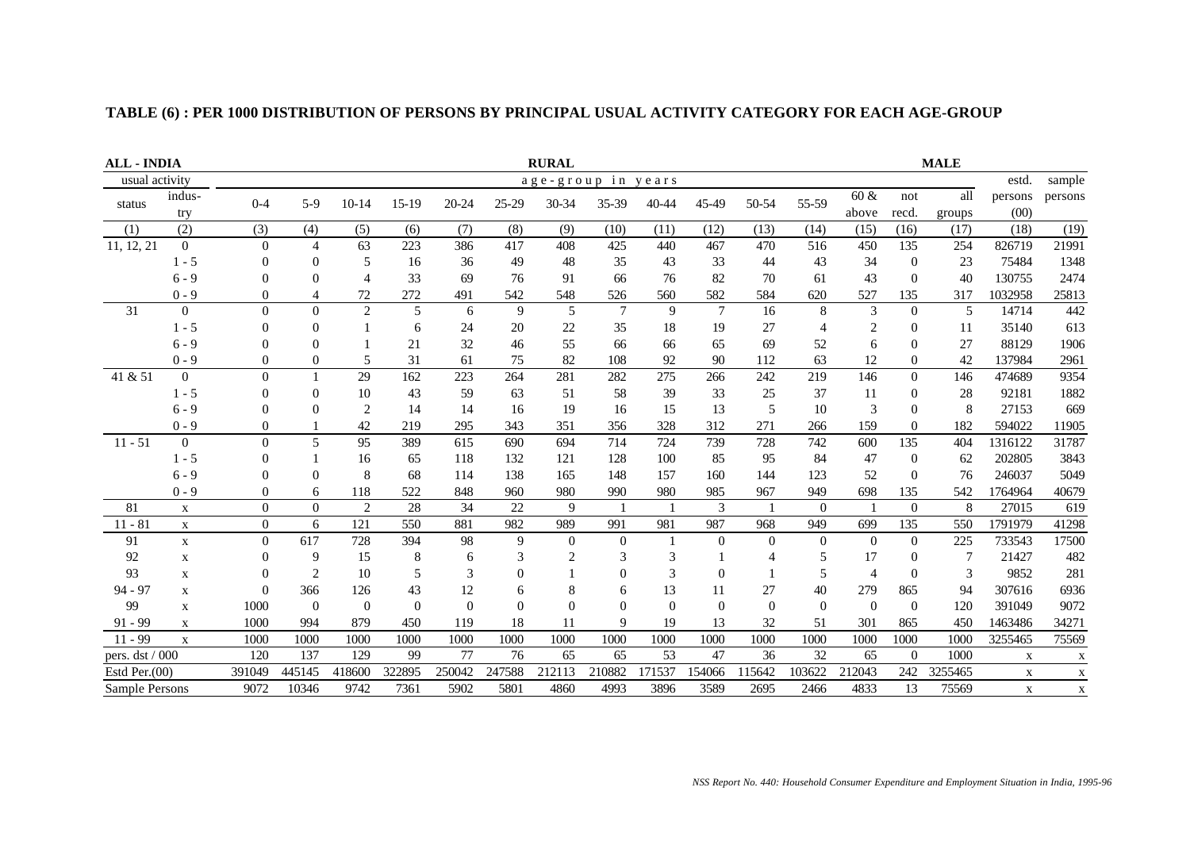| <b>ALL - INDIA</b> |                |                  | <b>RURAL</b>   |                |          |          |          |                |                    |          |          |                |                |                | <b>MALE</b>    |         |             |             |
|--------------------|----------------|------------------|----------------|----------------|----------|----------|----------|----------------|--------------------|----------|----------|----------------|----------------|----------------|----------------|---------|-------------|-------------|
| usual activity     |                |                  |                |                |          |          |          |                | age-group in years |          |          |                |                |                |                |         | estd.       | sample      |
| status             | indus-         | $0 - 4$          | $5-9$          | $10-14$        | 15-19    | 20-24    | 25-29    |                | 35-39              | 40-44    | 45-49    | 50-54          | 55-59          | $60 \&$        | not            | all     | persons     | persons     |
|                    | try            |                  |                |                |          |          | 30-34    |                |                    |          |          |                | above          | recd.          | groups         | (00)    |             |             |
| (1)                | (2)            | (3)              | (4)            | (5)            | (6)      | (7)      | (8)      | (9)            | (10)               | (11)     | (12)     | (13)           | (14)           | (15)           | (16)           | (17)    | (18)        | (19)        |
| 11, 12, 21         | $\overline{0}$ | $\theta$         | $\overline{4}$ | 63             | 223      | 386      | 417      | 408            | 425                | 440      | 467      | 470            | 516            | 450            | 135            | 254     | 826719      | 21991       |
|                    | $1 - 5$        | $\theta$         | $\Omega$       | 5              | 16       | 36       | 49       | 48             | 35                 | 43       | 33       | 44             | 43             | 34             | $\mathbf{0}$   | 23      | 75484       | 1348        |
|                    | $6 - 9$        | $\Omega$         | $\Omega$       | $\overline{4}$ | 33       | 69       | 76       | 91             | 66                 | 76       | 82       | 70             | 61             | 43             | $\Omega$       | 40      | 130755      | 2474        |
|                    | $0 - 9$        | 0                | 4              | 72             | 272      | 491      | 542      | 548            | 526                | 560      | 582      | 584            | 620            | 527            | 135            | 317     | 1032958     | 25813       |
| 31                 | $\Omega$       | $\Omega$         | $\Omega$       | $\overline{2}$ | 5        | 6        | 9        | 5              | $\tau$             | 9        | $\tau$   | 16             | 8              | 3              | $\theta$       | 5       | 14714       | 442         |
|                    | $1 - 5$        | $\Omega$         | $\Omega$       |                | 6        | 24       | 20       | 22             | 35                 | 18       | 19       | 27             | $\overline{4}$ | $\overline{2}$ | $\Omega$       | 11      | 35140       | 613         |
|                    | $6 - 9$        | 0                | $\Omega$       |                | 21       | 32       | 46       | 55             | 66                 | 66       | 65       | 69             | 52             | 6              | $\Omega$       | 27      | 88129       | 1906        |
|                    | $0 - 9$        | $\theta$         | $\theta$       | 5              | 31       | 61       | 75       | 82             | 108                | 92       | 90       | 112            | 63             | 12             | $\mathbf{0}$   | 42      | 137984      | 2961        |
| 41 & 51            | $\Omega$       | $\Omega$         |                | 29             | 162      | 223      | 264      | 281            | 282                | 275      | 266      | 242            | 219            | 146            | $\Omega$       | 146     | 474689      | 9354        |
|                    | $1 - 5$        | $\Omega$         | $\Omega$       | 10             | 43       | 59       | 63       | 51             | 58                 | 39       | 33       | 25             | 37             | 11             | $\overline{0}$ | 28      | 92181       | 1882        |
|                    | $6 - 9$        | 0                | $\Omega$       | $\overline{c}$ | 14       | 14       | 16       | 19             | 16                 | 15       | 13       | 5              | 10             | 3              | $\Omega$       | 8       | 27153       | 669         |
|                    | $0 - 9$        | 0                |                | 42             | 219      | 295      | 343      | 351            | 356                | 328      | 312      | 271            | 266            | 159            | $\mathbf{0}$   | 182     | 594022      | 11905       |
| $11 - 51$          | $\Omega$       | $\Omega$         | 5              | 95             | 389      | 615      | 690      | 694            | 714                | 724      | 739      | 728            | 742            | 600            | 135            | 404     | 1316122     | 31787       |
|                    | $1 - 5$        | 0                |                | 16             | 65       | 118      | 132      | 121            | 128                | 100      | 85       | 95             | 84             | 47             | $\overline{0}$ | 62      | 202805      | 3843        |
|                    | $6 - 9$        | 0                | $\theta$       | 8              | 68       | 114      | 138      | 165            | 148                | 157      | 160      | 144            | 123            | 52             | $\Omega$       | 76      | 246037      | 5049        |
|                    | $0 - 9$        | $\overline{0}$   | 6              | 118            | 522      | 848      | 960      | 980            | 990                | 980      | 985      | 967            | 949            | 698            | 135            | 542     | 1764964     | 40679       |
| 81                 | $\mathbf X$    | $\overline{0}$   | $\mathbf{0}$   | $\overline{2}$ | 28       | 34       | 22       | $\mathbf{Q}$   |                    |          | 3        |                | $\Omega$       |                | $\Omega$       | 8       | 27015       | 619         |
| $11 - 81$          | $\mathbf X$    | $\boldsymbol{0}$ | 6              | 121            | 550      | 881      | 982      | 989            | 991                | 981      | 987      | 968            | 949            | 699            | 135            | 550     | 1791979     | 41298       |
| 91                 | $\mathbf X$    | $\overline{0}$   | 617            | 728            | 394      | 98       | 9        | $\overline{0}$ | $\overline{0}$     |          | $\theta$ | $\theta$       | $\overline{0}$ | $\theta$       | $\theta$       | 225     | 733543      | 17500       |
| 92                 | $\mathbf X$    | $\overline{0}$   | 9              | 15             | 8        | 6        | 3        | $\overline{c}$ | 3                  | 3        |          | $\overline{4}$ | 5              | 17             | $\Omega$       | 7       | 21427       | 482         |
| 93                 | $\mathbf X$    | $\Omega$         | $\overline{2}$ | 10             | 5        | 3        | $\Omega$ |                | ∩                  | 3        | $\Omega$ |                | 5              | $\overline{4}$ | $\theta$       | 3       | 9852        | 281         |
| 94 - 97            | $\mathbf X$    | $\Omega$         | 366            | 126            | 43       | 12       | 6        | 8              | 6                  | 13       | 11       | 27             | 40             | 279            | 865            | 94      | 307616      | 6936        |
| 99                 | X              | 1000             | $\Omega$       | $\Omega$       | $\Omega$ | $\Omega$ | $\theta$ | $\Omega$       | $\Omega$           | $\theta$ | $\Omega$ | $\Omega$       | $\Omega$       | $\Omega$       | $\Omega$       | 120     | 391049      | 9072        |
| $91 - 99$          | $\mathbf X$    | 1000             | 994            | 879            | 450      | 119      | 18       | 11             | 9                  | 19       | 13       | $32\,$         | 51             | 301            | 865            | 450     | 1463486     | 34271       |
| $11 - 99$          | $\mathbf X$    | 1000             | 1000           | 1000           | 1000     | 1000     | 1000     | 1000           | 1000               | 1000     | 1000     | 1000           | 1000           | 1000           | 1000           | 1000    | 3255465     | 75569       |
| pers. dst / 000    |                | 120              | 137            | 129            | 99       | 77       | 76       | 65             | 65                 | 53       | 47       | 36             | 32             | 65             | $\Omega$       | 1000    | X           | $\mathbf x$ |
| Estd Per. $(00)$   |                | 391049           | 445145         | 418600         | 322895   | 250042   | 247588   | 212113         | 210882             | 171537   | 154066   | 115642         | 103622         | 212043         | 242            | 3255465 | X           | $\mathbf X$ |
| Sample Persons     |                | 9072             | 10346          | 9742           | 7361     | 5902     | 5801     | 4860           | 4993               | 3896     | 3589     | 2695           | 2466           | 4833           | 13             | 75569   | $\mathbf X$ | $\mathbf X$ |

## **TABLE (6) : PER 1000 DISTRIBUTION OF PERSONS BY PRINCIPAL USUAL ACTIVITY CATEGORY FOR EACH AGE-GROUP**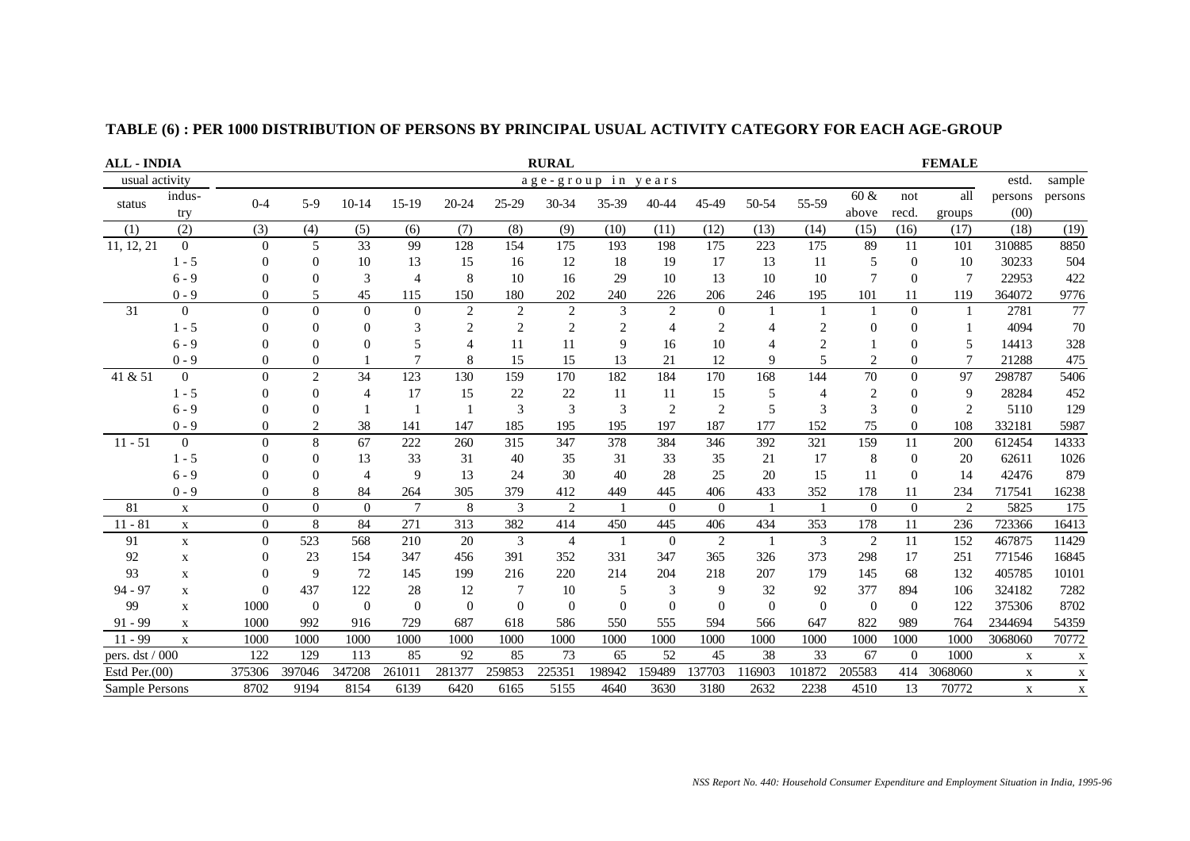| <b>ALL - INDIA</b> |                   |                | <b>RURAL</b>   |                |                |                |                |                |                    |                |                |                |                | <b>FEMALE</b>  |                |                          |             |              |  |
|--------------------|-------------------|----------------|----------------|----------------|----------------|----------------|----------------|----------------|--------------------|----------------|----------------|----------------|----------------|----------------|----------------|--------------------------|-------------|--------------|--|
| usual activity     |                   |                |                |                |                |                |                |                | age-group in years |                |                |                |                |                |                |                          | estd.       | sample       |  |
| status             | indus-<br>$0 - 4$ | $5-9$          | $10 - 14$      | $15-19$        | $20 - 24$      | 25-29          | 30-34          | 35-39          | 40-44              | 45-49          | 50-54          | 55-59          | 60 &           | not            | all            | persons                  | persons     |              |  |
|                    | try               |                |                |                |                |                |                |                |                    |                |                |                |                | above          | recd.          | groups                   | (00)        |              |  |
| (1)                | (2)               | (3)            | (4)            | (5)            | (6)            | (7)            | (8)            | (9)            | (10)               | (11)           | (12)           | (13)           | (14)           | (15)           | (16)           | (17)                     | (18)        | (19)         |  |
| 11, 12, 21         | $\overline{0}$    | $\overline{0}$ | 5              | 33             | 99             | 128            | 154            | 175            | 193                | 198            | 175            | 223            | 175            | 89             | 11             | 101                      | 310885      | 8850         |  |
|                    | $1 - 5$           | 0              | $\Omega$       | 10             | 13             | 15             | 16             | 12             | 18                 | 19             | 17             | 13             | 11             | 5              | $\overline{0}$ | 10                       | 30233       | 504          |  |
|                    | $6 - 9$           | 0              | $\Omega$       | 3              | 4              | 8              | 10             | 16             | 29                 | 10             | 13             | 10             | 10             | 7              | $\theta$       | $\overline{7}$           | 22953       | 422          |  |
|                    | $0 - 9$           | 0              | 5              | 45             | 115            | 150            | 180            | 202            | 240                | 226            | 206            | 246            | 195            | 101            | 11             | 119                      | 364072      | 9776         |  |
| 31                 | $\mathbf{0}$      | $\overline{0}$ | $\theta$       | $\mathbf{0}$   | $\mathbf{0}$   | $\overline{c}$ | 2              | $\overline{2}$ | 3                  | $\overline{2}$ | $\overline{0}$ | $\overline{1}$ |                | 1              | $\theta$       |                          | 2781        | 77           |  |
|                    | $1 - 5$           | 0              | $\overline{0}$ | $\overline{0}$ | 3              | $\overline{2}$ | $\overline{c}$ | $\overline{2}$ | 2                  | 4              | $\overline{2}$ | 4              | $\overline{2}$ | $\mathbf{0}$   | $\theta$       |                          | 4094        | 70           |  |
|                    | $6 - 9$           | 0              | $\theta$       | $\Omega$       | 5              | $\overline{4}$ | 11             | <b>11</b>      | 9                  | 16             | 10             |                | $\overline{2}$ |                | $\overline{0}$ | $\overline{\phantom{0}}$ | 14413       | 328          |  |
|                    | $0 - 9$           | 0              | $\overline{0}$ |                |                | 8              | 15             | 15             | 13                 | 21             | 12             | 9              | 5              | $\overline{2}$ | $\theta$       |                          | 21288       | 475          |  |
| 41 & 51            | $\overline{0}$    | $\Omega$       | $\overline{c}$ | 34             | 123            | 130            | 159            | 170            | 182                | 184            | 170            | 168            | 144            | 70             | $\theta$       | 97                       | 298787      | 5406         |  |
|                    | $1 - 5$           | 0              | $\Omega$       | $\overline{4}$ | 17             | 15             | 22             | 22             | 11                 | 11             | 15             | 5              | $\overline{4}$ | $\overline{c}$ | $\theta$       | 9                        | 28284       | 452          |  |
|                    | $6 - 9$           | 0              | $\theta$       |                |                |                | 3              | 3              | 3                  | $\overline{2}$ | $\overline{2}$ | 5              | 3              | 3              | $\theta$       | $\mathfrak{D}$           | 5110        | 129          |  |
|                    | $0 - 9$           | 0              | $\overline{c}$ | 38             | 141            | 147            | 185            | 195            | 195                | 197            | 187            | 177            | 152            | 75             | $\overline{0}$ | 108                      | 332181      | 5987         |  |
| $11 - 51$          | $\overline{0}$    | $\theta$       | 8              | 67             | 222            | 260            | 315            | 347            | 378                | 384            | 346            | 392            | 321            | 159            | 11             | 200                      | 612454      | 14333        |  |
|                    | $1 - 5$           | 0              | $\overline{0}$ | 13             | 33             | 31             | 40             | 35             | 31                 | 33             | 35             | 21             | 17             | 8              | $\overline{0}$ | 20                       | 62611       | 1026         |  |
|                    | $6 - 9$           | 0              | $\Omega$       | $\overline{4}$ | 9              | 13             | 24             | 30             | 40                 | 28             | 25             | 20             | 15             | 11             | $\theta$       | 14                       | 42476       | 879          |  |
|                    | $0 - 9$           | $\theta$       | 8              | 84             | 264            | 305            | 379            | 412            | 449                | 445            | 406            | 433            | 352            | 178            | 11             | 234                      | 717541      | 16238        |  |
| 81                 | X                 | $\overline{0}$ | $\overline{0}$ | $\mathbf{0}$   | $\overline{7}$ | 8              | 3              | $\overline{c}$ |                    | $\Omega$       | $\Omega$       | $\overline{1}$ | $\overline{1}$ | $\mathbf{0}$   | $\Omega$       | $\overline{c}$           | 5825        | 175          |  |
| $11 - 81$          | $\mathbf X$       | $\mathbf{0}$   | 8              | 84             | 271            | 313            | 382            | 414            | 450                | 445            | 406            | 434            | 353            | 178            | 11             | 236                      | 723366      | 16413        |  |
| 91                 | $\mathbf X$       | $\overline{0}$ | 523            | 568            | 210            | 20             | 3              | $\overline{4}$ |                    | $\overline{0}$ | 2              |                | 3              | $\overline{2}$ | 11             | 152                      | 467875      | 11429        |  |
| 92                 | $\mathbf X$       | $\theta$       | 23             | 154            | 347            | 456            | 391            | 352            | 331                | 347            | 365            | 326            | 373            | 298            | 17             | 251                      | 771546      | 16845        |  |
| 93                 | $\mathbf X$       | $\theta$       | 9              | 72             | 145            | 199            | 216            | 220            | 214                | 204            | 218            | 207            | 179            | 145            | 68             | 132                      | 405785      | 10101        |  |
| 94 - 97            | $\mathbf X$       | $\theta$       | 437            | 122            | 28             | 12             | 7              | 10             | 5                  | 3              | 9              | 32             | 92             | 377            | 894            | 106                      | 324182      | 7282         |  |
| 99                 | $\mathbf x$       | 1000           | $\overline{0}$ | $\overline{0}$ | $\Omega$       | $\Omega$       | $\Omega$       | $\Omega$       | $\Omega$           | $\Omega$       | $\Omega$       | $\Omega$       | $\overline{0}$ | $\overline{0}$ | $\Omega$       | 122                      | 375306      | 8702         |  |
| $91 - 99$          | $\mathbf x$       | 1000           | 992            | 916            | 729            | 687            | 618            | 586            | 550                | 555            | 594            | 566            | 647            | 822            | 989            | 764                      | 2344694     | 54359        |  |
| $11 - 99$          | $\mathbf{x}$      | 1000           | 1000           | 1000           | 1000           | 1000           | 1000           | 1000           | 1000               | 1000           | 1000           | 1000           | 1000           | 1000           | 1000           | 1000                     | 3068060     | 70772        |  |
| pers. dst / 000    |                   | 122            | 129            | 113            | 85             | 92             | 85             | 73             | 65                 | 52             | 45             | 38             | 33             | 67             | $\Omega$       | 1000                     | X           | $\mathbf{X}$ |  |
| Estd Per. $(00)$   |                   | 375306         | 397046         | 347208         | 261011         | 281377         | 259853         | 225351         | 198942             | 159489         | 37703          | 16903          | 101872         | 205583         | 414            | 3068060                  | $\mathbf X$ | X            |  |
| Sample Persons     |                   | 8702           | 9194           | 8154           | 6139           | 6420           | 6165           | 5155           | 4640               | 3630           | 3180           | 2632           | 2238           | 4510           | 13             | 70772                    | $\mathbf X$ | $\mathbf X$  |  |

## **TABLE (6) : PER 1000 DISTRIBUTION OF PERSONS BY PRINCIPAL USUAL ACTIVITY CATEGORY FOR EACH AGE-GROUP**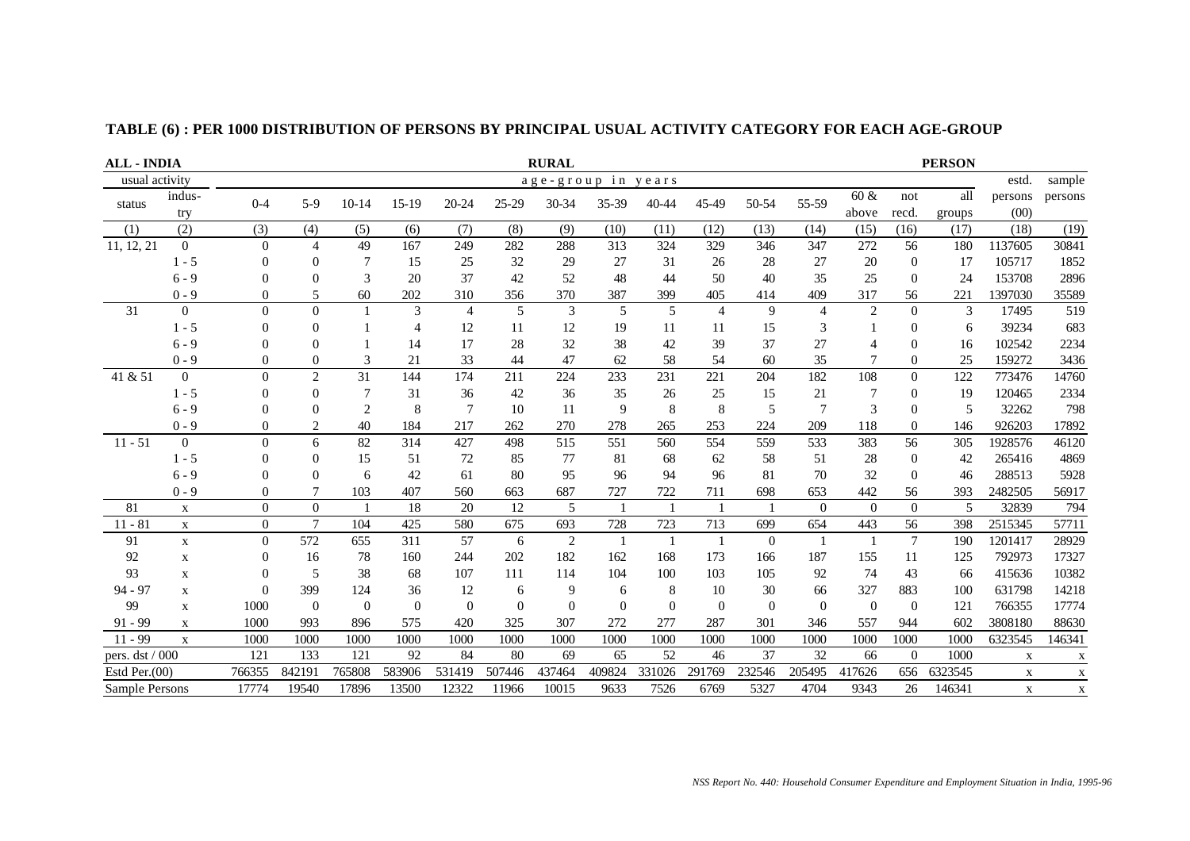| <b>ALL - INDIA</b> |                   |                  | <b>RURAL</b>   |                |                |                |          |          |                    |          |                |                |                |                | <b>PERSON</b>  |         |             |              |
|--------------------|-------------------|------------------|----------------|----------------|----------------|----------------|----------|----------|--------------------|----------|----------------|----------------|----------------|----------------|----------------|---------|-------------|--------------|
| usual activity     |                   |                  |                |                |                |                |          |          | age-group in years |          |                |                |                |                |                |         | estd.       | sample       |
| status             | indus-<br>$0 - 4$ | $5-9$            | $10 - 14$      | $15-19$        | 20-24          | 25-29          | 30-34    | 35-39    | 40-44              | 45-49    | 50-54          | 55-59          | 60 &           | not            | all            | persons | persons     |              |
|                    | try               |                  |                |                |                |                |          |          |                    |          |                |                |                | above          | recd.          | groups  | (00)        |              |
| (1)                | (2)               | (3)              | (4)            | (5)            | (6)            | (7)            | (8)      | (9)      | (10)               | (11)     | (12)           | (13)           | (14)           | (15)           | (16)           | (17)    | (18)        | (19)         |
| 11, 12, 21         | $\overline{0}$    | $\overline{0}$   | $\overline{4}$ | 49             | 167            | 249            | 282      | 288      | 313                | 324      | 329            | 346            | 347            | 272            | 56             | 180     | 1137605     | 30841        |
|                    | $1 - 5$           | $\theta$         | $\mathbf{0}$   | 7              | 15             | 25             | 32       | 29       | 27                 | 31       | 26             | 28             | 27             | 20             | $\overline{0}$ | 17      | 105717      | 1852         |
|                    | $6 - 9$           | $\Omega$         | $\Omega$       | 3              | 20             | 37             | 42       | 52       | 48                 | 44       | 50             | 40             | 35             | 25             | $\theta$       | 24      | 153708      | 2896         |
|                    | $0 - 9$           | $^{(1)}$         | 5              | 60             | 202            | 310            | 356      | 370      | 387                | 399      | 405            | 414            | 409            | 317            | 56             | 221     | 1397030     | 35589        |
| 31                 | $\overline{0}$    | $\mathbf{0}$     | $\Omega$       |                | 3              | $\overline{4}$ | 5        | 3        | 5                  | 5        | $\overline{4}$ | 9              | $\overline{4}$ | 2              | $\theta$       | 3       | 17495       | 519          |
|                    | $1 - 5$           | $\Omega$         | $\theta$       |                | $\overline{4}$ | 12             | 11       | 12       | 19                 | 11       | 11             | 15             | 3              |                | $\Omega$       | 6       | 39234       | 683          |
|                    | $6 - 9$           | $\boldsymbol{0}$ | 0              |                | 14             | 17             | 28       | 32       | 38                 | 42       | 39             | 37             | 27             |                | $\mathbf{0}$   | 16      | 102542      | 2234         |
|                    | $0 - 9$           | 0                | $\theta$       | 3              | 21             | 33             | 44       | 47       | 62                 | 58       | 54             | 60             | 35             |                | $\overline{0}$ | 25      | 159272      | 3436         |
| 41 & 51            | $\boldsymbol{0}$  | $\Omega$         | $\overline{2}$ | 31             | 144            | 174            | 211      | 224      | 233                | 231      | 221            | 204            | 182            | 108            | $\theta$       | 122     | 773476      | 14760        |
|                    | $1 - 5$           | $\Omega$         | $\theta$       | 7              | 31             | 36             | 42       | 36       | 35                 | 26       | 25             | 15             | 21             |                | $\Omega$       | 19      | 120465      | 2334         |
|                    | $6 - 9$           | $\Omega$         | $\theta$       | $\overline{2}$ | 8              | $\tau$         | 10       | 11       | 9                  | 8        | 8              | 5              | $\overline{7}$ | 3              | $\Omega$       | 5       | 32262       | 798          |
|                    | $0 - 9$           | 0                | 2              | 40             | 184            | 217            | 262      | 270      | 278                | 265      | 253            | 224            | 209            | 118            | $\Omega$       | 146     | 926203      | 17892        |
| $11 - 51$          | $\overline{0}$    | $\Omega$         | 6              | 82             | 314            | 427            | 498      | 515      | 551                | 560      | 554            | 559            | 533            | 383            | 56             | 305     | 1928576     | 46120        |
|                    | $1 - 5$           | 0                | $\theta$       | 15             | 51             | 72             | 85       | 77       | 81                 | 68       | 62             | 58             | 51             | 28             | $\overline{0}$ | 42      | 265416      | 4869         |
|                    | $6 - 9$           | $\Omega$         | $\Omega$       | 6              | 42             | 61             | 80       | 95       | 96                 | 94       | 96             | 81             | 70             | 32             | $\Omega$       | 46      | 288513      | 5928         |
|                    | $0 - 9$           | $\theta$         | 7              | 103            | 407            | 560            | 663      | 687      | 727                | 722      | 711            | 698            | 653            | 442            | 56             | 393     | 2482505     | 56917        |
| 81                 | $\mathbf X$       | $\overline{0}$   | $\mathbf{0}$   |                | 18             | 20             | 12       | 5        |                    |          |                |                | $\overline{0}$ | $\overline{0}$ | $\theta$       | 5       | 32839       | 794          |
| $11 - 81$          | $\mathbf X$       | $\boldsymbol{0}$ | $\tau$         | 104            | 425            | 580            | 675      | 693      | 728                | 723      | 713            | 699            | 654            | 443            | 56             | 398     | 2515345     | 57711        |
| 91                 | $\mathbf x$       | $\overline{0}$   | 572            | 655            | 311            | 57             | 6        | 2        | $\overline{1}$     | -1       |                | $\overline{0}$ | -1             | -1             | $\overline{7}$ | 190     | 1201417     | 28929        |
| 92                 | $\mathbf X$       | $\theta$         | 16             | 78             | 160            | 244            | 202      | 182      | 162                | 168      | 173            | 166            | 187            | 155            | 11             | 125     | 792973      | 17327        |
| 93                 | $\mathbf X$       | $\overline{0}$   | 5              | 38             | 68             | 107            | 111      | 114      | 104                | 100      | 103            | 105            | 92             | 74             | 43             | 66      | 415636      | 10382        |
| 94 - 97            | $\mathbf X$       | $\Omega$         | 399            | 124            | 36             | 12             | 6        | 9        | 6                  | 8        | 10             | 30             | 66             | 327            | 883            | 100     | 631798      | 14218        |
| 99                 | $\mathbf X$       | 1000             | $\theta$       | $\overline{0}$ | $\Omega$       | $\Omega$       | $\Omega$ | $\Omega$ | $\Omega$           | $\theta$ | $\Omega$       | $\overline{0}$ | $\overline{0}$ | $\overline{0}$ | $\Omega$       | 121     | 766355      | 17774        |
| $91 - 99$          | $\mathbf x$       | 1000             | 993            | 896            | 575            | 420            | 325      | 307      | 272                | 277      | 287            | 301            | 346            | 557            | 944            | 602     | 3808180     | 88630        |
| $11 - 99$          | $\mathbf X$       | 1000             | 1000           | 1000           | 1000           | 1000           | 1000     | 1000     | 1000               | 1000     | 1000           | 1000           | 1000           | 1000           | 1000           | 1000    | 6323545     | 146341       |
| pers. dst / 000    |                   | 121              | 133            | 121            | 92             | 84             | 80       | 69       | 65                 | 52       | 46             | 37             | 32             | 66             | $\overline{0}$ | 1000    | X           | $\mathbf{X}$ |
| Estd Per. $(00)$   |                   | 766355           | 842191         | 765808         | 583906         | 531419         | 507446   | 437464   | 409824             | 331026   | 291769         | 232546         | 205495         | 417626         | 656            | 6323545 | $\mathbf X$ | X            |
| Sample Persons     |                   | 17774            | 19540          | 17896          | 13500          | 12322          | 11966    | 10015    | 9633               | 7526     | 6769           | 5327           | 4704           | 9343           | 26             | 146341  | $\mathbf X$ | $\mathbf X$  |

## **TABLE (6) : PER 1000 DISTRIBUTION OF PERSONS BY PRINCIPAL USUAL ACTIVITY CATEGORY FOR EACH AGE-GROUP**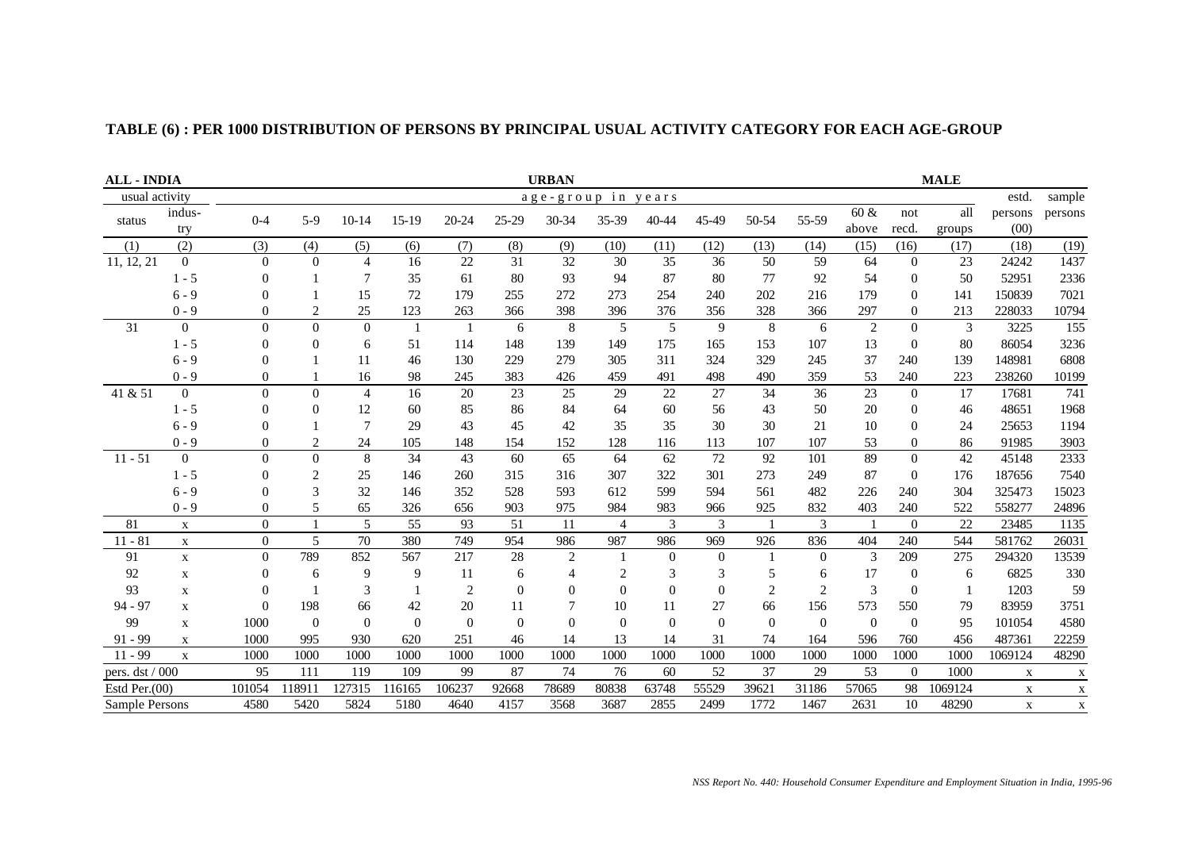| <b>ALL - INDIA</b> | <b>URBAN</b><br><b>MALE</b> |                  |                |                |          |                |          |                    |                |           |          |          |                |                |                |         |         |              |
|--------------------|-----------------------------|------------------|----------------|----------------|----------|----------------|----------|--------------------|----------------|-----------|----------|----------|----------------|----------------|----------------|---------|---------|--------------|
| usual activity     |                             |                  |                |                |          |                |          | age-group in years |                |           |          |          |                |                |                |         | estd.   | sample       |
| status             | indus-                      | $0 - 4$          | $5-9$          | $10-14$        | $15-19$  | 20-24          | 25-29    | 30-34              | 35-39          | $40 - 44$ | 45-49    | 50-54    | 55-59          | 60 &           | not            | all     | persons | persons      |
|                    | try                         |                  |                |                |          |                |          |                    |                |           |          |          |                | above          | recd.          | groups  | (00)    |              |
| (1)                | (2)                         | (3)              | (4)            | (5)            | (6)      | (7)            | (8)      | (9)                | (10)           | (11)      | (12)     | (13)     | (14)           | (15)           | (16)           | (17)    | (18)    | (19)         |
| 11, 12, 21         | $\overline{0}$              | $\overline{0}$   | $\overline{0}$ | 4              | 16       | 22             | 31       | 32                 | 30             | 35        | 36       | 50       | 59             | 64             | $\overline{0}$ | 23      | 24242   | 1437         |
|                    | $1 - 5$                     | $\Omega$         |                | $\overline{7}$ | 35       | 61             | 80       | 93                 | 94             | 87        | 80       | 77       | 92             | 54             | $\theta$       | 50      | 52951   | 2336         |
|                    | $6 - 9$                     | $\Omega$         |                | 15             | 72       | 179            | 255      | 272                | 273            | 254       | 240      | 202      | 216            | 179            | $\Omega$       | 141     | 150839  | 7021         |
|                    | $0 - 9$                     |                  | $\overline{c}$ | 25             | 123      | 263            | 366      | 398                | 396            | 376       | 356      | 328      | 366            | 297            | $\overline{0}$ | 213     | 228033  | 10794        |
| 31                 | $\Omega$                    | $\Omega$         | $\Omega$       | $\Omega$       |          | $\overline{1}$ | 6        | 8                  | 5              | 5         | 9        | 8        | 6              | $\overline{2}$ | $\Omega$       | 3       | 3225    | 155          |
|                    | $1 - 5$                     | $\Omega$         | $\theta$       | 6              | 51       | 114            | 148      | 139                | 149            | 175       | 165      | 153      | 107            | 13             | $\theta$       | 80      | 86054   | 3236         |
|                    | $6 - 9$                     |                  |                | 11             | 46       | 130            | 229      | 279                | 305            | 311       | 324      | 329      | 245            | 37             | 240            | 139     | 148981  | 6808         |
|                    | $0 - 9$                     | 0                |                | 16             | 98       | 245            | 383      | 426                | 459            | 491       | 498      | 490      | 359            | 53             | 240            | 223     | 238260  | 10199        |
| 41 & 51            | $\overline{0}$              | $\overline{0}$   | $\Omega$       | $\overline{4}$ | 16       | 20             | 23       | 25                 | 29             | 22        | 27       | 34       | 36             | 23             | $\theta$       | 17      | 17681   | 741          |
|                    | $1 - 5$                     | $\Omega$         | $\Omega$       | 12             | 60       | 85             | 86       | 84                 | 64             | 60        | 56       | 43       | 50             | 20             | $\theta$       | 46      | 48651   | 1968         |
|                    | $6 - 9$                     |                  |                | 7              | 29       | 43             | 45       | 42                 | 35             | 35        | 30       | 30       | 21             | 10             | $\Omega$       | 24      | 25653   | 1194         |
|                    | $0 - 9$                     |                  | $\overline{2}$ | 24             | 105      | 148            | 154      | 152                | 128            | 116       | 113      | 107      | 107            | 53             | 0              | 86      | 91985   | 3903         |
| $11 - 51$          | $\overline{0}$              | $\mathbf{0}$     | $\Omega$       | 8              | 34       | 43             | 60       | 65                 | 64             | 62        | 72       | 92       | 101            | 89             | $\Omega$       | 42      | 45148   | 2333         |
|                    | $1 - 5$                     | $\Omega$         | 2              | 25             | 146      | 260            | 315      | 316                | 307            | 322       | 301      | 273      | 249            | 87             | $\Omega$       | 176     | 187656  | 7540         |
|                    | $6 - 9$                     | $\Omega$         | 3              | 32             | 146      | 352            | 528      | 593                | 612            | 599       | 594      | 561      | 482            | 226            | 240            | 304     | 325473  | 15023        |
|                    | $0 - 9$                     | $\overline{0}$   | 5              | 65             | 326      | 656            | 903      | 975                | 984            | 983       | 966      | 925      | 832            | 403            | 240            | 522     | 558277  | 24896        |
| 81                 | $\mathbf X$                 | $\boldsymbol{0}$ |                | 5              | 55       | 93             | 51       | 11                 | $\overline{4}$ | 3         | 3        |          | 3              |                | $\Omega$       | 22      | 23485   | 1135         |
| $11 - 81$          | $\mathbf X$                 | $\boldsymbol{0}$ | 5              | 70             | 380      | 749            | 954      | 986                | 987            | 986       | 969      | 926      | 836            | 404            | 240            | 544     | 581762  | 26031        |
| 91                 | $\mathbf X$                 | $\Omega$         | 789            | 852            | 567      | 217            | 28       | $\overline{2}$     |                | $\Omega$  | $\theta$ |          | $\Omega$       | 3              | 209            | 275     | 294320  | 13539        |
| 92                 | $\mathbf X$                 | $\overline{0}$   | 6              | 9              | 9        | 11             | 6        | $\overline{4}$     | 2              | 3         | 3        | 5        | 6              | 17             | $\Omega$       | 6       | 6825    | 330          |
| 93                 | $\mathbf X$                 | $\Omega$         |                | 3              |          | 2              | $\Omega$ | $\Omega$           | $\Omega$       | $\Omega$  | $\Omega$ | 2        | $\overline{2}$ | 3              | $\Omega$       |         | 1203    | 59           |
| $94 - 97$          | $\mathbf X$                 | $\Omega$         | 198            | 66             | 42       | 20             | 11       |                    | 10             | 11        | 27       | 66       | 156            | 573            | 550            | 79      | 83959   | 3751         |
| 99                 | $\mathbf X$                 | 1000             | $\overline{0}$ | $\Omega$       | $\Omega$ | $\Omega$       | $\Omega$ | $\Omega$           | $\Omega$       | $\Omega$  | $\Omega$ | $\Omega$ | $\overline{0}$ | $\overline{0}$ | $\Omega$       | 95      | 101054  | 4580         |
| $91 - 99$          | $\mathbf X$                 | 1000             | 995            | 930            | 620      | 251            | 46       | 14                 | 13             | 14        | 31       | 74       | 164            | 596            | 760            | 456     | 487361  | 22259        |
| $11 - 99$          | $\mathbf{X}$                | 1000             | 1000           | 1000           | 1000     | 1000           | 1000     | 1000               | 1000           | 1000      | 1000     | 1000     | 1000           | 1000           | 1000           | 1000    | 1069124 | 48290        |
| pers. dst / 000    |                             | 95               | 111            | 119            | 109      | 99             | 87       | 74                 | 76             | 60        | 52       | 37       | 29             | 53             | $\Omega$       | 1000    | X       | $\mathbf X$  |
| Estd Per. $(00)$   |                             | 101054           | 118911         | 127315         | 116165   | 106237         | 92668    | 78689              | 80838          | 63748     | 55529    | 39621    | 31186          | 57065          | 98             | 1069124 | X       | $\mathbf{X}$ |
| Sample Persons     |                             | 4580             | 5420           | 5824           | 5180     | 4640           | 4157     | 3568               | 3687           | 2855      | 2499     | 1772     | 1467           | 2631           | 10             | 48290   | X       | $\mathbf X$  |

# **TABLE (6) : PER 1000 DISTRIBUTION OF PERSONS BY PRINCIPAL USUAL ACTIVITY CATEGORY FOR EACH AGE-GROUP**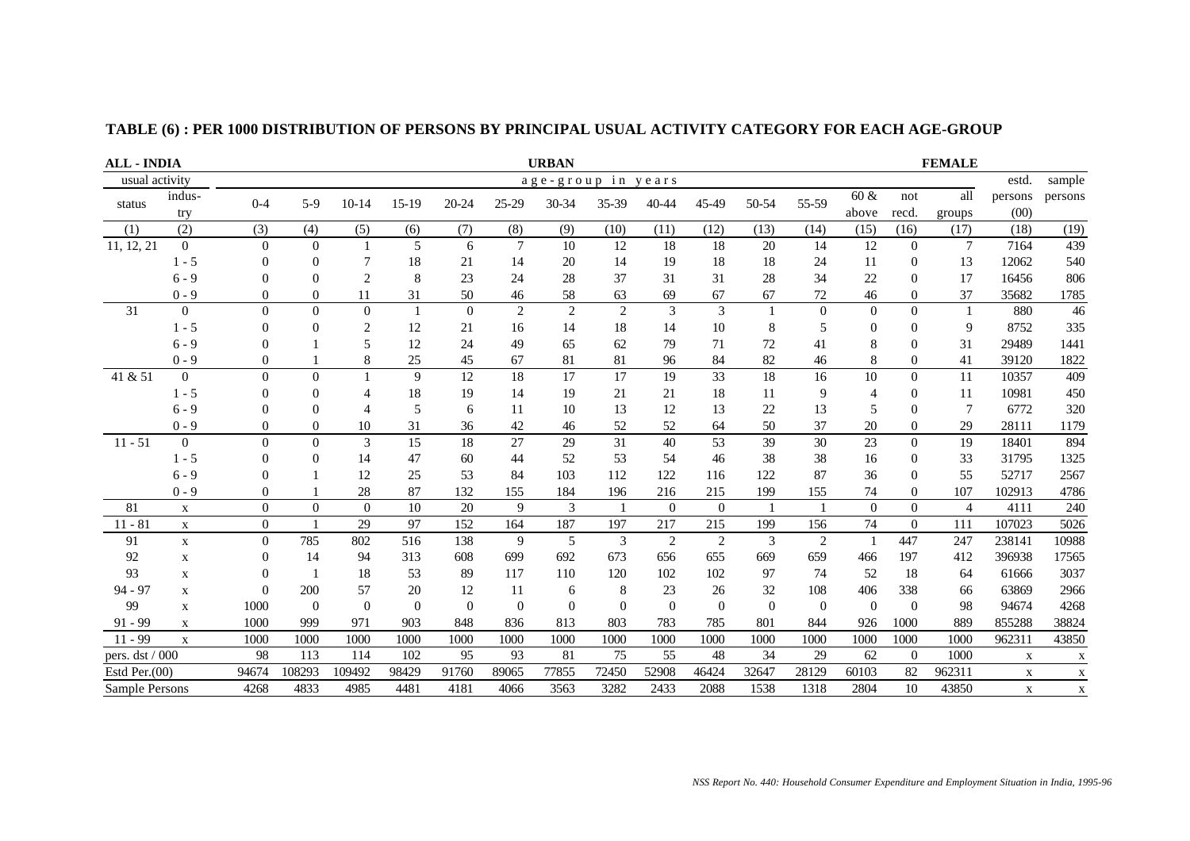|                  | <b>URBAN</b><br><b>FEMALE</b><br><b>ALL - INDIA</b> |                |                |                |              |                |                 |                    |                             |          |          |                |                |                  |                |                |             |             |
|------------------|-----------------------------------------------------|----------------|----------------|----------------|--------------|----------------|-----------------|--------------------|-----------------------------|----------|----------|----------------|----------------|------------------|----------------|----------------|-------------|-------------|
| usual activity   |                                                     |                |                |                |              |                |                 | age-group in years |                             |          |          |                |                |                  |                |                | estd.       | sample      |
| status           | indus-                                              | $0 - 4$        | $5-9$          | $10-14$        | $15-19$      | 20-24          | 25-29           | 30-34              | 35-39                       | 40-44    | 45-49    | 50-54          | 55-59          | 60 &             | not            | all            | persons     | persons     |
|                  | try                                                 |                |                |                |              |                |                 |                    |                             |          |          |                |                | above            | recd.          | groups         | (00)        |             |
| (1)              | (2)                                                 | (3)            | (4)            | (5)            | (6)          | (7)            | (8)             | (9)                | (10)                        | (11)     | (12)     | (13)           | (14)           | (15)             | (16)           | (17)           | (18)        | (19)        |
| 11, 12, 21       | $\mathbf{0}$                                        | $\overline{0}$ | $\overline{0}$ |                | 5            | 6              | $7\phantom{.0}$ | 10                 | 12                          | 18       | 18       | 20             | 14             | 12               | $\overline{0}$ | $\overline{7}$ | 7164        | 439         |
|                  | $1 - 5$                                             | $\Omega$       | $\Omega$       | 7              | 18           | 21             | 14              | 20                 | 14                          | 19       | 18       | 18             | 24             | 11               | $\Omega$       | 13             | 12062       | 540         |
|                  | $6 - 9$                                             | 0              | $\overline{0}$ | $\overline{2}$ | 8            | 23             | 24              | 28                 | 37                          | 31       | 31       | 28             | 34             | 22               | $\Omega$       | 17             | 16456       | 806         |
|                  | $0 - 9$                                             | 0              | $\Omega$       | 11             | 31           | 50             | 46              | 58                 | 63                          | 69       | 67       | 67             | 72             | 46               | $\theta$       | 37             | 35682       | 1785        |
| 31               | $\overline{0}$                                      | $\mathbf{0}$   | $\Omega$       | $\Omega$       | $\mathbf{1}$ | $\overline{0}$ | $\overline{2}$  | $\overline{2}$     | $\mathcal{D}_{\mathcal{L}}$ | 3        | 3        | $\overline{1}$ | $\Omega$       | $\mathbf{0}$     | $\Omega$       | $\overline{1}$ | 880         | 46          |
|                  | $1 - 5$                                             | $\theta$       | $\overline{0}$ | $\overline{2}$ | 12           | 21             | 16              | 14                 | 18                          | 14       | 10       | 8              | 5              | $\boldsymbol{0}$ | $\theta$       | 9              | 8752        | 335         |
|                  | $6 - 9$                                             | 0              |                | 5              | 12           | 24             | 49              | 65                 | 62                          | 79       | 71       | 72             | 41             | 8                | $\theta$       | 31             | 29489       | 1441        |
|                  | $0 - 9$                                             | 0              |                | 8              | 25           | 45             | 67              | 81                 | 81                          | 96       | 84       | 82             | 46             | $\,8\,$          | $\Omega$       | 41             | 39120       | 1822        |
| 41 & 51          | $\overline{0}$                                      | $\overline{0}$ | $\theta$       |                | 9            | 12             | 18              | 17                 | 17                          | 19       | 33       | 18             | 16             | 10               | $\Omega$       | 11             | 10357       | 409         |
|                  | $1 - 5$                                             | 0              | $\Omega$       | $\overline{4}$ | 18           | 19             | 14              | 19                 | 21                          | 21       | 18       | 11             | 9              | $\overline{4}$   | $\theta$       | 11             | 10981       | 450         |
|                  | $6 - 9$                                             | 0              | $\overline{0}$ | $\overline{4}$ | 5            | 6              | 11              | 10                 | 13                          | 12       | 13       | 22             | 13             | 5                | $\theta$       | $\overline{7}$ | 6772        | 320         |
|                  | $0 - 9$                                             | 0              | $\overline{0}$ | 10             | 31           | 36             | 42              | 46                 | 52                          | 52       | 64       | 50             | 37             | 20               | $\Omega$       | 29             | 28111       | 1179        |
| $11 - 51$        | $\overline{0}$                                      | $\theta$       | $\theta$       | 3              | 15           | 18             | 27              | 29                 | 31                          | 40       | 53       | 39             | 30             | 23               | $\theta$       | 19             | 18401       | 894         |
|                  | $1 - 5$                                             | 0              | $\overline{0}$ | 14             | 47           | 60             | 44              | 52                 | 53                          | 54       | 46       | 38             | 38             | 16               | $\Omega$       | 33             | 31795       | 1325        |
|                  | $6 - 9$                                             | 0              |                | 12             | 25           | 53             | 84              | 103                | 112                         | 122      | 116      | 122            | 87             | 36               | $\Omega$       | 55             | 52717       | 2567        |
|                  | $0 - 9$                                             | $\theta$       |                | 28             | 87           | 132            | 155             | 184                | 196                         | 216      | 215      | 199            | 155            | 74               | $\Omega$       | 107            | 102913      | 4786        |
| 81               | $\mathbf X$                                         | $\mathbf{0}$   | $\Omega$       | $\Omega$       | 10           | 20             | 9               | 3                  | $\overline{1}$              | $\Omega$ | $\Omega$ | $\overline{1}$ | $\overline{1}$ | $\overline{0}$   | $\Omega$       | $\overline{4}$ | 4111        | 240         |
| $11 - 81$        | $\mathbf X$                                         | $\overline{0}$ | $\mathbf{1}$   | 29             | 97           | 152            | 164             | 187                | 197                         | 217      | 215      | 199            | 156            | 74               | $\overline{0}$ | 111            | 107023      | 5026        |
| 91               | $\mathbf X$                                         | $\overline{0}$ | 785            | 802            | 516          | 138            | 9               | 5                  | 3                           | 2        | 2        | 3              | $\overline{2}$ | $\overline{1}$   | 447            | 247            | 238141      | 10988       |
| 92               | $\mathbf X$                                         | 0              | 14             | 94             | 313          | 608            | 699             | 692                | 673                         | 656      | 655      | 669            | 659            | 466              | 197            | 412            | 396938      | 17565       |
| 93               | $\mathbf X$                                         | $\overline{0}$ | $\overline{1}$ | 18             | 53           | 89             | 117             | 110                | 120                         | 102      | 102      | 97             | 74             | 52               | 18             | 64             | 61666       | 3037        |
| 94 - 97          | $\mathbf X$                                         | $\overline{0}$ | 200            | 57             | 20           | 12             | 11              | 6                  | 8                           | 23       | 26       | 32             | 108            | 406              | 338            | 66             | 63869       | 2966        |
| 99               | $\mathbf x$                                         | 1000           | $\theta$       | $\theta$       | $\Omega$     | $\Omega$       | $\Omega$        | $\Omega$           | $\Omega$                    | $\theta$ | $\theta$ | $\overline{0}$ | $\overline{0}$ | $\overline{0}$   | $\theta$       | 98             | 94674       | 4268        |
| $91 - 99$        | $\mathbf x$                                         | 1000           | 999            | 971            | 903          | 848            | 836             | 813                | 803                         | 783      | 785      | 801            | 844            | 926              | 1000           | 889            | 855288      | 38824       |
| $11 - 99$        | $\mathbf X$                                         | 1000           | 1000           | 1000           | 1000         | 1000           | 1000            | 1000               | 1000                        | 1000     | 1000     | 1000           | 1000           | 1000             | 1000           | 1000           | 962311      | 43850       |
| pers. dst / 000  |                                                     | 98             | 113            | 114            | 102          | 95             | 93              | 81                 | 75                          | 55       | 48       | 34             | 29             | 62               | $\overline{0}$ | 1000           | $\mathbf x$ | X           |
| Estd Per. $(00)$ |                                                     | 94674          | 108293         | 109492         | 98429        | 91760          | 89065           | 77855              | 72450                       | 52908    | 46424    | 32647          | 28129          | 60103            | 82             | 962311         | $\mathbf X$ | X           |
| Sample Persons   |                                                     | 4268           | 4833           | 4985           | 4481         | 4181           | 4066            | 3563               | 3282                        | 2433     | 2088     | 1538           | 1318           | 2804             | 10             | 43850          | $\mathbf X$ | $\mathbf X$ |

## **TABLE (6) : PER 1000 DISTRIBUTION OF PERSONS BY PRINCIPAL USUAL ACTIVITY CATEGORY FOR EACH AGE-GROUP**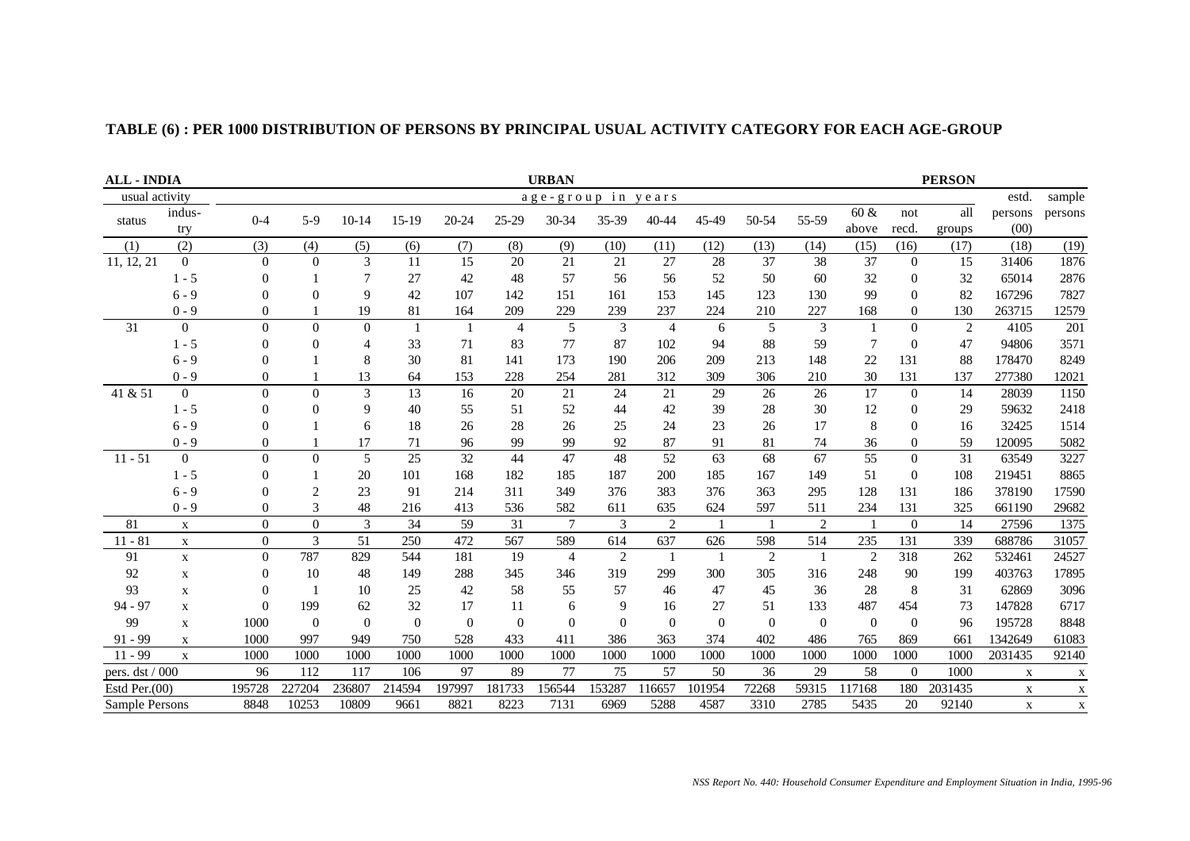| <b>ALL - INDIA</b> | <b>URBAN</b><br><b>PERSON</b> |                |                |                |          |          |                |                |                    |                |          |                |                |                |                |         |              |              |
|--------------------|-------------------------------|----------------|----------------|----------------|----------|----------|----------------|----------------|--------------------|----------------|----------|----------------|----------------|----------------|----------------|---------|--------------|--------------|
| usual activity     |                               |                |                |                |          |          |                |                | age-group in years |                |          |                |                |                |                |         | estd.        | sample       |
| status             | indus-                        | $0 - 4$        | $5-9$          | $10-14$        | $15-19$  | 20-24    | $25-29$        | 30-34          | 35-39              | $40 - 44$      | 45-49    | 50-54          | 55-59          | $60 \&$        | not            | all     | persons      | persons      |
|                    | try                           |                |                |                |          |          |                |                |                    |                |          |                |                | above          | recd.          | groups  | (00)         |              |
| (1)                | (2)                           | (3)            | (4)            | (5)            | (6)      | (7)      | (8)            | (9)            | (10)               | (11)           | (12)     | (13)           | (14)           | (15)           | (16)           | (17)    | (18)         | (19)         |
| 11, 12, 21         | $\overline{0}$                | $\overline{0}$ | $\overline{0}$ | 3              | 11       | 15       | 20             | 21             | 21                 | 27             | 28       | 37             | 38             | 37             | $\theta$       | 15      | 31406        | 1876         |
|                    | $1 - 5$                       | $\overline{0}$ |                | $\overline{7}$ | 27       | 42       | 48             | 57             | 56                 | 56             | 52       | 50             | 60             | 32             | $\overline{0}$ | 32      | 65014        | 2876         |
|                    | $6 - 9$                       | $\Omega$       | $\theta$       | 9              | 42       | 107      | 142            | 151            | 161                | 153            | 145      | 123            | 130            | 99             | $\theta$       | 82      | 167296       | 7827         |
|                    | $0 - 9$                       | 0              |                | 19             | 81       | 164      | 209            | 229            | 239                | 237            | 224      | 210            | 227            | 168            | $\theta$       | 130     | 263715       | 12579        |
| 31                 | $\mathbf{0}$                  | $\Omega$       | $\Omega$       | $\overline{0}$ |          | -1       | $\overline{4}$ | 5              | 3                  | $\overline{4}$ | 6        | 5              | $\overline{3}$ | -1             | $\Omega$       | 2       | 4105         | 201          |
|                    | $1 - 5$                       | $\Omega$       | $\Omega$       | $\overline{4}$ | 33       | 71       | 83             | 77             | 87                 | 102            | 94       | 88             | 59             | $\tau$         | $\Omega$       | 47      | 94806        | 3571         |
|                    | $6 - 9$                       | $\Omega$       |                | 8              | 30       | 81       | 141            | 173            | 190                | 206            | 209      | 213            | 148            | 22             | 131            | 88      | 178470       | 8249         |
|                    | $0 - 9$                       | $\Omega$       |                | 13             | 64       | 153      | 228            | 254            | 281                | 312            | 309      | 306            | 210            | 30             | 131            | 137     | 277380       | 12021        |
| 41 & 51            | $\overline{0}$                | $\theta$       | $\Omega$       | 3              | 13       | 16       | 20             | 21             | 24                 | 21             | 29       | 26             | 26             | 17             | $\Omega$       | 14      | 28039        | 1150         |
|                    | $1 - 5$                       | $\Omega$       | $\Omega$       | 9              | 40       | 55       | 51             | 52             | 44                 | 42             | 39       | 28             | 30             | 12             | $\theta$       | 29      | 59632        | 2418         |
|                    | $6 - 9$                       | $\Omega$       |                | 6              | 18       | 26       | 28             | 26             | 25                 | 24             | 23       | 26             | 17             | 8              | $\overline{0}$ | 16      | 32425        | 1514         |
|                    | $0 - 9$                       |                |                | 17             | 71       | 96       | 99             | 99             | 92                 | 87             | 91       | 81             | 74             | 36             | $\theta$       | 59      | 120095       | 5082         |
| $11 - 51$          | $\overline{0}$                | $\theta$       | $\Omega$       | 5              | 25       | 32       | 44             | 47             | 48                 | 52             | 63       | 68             | 67             | 55             | $\Omega$       | 31      | 63549        | 3227         |
|                    | $1 - 5$                       | $\Omega$       |                | 20             | 101      | 168      | 182            | 185            | 187                | 200            | 185      | 167            | 149            | 51             | $\theta$       | 108     | 219451       | 8865         |
|                    | $6 - 9$                       | $\Omega$       | $\overline{2}$ | 23             | 91       | 214      | 311            | 349            | 376                | 383            | 376      | 363            | 295            | 128            | 131            | 186     | 378190       | 17590        |
|                    | $0 - 9$                       | $\overline{0}$ | 3              | 48             | 216      | 413      | 536            | 582            | 611                | 635            | 624      | 597            | 511            | 234            | 131            | 325     | 661190       | 29682        |
| 81                 | $\mathbf X$                   | $\mathbf{0}$   | $\overline{0}$ | 3              | 34       | 59       | 31             | $\overline{7}$ | 3                  | $\overline{c}$ |          | $\overline{1}$ | 2              | $\overline{1}$ | $\Omega$       | 14      | 27596        | 1375         |
| $11 - 81$          | $\mathbf X$                   | $\mathbf{0}$   | $\overline{3}$ | 51             | 250      | 472      | 567            | 589            | 614                | 637            | 626      | 598            | 514            | 235            | 131            | 339     | 688786       | 31057        |
| 91                 | $\mathbf X$                   | $\mathbf{0}$   | 787            | 829            | 544      | 181      | 19             | $\overline{4}$ | $\overline{2}$     | -1             |          | $\overline{2}$ | $\overline{1}$ | 2              | 318            | 262     | 532461       | 24527        |
| 92                 | $\mathbf X$                   | 0              | 10             | 48             | 149      | 288      | 345            | 346            | 319                | 299            | 300      | 305            | 316            | 248            | 90             | 199     | 403763       | 17895        |
| 93                 | $\mathbf X$                   | $\overline{0}$ |                | 10             | 25       | 42       | 58             | 55             | 57                 | 46             | 47       | 45             | 36             | 28             | 8              | 31      | 62869        | 3096         |
| $94 - 97$          | $\mathbf X$                   | $\Omega$       | 199            | 62             | 32       | 17       | 11             | 6              | 9                  | 16             | 27       | 51             | 133            | 487            | 454            | 73      | 147828       | 6717         |
| 99                 | $\mathbf x$                   | 1000           | $\overline{0}$ | $\Omega$       | $\Omega$ | $\Omega$ | $\Omega$       | $\Omega$       | $\Omega$           | $\Omega$       | $\Omega$ | $\Omega$       | $\overline{0}$ | $\overline{0}$ | $\theta$       | 96      | 195728       | 8848         |
| $91 - 99$          | $\mathbf x$                   | 1000           | 997            | 949            | 750      | 528      | 433            | 411            | 386                | 363            | 374      | 402            | 486            | 765            | 869            | 661     | 1342649      | 61083        |
| $11 - 99$          | $\mathbf{X}$                  | 1000           | 1000           | 1000           | 1000     | 1000     | 1000           | 1000           | 1000               | 1000           | 1000     | 1000           | 1000           | 1000           | 1000           | 1000    | 2031435      | 92140        |
| pers. dst / 000    |                               | 96             | 112            | 117            | 106      | 97       | 89             | 77             | 75                 | 57             | 50       | 36             | 29             | 58             | $\Omega$       | 1000    | $\mathbf X$  | $\mathbf X$  |
| Estd Per. $(00)$   |                               | 195728         | 227204         | 236807         | 214594   | 197997   | 181733         | 156544         | 153287             | 116657         | 101954   | 72268          | 59315          | 117168         | 180            | 2031435 | $\mathbf{X}$ | $\mathbf{X}$ |
| Sample Persons     |                               | 8848           | 10253          | 10809          | 9661     | 8821     | 8223           | 7131           | 6969               | 5288           | 4587     | 3310           | 2785           | 5435           | 20             | 92140   | X            | $\mathbf X$  |

# **TABLE (6) : PER 1000 DISTRIBUTION OF PERSONS BY PRINCIPAL USUAL ACTIVITY CATEGORY FOR EACH AGE-GROUP**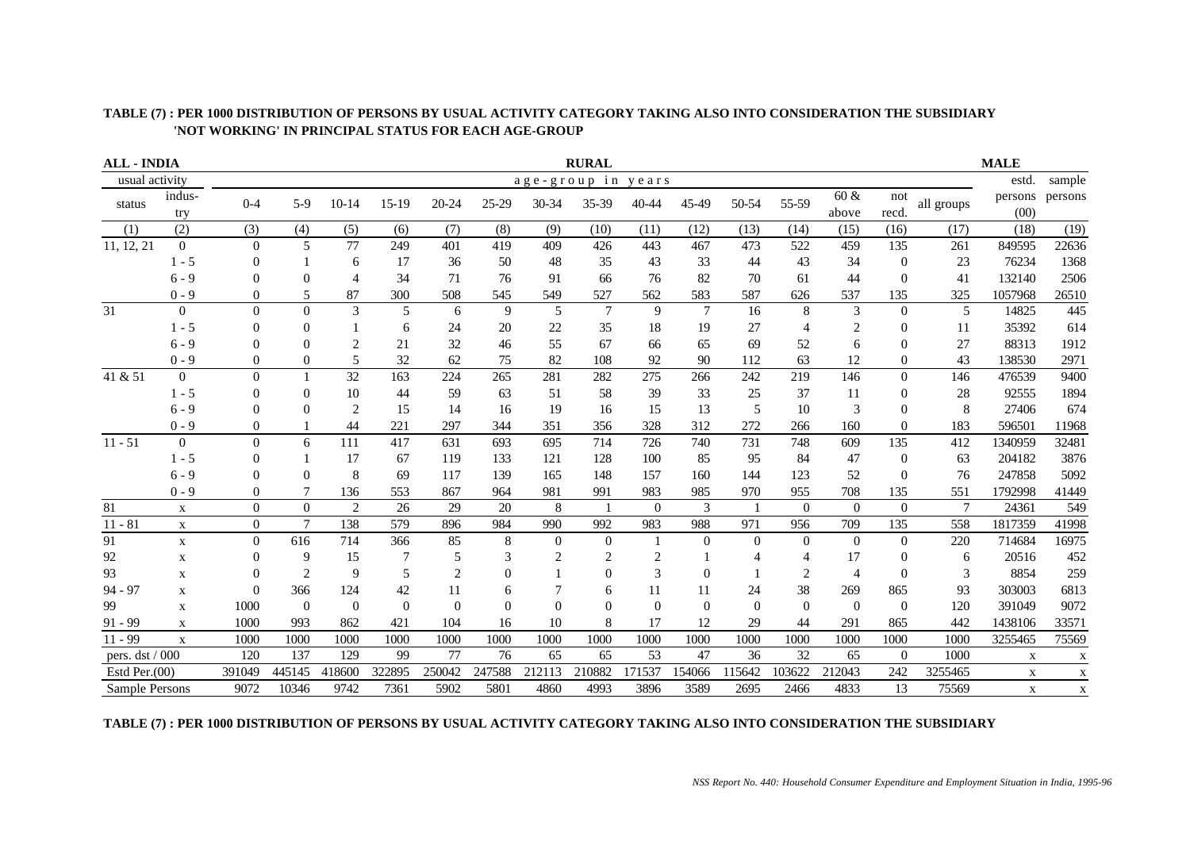| TABLE (7) : PER 1000 DISTRIBUTION OF PERSONS BY USUAL ACTIVITY CATEGORY TAKING ALSO INTO CONSIDERATION THE SUBSIDIARY |
|-----------------------------------------------------------------------------------------------------------------------|
| 'NOT WORKING' IN PRINCIPAL STATUS FOR EACH AGE-GROUP                                                                  |

| <b>ALL - INDIA</b> |                |                |                |                          |          |        |          |                | <b>RURAL</b>       |                |                 |          |          |                  |                  |                | <b>MALE</b>     |              |
|--------------------|----------------|----------------|----------------|--------------------------|----------|--------|----------|----------------|--------------------|----------------|-----------------|----------|----------|------------------|------------------|----------------|-----------------|--------------|
| usual activity     |                |                |                |                          |          |        |          |                | age-group in years |                |                 |          |          |                  |                  |                | estd.           | sample       |
| status             | indus-<br>try  | $0 - 4$        | $5-9$          | $10-14$                  | $15-19$  | 20-24  | 25-29    | 30-34          | 35-39              | 40-44          | 45-49           | 50-54    | 55-59    | $60 \&$<br>above | not<br>recd.     | all groups     | persons<br>(00) | persons      |
| (1)                | (2)            | (3)            | (4)            | (5)                      | (6)      | (7)    | (8)      | (9)            | (10)               | (11)           | (12)            | (13)     | (14)     | (15)             | (16)             | (17)           | (18)            | (19)         |
| 11, 12, 21         | $\overline{0}$ | $\Omega$       | 5              | 77                       | 249      | 401    | 419      | 409            | 426                | 443            | 467             | 473      | 522      | 459              | 135              | 261            | 849595          | 22636        |
|                    | $1 - 5$        | $\Omega$       |                | 6                        | 17       | 36     | 50       | 48             | 35                 | 43             | 33              | 44       | 43       | 34               | $\boldsymbol{0}$ | 23             | 76234           | 1368         |
|                    | $6 - 9$        |                | $\Omega$       | $\overline{\mathcal{A}}$ | 34       | 71     | 76       | 91             | 66                 | 76             | 82              | 70       | 61       | 44               | $\Omega$         | 41             | 132140          | 2506         |
|                    | $0 - 9$        | 0              | 5              | 87                       | 300      | 508    | 545      | 549            | 527                | 562            | 583             | 587      | 626      | 537              | 135              | 325            | 1057968         | 26510        |
| 31                 | $\Omega$       | $\Omega$       | $\Omega$       | 3                        | 5        | 6      | 9        | 5              | $\overline{7}$     | 9              | $7\phantom{.0}$ | 16       | 8        | 3                | $\Omega$         | 5              | 14825           | 445          |
|                    | $1 - 5$        | $\Omega$       | $\Omega$       |                          | 6        | 24     | 20       | 22             | 35                 | 18             | 19              | 27       | 4        | $\overline{c}$   | $\overline{0}$   | 11             | 35392           | 614          |
|                    | $6 - 9$        | $\Omega$       | $\Omega$       |                          | 21       | 32     | 46       | 55             | 67                 | 66             | 65              | 69       | 52       | 6                | $\Omega$         | 27             | 88313           | 1912         |
|                    | $0 - 9$        | $\Omega$       | 0              | 5                        | 32       | 62     | 75       | 82             | 108                | 92             | 90              | 112      | 63       | 12               | $\theta$         | 43             | 138530          | 2971         |
| 41 & 51            | $\Omega$       | $\Omega$       |                | 32                       | 163      | 224    | 265      | 281            | 282                | 275            | 266             | 242      | 219      | 146              | $\theta$         | 146            | 476539          | 9400         |
|                    | $1 - 5$        |                | $\Omega$       | 10                       | 44       | 59     | 63       | 51             | 58                 | 39             | 33              | 25       | 37       | 11               | $\overline{0}$   | 28             | 92555           | 1894         |
|                    | $6 - 9$        | $\Omega$       | ∩              | $\overline{2}$           | 15       | 14     | 16       | 19             | 16                 | 15             | 13              | 5        | 10       | 3                | $\Omega$         | 8              | 27406           | 674          |
|                    | $0 - 9$        | 0              |                | 44                       | 221      | 297    | 344      | 351            | 356                | 328            | 312             | 272      | 266      | 160              | $\Omega$         | 183            | 596501          | 11968        |
| $11 - 51$          | $\Omega$       | $\Omega$       | 6              | 111                      | 417      | 631    | 693      | 695            | 714                | 726            | 740             | 731      | 748      | 609              | 135              | 412            | 1340959         | 32481        |
|                    | $1 - 5$        | $\Omega$       |                | 17                       | 67       | 119    | 133      | 121            | 128                | 100            | 85              | 95       | 84       | 47               | $\overline{0}$   | 63             | 204182          | 3876         |
|                    | $6 - 9$        | $\Omega$       | $\Omega$       | 8                        | 69       | 117    | 139      | 165            | 148                | 157            | 160             | 144      | 123      | 52               | $\Omega$         | 76             | 247858          | 5092         |
|                    | $0 - 9$        | $\theta$       |                | 136                      | 553      | 867    | 964      | 981            | 991                | 983            | 985             | 970      | 955      | 708              | 135              | 551            | 1792998         | 41449        |
| 81                 | $\mathbf X$    | $\Omega$       | $\theta$       | $\overline{2}$           | 26       | 29     | 20       | 8              |                    | $\Omega$       | 3               |          | $\Omega$ | $\Omega$         | $\Omega$         | $\overline{7}$ | 24361           | 549          |
| $11 - 81$          | $\mathbf X$    | $\overline{0}$ | $\overline{7}$ | 138                      | 579      | 896    | 984      | 990            | 992                | 983            | 988             | 971      | 956      | 709              | 135              | 558            | 1817359         | 41998        |
| 91                 | $\mathbf X$    | $\Omega$       | 616            | 714                      | 366      | 85     | 8        | $\theta$       | $\Omega$           |                | $\theta$        | $\Omega$ | $\Omega$ | $\Omega$         | $\theta$         | 220            | 714684          | 16975        |
| 92                 | $\mathbf X$    | $\Omega$       | 9              | 15                       | 7        | 5      | 3        | $\overline{c}$ | 2                  | $\overline{2}$ |                 |          |          | 17               | $\theta$         | 6              | 20516           | 452          |
| 93                 | $\mathbf X$    |                | $\overline{c}$ | 9                        | 5        | 2      |          |                | $\Omega$           | 3              | $\Omega$        |          | 2        | $\overline{4}$   | $\theta$         | 3              | 8854            | 259          |
| $94 - 97$          | $\mathbf X$    | $\Omega$       | 366            | 124                      | 42       | 11     | 6        |                | 6                  | 11             | 11              | 24       | 38       | 269              | 865              | 93             | 303003          | 6813         |
| 99                 | $\mathbf X$    | 1000           | $\Omega$       | $\Omega$                 | $\Omega$ | 0      | $\Omega$ | $\Omega$       | $\Omega$           | $\Omega$       | $\Omega$        | $\Omega$ | $\Omega$ | $\Omega$         | $\theta$         | 120            | 391049          | 9072         |
| $91 - 99$          | $\mathbf X$    | 1000           | 993            | 862                      | 421      | 104    | 16       | 10             | 8                  | 17             | 12              | 29       | 44       | 291              | 865              | 442            | 1438106         | 33571        |
| $11 - 99$          | $\mathbf X$    | 1000           | 1000           | 1000                     | 1000     | 1000   | 1000     | 1000           | 1000               | 1000           | 1000            | 1000     | 1000     | 1000             | 1000             | 1000           | 3255465         | 75569        |
| pers. dst / 000    |                | 120            | 137            | 129                      | 99       | 77     | 76       | 65             | 65                 | 53             | 47              | 36       | 32       | 65               | $\theta$         | 1000           | X               | $\mathbf{x}$ |
| Estd Per. $(00)$   |                | 391049         | 445145         | 418600                   | 322895   | 250042 | 247588   | 212113         | 210882             | 171537         | 154066          | 115642   | 103622   | 212043           | 242              | 3255465        | $\mathbf X$     | X            |
| Sample Persons     |                | 9072           | 10346          | 9742                     | 7361     | 5902   | 5801     | 4860           | 4993               | 3896           | 3589            | 2695     | 2466     | 4833             | 13               | 75569          | $\mathbf X$     | $\mathbf{X}$ |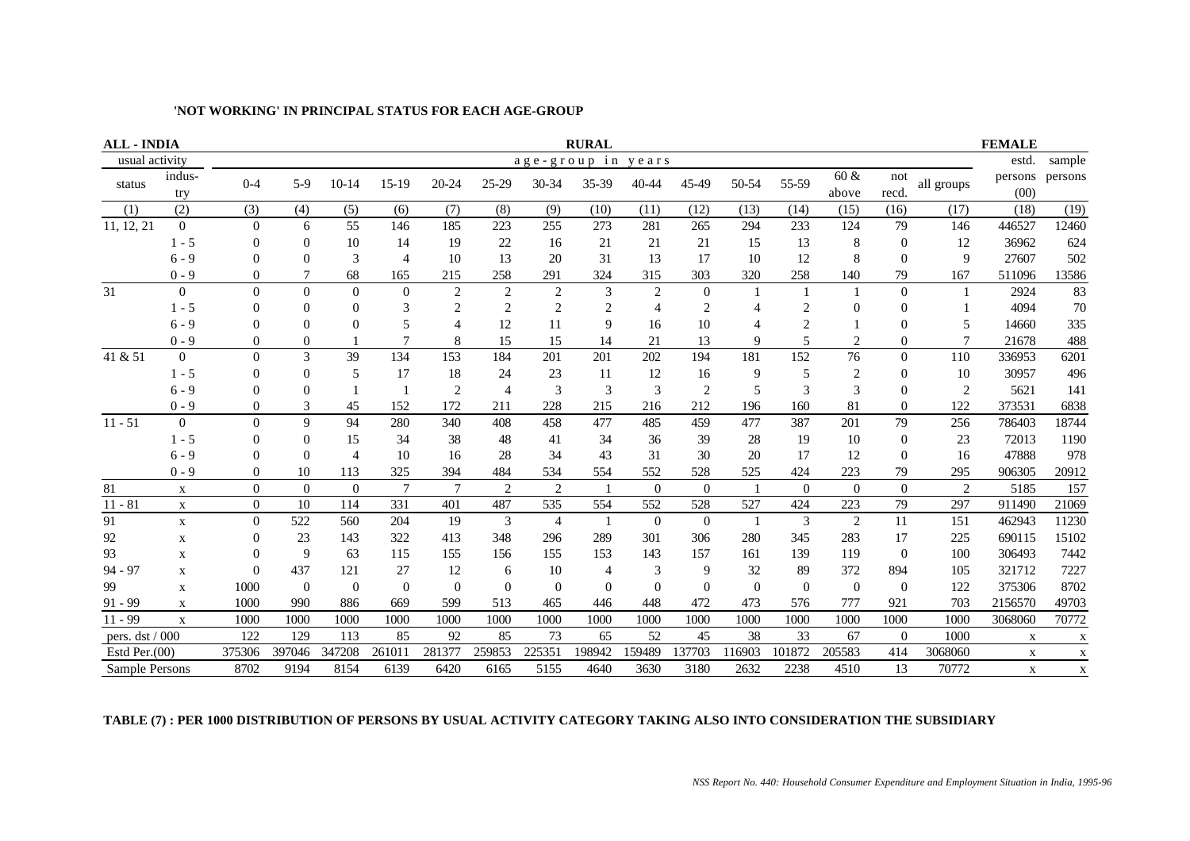| <b>ALL - INDIA</b> |                  |                |          |                |                |                          |                |                | <b>RURAL</b>   |                  |                |                |          |                            |                |                | <b>FEMALE</b>   |             |
|--------------------|------------------|----------------|----------|----------------|----------------|--------------------------|----------------|----------------|----------------|------------------|----------------|----------------|----------|----------------------------|----------------|----------------|-----------------|-------------|
| usual activity     |                  |                |          |                |                |                          |                | age-group in   |                | years            |                |                |          |                            |                |                | estd.           | sample      |
| status             | indus-<br>try    | $0 - 4$        | $5-9$    | $10 - 14$      | $15-19$        | $20 - 24$                | $25 - 29$      | 30-34          | 35-39          | 40-44            | 45-49          | 50-54          | 55-59    | $60\;\mathrm{\&}$<br>above | not<br>recd.   | all groups     | persons<br>(00) | persons     |
| (1)                | (2)              | (3)            | (4)      | (5)            | (6)            | (7)                      | (8)            | (9)            | (10)           | (11)             | (12)           | (13)           | (14)     | (15)                       | (16)           | (17)           | (18)            | (19)        |
| 11, 12, 21         | $\overline{0}$   | $\mathbf{0}$   | 6        | 55             | 146            | 185                      | 223            | 255            | 273            | 281              | 265            | 294            | 233      | 124                        | 79             | 146            | 446527          | 12460       |
|                    | $1 - 5$          | 0              | $\theta$ | 10             | 14             | 19                       | 22             | 16             | 21             | 21               | 21             | 15             | 13       | 8                          | $\theta$       | 12             | 36962           | 624         |
|                    | $6 - 9$          | 0              | 0        | 3              | $\overline{4}$ | 10                       | 13             | 20             | 31             | 13               | 17             | 10             | 12       | 8                          | $\Omega$       | 9              | 27607           | 502         |
|                    | $0 - 9$          | 0              |          | 68             | 165            | 215                      | 258            | 291            | 324            | 315              | 303            | 320            | 258      | 140                        | 79             | 167            | 511096          | 13586       |
| 31                 | $\overline{0}$   | $\theta$       | $\Omega$ | $\theta$       | $\Omega$       | $\overline{c}$           | $\overline{c}$ | $\overline{c}$ | 3              | $\overline{2}$   | $\mathbf{0}$   |                |          |                            | $\theta$       |                | 2924            | 83          |
|                    | $1 - 5$          | 0              | $\Omega$ | 0              | 3              | $\overline{c}$           | $\overline{2}$ | $\overline{2}$ | 2              | $\overline{4}$   | $\overline{c}$ |                |          | $\Omega$                   | $\Omega$       |                | 4094            | 70          |
|                    | $6 - 9$          | 0              | 0        | 0              | 5              | $\overline{\mathcal{A}}$ | 12             | 11             | 9              | 16               | 10             |                |          |                            | $\Omega$       |                | 14660           | 335         |
|                    | $0 - 9$          | $\Omega$       | $\Omega$ |                | $\mathcal{I}$  | 8                        | 15             | 15             | 14             | 21               | 13             | $\mathbf Q$    | 5        | $\overline{c}$             | $\Omega$       |                | 21678           | 488         |
| 41 & 51            | $\overline{0}$   | 0              | 3        | 39             | 134            | 153                      | 184            | 201            | 201            | 202              | 194            | 181            | 152      | 76                         | $\overline{0}$ | 110            | 336953          | 6201        |
|                    | $1 - 5$          | 0              | $\Omega$ | 5              | 17             | 18                       | 24             | 23             | 11             | 12               | 16             | 9              | 5        | 2                          | $\Omega$       | 10             | 30957           | 496         |
|                    | $6 - 9$          | 0              | $\Omega$ |                |                | $\overline{c}$           | $\overline{4}$ | 3              | 3              | 3                | $\overline{2}$ | 5              | 3        | 3                          | $\overline{0}$ | $\overline{2}$ | 5621            | 141         |
|                    | $0 - 9$          | $\Omega$       | 3        | 45             | 152            | 172                      | 211            | 228            | 215            | 216              | 212            | 196            | 160      | 81                         | $\Omega$       | 122            | 373531          | 6838        |
| $11 - 51$          | $\boldsymbol{0}$ | $\theta$       | 9        | 94             | 280            | 340                      | 408            | 458            | 477            | 485              | 459            | 477            | 387      | 201                        | 79             | 256            | 786403          | 18744       |
|                    | $1 - 5$          | 0              | $\Omega$ | 15             | 34             | 38                       | 48             | 41             | 34             | 36               | 39             | 28             | 19       | 10                         | $\theta$       | 23             | 72013           | 1190        |
|                    | $6 - 9$          | $\Omega$       | $\Omega$ | $\overline{4}$ | 10             | 16                       | 28             | 34             | 43             | 31               | 30             | 20             | 17       | 12                         | $\overline{0}$ | 16             | 47888           | 978         |
|                    | $0 - 9$          | $\overline{0}$ | 10       | 113            | 325            | 394                      | 484            | 534            | 554            | 552              | 528            | 525            | 424      | 223                        | 79             | 295            | 906305          | 20912       |
| 81                 | $\mathbf{X}$     | $\Omega$       | $\theta$ | $\Omega$       | $\tau$         | $\tau$                   | $\overline{c}$ | $\overline{2}$ |                | $\overline{0}$   | $\Omega$       |                | $\Omega$ | $\Omega$                   | $\Omega$       | $\overline{c}$ | 5185            | 157         |
| $11 - 81$          | $\mathbf X$      | $\overline{0}$ | 10       | 114            | 331            | 401                      | 487            | 535            | 554            | 552              | 528            | 527            | 424      | 223                        | 79             | 297            | 911490          | 21069       |
| 91                 | $\mathbf X$      | $\Omega$       | 522      | 560            | 204            | 19                       | 3              | $\overline{4}$ | $\mathbf{1}$   | $\boldsymbol{0}$ | $\overline{0}$ | $\overline{1}$ | 3        | $\overline{2}$             | 11             | 151            | 462943          | 11230       |
| 92                 | $\mathbf X$      | 0              | 23       | 143            | 322            | 413                      | 348            | 296            | 289            | 301              | 306            | 280            | 345      | 283                        | 17             | 225            | 690115          | 15102       |
| 93                 | X                | 0              | 9        | 63             | 115            | 155                      | 156            | 155            | 153            | 143              | 157            | 161            | 139      | 119                        | $\overline{0}$ | 100            | 306493          | 7442        |
| $94 - 97$          | X                | ∩              | 437      | 121            | 27             | 12                       | 6              | 10             | $\overline{4}$ | 3                | 9              | 32             | 89       | 372                        | 894            | 105            | 321712          | 7227        |
| 99                 | $\mathbf X$      | 1000           | $\theta$ | $\Omega$       | $\Omega$       | $\theta$                 | $\theta$       | $\overline{0}$ | $\overline{0}$ | $\theta$         | $\Omega$       | $\Omega$       | $\Omega$ | $\Omega$                   | $\overline{0}$ | 122            | 375306          | 8702        |
| $91 - 99$          | $\mathbf X$      | 1000           | 990      | 886            | 669            | 599                      | 513            | 465            | 446            | 448              | 472            | 473            | 576      | 777                        | 921            | 703            | 2156570         | 49703       |
| $11 - 99$          | $\mathbf X$      | 1000           | 1000     | 1000           | 1000           | 1000                     | 1000           | 1000           | 1000           | 1000             | 1000           | 1000           | 1000     | 1000                       | 1000           | 1000           | 3068060         | 70772       |
| pers. dst / 000    |                  | 122            | 129      | 113            | 85             | 92                       | 85             | 73             | 65             | 52               | 45             | 38             | 33       | 67                         | $\theta$       | 1000           | X               | X           |
| Estd Per. $(00)$   |                  | 375306         | 397046   | 347208         | 261011         | 281377                   | 259853         | 225351         | 198942         | 159489           | 137703         | 116903         | 101872   | 205583                     | 414            | 3068060        | X               | $\mathbf X$ |
| Sample Persons     |                  | 8702           | 9194     | 8154           | 6139           | 6420                     | 6165           | 5155           | 4640           | 3630             | 3180           | 2632           | 2238     | 4510                       | 13             | 70772          | X               | X           |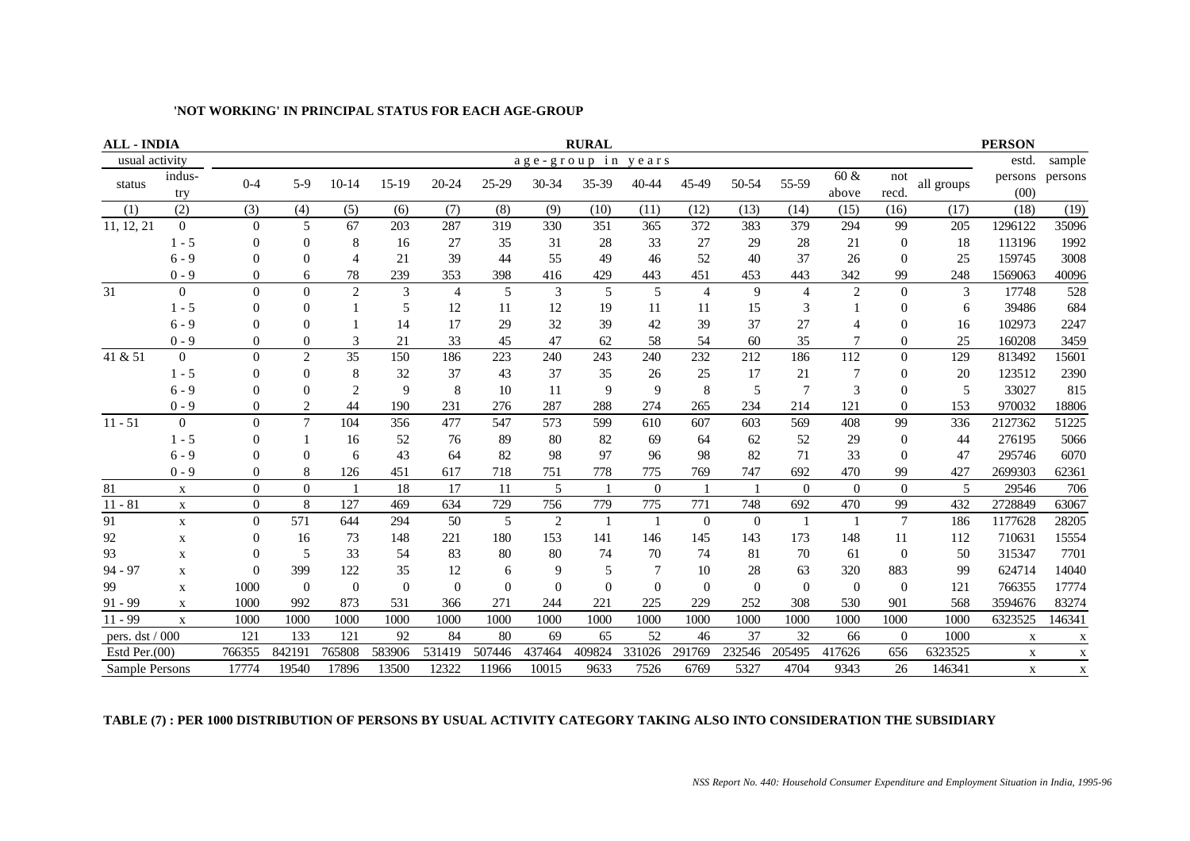| <b>ALL - INDIA</b> |                  |                |                |                |          |           |          |                | <b>RURAL</b>   |                |                |                |                |                |                |            | <b>PERSON</b>   |             |
|--------------------|------------------|----------------|----------------|----------------|----------|-----------|----------|----------------|----------------|----------------|----------------|----------------|----------------|----------------|----------------|------------|-----------------|-------------|
| usual activity     |                  |                |                |                |          |           |          | age-group in   |                | years          |                |                |                |                |                |            | estd.           | sample      |
| status             | indus-<br>try    | $0 - 4$        | $5-9$          | $10-14$        | $15-19$  | $20 - 24$ | $25-29$  | 30-34          | 35-39          | 40-44          | 45-49          | 50-54          | 55-59          | 60 &<br>above  | not<br>recd.   | all groups | persons<br>(00) | persons     |
| (1)                | (2)              | (3)            | (4)            | (5)            | (6)      | (7)       | (8)      | (9)            | (10)           | (11)           | (12)           | (13)           | (14)           | (15)           | (16)           | (17)       | (18)            | (19)        |
| 11, 12, 21         | $\overline{0}$   | $\Omega$       | 5              | 67             | 203      | 287       | 319      | 330            | 351            | 365            | 372            | 383            | 379            | 294            | 99             | 205        | 1296122         | 35096       |
|                    | $1 - 5$          | 0              | $\Omega$       | 8              | 16       | 27        | 35       | 31             | 28             | 33             | 27             | 29             | 28             | 21             | $\theta$       | 18         | 113196          | 1992        |
|                    | $6 - 9$          | 0              | $\Omega$       | 4              | 21       | 39        | 44       | 55             | 49             | 46             | 52             | 40             | 37             | 26             | $\Omega$       | 25         | 159745          | 3008        |
|                    | $0 - 9$          | 0              | 6              | 78             | 239      | 353       | 398      | 416            | 429            | 443            | 451            | 453            | 443            | 342            | 99             | 248        | 1569063         | 40096       |
| 31                 | $\overline{0}$   | $\theta$       | $\Omega$       | $\overline{c}$ | 3        | 4         | 5        | 3              | 5              | 5              | $\overline{4}$ | 9              | $\overline{4}$ | $\overline{2}$ | $\Omega$       | 3          | 17748           | 528         |
|                    | $1 - 5$          | 0              | $\Omega$       |                | 5        | 12        | 11       | 12             | 19             | 11             | 11             | 15             | 3              |                | $\Omega$       | 6          | 39486           | 684         |
|                    | $6 - 9$          | 0              | $\Omega$       |                | 14       | 17        | 29       | 32             | 39             | 42             | 39             | 37             | 27             |                | $\Omega$       | 16         | 102973          | 2247        |
|                    | $0 - 9$          | $\theta$       | $\theta$       | 3              | 21       | 33        | 45       | 47             | 62             | 58             | 54             | 60             | 35             |                | $\overline{0}$ | 25         | 160208          | 3459        |
| 41 & 51            | $\overline{0}$   | $\Omega$       | $\overline{2}$ | 35             | 150      | 186       | 223      | 240            | 243            | 240            | 232            | 212            | 186            | 112            | $\Omega$       | 129        | 813492          | 15601       |
|                    | $1 - 5$          | 0              | $\Omega$       | 8              | 32       | 37        | 43       | 37             | 35             | 26             | 25             | 17             | 21             | 7              | $\theta$       | 20         | 123512          | 2390        |
|                    | $6 - 9$          | 0              | $\Omega$       | $\overline{c}$ | 9        | 8         | 10       | 11             | 9              | 9              | 8              | 5              | $\overline{7}$ | 3              | $\Omega$       | 5          | 33027           | 815         |
|                    | $0 - 9$          | 0              | 2              | 44             | 190      | 231       | 276      | 287            | 288            | 274            | 265            | 234            | 214            | 121            | $\Omega$       | 153        | 970032          | 18806       |
| $11 - 51$          | $\boldsymbol{0}$ | $\theta$       | $\overline{7}$ | 104            | 356      | 477       | 547      | 573            | 599            | 610            | 607            | 603            | 569            | 408            | 99             | 336        | 2127362         | 51225       |
|                    | $1 - 5$          | 0              |                | 16             | 52       | 76        | 89       | 80             | 82             | 69             | 64             | 62             | 52             | 29             | $\overline{0}$ | 44         | 276195          | 5066        |
|                    | $6 - 9$          | 0              | $\Omega$       | 6              | 43       | 64        | 82       | 98             | 97             | 96             | 98             | 82             | 71             | 33             | $\Omega$       | 47         | 295746          | 6070        |
|                    | $0 - 9$          | $\Omega$       | 8              | 126            | 451      | 617       | 718      | 751            | 778            | 775            | 769            | 747            | 692            | 470            | 99             | 427        | 2699303         | 62361       |
| 81                 | $\mathbf X$      | $\Omega$       | $\Omega$       |                | 18       | 17        | 11       | 5              |                | $\overline{0}$ |                |                | $\Omega$       | $\Omega$       | $\Omega$       | 5          | 29546           | 706         |
| $11 - 81$          | $\mathbf X$      | $\overline{0}$ | 8              | 127            | 469      | 634       | 729      | 756            | 779            | 775            | 771            | 748            | 692            | 470            | 99             | 432        | 2728849         | 63067       |
| 91                 | $\mathbf X$      | $\overline{0}$ | 571            | 644            | 294      | 50        | 5        | $\overline{2}$ | $\overline{1}$ |                | $\Omega$       | $\overline{0}$ |                |                | $\overline{7}$ | 186        | 1177628         | 28205       |
| 92                 | $\mathbf X$      | 0              | 16             | 73             | 148      | 221       | 180      | 153            | 141            | 146            | 145            | 143            | 173            | 148            | 11             | 112        | 710631          | 15554       |
| 93                 | $\mathbf X$      | 0              | 5              | 33             | 54       | 83        | 80       | 80             | 74             | 70             | 74             | 81             | 70             | 61             | $\theta$       | 50         | 315347          | 7701        |
| $94 - 97$          | $\mathbf X$      | ∩              | 399            | 122            | 35       | 12        | 6        | 9              | 5              | 7              | 10             | 28             | 63             | 320            | 883            | 99         | 624714          | 14040       |
| 99                 | $\mathbf X$      | 1000           | $\theta$       | $\Omega$       | $\Omega$ | $\theta$  | $\theta$ | $\theta$       | $\theta$       | $\Omega$       | $\Omega$       | $\Omega$       | $\Omega$       | $\Omega$       | $\Omega$       | 121        | 766355          | 17774       |
| $91 - 99$          | $\mathbf X$      | 1000           | 992            | 873            | 531      | 366       | 271      | 244            | 221            | 225            | 229            | 252            | 308            | 530            | 901            | 568        | 3594676         | 83274       |
| $11 - 99$          | $\mathbf X$      | 1000           | 1000           | 1000           | 1000     | 1000      | 1000     | 1000           | 1000           | 1000           | 1000           | 1000           | 1000           | 1000           | 1000           | 1000       | 6323525         | 146341      |
| pers. dst / 000    |                  | 121            | 133            | 121            | 92       | 84        | 80       | 69             | 65             | 52             | 46             | 37             | 32             | 66             | $\theta$       | 1000       | X               | X           |
| Estd Per. $(00)$   |                  | 766355         | 842191         | 765808         | 583906   | 531419    | 507446   | 437464         | 409824         | 331026         | 291769         | 232546         | 205495         | 417626         | 656            | 6323525    | $\mathbf X$     | $\mathbf X$ |
| Sample Persons     |                  | 17774          | 19540          | 17896          | 13500    | 12322     | 11966    | 10015          | 9633           | 7526           | 6769           | 5327           | 4704           | 9343           | 26             | 146341     | $\mathbf X$     | $\mathbf X$ |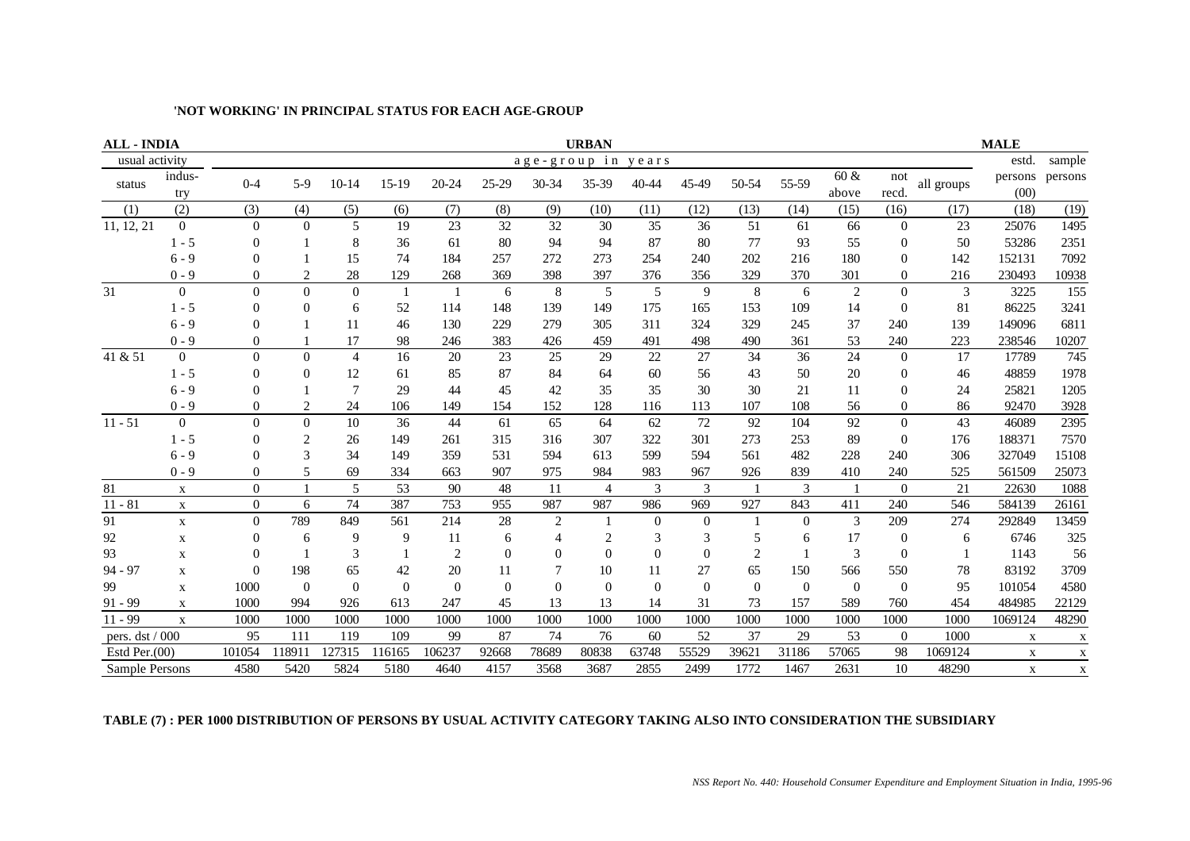| <b>ALL - INDIA</b> |                  |                |                |                |                |                |           |                | <b>URBAN</b>   |          |          |                |          |                |                |            | <b>MALE</b>     |              |
|--------------------|------------------|----------------|----------------|----------------|----------------|----------------|-----------|----------------|----------------|----------|----------|----------------|----------|----------------|----------------|------------|-----------------|--------------|
| usual activity     |                  |                |                |                |                |                |           |                | age-group in   | years    |          |                |          |                |                |            | estd.           | sample       |
| status             | indus-<br>try    | $0 - 4$        | $5-9$          | $10 - 14$      | $15-19$        | 20-24          | $25 - 29$ | 30-34          | 35-39          | 40-44    | 45-49    | 50-54          | 55-59    | 60 &<br>above  | not<br>recd.   | all groups | persons<br>(00) | persons      |
| (1)                | (2)              | (3)            | (4)            | (5)            | (6)            | (7)            | (8)       | (9)            | (10)           | (11)     | (12)     | (13)           | (14)     | (15)           | (16)           | (17)       | (18)            | (19)         |
| 11, 12, 21         | $\overline{0}$   | $\overline{0}$ | $\theta$       | 5              | 19             | 23             | 32        | 32             | 30             | 35       | 36       | 51             | 61       | 66             | $\mathbf{0}$   | 23         | 25076           | 1495         |
|                    | $1 - 5$          | 0              |                | 8              | 36             | 61             | 80        | 94             | 94             | 87       | 80       | 77             | 93       | 55             | $\theta$       | 50         | 53286           | 2351         |
|                    | $6 - 9$          | $\Omega$       |                | 15             | 74             | 184            | 257       | 272            | 273            | 254      | 240      | 202            | 216      | 180            | $\Omega$       | 142        | 152131          | 7092         |
|                    | $0 - 9$          | 0              | $\overline{c}$ | 28             | 129            | 268            | 369       | 398            | 397            | 376      | 356      | 329            | 370      | 301            | $\overline{0}$ | 216        | 230493          | 10938        |
| 31                 | $\boldsymbol{0}$ | $\theta$       | $\Omega$       | $\mathbf{0}$   | $\overline{1}$ |                | 6         | $\,8\,$        | 5              | 5        | 9        | 8              | 6        | $\overline{2}$ | $\theta$       | 3          | 3225            | 155          |
|                    | $1 - 5$          | $\Omega$       | $\Omega$       | 6              | 52             | 114            | 148       | 139            | 149            | 175      | 165      | 153            | 109      | 14             | $\Omega$       | 81         | 86225           | 3241         |
|                    | $6 - 9$          | 0              |                | 11             | 46             | 130            | 229       | 279            | 305            | 311      | 324      | 329            | 245      | 37             | 240            | 139        | 149096          | 6811         |
|                    | $0 - 9$          | $\theta$       |                | 17             | 98             | 246            | 383       | 426            | 459            | 491      | 498      | 490            | 361      | 53             | 240            | 223        | 238546          | 10207        |
| 41 & 51            | $\overline{0}$   | $\Omega$       | $\theta$       | $\overline{4}$ | 16             | 20             | 23        | 25             | 29             | 22       | 27       | 34             | 36       | 24             | $\overline{0}$ | 17         | 17789           | 745          |
|                    | $1 - 5$          | $\Omega$       | $\Omega$       | 12             | 61             | 85             | 87        | 84             | 64             | 60       | 56       | 43             | 50       | 20             | $\theta$       | 46         | 48859           | 1978         |
|                    | $6 - 9$          | $\Omega$       |                | $\overline{7}$ | 29             | 44             | 45        | 42             | 35             | 35       | 30       | 30             | 21       | 11             | $\theta$       | 24         | 25821           | 1205         |
|                    | $0 - 9$          | 0              | $\overline{2}$ | 24             | 106            | 149            | 154       | 152            | 128            | 116      | 113      | 107            | 108      | 56             | $\overline{0}$ | 86         | 92470           | 3928         |
| $11 - 51$          | $\overline{0}$   | $\Omega$       | $\Omega$       | 10             | 36             | 44             | 61        | 65             | 64             | 62       | 72       | 92             | 104      | 92             | $\Omega$       | 43         | 46089           | 2395         |
|                    | $1 - 5$          | 0              | $\overline{2}$ | 26             | 149            | 261            | 315       | 316            | 307            | 322      | 301      | 273            | 253      | 89             | $\overline{0}$ | 176        | 188371          | 7570         |
|                    | $6 - 9$          | 0              | $\mathcal{R}$  | 34             | 149            | 359            | 531       | 594            | 613            | 599      | 594      | 561            | 482      | 228            | 240            | 306        | 327049          | 15108        |
|                    | $0 - 9$          | $\theta$       | 5              | 69             | 334            | 663            | 907       | 975            | 984            | 983      | 967      | 926            | 839      | 410            | 240            | 525        | 561509          | 25073        |
| 81                 | $\mathbf X$      | $\Omega$       |                | 5              | 53             | 90             | 48        | 11             | $\overline{4}$ | 3        | 3        |                | 3        |                | $\Omega$       | 21         | 22630           | 1088         |
| $11 - 81$          | $\mathbf X$      | $\Omega$       | 6              | 74             | 387            | 753            | 955       | 987            | 987            | 986      | 969      | 927            | 843      | 411            | 240            | 546        | 584139          | 26161        |
| 91                 | $\mathbf X$      | $\Omega$       | 789            | 849            | 561            | 214            | 28        | $\overline{2}$ |                | $\theta$ | $\Omega$ |                | $\Omega$ | 3              | 209            | 274        | 292849          | 13459        |
| 92                 | $\mathbf X$      | 0              | 6              | 9              | 9              | 11             | 6         | $\overline{4}$ | $\overline{c}$ | 3        | 3        | 5              | 6        | 17             | $\overline{0}$ | 6          | 6746            | 325          |
| 93                 | X                | 0              |                | 3              |                | $\overline{c}$ | $\Omega$  | $\Omega$       | $\overline{0}$ | $\theta$ | $\Omega$ | $\overline{2}$ |          | 3              | $\Omega$       |            | 1143            | 56           |
| $94 - 97$          | $\mathbf X$      | 0              | 198            | 65             | 42             | 20             | 11        | 7              | 10             | 11       | 27       | 65             | 150      | 566            | 550            | 78         | 83192           | 3709         |
| 99                 | X                | 1000           | $\Omega$       | $\Omega$       | $\Omega$       | $\Omega$       | $\Omega$  | $\theta$       | $\Omega$       | $\Omega$ | $\Omega$ | $\Omega$       | $\Omega$ | $\Omega$       | $\Omega$       | 95         | 101054          | 4580         |
| $91 - 99$          | $\mathbf X$      | 1000           | 994            | 926            | 613            | 247            | 45        | 13             | 13             | 14       | 31       | 73             | 157      | 589            | 760            | 454        | 484985          | 22129        |
| $11 - 99$          | $\mathbf X$      | 1000           | 1000           | 1000           | 1000           | 1000           | 1000      | 1000           | 1000           | 1000     | 1000     | 1000           | 1000     | 1000           | 1000           | 1000       | 1069124         | 48290        |
| pers. dst / 000    |                  | 95             | 111            | 119            | 109            | 99             | 87        | 74             | 76             | 60       | 52       | 37             | 29       | 53             | $\overline{0}$ | 1000       | $\mathbf X$     | $\mathbf{X}$ |
| Estd Per. $(00)$   |                  | 101054         | 118911         | 127315         | 116165         | 106237         | 92668     | 78689          | 80838          | 63748    | 55529    | 39621          | 31186    | 57065          | 98             | 1069124    | X               | $\mathbf X$  |
| Sample Persons     |                  | 4580           | 5420           | 5824           | 5180           | 4640           | 4157      | 3568           | 3687           | 2855     | 2499     | 1772           | 1467     | 2631           | 10             | 48290      | $\mathbf X$     | X            |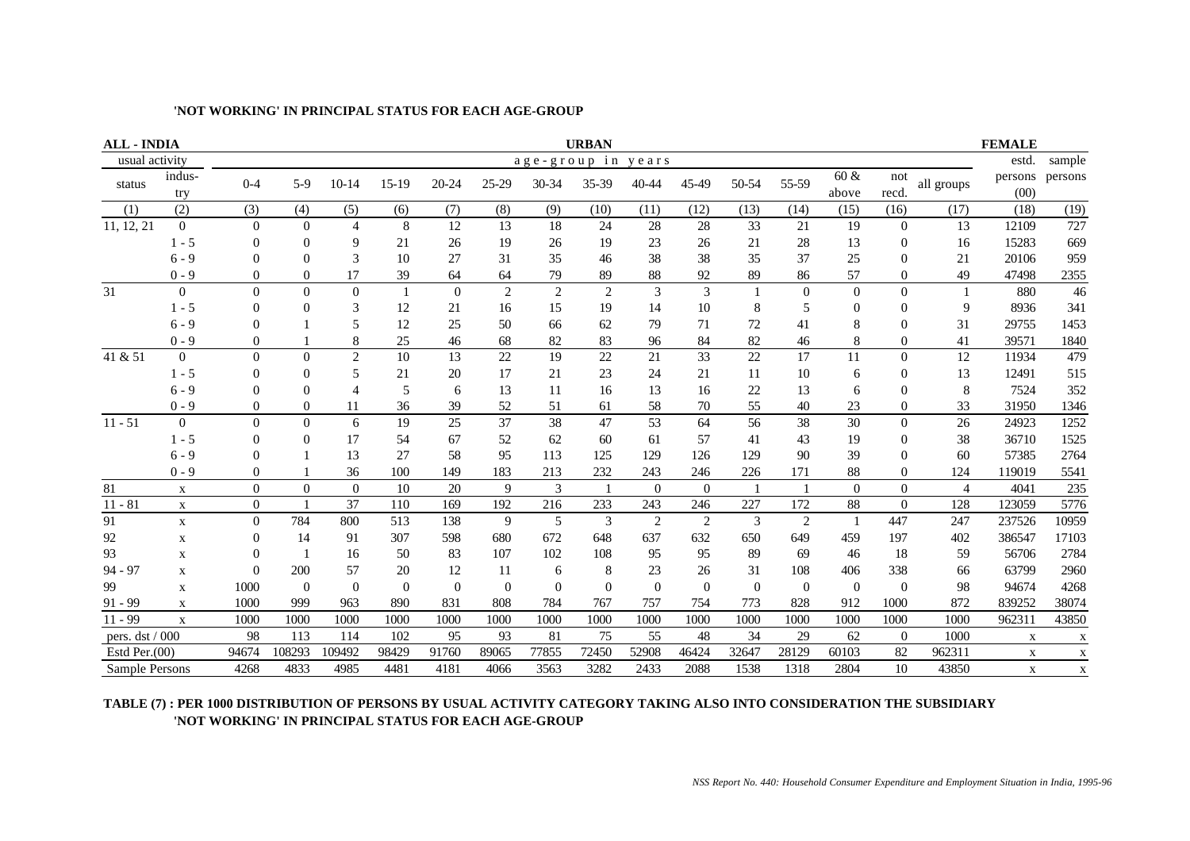| <b>ALL - INDIA</b> |                  |                |              |                |          |           |                |                | <b>URBAN</b>   |                |                |          |                |               |                |                | <b>FEMALE</b>   |             |
|--------------------|------------------|----------------|--------------|----------------|----------|-----------|----------------|----------------|----------------|----------------|----------------|----------|----------------|---------------|----------------|----------------|-----------------|-------------|
| usual activity     |                  |                |              |                |          |           |                |                | age-group in   | vears          |                |          |                |               |                |                | estd.           | sample      |
| status             | indus-<br>try    | $0 - 4$        | $5-9$        | $10 - 14$      | $15-19$  | $20 - 24$ | 25-29          | 30-34          | 35-39          | 40-44          | 45-49          | 50-54    | 55-59          | 60 &<br>above | not<br>recd.   | all groups     | persons<br>(00) | persons     |
| (1)                | (2)              | (3)            | (4)          | (5)            | (6)      | (7)       | (8)            | (9)            | (10)           | (11)           | (12)           | (13)     | (14)           | (15)          | (16)           | (17)           | (18)            | (19)        |
| 11, 12, 21         | $\overline{0}$   | $\theta$       | $\mathbf{0}$ | $\overline{4}$ | 8        | 12        | 13             | 18             | 24             | 28             | 28             | 33       | 21             | 19            | $\overline{0}$ | 13             | 12109           | 727         |
|                    | $1 - 5$          | $\Omega$       | $\Omega$     | 9              | 21       | 26        | 19             | 26             | 19             | 23             | 26             | 21       | 28             | 13            | $\Omega$       | 16             | 15283           | 669         |
|                    | $6 - 9$          | $\theta$       | $\theta$     | 3              | 10       | 27        | 31             | 35             | 46             | 38             | 38             | 35       | 37             | 25            | $\Omega$       | 21             | 20106           | 959         |
|                    | $0 - 9$          | $\theta$       | $\theta$     | 17             | 39       | 64        | 64             | 79             | 89             | 88             | 92             | 89       | 86             | 57            | $\Omega$       | 49             | 47498           | 2355        |
| 31                 | $\boldsymbol{0}$ | $\theta$       | $\Omega$     | $\overline{0}$ | 1        | $\theta$  | $\overline{c}$ | $\overline{2}$ | $\overline{2}$ | 3              | 3              |          | $\theta$       | $\theta$      | $\Omega$       |                | 880             | 46          |
|                    | $1 - 5$          | 0              | $\Omega$     | 3              | 12       | 21        | 16             | 15             | 19             | 14             | 10             | 8        | 5              | $\Omega$      | 0              | 9              | 8936            | 341         |
|                    | $6 - 9$          | 0              |              | 5              | 12       | 25        | 50             | 66             | 62             | 79             | 71             | 72       | 41             | 8             | 0              | 31             | 29755           | 1453        |
|                    | $0 - 9$          | $\theta$       |              | 8              | 25       | 46        | 68             | 82             | 83             | 96             | 84             | 82       | 46             | 8             | $\Omega$       | 41             | 39571           | 1840        |
| 41 & 51            | $\overline{0}$   | $\overline{0}$ | $\Omega$     | $\mathbf{2}$   | 10       | 13        | 22             | 19             | 22             | 21             | 33             | 22       | 17             | 11            | $\Omega$       | 12             | 11934           | 479         |
|                    | $1 - 5$          | 0              | 0            | 5              | 21       | 20        | 17             | 21             | 23             | 24             | 21             | 11       | 10             | 6             | $\Omega$       | 13             | 12491           | 515         |
|                    | $6 - 9$          | $\theta$       | 0            | $\overline{4}$ | 5        | 6         | 13             | 11             | 16             | 13             | 16             | 22       | 13             | 6             | 0              | 8              | 7524            | 352         |
|                    | $0 - 9$          | 0              | $\theta$     | 11             | 36       | 39        | 52             | 51             | 61             | 58             | 70             | 55       | 40             | 23            | $\Omega$       | 33             | 31950           | 1346        |
| $11 - 51$          | $\boldsymbol{0}$ | $\overline{0}$ | $\Omega$     | 6              | 19       | 25        | 37             | 38             | 47             | 53             | 64             | 56       | 38             | 30            | $\Omega$       | 26             | 24923           | 1252        |
|                    | $1 - 5$          | $\Omega$       | $\Omega$     | 17             | 54       | 67        | 52             | 62             | 60             | 61             | 57             | 41       | 43             | 19            | $\Omega$       | 38             | 36710           | 1525        |
|                    | $6 - 9$          | $\Omega$       |              | 13             | 27       | 58        | 95             | 113            | 125            | 129            | 126            | 129      | 90             | 39            | 0              | 60             | 57385           | 2764        |
|                    | $0 - 9$          | $\theta$       |              | 36             | 100      | 149       | 183            | 213            | 232            | 243            | 246            | 226      | 171            | 88            | $\theta$       | 124            | 119019          | 5541        |
| 81                 | X                | $\Omega$       | $\Omega$     | $\theta$       | 10       | 20        | 9              | 3              | $\overline{1}$ | $\overline{0}$ | $\Omega$       |          |                | $\Omega$      | $\Omega$       | $\overline{4}$ | 4041            | 235         |
| $11 - 81$          | $\mathbf X$      | $\theta$       |              | 37             | 110      | 169       | 192            | 216            | 233            | 243            | 246            | 227      | 172            | 88            | $\overline{0}$ | 128            | 123059          | 5776        |
| 91                 | $\mathbf X$      | $\Omega$       | 784          | 800            | 513      | 138       | 9              | 5              | 3              | $\overline{2}$ | $\overline{2}$ | 3        | $\overline{2}$ |               | 447            | 247            | 237526          | 10959       |
| 92                 | $\mathbf X$      | 0              | 14           | 91             | 307      | 598       | 680            | 672            | 648            | 637            | 632            | 650      | 649            | 459           | 197            | 402            | 386547          | 17103       |
| 93                 | X                | $\Omega$       |              | 16             | 50       | 83        | 107            | 102            | 108            | 95             | 95             | 89       | 69             | 46            | 18             | 59             | 56706           | 2784        |
| $94 - 97$          | X                | $\Omega$       | 200          | 57             | 20       | 12        | 11             | 6              | 8              | 23             | 26             | 31       | 108            | 406           | 338            | 66             | 63799           | 2960        |
| 99                 | $\mathbf X$      | 1000           | $\theta$     | $\Omega$       | $\Omega$ | $\theta$  | $\theta$       | $\theta$       | $\mathbf{0}$   | $\overline{0}$ | $\Omega$       | $\Omega$ | $\Omega$       | $\Omega$      | $\theta$       | 98             | 94674           | 4268        |
| $91 - 99$          | $\mathbf X$      | 1000           | 999          | 963            | 890      | 831       | 808            | 784            | 767            | 757            | 754            | 773      | 828            | 912           | 1000           | 872            | 839252          | 38074       |
| $11 - 99$          | $\mathbf X$      | 1000           | 1000         | 1000           | 1000     | 1000      | 1000           | 1000           | 1000           | 1000           | 1000           | 1000     | 1000           | 1000          | 1000           | 1000           | 962311          | 43850       |
| pers. dst / 000    |                  | 98             | 113          | 114            | 102      | 95        | 93             | 81             | 75             | 55             | 48             | 34       | 29             | 62            | $\overline{0}$ | 1000           | X               | X           |
| Estd Per. $(00)$   |                  | 94674          | 108293       | 109492         | 98429    | 91760     | 89065          | 77855          | 72450          | 52908          | 46424          | 32647    | 28129          | 60103         | 82             | 962311         | $\mathbf X$     | $\mathbf X$ |
| Sample Persons     |                  | 4268           | 4833         | 4985           | 4481     | 4181      | 4066           | 3563           | 3282           | 2433           | 2088           | 1538     | 1318           | 2804          | 10             | 43850          | $\mathbf X$     | $\mathbf X$ |

#### **TABLE (7) : PER 1000 DISTRIBUTION OF PERSONS BY USUAL ACTIVITY CATEGORY TAKING ALSO INTO CONSIDERATION THE SUBSIDIARY 'NOT WORKING' IN PRINCIPAL STATUS FOR EACH AGE-GROUP**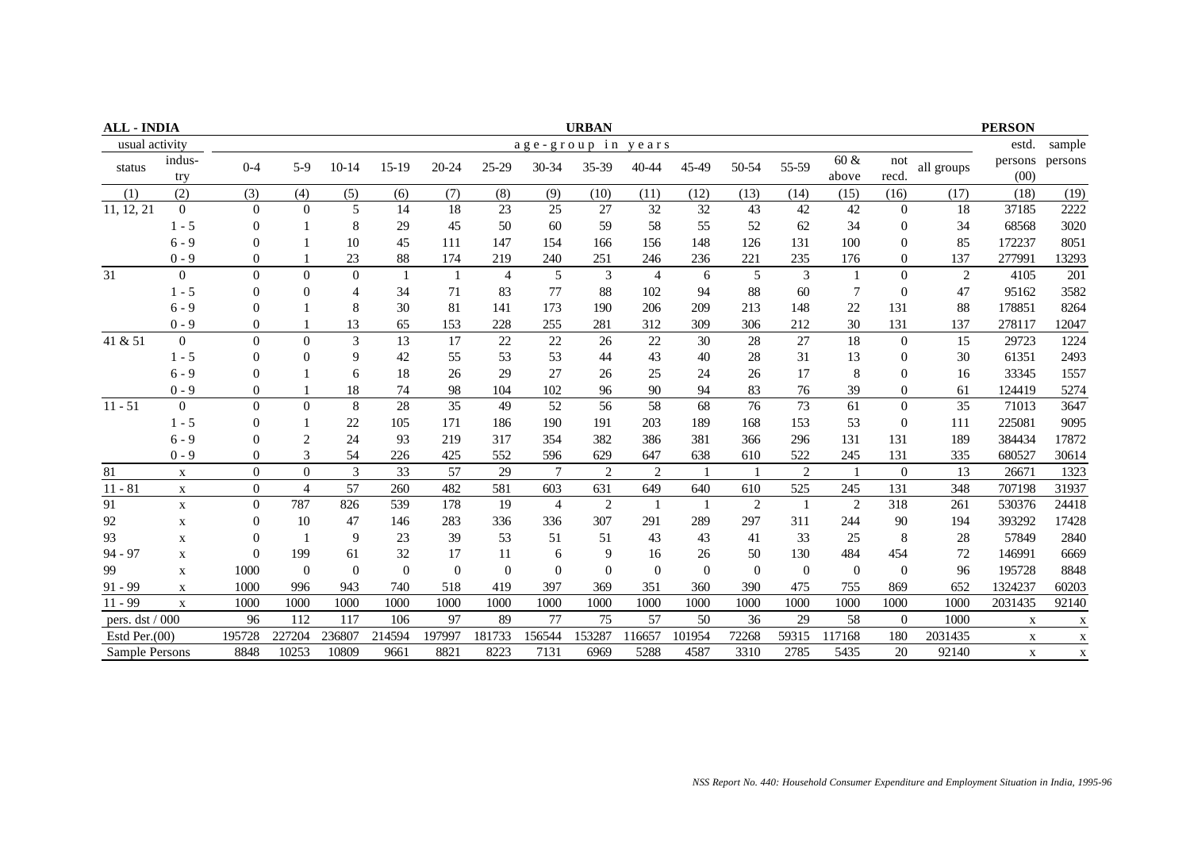| <b>ALL - INDIA</b> |                |                |                         |          |                |              |                |                 | <b>URBAN</b>   |                |          |                |                |                  |                |            | <b>PERSON</b>   |             |
|--------------------|----------------|----------------|-------------------------|----------|----------------|--------------|----------------|-----------------|----------------|----------------|----------|----------------|----------------|------------------|----------------|------------|-----------------|-------------|
| usual activity     |                |                |                         |          |                |              |                | age-group in    |                | years          |          |                |                |                  |                |            | estd.           | sample      |
| status             | indus-<br>try  | $0 - 4$        | $5-9$                   | $10-14$  | $15-19$        | 20-24        | $25 - 29$      | 30-34           | 35-39          | 40-44          | 45-49    | 50-54          | 55-59          | $60 \&$<br>above | not<br>recd.   | all groups | persons<br>(00) | persons     |
| (1)                | (2)            | (3)            | (4)                     | (5)      | (6)            | (7)          | (8)            | (9)             | (10)           | (11)           | (12)     | (13)           | (14)           | (15)             | (16)           | (17)       | (18)            | (19)        |
| 11, 12, 21         | $\overline{0}$ | $\theta$       | $\Omega$                | 5        | 14             | 18           | 23             | 25              | 27             | 32             | 32       | 43             | 42             | 42               | $\overline{0}$ | 18         | 37185           | 2222        |
|                    | $1 - 5$        | $\Omega$       |                         | 8        | 29             | 45           | 50             | 60              | 59             | 58             | 55       | 52             | 62             | 34               | $\Omega$       | 34         | 68568           | 3020        |
|                    | $6 - 9$        | $\Omega$       |                         | 10       | 45             | 111          | 147            | 154             | 166            | 156            | 148      | 126            | 131            | 100              | $\Omega$       | 85         | 172237          | 8051        |
|                    | $0 - 9$        | 0              |                         | 23       | 88             | 174          | 219            | 240             | 251            | 246            | 236      | 221            | 235            | 176              | $\Omega$       | 137        | 277991          | 13293       |
| 31                 | $\overline{0}$ | $\Omega$       | $\Omega$                | $\Omega$ | $\overline{1}$ | $\mathbf{1}$ | $\overline{4}$ | 5               | 3              | 4              | 6        | 5              | 3              |                  | $\theta$       | 2          | 4105            | 201         |
|                    | $1 - 5$        | $\Omega$       | 0                       |          | 34             | 71           | 83             | 77              | 88             | 102            | 94       | 88             | 60             | $\overline{7}$   | $\Omega$       | 47         | 95162           | 3582        |
|                    | $6 - 9$        | $\Omega$       |                         | 8        | 30             | 81           | 141            | 173             | 190            | 206            | 209      | 213            | 148            | 22               | 131            | 88         | 178851          | 8264        |
|                    | $0 - 9$        | $\theta$       |                         | 13       | 65             | 153          | 228            | 255             | 281            | 312            | 309      | 306            | 212            | 30               | 131            | 137        | 278117          | 12047       |
| 41 & 51            | $\overline{0}$ | $\Omega$       | $\theta$                | 3        | 13             | 17           | 22             | 22              | 26             | 22             | 30       | 28             | 27             | 18               | $\overline{0}$ | 15         | 29723           | 1224        |
|                    | $1 - 5$        | $\Omega$       | $\Omega$                | 9        | 42             | 55           | 53             | 53              | 44             | 43             | 40       | 28             | 31             | 13               | $\Omega$       | 30         | 61351           | 2493        |
|                    | $6 - 9$        | $\Omega$       |                         | 6        | 18             | 26           | 29             | 27              | 26             | 25             | 24       | 26             | 17             | 8                | $\Omega$       | 16         | 33345           | 1557        |
|                    | $0 - 9$        | 0              |                         | 18       | 74             | 98           | 104            | 102             | 96             | 90             | 94       | 83             | 76             | 39               | $\theta$       | 61         | 124419          | 5274        |
| $11 - 51$          | $\Omega$       | $\Omega$       | $\Omega$                | 8        | 28             | 35           | 49             | 52              | 56             | 58             | 68       | 76             | 73             | 61               | $\theta$       | 35         | 71013           | 3647        |
|                    | $1 - 5$        | $\Omega$       |                         | 22       | 105            | 171          | 186            | 190             | 191            | 203            | 189      | 168            | 153            | 53               | $\overline{0}$ | 111        | 225081          | 9095        |
|                    | $6 - 9$        | $\Omega$       | $\overline{\mathbf{c}}$ | 24       | 93             | 219          | 317            | 354             | 382            | 386            | 381      | 366            | 296            | 131              | 131            | 189        | 384434          | 17872       |
|                    | $0 - 9$        | $\theta$       | 3                       | 54       | 226            | 425          | 552            | 596             | 629            | 647            | 638      | 610            | 522            | 245              | 131            | 335        | 680527          | 30614       |
| 81                 | $\mathbf X$    | $\overline{0}$ | $\theta$                | 3        | 33             | 57           | 29             | $7\phantom{.0}$ | $\overline{2}$ | $\overline{2}$ |          | -1             | $\overline{2}$ |                  | $\overline{0}$ | 13         | 26671           | 1323        |
| $11 - 81$          | $\mathbf X$    | $\overline{0}$ | $\overline{4}$          | 57       | 260            | 482          | 581            | 603             | 631            | 649            | 640      | 610            | 525            | 245              | 131            | 348        | 707198          | 31937       |
| 91                 | $\mathbf X$    | $\Omega$       | 787                     | 826      | 539            | 178          | 19             | $\overline{4}$  | $\overline{c}$ | -1             |          | $\overline{2}$ |                | $\overline{2}$   | 318            | 261        | 530376          | 24418       |
| 92                 | X              | $\Omega$       | 10                      | 47       | 146            | 283          | 336            | 336             | 307            | 291            | 289      | 297            | 311            | 244              | 90             | 194        | 393292          | 17428       |
| 93                 | X              | $\Omega$       |                         | 9        | 23             | 39           | 53             | 51              | 51             | 43             | 43       | 41             | 33             | 25               | 8              | 28         | 57849           | 2840        |
| $94 - 97$          | X              | $\Omega$       | 199                     | 61       | 32             | 17           | 11             | 6               | 9              | 16             | 26       | 50             | 130            | 484              | 454            | 72         | 146991          | 6669        |
| 99                 | $\mathbf X$    | 1000           | $\theta$                | $\Omega$ | $\theta$       | $\theta$     | $\Omega$       | $\mathbf{0}$    | $\overline{0}$ | $\Omega$       | $\Omega$ | $\Omega$       | $\Omega$       | $\overline{0}$   | $\Omega$       | 96         | 195728          | 8848        |
| $91 - 99$          | X              | 1000           | 996                     | 943      | 740            | 518          | 419            | 397             | 369            | 351            | 360      | 390            | 475            | 755              | 869            | 652        | 1324237         | 60203       |
| $11 - 99$          | $\mathbf{X}$   | 1000           | 1000                    | 1000     | 1000           | 1000         | 1000           | 1000            | 1000           | 1000           | 1000     | 1000           | 1000           | 1000             | 1000           | 1000       | 2031435         | 92140       |
| pers. dst / 000    |                | 96             | 112                     | 117      | 106            | 97           | 89             | 77              | 75             | 57             | 50       | 36             | 29             | 58               | $\Omega$       | 1000       | $\mathbf X$     | $\mathbf X$ |
| Estd Per. $(00)$   |                | 195728         | 227204                  | 236807   | 214594         | 197997       | 181733         | 156544          | 153287         | 16657          | 101954   | 72268          | 59315          | 117168           | 180            | 2031435    | $\mathbf X$     | $\mathbf X$ |
| Sample Persons     |                | 8848           | 10253                   | 10809    | 9661           | 8821         | 8223           | 7131            | 6969           | 5288           | 4587     | 3310           | 2785           | 5435             | 20             | 92140      | X               | $\mathbf X$ |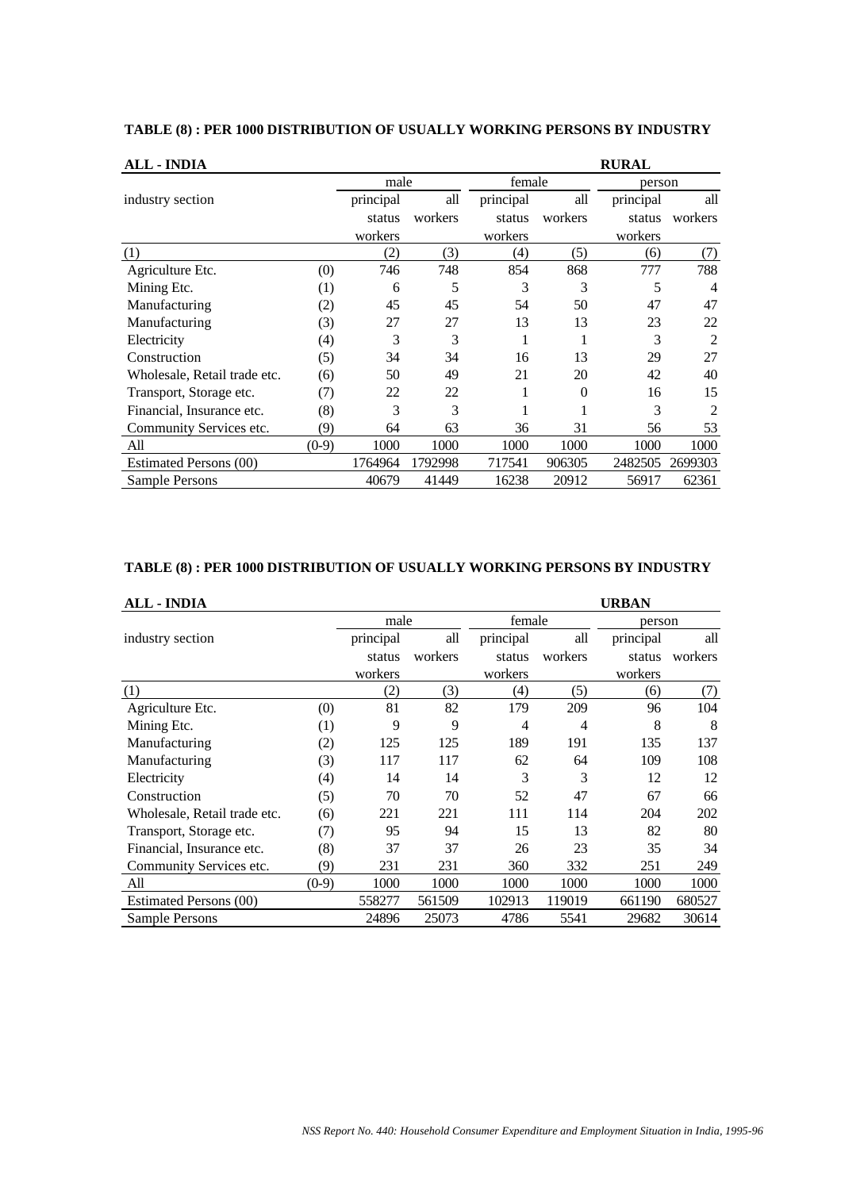| <b>ALL - INDIA</b>           |         |           |         |           |         | <b>RURAL</b> |                |
|------------------------------|---------|-----------|---------|-----------|---------|--------------|----------------|
|                              |         | male      |         | female    |         | person       |                |
| industry section             |         | principal | all     | principal | all     | principal    | all            |
|                              |         | status    | workers | status    | workers | status       | workers        |
|                              |         | workers   |         | workers   |         | workers      |                |
| (1)                          |         | (2)       | (3)     | (4)       | (5)     | (6)          | (7)            |
| Agriculture Etc.             | (0)     | 746       | 748     | 854       | 868     | 777          | 788            |
| Mining Etc.                  | (1)     | 6         | 5       | 3         | 3       | 5            | 4              |
| Manufacturing                | (2)     | 45        | 45      | 54        | 50      | 47           | 47             |
| Manufacturing                | (3)     | 27        | 27      | 13        | 13      | 23           | 22             |
| Electricity                  | (4)     | 3         | 3       |           |         | 3            | 2              |
| Construction                 | (5)     | 34        | 34      | 16        | 13      | 29           | 27             |
| Wholesale, Retail trade etc. | (6)     | 50        | 49      | 21        | 20      | 42           | 40             |
| Transport, Storage etc.      | (7)     | 22        | 22      |           | 0       | 16           | 15             |
| Financial, Insurance etc.    | (8)     | 3         | 3       |           |         | 3            | $\mathfrak{D}$ |
| Community Services etc.      | (9)     | 64        | 63      | 36        | 31      | 56           | 53             |
| All                          | $(0-9)$ | 1000      | 1000    | 1000      | 1000    | 1000         | 1000           |
| Estimated Persons (00)       |         | 1764964   | 1792998 | 717541    | 906305  | 2482505      | 2699303        |
| Sample Persons               |         | 40679     | 41449   | 16238     | 20912   | 56917        | 62361          |

## **TABLE (8) : PER 1000 DISTRIBUTION OF USUALLY WORKING PERSONS BY INDUSTRY**

### **TABLE (8) : PER 1000 DISTRIBUTION OF USUALLY WORKING PERSONS BY INDUSTRY**

| <b>ALL - INDIA</b>           |         |           |         |                |         | <b>URBAN</b> |         |
|------------------------------|---------|-----------|---------|----------------|---------|--------------|---------|
|                              |         | male      |         | female         |         | person       |         |
| industry section             |         | principal | all     | principal      | all     | principal    | all     |
|                              |         | status    | workers | status         | workers | status       | workers |
|                              |         | workers   |         | workers        |         | workers      |         |
| (1)                          |         | (2)       | (3)     | (4)            | (5)     | (6)          | (7)     |
| Agriculture Etc.             | (0)     | 81        | 82      | 179            | 209     | 96           | 104     |
| Mining Etc.                  | (1)     | 9         | 9       | $\overline{4}$ | 4       | 8            | 8       |
| Manufacturing                | (2)     | 125       | 125     | 189            | 191     | 135          | 137     |
| Manufacturing                | (3)     | 117       | 117     | 62             | 64      | 109          | 108     |
| Electricity                  | (4)     | 14        | 14      | 3              | 3       | 12           | 12      |
| Construction                 | (5)     | 70        | 70      | 52             | 47      | 67           | 66      |
| Wholesale, Retail trade etc. | (6)     | 221       | 221     | 111            | 114     | 204          | 202     |
| Transport, Storage etc.      | (7)     | 95        | 94      | 15             | 13      | 82           | 80      |
| Financial, Insurance etc.    | (8)     | 37        | 37      | 26             | 23      | 35           | 34      |
| Community Services etc.      | (9)     | 231       | 231     | 360            | 332     | 251          | 249     |
| All                          | $(0-9)$ | 1000      | 1000    | 1000           | 1000    | 1000         | 1000    |
| Estimated Persons (00)       |         | 558277    | 561509  | 102913         | 119019  | 661190       | 680527  |
| Sample Persons               |         | 24896     | 25073   | 4786           | 5541    | 29682        | 30614   |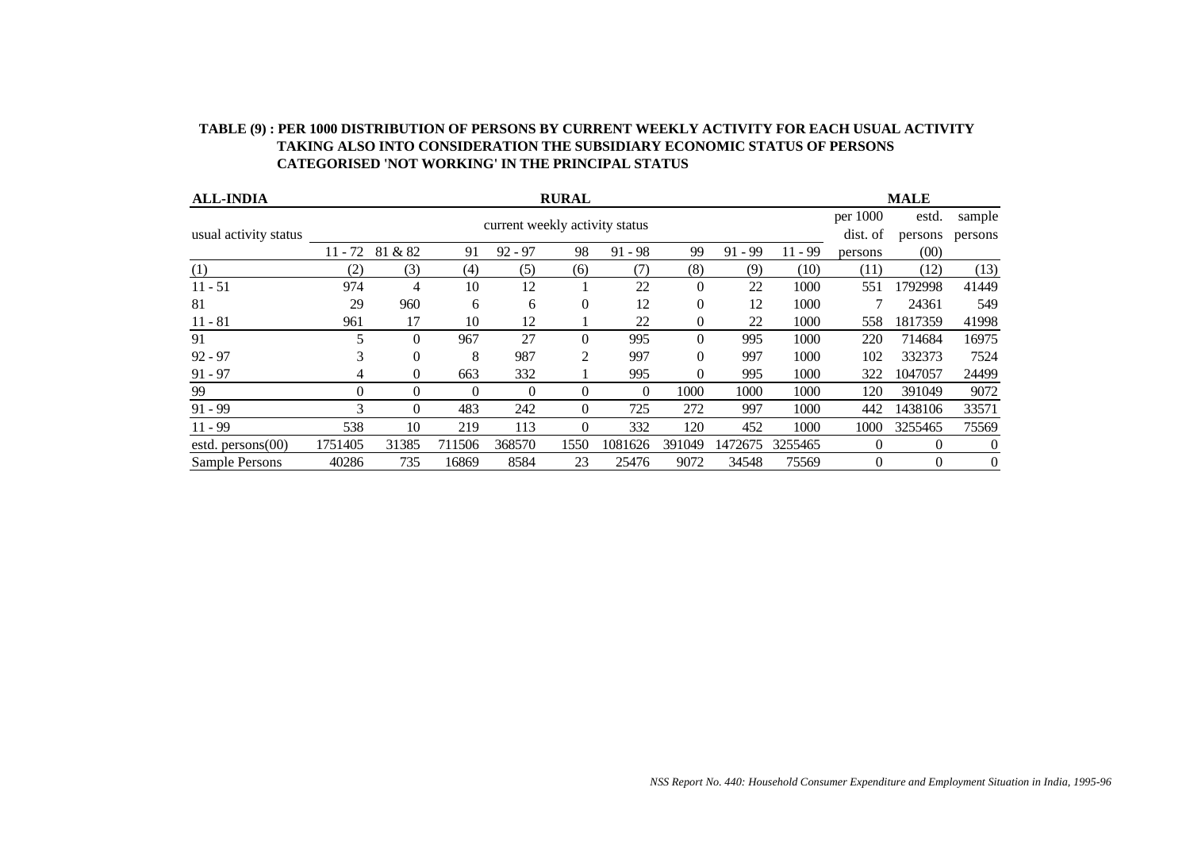| TABLE (9) : PER 1000 DISTRIBUTION OF PERSONS BY CURRENT WEEKLY ACTIVITY FOR EACH USUAL ACTIVITY |
|-------------------------------------------------------------------------------------------------|
| <b>TAKING ALSO INTO CONSIDERATION THE SUBSIDIARY ECONOMIC STATUS OF PERSONS</b>                 |
| CATEGORISED 'NOT WORKING' IN THE PRINCIPAL STATUS                                               |

| <b>ALL-INDIA</b>      | <b>RURAL</b> |          |          |           |          |           |          |           | <b>MALE</b> |          |          |                |
|-----------------------|--------------|----------|----------|-----------|----------|-----------|----------|-----------|-------------|----------|----------|----------------|
|                       |              |          | per 1000 | estd.     | sample   |           |          |           |             |          |          |                |
| usual activity status |              |          | dist. of | persons   | persons  |           |          |           |             |          |          |                |
|                       | $11 - 72$    | 81 & 82  | 91       | $92 - 97$ | 98       | $91 - 98$ | 99       | $91 - 99$ | $11 - 99$   | persons  | (00)     |                |
| (1)                   | (2)          | (3)      | (4)      | (5)       | (6)      | (7)       | (8)      | (9)       | (10)        | (11)     | (12)     | (13)           |
| $11 - 51$             | 974          | 4        | 10       | 12        |          | 22        | $\theta$ | 22        | 1000        | 551      | 1792998  | 41449          |
| 81                    | 29           | 960      | 6        | 6         | $\theta$ | 12        | $\Omega$ | 12        | 1000        |          | 24361    | 549            |
| $11 - 81$             | 961          | 17       | 10       | 12        |          | 22        | $\Omega$ | 22        | 1000        | 558      | 1817359  | 41998          |
| 91                    |              | $\theta$ | 967      | 27        | $\theta$ | 995       | $\Omega$ | 995       | 1000        | 220      | 714684   | 16975          |
| $92 - 97$             | 3            | $\Omega$ | 8        | 987       | 2        | 997       | $\Omega$ | 997       | 1000        | 102      | 332373   | 7524           |
| $91 - 97$             | 4            | $\Omega$ | 663      | 332       |          | 995       | 0        | 995       | 1000        | 322      | 1047057  | 24499          |
| 99                    | 0            | $\Omega$ | $\Omega$ | $\theta$  | $\theta$ | $\Omega$  | 1000     | 1000      | 1000        | 120      | 391049   | 9072           |
| $91 - 99$             |              | $\Omega$ | 483      | 242       | $\theta$ | 725       | 272      | 997       | 1000        | 442      | 1438106  | 33571          |
| $11 - 99$             | 538          | 10       | 219      | 113       | $\theta$ | 332       | 120      | 452       | 1000        | 1000     | 3255465  | 75569          |
| estd. $person(00)$    | 1751405      | 31385    | 711506   | 368570    | 1550     | 1081626   | 391049   | 1472675   | 3255465     | $\Omega$ | $\Omega$ | $\theta$       |
| Sample Persons        | 40286        | 735      | 16869    | 8584      | 23       | 25476     | 9072     | 34548     | 75569       | $\Omega$ | 0        | $\overline{0}$ |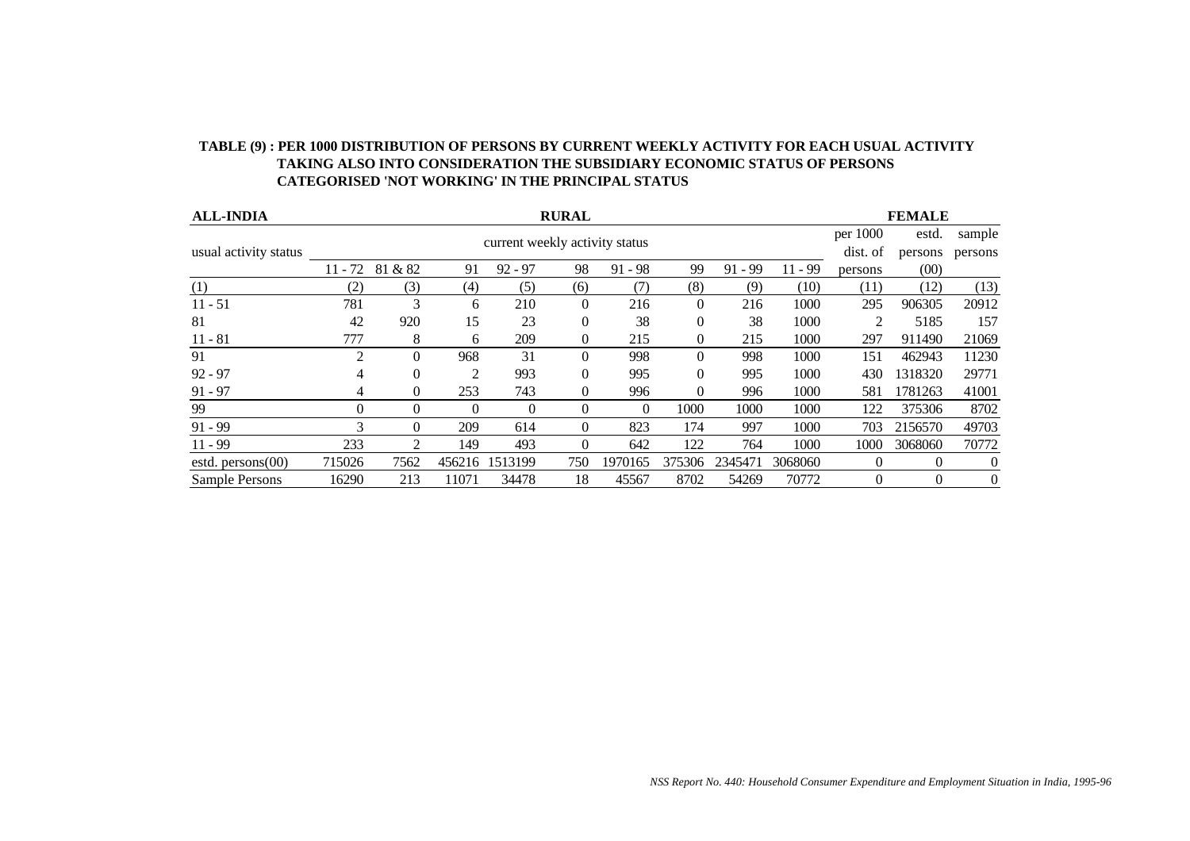| <b>ALL-INDIA</b>      | <b>RURAL</b> |                |                |           |                |           |              |           |           | <b>FEMALE</b>  |          |          |
|-----------------------|--------------|----------------|----------------|-----------|----------------|-----------|--------------|-----------|-----------|----------------|----------|----------|
|                       |              |                | per 1000       | estd.     | sample         |           |              |           |           |                |          |          |
| usual activity status |              |                | dist. of       | persons   | persons        |           |              |           |           |                |          |          |
|                       | $11 - 72$    | 81 & 82        | 91             | $92 - 97$ | 98             | $91 - 98$ | 99           | $91 - 99$ | $11 - 99$ | persons        | (00)     |          |
| (1)                   | (2)          | (3)            | (4)            | (5)       | (6)            | (7)       | (8)          | (9)       | (10)      | (11)           | (12)     | (13)     |
| $11 - 51$             | 781          | 3              | 6              | 210       | $\overline{0}$ | 216       | $\Omega$     | 216       | 1000      | 295            | 906305   | 20912    |
| 81                    | 42           | 920            | 15             | 23        | $\theta$       | 38        | $\Omega$     | 38        | 1000      | $\overline{2}$ | 5185     | 157      |
| $11 - 81$             | 777          | 8              | 6              | 209       | $\overline{0}$ | 215       | $\mathbf{0}$ | 215       | 1000      | 297            | 911490   | 21069    |
| 91                    | 2            | $\Omega$       | 968            | 31        | $\overline{0}$ | 998       | $\Omega$     | 998       | 1000      | 151            | 462943   | 11230    |
| $92 - 97$             | 4            | $\theta$       | $\overline{2}$ | 993       | $\theta$       | 995       | $\Omega$     | 995       | 1000      | 430            | 1318320  | 29771    |
| $91 - 97$             | 4            | $\overline{0}$ | 253            | 743       | $\theta$       | 996       | $\theta$     | 996       | 1000      | 581            | 1781263  | 41001    |
| 99                    | 0            | $\Omega$       | $\Omega$       | $\theta$  | $\overline{0}$ | 0         | 1000         | 1000      | 1000      | 122            | 375306   | 8702     |
| $91 - 99$             | 3            | $\Omega$       | 209            | 614       | $\Omega$       | 823       | 174          | 997       | 1000      | 703            | 2156570  | 49703    |
| $11 - 99$             | 233          | 2              | 149            | 493       | $\theta$       | 642       | 122          | 764       | 1000      | 1000           | 3068060  | 70772    |
| estd. $person(00)$    | 715026       | 7562           | 456216         | 1513199   | 750            | 1970165   | 375306       | 2345471   | 3068060   | $\theta$       | $\Omega$ | $\theta$ |
| Sample Persons        | 16290        | 213            | 11071          | 34478     | 18             | 45567     | 8702         | 54269     | 70772     | $\Omega$       | $\theta$ | $\theta$ |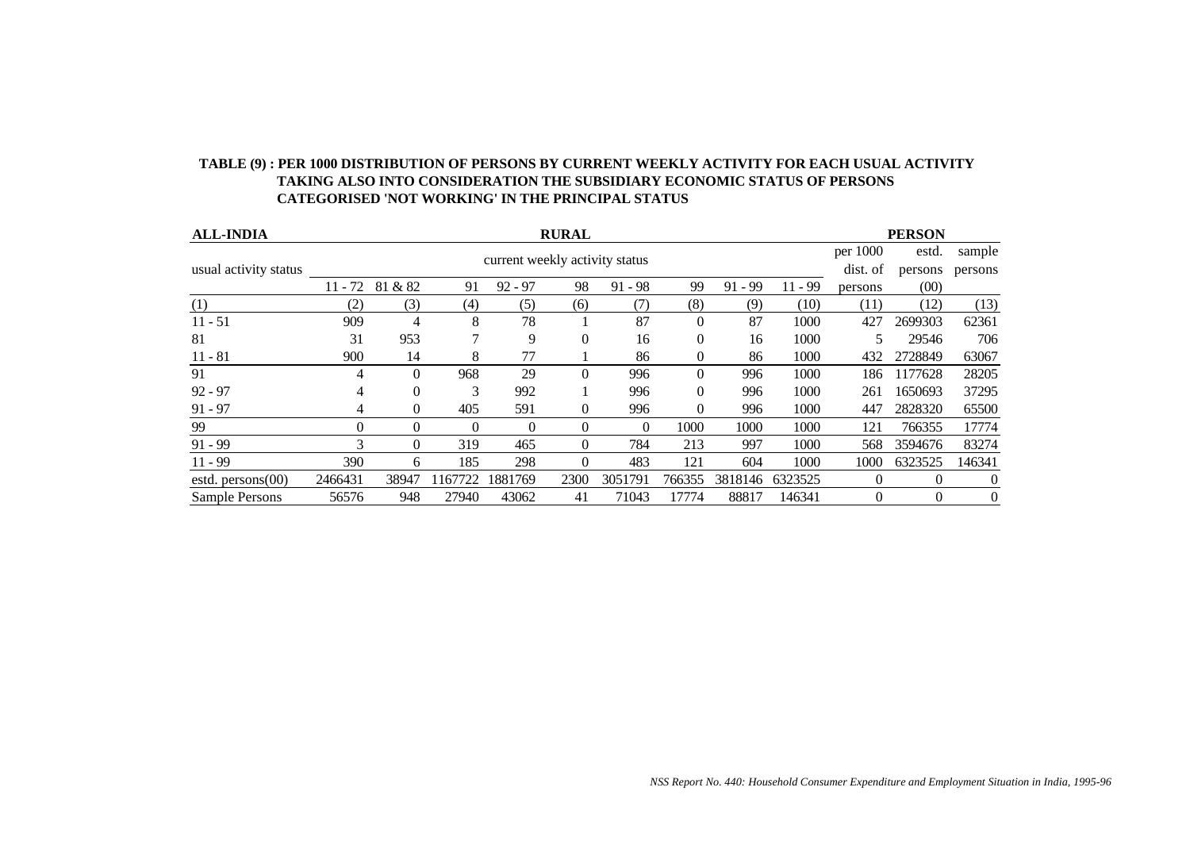| <b>ALL-INDIA</b>      | <b>RURAL</b> |          |          |           |          |           |          |           |           |         | <b>PERSON</b> |          |
|-----------------------|--------------|----------|----------|-----------|----------|-----------|----------|-----------|-----------|---------|---------------|----------|
|                       |              |          | per 1000 | estd.     | sample   |           |          |           |           |         |               |          |
| usual activity status |              |          | dist. of | persons   | persons  |           |          |           |           |         |               |          |
|                       | $11 - 72$    | 81 & 82  | 91       | $92 - 97$ | 98       | $91 - 98$ | 99       | $91 - 99$ | $11 - 99$ | persons | (00)          |          |
| (1)                   | (2)          | (3)      | (4)      | (5)       | (6)      | (7)       | (8)      | (9)       | (10)      | (11)    | (12)          | (13)     |
| $11 - 51$             | 909          | 4        | 8        | 78        |          | 87        | $\Omega$ | 87        | 1000      | 427     | 2699303       | 62361    |
| 81                    | 31           | 953      |          | 9         | $\Omega$ | 16        | $\Omega$ | 16        | 1000      |         | 29546         | 706      |
| $11 - 81$             | 900          | 14       | 8        | 77        |          | 86        | $\Omega$ | 86        | 1000      | 432     | 2728849       | 63067    |
| 91                    |              | $\theta$ | 968      | 29        | $\theta$ | 996       | $\theta$ | 996       | 1000      | 186     | 1177628       | 28205    |
| $92 - 97$             | 4            | $\Omega$ | 3        | 992       |          | 996       | $\Omega$ | 996       | 1000      | 261     | 1650693       | 37295    |
| $91 - 97$             | 4            | $\Omega$ | 405      | 591       | $\theta$ | 996       | $\Omega$ | 996       | 1000      | 447     | 2828320       | 65500    |
| 99                    | 0            | $\Omega$ | $\Omega$ | $\Omega$  | $\theta$ | $\Omega$  | 1000     | 1000      | 1000      | 121     | 766355        | 17774    |
| $91 - 99$             | 3            | $\Omega$ | 319      | 465       | $\Omega$ | 784       | 213      | 997       | 1000      | 568     | 3594676       | 83274    |
| $11 - 99$             | 390          | 6        | 185      | 298       | $\Omega$ | 483       | 121      | 604       | 1000      | 1000    | 6323525       | 146341   |
| estd. $person(00)$    | 2466431      | 38947    | 1167722  | 1881769   | 2300     | 3051791   | 766355   | 3818146   | 6323525   | 0       | $\theta$      | $\theta$ |
| Sample Persons        | 56576        | 948      | 27940    | 43062     | 41       | 71043     | 17774    | 88817     | 146341    | 0       | $\theta$      | 0        |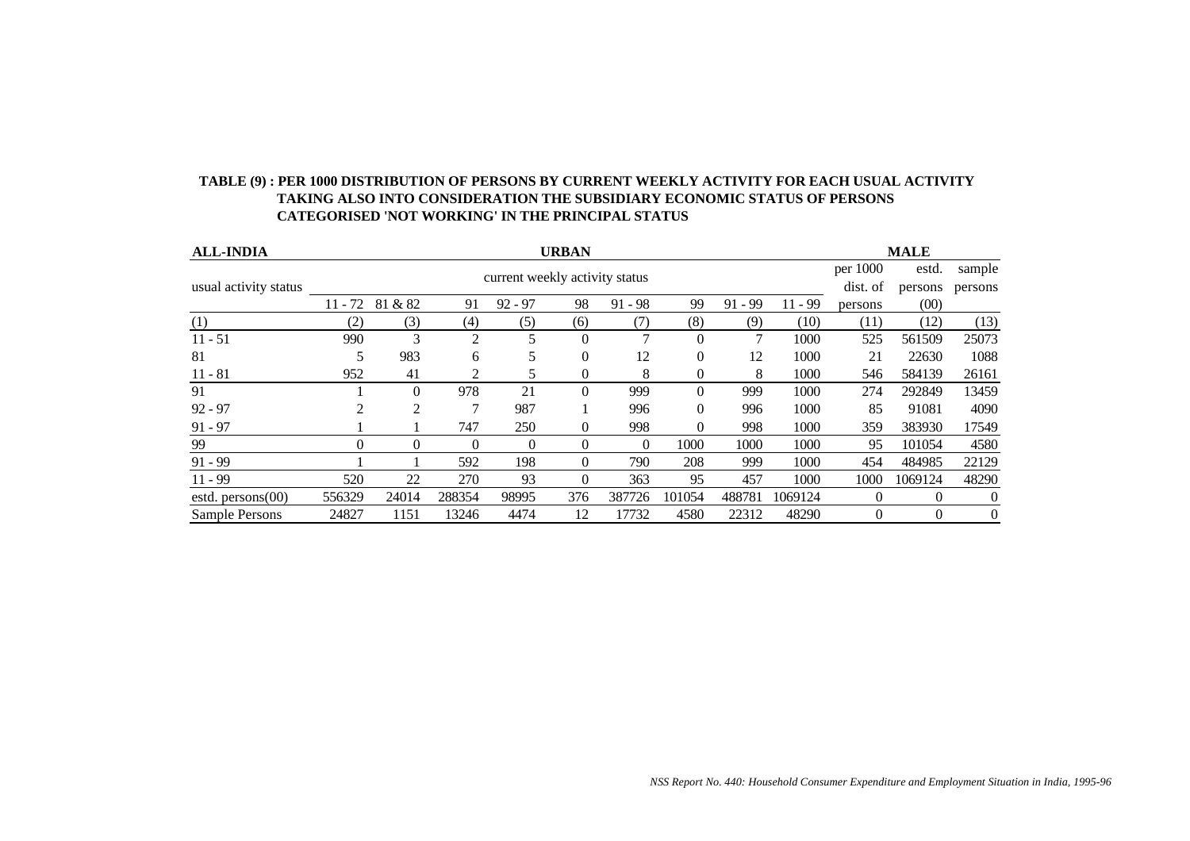|                       |     | <b>CATEGORISED 'NOT WORKING' IN THE PRINCIPAL STATUS</b> |              |                                |              |           |     |           |           |          |             |        |
|-----------------------|-----|----------------------------------------------------------|--------------|--------------------------------|--------------|-----------|-----|-----------|-----------|----------|-------------|--------|
| <b>ALL-INDIA</b>      |     |                                                          |              |                                | <b>URBAN</b> |           |     |           |           |          | <b>MALE</b> |        |
|                       |     |                                                          |              | current weekly activity status |              |           |     |           |           | per 1000 | estd.       | sample |
| usual activity status |     |                                                          | dist. of     | persons                        | persons      |           |     |           |           |          |             |        |
|                       |     | $11 - 72$ 81 & 82                                        | 91           | $92 - 97$                      | 98           | $91 - 98$ | 99  | $91 - 99$ | $11 - 99$ | persons  | (00)        |        |
| (1)                   |     | .3)                                                      | (4)          | (5                             | (6)          |           | (8) | (9`       | (10)      | (11      | (12)        | (13)   |
| $11 - 51$             | 990 |                                                          | ∍            |                                | $\theta$     |           |     |           | 1000      | 525      | 561509      | 25073  |
| 81                    |     | 983                                                      | <sub>0</sub> |                                |              | 12        |     | 12        | 1000      |          | 22630       | 1088   |

11 - 81 952 41 2 5 0 8 0 8 1000 546 584139 26161 91 1 0 978 21 0 999 0 999 1000 274 292849 13459 92 - 97 2 2 7 987 1 996 0 996 1000 85 91081 4090 91 - 97 1 1 747 250 0 998 0 998 1000 359 383930 17549 99 0 0 0 0 0 0 1000 1000 1000 95 101054 4580 91 - 99 1 1 592 198 0 790 208 999 1000 454 484985 22129 11 - 99 520 22 270 93 0 363 95 457 1000 1000 1069124 48290 estd. persons(00) 556329 24014 288354 98995 376 387726 101054 488781 1069124 0 0 0 0<br>Sample Persons 24827 1151 13246 4474 12 17732 4580 22312 48290 0 0 0 Sample Persons 24827 1151 13246 4474 12 17732 4580 22312 48290 0 0 0

# **TABLE (9) : PER 1000 DISTRIBUTION OF PERSONS BY CURRENT WEEKLY ACTIVITY FOR EACH USUAL ACTIVITY TAKING ALSO INTO CONSIDERATION THE SUBSIDIARY ECONOMIC STATUS OF PERSONS**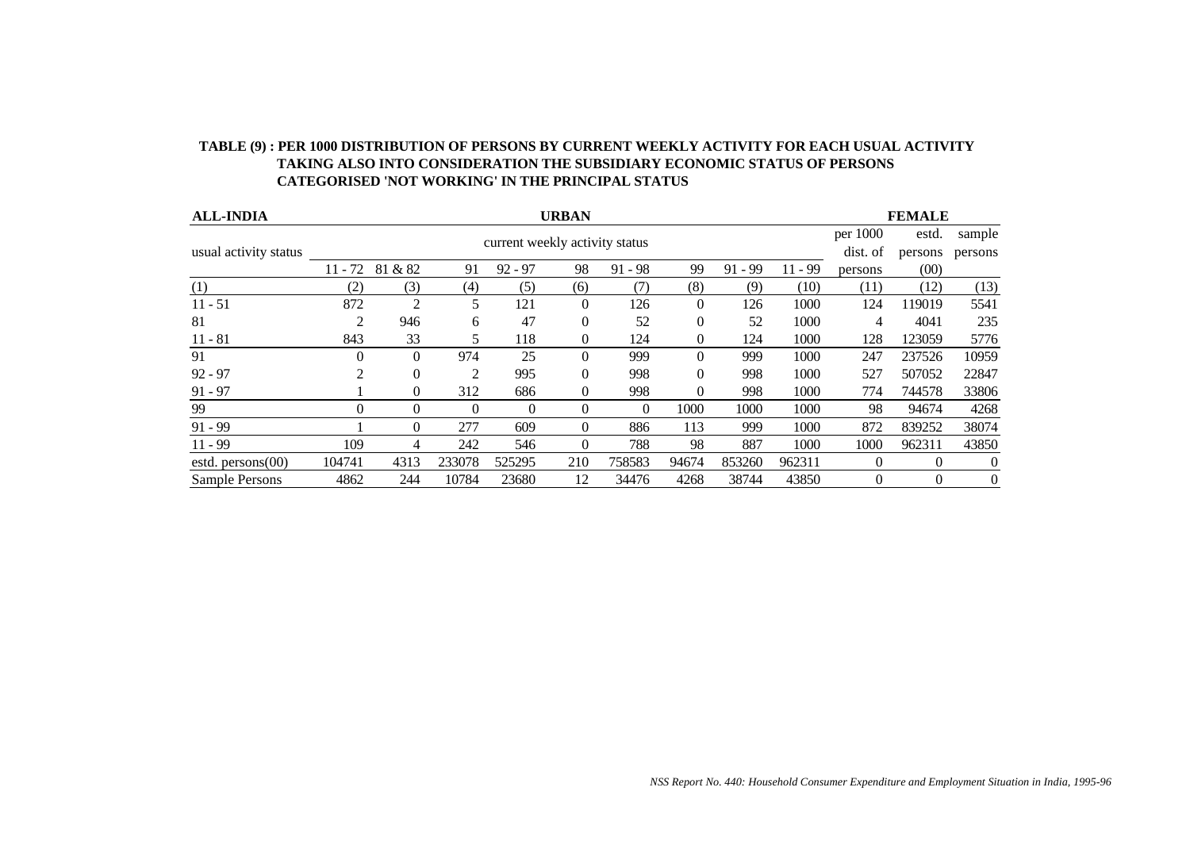| <b>ALL-INDIA</b>      | <b>URBAN</b> |                |                |                                |                  |                |              |           |           |          | <b>FEMALE</b> |          |
|-----------------------|--------------|----------------|----------------|--------------------------------|------------------|----------------|--------------|-----------|-----------|----------|---------------|----------|
|                       |              |                |                | current weekly activity status |                  |                |              |           |           | per 1000 | estd.         | sample   |
| usual activity status |              |                | dist. of       | persons                        | persons          |                |              |           |           |          |               |          |
|                       | $11 - 72$    | 81 & 82        | 91             | $92 - 97$                      | 98               | $91 - 98$      | 99           | $91 - 99$ | $11 - 99$ | persons  | (00)          |          |
| (1)                   | (2)          | (3)            | (4)            | (5)                            | (6)              | (7)            | (8)          | (9)       | (10)      | (11)     | (12)          | (13)     |
| $11 - 51$             | 872          | $\overline{c}$ | 5              | 121                            | $\theta$         | 126            | $\mathbf{0}$ | 126       | 1000      | 124      | 119019        | 5541     |
| 81                    | 2            | 946            | 6              | 47                             | $\theta$         | 52             | $\theta$     | 52        | 1000      | 4        | 4041          | 235      |
| $11 - 81$             | 843          | 33             | 5              | 118                            | $\boldsymbol{0}$ | 124            | $\mathbf{0}$ | 124       | 1000      | 128      | 123059        | 5776     |
| 91                    | 0            | $\Omega$       | 974            | 25                             | $\theta$         | 999            | $\Omega$     | 999       | 1000      | 247      | 237526        | 10959    |
| $92 - 97$             | 2            | 0              | $\overline{2}$ | 995                            | $\theta$         | 998            | $\Omega$     | 998       | 1000      | 527      | 507052        | 22847    |
| $91 - 97$             |              | $\Omega$       | 312            | 686                            | $\boldsymbol{0}$ | 998            | $\theta$     | 998       | 1000      | 774      | 744578        | 33806    |
| 99                    | 0            | $\Omega$       | $\theta$       | $\Omega$                       | $\theta$         | $\overline{0}$ | 1000         | 1000      | 1000      | 98       | 94674         | 4268     |
| $91 - 99$             |              | $\Omega$       | 277            | 609                            | $\Omega$         | 886            | 113          | 999       | 1000      | 872      | 839252        | 38074    |
| $11 - 99$             | 109          | 4              | 242            | 546                            | $\theta$         | 788            | 98           | 887       | 1000      | 1000     | 962311        | 43850    |
| estd. persons $(00)$  | 104741       | 4313           | 233078         | 525295                         | 210              | 758583         | 94674        | 853260    | 962311    | $\Omega$ | $\theta$      | $\theta$ |
| Sample Persons        | 4862         | 244            | 10784          | 23680                          | 12               | 34476          | 4268         | 38744     | 43850     | $\Omega$ | $\Omega$      | $\theta$ |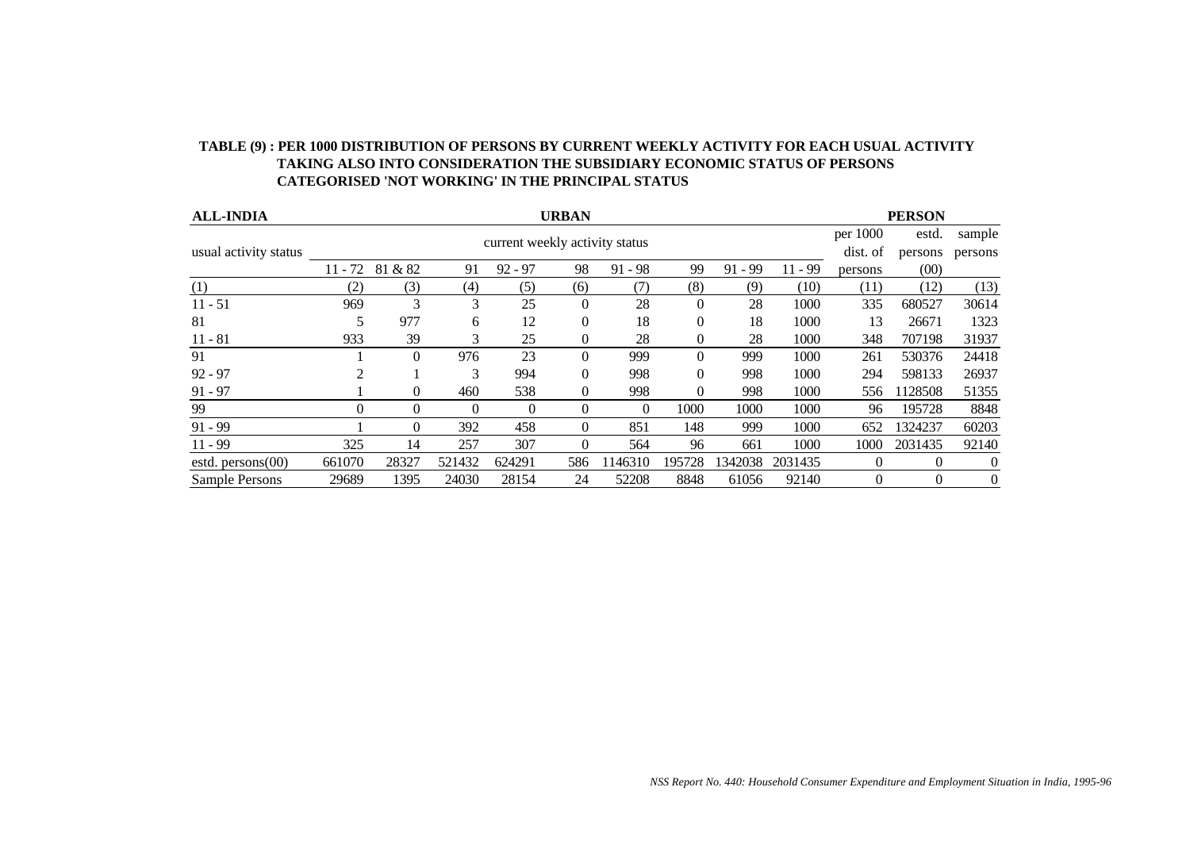| <b>ALL-INDIA</b>      | <b>URBAN</b> |          |          |                                |                  |           |              |           | <b>PERSON</b> |          |          |                |
|-----------------------|--------------|----------|----------|--------------------------------|------------------|-----------|--------------|-----------|---------------|----------|----------|----------------|
|                       |              |          |          | current weekly activity status |                  |           |              |           |               | per 1000 | estd.    | sample         |
| usual activity status |              |          | dist. of | persons                        | persons          |           |              |           |               |          |          |                |
|                       | $11 - 72$    | 81 & 82  | 91       | $92 - 97$                      | 98               | $91 - 98$ | 99           | $91 - 99$ | 11 - 99       | persons  | (00)     |                |
| (1)                   | (2)          | (3)      | (4)      | (5)                            | (6)              | (7)       | (8)          | (9)       | (10)          | (11)     | (12)     | (13)           |
| $11 - 51$             | 969          | 3        | 3        | 25                             | $\theta$         | 28        | $\Omega$     | 28        | 1000          | 335      | 680527   | 30614          |
| 81                    | 5            | 977      | 6        | 12                             | $\theta$         | 18        | $\theta$     | 18        | 1000          | 13       | 26671    | 1323           |
| $11 - 81$             | 933          | 39       | 3        | 25                             | $\boldsymbol{0}$ | 28        | $\mathbf{0}$ | 28        | 1000          | 348      | 707198   | 31937          |
| 91                    |              | $\Omega$ | 976      | 23                             | $\theta$         | 999       | $\Omega$     | 999       | 1000          | 261      | 530376   | 24418          |
| $92 - 97$             | 2            |          | 3        | 994                            | $\theta$         | 998       | $\Omega$     | 998       | 1000          | 294      | 598133   | 26937          |
| $91 - 97$             |              | $\Omega$ | 460      | 538                            | $\theta$         | 998       | $\Omega$     | 998       | 1000          | 556      | 1128508  | 51355          |
| 99                    | 0            | $\Omega$ | $\theta$ | $\Omega$                       | $\theta$         | 0         | 1000         | 1000      | 1000          | 96       | 195728   | 8848           |
| $91 - 99$             |              | 0        | 392      | 458                            | $\theta$         | 851       | 148          | 999       | 1000          | 652      | 1324237  | 60203          |
| $11 - 99$             | 325          | 14       | 257      | 307                            | $\theta$         | 564       | 96           | 661       | 1000          | 1000     | 2031435  | 92140          |
| estd. $person(00)$    | 661070       | 28327    | 521432   | 624291                         | 586              | 1146310   | 195728       | 1342038   | 2031435       | $\theta$ | $\theta$ | 0              |
| <b>Sample Persons</b> | 29689        | 1395     | 24030    | 28154                          | 24               | 52208     | 8848         | 61056     | 92140         | $\Omega$ | $\Omega$ | $\overline{0}$ |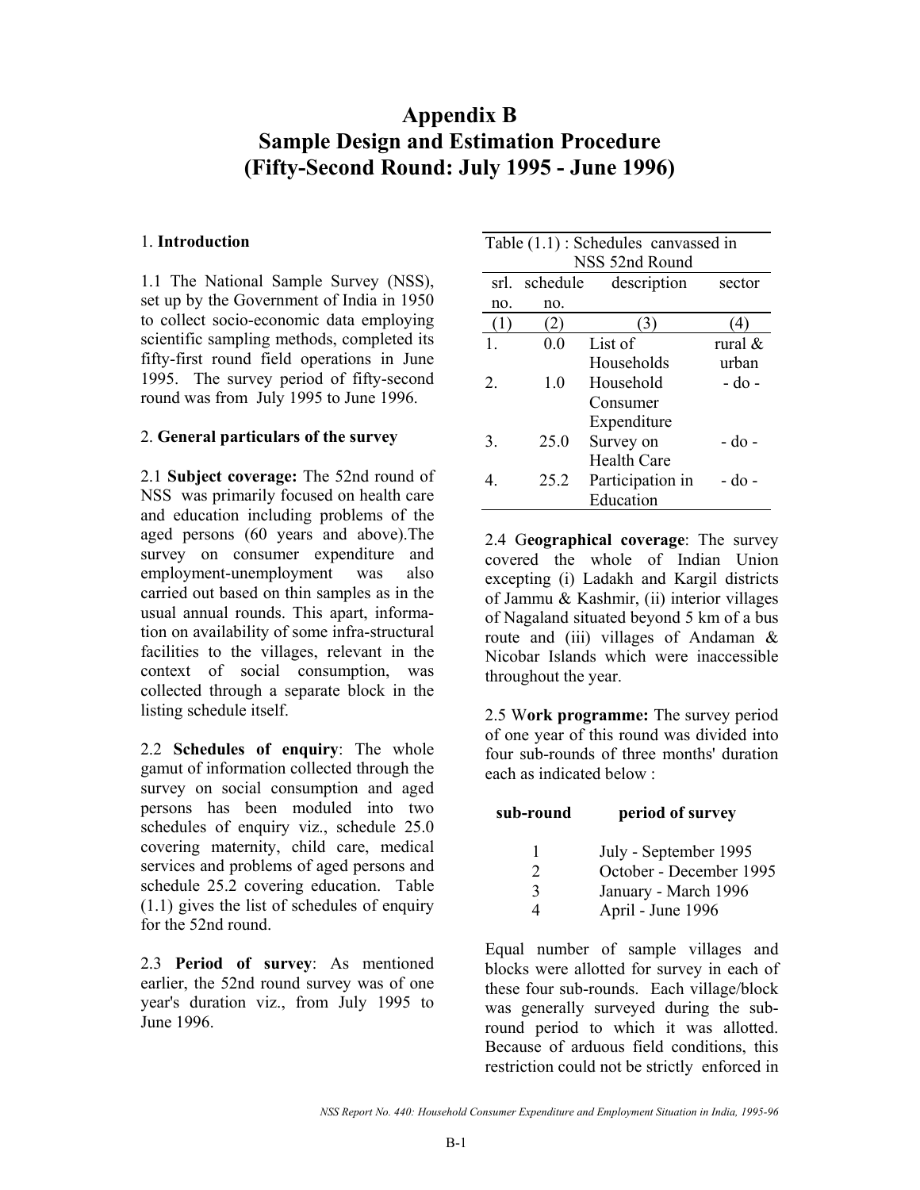# **Appendix B Sample Design and Estimation Procedure (Fifty-Second Round: July 1995 - June 1996)**

#### 1. **Introduction**

1.1 The National Sample Survey (NSS), set up by the Government of India in 1950 to collect socio-economic data employing scientific sampling methods, completed its fifty-first round field operations in June 1995. The survey period of fifty-second round was from July 1995 to June 1996.

#### 2. **General particulars of the survey**

2.1 **Subject coverage:** The 52nd round of NSS was primarily focused on health care and education including problems of the aged persons (60 years and above).The survey on consumer expenditure and employment-unemployment was also carried out based on thin samples as in the usual annual rounds. This apart, information on availability of some infra-structural facilities to the villages, relevant in the context of social consumption, was collected through a separate block in the listing schedule itself.

2.2 **Schedules of enquiry**: The whole gamut of information collected through the survey on social consumption and aged persons has been moduled into two schedules of enquiry viz., schedule 25.0 covering maternity, child care, medical services and problems of aged persons and schedule 25.2 covering education. Table (1.1) gives the list of schedules of enquiry for the 52nd round.

2.3 **Period of survey**: As mentioned earlier, the 52nd round survey was of one year's duration viz., from July 1995 to June 1996.

| Table $(1.1)$ : Schedules canvassed in |                |                    |            |  |  |  |  |  |  |  |
|----------------------------------------|----------------|--------------------|------------|--|--|--|--|--|--|--|
|                                        | NSS 52nd Round |                    |            |  |  |  |  |  |  |  |
| srl.                                   | schedule       | description        | sector     |  |  |  |  |  |  |  |
| no.                                    | no.            |                    |            |  |  |  |  |  |  |  |
| . l.)                                  | $\overline{2}$ |                    |            |  |  |  |  |  |  |  |
|                                        | 00             | List of            | rural $\&$ |  |  |  |  |  |  |  |
|                                        |                | Households         | urban      |  |  |  |  |  |  |  |
| $\mathfrak{L}$                         | 1 <sub>0</sub> | Household          | - do -     |  |  |  |  |  |  |  |
|                                        |                | Consumer           |            |  |  |  |  |  |  |  |
|                                        |                | Expenditure        |            |  |  |  |  |  |  |  |
| 3.                                     | 25.0           | Survey on          | - do -     |  |  |  |  |  |  |  |
|                                        |                | <b>Health Care</b> |            |  |  |  |  |  |  |  |
| 4.                                     | 25.2           | Participation in   | - do -     |  |  |  |  |  |  |  |
|                                        |                | Education          |            |  |  |  |  |  |  |  |

2.4 G**eographical coverage**: The survey covered the whole of Indian Union excepting (i) Ladakh and Kargil districts of Jammu & Kashmir, (ii) interior villages of Nagaland situated beyond 5 km of a bus route and (iii) villages of Andaman  $\&$ Nicobar Islands which were inaccessible throughout the year.

2.5 W**ork programme:** The survey period of one year of this round was divided into four sub-rounds of three months' duration each as indicated below :

**sub-round period of survey** 

| July - September 1995 |
|-----------------------|
|-----------------------|

- 2 October December 1995
- 3 January March 1996

4 April - June 1996

Equal number of sample villages and blocks were allotted for survey in each of these four sub-rounds. Each village/block was generally surveyed during the subround period to which it was allotted. Because of arduous field conditions, this restriction could not be strictly enforced in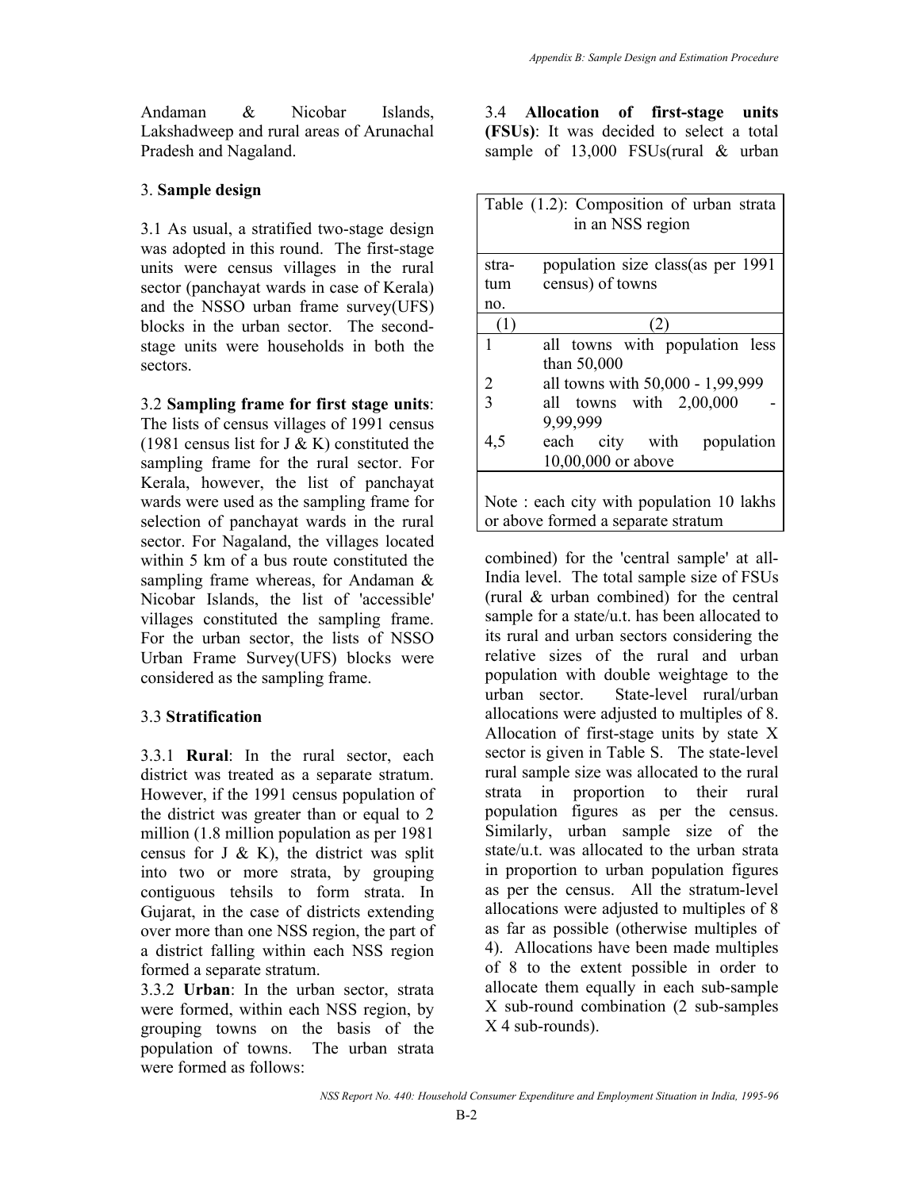Andaman & Nicobar Islands, Lakshadweep and rural areas of Arunachal Pradesh and Nagaland.

# 3. **Sample design**

3.1 As usual, a stratified two-stage design was adopted in this round. The first-stage units were census villages in the rural sector (panchayat wards in case of Kerala) and the NSSO urban frame survey(UFS) blocks in the urban sector. The secondstage units were households in both the sectors.

3.2 **Sampling frame for first stage units**: The lists of census villages of 1991 census (1981 census list for J  $\&$  K) constituted the sampling frame for the rural sector. For Kerala, however, the list of panchayat wards were used as the sampling frame for selection of panchayat wards in the rural sector. For Nagaland, the villages located within 5 km of a bus route constituted the sampling frame whereas, for Andaman & Nicobar Islands, the list of 'accessible' villages constituted the sampling frame. For the urban sector, the lists of NSSO Urban Frame Survey(UFS) blocks were considered as the sampling frame.

# 3.3 **Stratification**

3.3.1 **Rural**: In the rural sector, each district was treated as a separate stratum. However, if the 1991 census population of the district was greater than or equal to 2 million (1.8 million population as per 1981 census for J  $\&$  K), the district was split into two or more strata, by grouping contiguous tehsils to form strata. In Gujarat, in the case of districts extending over more than one NSS region, the part of a district falling within each NSS region formed a separate stratum.

3.3.2 **Urban**: In the urban sector, strata were formed, within each NSS region, by grouping towns on the basis of the population of towns. The urban strata were formed as follows:

3.4 **Allocation of first-stage units (FSUs)**: It was decided to select a total sample of 13,000 FSUs(rural & urban

|                | Table (1.2): Composition of urban strata  |
|----------------|-------------------------------------------|
|                | in an NSS region                          |
|                |                                           |
| stra-          | population size class (as per 1991        |
| tum            | census) of towns                          |
| no.            |                                           |
| (1)            | 2                                         |
| 1              | all towns with population less            |
|                | than 50,000                               |
| $\overline{2}$ | all towns with 50,000 - 1,99,999          |
| $\overline{3}$ | all towns with 2,00,000                   |
|                | 9,99,999                                  |
| 4,5            | each city with population                 |
|                | 10,00,000 or above                        |
|                |                                           |
|                | Note : each city with population 10 lakhs |
|                | or above formed a separate stratum        |

combined) for the 'central sample' at all-India level. The total sample size of FSUs (rural & urban combined) for the central sample for a state/u.t. has been allocated to its rural and urban sectors considering the relative sizes of the rural and urban population with double weightage to the urban sector. State-level rural/urban allocations were adjusted to multiples of 8. Allocation of first-stage units by state X sector is given in Table S. The state-level rural sample size was allocated to the rural strata in proportion to their rural population figures as per the census. Similarly, urban sample size of the state/u.t. was allocated to the urban strata in proportion to urban population figures as per the census. All the stratum-level allocations were adjusted to multiples of 8 as far as possible (otherwise multiples of 4). Allocations have been made multiples of 8 to the extent possible in order to allocate them equally in each sub-sample X sub-round combination (2 sub-samples X 4 sub-rounds).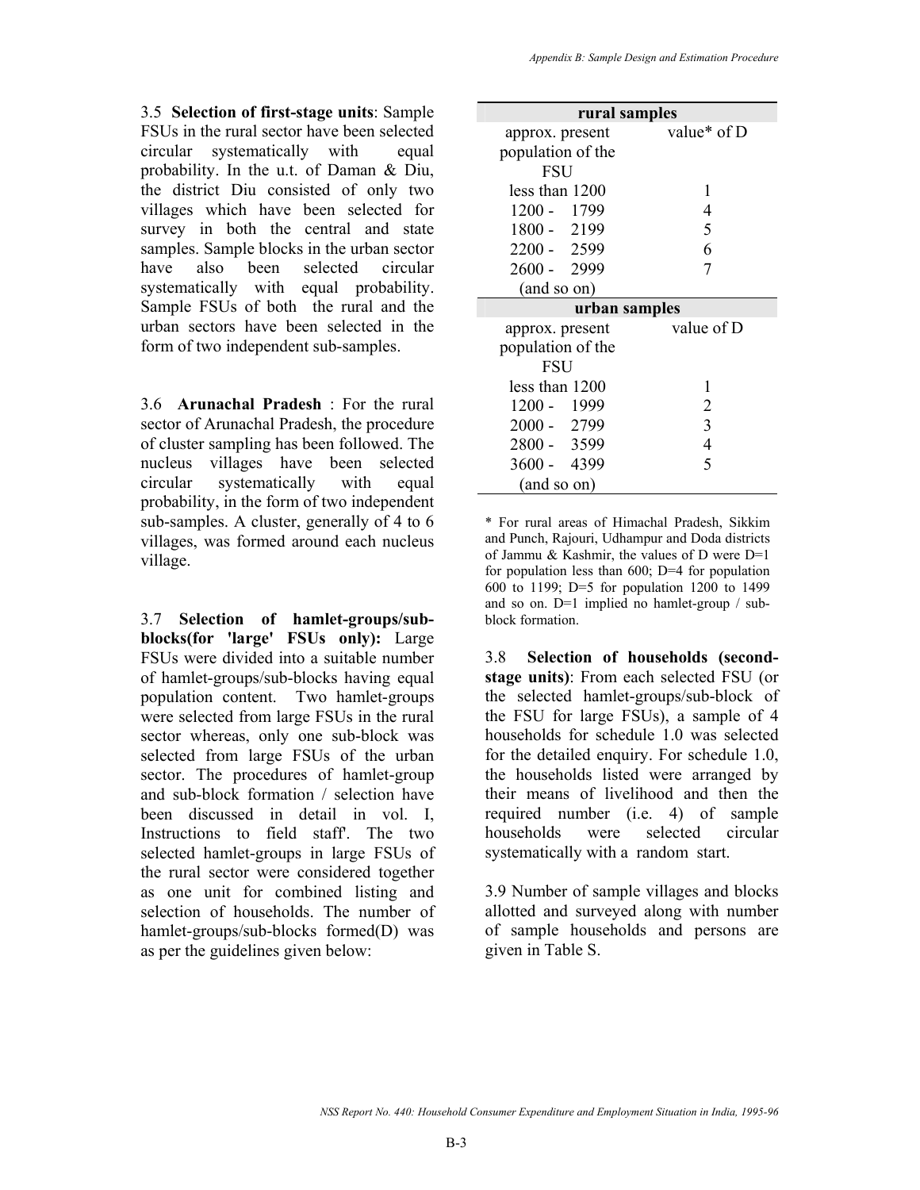3.5 **Selection of first-stage units**: Sample FSUs in the rural sector have been selected circular systematically with equal probability. In the u.t. of Daman & Diu, the district Diu consisted of only two villages which have been selected for survey in both the central and state samples. Sample blocks in the urban sector have also been selected circular systematically with equal probability. Sample FSUs of both the rural and the urban sectors have been selected in the form of two independent sub-samples.

3.6 **Arunachal Pradesh** : For the rural sector of Arunachal Pradesh, the procedure of cluster sampling has been followed. The nucleus villages have been selected circular systematically with equal probability, in the form of two independent sub-samples. A cluster, generally of 4 to 6 villages, was formed around each nucleus village.

3.7 **Selection of hamlet-groups/subblocks(for 'large' FSUs only):** Large FSUs were divided into a suitable number of hamlet-groups/sub-blocks having equal population content. Two hamlet-groups were selected from large FSUs in the rural sector whereas, only one sub-block was selected from large FSUs of the urban sector. The procedures of hamlet-group and sub-block formation / selection have been discussed in detail in vol. I, Instructions to field staff'. The two selected hamlet-groups in large FSUs of the rural sector were considered together as one unit for combined listing and selection of households. The number of hamlet-groups/sub-blocks formed(D) was as per the guidelines given below:

| rural samples     |                |
|-------------------|----------------|
| approx. present   | value* of D    |
| population of the |                |
| <b>FSU</b>        |                |
| less than 1200    | 1              |
| 1200 - 1799       | 4              |
| 1800 - 2199       | 5              |
| 2200 - 2599       | 6              |
| 2600 - 2999       |                |
| (and so on)       |                |
| urban samples     |                |
| approx. present   | value of D     |
| population of the |                |
| <b>FSU</b>        |                |
| less than 1200    | 1              |
| 1200 - 1999       | 2              |
| 2000 - 2799       | 3              |
| 2800 - 3599       | $\overline{4}$ |
| 3600 - 4399       | 5              |
| (and so on)       |                |

\* For rural areas of Himachal Pradesh, Sikkim and Punch, Rajouri, Udhampur and Doda districts of Jammu & Kashmir, the values of D were D=1 for population less than 600; D=4 for population 600 to 1199; D=5 for population 1200 to 1499 and so on. D=1 implied no hamlet-group / subblock formation.

3.8 **Selection of households (secondstage units)**: From each selected FSU (or the selected hamlet-groups/sub-block of the FSU for large FSUs), a sample of 4 households for schedule 1.0 was selected for the detailed enquiry. For schedule 1.0, the households listed were arranged by their means of livelihood and then the required number (i.e. 4) of sample households were selected circular systematically with a random start.

3.9 Number of sample villages and blocks allotted and surveyed along with number of sample households and persons are given in Table S.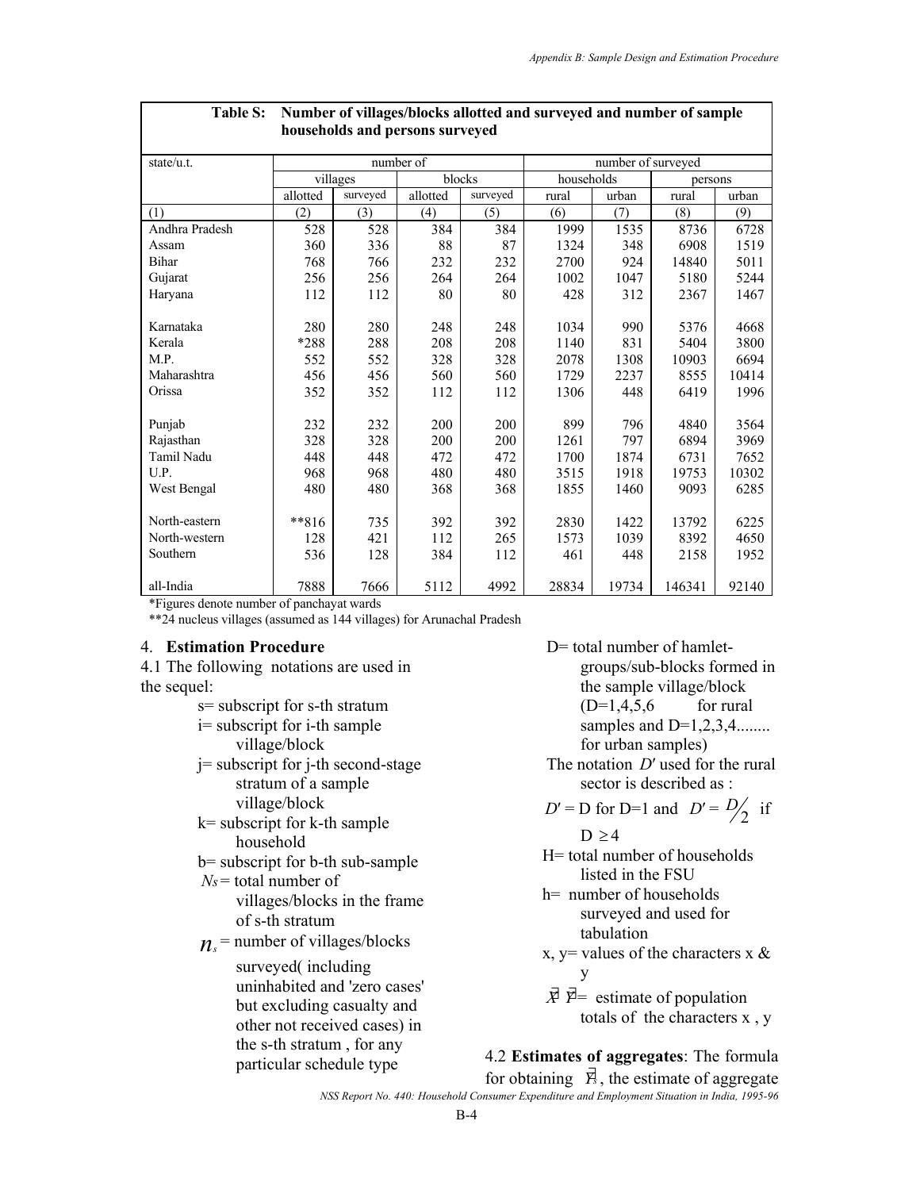|                |          | households and persons surveyed |           |          |            |                    |         |       |  |  |  |  |
|----------------|----------|---------------------------------|-----------|----------|------------|--------------------|---------|-------|--|--|--|--|
| state/u.t.     |          |                                 | number of |          |            | number of surveyed |         |       |  |  |  |  |
|                |          | villages                        | blocks    |          | households |                    | persons |       |  |  |  |  |
|                | allotted | surveyed                        | allotted  | surveyed | rural      | urban              | rural   | urban |  |  |  |  |
| (1)            | (2)      | (3)                             | (4)       | (5)      | (6)        | (7)                | (8)     | (9)   |  |  |  |  |
| Andhra Pradesh | 528      | 528                             | 384       | 384      | 1999       | 1535               | 8736    | 6728  |  |  |  |  |
| Assam          | 360      | 336                             | 88        | 87       | 1324       | 348                | 6908    | 1519  |  |  |  |  |
| <b>Bihar</b>   | 768      | 766                             | 232       | 232      | 2700       | 924                | 14840   | 5011  |  |  |  |  |
| Gujarat        | 256      | 256                             | 264       | 264      | 1002       | 1047               | 5180    | 5244  |  |  |  |  |
| Haryana        | 112      | 112                             | 80        | 80       | 428        | 312                | 2367    | 1467  |  |  |  |  |
|                |          |                                 |           |          |            |                    |         |       |  |  |  |  |
| Karnataka      | 280      | 280                             | 248       | 248      | 1034       | 990                | 5376    | 4668  |  |  |  |  |
| Kerala         | *288     | 288                             | 208       | 208      | 1140       | 831                | 5404    | 3800  |  |  |  |  |
| M.P.           | 552      | 552                             | 328       | 328      | 2078       | 1308               | 10903   | 6694  |  |  |  |  |
| Maharashtra    | 456      | 456                             | 560       | 560      | 1729       | 2237               | 8555    | 10414 |  |  |  |  |
| Orissa         | 352      | 352                             | 112       | 112      | 1306       | 448                | 6419    | 1996  |  |  |  |  |
|                |          |                                 |           |          |            |                    |         |       |  |  |  |  |
| Punjab         | 232      | 232                             | 200       | 200      | 899        | 796                | 4840    | 3564  |  |  |  |  |
| Rajasthan      | 328      | 328                             | 200       | 200      | 1261       | 797                | 6894    | 3969  |  |  |  |  |
| Tamil Nadu     | 448      | 448                             | 472       | 472      | 1700       | 1874               | 6731    | 7652  |  |  |  |  |
| U.P.           | 968      | 968                             | 480       | 480      | 3515       | 1918               | 19753   | 10302 |  |  |  |  |
| West Bengal    | 480      | 480                             | 368       | 368      | 1855       | 1460               | 9093    | 6285  |  |  |  |  |
|                |          |                                 |           |          |            |                    |         |       |  |  |  |  |
| North-eastern  | $**816$  | 735                             | 392       | 392      | 2830       | 1422               | 13792   | 6225  |  |  |  |  |
| North-western  | 128      | 421                             | 112       | 265      | 1573       | 1039               | 8392    | 4650  |  |  |  |  |
| Southern       | 536      | 128                             | 384       | 112      | 461        | 448                | 2158    | 1952  |  |  |  |  |
|                |          |                                 |           |          |            |                    |         |       |  |  |  |  |
| all-India      | 7888     | 7666                            | 5112      | 4992     | 28834      | 19734              | 146341  | 92140 |  |  |  |  |

# **Table S: Number of villages/blocks allotted and surveyed and number of sample**

\*Figures denote number of panchayat wards

\*\*24 nucleus villages (assumed as 144 villages) for Arunachal Pradesh

#### 4. **Estimation Procedure**

4.1 The following notations are used in the sequel:

- s= subscript for s-th stratum
- i= subscript for i-th sample village/block
- j= subscript for j-th second-stage stratum of a sample village/block
- k= subscript for k-th sample household
- b= subscript for b-th sub-sample
- *Ns*= total number of villages/blocks in the frame of s-th stratum
- $n_s$ <sup>=</sup> number of villages/blocks

surveyed( including uninhabited and 'zero cases' but excluding casualty and other not received cases) in the s-th stratum , for any particular schedule type

D= total number of hamletgroups/sub-blocks formed in the sample village/block  $(D=1,4,5,6$  for rural samples and  $D=1,2,3,4$ ........ for urban samples)

 The notation *D*′ used for the rural sector is described as :

*D*′ = D for D=1 and  $D' = D/2$  if

- $D \geq 4$
- H= total number of households listed in the FSU
- h= number of households surveyed and used for tabulation
- x,  $y =$  values of the characters x  $\&$ y
- *X*<sup>∤</sup>  $\overline{Y}$ = estimate of population totals of the characters x , y

# 4.2 **Estimates of aggregates**: The formula

for obtaining  $\vec{Y}_3$ , the estimate of aggregate

*NSS Report No. 440: Household Consumer Expenditure and Employment Situation in India, 1995-96*